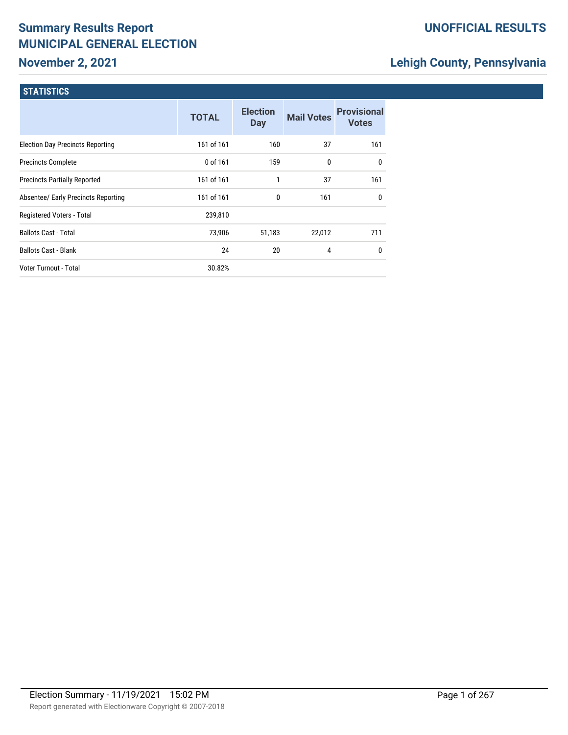# **November 2, 2021**

### **UNOFFICIAL RESULTS**

# **Lehigh County, Pennsylvania**

|                                         | <b>TOTAL</b> | <b>Election</b><br><b>Day</b> | <b>Mail Votes</b> | <b>Provisional</b><br><b>Votes</b> |
|-----------------------------------------|--------------|-------------------------------|-------------------|------------------------------------|
| <b>Election Day Precincts Reporting</b> | 161 of 161   | 160                           | 37                | 161                                |
| <b>Precincts Complete</b>               | 0 of 161     | 159                           | 0                 | $\mathbf{0}$                       |
| <b>Precincts Partially Reported</b>     | 161 of 161   | 1                             | 37                | 161                                |
| Absentee/ Early Precincts Reporting     | 161 of 161   | $\mathbf{0}$                  | 161               | $\mathbf{0}$                       |
| Registered Voters - Total               | 239,810      |                               |                   |                                    |
| <b>Ballots Cast - Total</b>             | 73,906       | 51,183                        | 22,012            | 711                                |
| <b>Ballots Cast - Blank</b>             | 24           | 20                            | 4                 | 0                                  |
| Voter Turnout - Total                   | 30.82%       |                               |                   |                                    |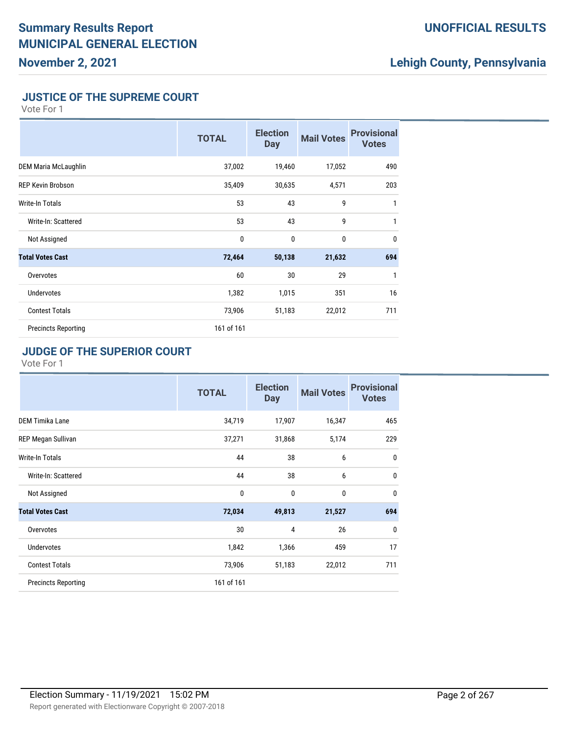### **UNOFFICIAL RESULTS**

# **Lehigh County, Pennsylvania**

#### **JUSTICE OF THE SUPREME COURT**

Vote For 1

|                             | <b>TOTAL</b> | <b>Election</b><br>Day | <b>Mail Votes</b> | <b>Provisional</b><br><b>Votes</b> |
|-----------------------------|--------------|------------------------|-------------------|------------------------------------|
| <b>DEM Maria McLaughlin</b> | 37,002       | 19,460                 | 17,052            | 490                                |
| <b>REP Kevin Brobson</b>    | 35,409       | 30,635                 | 4,571             | 203                                |
| Write-In Totals             | 53           | 43                     | 9                 | 1                                  |
| Write-In: Scattered         | 53           | 43                     | 9                 | 1                                  |
| Not Assigned                | 0            | $\mathbf{0}$           | $\mathbf{0}$      | $\mathbf{0}$                       |
| <b>Total Votes Cast</b>     | 72,464       | 50,138                 | 21,632            | 694                                |
| Overvotes                   | 60           | 30                     | 29                | 1                                  |
| <b>Undervotes</b>           | 1,382        | 1,015                  | 351               | 16                                 |
| <b>Contest Totals</b>       | 73,906       | 51,183                 | 22,012            | 711                                |
| <b>Precincts Reporting</b>  | 161 of 161   |                        |                   |                                    |

#### **JUDGE OF THE SUPERIOR COURT**

|                            | <b>TOTAL</b> | <b>Election</b><br><b>Day</b> | <b>Mail Votes</b> | <b>Provisional</b><br><b>Votes</b> |
|----------------------------|--------------|-------------------------------|-------------------|------------------------------------|
| <b>DEM Timika Lane</b>     | 34,719       | 17,907                        | 16,347            | 465                                |
| REP Megan Sullivan         | 37,271       | 31,868                        | 5,174             | 229                                |
| Write-In Totals            | 44           | 38                            | 6                 | $\mathbf 0$                        |
| Write-In: Scattered        | 44           | 38                            | 6                 | $\mathbf 0$                        |
| Not Assigned               | 0            | $\mathbf{0}$                  | 0                 | $\mathbf{0}$                       |
| <b>Total Votes Cast</b>    | 72,034       | 49,813                        | 21,527            | 694                                |
| Overvotes                  | 30           | 4                             | 26                | $\mathbf{0}$                       |
| Undervotes                 | 1,842        | 1,366                         | 459               | 17                                 |
| <b>Contest Totals</b>      | 73,906       | 51,183                        | 22,012            | 711                                |
| <b>Precincts Reporting</b> | 161 of 161   |                               |                   |                                    |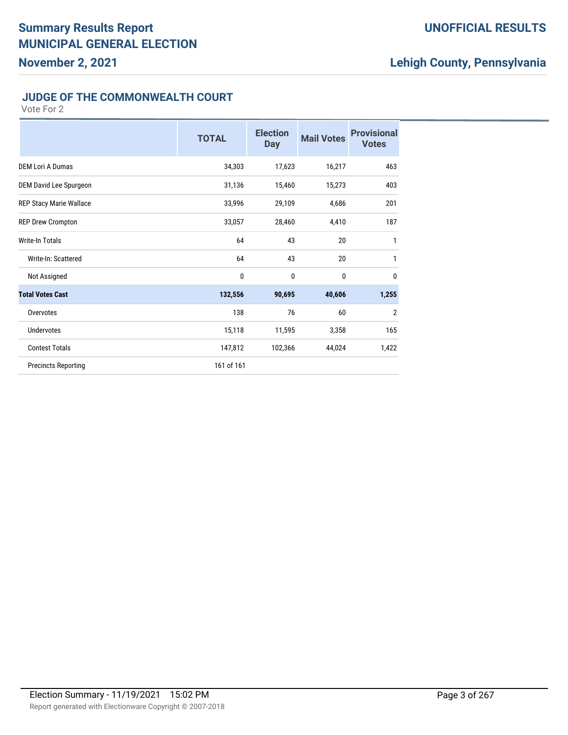#### **UNOFFICIAL RESULTS**

# **Lehigh County, Pennsylvania**

#### **JUDGE OF THE COMMONWEALTH COURT**

|                            | <b>TOTAL</b> | <b>Election</b><br><b>Day</b> | <b>Mail Votes</b> | <b>Provisional</b><br><b>Votes</b> |
|----------------------------|--------------|-------------------------------|-------------------|------------------------------------|
| <b>DEM Lori A Dumas</b>    | 34,303       | 17,623                        | 16,217            | 463                                |
| DEM David Lee Spurgeon     | 31,136       | 15,460                        | 15,273            | 403                                |
| REP Stacy Marie Wallace    | 33,996       | 29,109                        | 4,686             | 201                                |
| <b>REP Drew Crompton</b>   | 33,057       | 28,460                        | 4,410             | 187                                |
| Write-In Totals            | 64           | 43                            | 20                | 1                                  |
| Write-In: Scattered        | 64           | 43                            | 20                | 1                                  |
| Not Assigned               | $\bf{0}$     | $\mathbf 0$                   | 0                 | $\mathbf 0$                        |
| <b>Total Votes Cast</b>    | 132,556      | 90,695                        | 40,606            | 1,255                              |
| Overvotes                  | 138          | 76                            | 60                | $\overline{2}$                     |
| Undervotes                 | 15,118       | 11,595                        | 3,358             | 165                                |
| <b>Contest Totals</b>      | 147,812      | 102,366                       | 44,024            | 1,422                              |
| <b>Precincts Reporting</b> | 161 of 161   |                               |                   |                                    |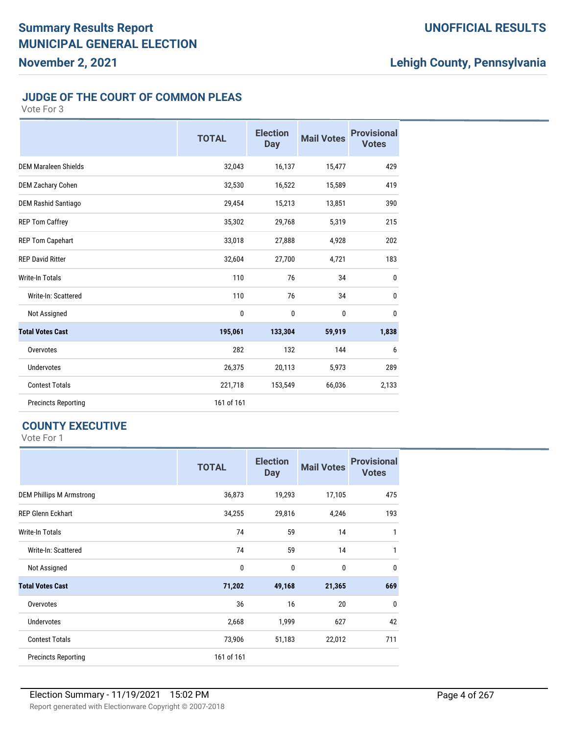#### **UNOFFICIAL RESULTS**

# **Lehigh County, Pennsylvania**

#### **JUDGE OF THE COURT OF COMMON PLEAS**

Vote For 3

|                             | <b>TOTAL</b> | <b>Election</b><br><b>Day</b> | <b>Mail Votes</b> | <b>Provisional</b><br><b>Votes</b> |
|-----------------------------|--------------|-------------------------------|-------------------|------------------------------------|
| <b>DEM Maraleen Shields</b> | 32,043       | 16,137                        | 15,477            | 429                                |
| <b>DEM Zachary Cohen</b>    | 32,530       | 16,522                        | 15,589            | 419                                |
| <b>DEM Rashid Santiago</b>  | 29,454       | 15,213                        | 13,851            | 390                                |
| <b>REP Tom Caffrey</b>      | 35,302       | 29,768                        | 5,319             | 215                                |
| <b>REP Tom Capehart</b>     | 33,018       | 27,888                        | 4,928             | 202                                |
| <b>REP David Ritter</b>     | 32,604       | 27,700                        | 4,721             | 183                                |
| Write-In Totals             | 110          | 76                            | 34                | $\mathbf{0}$                       |
| Write-In: Scattered         | 110          | 76                            | 34                | $\mathbf{0}$                       |
| Not Assigned                | 0            | 0                             | $\mathbf 0$       | $\bf{0}$                           |
| <b>Total Votes Cast</b>     | 195,061      | 133,304                       | 59,919            | 1,838                              |
| Overvotes                   | 282          | 132                           | 144               | 6                                  |
| <b>Undervotes</b>           | 26,375       | 20,113                        | 5,973             | 289                                |
| <b>Contest Totals</b>       | 221,718      | 153,549                       | 66,036            | 2,133                              |
| <b>Precincts Reporting</b>  | 161 of 161   |                               |                   |                                    |

#### **COUNTY EXECUTIVE**

|                                 | <b>TOTAL</b> | <b>Election</b><br><b>Day</b> | <b>Mail Votes</b> | <b>Provisional</b><br><b>Votes</b> |
|---------------------------------|--------------|-------------------------------|-------------------|------------------------------------|
| <b>DEM Phillips M Armstrong</b> | 36,873       | 19,293                        | 17,105            | 475                                |
| <b>REP Glenn Eckhart</b>        | 34,255       | 29,816                        | 4,246             | 193                                |
| Write-In Totals                 | 74           | 59                            | 14                | 1                                  |
| Write-In: Scattered             | 74           | 59                            | 14                | 1                                  |
| Not Assigned                    | 0            | 0                             | 0                 | 0                                  |
| <b>Total Votes Cast</b>         | 71,202       | 49,168                        | 21,365            | 669                                |
| Overvotes                       | 36           | 16                            | 20                | 0                                  |
| <b>Undervotes</b>               | 2,668        | 1,999                         | 627               | 42                                 |
| <b>Contest Totals</b>           | 73,906       | 51,183                        | 22,012            | 711                                |
| <b>Precincts Reporting</b>      | 161 of 161   |                               |                   |                                    |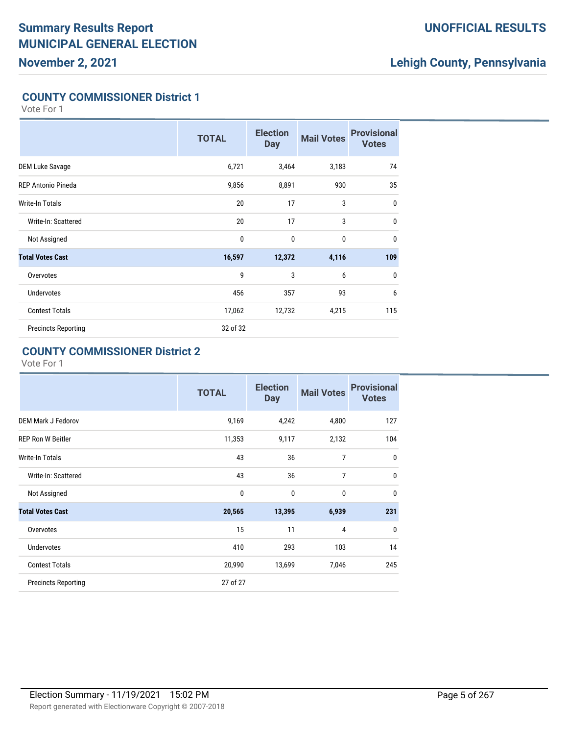#### **UNOFFICIAL RESULTS**

# **Lehigh County, Pennsylvania**

#### **COUNTY COMMISSIONER District 1**

Vote For 1

|                            | <b>TOTAL</b> | <b>Election</b><br><b>Day</b> | <b>Mail Votes</b> | <b>Provisional</b><br><b>Votes</b> |
|----------------------------|--------------|-------------------------------|-------------------|------------------------------------|
| <b>DEM Luke Savage</b>     | 6,721        | 3,464                         | 3,183             | 74                                 |
| <b>REP Antonio Pineda</b>  | 9,856        | 8,891                         | 930               | 35                                 |
| Write-In Totals            | 20           | 17                            | 3                 | $\mathbf 0$                        |
| Write-In: Scattered        | 20           | 17                            | 3                 | $\mathbf 0$                        |
| Not Assigned               | $\mathbf 0$  | 0                             | 0                 | $\mathbf{0}$                       |
| <b>Total Votes Cast</b>    | 16,597       | 12,372                        | 4,116             | 109                                |
| Overvotes                  | 9            | 3                             | 6                 | $\mathbf 0$                        |
| <b>Undervotes</b>          | 456          | 357                           | 93                | 6                                  |
| <b>Contest Totals</b>      | 17,062       | 12,732                        | 4,215             | 115                                |
| <b>Precincts Reporting</b> | 32 of 32     |                               |                   |                                    |

#### **COUNTY COMMISSIONER District 2**

|                            | <b>TOTAL</b> | <b>Election</b><br><b>Day</b> | <b>Mail Votes</b> | <b>Provisional</b><br><b>Votes</b> |
|----------------------------|--------------|-------------------------------|-------------------|------------------------------------|
| <b>DEM Mark J Fedorov</b>  | 9,169        | 4,242                         | 4,800             | 127                                |
| <b>REP Ron W Beitler</b>   | 11,353       | 9,117                         | 2,132             | 104                                |
| Write-In Totals            | 43           | 36                            | 7                 | 0                                  |
| Write-In: Scattered        | 43           | 36                            | 7                 | $\mathbf{0}$                       |
| Not Assigned               | $\mathbf 0$  | 0                             | $\mathbf 0$       | $\mathbf{0}$                       |
| <b>Total Votes Cast</b>    | 20,565       | 13,395                        | 6,939             | 231                                |
| Overvotes                  | 15           | 11                            | $\overline{4}$    | $\mathbf{0}$                       |
| <b>Undervotes</b>          | 410          | 293                           | 103               | 14                                 |
| <b>Contest Totals</b>      | 20,990       | 13,699                        | 7,046             | 245                                |
| <b>Precincts Reporting</b> | 27 of 27     |                               |                   |                                    |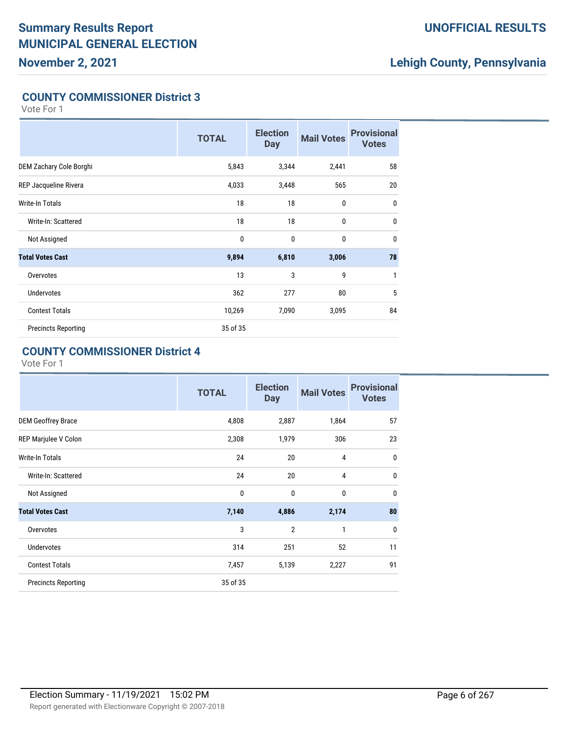### **UNOFFICIAL RESULTS**

# **Lehigh County, Pennsylvania**

#### **COUNTY COMMISSIONER District 3**

Vote For 1

|                            | <b>TOTAL</b> | <b>Election</b><br><b>Day</b> | <b>Mail Votes</b> | <b>Provisional</b><br><b>Votes</b> |
|----------------------------|--------------|-------------------------------|-------------------|------------------------------------|
| DEM Zachary Cole Borghi    | 5,843        | 3,344                         | 2,441             | 58                                 |
| REP Jacqueline Rivera      | 4,033        | 3,448                         | 565               | 20                                 |
| Write-In Totals            | 18           | 18                            | $\mathbf 0$       | 0                                  |
| Write-In: Scattered        | 18           | 18                            | $\mathbf 0$       | $\mathbf 0$                        |
| Not Assigned               | $\mathbf 0$  | $\mathbf{0}$                  | $\mathbf{0}$      | $\mathbf{0}$                       |
| <b>Total Votes Cast</b>    | 9,894        | 6,810                         | 3,006             | 78                                 |
| Overvotes                  | 13           | 3                             | 9                 | 1                                  |
| <b>Undervotes</b>          | 362          | 277                           | 80                | 5                                  |
| <b>Contest Totals</b>      | 10,269       | 7,090                         | 3,095             | 84                                 |
| <b>Precincts Reporting</b> | 35 of 35     |                               |                   |                                    |

#### **COUNTY COMMISSIONER District 4**

|                            | <b>TOTAL</b> | <b>Election</b><br><b>Day</b> | <b>Mail Votes</b> | <b>Provisional</b><br><b>Votes</b> |
|----------------------------|--------------|-------------------------------|-------------------|------------------------------------|
| <b>DEM Geoffrey Brace</b>  | 4,808        | 2,887                         | 1,864             | 57                                 |
| REP Marjulee V Colon       | 2,308        | 1,979                         | 306               | 23                                 |
| <b>Write-In Totals</b>     | 24           | 20                            | 4                 | 0                                  |
| Write-In: Scattered        | 24           | 20                            | $\overline{4}$    | $\mathbf{0}$                       |
| Not Assigned               | $\mathbf 0$  | 0                             | $\mathbf 0$       | $\mathbf 0$                        |
| <b>Total Votes Cast</b>    | 7,140        | 4,886                         | 2,174             | 80                                 |
| Overvotes                  | 3            | $\overline{2}$                | 1                 | $\mathbf 0$                        |
| <b>Undervotes</b>          | 314          | 251                           | 52                | 11                                 |
| <b>Contest Totals</b>      | 7,457        | 5,139                         | 2,227             | 91                                 |
| <b>Precincts Reporting</b> | 35 of 35     |                               |                   |                                    |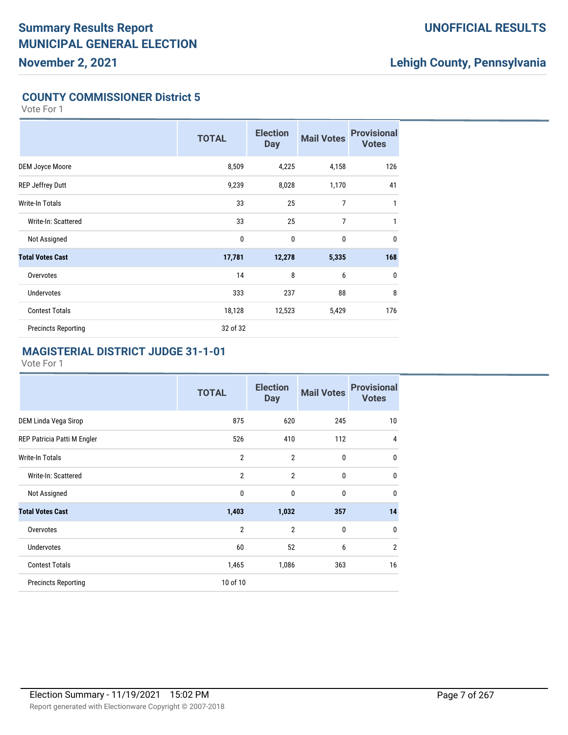#### **UNOFFICIAL RESULTS**

# **Lehigh County, Pennsylvania**

#### **COUNTY COMMISSIONER District 5**

Vote For 1

|                            | <b>TOTAL</b> | <b>Election</b><br><b>Day</b> | <b>Mail Votes</b> | <b>Provisional</b><br><b>Votes</b> |
|----------------------------|--------------|-------------------------------|-------------------|------------------------------------|
| <b>DEM Joyce Moore</b>     | 8,509        | 4,225                         | 4,158             | 126                                |
| <b>REP Jeffrey Dutt</b>    | 9,239        | 8,028                         | 1,170             | 41                                 |
| Write-In Totals            | 33           | 25                            | $\overline{7}$    | 1                                  |
| Write-In: Scattered        | 33           | 25                            | $\overline{7}$    | 1                                  |
| Not Assigned               | $\mathbf 0$  | $\mathbf{0}$                  | $\mathbf{0}$      | $\mathbf{0}$                       |
| <b>Total Votes Cast</b>    | 17,781       | 12,278                        | 5,335             | 168                                |
| Overvotes                  | 14           | 8                             | 6                 | 0                                  |
| <b>Undervotes</b>          | 333          | 237                           | 88                | 8                                  |
| <b>Contest Totals</b>      | 18,128       | 12,523                        | 5,429             | 176                                |
| <b>Precincts Reporting</b> | 32 of 32     |                               |                   |                                    |

#### **MAGISTERIAL DISTRICT JUDGE 31-1-01**

|                             | <b>TOTAL</b>   | <b>Election</b><br><b>Day</b> | <b>Mail Votes</b> | <b>Provisional</b><br><b>Votes</b> |
|-----------------------------|----------------|-------------------------------|-------------------|------------------------------------|
| DEM Linda Vega Sirop        | 875            | 620                           | 245               | 10                                 |
| REP Patricia Patti M Engler | 526            | 410                           | 112               | 4                                  |
| Write-In Totals             | $\overline{2}$ | $\overline{2}$                | 0                 | $\mathbf{0}$                       |
| Write-In: Scattered         | $\overline{2}$ | $\overline{2}$                | 0                 | $\mathbf{0}$                       |
| Not Assigned                | 0              | $\mathbf{0}$                  | 0                 | $\mathbf{0}$                       |
| <b>Total Votes Cast</b>     | 1,403          | 1,032                         | 357               | 14                                 |
| Overvotes                   | $\overline{2}$ | $\overline{2}$                | $\mathbf 0$       | 0                                  |
| <b>Undervotes</b>           | 60             | 52                            | 6                 | $\overline{2}$                     |
| <b>Contest Totals</b>       | 1,465          | 1,086                         | 363               | 16                                 |
| <b>Precincts Reporting</b>  | 10 of 10       |                               |                   |                                    |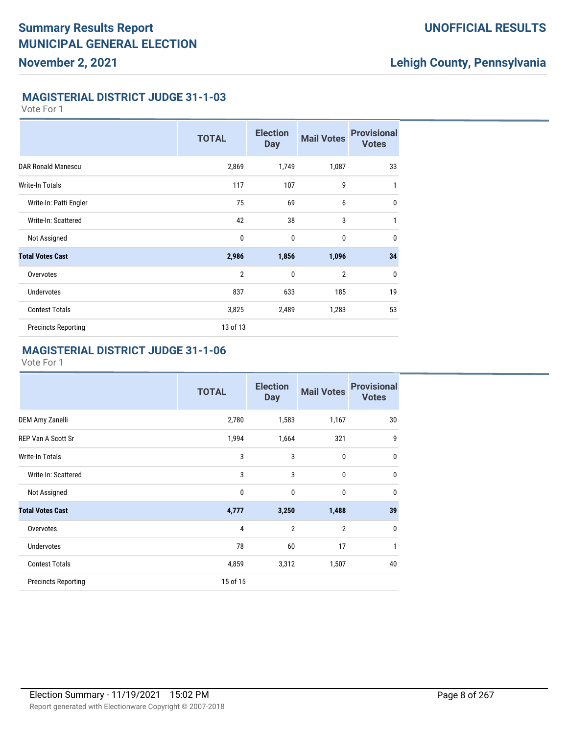### **Lehigh County, Pennsylvania**

#### **MAGISTERIAL DISTRICT JUDGE 31-1-03**

Vote For 1

|                            | <b>TOTAL</b>   | <b>Election</b><br><b>Day</b> | <b>Mail Votes</b> | <b>Provisional</b><br><b>Votes</b> |
|----------------------------|----------------|-------------------------------|-------------------|------------------------------------|
| <b>DAR Ronald Manescu</b>  | 2,869          | 1,749                         | 1,087             | 33                                 |
| Write-In Totals            | 117            | 107                           | 9                 | $\mathbf{1}$                       |
| Write-In: Patti Engler     | 75             | 69                            | 6                 | $\mathbf{0}$                       |
| Write-In: Scattered        | 42             | 38                            | 3                 | $\mathbf{1}$                       |
| Not Assigned               | $\mathbf 0$    | $\mathbf{0}$                  | $\mathbf{0}$      | $\mathbf{0}$                       |
| <b>Total Votes Cast</b>    | 2,986          | 1,856                         | 1,096             | 34                                 |
| Overvotes                  | $\overline{2}$ | $\mathbf{0}$                  | $\overline{2}$    | 0                                  |
| <b>Undervotes</b>          | 837            | 633                           | 185               | 19                                 |
| <b>Contest Totals</b>      | 3,825          | 2,489                         | 1,283             | 53                                 |
| <b>Precincts Reporting</b> | 13 of 13       |                               |                   |                                    |

#### **MAGISTERIAL DISTRICT JUDGE 31-1-06**

|                            | <b>TOTAL</b> | <b>Election</b><br><b>Day</b> | <b>Mail Votes</b> | <b>Provisional</b><br><b>Votes</b> |
|----------------------------|--------------|-------------------------------|-------------------|------------------------------------|
| DEM Amy Zanelli            | 2,780        | 1,583                         | 1,167             | 30                                 |
| <b>REP Van A Scott Sr</b>  | 1,994        | 1,664                         | 321               | 9                                  |
| Write-In Totals            | 3            | 3                             | 0                 | $\mathbf{0}$                       |
| Write-In: Scattered        | 3            | 3                             | 0                 | $\mathbf{0}$                       |
| Not Assigned               | 0            | 0                             | 0                 | $\mathbf{0}$                       |
| <b>Total Votes Cast</b>    | 4,777        | 3,250                         | 1,488             | 39                                 |
| Overvotes                  | 4            | $\overline{2}$                | $\overline{2}$    | $\mathbf 0$                        |
| <b>Undervotes</b>          | 78           | 60                            | 17                | 1                                  |
| <b>Contest Totals</b>      | 4,859        | 3,312                         | 1,507             | 40                                 |
| <b>Precincts Reporting</b> | 15 of 15     |                               |                   |                                    |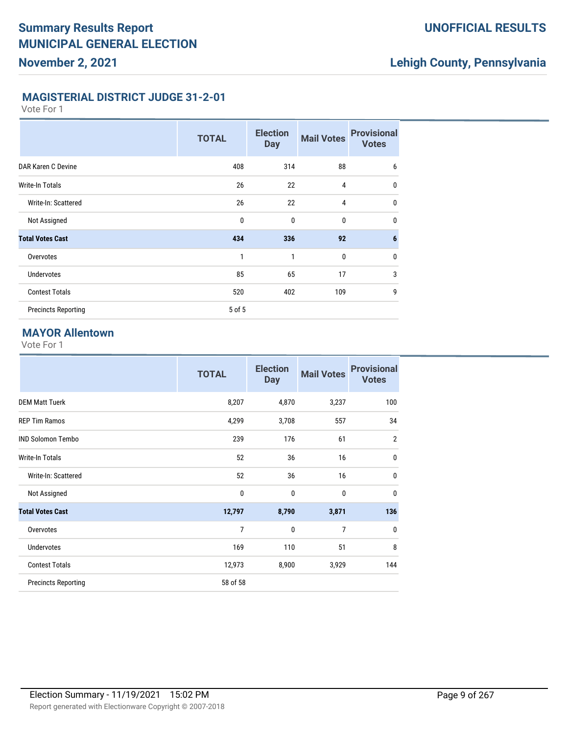# **Lehigh County, Pennsylvania**

#### **MAGISTERIAL DISTRICT JUDGE 31-2-01**

Vote For 1

|                            | <b>TOTAL</b> | <b>Election</b><br><b>Day</b> | <b>Mail Votes</b> | <b>Provisional</b><br><b>Votes</b> |
|----------------------------|--------------|-------------------------------|-------------------|------------------------------------|
| DAR Karen C Devine         | 408          | 314                           | 88                | 6                                  |
| Write-In Totals            | 26           | 22                            | 4                 | $\mathbf{0}$                       |
| Write-In: Scattered        | 26           | 22                            | $\overline{4}$    | $\mathbf 0$                        |
| Not Assigned               | $\mathbf{0}$ | $\mathbf{0}$                  | $\bf{0}$          | $\mathbf{0}$                       |
| <b>Total Votes Cast</b>    | 434          | 336                           | 92                | $6\phantom{1}6$                    |
| Overvotes                  | 1            | 1                             | $\mathbf 0$       | $\mathbf 0$                        |
| <b>Undervotes</b>          | 85           | 65                            | 17                | 3                                  |
| <b>Contest Totals</b>      | 520          | 402                           | 109               | 9                                  |
| <b>Precincts Reporting</b> | 5 of 5       |                               |                   |                                    |

#### **MAYOR Allentown**

|                            | <b>TOTAL</b>   | <b>Election</b><br><b>Day</b> | <b>Mail Votes</b> | <b>Provisional</b><br><b>Votes</b> |
|----------------------------|----------------|-------------------------------|-------------------|------------------------------------|
| <b>DEM Matt Tuerk</b>      | 8,207          | 4,870                         | 3,237             | 100                                |
| <b>REP Tim Ramos</b>       | 4,299          | 3,708                         | 557               | 34                                 |
| <b>IND Solomon Tembo</b>   | 239            | 176                           | 61                | $\overline{2}$                     |
| <b>Write-In Totals</b>     | 52             | 36                            | 16                | $\mathbf 0$                        |
| Write-In: Scattered        | 52             | 36                            | 16                | $\mathbf 0$                        |
| Not Assigned               | 0              | $\mathbf{0}$                  | $\bf{0}$          | $\mathbf{0}$                       |
| <b>Total Votes Cast</b>    | 12,797         | 8,790                         | 3,871             | 136                                |
| Overvotes                  | $\overline{7}$ | $\mathbf{0}$                  | $\overline{7}$    | $\mathbf{0}$                       |
| <b>Undervotes</b>          | 169            | 110                           | 51                | 8                                  |
| <b>Contest Totals</b>      | 12,973         | 8,900                         | 3,929             | 144                                |
| <b>Precincts Reporting</b> | 58 of 58       |                               |                   |                                    |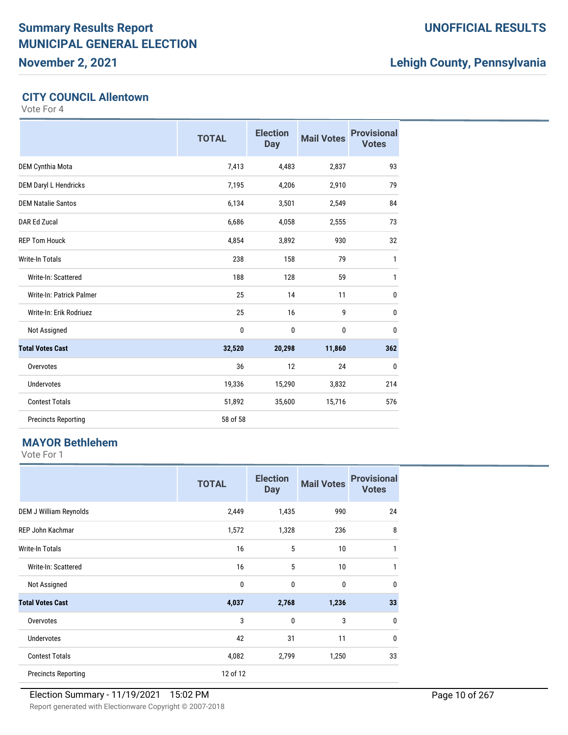**November 2, 2021**

### **UNOFFICIAL RESULTS**

# **Lehigh County, Pennsylvania**

#### **CITY COUNCIL Allentown**

Vote For 4

|                            | <b>TOTAL</b> | <b>Election</b><br><b>Day</b> | <b>Mail Votes</b> | <b>Provisional</b><br><b>Votes</b> |
|----------------------------|--------------|-------------------------------|-------------------|------------------------------------|
| <b>DEM Cynthia Mota</b>    | 7,413        | 4,483                         | 2,837             | 93                                 |
| DEM Daryl L Hendricks      | 7,195        | 4,206                         | 2,910             | 79                                 |
| <b>DEM Natalie Santos</b>  | 6,134        | 3,501                         | 2,549             | 84                                 |
| DAR Ed Zucal               | 6,686        | 4,058                         | 2,555             | 73                                 |
| <b>REP Tom Houck</b>       | 4,854        | 3,892                         | 930               | 32                                 |
| <b>Write-In Totals</b>     | 238          | 158                           | 79                | 1                                  |
| Write-In: Scattered        | 188          | 128                           | 59                | 1                                  |
| Write-In: Patrick Palmer   | 25           | 14                            | 11                | 0                                  |
| Write-In: Erik Rodriuez    | 25           | 16                            | 9                 | $\mathbf{0}$                       |
| Not Assigned               | 0            | $\mathbf{0}$                  | $\mathbf{0}$      | $\mathbf{0}$                       |
| <b>Total Votes Cast</b>    | 32,520       | 20,298                        | 11,860            | 362                                |
| Overvotes                  | 36           | 12                            | 24                | 0                                  |
| <b>Undervotes</b>          | 19,336       | 15,290                        | 3,832             | 214                                |
| <b>Contest Totals</b>      | 51,892       | 35,600                        | 15,716            | 576                                |
| <b>Precincts Reporting</b> | 58 of 58     |                               |                   |                                    |

### **MAYOR Bethlehem**

|                            | <b>TOTAL</b> | <b>Election</b><br><b>Day</b> | <b>Mail Votes</b> | <b>Provisional</b><br><b>Votes</b> |
|----------------------------|--------------|-------------------------------|-------------------|------------------------------------|
| DEM J William Reynolds     | 2,449        | 1,435                         | 990               | 24                                 |
| REP John Kachmar           | 1,572        | 1,328                         | 236               | 8                                  |
| Write-In Totals            | 16           | 5                             | 10                | 1                                  |
| Write-In: Scattered        | 16           | 5                             | 10                | 1                                  |
| Not Assigned               | $\mathbf 0$  | $\mathbf{0}$                  | 0                 | $\mathbf 0$                        |
| <b>Total Votes Cast</b>    | 4,037        | 2,768                         | 1,236             | 33                                 |
| Overvotes                  | 3            | $\mathbf{0}$                  | 3                 | $\mathbf 0$                        |
| <b>Undervotes</b>          | 42           | 31                            | 11                | $\mathbf 0$                        |
| <b>Contest Totals</b>      | 4,082        | 2,799                         | 1,250             | 33                                 |
| <b>Precincts Reporting</b> | 12 of 12     |                               |                   |                                    |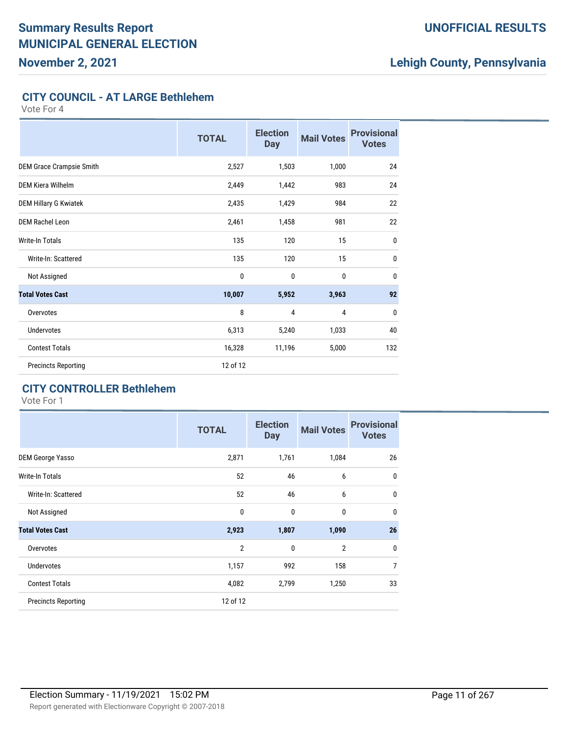#### **UNOFFICIAL RESULTS**

# **Lehigh County, Pennsylvania**

#### **CITY COUNCIL - AT LARGE Bethlehem**

Vote For 4

|                              | <b>TOTAL</b> | <b>Election</b><br><b>Day</b> | <b>Mail Votes</b> | <b>Provisional</b><br><b>Votes</b> |
|------------------------------|--------------|-------------------------------|-------------------|------------------------------------|
| DEM Grace Crampsie Smith     | 2,527        | 1,503                         | 1,000             | 24                                 |
| DEM Kiera Wilhelm            | 2,449        | 1,442                         | 983               | 24                                 |
| <b>DEM Hillary G Kwiatek</b> | 2,435        | 1,429                         | 984               | 22                                 |
| <b>DEM Rachel Leon</b>       | 2,461        | 1,458                         | 981               | 22                                 |
| <b>Write-In Totals</b>       | 135          | 120                           | 15                | $\mathbf{0}$                       |
| Write-In: Scattered          | 135          | 120                           | 15                | $\mathbf 0$                        |
| Not Assigned                 | 0            | $\mathbf{0}$                  | $\bf{0}$          | $\mathbf{0}$                       |
| <b>Total Votes Cast</b>      | 10,007       | 5,952                         | 3,963             | 92                                 |
| Overvotes                    | 8            | 4                             | 4                 | $\mathbf{0}$                       |
| <b>Undervotes</b>            | 6,313        | 5,240                         | 1,033             | 40                                 |
| <b>Contest Totals</b>        | 16,328       | 11,196                        | 5,000             | 132                                |
| <b>Precincts Reporting</b>   | 12 of 12     |                               |                   |                                    |

### **CITY CONTROLLER Bethlehem**

|                            | <b>TOTAL</b>   | <b>Election</b><br><b>Day</b> | <b>Mail Votes</b> | <b>Provisional</b><br><b>Votes</b> |
|----------------------------|----------------|-------------------------------|-------------------|------------------------------------|
| <b>DEM George Yasso</b>    | 2,871          | 1,761                         | 1,084             | 26                                 |
| Write-In Totals            | 52             | 46                            | 6                 | $\mathbf 0$                        |
| Write-In: Scattered        | 52             | 46                            | 6                 | $\mathbf 0$                        |
| Not Assigned               | 0              | $\mathbf 0$                   | $\mathbf{0}$      | $\mathbf 0$                        |
| <b>Total Votes Cast</b>    | 2,923          | 1,807                         | 1,090             | 26                                 |
| Overvotes                  | $\overline{2}$ | $\mathbf{0}$                  | $\overline{2}$    | $\mathbf 0$                        |
| <b>Undervotes</b>          | 1,157          | 992                           | 158               | 7                                  |
| <b>Contest Totals</b>      | 4,082          | 2,799                         | 1,250             | 33                                 |
| <b>Precincts Reporting</b> | 12 of 12       |                               |                   |                                    |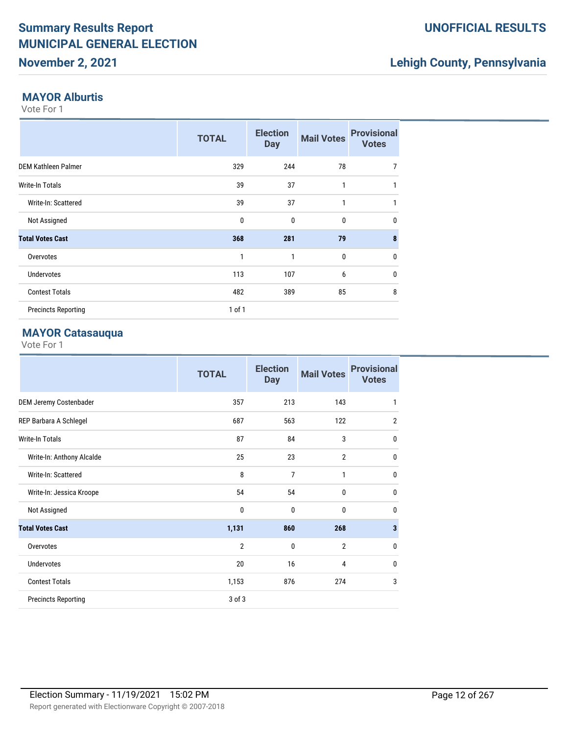### **November 2, 2021**

# **Lehigh County, Pennsylvania**

#### **MAYOR Alburtis**

Vote For 1

|                            | <b>TOTAL</b> | <b>Election</b><br><b>Day</b> | <b>Mail Votes</b> | <b>Provisional</b><br><b>Votes</b> |
|----------------------------|--------------|-------------------------------|-------------------|------------------------------------|
| <b>DEM Kathleen Palmer</b> | 329          | 244                           | 78                | 7                                  |
| <b>Write-In Totals</b>     | 39           | 37                            | 1                 | 1                                  |
| Write-In: Scattered        | 39           | 37                            | $\mathbf{1}$      | 1                                  |
| Not Assigned               | $\mathbf 0$  | $\mathbf 0$                   | $\bf{0}$          | $\mathbf{0}$                       |
| <b>Total Votes Cast</b>    | 368          | 281                           | 79                | 8                                  |
| Overvotes                  | 1            | 1                             | 0                 | $\mathbf 0$                        |
| <b>Undervotes</b>          | 113          | 107                           | 6                 | $\mathbf{0}$                       |
| <b>Contest Totals</b>      | 482          | 389                           | 85                | 8                                  |
| <b>Precincts Reporting</b> | $1$ of $1$   |                               |                   |                                    |

#### **MAYOR Catasauqua**

|                            | <b>TOTAL</b>   | <b>Election</b><br><b>Day</b> | <b>Mail Votes</b> | <b>Provisional</b><br><b>Votes</b> |
|----------------------------|----------------|-------------------------------|-------------------|------------------------------------|
| DEM Jeremy Costenbader     | 357            | 213                           | 143               | 1                                  |
| REP Barbara A Schlegel     | 687            | 563                           | 122               | $\overline{2}$                     |
| <b>Write-In Totals</b>     | 87             | 84                            | 3                 | $\mathbf{0}$                       |
| Write-In: Anthony Alcalde  | 25             | 23                            | $\overline{2}$    | $\mathbf 0$                        |
| Write-In: Scattered        | 8              | 7                             | 1                 | $\mathbf 0$                        |
| Write-In: Jessica Kroope   | 54             | 54                            | $\mathbf{0}$      | $\mathbf{0}$                       |
| Not Assigned               | $\mathbf 0$    | 0                             | $\mathbf{0}$      | $\mathbf{0}$                       |
| <b>Total Votes Cast</b>    | 1,131          | 860                           | 268               | $\overline{\mathbf{3}}$            |
| Overvotes                  | $\overline{2}$ | $\mathbf{0}$                  | $\overline{2}$    | $\mathbf{0}$                       |
| Undervotes                 | 20             | 16                            | 4                 | $\mathbf{0}$                       |
| <b>Contest Totals</b>      | 1,153          | 876                           | 274               | 3                                  |
| <b>Precincts Reporting</b> | 3 of 3         |                               |                   |                                    |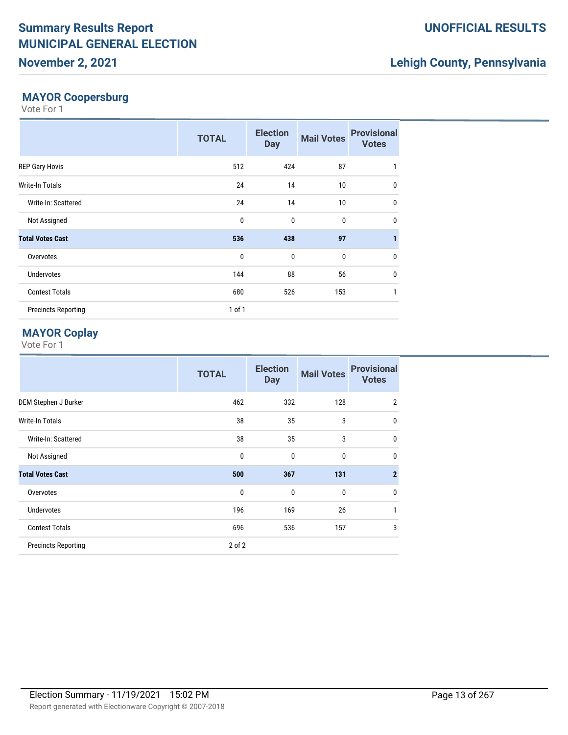### **November 2, 2021**

# **Lehigh County, Pennsylvania**

### **MAYOR Coopersburg**

Vote For 1

|                            | <b>TOTAL</b> | <b>Election</b><br><b>Day</b> | <b>Mail Votes</b> | <b>Provisional</b><br><b>Votes</b> |
|----------------------------|--------------|-------------------------------|-------------------|------------------------------------|
| <b>REP Gary Hovis</b>      | 512          | 424                           | 87                | 1                                  |
| <b>Write-In Totals</b>     | 24           | 14                            | 10                | 0                                  |
| Write-In: Scattered        | 24           | 14                            | 10 <sup>°</sup>   | $\mathbf{0}$                       |
| Not Assigned               | $\mathbf{0}$ | $\mathbf{0}$                  | $\mathbf 0$       | $\mathbf 0$                        |
| <b>Total Votes Cast</b>    | 536          | 438                           | 97                | $\mathbf{1}$                       |
| Overvotes                  | $\mathbf{0}$ | $\mathbf{0}$                  | $\mathbf 0$       | $\mathbf 0$                        |
| <b>Undervotes</b>          | 144          | 88                            | 56                | $\mathbf 0$                        |
| <b>Contest Totals</b>      | 680          | 526                           | 153               | 1                                  |
| <b>Precincts Reporting</b> | $1$ of $1$   |                               |                   |                                    |

### **MAYOR Coplay**

|                            | <b>TOTAL</b> | <b>Election</b><br><b>Day</b> | <b>Mail Votes</b> | <b>Provisional</b><br><b>Votes</b> |
|----------------------------|--------------|-------------------------------|-------------------|------------------------------------|
| DEM Stephen J Burker       | 462          | 332                           | 128               | $\overline{2}$                     |
| Write-In Totals            | 38           | 35                            | 3                 | $\mathbf{0}$                       |
| Write-In: Scattered        | 38           | 35                            | 3                 | $\mathbf{0}$                       |
| Not Assigned               | $\mathbf{0}$ | $\mathbf{0}$                  | 0                 | $\mathbf{0}$                       |
| <b>Total Votes Cast</b>    | 500          | 367                           | 131               | $\overline{2}$                     |
| Overvotes                  | 0            | 0                             | $\mathbf 0$       | 0                                  |
| <b>Undervotes</b>          | 196          | 169                           | 26                | 1                                  |
| <b>Contest Totals</b>      | 696          | 536                           | 157               | 3                                  |
| <b>Precincts Reporting</b> | $2$ of $2$   |                               |                   |                                    |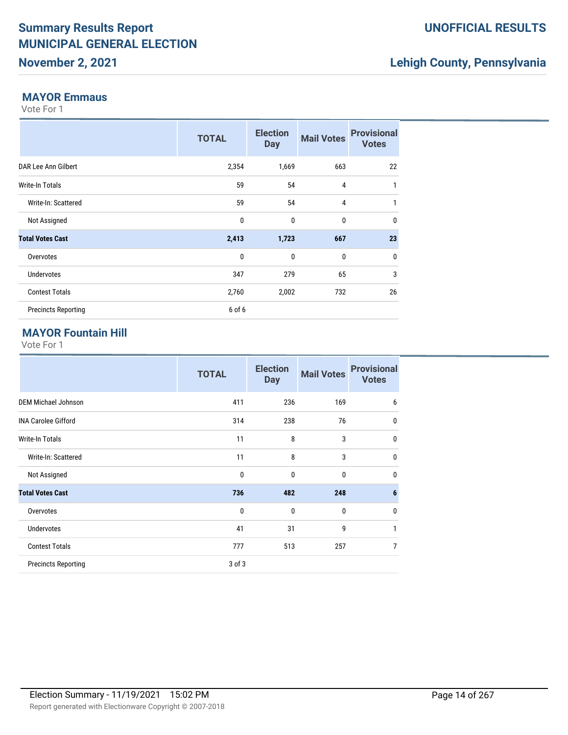### **November 2, 2021**

# **Lehigh County, Pennsylvania**

#### **MAYOR Emmaus**

Vote For 1

|                            | <b>TOTAL</b> | <b>Election</b><br><b>Day</b> | <b>Mail Votes</b> | <b>Provisional</b><br><b>Votes</b> |
|----------------------------|--------------|-------------------------------|-------------------|------------------------------------|
| DAR Lee Ann Gilbert        | 2,354        | 1,669                         | 663               | 22                                 |
| <b>Write-In Totals</b>     | 59           | 54                            | 4                 | 1                                  |
| Write-In: Scattered        | 59           | 54                            | $\overline{4}$    | 1                                  |
| Not Assigned               | $\mathbf{0}$ | $\mathbf 0$                   | $\mathbf 0$       | $\mathbf 0$                        |
| <b>Total Votes Cast</b>    | 2,413        | 1,723                         | 667               | 23                                 |
| Overvotes                  | $\mathbf{0}$ | $\mathbf{0}$                  | $\mathbf 0$       | $\mathbf 0$                        |
| <b>Undervotes</b>          | 347          | 279                           | 65                | 3                                  |
| <b>Contest Totals</b>      | 2,760        | 2,002                         | 732               | 26                                 |
| <b>Precincts Reporting</b> | 6 of 6       |                               |                   |                                    |

### **MAYOR Fountain Hill**

|                            | <b>TOTAL</b> | <b>Election</b><br><b>Day</b> | <b>Mail Votes</b> | <b>Provisional</b><br><b>Votes</b> |
|----------------------------|--------------|-------------------------------|-------------------|------------------------------------|
| <b>DEM Michael Johnson</b> | 411          | 236                           | 169               | 6                                  |
| <b>INA Carolee Gifford</b> | 314          | 238                           | 76                | $\mathbf{0}$                       |
| <b>Write-In Totals</b>     | 11           | 8                             | 3                 | $\mathbf{0}$                       |
| Write-In: Scattered        | 11           | 8                             | 3                 | $\mathbf{0}$                       |
| Not Assigned               | $\mathbf{0}$ | $\mathbf{0}$                  | 0                 | $\mathbf{0}$                       |
| <b>Total Votes Cast</b>    | 736          | 482                           | 248               | $6\phantom{1}6$                    |
| Overvotes                  | $\mathbf{0}$ | $\mathbf{0}$                  | $\mathbf{0}$      | $\mathbf{0}$                       |
| <b>Undervotes</b>          | 41           | 31                            | 9                 | 1                                  |
| <b>Contest Totals</b>      | 777          | 513                           | 257               | 7                                  |
| <b>Precincts Reporting</b> | 3 of 3       |                               |                   |                                    |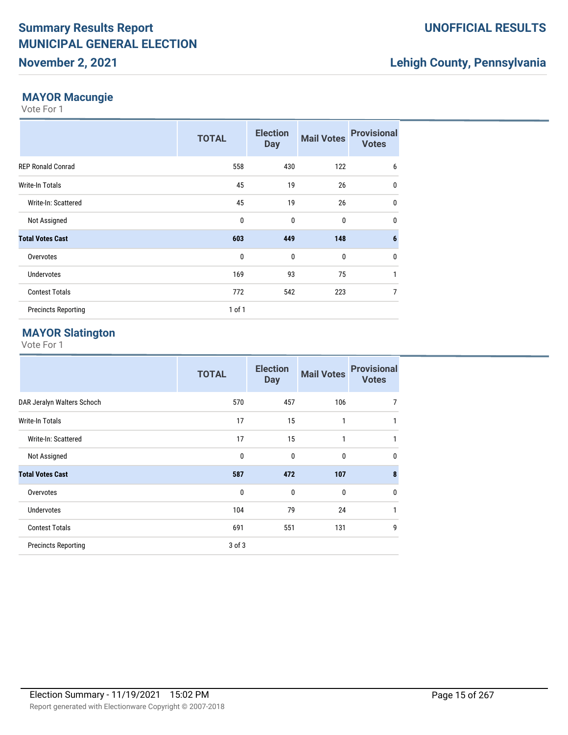### **November 2, 2021**

# **Lehigh County, Pennsylvania**

#### **MAYOR Macungie**

Vote For 1

|                            | <b>TOTAL</b> | <b>Election</b><br><b>Day</b> | <b>Mail Votes</b> | <b>Provisional</b><br><b>Votes</b> |
|----------------------------|--------------|-------------------------------|-------------------|------------------------------------|
| <b>REP Ronald Conrad</b>   | 558          | 430                           | 122               | 6                                  |
| <b>Write-In Totals</b>     | 45           | 19                            | 26                | $\mathbf 0$                        |
| Write-In: Scattered        | 45           | 19                            | 26                | $\mathbf 0$                        |
| Not Assigned               | $\mathbf{0}$ | $\mathbf{0}$                  | $\mathbf 0$       | $\mathbf 0$                        |
| <b>Total Votes Cast</b>    | 603          | 449                           | 148               | $6\phantom{1}6$                    |
| Overvotes                  | $\mathbf{0}$ | $\mathbf{0}$                  | $\mathbf 0$       | $\mathbf 0$                        |
| <b>Undervotes</b>          | 169          | 93                            | 75                | $\mathbf{1}$                       |
| <b>Contest Totals</b>      | 772          | 542                           | 223               | 7                                  |
| <b>Precincts Reporting</b> | $1$ of $1$   |                               |                   |                                    |

#### **MAYOR Slatington**

|                            | <b>TOTAL</b> | <b>Election</b><br><b>Day</b> | <b>Mail Votes</b> | <b>Provisional</b><br><b>Votes</b> |
|----------------------------|--------------|-------------------------------|-------------------|------------------------------------|
| DAR Jeralyn Walters Schoch | 570          | 457                           | 106               | 7                                  |
| Write-In Totals            | 17           | 15                            | 1                 | 1                                  |
| Write-In: Scattered        | 17           | 15                            | 1                 | 1                                  |
| Not Assigned               | $\mathbf{0}$ | $\mathbf{0}$                  | 0                 | 0                                  |
| <b>Total Votes Cast</b>    | 587          | 472                           | 107               | 8                                  |
| Overvotes                  | 0            | $\mathbf{0}$                  | $\mathbf{0}$      | 0                                  |
| <b>Undervotes</b>          | 104          | 79                            | 24                | 1                                  |
| <b>Contest Totals</b>      | 691          | 551                           | 131               | 9                                  |
| <b>Precincts Reporting</b> | $3$ of $3$   |                               |                   |                                    |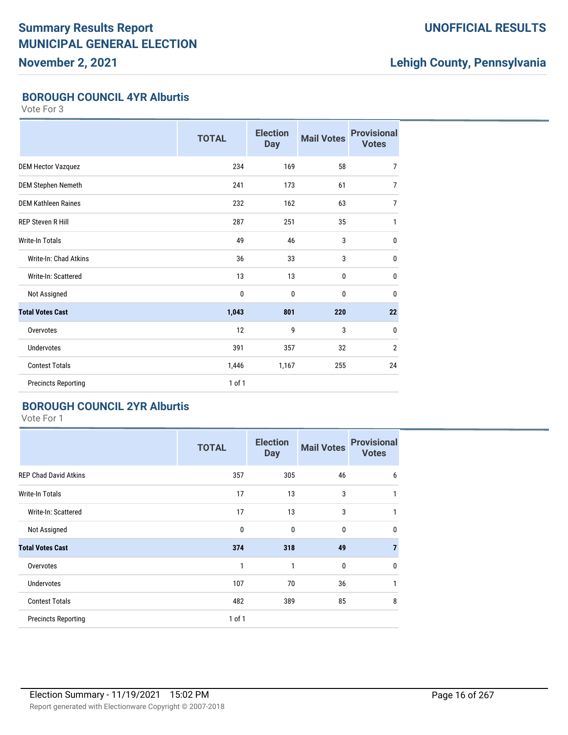**November 2, 2021**

### **UNOFFICIAL RESULTS**

# **Lehigh County, Pennsylvania**

#### **BOROUGH COUNCIL 4YR Alburtis**

Vote For 3

|                            | <b>TOTAL</b> | <b>Election</b><br><b>Day</b> | <b>Mail Votes</b> | <b>Provisional</b><br><b>Votes</b> |
|----------------------------|--------------|-------------------------------|-------------------|------------------------------------|
| <b>DEM Hector Vazquez</b>  | 234          | 169                           | 58                | $\overline{7}$                     |
| <b>DEM Stephen Nemeth</b>  | 241          | 173                           | 61                | $\overline{7}$                     |
| <b>DEM Kathleen Raines</b> | 232          | 162                           | 63                | $\overline{7}$                     |
| <b>REP Steven R Hill</b>   | 287          | 251                           | 35                | $\mathbf{1}$                       |
| <b>Write-In Totals</b>     | 49           | 46                            | 3                 | 0                                  |
| Write-In: Chad Atkins      | 36           | 33                            | 3                 | $\mathbf 0$                        |
| Write-In: Scattered        | 13           | 13                            | 0                 | 0                                  |
| Not Assigned               | 0            | $\mathbf{0}$                  | $\mathbf 0$       | $\mathbf 0$                        |
| <b>Total Votes Cast</b>    | 1,043        | 801                           | 220               | 22                                 |
| Overvotes                  | 12           | 9                             | 3                 | $\mathbf 0$                        |
| <b>Undervotes</b>          | 391          | 357                           | 32                | $\overline{2}$                     |
| <b>Contest Totals</b>      | 1,446        | 1,167                         | 255               | 24                                 |
| <b>Precincts Reporting</b> | 1 of 1       |                               |                   |                                    |

#### **BOROUGH COUNCIL 2YR Alburtis**

|                              | <b>TOTAL</b> | <b>Election</b><br><b>Day</b> | <b>Mail Votes</b> | <b>Provisional</b><br><b>Votes</b> |
|------------------------------|--------------|-------------------------------|-------------------|------------------------------------|
| <b>REP Chad David Atkins</b> | 357          | 305                           | 46                | 6                                  |
| <b>Write-In Totals</b>       | 17           | 13                            | 3                 |                                    |
| Write-In: Scattered          | 17           | 13                            | 3                 | 1                                  |
| Not Assigned                 | $\mathbf{0}$ | $\mathbf 0$                   | 0                 | 0                                  |
| <b>Total Votes Cast</b>      | 374          | 318                           | 49                | $\overline{ }$                     |
| Overvotes                    | 1            | $\mathbf{1}$                  | 0                 | 0                                  |
| <b>Undervotes</b>            | 107          | 70                            | 36                |                                    |
| <b>Contest Totals</b>        | 482          | 389                           | 85                | 8                                  |
| <b>Precincts Reporting</b>   | $1$ of $1$   |                               |                   |                                    |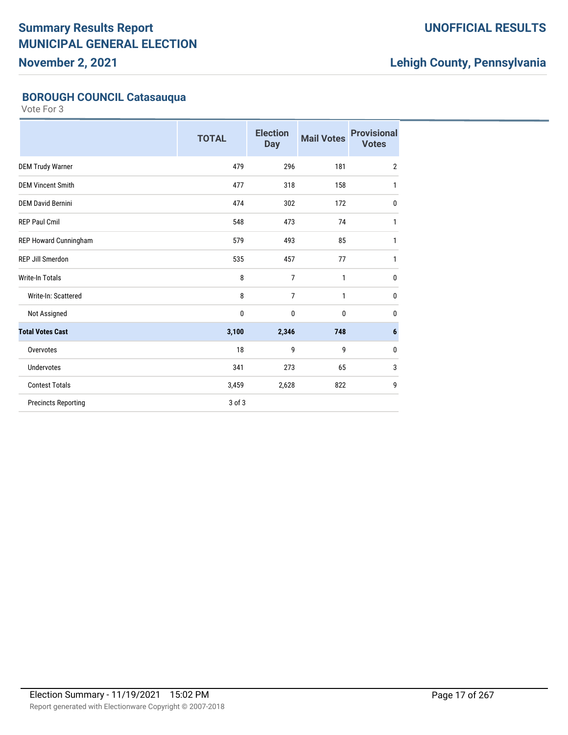**November 2, 2021**

### **UNOFFICIAL RESULTS**

# **Lehigh County, Pennsylvania**

### **BOROUGH COUNCIL Catasauqua**

|                            | <b>TOTAL</b> | <b>Election</b><br><b>Day</b> | <b>Mail Votes</b> | <b>Provisional</b><br><b>Votes</b> |
|----------------------------|--------------|-------------------------------|-------------------|------------------------------------|
| <b>DEM Trudy Warner</b>    | 479          | 296                           | 181               | $\overline{2}$                     |
| <b>DEM Vincent Smith</b>   | 477          | 318                           | 158               | 1                                  |
| <b>DEM David Bernini</b>   | 474          | 302                           | 172               | $\pmb{0}$                          |
| <b>REP Paul Cmil</b>       | 548          | 473                           | 74                | 1                                  |
| REP Howard Cunningham      | 579          | 493                           | 85                | 1                                  |
| <b>REP Jill Smerdon</b>    | 535          | 457                           | 77                | 1                                  |
| <b>Write-In Totals</b>     | 8            | $\overline{7}$                | 1                 | $\mathbf 0$                        |
| Write-In: Scattered        | 8            | 7                             | 1                 | 0                                  |
| Not Assigned               | 0            | 0                             | 0                 | $\mathbf 0$                        |
| <b>Total Votes Cast</b>    | 3,100        | 2,346                         | 748               | 6                                  |
| Overvotes                  | 18           | 9                             | 9                 | 0                                  |
| <b>Undervotes</b>          | 341          | 273                           | 65                | 3                                  |
| <b>Contest Totals</b>      | 3,459        | 2,628                         | 822               | 9                                  |
| <b>Precincts Reporting</b> | 3 of 3       |                               |                   |                                    |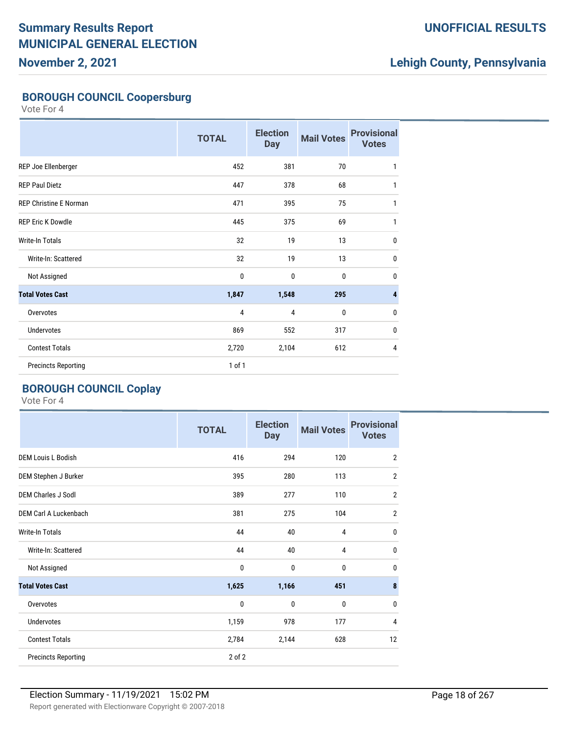**November 2, 2021**

### **UNOFFICIAL RESULTS**

# **Lehigh County, Pennsylvania**

### **BOROUGH COUNCIL Coopersburg**

Vote For 4

|                               | <b>TOTAL</b>   | <b>Election</b><br><b>Day</b> | <b>Mail Votes</b> | <b>Provisional</b><br><b>Votes</b> |
|-------------------------------|----------------|-------------------------------|-------------------|------------------------------------|
| REP Joe Ellenberger           | 452            | 381                           | 70                | 1                                  |
| <b>REP Paul Dietz</b>         | 447            | 378                           | 68                | 1                                  |
| <b>REP Christine E Norman</b> | 471            | 395                           | 75                | 1                                  |
| <b>REP Eric K Dowdle</b>      | 445            | 375                           | 69                | 1                                  |
| Write-In Totals               | 32             | 19                            | 13                | $\mathbf{0}$                       |
| Write-In: Scattered           | 32             | 19                            | 13                | $\mathbf 0$                        |
| Not Assigned                  | $\mathbf 0$    | $\mathbf 0$                   | $\mathbf 0$       | $\mathbf 0$                        |
| <b>Total Votes Cast</b>       | 1,847          | 1,548                         | 295               | $\overline{4}$                     |
| Overvotes                     | $\overline{4}$ | $\overline{4}$                | 0                 | $\mathbf 0$                        |
| <b>Undervotes</b>             | 869            | 552                           | 317               | $\mathbf{0}$                       |
| <b>Contest Totals</b>         | 2,720          | 2,104                         | 612               | 4                                  |
| <b>Precincts Reporting</b>    | 1 of 1         |                               |                   |                                    |

### **BOROUGH COUNCIL Coplay**

|                            | <b>TOTAL</b> | <b>Election</b><br><b>Day</b> | <b>Mail Votes</b> | <b>Provisional</b><br><b>Votes</b> |
|----------------------------|--------------|-------------------------------|-------------------|------------------------------------|
| <b>DEM Louis L Bodish</b>  | 416          | 294                           | 120               | $\overline{2}$                     |
| DEM Stephen J Burker       | 395          | 280                           | 113               | $\overline{2}$                     |
| <b>DEM Charles J Sodl</b>  | 389          | 277                           | 110               | $\overline{2}$                     |
| DEM Carl A Luckenbach      | 381          | 275                           | 104               | $\overline{2}$                     |
| Write-In Totals            | 44           | 40                            | 4                 | 0                                  |
| Write-In: Scattered        | 44           | 40                            | 4                 | 0                                  |
| Not Assigned               | 0            | $\mathbf 0$                   | 0                 | 0                                  |
| <b>Total Votes Cast</b>    | 1,625        | 1,166                         | 451               | 8                                  |
| Overvotes                  | $\mathbf{0}$ | $\mathbf 0$                   | 0                 | 0                                  |
| Undervotes                 | 1,159        | 978                           | 177               | 4                                  |
| <b>Contest Totals</b>      | 2,784        | 2,144                         | 628               | 12                                 |
| <b>Precincts Reporting</b> | 2 of 2       |                               |                   |                                    |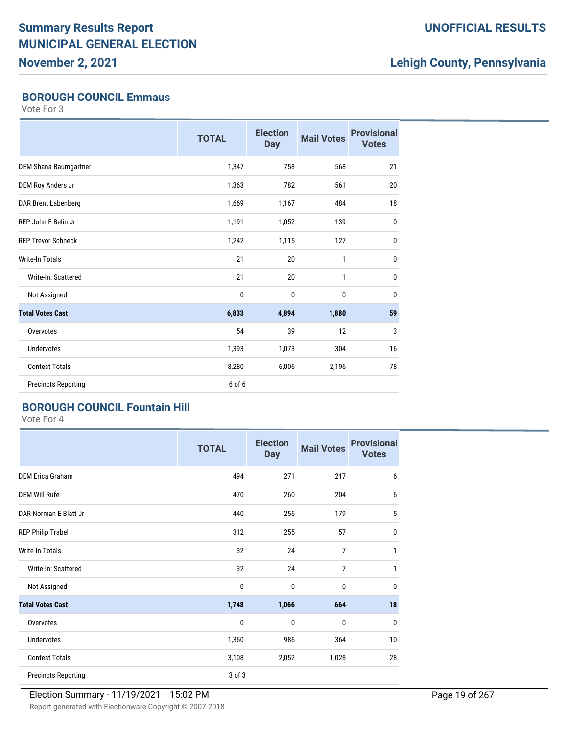**November 2, 2021**

### **UNOFFICIAL RESULTS**

# **Lehigh County, Pennsylvania**

#### **BOROUGH COUNCIL Emmaus**

Vote For 3

|                              | <b>TOTAL</b> | <b>Election</b><br><b>Day</b> | <b>Mail Votes</b> | <b>Provisional</b><br><b>Votes</b> |
|------------------------------|--------------|-------------------------------|-------------------|------------------------------------|
| <b>DEM Shana Baumgartner</b> | 1,347        | 758                           | 568               | 21                                 |
| DEM Roy Anders Jr            | 1,363        | 782                           | 561               | 20                                 |
| DAR Brent Labenberg          | 1,669        | 1,167                         | 484               | 18                                 |
| REP John F Belin Jr          | 1,191        | 1,052                         | 139               | $\mathbf 0$                        |
| <b>REP Trevor Schneck</b>    | 1,242        | 1,115                         | 127               | $\mathbf{0}$                       |
| <b>Write-In Totals</b>       | 21           | 20                            | $\mathbf{1}$      | $\mathbf{0}$                       |
| Write-In: Scattered          | 21           | 20                            | 1                 | $\mathbf{0}$                       |
| Not Assigned                 | $\bf{0}$     | $\mathbf{0}$                  | 0                 | $\mathbf{0}$                       |
| <b>Total Votes Cast</b>      | 6,833        | 4,894                         | 1,880             | 59                                 |
| Overvotes                    | 54           | 39                            | 12                | 3                                  |
| <b>Undervotes</b>            | 1,393        | 1,073                         | 304               | 16                                 |
| <b>Contest Totals</b>        | 8,280        | 6,006                         | 2,196             | 78                                 |
| <b>Precincts Reporting</b>   | 6 of 6       |                               |                   |                                    |

#### **BOROUGH COUNCIL Fountain Hill**

|                            | <b>TOTAL</b> | <b>Election</b><br><b>Day</b> | <b>Mail Votes</b> | <b>Provisional</b><br><b>Votes</b> |
|----------------------------|--------------|-------------------------------|-------------------|------------------------------------|
| <b>DEM Erica Graham</b>    | 494          | 271                           | 217               | 6                                  |
| <b>DEM Will Rufe</b>       | 470          | 260                           | 204               | 6                                  |
| DAR Norman E Blatt Jr      | 440          | 256                           | 179               | 5                                  |
| <b>REP Philip Trabel</b>   | 312          | 255                           | 57                | 0                                  |
| Write-In Totals            | 32           | 24                            | $\overline{7}$    |                                    |
| Write-In: Scattered        | 32           | 24                            | $\overline{7}$    |                                    |
| Not Assigned               | 0            | $\bf{0}$                      | 0                 | 0                                  |
| <b>Total Votes Cast</b>    | 1,748        | 1,066                         | 664               | 18                                 |
| Overvotes                  | $\mathbf{0}$ | $\bf{0}$                      | 0                 | 0                                  |
| Undervotes                 | 1,360        | 986                           | 364               | 10                                 |
| <b>Contest Totals</b>      | 3,108        | 2,052                         | 1,028             | 28                                 |
| <b>Precincts Reporting</b> | 3 of 3       |                               |                   |                                    |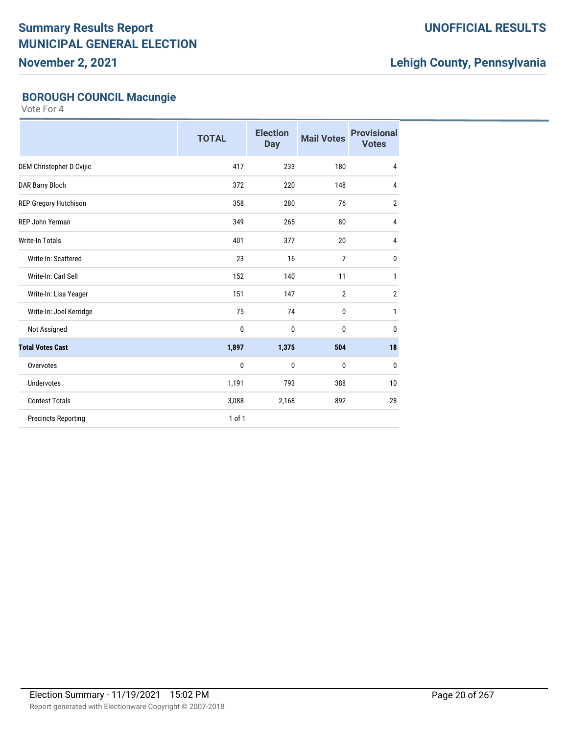**November 2, 2021**

### **UNOFFICIAL RESULTS**

# **Lehigh County, Pennsylvania**

### **BOROUGH COUNCIL Macungie**

|                            | <b>TOTAL</b> | <b>Election</b><br><b>Day</b> | <b>Mail Votes</b> | <b>Provisional</b><br><b>Votes</b> |
|----------------------------|--------------|-------------------------------|-------------------|------------------------------------|
| DEM Christopher D Cvijic   | 417          | 233                           | 180               | $\overline{4}$                     |
| DAR Barry Bloch            | 372          | 220                           | 148               | $\overline{4}$                     |
| REP Gregory Hutchison      | 358          | 280                           | 76                | $\overline{2}$                     |
| REP John Yerman            | 349          | 265                           | 80                | $\overline{4}$                     |
| <b>Write-In Totals</b>     | 401          | 377                           | 20                | $\overline{4}$                     |
| Write-In: Scattered        | 23           | 16                            | $\overline{7}$    | $\mathbf{0}$                       |
| Write-In: Carl Sell        | 152          | 140                           | 11                | 1                                  |
| Write-In: Lisa Yeager      | 151          | 147                           | $\overline{2}$    | $\overline{2}$                     |
| Write-In: Joel Kerridge    | 75           | 74                            | 0                 | $\mathbf{1}$                       |
| Not Assigned               | $\mathbf{0}$ | 0                             | 0                 | $\mathbf{0}$                       |
| <b>Total Votes Cast</b>    | 1,897        | 1,375                         | 504               | 18                                 |
| Overvotes                  | 0            | 0                             | 0                 | 0                                  |
| <b>Undervotes</b>          | 1,191        | 793                           | 388               | 10                                 |
| <b>Contest Totals</b>      | 3,088        | 2,168                         | 892               | 28                                 |
| <b>Precincts Reporting</b> | 1 of 1       |                               |                   |                                    |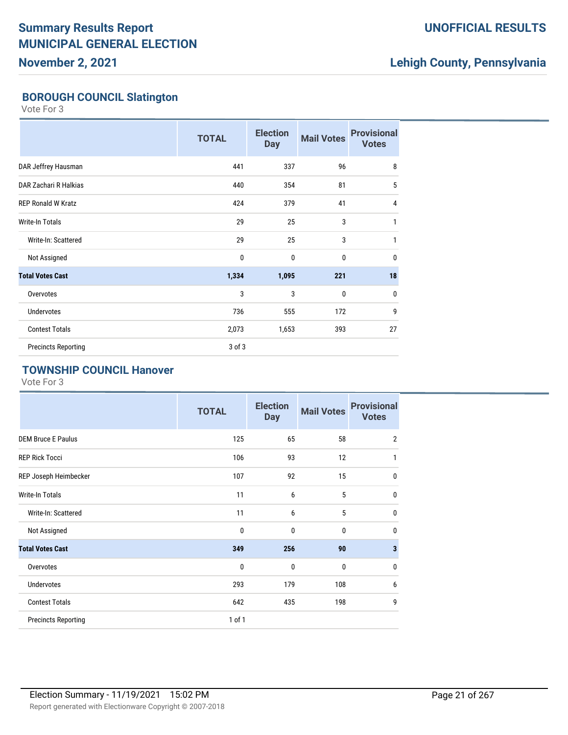**November 2, 2021**

### **UNOFFICIAL RESULTS**

# **Lehigh County, Pennsylvania**

### **BOROUGH COUNCIL Slatington**

Vote For 3

|                            | <b>TOTAL</b> | <b>Election</b><br><b>Day</b> | <b>Mail Votes</b> | <b>Provisional</b><br><b>Votes</b> |
|----------------------------|--------------|-------------------------------|-------------------|------------------------------------|
| DAR Jeffrey Hausman        | 441          | 337                           | 96                | 8                                  |
| DAR Zachari R Halkias      | 440          | 354                           | 81                | 5                                  |
| <b>REP Ronald W Kratz</b>  | 424          | 379                           | 41                | 4                                  |
| Write-In Totals            | 29           | 25                            | 3                 | 1                                  |
| Write-In: Scattered        | 29           | 25                            | 3                 | $\mathbf{1}$                       |
| Not Assigned               | $\mathbf{0}$ | $\mathbf 0$                   | $\bf{0}$          | $\mathbf{0}$                       |
| <b>Total Votes Cast</b>    | 1,334        | 1,095                         | 221               | 18                                 |
| Overvotes                  | 3            | 3                             | $\bf{0}$          | $\mathbf{0}$                       |
| <b>Undervotes</b>          | 736          | 555                           | 172               | 9                                  |
| <b>Contest Totals</b>      | 2,073        | 1,653                         | 393               | 27                                 |
| <b>Precincts Reporting</b> | 3 of 3       |                               |                   |                                    |

#### **TOWNSHIP COUNCIL Hanover**

|                            | <b>TOTAL</b> | <b>Election</b><br><b>Day</b> | <b>Mail Votes</b> | <b>Provisional</b><br><b>Votes</b> |
|----------------------------|--------------|-------------------------------|-------------------|------------------------------------|
| <b>DEM Bruce E Paulus</b>  | 125          | 65                            | 58                | $\overline{2}$                     |
| <b>REP Rick Tocci</b>      | 106          | 93                            | 12                | 1                                  |
| REP Joseph Heimbecker      | 107          | 92                            | 15                | $\mathbf 0$                        |
| <b>Write-In Totals</b>     | 11           | 6                             | 5                 | $\pmb{0}$                          |
| Write-In: Scattered        | 11           | 6                             | 5                 | $\mathbf 0$                        |
| Not Assigned               | 0            | $\mathbf 0$                   | 0                 | $\mathbf{0}$                       |
| <b>Total Votes Cast</b>    | 349          | 256                           | 90                | $\mathbf{3}$                       |
| Overvotes                  | 0            | $\mathbf 0$                   | $\mathbf 0$       | $\mathbf 0$                        |
| <b>Undervotes</b>          | 293          | 179                           | 108               | 6                                  |
| <b>Contest Totals</b>      | 642          | 435                           | 198               | 9                                  |
| <b>Precincts Reporting</b> | 1 of 1       |                               |                   |                                    |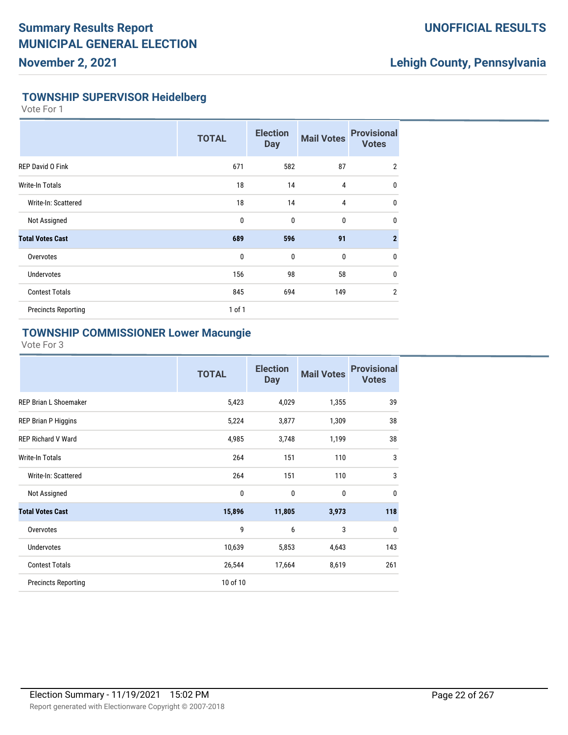#### **UNOFFICIAL RESULTS**

### **Lehigh County, Pennsylvania**

#### **TOWNSHIP SUPERVISOR Heidelberg**

Vote For 1

|                            | <b>TOTAL</b> | <b>Election</b><br><b>Day</b> | <b>Mail Votes</b> | <b>Provisional</b><br><b>Votes</b> |
|----------------------------|--------------|-------------------------------|-------------------|------------------------------------|
| <b>REP David O Fink</b>    | 671          | 582                           | 87                | $\overline{2}$                     |
| Write-In Totals            | 18           | 14                            | $\overline{4}$    | $\mathbf{0}$                       |
| Write-In: Scattered        | 18           | 14                            | $\overline{4}$    | $\mathbf 0$                        |
| Not Assigned               | $\mathbf 0$  | 0                             | 0                 | $\mathbf{0}$                       |
| <b>Total Votes Cast</b>    | 689          | 596                           | 91                | $\overline{2}$                     |
| Overvotes                  | $\mathbf 0$  | 0                             | 0                 | $\mathbf 0$                        |
| <b>Undervotes</b>          | 156          | 98                            | 58                | $\mathbf 0$                        |
| <b>Contest Totals</b>      | 845          | 694                           | 149               | $\overline{2}$                     |
| <b>Precincts Reporting</b> | $1$ of $1$   |                               |                   |                                    |

#### **TOWNSHIP COMMISSIONER Lower Macungie**

|                            | <b>TOTAL</b> | <b>Election</b><br><b>Day</b> | <b>Mail Votes</b> | <b>Provisional</b><br><b>Votes</b> |
|----------------------------|--------------|-------------------------------|-------------------|------------------------------------|
| REP Brian L Shoemaker      | 5,423        | 4,029                         | 1,355             | 39                                 |
| <b>REP Brian P Higgins</b> | 5,224        | 3,877                         | 1,309             | 38                                 |
| <b>REP Richard V Ward</b>  | 4,985        | 3,748                         | 1,199             | 38                                 |
| Write-In Totals            | 264          | 151                           | 110               | 3                                  |
| Write-In: Scattered        | 264          | 151                           | 110               | 3                                  |
| Not Assigned               | 0            | 0                             | 0                 | $\mathbf 0$                        |
| <b>Total Votes Cast</b>    | 15,896       | 11,805                        | 3,973             | 118                                |
| Overvotes                  | 9            | 6                             | 3                 | $\mathbf{0}$                       |
| <b>Undervotes</b>          | 10,639       | 5,853                         | 4,643             | 143                                |
| <b>Contest Totals</b>      | 26,544       | 17,664                        | 8,619             | 261                                |
| <b>Precincts Reporting</b> | 10 of 10     |                               |                   |                                    |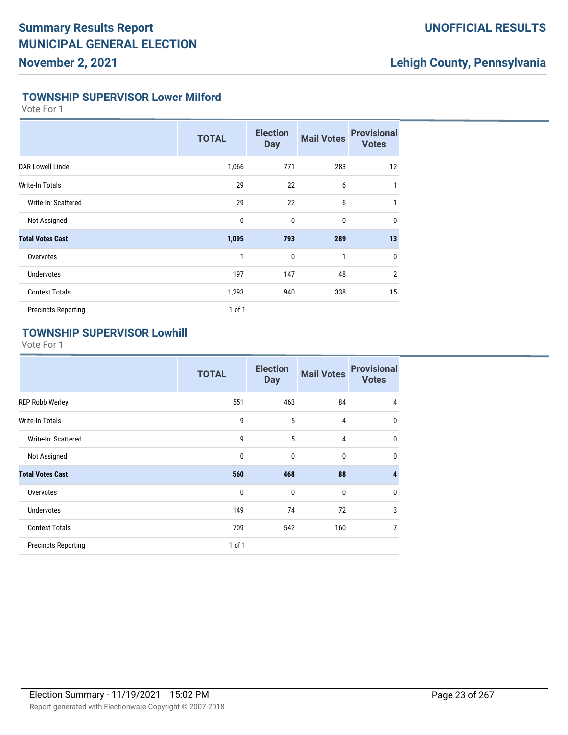### **UNOFFICIAL RESULTS**

# **Lehigh County, Pennsylvania**

#### **TOWNSHIP SUPERVISOR Lower Milford**

Vote For 1

|                            | <b>TOTAL</b> | <b>Election</b><br><b>Day</b> | <b>Mail Votes</b> | <b>Provisional</b><br><b>Votes</b> |
|----------------------------|--------------|-------------------------------|-------------------|------------------------------------|
| DAR Lowell Linde           | 1,066        | 771                           | 283               | 12                                 |
| Write-In Totals            | 29           | 22                            | 6                 | 1                                  |
| Write-In: Scattered        | 29           | 22                            | 6                 | 1                                  |
| Not Assigned               | $\mathbf{0}$ | $\mathbf 0$                   | $\bf{0}$          | $\mathbf{0}$                       |
| <b>Total Votes Cast</b>    | 1,095        | 793                           | 289               | 13                                 |
| Overvotes                  | 1            | $\mathbf 0$                   | 1                 | $\mathbf{0}$                       |
| <b>Undervotes</b>          | 197          | 147                           | 48                | $\overline{2}$                     |
| <b>Contest Totals</b>      | 1,293        | 940                           | 338               | 15                                 |
| <b>Precincts Reporting</b> | $1$ of $1$   |                               |                   |                                    |

### **TOWNSHIP SUPERVISOR Lowhill**

|                            | <b>TOTAL</b> | <b>Election</b><br><b>Day</b> | <b>Mail Votes</b> | <b>Provisional</b><br><b>Votes</b> |
|----------------------------|--------------|-------------------------------|-------------------|------------------------------------|
| <b>REP Robb Werley</b>     | 551          | 463                           | 84                | 4                                  |
| Write-In Totals            | 9            | 5                             | $\overline{4}$    | $\mathbf{0}$                       |
| Write-In: Scattered        | 9            | 5                             | 4                 | $\mathbf{0}$                       |
| Not Assigned               | $\mathbf{0}$ | $\mathbf{0}$                  | 0                 | $\mathbf{0}$                       |
| <b>Total Votes Cast</b>    | 560          | 468                           | 88                | 4                                  |
| Overvotes                  | $\mathbf{0}$ | $\mathbf 0$                   | $\bf{0}$          | $\mathbf{0}$                       |
| <b>Undervotes</b>          | 149          | 74                            | 72                | 3                                  |
| <b>Contest Totals</b>      | 709          | 542                           | 160               | 7                                  |
| <b>Precincts Reporting</b> | 1 of 1       |                               |                   |                                    |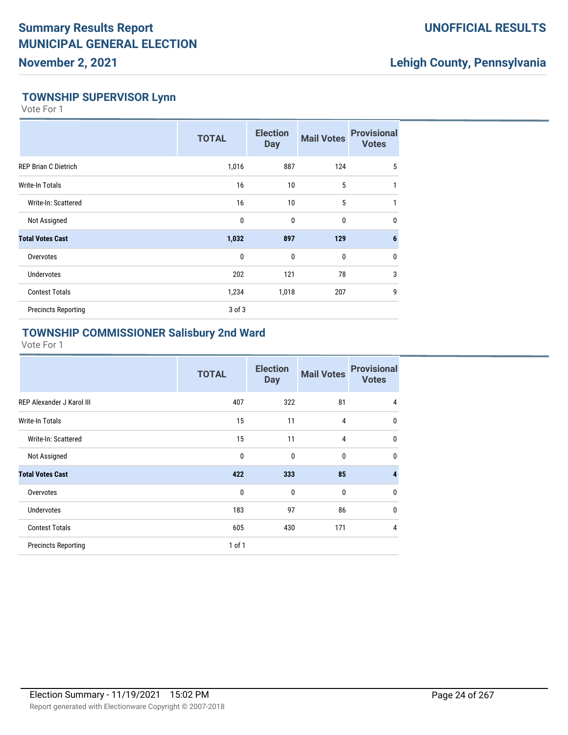### **UNOFFICIAL RESULTS**

### **Lehigh County, Pennsylvania**

#### **TOWNSHIP SUPERVISOR Lynn**

Vote For 1

|                             | <b>TOTAL</b> | <b>Election</b><br><b>Day</b> | <b>Mail Votes</b> | <b>Provisional</b><br><b>Votes</b> |
|-----------------------------|--------------|-------------------------------|-------------------|------------------------------------|
| <b>REP Brian C Dietrich</b> | 1,016        | 887                           | 124               | 5                                  |
| Write-In Totals             | 16           | 10                            | 5                 | 1                                  |
| Write-In: Scattered         | 16           | 10                            | 5                 | 1                                  |
| Not Assigned                | 0            | $\mathbf 0$                   | 0                 | $\mathbf{0}$                       |
| <b>Total Votes Cast</b>     | 1,032        | 897                           | 129               | 6                                  |
| Overvotes                   | $\mathbf 0$  | $\mathbf 0$                   | 0                 | $\mathbf{0}$                       |
| <b>Undervotes</b>           | 202          | 121                           | 78                | 3                                  |
| <b>Contest Totals</b>       | 1,234        | 1,018                         | 207               | 9                                  |
| <b>Precincts Reporting</b>  | 3 of 3       |                               |                   |                                    |

#### **TOWNSHIP COMMISSIONER Salisbury 2nd Ward**

|                            | <b>TOTAL</b> | <b>Election</b><br><b>Day</b> | <b>Mail Votes</b> | <b>Provisional</b><br><b>Votes</b> |
|----------------------------|--------------|-------------------------------|-------------------|------------------------------------|
| REP Alexander J Karol III  | 407          | 322                           | 81                | 4                                  |
| Write-In Totals            | 15           | 11                            | 4                 | $\mathbf 0$                        |
| Write-In: Scattered        | 15           | 11                            | 4                 | $\mathbf 0$                        |
| Not Assigned               | 0            | $\mathbf{0}$                  | 0                 | $\mathbf 0$                        |
| <b>Total Votes Cast</b>    | 422          | 333                           | 85                | $\overline{4}$                     |
| Overvotes                  | 0            | $\mathbf{0}$                  | $\mathbf{0}$      | $\mathbf 0$                        |
| <b>Undervotes</b>          | 183          | 97                            | 86                | $\mathbf 0$                        |
| <b>Contest Totals</b>      | 605          | 430                           | 171               | $\overline{4}$                     |
| <b>Precincts Reporting</b> | 1 of 1       |                               |                   |                                    |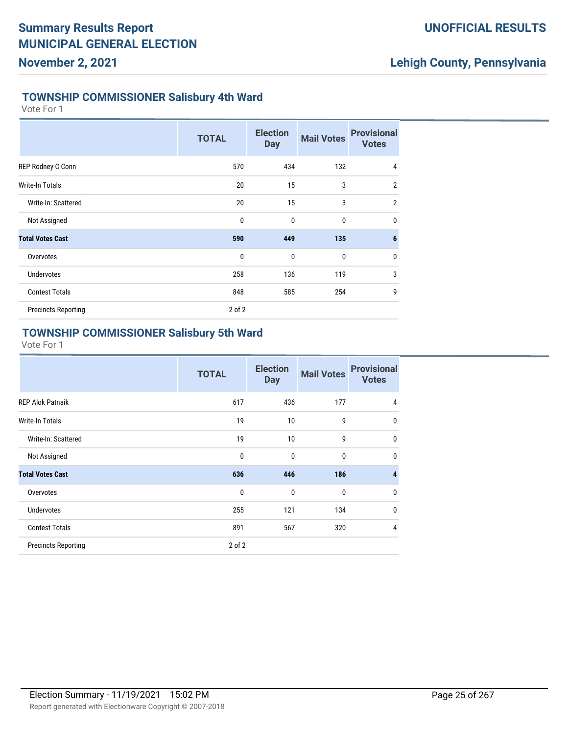### **Lehigh County, Pennsylvania**

#### **TOWNSHIP COMMISSIONER Salisbury 4th Ward**

Vote For 1

|                            | <b>TOTAL</b> | <b>Election</b><br><b>Day</b> | <b>Mail Votes</b> | <b>Provisional</b><br><b>Votes</b> |
|----------------------------|--------------|-------------------------------|-------------------|------------------------------------|
| REP Rodney C Conn          | 570          | 434                           | 132               | 4                                  |
| Write-In Totals            | 20           | 15                            | 3                 | $\overline{2}$                     |
| Write-In: Scattered        | 20           | 15                            | 3                 | $\overline{2}$                     |
| Not Assigned               | $\mathbf{0}$ | $\mathbf 0$                   | $\bf{0}$          | $\mathbf{0}$                       |
| <b>Total Votes Cast</b>    | 590          | 449                           | 135               | $6\phantom{1}6$                    |
| Overvotes                  | $\mathbf{0}$ | $\mathbf 0$                   | $\bf{0}$          | $\mathbf{0}$                       |
| <b>Undervotes</b>          | 258          | 136                           | 119               | 3                                  |
| <b>Contest Totals</b>      | 848          | 585                           | 254               | 9                                  |
| <b>Precincts Reporting</b> | $2$ of $2$   |                               |                   |                                    |

#### **TOWNSHIP COMMISSIONER Salisbury 5th Ward**

|                            | <b>TOTAL</b> | <b>Election</b><br><b>Day</b> | <b>Mail Votes</b> | <b>Provisional</b><br><b>Votes</b> |
|----------------------------|--------------|-------------------------------|-------------------|------------------------------------|
| <b>REP Alok Patnaik</b>    | 617          | 436                           | 177               | 4                                  |
| <b>Write-In Totals</b>     | 19           | 10                            | 9                 | $\mathbf 0$                        |
| Write-In: Scattered        | 19           | 10                            | 9                 | $\mathbf 0$                        |
| Not Assigned               | $\mathbf{0}$ | $\mathbf 0$                   | $\bf{0}$          | $\mathbf{0}$                       |
| <b>Total Votes Cast</b>    | 636          | 446                           | 186               | $\overline{\mathbf{4}}$            |
| Overvotes                  | 0            | $\mathbf 0$                   | 0                 | $\mathbf 0$                        |
| <b>Undervotes</b>          | 255          | 121                           | 134               | $\mathbf 0$                        |
| <b>Contest Totals</b>      | 891          | 567                           | 320               | 4                                  |
| <b>Precincts Reporting</b> | 2 of 2       |                               |                   |                                    |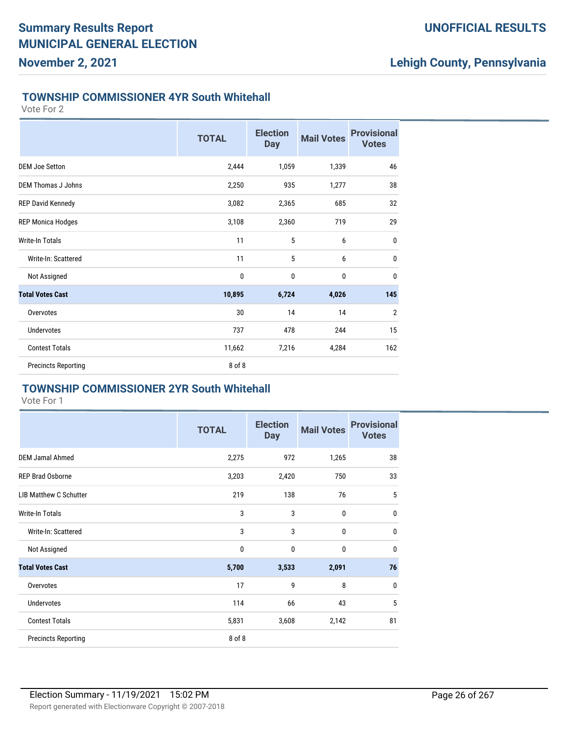#### **UNOFFICIAL RESULTS**

### **Lehigh County, Pennsylvania**

#### **TOWNSHIP COMMISSIONER 4YR South Whitehall**

Vote For 2

|                            | <b>TOTAL</b> | <b>Election</b><br><b>Day</b> | <b>Mail Votes</b> | <b>Provisional</b><br><b>Votes</b> |
|----------------------------|--------------|-------------------------------|-------------------|------------------------------------|
| <b>DEM Joe Setton</b>      | 2,444        | 1,059                         | 1,339             | 46                                 |
| <b>DEM Thomas J Johns</b>  | 2,250        | 935                           | 1,277             | 38                                 |
| <b>REP David Kennedy</b>   | 3,082        | 2,365                         | 685               | 32                                 |
| <b>REP Monica Hodges</b>   | 3,108        | 2,360                         | 719               | 29                                 |
| <b>Write-In Totals</b>     | 11           | 5                             | 6                 | $\mathbf{0}$                       |
| Write-In: Scattered        | 11           | 5                             | 6                 | 0                                  |
| Not Assigned               | 0            | 0                             | 0                 | $\mathbf 0$                        |
| <b>Total Votes Cast</b>    | 10,895       | 6,724                         | 4,026             | 145                                |
| Overvotes                  | 30           | 14                            | 14                | $\overline{2}$                     |
| <b>Undervotes</b>          | 737          | 478                           | 244               | 15                                 |
| <b>Contest Totals</b>      | 11,662       | 7,216                         | 4,284             | 162                                |
| <b>Precincts Reporting</b> | 8 of 8       |                               |                   |                                    |

#### **TOWNSHIP COMMISSIONER 2YR South Whitehall**

|                               | <b>TOTAL</b> | <b>Election</b><br><b>Day</b> | <b>Mail Votes</b> | <b>Provisional</b><br><b>Votes</b> |
|-------------------------------|--------------|-------------------------------|-------------------|------------------------------------|
| <b>DEM Jamal Ahmed</b>        | 2,275        | 972                           | 1,265             | 38                                 |
| <b>REP Brad Osborne</b>       | 3,203        | 2,420                         | 750               | 33                                 |
| <b>LIB Matthew C Schutter</b> | 219          | 138                           | 76                | 5                                  |
| <b>Write-In Totals</b>        | 3            | 3                             | $\mathbf{0}$      | $\mathbf{0}$                       |
| Write-In: Scattered           | 3            | 3                             | $\mathbf{0}$      | $\mathbf{0}$                       |
| Not Assigned                  | 0            | 0                             | $\bf{0}$          | $\mathbf{0}$                       |
| <b>Total Votes Cast</b>       | 5,700        | 3,533                         | 2,091             | 76                                 |
| Overvotes                     | 17           | 9                             | 8                 | $\mathbf{0}$                       |
| <b>Undervotes</b>             | 114          | 66                            | 43                | 5                                  |
| <b>Contest Totals</b>         | 5,831        | 3,608                         | 2,142             | 81                                 |
| <b>Precincts Reporting</b>    | 8 of 8       |                               |                   |                                    |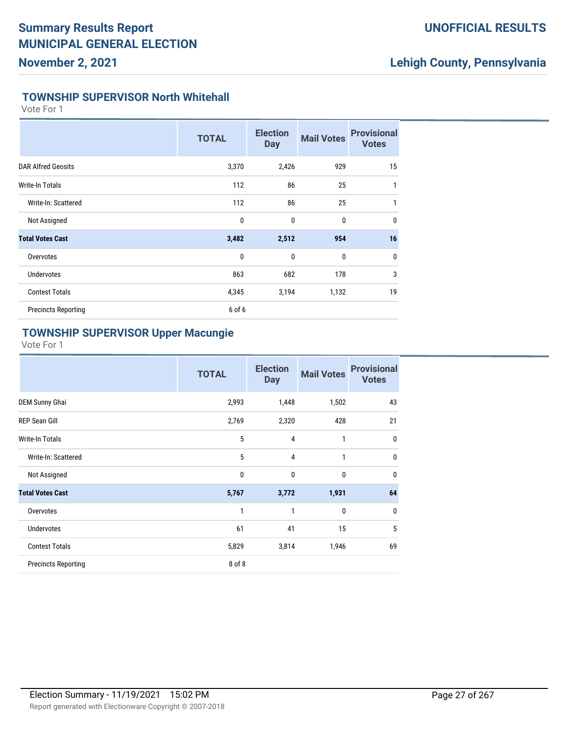### **UNOFFICIAL RESULTS**

# **Lehigh County, Pennsylvania**

#### **TOWNSHIP SUPERVISOR North Whitehall**

Vote For 1

|                            | <b>TOTAL</b> | <b>Election</b><br><b>Day</b> | <b>Mail Votes</b> | <b>Provisional</b><br><b>Votes</b> |
|----------------------------|--------------|-------------------------------|-------------------|------------------------------------|
| <b>DAR Alfred Geosits</b>  | 3,370        | 2,426                         | 929               | 15                                 |
| Write-In Totals            | 112          | 86                            | 25                | 1                                  |
| Write-In: Scattered        | 112          | 86                            | 25                | 1                                  |
| Not Assigned               | 0            | $\mathbf{0}$                  | $\bf{0}$          | 0                                  |
| <b>Total Votes Cast</b>    | 3,482        | 2,512                         | 954               | 16                                 |
| Overvotes                  | $\mathbf{0}$ | $\mathbf{0}$                  | $\mathbf 0$       | $\mathbf{0}$                       |
| <b>Undervotes</b>          | 863          | 682                           | 178               | 3                                  |
| <b>Contest Totals</b>      | 4,345        | 3,194                         | 1,132             | 19                                 |
| <b>Precincts Reporting</b> | 6 of 6       |                               |                   |                                    |

#### **TOWNSHIP SUPERVISOR Upper Macungie**

|                            | <b>TOTAL</b> | <b>Election</b><br><b>Day</b> | <b>Mail Votes</b> | <b>Provisional</b><br><b>Votes</b> |
|----------------------------|--------------|-------------------------------|-------------------|------------------------------------|
| <b>DEM Sunny Ghai</b>      | 2,993        | 1,448                         | 1,502             | 43                                 |
| <b>REP Sean Gill</b>       | 2,769        | 2,320                         | 428               | 21                                 |
| Write-In Totals            | 5            | $\overline{4}$                | 1                 | $\mathbf{0}$                       |
| Write-In: Scattered        | 5            | $\overline{4}$                | 1                 | $\mathbf{0}$                       |
| Not Assigned               | 0            | $\mathbf 0$                   | $\mathbf{0}$      | $\mathbf{0}$                       |
| <b>Total Votes Cast</b>    | 5,767        | 3,772                         | 1,931             | 64                                 |
| Overvotes                  | 1            | 1                             | $\mathbf{0}$      | $\mathbf{0}$                       |
| <b>Undervotes</b>          | 61           | 41                            | 15                | 5                                  |
| <b>Contest Totals</b>      | 5,829        | 3,814                         | 1,946             | 69                                 |
| <b>Precincts Reporting</b> | 8 of 8       |                               |                   |                                    |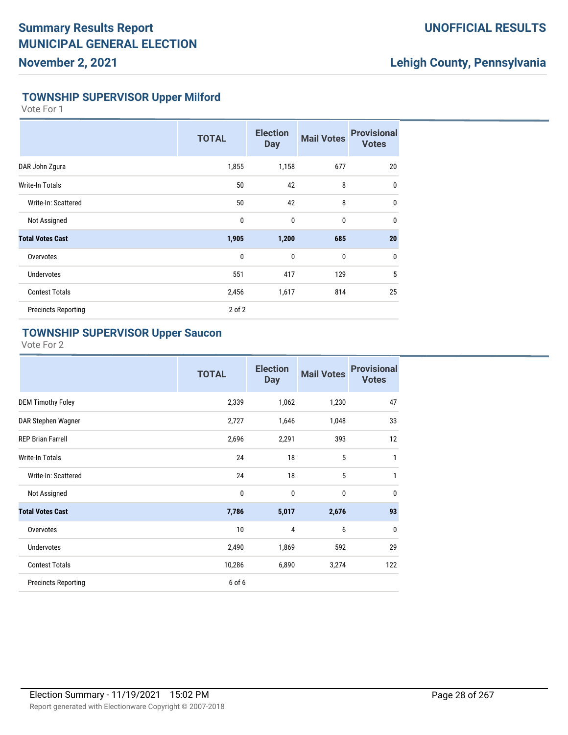#### **UNOFFICIAL RESULTS**

### **Lehigh County, Pennsylvania**

#### **TOWNSHIP SUPERVISOR Upper Milford**

Vote For 1

|                            | <b>TOTAL</b> | <b>Election</b><br><b>Day</b> | <b>Mail Votes</b> | <b>Provisional</b><br><b>Votes</b> |
|----------------------------|--------------|-------------------------------|-------------------|------------------------------------|
| DAR John Zgura             | 1,855        | 1,158                         | 677               | 20                                 |
| <b>Write-In Totals</b>     | 50           | 42                            | 8                 | 0                                  |
| Write-In: Scattered        | 50           | 42                            | 8                 | $\mathbf{0}$                       |
| Not Assigned               | $\mathbf 0$  | 0                             | $\bf{0}$          | $\mathbf{0}$                       |
| <b>Total Votes Cast</b>    | 1,905        | 1,200                         | 685               | 20                                 |
| Overvotes                  | $\mathbf 0$  | 0                             | $\mathbf 0$       | 0                                  |
| <b>Undervotes</b>          | 551          | 417                           | 129               | 5                                  |
| <b>Contest Totals</b>      | 2,456        | 1,617                         | 814               | 25                                 |
| <b>Precincts Reporting</b> | $2$ of $2$   |                               |                   |                                    |

#### **TOWNSHIP SUPERVISOR Upper Saucon**

|                            | <b>TOTAL</b> | <b>Election</b><br><b>Day</b> | <b>Mail Votes</b> | <b>Provisional</b><br><b>Votes</b> |
|----------------------------|--------------|-------------------------------|-------------------|------------------------------------|
| <b>DEM Timothy Foley</b>   | 2,339        | 1,062                         | 1,230             | 47                                 |
| DAR Stephen Wagner         | 2,727        | 1,646                         | 1,048             | 33                                 |
| <b>REP Brian Farrell</b>   | 2,696        | 2,291                         | 393               | 12                                 |
| <b>Write-In Totals</b>     | 24           | 18                            | 5                 | 1                                  |
| Write-In: Scattered        | 24           | 18                            | 5                 | 1                                  |
| Not Assigned               | 0            | $\mathbf{0}$                  | 0                 | $\mathbf{0}$                       |
| <b>Total Votes Cast</b>    | 7,786        | 5,017                         | 2,676             | 93                                 |
| Overvotes                  | 10           | 4                             | 6                 | $\mathbf{0}$                       |
| <b>Undervotes</b>          | 2,490        | 1,869                         | 592               | 29                                 |
| <b>Contest Totals</b>      | 10,286       | 6,890                         | 3,274             | 122                                |
| <b>Precincts Reporting</b> | 6 of 6       |                               |                   |                                    |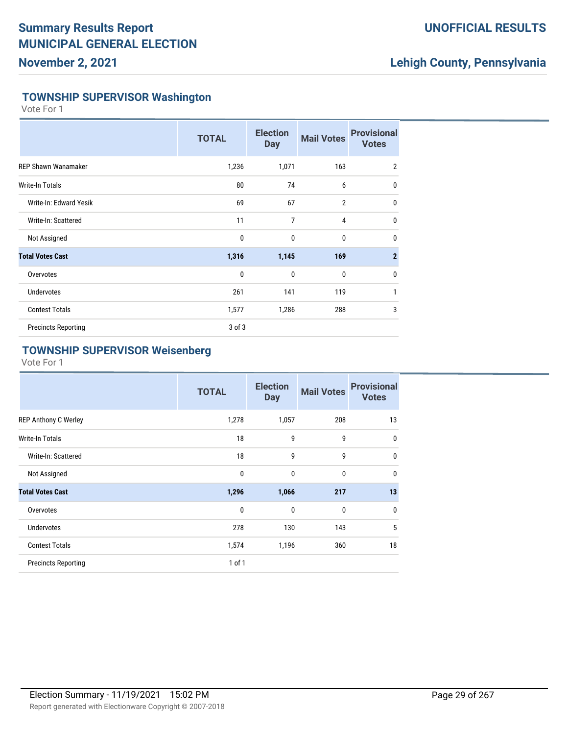### **UNOFFICIAL RESULTS**

### **Lehigh County, Pennsylvania**

#### **TOWNSHIP SUPERVISOR Washington**

Vote For 1

|                            | <b>TOTAL</b> | <b>Election</b><br><b>Day</b> | <b>Mail Votes</b> | <b>Provisional</b><br><b>Votes</b> |
|----------------------------|--------------|-------------------------------|-------------------|------------------------------------|
| <b>REP Shawn Wanamaker</b> | 1,236        | 1,071                         | 163               | $\overline{2}$                     |
| Write-In Totals            | 80           | 74                            | 6                 | $\mathbf{0}$                       |
| Write-In: Edward Yesik     | 69           | 67                            | $\overline{2}$    | $\mathbf{0}$                       |
| Write-In: Scattered        | 11           | 7                             | 4                 | $\mathbf{0}$                       |
| Not Assigned               | $\mathbf 0$  | $\mathbf 0$                   | 0                 | $\mathbf{0}$                       |
| <b>Total Votes Cast</b>    | 1,316        | 1,145                         | 169               | $\overline{2}$                     |
| Overvotes                  | $\mathbf 0$  | 0                             | 0                 | $\mathbf{0}$                       |
| <b>Undervotes</b>          | 261          | 141                           | 119               | 1                                  |
| <b>Contest Totals</b>      | 1,577        | 1,286                         | 288               | 3                                  |
| <b>Precincts Reporting</b> | 3 of 3       |                               |                   |                                    |

### **TOWNSHIP SUPERVISOR Weisenberg**

|                             | <b>TOTAL</b> | <b>Election</b><br><b>Day</b> | <b>Mail Votes</b> | <b>Provisional</b><br><b>Votes</b> |
|-----------------------------|--------------|-------------------------------|-------------------|------------------------------------|
| <b>REP Anthony C Werley</b> | 1,278        | 1,057                         | 208               | 13                                 |
| Write-In Totals             | 18           | 9                             | 9                 | 0                                  |
| Write-In: Scattered         | 18           | 9                             | 9                 | 0                                  |
| Not Assigned                | $\mathbf{0}$ | $\mathbf{0}$                  | 0                 | 0                                  |
| <b>Total Votes Cast</b>     | 1,296        | 1,066                         | 217               | 13                                 |
| Overvotes                   | $\mathbf{0}$ | $\mathbf{0}$                  | 0                 | 0                                  |
| <b>Undervotes</b>           | 278          | 130                           | 143               | 5                                  |
| <b>Contest Totals</b>       | 1,574        | 1,196                         | 360               | 18                                 |
| <b>Precincts Reporting</b>  | 1 of 1       |                               |                   |                                    |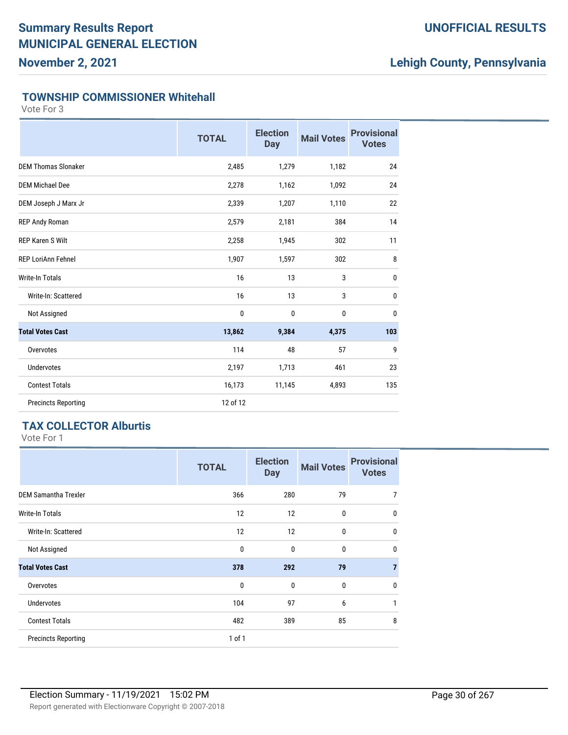### **UNOFFICIAL RESULTS**

# **Lehigh County, Pennsylvania**

#### **TOWNSHIP COMMISSIONER Whitehall**

Vote For 3

|                            | <b>TOTAL</b> | <b>Election</b><br><b>Day</b> | <b>Mail Votes</b> | <b>Provisional</b><br><b>Votes</b> |
|----------------------------|--------------|-------------------------------|-------------------|------------------------------------|
| <b>DEM Thomas Slonaker</b> | 2,485        | 1,279                         | 1,182             | 24                                 |
| <b>DEM Michael Dee</b>     | 2,278        | 1,162                         | 1,092             | 24                                 |
| DEM Joseph J Marx Jr       | 2,339        | 1,207                         | 1,110             | 22                                 |
| REP Andy Roman             | 2,579        | 2,181                         | 384               | 14                                 |
| <b>REP Karen S Wilt</b>    | 2,258        | 1,945                         | 302               | 11                                 |
| <b>REP LoriAnn Fehnel</b>  | 1,907        | 1,597                         | 302               | 8                                  |
| <b>Write-In Totals</b>     | 16           | 13                            | 3                 | 0                                  |
| Write-In: Scattered        | 16           | 13                            | 3                 | $\mathbf{0}$                       |
| Not Assigned               | $\pmb{0}$    | 0                             | 0                 | $\mathbf{0}$                       |
| <b>Total Votes Cast</b>    | 13,862       | 9,384                         | 4,375             | 103                                |
| Overvotes                  | 114          | 48                            | 57                | 9                                  |
| <b>Undervotes</b>          | 2,197        | 1,713                         | 461               | 23                                 |
| <b>Contest Totals</b>      | 16,173       | 11,145                        | 4,893             | 135                                |
| <b>Precincts Reporting</b> | 12 of 12     |                               |                   |                                    |

### **TAX COLLECTOR Alburtis**

|                             | <b>TOTAL</b> | <b>Election</b><br><b>Day</b> | <b>Mail Votes</b> | <b>Provisional</b><br><b>Votes</b> |
|-----------------------------|--------------|-------------------------------|-------------------|------------------------------------|
| <b>DEM Samantha Trexler</b> | 366          | 280                           | 79                | 7                                  |
| <b>Write-In Totals</b>      | 12           | 12                            | 0                 | $\mathbf{0}$                       |
| Write-In: Scattered         | 12           | 12                            | 0                 | $\mathbf{0}$                       |
| Not Assigned                | $\mathbf 0$  | $\mathbf{0}$                  | $\mathbf{0}$      | $\mathbf{0}$                       |
| <b>Total Votes Cast</b>     | 378          | 292                           | 79                | $\overline{7}$                     |
| Overvotes                   | $\mathbf{0}$ | $\mathbf{0}$                  | $\mathbf{0}$      | $\mathbf{0}$                       |
| <b>Undervotes</b>           | 104          | 97                            | 6                 | 1                                  |
| <b>Contest Totals</b>       | 482          | 389                           | 85                | 8                                  |
| <b>Precincts Reporting</b>  | 1 of 1       |                               |                   |                                    |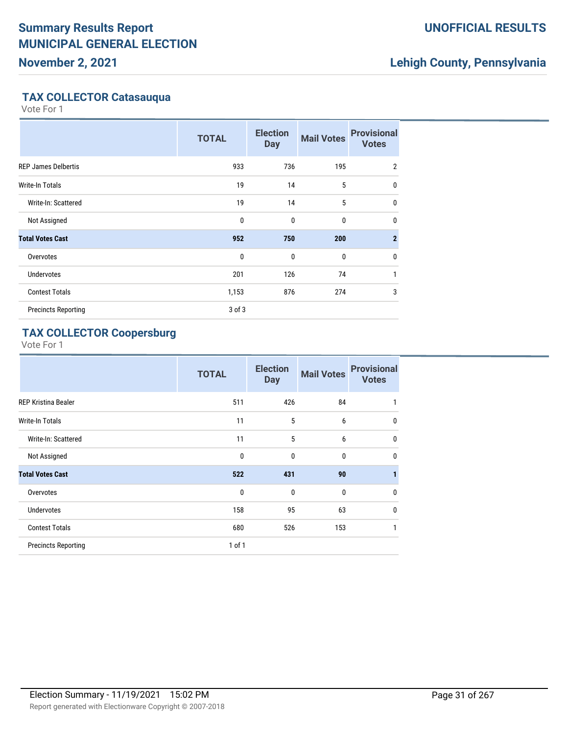**November 2, 2021**

### **UNOFFICIAL RESULTS**

# **Lehigh County, Pennsylvania**

### **TAX COLLECTOR Catasauqua**

Vote For 1

|                            | <b>TOTAL</b> | <b>Election</b><br><b>Day</b> | <b>Mail Votes</b> | <b>Provisional</b><br><b>Votes</b> |
|----------------------------|--------------|-------------------------------|-------------------|------------------------------------|
| <b>REP James Delbertis</b> | 933          | 736                           | 195               | $\overline{2}$                     |
| <b>Write-In Totals</b>     | 19           | 14                            | 5                 | 0                                  |
| Write-In: Scattered        | 19           | 14                            | 5                 | 0                                  |
| Not Assigned               | 0            | $\mathbf{0}$                  | 0                 | 0                                  |
| <b>Total Votes Cast</b>    | 952          | 750                           | 200               | $\overline{2}$                     |
| Overvotes                  | $\mathbf{0}$ | $\mathbf{0}$                  | $\mathbf 0$       | 0                                  |
| <b>Undervotes</b>          | 201          | 126                           | 74                | $\mathbf{1}$                       |
| <b>Contest Totals</b>      | 1,153        | 876                           | 274               | 3                                  |
| <b>Precincts Reporting</b> | $3$ of $3$   |                               |                   |                                    |

### **TAX COLLECTOR Coopersburg**

|                            | <b>TOTAL</b> | <b>Election</b><br><b>Day</b> | <b>Mail Votes</b> | <b>Provisional</b><br><b>Votes</b> |
|----------------------------|--------------|-------------------------------|-------------------|------------------------------------|
| <b>REP Kristina Bealer</b> | 511          | 426                           | 84                | 1                                  |
| <b>Write-In Totals</b>     | 11           | 5                             | 6                 | $\mathbf 0$                        |
| Write-In: Scattered        | 11           | 5                             | 6                 | 0                                  |
| Not Assigned               | $\mathbf 0$  | $\mathbf{0}$                  | 0                 | $\mathbf 0$                        |
| <b>Total Votes Cast</b>    | 522          | 431                           | 90                | 1                                  |
| Overvotes                  | $\mathbf{0}$ | $\mathbf{0}$                  | $\mathbf{0}$      | $\mathbf{0}$                       |
| Undervotes                 | 158          | 95                            | 63                | 0                                  |
| <b>Contest Totals</b>      | 680          | 526                           | 153               | 1                                  |
| <b>Precincts Reporting</b> | $1$ of $1$   |                               |                   |                                    |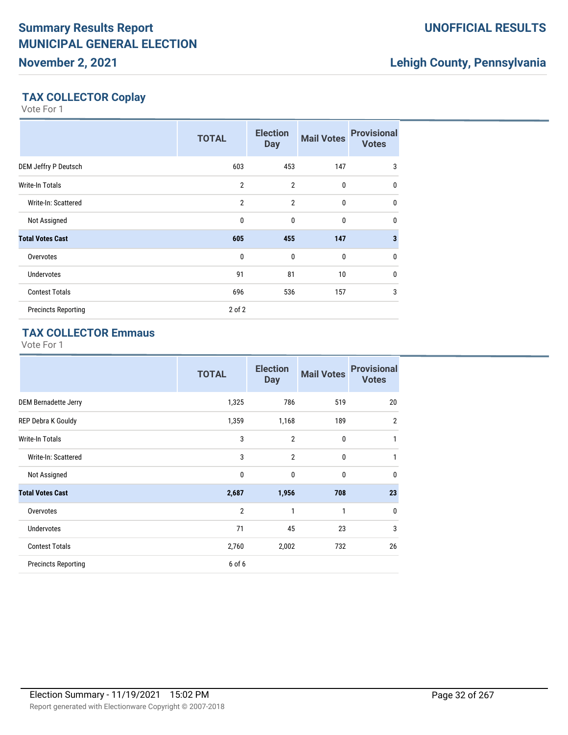# **Lehigh County, Pennsylvania**

### **TAX COLLECTOR Coplay**

Vote For 1

|                            | <b>TOTAL</b>   | <b>Election</b><br><b>Day</b> | <b>Mail Votes</b> | <b>Provisional</b><br><b>Votes</b> |
|----------------------------|----------------|-------------------------------|-------------------|------------------------------------|
| DEM Jeffry P Deutsch       | 603            | 453                           | 147               | 3                                  |
| <b>Write-In Totals</b>     | $\overline{2}$ | $\overline{2}$                | $\mathbf 0$       | $\mathbf{0}$                       |
| Write-In: Scattered        | $\overline{2}$ | $\overline{2}$                | $\mathbf{0}$      | $\mathbf 0$                        |
| Not Assigned               | $\mathbf{0}$   | $\mathbf{0}$                  | $\mathbf 0$       | $\mathbf 0$                        |
| <b>Total Votes Cast</b>    | 605            | 455                           | 147               | 3                                  |
| Overvotes                  | $\mathbf{0}$   | $\mathbf{0}$                  | $\mathbf 0$       | $\mathbf 0$                        |
| <b>Undervotes</b>          | 91             | 81                            | 10 <sup>°</sup>   | $\mathbf{0}$                       |
| <b>Contest Totals</b>      | 696            | 536                           | 157               | 3                                  |
| <b>Precincts Reporting</b> | 2 of 2         |                               |                   |                                    |

### **TAX COLLECTOR Emmaus**

|                            | <b>TOTAL</b>   | <b>Election</b><br><b>Day</b> | <b>Mail Votes</b> | <b>Provisional</b><br><b>Votes</b> |
|----------------------------|----------------|-------------------------------|-------------------|------------------------------------|
| DEM Bernadette Jerry       | 1,325          | 786                           | 519               | 20                                 |
| REP Debra K Gouldy         | 1,359          | 1,168                         | 189               | $\overline{2}$                     |
| <b>Write-In Totals</b>     | 3              | $\overline{2}$                | 0                 | 1                                  |
| Write-In: Scattered        | 3              | $\overline{2}$                | 0                 | 1                                  |
| Not Assigned               | 0              | 0                             | 0                 | 0                                  |
| <b>Total Votes Cast</b>    | 2,687          | 1,956                         | 708               | 23                                 |
| Overvotes                  | $\overline{2}$ | 1                             | $\mathbf{1}$      | $\mathbf 0$                        |
| <b>Undervotes</b>          | 71             | 45                            | 23                | 3                                  |
| <b>Contest Totals</b>      | 2,760          | 2,002                         | 732               | 26                                 |
| <b>Precincts Reporting</b> | 6 of 6         |                               |                   |                                    |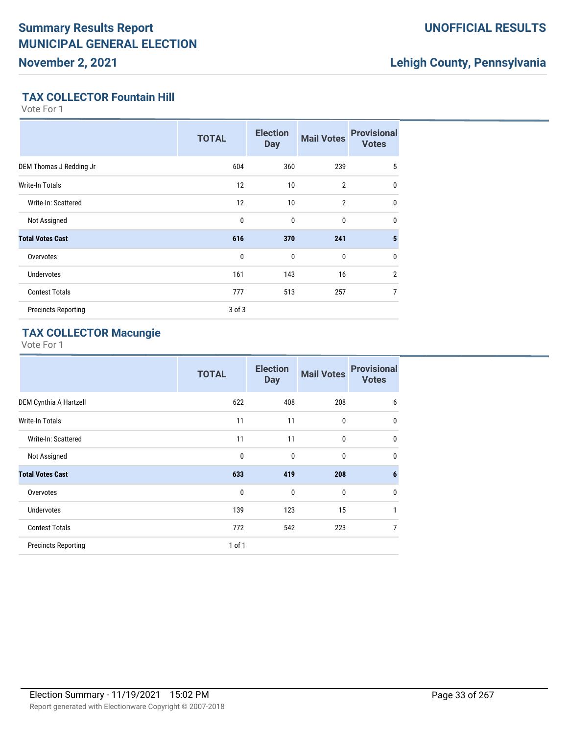### **UNOFFICIAL RESULTS**

# **Lehigh County, Pennsylvania**

### **TAX COLLECTOR Fountain Hill**

Vote For 1

|                            | <b>TOTAL</b> | <b>Election</b><br><b>Day</b> | <b>Mail Votes</b> | <b>Provisional</b><br><b>Votes</b> |
|----------------------------|--------------|-------------------------------|-------------------|------------------------------------|
| DEM Thomas J Redding Jr    | 604          | 360                           | 239               | 5                                  |
| Write-In Totals            | 12           | 10                            | $\overline{2}$    | $\mathbf{0}$                       |
| Write-In: Scattered        | 12           | 10                            | $\overline{2}$    | $\mathbf{0}$                       |
| Not Assigned               | $\mathbf{0}$ | $\mathbf 0$                   | 0                 | $\mathbf{0}$                       |
| <b>Total Votes Cast</b>    | 616          | 370                           | 241               | 5                                  |
| Overvotes                  | $\mathbf{0}$ | $\mathbf 0$                   | 0                 | $\mathbf{0}$                       |
| <b>Undervotes</b>          | 161          | 143                           | 16                | $\overline{2}$                     |
| <b>Contest Totals</b>      | 777          | 513                           | 257               | 7                                  |
| <b>Precincts Reporting</b> | 3 of 3       |                               |                   |                                    |

### **TAX COLLECTOR Macungie**

|                            | <b>TOTAL</b> | <b>Election</b><br><b>Day</b> | <b>Mail Votes</b> | <b>Provisional</b><br><b>Votes</b> |
|----------------------------|--------------|-------------------------------|-------------------|------------------------------------|
| DEM Cynthia A Hartzell     | 622          | 408                           | 208               | 6                                  |
| <b>Write-In Totals</b>     | 11           | 11                            | $\mathbf 0$       | $\mathbf{0}$                       |
| Write-In: Scattered        | 11           | 11                            | $\mathbf 0$       | $\mathbf{0}$                       |
| Not Assigned               | $\mathbf{0}$ | 0                             | 0                 | $\mathbf{0}$                       |
| <b>Total Votes Cast</b>    | 633          | 419                           | 208               | $6\phantom{1}6$                    |
| Overvotes                  | $\mathbf 0$  | $\mathbf{0}$                  | $\mathbf{0}$      | 0                                  |
| Undervotes                 | 139          | 123                           | 15                | 1                                  |
| <b>Contest Totals</b>      | 772          | 542                           | 223               | 7                                  |
| <b>Precincts Reporting</b> | 1 of 1       |                               |                   |                                    |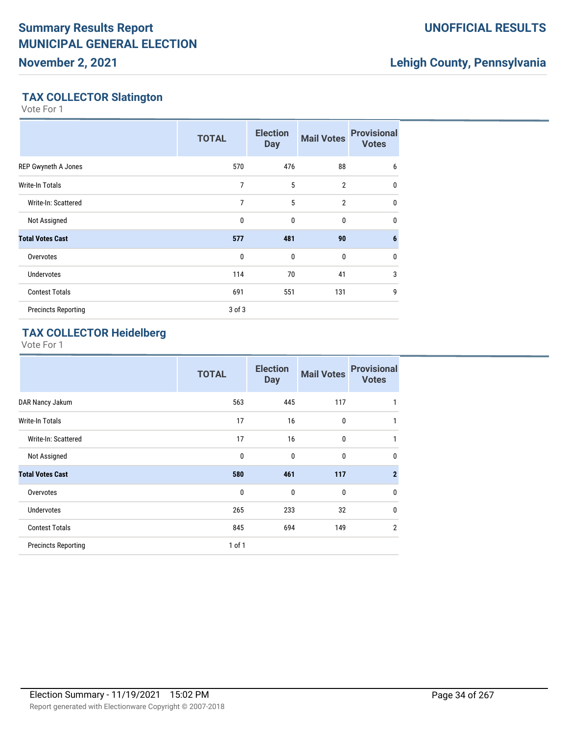### **UNOFFICIAL RESULTS**

# **Lehigh County, Pennsylvania**

### **TAX COLLECTOR Slatington**

Vote For 1

|                            | <b>TOTAL</b>   | <b>Election</b><br><b>Day</b> | <b>Mail Votes</b> | <b>Provisional</b><br><b>Votes</b> |
|----------------------------|----------------|-------------------------------|-------------------|------------------------------------|
| REP Gwyneth A Jones        | 570            | 476                           | 88                | 6                                  |
| Write-In Totals            | 7              | 5                             | $\overline{2}$    | 0                                  |
| Write-In: Scattered        | $\overline{7}$ | 5                             | $\overline{2}$    | 0                                  |
| Not Assigned               | 0              | 0                             | 0                 | 0                                  |
| <b>Total Votes Cast</b>    | 577            | 481                           | 90                | 6                                  |
| Overvotes                  | $\mathbf{0}$   | 0                             | $\mathbf 0$       | $\mathbf 0$                        |
| <b>Undervotes</b>          | 114            | 70                            | 41                | 3                                  |
| <b>Contest Totals</b>      | 691            | 551                           | 131               | 9                                  |
| <b>Precincts Reporting</b> | 3 of 3         |                               |                   |                                    |

### **TAX COLLECTOR Heidelberg**

|                            | <b>TOTAL</b> | <b>Election</b><br><b>Day</b> | <b>Mail Votes</b> | <b>Provisional</b><br><b>Votes</b> |
|----------------------------|--------------|-------------------------------|-------------------|------------------------------------|
| DAR Nancy Jakum            | 563          | 445                           | 117               | 1                                  |
| <b>Write-In Totals</b>     | 17           | 16                            | $\mathbf 0$       | 1                                  |
| Write-In: Scattered        | 17           | 16                            | $\mathbf 0$       | 1                                  |
| Not Assigned               | 0            | 0                             | $\mathbf{0}$      | $\mathbf{0}$                       |
| <b>Total Votes Cast</b>    | 580          | 461                           | 117               | $\overline{2}$                     |
| Overvotes                  | $\mathbf{0}$ | $\mathbf{0}$                  | $\mathbf{0}$      | $\mathbf{0}$                       |
| <b>Undervotes</b>          | 265          | 233                           | 32                | $\mathbf{0}$                       |
| <b>Contest Totals</b>      | 845          | 694                           | 149               | $\overline{2}$                     |
| <b>Precincts Reporting</b> | $1$ of $1$   |                               |                   |                                    |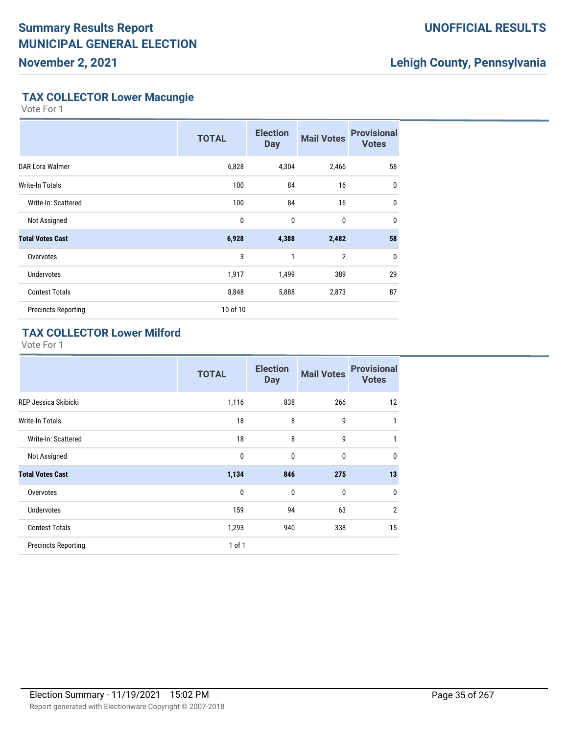### **UNOFFICIAL RESULTS**

# **Lehigh County, Pennsylvania**

#### **TAX COLLECTOR Lower Macungie**

Vote For 1

|                            | <b>TOTAL</b> | <b>Election</b><br><b>Day</b> | <b>Mail Votes</b> | <b>Provisional</b><br><b>Votes</b> |
|----------------------------|--------------|-------------------------------|-------------------|------------------------------------|
| DAR Lora Walmer            | 6,828        | 4,304                         | 2,466             | 58                                 |
| Write-In Totals            | 100          | 84                            | 16                | $\mathbf 0$                        |
| Write-In: Scattered        | 100          | 84                            | 16                | $\mathbf 0$                        |
| Not Assigned               | 0            | 0                             | 0                 | $\mathbf{0}$                       |
| <b>Total Votes Cast</b>    | 6,928        | 4,388                         | 2,482             | 58                                 |
| Overvotes                  | 3            | 1                             | $\overline{2}$    | $\mathbf 0$                        |
| <b>Undervotes</b>          | 1,917        | 1,499                         | 389               | 29                                 |
| <b>Contest Totals</b>      | 8,848        | 5,888                         | 2,873             | 87                                 |
| <b>Precincts Reporting</b> | 10 of 10     |                               |                   |                                    |

### **TAX COLLECTOR Lower Milford**

|                            | <b>TOTAL</b> | <b>Election</b><br><b>Day</b> | <b>Mail Votes</b> | <b>Provisional</b><br><b>Votes</b> |
|----------------------------|--------------|-------------------------------|-------------------|------------------------------------|
| REP Jessica Skibicki       | 1,116        | 838                           | 266               | 12                                 |
| <b>Write-In Totals</b>     | 18           | 8                             | 9                 | 1                                  |
| Write-In: Scattered        | 18           | 8                             | 9                 | 1                                  |
| Not Assigned               | $\mathbf{0}$ | $\mathbf{0}$                  | $\mathbf{0}$      | $\mathbf 0$                        |
| <b>Total Votes Cast</b>    | 1,134        | 846                           | 275               | 13                                 |
| Overvotes                  | 0            | $\mathbf{0}$                  | $\mathbf{0}$      | 0                                  |
| <b>Undervotes</b>          | 159          | 94                            | 63                | $\overline{2}$                     |
| <b>Contest Totals</b>      | 1,293        | 940                           | 338               | 15                                 |
| <b>Precincts Reporting</b> | $1$ of $1$   |                               |                   |                                    |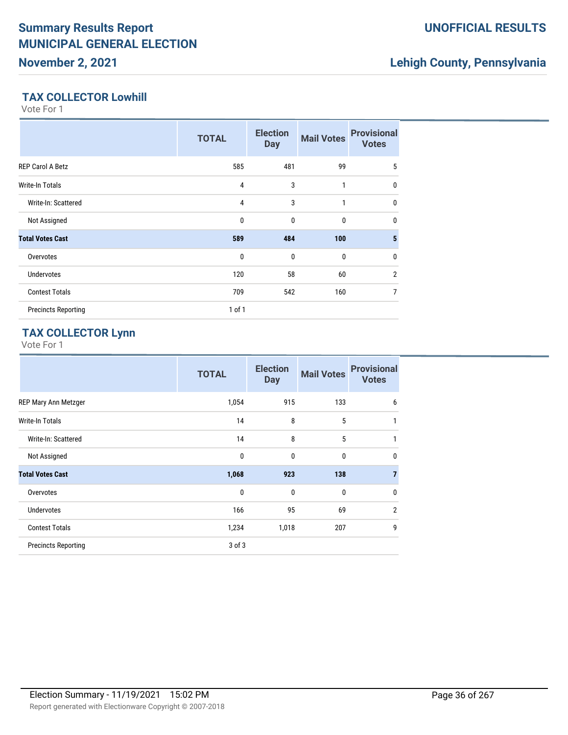# **Lehigh County, Pennsylvania**

#### **TAX COLLECTOR Lowhill**

Vote For 1

|                            | <b>TOTAL</b> | <b>Election</b><br><b>Day</b> | <b>Mail Votes</b> | <b>Provisional</b><br><b>Votes</b> |
|----------------------------|--------------|-------------------------------|-------------------|------------------------------------|
| <b>REP Carol A Betz</b>    | 585          | 481                           | 99                | 5                                  |
| <b>Write-In Totals</b>     | 4            | 3                             | 1                 | $\mathbf{0}$                       |
| Write-In: Scattered        | 4            | 3                             | 1                 | $\mathbf{0}$                       |
| Not Assigned               | 0            | $\mathbf{0}$                  | 0                 | $\mathbf{0}$                       |
| <b>Total Votes Cast</b>    | 589          | 484                           | 100               | 5                                  |
| Overvotes                  | $\mathbf{0}$ | 0                             | 0                 | $\mathbf{0}$                       |
| <b>Undervotes</b>          | 120          | 58                            | 60                | $\overline{2}$                     |
| <b>Contest Totals</b>      | 709          | 542                           | 160               | 7                                  |
| <b>Precincts Reporting</b> | $1$ of $1$   |                               |                   |                                    |

### **TAX COLLECTOR Lynn**

|                            | <b>TOTAL</b> | <b>Election</b><br><b>Day</b> | <b>Mail Votes</b> | <b>Provisional</b><br><b>Votes</b> |
|----------------------------|--------------|-------------------------------|-------------------|------------------------------------|
| REP Mary Ann Metzger       | 1,054        | 915                           | 133               | 6                                  |
| Write-In Totals            | 14           | 8                             | 5                 | 1                                  |
| Write-In: Scattered        | 14           | 8                             | 5                 | 1                                  |
| Not Assigned               | 0            | $\mathbf{0}$                  | 0                 | $\mathbf{0}$                       |
| <b>Total Votes Cast</b>    | 1,068        | 923                           | 138               | 7                                  |
| Overvotes                  | $\mathbf{0}$ | $\mathbf{0}$                  | 0                 | $\mathbf{0}$                       |
| <b>Undervotes</b>          | 166          | 95                            | 69                | $\overline{2}$                     |
| <b>Contest Totals</b>      | 1,234        | 1,018                         | 207               | 9                                  |
| <b>Precincts Reporting</b> | 3 of 3       |                               |                   |                                    |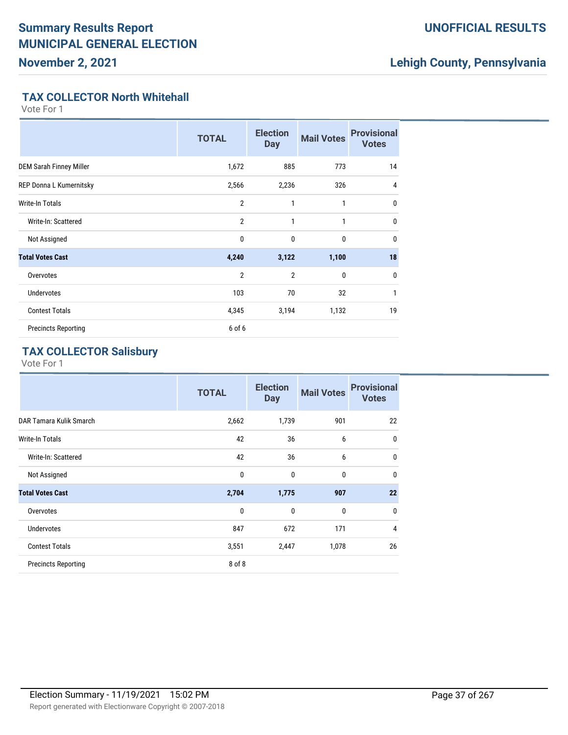### **UNOFFICIAL RESULTS**

## **Lehigh County, Pennsylvania**

#### **TAX COLLECTOR North Whitehall**

Vote For 1

|                                | <b>TOTAL</b>   | <b>Election</b><br><b>Day</b> | <b>Mail Votes</b> | <b>Provisional</b><br><b>Votes</b> |
|--------------------------------|----------------|-------------------------------|-------------------|------------------------------------|
| <b>DEM Sarah Finney Miller</b> | 1,672          | 885                           | 773               | 14                                 |
| REP Donna L Kumernitsky        | 2,566          | 2,236                         | 326               | 4                                  |
| Write-In Totals                | $\overline{2}$ | $\mathbf{1}$                  | $\mathbf{1}$      | $\mathbf{0}$                       |
| Write-In: Scattered            | $\overline{2}$ | $\mathbf{1}$                  | 1                 | $\mathbf{0}$                       |
| Not Assigned                   | $\mathbf{0}$   | $\mathbf{0}$                  | $\mathbf{0}$      | $\mathbf{0}$                       |
| <b>Total Votes Cast</b>        | 4,240          | 3,122                         | 1,100             | 18                                 |
| Overvotes                      | $\overline{2}$ | $\overline{2}$                | $\mathbf{0}$      | 0                                  |
| <b>Undervotes</b>              | 103            | 70                            | 32                | $\mathbf{1}$                       |
| <b>Contest Totals</b>          | 4,345          | 3,194                         | 1,132             | 19                                 |
| <b>Precincts Reporting</b>     | 6 of 6         |                               |                   |                                    |

### **TAX COLLECTOR Salisbury**

|                            | <b>TOTAL</b> | <b>Election</b><br><b>Day</b> | <b>Mail Votes</b> | <b>Provisional</b><br><b>Votes</b> |
|----------------------------|--------------|-------------------------------|-------------------|------------------------------------|
| DAR Tamara Kulik Smarch    | 2,662        | 1,739                         | 901               | 22                                 |
| <b>Write-In Totals</b>     | 42           | 36                            | 6                 | 0                                  |
| Write-In: Scattered        | 42           | 36                            | 6                 | $\mathbf{0}$                       |
| Not Assigned               | $\mathbf 0$  | $\mathbf 0$                   | 0                 | 0                                  |
| <b>Total Votes Cast</b>    | 2,704        | 1,775                         | 907               | 22                                 |
| Overvotes                  | 0            | $\mathbf{0}$                  | 0                 | 0                                  |
| <b>Undervotes</b>          | 847          | 672                           | 171               | 4                                  |
| <b>Contest Totals</b>      | 3,551        | 2,447                         | 1,078             | 26                                 |
| <b>Precincts Reporting</b> | 8 of 8       |                               |                   |                                    |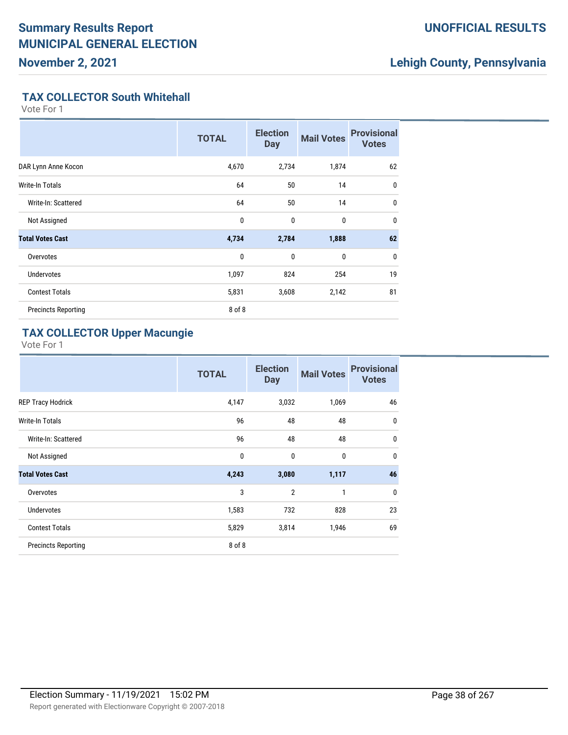### **UNOFFICIAL RESULTS**

## **Lehigh County, Pennsylvania**

#### **TAX COLLECTOR South Whitehall**

Vote For 1

|                            | <b>TOTAL</b> | <b>Election</b><br><b>Day</b> | <b>Mail Votes</b> | <b>Provisional</b><br><b>Votes</b> |
|----------------------------|--------------|-------------------------------|-------------------|------------------------------------|
| DAR Lynn Anne Kocon        | 4,670        | 2,734                         | 1,874             | 62                                 |
| Write-In Totals            | 64           | 50                            | 14                | $\mathbf{0}$                       |
| Write-In: Scattered        | 64           | 50                            | 14                | $\mathbf{0}$                       |
| Not Assigned               | 0            | 0                             | 0                 | $\mathbf{0}$                       |
| <b>Total Votes Cast</b>    | 4,734        | 2,784                         | 1,888             | 62                                 |
| Overvotes                  | $\mathbf{0}$ | $\mathbf 0$                   | 0                 | 0                                  |
| <b>Undervotes</b>          | 1,097        | 824                           | 254               | 19                                 |
| <b>Contest Totals</b>      | 5,831        | 3,608                         | 2,142             | 81                                 |
| <b>Precincts Reporting</b> | 8 of 8       |                               |                   |                                    |

## **TAX COLLECTOR Upper Macungie**

|                            | <b>TOTAL</b> | <b>Election</b><br><b>Day</b> | <b>Mail Votes</b> | <b>Provisional</b><br><b>Votes</b> |
|----------------------------|--------------|-------------------------------|-------------------|------------------------------------|
| <b>REP Tracy Hodrick</b>   | 4,147        | 3,032                         | 1,069             | 46                                 |
| <b>Write-In Totals</b>     | 96           | 48                            | 48                | $\mathbf{0}$                       |
| Write-In: Scattered        | 96           | 48                            | 48                | $\mathbf{0}$                       |
| Not Assigned               | $\mathbf 0$  | $\mathbf 0$                   | 0                 | $\mathbf{0}$                       |
| <b>Total Votes Cast</b>    | 4,243        | 3,080                         | 1,117             | 46                                 |
| Overvotes                  | 3            | $\overline{2}$                | $\mathbf{1}$      | $\mathbf{0}$                       |
| <b>Undervotes</b>          | 1,583        | 732                           | 828               | 23                                 |
| <b>Contest Totals</b>      | 5,829        | 3,814                         | 1,946             | 69                                 |
| <b>Precincts Reporting</b> | 8 of 8       |                               |                   |                                    |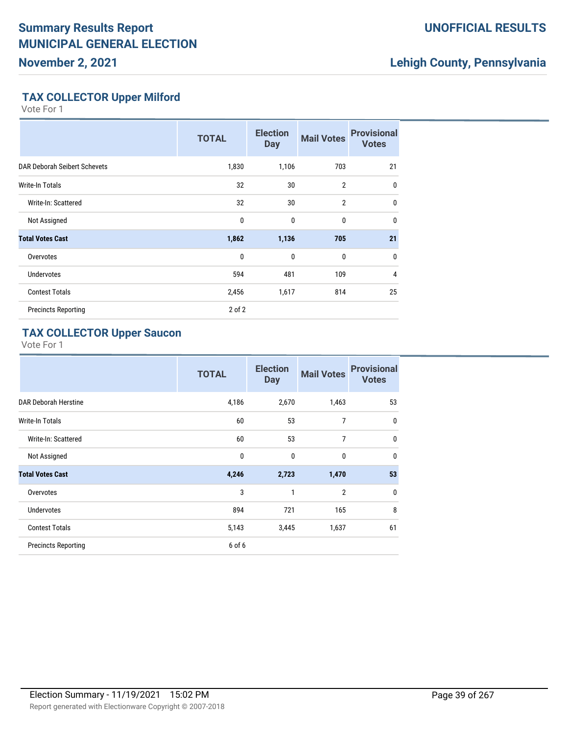## **UNOFFICIAL RESULTS**

## **Lehigh County, Pennsylvania**

### **TAX COLLECTOR Upper Milford**

Vote For 1

|                              | <b>TOTAL</b> | <b>Election</b><br><b>Day</b> | <b>Mail Votes</b> | <b>Provisional</b><br><b>Votes</b> |
|------------------------------|--------------|-------------------------------|-------------------|------------------------------------|
| DAR Deborah Seibert Schevets | 1,830        | 1,106                         | 703               | 21                                 |
| Write-In Totals              | 32           | 30                            | $\overline{2}$    | 0                                  |
| Write-In: Scattered          | 32           | 30                            | $\overline{2}$    | $\mathbf{0}$                       |
| Not Assigned                 | 0            | $\mathbf{0}$                  | 0                 | $\mathbf{0}$                       |
| <b>Total Votes Cast</b>      | 1,862        | 1,136                         | 705               | 21                                 |
| Overvotes                    | 0            | $\mathbf{0}$                  | 0                 | 0                                  |
| <b>Undervotes</b>            | 594          | 481                           | 109               | $\overline{4}$                     |
| <b>Contest Totals</b>        | 2,456        | 1,617                         | 814               | 25                                 |
| <b>Precincts Reporting</b>   | $2$ of $2$   |                               |                   |                                    |

## **TAX COLLECTOR Upper Saucon**

|                            | <b>TOTAL</b> | <b>Election</b><br><b>Day</b> | <b>Mail Votes</b> | <b>Provisional</b><br><b>Votes</b> |
|----------------------------|--------------|-------------------------------|-------------------|------------------------------------|
| DAR Deborah Herstine       | 4,186        | 2,670                         | 1,463             | 53                                 |
| <b>Write-In Totals</b>     | 60           | 53                            | 7                 | $\mathbf 0$                        |
| Write-In: Scattered        | 60           | 53                            | 7                 | $\mathbf{0}$                       |
| Not Assigned               | $\mathbf 0$  | $\mathbf 0$                   | $\mathbf{0}$      | $\mathbf{0}$                       |
| <b>Total Votes Cast</b>    | 4,246        | 2,723                         | 1,470             | 53                                 |
| Overvotes                  | 3            | 1                             | $\overline{2}$    | $\mathbf{0}$                       |
| <b>Undervotes</b>          | 894          | 721                           | 165               | 8                                  |
| <b>Contest Totals</b>      | 5,143        | 3,445                         | 1,637             | 61                                 |
| <b>Precincts Reporting</b> | 6 of 6       |                               |                   |                                    |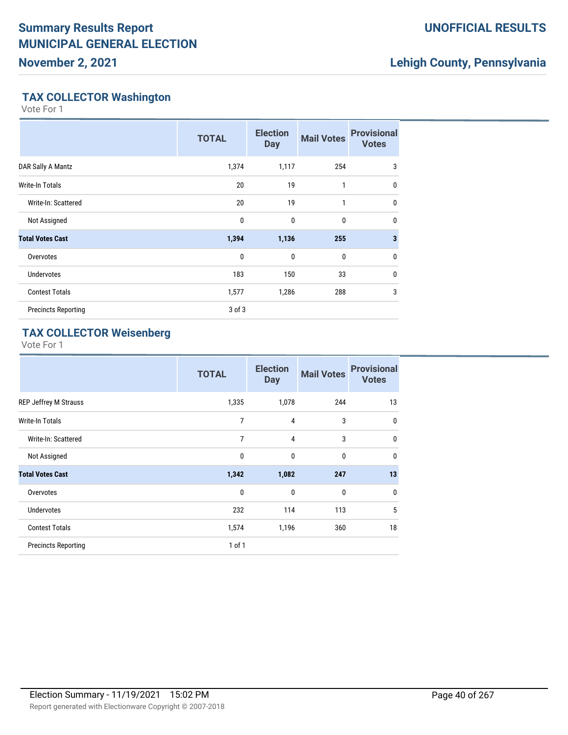**November 2, 2021**

## **UNOFFICIAL RESULTS**

## **Lehigh County, Pennsylvania**

## **TAX COLLECTOR Washington**

Vote For 1

|                            | <b>TOTAL</b> | <b>Election</b><br><b>Day</b> | <b>Mail Votes</b> | <b>Provisional</b><br><b>Votes</b> |
|----------------------------|--------------|-------------------------------|-------------------|------------------------------------|
| DAR Sally A Mantz          | 1,374        | 1,117                         | 254               | 3                                  |
| Write-In Totals            | 20           | 19                            | 1                 | 0                                  |
| Write-In: Scattered        | 20           | 19                            | 1                 | 0                                  |
| Not Assigned               | 0            | $\mathbf{0}$                  | $\bf{0}$          | 0                                  |
| <b>Total Votes Cast</b>    | 1,394        | 1,136                         | 255               | $\overline{\mathbf{3}}$            |
| Overvotes                  | $\mathbf 0$  | $\mathbf{0}$                  | $\mathbf 0$       | 0                                  |
| <b>Undervotes</b>          | 183          | 150                           | 33                | 0                                  |
| <b>Contest Totals</b>      | 1,577        | 1,286                         | 288               | 3                                  |
| <b>Precincts Reporting</b> | $3$ of $3$   |                               |                   |                                    |

## **TAX COLLECTOR Weisenberg**

|                              | <b>TOTAL</b> | <b>Election</b><br><b>Day</b> | <b>Mail Votes</b> | <b>Provisional</b><br><b>Votes</b> |
|------------------------------|--------------|-------------------------------|-------------------|------------------------------------|
| <b>REP Jeffrey M Strauss</b> | 1,335        | 1,078                         | 244               | 13                                 |
| <b>Write-In Totals</b>       | 7            | $\overline{4}$                | 3                 | 0                                  |
| Write-In: Scattered          | 7            | $\overline{4}$                | 3                 | 0                                  |
| Not Assigned                 | $\mathbf 0$  | $\mathbf{0}$                  | $\mathbf{0}$      | 0                                  |
| <b>Total Votes Cast</b>      | 1,342        | 1,082                         | 247               | 13                                 |
| Overvotes                    | 0            | $\mathbf{0}$                  | $\mathbf{0}$      | 0                                  |
| <b>Undervotes</b>            | 232          | 114                           | 113               | 5                                  |
| <b>Contest Totals</b>        | 1,574        | 1,196                         | 360               | 18                                 |
| <b>Precincts Reporting</b>   | $1$ of $1$   |                               |                   |                                    |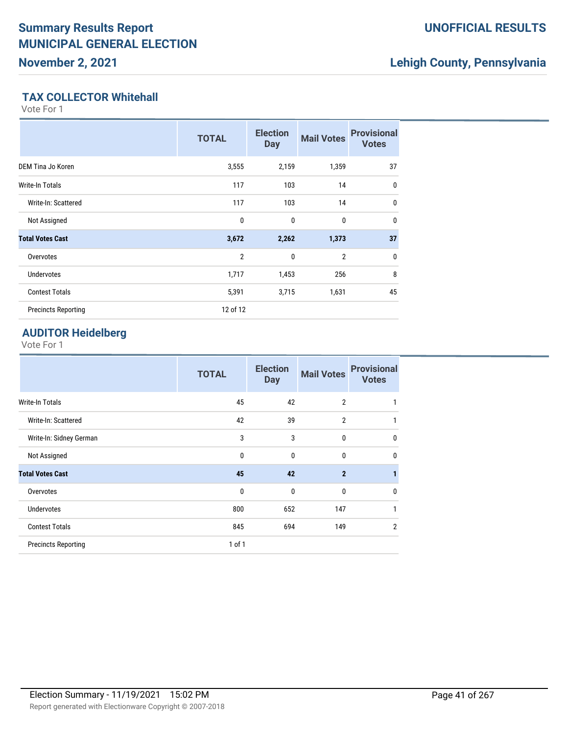### **UNOFFICIAL RESULTS**

## **Lehigh County, Pennsylvania**

### **TAX COLLECTOR Whitehall**

Vote For 1

|                            | <b>TOTAL</b>   | <b>Election</b><br><b>Day</b> | <b>Mail Votes</b> | <b>Provisional</b><br><b>Votes</b> |
|----------------------------|----------------|-------------------------------|-------------------|------------------------------------|
| DEM Tina Jo Koren          | 3,555          | 2,159                         | 1,359             | 37                                 |
| Write-In Totals            | 117            | 103                           | 14                | 0                                  |
| Write-In: Scattered        | 117            | 103                           | 14                | $\mathbf 0$                        |
| Not Assigned               | 0              | 0                             | 0                 | 0                                  |
| <b>Total Votes Cast</b>    | 3,672          | 2,262                         | 1,373             | 37                                 |
| Overvotes                  | $\overline{2}$ | 0                             | $\overline{2}$    | 0                                  |
| <b>Undervotes</b>          | 1,717          | 1,453                         | 256               | 8                                  |
| <b>Contest Totals</b>      | 5,391          | 3,715                         | 1,631             | 45                                 |
| <b>Precincts Reporting</b> | 12 of 12       |                               |                   |                                    |

## **AUDITOR Heidelberg**

|                            | <b>TOTAL</b> | <b>Election</b><br><b>Day</b> | <b>Mail Votes</b> | <b>Provisional</b><br><b>Votes</b> |
|----------------------------|--------------|-------------------------------|-------------------|------------------------------------|
| Write-In Totals            | 45           | 42                            | $\overline{2}$    | 1                                  |
| Write-In: Scattered        | 42           | 39                            | $\overline{2}$    | 1                                  |
| Write-In: Sidney German    | 3            | 3                             | 0                 | $\mathbf{0}$                       |
| Not Assigned               | $\mathbf{0}$ | $\mathbf{0}$                  | 0                 | $\mathbf{0}$                       |
| <b>Total Votes Cast</b>    | 45           | 42                            | $\overline{2}$    | 1                                  |
| Overvotes                  | 0            | 0                             | 0                 | 0                                  |
| <b>Undervotes</b>          | 800          | 652                           | 147               | 1                                  |
| <b>Contest Totals</b>      | 845          | 694                           | 149               | $\overline{2}$                     |
| <b>Precincts Reporting</b> | $1$ of $1$   |                               |                   |                                    |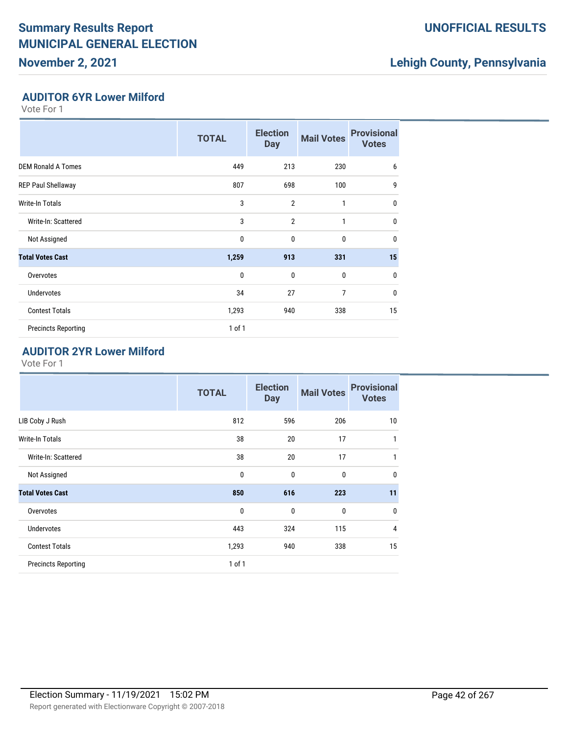## **November 2, 2021**

## **UNOFFICIAL RESULTS**

## **Lehigh County, Pennsylvania**

### **AUDITOR 6YR Lower Milford**

Vote For 1

|                            | <b>TOTAL</b> | <b>Election</b><br><b>Day</b> | <b>Mail Votes</b> | <b>Provisional</b><br><b>Votes</b> |
|----------------------------|--------------|-------------------------------|-------------------|------------------------------------|
| <b>DEM Ronald A Tomes</b>  | 449          | 213                           | 230               | 6                                  |
| REP Paul Shellaway         | 807          | 698                           | 100               | 9                                  |
| Write-In Totals            | 3            | $\overline{2}$                | 1                 | $\mathbf{0}$                       |
| Write-In: Scattered        | 3            | $\overline{2}$                | $\mathbf{1}$      | 0                                  |
| Not Assigned               | $\mathbf{0}$ | $\mathbf{0}$                  | $\mathbf{0}$      | 0                                  |
| <b>Total Votes Cast</b>    | 1,259        | 913                           | 331               | 15                                 |
| Overvotes                  | $\mathbf{0}$ | $\mathbf{0}$                  | $\mathbf{0}$      | 0                                  |
| <b>Undervotes</b>          | 34           | 27                            | $\overline{7}$    | 0                                  |
| <b>Contest Totals</b>      | 1,293        | 940                           | 338               | 15                                 |
| <b>Precincts Reporting</b> | 1 of 1       |                               |                   |                                    |

### **AUDITOR 2YR Lower Milford**

|                            | <b>TOTAL</b> | <b>Election</b><br><b>Day</b> | <b>Mail Votes</b> | <b>Provisional</b><br><b>Votes</b> |
|----------------------------|--------------|-------------------------------|-------------------|------------------------------------|
| LIB Coby J Rush            | 812          | 596                           | 206               | 10                                 |
| Write-In Totals            | 38           | 20                            | 17                | 1                                  |
| Write-In: Scattered        | 38           | 20                            | 17                | 1                                  |
| Not Assigned               | $\mathbf 0$  | $\mathbf{0}$                  | 0                 | $\mathbf 0$                        |
| <b>Total Votes Cast</b>    | 850          | 616                           | 223               | 11                                 |
| Overvotes                  | $\mathbf{0}$ | $\mathbf{0}$                  | 0                 | $\mathbf{0}$                       |
| <b>Undervotes</b>          | 443          | 324                           | 115               | $\overline{4}$                     |
| <b>Contest Totals</b>      | 1,293        | 940                           | 338               | 15                                 |
| <b>Precincts Reporting</b> | $1$ of $1$   |                               |                   |                                    |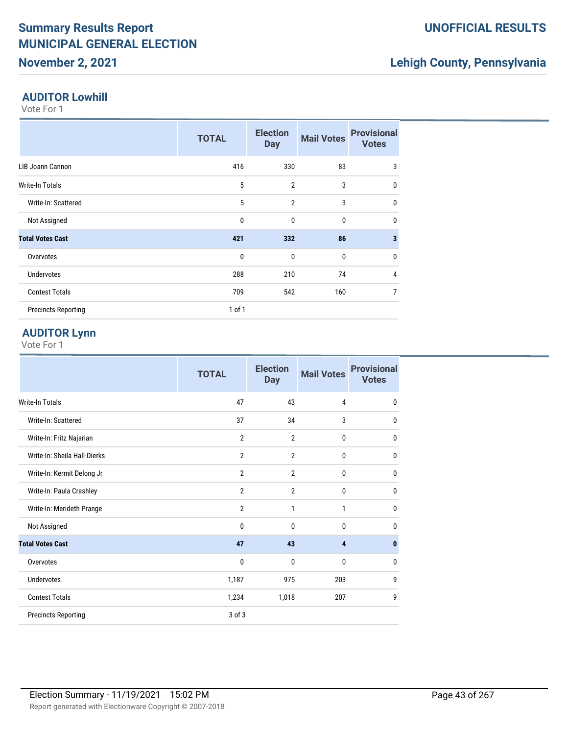## **November 2, 2021**

## **Lehigh County, Pennsylvania**

#### **AUDITOR Lowhill**

Vote For 1

|                            | <b>TOTAL</b> | <b>Election</b><br><b>Day</b> | <b>Mail Votes</b> | <b>Provisional</b><br><b>Votes</b> |
|----------------------------|--------------|-------------------------------|-------------------|------------------------------------|
| LIB Joann Cannon           | 416          | 330                           | 83                | 3                                  |
| <b>Write-In Totals</b>     | 5            | $\overline{2}$                | 3                 | 0                                  |
| Write-In: Scattered        | 5            | $\overline{2}$                | 3                 | 0                                  |
| Not Assigned               | $\mathbf 0$  | $\mathbf{0}$                  | $\mathbf{0}$      | 0                                  |
| <b>Total Votes Cast</b>    | 421          | 332                           | 86                | 3                                  |
| Overvotes                  | $\mathbf 0$  | $\mathbf{0}$                  | $\mathbf{0}$      | $\mathbf 0$                        |
| <b>Undervotes</b>          | 288          | 210                           | 74                | 4                                  |
| <b>Contest Totals</b>      | 709          | 542                           | 160               | 7                                  |
| <b>Precincts Reporting</b> | $1$ of $1$   |                               |                   |                                    |

## **AUDITOR Lynn**

|                              | <b>TOTAL</b>   | <b>Election</b><br><b>Day</b> | <b>Mail Votes</b>       | <b>Provisional</b><br><b>Votes</b> |
|------------------------------|----------------|-------------------------------|-------------------------|------------------------------------|
| <b>Write-In Totals</b>       | 47             | 43                            | $\overline{4}$          | $\mathbf 0$                        |
| Write-In: Scattered          | 37             | 34                            | 3                       | 0                                  |
| Write-In: Fritz Najarian     | $\overline{2}$ | $\overline{2}$                | 0                       | 0                                  |
| Write-In: Sheila Hall-Dierks | $\overline{2}$ | $\overline{2}$                | 0                       | 0                                  |
| Write-In: Kermit Delong Jr   | $\overline{2}$ | $\overline{2}$                | $\mathbf{0}$            | $\mathbf{0}$                       |
| Write-In: Paula Crashley     | $\overline{2}$ | $\overline{2}$                | 0                       | 0                                  |
| Write-In: Merideth Prange    | $\overline{2}$ | 1                             | 1                       | $\mathbf{0}$                       |
| Not Assigned                 | 0              | $\mathbf{0}$                  | 0                       | $\mathbf{0}$                       |
| <b>Total Votes Cast</b>      | 47             | 43                            | $\overline{\mathbf{4}}$ | $\mathbf{0}$                       |
| Overvotes                    | 0              | 0                             | 0                       | 0                                  |
| Undervotes                   | 1,187          | 975                           | 203                     | 9                                  |
| <b>Contest Totals</b>        | 1,234          | 1,018                         | 207                     | 9                                  |
| <b>Precincts Reporting</b>   | 3 of 3         |                               |                         |                                    |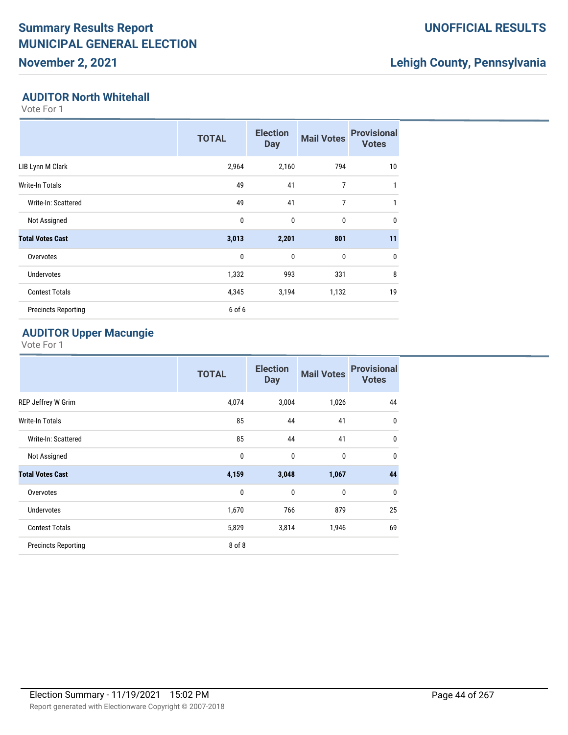## **November 2, 2021**

## **UNOFFICIAL RESULTS**

## **Lehigh County, Pennsylvania**

#### **AUDITOR North Whitehall**

Vote For 1

|                            | <b>TOTAL</b> | <b>Election</b><br><b>Day</b> | <b>Mail Votes</b> | <b>Provisional</b><br><b>Votes</b> |
|----------------------------|--------------|-------------------------------|-------------------|------------------------------------|
| LIB Lynn M Clark           | 2,964        | 2,160                         | 794               | 10                                 |
| Write-In Totals            | 49           | 41                            | 7                 | $\mathbf{1}$                       |
| Write-In: Scattered        | 49           | 41                            | $\overline{7}$    | 1                                  |
| Not Assigned               | $\mathbf{0}$ | $\mathbf{0}$                  | $\mathbf 0$       | 0                                  |
| <b>Total Votes Cast</b>    | 3,013        | 2,201                         | 801               | 11                                 |
| Overvotes                  | $\mathbf{0}$ | $\mathbf{0}$                  | $\mathbf 0$       | 0                                  |
| <b>Undervotes</b>          | 1,332        | 993                           | 331               | 8                                  |
| <b>Contest Totals</b>      | 4,345        | 3,194                         | 1,132             | 19                                 |
| <b>Precincts Reporting</b> | 6 of 6       |                               |                   |                                    |

## **AUDITOR Upper Macungie**

|                            | <b>TOTAL</b> | <b>Election</b><br><b>Day</b> | <b>Mail Votes</b> | <b>Provisional</b><br><b>Votes</b> |
|----------------------------|--------------|-------------------------------|-------------------|------------------------------------|
| REP Jeffrey W Grim         | 4,074        | 3,004                         | 1,026             | 44                                 |
| Write-In Totals            | 85           | 44                            | 41                | $\mathbf{0}$                       |
| Write-In: Scattered        | 85           | 44                            | 41                | $\mathbf{0}$                       |
| Not Assigned               | $\mathbf{0}$ | $\mathbf{0}$                  | 0                 | $\mathbf{0}$                       |
| <b>Total Votes Cast</b>    | 4,159        | 3,048                         | 1,067             | 44                                 |
| Overvotes                  | $\mathbf 0$  | $\mathbf{0}$                  | 0                 | $\mathbf{0}$                       |
| Undervotes                 | 1,670        | 766                           | 879               | 25                                 |
| <b>Contest Totals</b>      | 5,829        | 3,814                         | 1,946             | 69                                 |
| <b>Precincts Reporting</b> | 8 of 8       |                               |                   |                                    |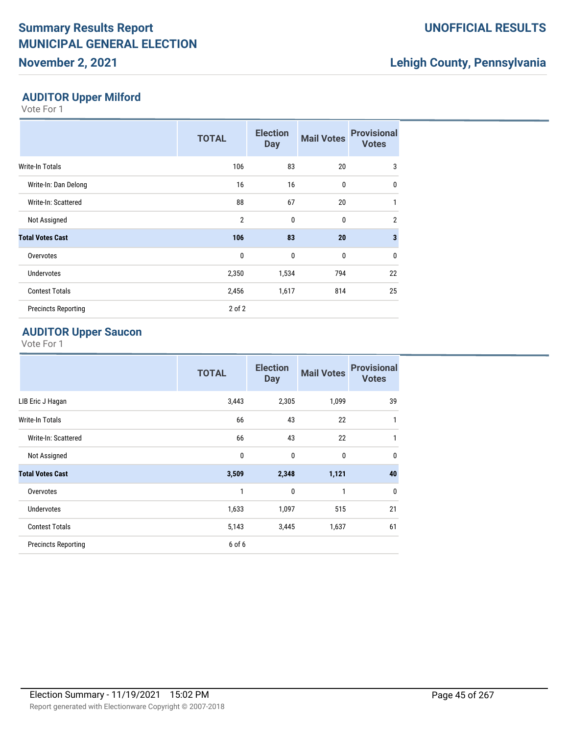## **November 2, 2021**

## **UNOFFICIAL RESULTS**

## **Lehigh County, Pennsylvania**

### **AUDITOR Upper Milford**

Vote For 1

|                            | <b>TOTAL</b>   | <b>Election</b><br><b>Day</b> | <b>Mail Votes</b> | <b>Provisional</b><br><b>Votes</b> |
|----------------------------|----------------|-------------------------------|-------------------|------------------------------------|
| Write-In Totals            | 106            | 83                            | 20                | 3                                  |
| Write-In: Dan Delong       | 16             | 16                            | $\mathbf 0$       | $\mathbf{0}$                       |
| Write-In: Scattered        | 88             | 67                            | 20                | 1                                  |
| Not Assigned               | $\overline{2}$ | $\mathbf{0}$                  | $\mathbf 0$       | $\overline{2}$                     |
| <b>Total Votes Cast</b>    | 106            | 83                            | 20                | 3                                  |
| Overvotes                  | 0              | $\mathbf{0}$                  | $\mathbf{0}$      | $\mathbf{0}$                       |
| <b>Undervotes</b>          | 2,350          | 1,534                         | 794               | 22                                 |
| <b>Contest Totals</b>      | 2,456          | 1,617                         | 814               | 25                                 |
| <b>Precincts Reporting</b> | $2$ of $2$     |                               |                   |                                    |

#### **AUDITOR Upper Saucon**

|                            | <b>TOTAL</b> | <b>Election</b><br><b>Day</b> | <b>Mail Votes</b> | <b>Provisional</b><br><b>Votes</b> |
|----------------------------|--------------|-------------------------------|-------------------|------------------------------------|
| LIB Eric J Hagan           | 3,443        | 2,305                         | 1,099             | 39                                 |
| Write-In Totals            | 66           | 43                            | 22                | 1                                  |
| Write-In: Scattered        | 66           | 43                            | 22                | 1                                  |
| Not Assigned               | $\mathbf{0}$ | $\mathbf 0$                   | $\mathbf 0$       | $\mathbf{0}$                       |
| <b>Total Votes Cast</b>    | 3,509        | 2,348                         | 1,121             | 40                                 |
| Overvotes                  | 1            | $\mathbf{0}$                  | $\mathbf{1}$      | $\mathbf{0}$                       |
| <b>Undervotes</b>          | 1,633        | 1,097                         | 515               | 21                                 |
| <b>Contest Totals</b>      | 5,143        | 3,445                         | 1,637             | 61                                 |
| <b>Precincts Reporting</b> | 6 of 6       |                               |                   |                                    |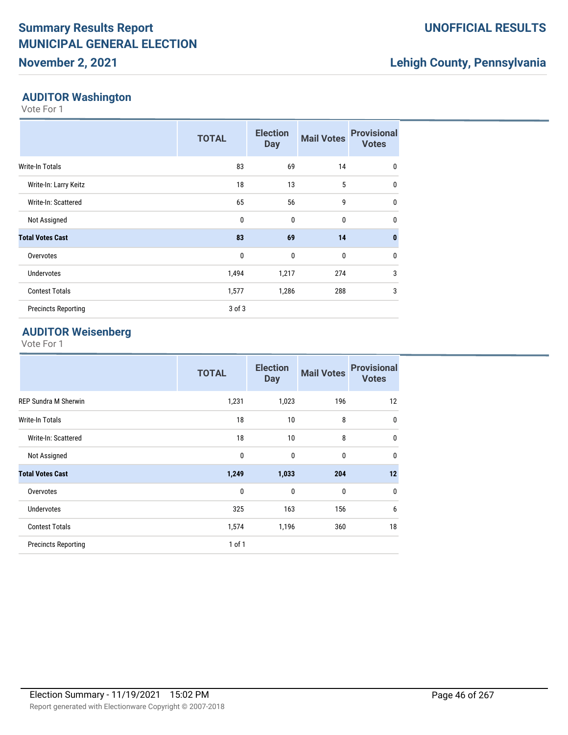## **Lehigh County, Pennsylvania**

#### **AUDITOR Washington**

Vote For 1

|                            | <b>TOTAL</b> | <b>Election</b><br><b>Day</b> | <b>Mail Votes</b> | <b>Provisional</b><br><b>Votes</b> |
|----------------------------|--------------|-------------------------------|-------------------|------------------------------------|
| Write-In Totals            | 83           | 69                            | 14                | $\mathbf{0}$                       |
| Write-In: Larry Keitz      | 18           | 13                            | 5                 | $\mathbf{0}$                       |
| Write-In: Scattered        | 65           | 56                            | 9                 | $\mathbf{0}$                       |
| Not Assigned               | $\mathbf{0}$ | 0                             | 0                 | $\mathbf{0}$                       |
| <b>Total Votes Cast</b>    | 83           | 69                            | 14                | $\mathbf{0}$                       |
| Overvotes                  | $\mathbf 0$  | 0                             | 0                 | $\mathbf{0}$                       |
| <b>Undervotes</b>          | 1,494        | 1,217                         | 274               | 3                                  |
| <b>Contest Totals</b>      | 1,577        | 1,286                         | 288               | 3                                  |
| <b>Precincts Reporting</b> | $3$ of $3$   |                               |                   |                                    |

#### **AUDITOR Weisenberg**

|                             | <b>TOTAL</b> | <b>Election</b><br><b>Day</b> | <b>Mail Votes</b> | <b>Provisional</b><br><b>Votes</b> |
|-----------------------------|--------------|-------------------------------|-------------------|------------------------------------|
| <b>REP Sundra M Sherwin</b> | 1,231        | 1,023                         | 196               | 12                                 |
| Write-In Totals             | 18           | 10                            | 8                 | 0                                  |
| Write-In: Scattered         | 18           | 10                            | 8                 | 0                                  |
| Not Assigned                | 0            | $\mathbf{0}$                  | $\mathbf{0}$      | $\mathbf{0}$                       |
| <b>Total Votes Cast</b>     | 1,249        | 1,033                         | 204               | 12                                 |
| Overvotes                   | 0            | $\mathbf{0}$                  | $\mathbf 0$       | $\mathbf{0}$                       |
| <b>Undervotes</b>           | 325          | 163                           | 156               | 6                                  |
| <b>Contest Totals</b>       | 1,574        | 1,196                         | 360               | 18                                 |
| <b>Precincts Reporting</b>  | $1$ of $1$   |                               |                   |                                    |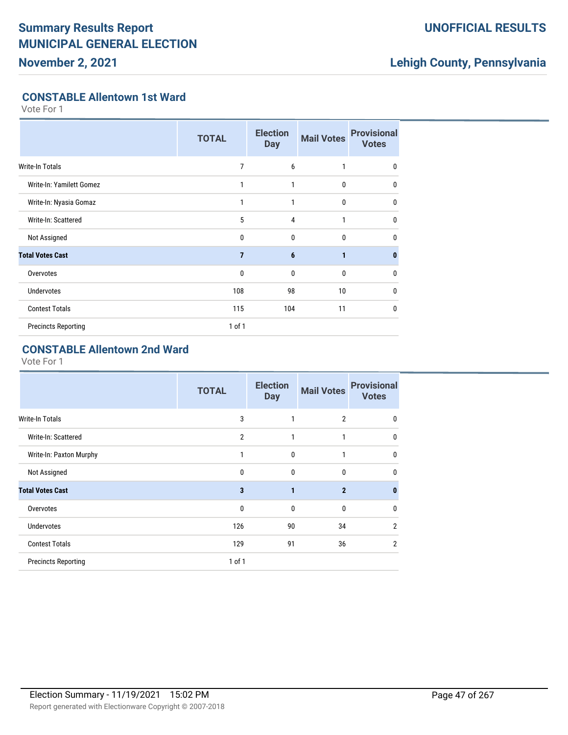**November 2, 2021**

## **UNOFFICIAL RESULTS**

## **Lehigh County, Pennsylvania**

### **CONSTABLE Allentown 1st Ward**

Vote For 1

|                            | <b>TOTAL</b>   | <b>Election</b><br><b>Day</b> | <b>Mail Votes</b> | <b>Provisional</b><br><b>Votes</b> |
|----------------------------|----------------|-------------------------------|-------------------|------------------------------------|
| <b>Write-In Totals</b>     | 7              | 6                             | 1                 | $\mathbf{0}$                       |
| Write-In: Yamilett Gomez   | 1              | 1                             | 0                 | $\mathbf{0}$                       |
| Write-In: Nyasia Gomaz     | 1              | 1                             | $\mathbf{0}$      | $\mathbf{0}$                       |
| Write-In: Scattered        | 5              | $\overline{4}$                | 1                 | $\mathbf 0$                        |
| Not Assigned               | $\Omega$       | $\mathbf{0}$                  | $\theta$          | 0                                  |
| <b>Total Votes Cast</b>    | $\overline{7}$ | 6                             | 1                 | $\mathbf{0}$                       |
| Overvotes                  | 0              | $\mathbf{0}$                  | 0                 | 0                                  |
| Undervotes                 | 108            | 98                            | 10                | $\mathbf{0}$                       |
| <b>Contest Totals</b>      | 115            | 104                           | 11                | 0                                  |
| <b>Precincts Reporting</b> | $1$ of $1$     |                               |                   |                                    |

## **CONSTABLE Allentown 2nd Ward**

|                            | <b>TOTAL</b>   | <b>Election</b><br><b>Day</b> | <b>Mail Votes</b> | <b>Provisional</b><br><b>Votes</b> |
|----------------------------|----------------|-------------------------------|-------------------|------------------------------------|
| <b>Write-In Totals</b>     | 3              | 1                             | $\overline{2}$    | 0                                  |
| Write-In: Scattered        | $\overline{2}$ | 1                             | 1                 | $\mathbf 0$                        |
| Write-In: Paxton Murphy    | 1              | 0                             | 1                 | $\mathbf{0}$                       |
| Not Assigned               | $\mathbf{0}$   | $\mathbf{0}$                  | $\mathbf{0}$      | 0                                  |
| <b>Total Votes Cast</b>    | 3              | $\mathbf{1}$                  | $\overline{2}$    | $\bf{0}$                           |
| Overvotes                  | 0              | $\mathbf{0}$                  | $\mathbf{0}$      | 0                                  |
| Undervotes                 | 126            | 90                            | 34                | $\overline{2}$                     |
| <b>Contest Totals</b>      | 129            | 91                            | 36                | $\overline{2}$                     |
| <b>Precincts Reporting</b> | $1$ of $1$     |                               |                   |                                    |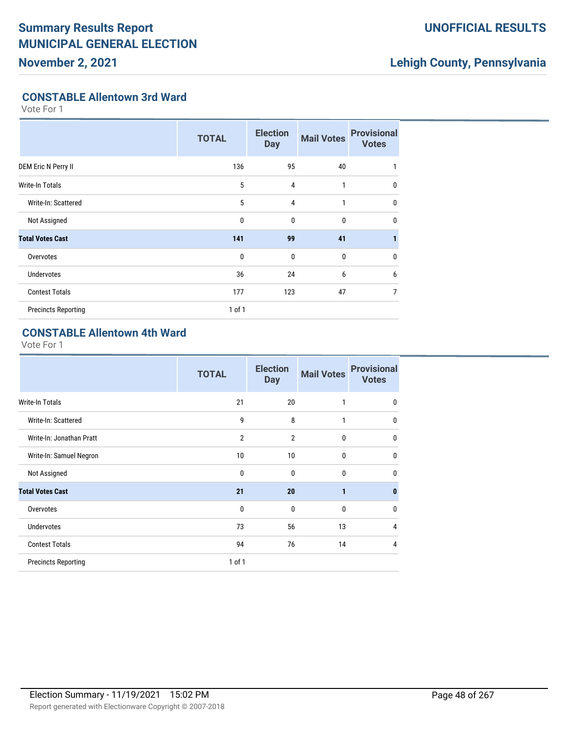**November 2, 2021**

## **UNOFFICIAL RESULTS**

## **Lehigh County, Pennsylvania**

### **CONSTABLE Allentown 3rd Ward**

Vote For 1

|                            | <b>TOTAL</b> | <b>Election</b><br><b>Day</b> | <b>Mail Votes</b> | <b>Provisional</b><br><b>Votes</b> |
|----------------------------|--------------|-------------------------------|-------------------|------------------------------------|
| DEM Eric N Perry II        | 136          | 95                            | 40                | 1                                  |
| Write-In Totals            | 5            | $\overline{4}$                | 1                 | $\mathbf{0}$                       |
| Write-In: Scattered        | 5            | 4                             | 1                 | $\mathbf 0$                        |
| Not Assigned               | 0            | $\mathbf{0}$                  | $\bf{0}$          | $\mathbf 0$                        |
| <b>Total Votes Cast</b>    | 141          | 99                            | 41                |                                    |
| Overvotes                  | $\mathbf 0$  | $\mathbf{0}$                  | 0                 | $\mathbf 0$                        |
| <b>Undervotes</b>          | 36           | 24                            | 6                 | 6                                  |
| <b>Contest Totals</b>      | 177          | 123                           | 47                | 7                                  |
| <b>Precincts Reporting</b> | $1$ of $1$   |                               |                   |                                    |

## **CONSTABLE Allentown 4th Ward**

|                            | <b>TOTAL</b>   | <b>Election</b><br><b>Day</b> | <b>Mail Votes</b> | <b>Provisional</b><br><b>Votes</b> |
|----------------------------|----------------|-------------------------------|-------------------|------------------------------------|
| Write-In Totals            | 21             | 20                            | 1                 | 0                                  |
| Write-In: Scattered        | 9              | 8                             | 1                 | $\mathbf 0$                        |
| Write-In: Jonathan Pratt   | $\overline{2}$ | $\overline{2}$                | 0                 | $\mathbf 0$                        |
| Write-In: Samuel Negron    | 10             | 10                            | 0                 | $\mathbf{0}$                       |
| Not Assigned               | $\mathbf 0$    | $\mathbf{0}$                  | $\mathbf 0$       | $\mathbf{0}$                       |
| <b>Total Votes Cast</b>    | 21             | 20                            | 1                 | $\bf{0}$                           |
| Overvotes                  | 0              | 0                             | $\mathbf 0$       | $\mathbf{0}$                       |
| <b>Undervotes</b>          | 73             | 56                            | 13                | $\overline{4}$                     |
| <b>Contest Totals</b>      | 94             | 76                            | 14                | $\overline{4}$                     |
| <b>Precincts Reporting</b> | 1 of 1         |                               |                   |                                    |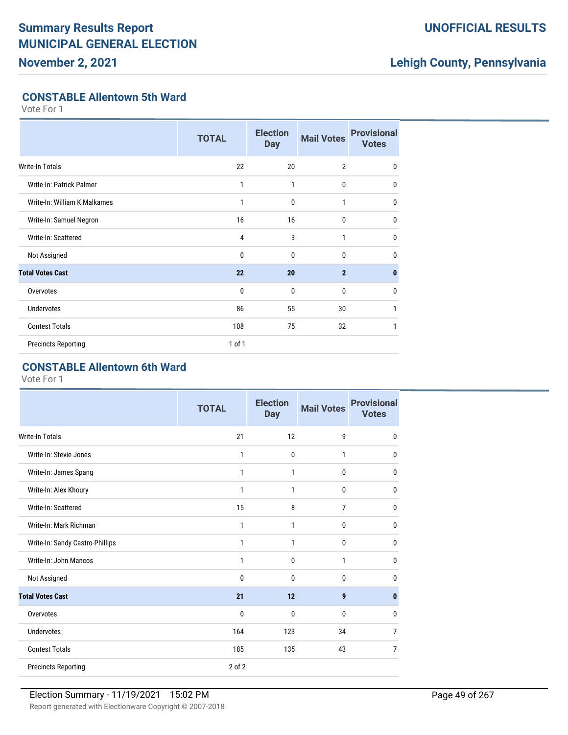**November 2, 2021**

## **UNOFFICIAL RESULTS**

## **Lehigh County, Pennsylvania**

#### **CONSTABLE Allentown 5th Ward**

Vote For 1

|                              | <b>TOTAL</b> | <b>Election</b><br><b>Day</b> | <b>Mail Votes</b> | <b>Provisional</b><br><b>Votes</b> |
|------------------------------|--------------|-------------------------------|-------------------|------------------------------------|
| Write-In Totals              | 22           | 20                            | $\overline{2}$    | $\mathbf{0}$                       |
| Write-In: Patrick Palmer     | 1            | 1                             | $\mathbf{0}$      | $\mathbf{0}$                       |
| Write-In: William K Malkames | 1            | $\mathbf{0}$                  | 1                 | $\mathbf{0}$                       |
| Write-In: Samuel Negron      | 16           | 16                            | $\bf{0}$          | $\mathbf{0}$                       |
| Write-In: Scattered          | 4            | 3                             | 1                 | $\mathbf{0}$                       |
| Not Assigned                 | $\mathbf{0}$ | $\mathbf{0}$                  | $\mathbf{0}$      | $\mathbf{0}$                       |
| <b>Total Votes Cast</b>      | 22           | 20                            | $\overline{2}$    | $\mathbf{0}$                       |
| Overvotes                    | $\mathbf{0}$ | $\mathbf{0}$                  | $\mathbf{0}$      | $\mathbf 0$                        |
| Undervotes                   | 86           | 55                            | 30                | 1                                  |
| <b>Contest Totals</b>        | 108          | 75                            | 32                | 1                                  |
| <b>Precincts Reporting</b>   | $1$ of $1$   |                               |                   |                                    |

### **CONSTABLE Allentown 6th Ward**

|                                 | <b>TOTAL</b> | <b>Election</b><br><b>Day</b> | <b>Mail Votes</b> | <b>Provisional</b><br><b>Votes</b> |
|---------------------------------|--------------|-------------------------------|-------------------|------------------------------------|
| <b>Write-In Totals</b>          | 21           | 12                            | 9                 | $\mathbf{0}$                       |
| Write-In: Stevie Jones          | 1            | $\mathbf{0}$                  | 1                 | $\mathbf{0}$                       |
| Write-In: James Spang           | 1            | $\mathbf{1}$                  | 0                 | $\mathbf{0}$                       |
| Write-In: Alex Khoury           | $\mathbf{1}$ | 1                             | 0                 | 0                                  |
| Write-In: Scattered             | 15           | 8                             | $\overline{7}$    | $\mathbf{0}$                       |
| Write-In: Mark Richman          | 1            | $\mathbf{1}$                  | 0                 | 0                                  |
| Write-In: Sandy Castro-Phillips | 1            | 1                             | 0                 | 0                                  |
| Write-In: John Mancos           | $\mathbf{1}$ | $\mathbf{0}$                  | 1                 | $\mathbf{0}$                       |
| Not Assigned                    | $\Omega$     | $\Omega$                      | $\Omega$          | $\mathbf{0}$                       |
| <b>Total Votes Cast</b>         | 21           | 12                            | 9                 | $\mathbf{0}$                       |
| Overvotes                       | $\mathbf{0}$ | 0                             | 0                 | $\mathbf{0}$                       |
| Undervotes                      | 164          | 123                           | 34                | 7                                  |
| <b>Contest Totals</b>           | 185          | 135                           | 43                | $\overline{7}$                     |
| <b>Precincts Reporting</b>      | 2 of 2       |                               |                   |                                    |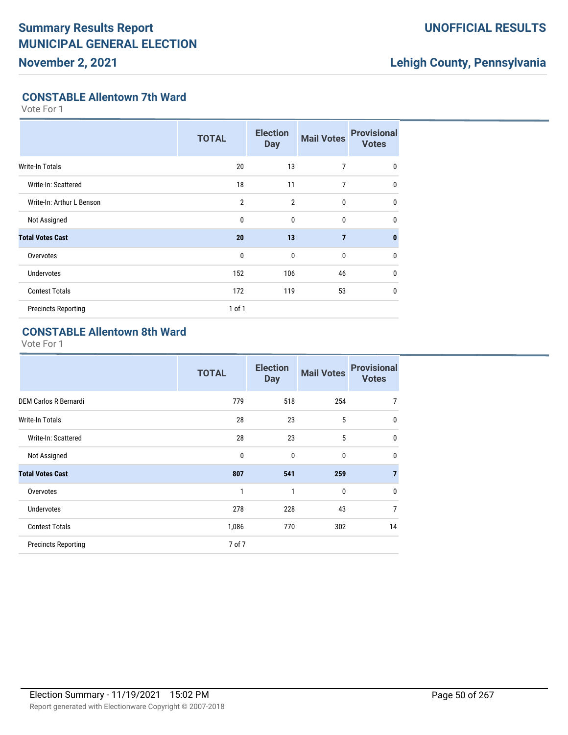**November 2, 2021**

## **UNOFFICIAL RESULTS**

## **Lehigh County, Pennsylvania**

### **CONSTABLE Allentown 7th Ward**

Vote For 1

|                            | <b>TOTAL</b>   | <b>Election</b><br><b>Day</b> | <b>Mail Votes</b> | <b>Provisional</b><br><b>Votes</b> |
|----------------------------|----------------|-------------------------------|-------------------|------------------------------------|
| <b>Write-In Totals</b>     | 20             | 13                            | 7                 | 0                                  |
| Write-In: Scattered        | 18             | 11                            | 7                 | $\mathbf{0}$                       |
| Write-In: Arthur L Benson  | $\overline{2}$ | $\overline{2}$                | $\mathbf{0}$      | $\mathbf{0}$                       |
| Not Assigned               | 0              | 0                             | $\bf{0}$          | $\mathbf{0}$                       |
| <b>Total Votes Cast</b>    | 20             | 13                            | $\overline{7}$    | $\mathbf{0}$                       |
| Overvotes                  | 0              | $\mathbf{0}$                  | $\bf{0}$          | $\mathbf{0}$                       |
| <b>Undervotes</b>          | 152            | 106                           | 46                | $\mathbf{0}$                       |
| <b>Contest Totals</b>      | 172            | 119                           | 53                | $\mathbf{0}$                       |
| <b>Precincts Reporting</b> | $1$ of $1$     |                               |                   |                                    |

#### **CONSTABLE Allentown 8th Ward**

|                              | <b>TOTAL</b> | <b>Election</b><br><b>Day</b> | <b>Mail Votes</b> | <b>Provisional</b><br><b>Votes</b> |
|------------------------------|--------------|-------------------------------|-------------------|------------------------------------|
| <b>DEM Carlos R Bernardi</b> | 779          | 518                           | 254               | 7                                  |
| Write-In Totals              | 28           | 23                            | 5                 | $\mathbf{0}$                       |
| Write-In: Scattered          | 28           | 23                            | 5                 | $\mathbf{0}$                       |
| Not Assigned                 | $\mathbf{0}$ | $\mathbf{0}$                  | $\mathbf{0}$      | $\mathbf{0}$                       |
| <b>Total Votes Cast</b>      | 807          | 541                           | 259               | $\overline{7}$                     |
| Overvotes                    | 1            | 1                             | $\mathbf{0}$      | $\mathbf{0}$                       |
| <b>Undervotes</b>            | 278          | 228                           | 43                | $\overline{7}$                     |
| <b>Contest Totals</b>        | 1,086        | 770                           | 302               | 14                                 |
| <b>Precincts Reporting</b>   | 7 of 7       |                               |                   |                                    |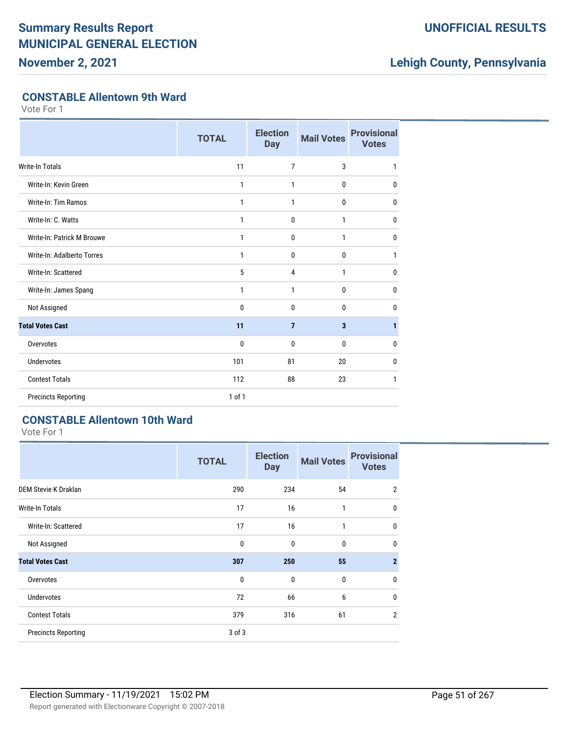**November 2, 2021**

## **UNOFFICIAL RESULTS**

## **Lehigh County, Pennsylvania**

### **CONSTABLE Allentown 9th Ward**

Vote For 1

|                            | <b>TOTAL</b> | <b>Election</b><br><b>Day</b> | <b>Mail Votes</b> | <b>Provisional</b><br><b>Votes</b> |
|----------------------------|--------------|-------------------------------|-------------------|------------------------------------|
| <b>Write-In Totals</b>     | 11           | $\overline{7}$                | 3                 | 1                                  |
| Write-In: Kevin Green      | 1            | 1                             | 0                 | 0                                  |
| Write-In: Tim Ramos        | 1            | 1                             | 0                 | 0                                  |
| Write-In: C. Watts         | 1            | 0                             | 1                 | 0                                  |
| Write-In: Patrick M Brouwe | 1            | 0                             | 1                 | $\mathbf{0}$                       |
| Write-In: Adalberto Torres | 1            | 0                             | 0                 | 1                                  |
| Write-In: Scattered        | 5            | 4                             | 1                 | $\mathbf{0}$                       |
| Write-In: James Spang      | 1            | 1                             | 0                 | 0                                  |
| Not Assigned               | 0            | 0                             | 0                 | $\mathbf{0}$                       |
| <b>Total Votes Cast</b>    | 11           | $\overline{7}$                | 3                 | 1                                  |
| Overvotes                  | 0            | 0                             | 0                 | 0                                  |
| <b>Undervotes</b>          | 101          | 81                            | 20                | 0                                  |
| <b>Contest Totals</b>      | 112          | 88                            | 23                | 1                                  |
| <b>Precincts Reporting</b> | 1 of 1       |                               |                   |                                    |

## **CONSTABLE Allentown 10th Ward**

|                             | <b>TOTAL</b> | <b>Election</b><br><b>Day</b> | <b>Mail Votes</b> | <b>Provisional</b><br><b>Votes</b> |
|-----------------------------|--------------|-------------------------------|-------------------|------------------------------------|
| <b>DEM Stevie K Draklan</b> | 290          | 234                           | 54                | $\overline{2}$                     |
| <b>Write-In Totals</b>      | 17           | 16                            | 1                 | 0                                  |
| Write-In: Scattered         | 17           | 16                            | 1                 | 0                                  |
| Not Assigned                | $\mathbf 0$  | 0                             | 0                 | 0                                  |
| <b>Total Votes Cast</b>     | 307          | 250                           | 55                | $\overline{2}$                     |
| Overvotes                   | $\mathbf{0}$ | $\mathbf{0}$                  | $\mathbf{0}$      | 0                                  |
| <b>Undervotes</b>           | 72           | 66                            | 6                 | 0                                  |
| <b>Contest Totals</b>       | 379          | 316                           | 61                | $\overline{2}$                     |
| <b>Precincts Reporting</b>  | 3 of 3       |                               |                   |                                    |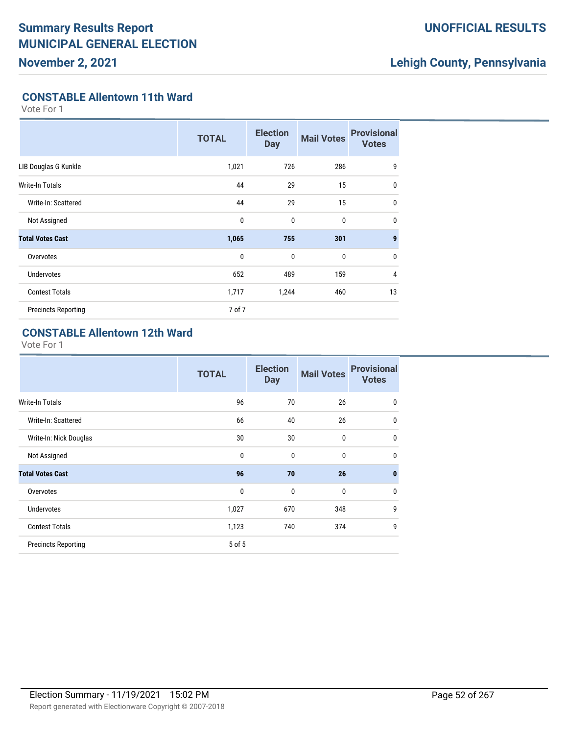### **UNOFFICIAL RESULTS**

## **Lehigh County, Pennsylvania**

#### **CONSTABLE Allentown 11th Ward**

Vote For 1

|                            | <b>TOTAL</b> | <b>Election</b><br><b>Day</b> | <b>Mail Votes</b> | <b>Provisional</b><br><b>Votes</b> |
|----------------------------|--------------|-------------------------------|-------------------|------------------------------------|
| LIB Douglas G Kunkle       | 1,021        | 726                           | 286               | 9                                  |
| Write-In Totals            | 44           | 29                            | 15                | $\mathbf{0}$                       |
| Write-In: Scattered        | 44           | 29                            | 15                | $\mathbf{0}$                       |
| Not Assigned               | $\mathbf{0}$ | 0                             | 0                 | $\mathbf{0}$                       |
| <b>Total Votes Cast</b>    | 1,065        | 755                           | 301               | $\boldsymbol{9}$                   |
| Overvotes                  | $\mathbf{0}$ | $\mathbf 0$                   | 0                 | $\mathbf{0}$                       |
| <b>Undervotes</b>          | 652          | 489                           | 159               | $\overline{4}$                     |
| <b>Contest Totals</b>      | 1,717        | 1,244                         | 460               | 13                                 |
| <b>Precincts Reporting</b> | 7 of 7       |                               |                   |                                    |

## **CONSTABLE Allentown 12th Ward**

|                            | <b>TOTAL</b> | <b>Election</b><br><b>Day</b> | <b>Mail Votes</b> | <b>Provisional</b><br><b>Votes</b> |
|----------------------------|--------------|-------------------------------|-------------------|------------------------------------|
| Write-In Totals            | 96           | 70                            | 26                | 0                                  |
| Write-In: Scattered        | 66           | 40                            | 26                | 0                                  |
| Write-In: Nick Douglas     | 30           | 30                            | $\mathbf 0$       | 0                                  |
| Not Assigned               | $\mathbf 0$  | $\mathbf{0}$                  | $\mathbf{0}$      | 0                                  |
| <b>Total Votes Cast</b>    | 96           | 70                            | 26                | $\bf{0}$                           |
| Overvotes                  | $\mathbf 0$  | 0                             | $\bf{0}$          | $\mathbf{0}$                       |
| <b>Undervotes</b>          | 1,027        | 670                           | 348               | 9                                  |
| <b>Contest Totals</b>      | 1,123        | 740                           | 374               | 9                                  |
| <b>Precincts Reporting</b> | 5 of 5       |                               |                   |                                    |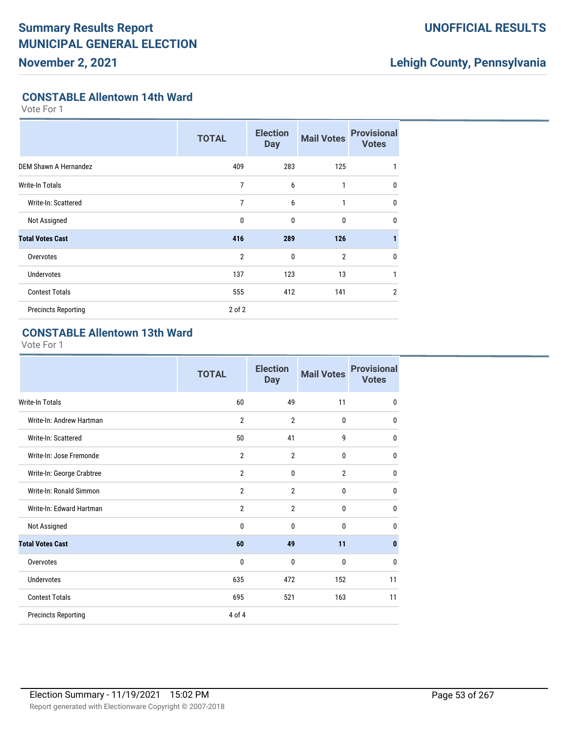## **UNOFFICIAL RESULTS**

## **Lehigh County, Pennsylvania**

#### **CONSTABLE Allentown 14th Ward**

Vote For 1

|                            | <b>TOTAL</b>   | <b>Election</b><br><b>Day</b> | <b>Mail Votes</b> | <b>Provisional</b><br><b>Votes</b> |
|----------------------------|----------------|-------------------------------|-------------------|------------------------------------|
| DEM Shawn A Hernandez      | 409            | 283                           | 125               | 1                                  |
| Write-In Totals            | 7              | 6                             | 1                 | $\mathbf{0}$                       |
| Write-In: Scattered        | 7              | 6                             | 1                 | $\mathbf 0$                        |
| Not Assigned               | 0              | 0                             | 0                 | $\mathbf{0}$                       |
| <b>Total Votes Cast</b>    | 416            | 289                           | 126               |                                    |
| Overvotes                  | $\overline{2}$ | 0                             | $\overline{2}$    | 0                                  |
| <b>Undervotes</b>          | 137            | 123                           | 13                | 1                                  |
| <b>Contest Totals</b>      | 555            | 412                           | 141               | $\overline{2}$                     |
| <b>Precincts Reporting</b> | $2$ of $2$     |                               |                   |                                    |

## **CONSTABLE Allentown 13th Ward**

|                            | <b>TOTAL</b>   | <b>Election</b><br><b>Day</b> | <b>Mail Votes</b> | <b>Provisional</b><br><b>Votes</b> |
|----------------------------|----------------|-------------------------------|-------------------|------------------------------------|
| <b>Write-In Totals</b>     | 60             | 49                            | 11                | $\mathbf 0$                        |
| Write-In: Andrew Hartman   | $\overline{2}$ | $\overline{2}$                | $\mathbf{0}$      | $\mathbf 0$                        |
| Write-In: Scattered        | 50             | 41                            | 9                 | $\mathbf 0$                        |
| Write-In: Jose Fremonde    | $\overline{2}$ | $\overline{2}$                | $\mathbf 0$       | $\mathbf{0}$                       |
| Write-In: George Crabtree  | $\overline{2}$ | 0                             | $\overline{2}$    | $\mathbf 0$                        |
| Write-In: Ronald Simmon    | $\overline{2}$ | $\overline{2}$                | 0                 | $\mathbf{0}$                       |
| Write-In: Edward Hartman   | $\overline{2}$ | $\overline{2}$                | $\mathbf 0$       | $\mathbf 0$                        |
| Not Assigned               | 0              | $\mathbf{0}$                  | $\mathbf{0}$      | $\mathbf{0}$                       |
| <b>Total Votes Cast</b>    | 60             | 49                            | 11                | $\mathbf{0}$                       |
| Overvotes                  | 0              | $\mathbf{0}$                  | $\mathbf{0}$      | $\mathbf{0}$                       |
| <b>Undervotes</b>          | 635            | 472                           | 152               | 11                                 |
| <b>Contest Totals</b>      | 695            | 521                           | 163               | 11                                 |
| <b>Precincts Reporting</b> | 4 of 4         |                               |                   |                                    |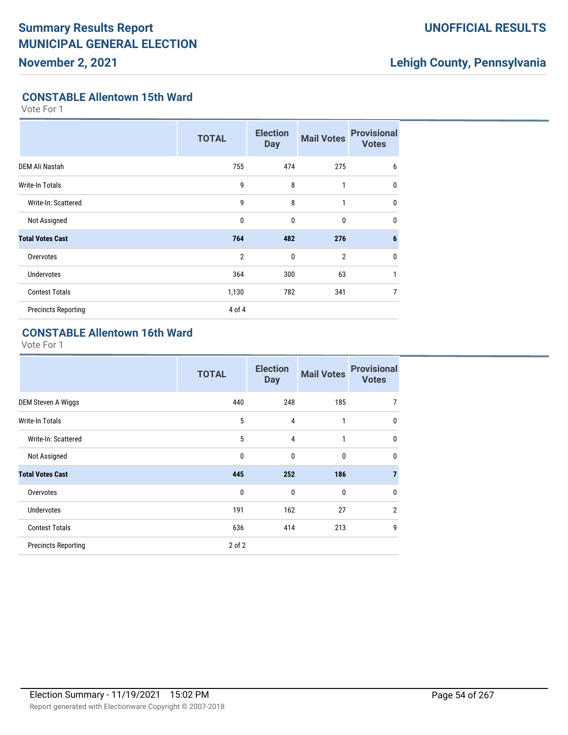### **UNOFFICIAL RESULTS**

## **Lehigh County, Pennsylvania**

#### **CONSTABLE Allentown 15th Ward**

Vote For 1

|                            | <b>TOTAL</b>   | <b>Election</b><br><b>Day</b> | <b>Mail Votes</b> | <b>Provisional</b><br><b>Votes</b> |
|----------------------------|----------------|-------------------------------|-------------------|------------------------------------|
| DEM Ali Nastah             | 755            | 474                           | 275               | 6                                  |
| Write-In Totals            | 9              | 8                             | 1                 | $\mathbf{0}$                       |
| Write-In: Scattered        | 9              | 8                             | 1                 | $\mathbf 0$                        |
| Not Assigned               | 0              | $\mathbf{0}$                  | 0                 | $\mathbf{0}$                       |
| <b>Total Votes Cast</b>    | 764            | 482                           | 276               | 6                                  |
| Overvotes                  | $\overline{2}$ | $\mathbf{0}$                  | $\overline{2}$    | $\mathbf 0$                        |
| <b>Undervotes</b>          | 364            | 300                           | 63                | 1                                  |
| <b>Contest Totals</b>      | 1,130          | 782                           | 341               | 7                                  |
| <b>Precincts Reporting</b> | 4 of 4         |                               |                   |                                    |

## **CONSTABLE Allentown 16th Ward**

|                            | <b>TOTAL</b> | <b>Election</b><br><b>Day</b> | <b>Mail Votes</b> | <b>Provisional</b><br><b>Votes</b> |
|----------------------------|--------------|-------------------------------|-------------------|------------------------------------|
| DEM Steven A Wiggs         | 440          | 248                           | 185               | 7                                  |
| <b>Write-In Totals</b>     | 5            | 4                             | 1                 | $\mathbf 0$                        |
| Write-In: Scattered        | 5            | 4                             | 1                 | 0                                  |
| Not Assigned               | $\mathbf{0}$ | $\mathbf{0}$                  | $\mathbf{0}$      | $\mathbf{0}$                       |
| <b>Total Votes Cast</b>    | 445          | 252                           | 186               | 7                                  |
| Overvotes                  | 0            | $\mathbf{0}$                  | $\mathbf{0}$      | $\mathbf{0}$                       |
| <b>Undervotes</b>          | 191          | 162                           | 27                | $\overline{2}$                     |
| <b>Contest Totals</b>      | 636          | 414                           | 213               | 9                                  |
| <b>Precincts Reporting</b> | $2$ of $2$   |                               |                   |                                    |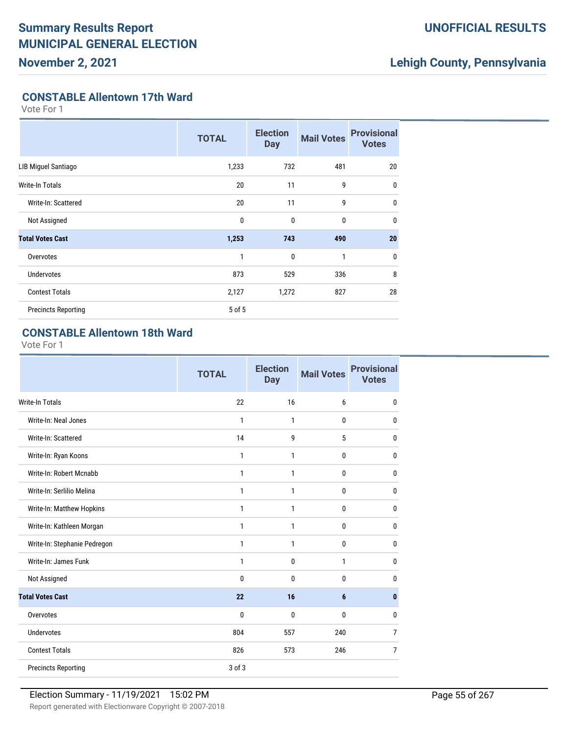### **UNOFFICIAL RESULTS**

## **Lehigh County, Pennsylvania**

#### **CONSTABLE Allentown 17th Ward**

Vote For 1

|                            | <b>TOTAL</b> | <b>Election</b><br><b>Day</b> | <b>Mail Votes</b> | <b>Provisional</b><br><b>Votes</b> |
|----------------------------|--------------|-------------------------------|-------------------|------------------------------------|
| LIB Miguel Santiago        | 1,233        | 732                           | 481               | 20                                 |
| Write-In Totals            | 20           | 11                            | 9                 | $\mathbf{0}$                       |
| Write-In: Scattered        | 20           | 11                            | 9                 | $\mathbf{0}$                       |
| Not Assigned               | $\mathbf 0$  | $\mathbf{0}$                  | 0                 | $\mathbf{0}$                       |
| <b>Total Votes Cast</b>    | 1,253        | 743                           | 490               | 20                                 |
| Overvotes                  | 1            | $\mathbf{0}$                  | 1                 | $\mathbf 0$                        |
| <b>Undervotes</b>          | 873          | 529                           | 336               | 8                                  |
| <b>Contest Totals</b>      | 2,127        | 1,272                         | 827               | 28                                 |
| <b>Precincts Reporting</b> | 5 of 5       |                               |                   |                                    |

## **CONSTABLE Allentown 18th Ward**

|                              | <b>TOTAL</b> | <b>Election</b><br><b>Day</b> | <b>Mail Votes</b> | <b>Provisional</b><br><b>Votes</b> |
|------------------------------|--------------|-------------------------------|-------------------|------------------------------------|
| <b>Write-In Totals</b>       | 22           | 16                            | 6                 | 0                                  |
| Write-In: Neal Jones         | 1            | 1                             | $\mathbf 0$       | 0                                  |
| Write-In: Scattered          | 14           | 9                             | 5                 | $\mathbf{0}$                       |
| Write-In: Ryan Koons         | 1            | 1                             | 0                 | $\mathbf{0}$                       |
| Write-In: Robert Mcnabb      | 1            | 1                             | 0                 | $\mathbf{0}$                       |
| Write-In: Serlilio Melina    | 1            | 1                             | $\mathbf{0}$      | $\mathbf{0}$                       |
| Write-In: Matthew Hopkins    | 1            | 1                             | $\mathbf{0}$      | 0                                  |
| Write-In: Kathleen Morgan    | 1            | 1                             | 0                 | 0                                  |
| Write-In: Stephanie Pedregon | 1            | 1                             | 0                 | 0                                  |
| Write-In: James Funk         | 1            | $\mathbf 0$                   | 1                 | 0                                  |
| Not Assigned                 | 0            | $\mathbf{0}$                  | $\mathbf 0$       | $\mathbf{0}$                       |
| <b>Total Votes Cast</b>      | 22           | 16                            | $6\phantom{1}$    | 0                                  |
| Overvotes                    | 0            | $\mathbf{0}$                  | 0                 | 0                                  |
| <b>Undervotes</b>            | 804          | 557                           | 240               | $\overline{7}$                     |
| <b>Contest Totals</b>        | 826          | 573                           | 246               | $\overline{7}$                     |
| <b>Precincts Reporting</b>   | 3 of 3       |                               |                   |                                    |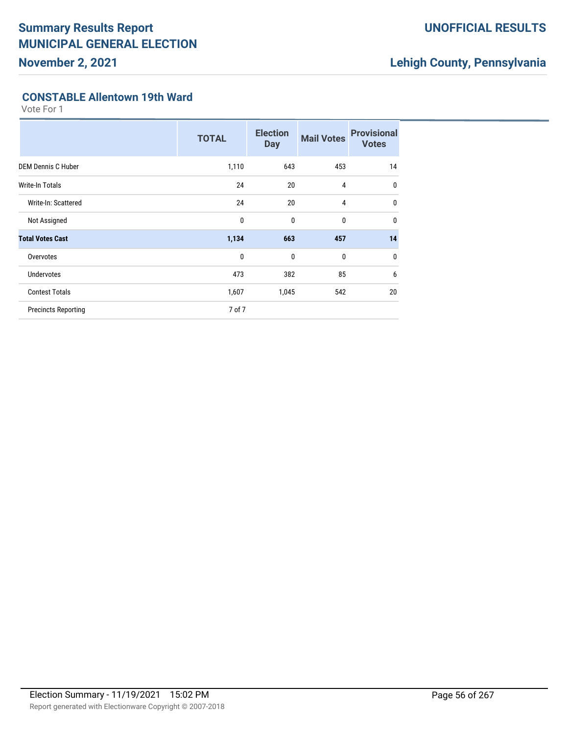### **UNOFFICIAL RESULTS**

## **Lehigh County, Pennsylvania**

#### **CONSTABLE Allentown 19th Ward**

|                            | <b>TOTAL</b> | <b>Election</b><br><b>Day</b> | <b>Mail Votes</b> | <b>Provisional</b><br><b>Votes</b> |
|----------------------------|--------------|-------------------------------|-------------------|------------------------------------|
| <b>DEM Dennis C Huber</b>  | 1,110        | 643                           | 453               | 14                                 |
| <b>Write-In Totals</b>     | 24           | 20                            | 4                 | $\mathbf 0$                        |
| Write-In: Scattered        | 24           | 20                            | 4                 | $\mathbf 0$                        |
| Not Assigned               | $\mathbf{0}$ | $\mathbf 0$                   | 0                 | $\mathbf 0$                        |
| <b>Total Votes Cast</b>    | 1,134        | 663                           | 457               | 14                                 |
| Overvotes                  | $\mathbf{0}$ | $\mathbf 0$                   | 0                 | $\mathbf 0$                        |
| <b>Undervotes</b>          | 473          | 382                           | 85                | 6                                  |
| <b>Contest Totals</b>      | 1,607        | 1,045                         | 542               | 20                                 |
| <b>Precincts Reporting</b> | 7 of 7       |                               |                   |                                    |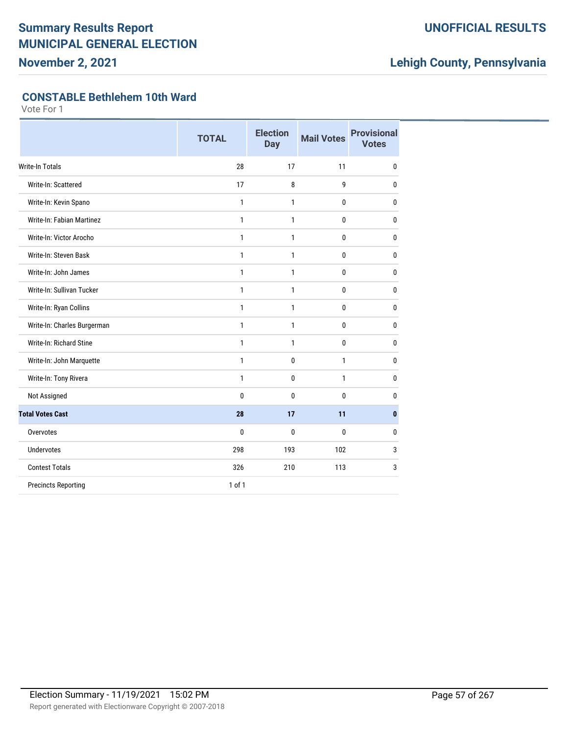**November 2, 2021**

## **UNOFFICIAL RESULTS**

## **Lehigh County, Pennsylvania**

#### **CONSTABLE Bethlehem 10th Ward**

|                             | <b>TOTAL</b> | <b>Election</b><br><b>Day</b> | <b>Mail Votes</b> | <b>Provisional</b><br><b>Votes</b> |
|-----------------------------|--------------|-------------------------------|-------------------|------------------------------------|
| <b>Write-In Totals</b>      | 28           | 17                            | 11                | $\mathbf{0}$                       |
| Write-In: Scattered         | 17           | 8                             | 9                 | 0                                  |
| Write-In: Kevin Spano       | 1            | 1                             | 0                 | 0                                  |
| Write-In: Fabian Martinez   | $\mathbf{1}$ | $\mathbf{1}$                  | $\mathbf 0$       | 0                                  |
| Write-In: Victor Arocho     | $\mathbf{1}$ | 1                             | 0                 | 0                                  |
| Write-In: Steven Bask       | $\mathbf{1}$ | 1                             | $\mathbf{0}$      | $\mathbf{0}$                       |
| Write-In: John James        | 1            | 1                             | $\mathbf 0$       | $\mathbf 0$                        |
| Write-In: Sullivan Tucker   | 1            | $\mathbf{1}$                  | $\mathbf 0$       | 0                                  |
| Write-In: Ryan Collins      | 1            | 1                             | $\mathbf{0}$      | $\mathbf 0$                        |
| Write-In: Charles Burgerman | 1            | 1                             | 0                 | $\mathbf 0$                        |
| Write-In: Richard Stine     | 1            | 1                             | $\bf{0}$          | $\mathbf 0$                        |
| Write-In: John Marquette    | 1            | $\mathbf 0$                   | 1                 | 0                                  |
| Write-In: Tony Rivera       | $\mathbf{1}$ | $\mathbf 0$                   | $\mathbf{1}$      | 0                                  |
| Not Assigned                | 0            | 0                             | 0                 | 0                                  |
| <b>Total Votes Cast</b>     | 28           | 17                            | 11                | $\mathbf{0}$                       |
| Overvotes                   | 0            | 0                             | 0                 | 0                                  |
| <b>Undervotes</b>           | 298          | 193                           | 102               | 3                                  |
| <b>Contest Totals</b>       | 326          | 210                           | 113               | 3                                  |
| <b>Precincts Reporting</b>  | 1 of 1       |                               |                   |                                    |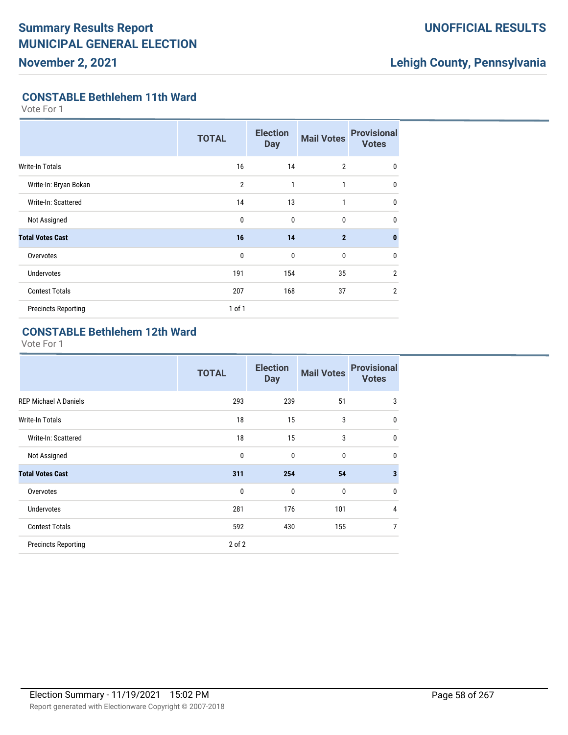## **UNOFFICIAL RESULTS**

## **Lehigh County, Pennsylvania**

#### **CONSTABLE Bethlehem 11th Ward**

Vote For 1

|                            | <b>TOTAL</b>   | <b>Election</b><br><b>Day</b> | <b>Mail Votes</b> | <b>Provisional</b><br><b>Votes</b> |
|----------------------------|----------------|-------------------------------|-------------------|------------------------------------|
| <b>Write-In Totals</b>     | 16             | 14                            | $\overline{2}$    | $\mathbf 0$                        |
| Write-In: Bryan Bokan      | $\overline{2}$ | 1                             | $\mathbf{1}$      | $\mathbf{0}$                       |
| Write-In: Scattered        | 14             | 13                            | 1                 | $\mathbf 0$                        |
| Not Assigned               | 0              | $\mathbf{0}$                  | 0                 | $\mathbf{0}$                       |
| <b>Total Votes Cast</b>    | 16             | 14                            | $\overline{2}$    | $\mathbf{0}$                       |
| Overvotes                  | 0              | $\mathbf{0}$                  | 0                 | $\mathbf 0$                        |
| <b>Undervotes</b>          | 191            | 154                           | 35                | $\overline{2}$                     |
| <b>Contest Totals</b>      | 207            | 168                           | 37                | $\overline{2}$                     |
| <b>Precincts Reporting</b> | $1$ of $1$     |                               |                   |                                    |

#### **CONSTABLE Bethlehem 12th Ward**

|                              | <b>TOTAL</b> | <b>Election</b><br><b>Day</b> | <b>Mail Votes</b> | <b>Provisional</b><br><b>Votes</b> |
|------------------------------|--------------|-------------------------------|-------------------|------------------------------------|
| <b>REP Michael A Daniels</b> | 293          | 239                           | 51                | 3                                  |
| <b>Write-In Totals</b>       | 18           | 15                            | 3                 | $\mathbf{0}$                       |
| Write-In: Scattered          | 18           | 15                            | 3                 | $\mathbf{0}$                       |
| Not Assigned                 | $\mathbf 0$  | $\mathbf{0}$                  | $\mathbf{0}$      | $\mathbf{0}$                       |
| <b>Total Votes Cast</b>      | 311          | 254                           | 54                | $\overline{\mathbf{3}}$            |
| Overvotes                    | $\mathbf{0}$ | $\mathbf{0}$                  | $\mathbf{0}$      | $\mathbf{0}$                       |
| <b>Undervotes</b>            | 281          | 176                           | 101               | 4                                  |
| <b>Contest Totals</b>        | 592          | 430                           | 155               | 7                                  |
| <b>Precincts Reporting</b>   | $2$ of $2$   |                               |                   |                                    |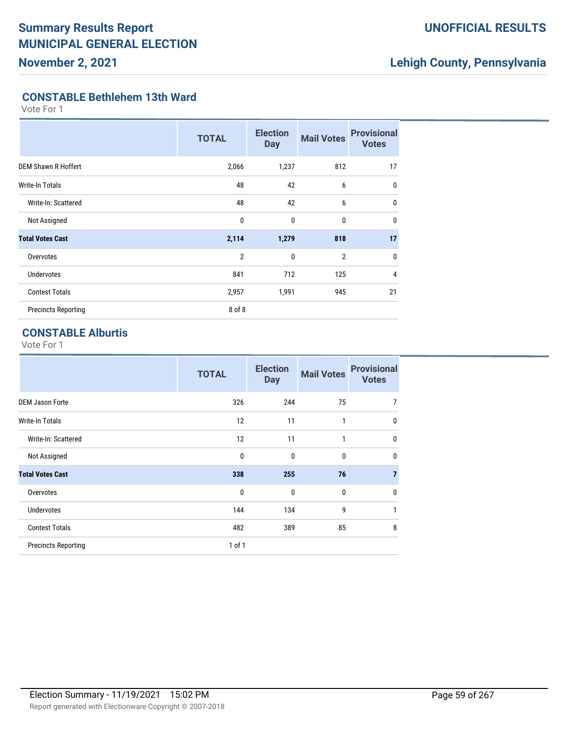### **UNOFFICIAL RESULTS**

## **Lehigh County, Pennsylvania**

#### **CONSTABLE Bethlehem 13th Ward**

Vote For 1

|                            | <b>TOTAL</b>   | <b>Election</b><br><b>Day</b> | <b>Mail Votes</b> | <b>Provisional</b><br><b>Votes</b> |
|----------------------------|----------------|-------------------------------|-------------------|------------------------------------|
| <b>DEM Shawn R Hoffert</b> | 2,066          | 1,237                         | 812               | 17                                 |
| <b>Write-In Totals</b>     | 48             | 42                            | 6                 | 0                                  |
| Write-In: Scattered        | 48             | 42                            | 6                 | 0                                  |
| Not Assigned               | 0              | $\mathbf{0}$                  | $\bf{0}$          | $\mathbf{0}$                       |
| <b>Total Votes Cast</b>    | 2,114          | 1,279                         | 818               | 17                                 |
| Overvotes                  | $\overline{2}$ | $\mathbf{0}$                  | $\overline{2}$    | $\mathbf{0}$                       |
| <b>Undervotes</b>          | 841            | 712                           | 125               | 4                                  |
| <b>Contest Totals</b>      | 2,957          | 1,991                         | 945               | 21                                 |
| <b>Precincts Reporting</b> | 8 of 8         |                               |                   |                                    |

### **CONSTABLE Alburtis**

|                            | <b>TOTAL</b> | <b>Election</b><br><b>Day</b> | <b>Mail Votes</b> | <b>Provisional</b><br><b>Votes</b> |
|----------------------------|--------------|-------------------------------|-------------------|------------------------------------|
| <b>DEM Jason Forte</b>     | 326          | 244                           | 75                | 7                                  |
| <b>Write-In Totals</b>     | 12           | 11                            | 1                 | $\mathbf 0$                        |
| Write-In: Scattered        | 12           | 11                            | 1                 | $\mathbf 0$                        |
| Not Assigned               | 0            | 0                             | $\mathbf{0}$      | $\mathbf{0}$                       |
| <b>Total Votes Cast</b>    | 338          | 255                           | 76                | 7                                  |
| Overvotes                  | $\mathbf{0}$ | $\mathbf{0}$                  | $\mathbf{0}$      | $\mathbf{0}$                       |
| Undervotes                 | 144          | 134                           | 9                 | 1                                  |
| <b>Contest Totals</b>      | 482          | 389                           | 85                | 8                                  |
| <b>Precincts Reporting</b> | $1$ of $1$   |                               |                   |                                    |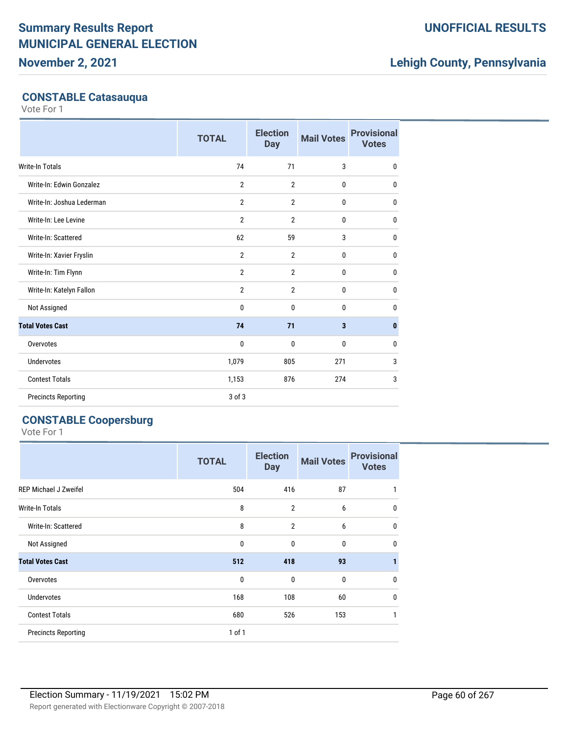## **November 2, 2021**

### **UNOFFICIAL RESULTS**

## **Lehigh County, Pennsylvania**

### **CONSTABLE Catasauqua**

Vote For 1

|                            | <b>TOTAL</b>   | <b>Election</b><br><b>Day</b> | <b>Mail Votes</b>       | <b>Provisional</b><br><b>Votes</b> |
|----------------------------|----------------|-------------------------------|-------------------------|------------------------------------|
| <b>Write-In Totals</b>     | 74             | 71                            | 3                       | $\mathbf 0$                        |
| Write-In: Edwin Gonzalez   | $\overline{2}$ | $\overline{2}$                | 0                       | $\mathbf 0$                        |
| Write-In: Joshua Lederman  | $\overline{2}$ | $\overline{2}$                | $\mathbf{0}$            | $\mathbf{0}$                       |
| Write-In: Lee Levine       | $\overline{2}$ | $\overline{2}$                | $\mathbf{0}$            | $\mathbf{0}$                       |
| Write-In: Scattered        | 62             | 59                            | 3                       | $\mathbf{0}$                       |
| Write-In: Xavier Fryslin   | $\overline{2}$ | $\overline{2}$                | 0                       | 0                                  |
| Write-In: Tim Flynn        | $\overline{2}$ | $\overline{2}$                | $\mathbf{0}$            | $\mathbf{0}$                       |
| Write-In: Katelyn Fallon   | $\overline{2}$ | $\overline{2}$                | $\mathbf{0}$            | $\mathbf{0}$                       |
| Not Assigned               | $\mathbf{0}$   | 0                             | 0                       | $\mathbf{0}$                       |
| <b>Total Votes Cast</b>    | 74             | 71                            | $\overline{\mathbf{3}}$ | $\mathbf{0}$                       |
| Overvotes                  | $\mathbf{0}$   | $\mathbf{0}$                  | $\mathbf{0}$            | $\mathbf{0}$                       |
| <b>Undervotes</b>          | 1,079          | 805                           | 271                     | 3                                  |
| <b>Contest Totals</b>      | 1,153          | 876                           | 274                     | 3                                  |
| <b>Precincts Reporting</b> | $3$ of $3$     |                               |                         |                                    |

## **CONSTABLE Coopersburg**

|                              | <b>TOTAL</b> | <b>Election</b><br><b>Day</b> | <b>Mail Votes</b> | <b>Provisional</b><br><b>Votes</b> |
|------------------------------|--------------|-------------------------------|-------------------|------------------------------------|
| <b>REP Michael J Zweifel</b> | 504          | 416                           | 87                |                                    |
| <b>Write-In Totals</b>       | 8            | $\overline{2}$                | 6                 | 0                                  |
| Write-In: Scattered          | 8            | $\overline{2}$                | 6                 | $\mathbf 0$                        |
| Not Assigned                 | $\mathbf 0$  | 0                             | 0                 | 0                                  |
| <b>Total Votes Cast</b>      | 512          | 418                           | 93                | 1                                  |
| Overvotes                    | $\mathbf{0}$ | $\mathbf{0}$                  | $\mathbf{0}$      | $\mathbf 0$                        |
| <b>Undervotes</b>            | 168          | 108                           | 60                | $\mathbf 0$                        |
| <b>Contest Totals</b>        | 680          | 526                           | 153               | 1                                  |
| <b>Precincts Reporting</b>   | $1$ of $1$   |                               |                   |                                    |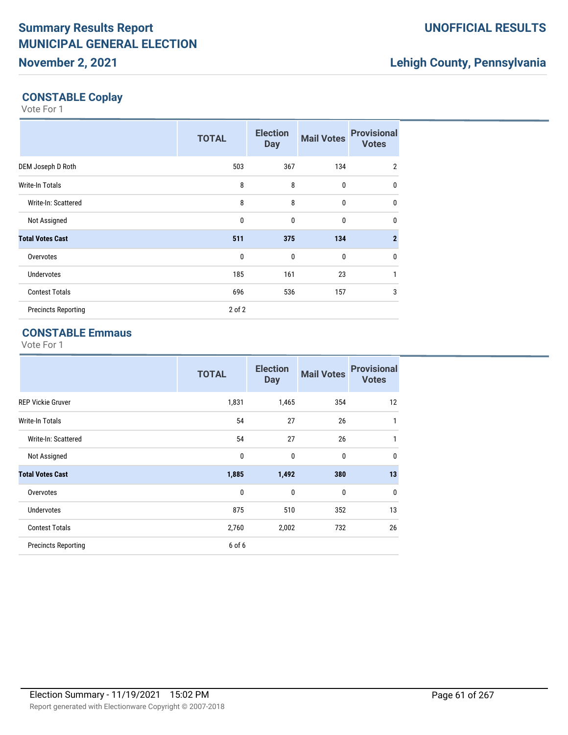## **Lehigh County, Pennsylvania**

## **CONSTABLE Coplay**

Vote For 1

|                            | <b>TOTAL</b> | <b>Election</b><br><b>Day</b> | <b>Mail Votes</b> | <b>Provisional</b><br><b>Votes</b> |
|----------------------------|--------------|-------------------------------|-------------------|------------------------------------|
| DEM Joseph D Roth          | 503          | 367                           | 134               | $\overline{2}$                     |
| Write-In Totals            | 8            | 8                             | $\mathbf 0$       | $\mathbf{0}$                       |
| Write-In: Scattered        | 8            | 8                             | $\mathbf{0}$      | $\mathbf 0$                        |
| Not Assigned               | 0            | $\mathbf{0}$                  | $\bf{0}$          | $\mathbf 0$                        |
| <b>Total Votes Cast</b>    | 511          | 375                           | 134               | $\mathbf{2}$                       |
| Overvotes                  | $\mathbf 0$  | $\mathbf{0}$                  | $\mathbf 0$       | $\mathbf 0$                        |
| <b>Undervotes</b>          | 185          | 161                           | 23                | $\mathbf{1}$                       |
| <b>Contest Totals</b>      | 696          | 536                           | 157               | 3                                  |
| <b>Precincts Reporting</b> | $2$ of $2$   |                               |                   |                                    |

## **CONSTABLE Emmaus**

|                            | <b>TOTAL</b> | <b>Election</b><br><b>Day</b> | <b>Mail Votes</b> | <b>Provisional</b><br><b>Votes</b> |
|----------------------------|--------------|-------------------------------|-------------------|------------------------------------|
| <b>REP Vickie Gruver</b>   | 1,831        | 1,465                         | 354               | 12                                 |
| Write-In Totals            | 54           | 27                            | 26                | 1                                  |
| Write-In: Scattered        | 54           | 27                            | 26                | $\mathbf{1}$                       |
| Not Assigned               | $\mathbf{0}$ | $\mathbf{0}$                  | $\mathbf{0}$      | $\mathbf{0}$                       |
| <b>Total Votes Cast</b>    | 1,885        | 1,492                         | 380               | 13                                 |
| Overvotes                  | $\mathbf{0}$ | 0                             | $\mathbf{0}$      | 0                                  |
| <b>Undervotes</b>          | 875          | 510                           | 352               | 13                                 |
| <b>Contest Totals</b>      | 2,760        | 2,002                         | 732               | 26                                 |
| <b>Precincts Reporting</b> | 6 of 6       |                               |                   |                                    |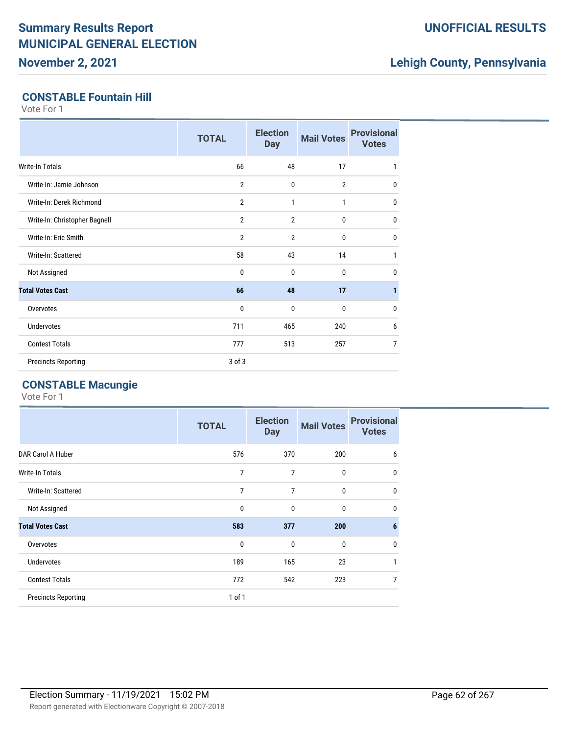## **November 2, 2021**

### **UNOFFICIAL RESULTS**

## **Lehigh County, Pennsylvania**

#### **CONSTABLE Fountain Hill**

Vote For 1

|                               | <b>TOTAL</b>   | <b>Election</b><br><b>Day</b> | <b>Mail Votes</b> | <b>Provisional</b><br><b>Votes</b> |
|-------------------------------|----------------|-------------------------------|-------------------|------------------------------------|
| <b>Write-In Totals</b>        | 66             | 48                            | 17                | 1                                  |
| Write-In: Jamie Johnson       | $\overline{2}$ | $\mathbf 0$                   | $\overline{2}$    | $\mathbf{0}$                       |
| Write-In: Derek Richmond      | $\overline{2}$ | 1                             | 1                 | 0                                  |
| Write-In: Christopher Bagnell | $\overline{2}$ | $\overline{2}$                | 0                 | $\mathbf{0}$                       |
| Write-In: Eric Smith          | $\overline{2}$ | $\overline{2}$                | 0                 | $\mathbf{0}$                       |
| Write-In: Scattered           | 58             | 43                            | 14                | 1                                  |
| Not Assigned                  | 0              | $\mathbf{0}$                  | 0                 | $\mathbf{0}$                       |
| <b>Total Votes Cast</b>       | 66             | 48                            | 17                | 1                                  |
| Overvotes                     | 0              | 0                             | 0                 | $\mathbf{0}$                       |
| <b>Undervotes</b>             | 711            | 465                           | 240               | 6                                  |
| <b>Contest Totals</b>         | 777            | 513                           | 257               | 7                                  |
| <b>Precincts Reporting</b>    | 3 of 3         |                               |                   |                                    |

### **CONSTABLE Macungie**

|                            | <b>TOTAL</b> | <b>Election</b><br><b>Day</b> | <b>Mail Votes</b> | <b>Provisional</b><br><b>Votes</b> |
|----------------------------|--------------|-------------------------------|-------------------|------------------------------------|
| DAR Carol A Huber          | 576          | 370                           | 200               | 6                                  |
| <b>Write-In Totals</b>     | 7            | 7                             | 0                 | 0                                  |
| Write-In: Scattered        | 7            | 7                             | $\mathbf{0}$      | 0                                  |
| Not Assigned               | $\mathbf{0}$ | $\mathbf{0}$                  | 0                 | 0                                  |
| <b>Total Votes Cast</b>    | 583          | 377                           | 200               | 6                                  |
| Overvotes                  | $\mathbf 0$  | $\mathbf 0$                   | 0                 | 0                                  |
| <b>Undervotes</b>          | 189          | 165                           | 23                | 1                                  |
| <b>Contest Totals</b>      | 772          | 542                           | 223               | 7                                  |
| <b>Precincts Reporting</b> | $1$ of $1$   |                               |                   |                                    |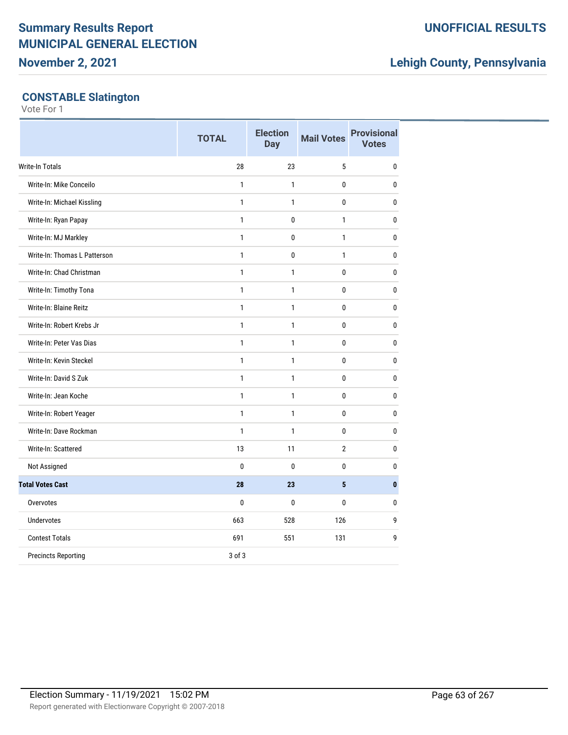**November 2, 2021**

### **UNOFFICIAL RESULTS**

## **Lehigh County, Pennsylvania**

## **CONSTABLE Slatington**

|                              | <b>TOTAL</b> | <b>Election</b><br><b>Day</b> | <b>Mail Votes</b> | <b>Provisional</b><br><b>Votes</b> |
|------------------------------|--------------|-------------------------------|-------------------|------------------------------------|
| <b>Write-In Totals</b>       | 28           | 23                            | 5                 | 0                                  |
| Write-In: Mike Conceilo      | $\mathbf{1}$ | $\mathbf{1}$                  | 0                 | 0                                  |
| Write-In: Michael Kissling   | $\mathbf{1}$ | 1                             | 0                 | 0                                  |
| Write-In: Ryan Papay         | $\mathbf{1}$ | 0                             | 1                 | 0                                  |
| Write-In: MJ Markley         | 1            | 0                             | 1                 | 0                                  |
| Write-In: Thomas L Patterson | 1            | $\pmb{0}$                     | 1                 | 0                                  |
| Write-In: Chad Christman     | 1            | 1                             | 0                 | $\mathbf{0}$                       |
| Write-In: Timothy Tona       | $\mathbf{1}$ | $\mathbf{1}$                  | 0                 | 0                                  |
| Write-In: Blaine Reitz       | $\mathbf{1}$ | 1                             | 0                 | 0                                  |
| Write-In: Robert Krebs Jr    | $\mathbf{1}$ | $\mathbf{1}$                  | 0                 | 0                                  |
| Write-In: Peter Vas Dias     | $\mathbf{1}$ | $\mathbf{1}$                  | 0                 | 0                                  |
| Write-In: Kevin Steckel      | $\mathbf{1}$ | $\mathbf{1}$                  | 0                 | 0                                  |
| Write-In: David S Zuk        | $\mathbf{1}$ | 1                             | 0                 | 0                                  |
| Write-In: Jean Koche         | $\mathbf{1}$ | 1                             | 0                 | 0                                  |
| Write-In: Robert Yeager      | $\mathbf{1}$ | 1                             | $\mathbf{0}$      | $\pmb{0}$                          |
| Write-In: Dave Rockman       | $\mathbf{1}$ | $\mathbf{1}$                  | 0                 | 0                                  |
| Write-In: Scattered          | 13           | 11                            | $\overline{2}$    | 0                                  |
| Not Assigned                 | $\bf{0}$     | $\mathbf{0}$                  | 0                 | 0                                  |
| <b>Total Votes Cast</b>      | 28           | 23                            | 5                 | $\mathbf{0}$                       |
| Overvotes                    | 0            | 0                             | 0                 | 0                                  |
| Undervotes                   | 663          | 528                           | 126               | 9                                  |
| <b>Contest Totals</b>        | 691          | 551                           | 131               | 9                                  |
| <b>Precincts Reporting</b>   | 3 of 3       |                               |                   |                                    |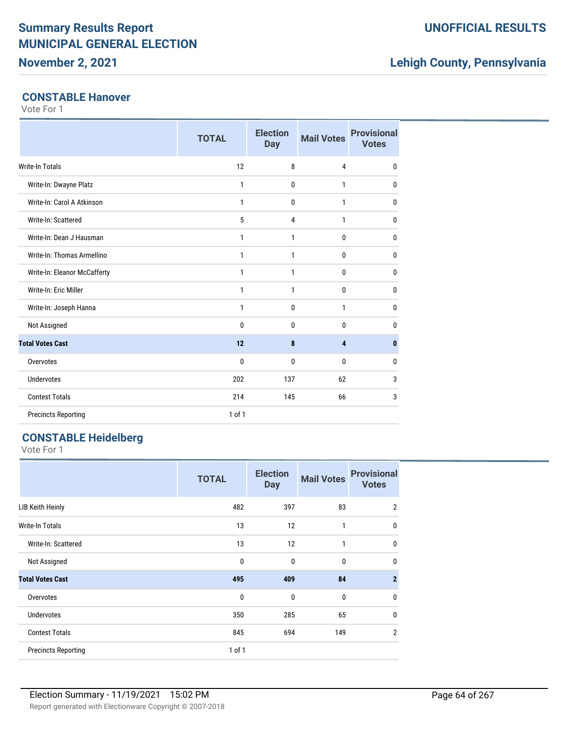**November 2, 2021**

## **UNOFFICIAL RESULTS**

## **Lehigh County, Pennsylvania**

### **CONSTABLE Hanover**

Vote For 1

|                              | <b>TOTAL</b> | <b>Election</b><br><b>Day</b> | <b>Mail Votes</b> | <b>Provisional</b><br><b>Votes</b> |
|------------------------------|--------------|-------------------------------|-------------------|------------------------------------|
| <b>Write-In Totals</b>       | 12           | 8                             | $\overline{4}$    | $\mathbf{0}$                       |
| Write-In: Dwayne Platz       | 1            | 0                             | 1                 | 0                                  |
| Write-In: Carol A Atkinson   | $\mathbf{1}$ | 0                             | $\mathbf{1}$      | $\mathbf{0}$                       |
| Write-In: Scattered          | 5            | 4                             | $\mathbf{1}$      | 0                                  |
| Write-In: Dean J Hausman     | 1            | 1                             | $\bf{0}$          | $\mathbf{0}$                       |
| Write-In: Thomas Armellino   | 1            | 1                             | $\Omega$          | $\mathbf{0}$                       |
| Write-In: Eleanor McCafferty | 1            | 1                             | $\bf{0}$          | 0                                  |
| Write-In: Eric Miller        | $\mathbf{1}$ | $\mathbf{1}$                  | $\bf{0}$          | $\mathbf{0}$                       |
| Write-In: Joseph Hanna       | 1            | 0                             | $\mathbf{1}$      | $\mathbf{0}$                       |
| Not Assigned                 | 0            | $\mathbf{0}$                  | $\mathbf{0}$      | 0                                  |
| <b>Total Votes Cast</b>      | 12           | 8                             | 4                 | $\bf{0}$                           |
| Overvotes                    | $\bf{0}$     | 0                             | $\bf{0}$          | 0                                  |
| <b>Undervotes</b>            | 202          | 137                           | 62                | 3                                  |
| <b>Contest Totals</b>        | 214          | 145                           | 66                | 3                                  |
| <b>Precincts Reporting</b>   | $1$ of $1$   |                               |                   |                                    |

## **CONSTABLE Heidelberg**

|                            | <b>TOTAL</b> | <b>Election</b><br><b>Day</b> | <b>Mail Votes</b> | <b>Provisional</b><br><b>Votes</b> |
|----------------------------|--------------|-------------------------------|-------------------|------------------------------------|
| <b>LIB Keith Heinly</b>    | 482          | 397                           | 83                | $\overline{2}$                     |
| Write-In Totals            | 13           | 12                            | 1                 | 0                                  |
| Write-In: Scattered        | 13           | 12                            | 1                 | 0                                  |
| Not Assigned               | 0            | $\mathbf{0}$                  | $\bf{0}$          | 0                                  |
| <b>Total Votes Cast</b>    | 495          | 409                           | 84                | $\mathbf{2}$                       |
| Overvotes                  | 0            | $\mathbf{0}$                  | $\bf{0}$          | 0                                  |
| <b>Undervotes</b>          | 350          | 285                           | 65                | $\mathbf{0}$                       |
| <b>Contest Totals</b>      | 845          | 694                           | 149               | $\overline{2}$                     |
| <b>Precincts Reporting</b> | 1 of 1       |                               |                   |                                    |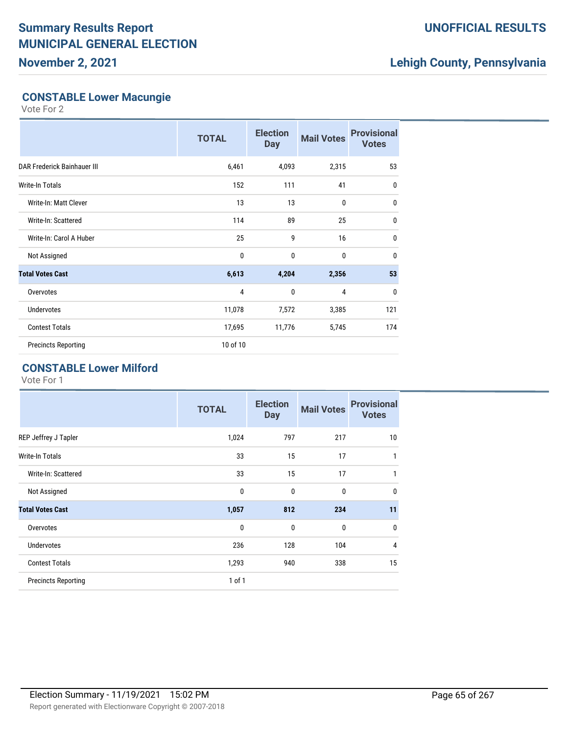**November 2, 2021**

## **UNOFFICIAL RESULTS**

## **Lehigh County, Pennsylvania**

### **CONSTABLE Lower Macungie**

Vote For 2

|                             | <b>TOTAL</b> | <b>Election</b><br><b>Day</b> | <b>Mail Votes</b> | <b>Provisional</b><br><b>Votes</b> |
|-----------------------------|--------------|-------------------------------|-------------------|------------------------------------|
| DAR Frederick Bainhauer III | 6,461        | 4,093                         | 2,315             | 53                                 |
| Write-In Totals             | 152          | 111                           | 41                | $\mathbf{0}$                       |
| Write-In: Matt Clever       | 13           | 13                            | $\bf{0}$          | $\mathbf{0}$                       |
| Write-In: Scattered         | 114          | 89                            | 25                | $\mathbf{0}$                       |
| Write-In: Carol A Huber     | 25           | 9                             | 16                | $\mathbf{0}$                       |
| Not Assigned                | 0            | 0                             | $\mathbf{0}$      | $\mathbf{0}$                       |
| <b>Total Votes Cast</b>     | 6,613        | 4,204                         | 2,356             | 53                                 |
| Overvotes                   | 4            | 0                             | 4                 | $\mathbf{0}$                       |
| <b>Undervotes</b>           | 11,078       | 7,572                         | 3,385             | 121                                |
| <b>Contest Totals</b>       | 17,695       | 11,776                        | 5,745             | 174                                |
| <b>Precincts Reporting</b>  | 10 of 10     |                               |                   |                                    |

## **CONSTABLE Lower Milford**

|                            | <b>TOTAL</b> | <b>Election</b><br><b>Day</b> | <b>Mail Votes</b> | <b>Provisional</b><br><b>Votes</b> |
|----------------------------|--------------|-------------------------------|-------------------|------------------------------------|
| REP Jeffrey J Tapler       | 1,024        | 797                           | 217               | 10                                 |
| <b>Write-In Totals</b>     | 33           | 15                            | 17                | 1                                  |
| Write-In: Scattered        | 33           | 15                            | 17                | 1                                  |
| Not Assigned               | $\mathbf{0}$ | $\mathbf{0}$                  | $\bf{0}$          | $\mathbf 0$                        |
| <b>Total Votes Cast</b>    | 1,057        | 812                           | 234               | 11                                 |
| Overvotes                  | 0            | $\mathbf{0}$                  | $\mathbf 0$       | $\mathbf{0}$                       |
| <b>Undervotes</b>          | 236          | 128                           | 104               | 4                                  |
| <b>Contest Totals</b>      | 1,293        | 940                           | 338               | 15                                 |
| <b>Precincts Reporting</b> | 1 of 1       |                               |                   |                                    |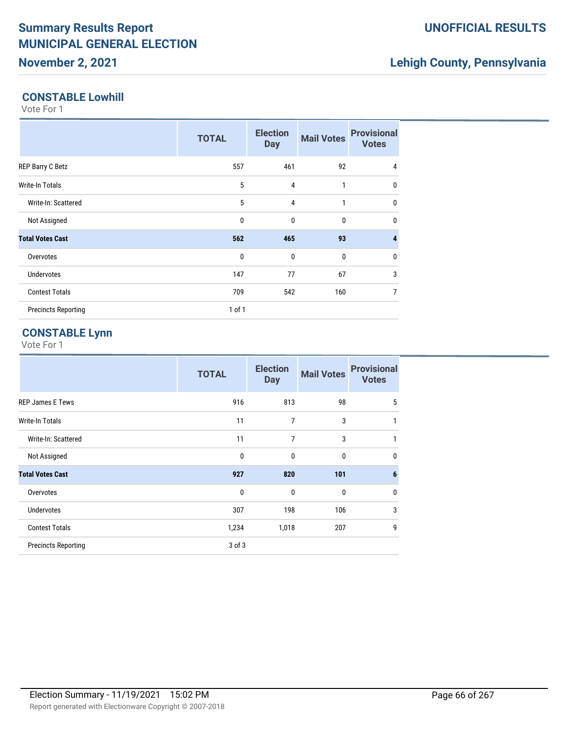## **November 2, 2021**

## **Lehigh County, Pennsylvania**

### **CONSTABLE Lowhill**

Vote For 1

|                            | <b>TOTAL</b> | <b>Election</b><br><b>Day</b> | <b>Mail Votes</b> | <b>Provisional</b><br><b>Votes</b> |
|----------------------------|--------------|-------------------------------|-------------------|------------------------------------|
| REP Barry C Betz           | 557          | 461                           | 92                | 4                                  |
| <b>Write-In Totals</b>     | 5            | $\overline{4}$                | 1                 | 0                                  |
| Write-In: Scattered        | 5            | 4                             | $\mathbf{1}$      | 0                                  |
| Not Assigned               | $\mathbf 0$  | $\mathbf{0}$                  | $\mathbf 0$       | 0                                  |
| <b>Total Votes Cast</b>    | 562          | 465                           | 93                | 4                                  |
| Overvotes                  | $\mathbf 0$  | $\mathbf{0}$                  | $\mathbf 0$       | 0                                  |
| <b>Undervotes</b>          | 147          | 77                            | 67                | 3                                  |
| <b>Contest Totals</b>      | 709          | 542                           | 160               | $\overline{7}$                     |
| <b>Precincts Reporting</b> | $1$ of $1$   |                               |                   |                                    |

## **CONSTABLE Lynn**

|                            | <b>TOTAL</b> | <b>Election</b><br><b>Day</b> | <b>Mail Votes</b> | <b>Provisional</b><br><b>Votes</b> |
|----------------------------|--------------|-------------------------------|-------------------|------------------------------------|
| <b>REP James E Tews</b>    | 916          | 813                           | 98                | 5                                  |
| <b>Write-In Totals</b>     | 11           | 7                             | 3                 | 1                                  |
| Write-In: Scattered        | 11           | 7                             | 3                 | 1                                  |
| Not Assigned               | 0            | 0                             | $\mathbf{0}$      | 0                                  |
| <b>Total Votes Cast</b>    | 927          | 820                           | 101               | 6                                  |
| Overvotes                  | $\mathbf{0}$ | 0                             | 0                 | 0                                  |
| <b>Undervotes</b>          | 307          | 198                           | 106               | 3                                  |
| <b>Contest Totals</b>      | 1,234        | 1,018                         | 207               | 9                                  |
| <b>Precincts Reporting</b> | 3 of 3       |                               |                   |                                    |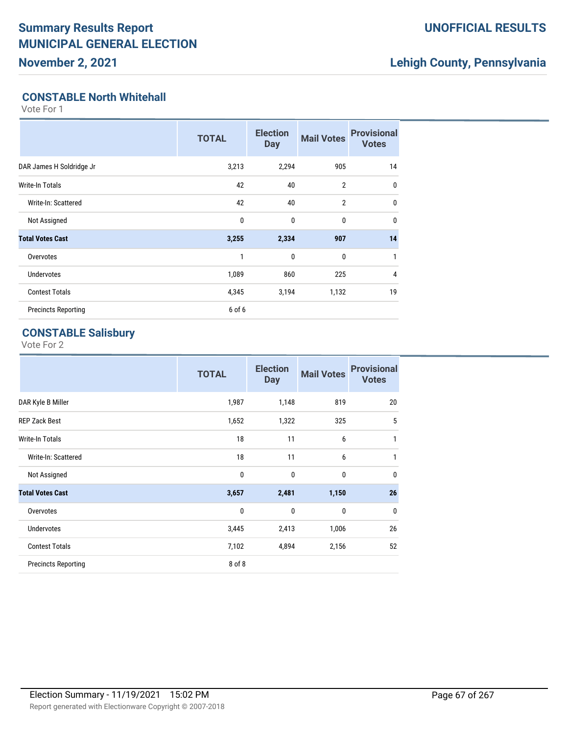**November 2, 2021**

## **UNOFFICIAL RESULTS**

## **Lehigh County, Pennsylvania**

### **CONSTABLE North Whitehall**

Vote For 1

|                            | <b>TOTAL</b> | <b>Election</b><br><b>Day</b> | <b>Mail Votes</b> | <b>Provisional</b><br><b>Votes</b> |
|----------------------------|--------------|-------------------------------|-------------------|------------------------------------|
| DAR James H Soldridge Jr   | 3,213        | 2,294                         | 905               | 14                                 |
| <b>Write-In Totals</b>     | 42           | 40                            | $\overline{2}$    | 0                                  |
| Write-In: Scattered        | 42           | 40                            | $\overline{2}$    | $\mathbf 0$                        |
| Not Assigned               | 0            | $\mathbf{0}$                  | 0                 | 0                                  |
| <b>Total Votes Cast</b>    | 3,255        | 2,334                         | 907               | 14                                 |
| Overvotes                  | 1            | $\mathbf{0}$                  | 0                 | 1                                  |
| <b>Undervotes</b>          | 1,089        | 860                           | 225               | 4                                  |
| <b>Contest Totals</b>      | 4,345        | 3,194                         | 1,132             | 19                                 |
| <b>Precincts Reporting</b> | 6 of 6       |                               |                   |                                    |

## **CONSTABLE Salisbury**

|                            | <b>TOTAL</b> | <b>Election</b><br><b>Day</b> | <b>Mail Votes</b> | <b>Provisional</b><br><b>Votes</b> |
|----------------------------|--------------|-------------------------------|-------------------|------------------------------------|
| DAR Kyle B Miller          | 1,987        | 1,148                         | 819               | 20                                 |
| <b>REP Zack Best</b>       | 1,652        | 1,322                         | 325               | 5                                  |
| Write-In Totals            | 18           | 11                            | 6                 | 1                                  |
| Write-In: Scattered        | 18           | 11                            | 6                 | 1                                  |
| Not Assigned               | $\mathbf{0}$ | $\mathbf 0$                   | $\mathbf 0$       | $\mathbf{0}$                       |
| <b>Total Votes Cast</b>    | 3,657        | 2,481                         | 1,150             | 26                                 |
| Overvotes                  | $\mathbf{0}$ | $\mathbf{0}$                  | $\mathbf{0}$      | $\mathbf{0}$                       |
| <b>Undervotes</b>          | 3,445        | 2,413                         | 1,006             | 26                                 |
| <b>Contest Totals</b>      | 7,102        | 4,894                         | 2,156             | 52                                 |
| <b>Precincts Reporting</b> | 8 of 8       |                               |                   |                                    |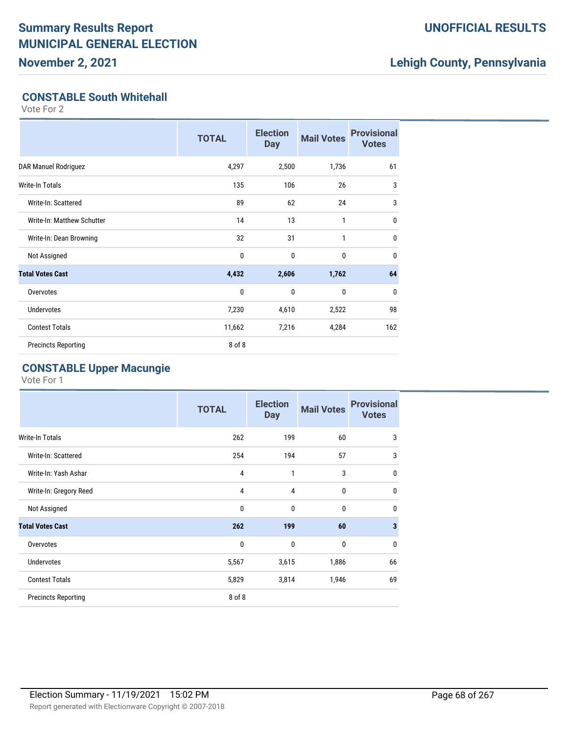**November 2, 2021**

## **UNOFFICIAL RESULTS**

## **Lehigh County, Pennsylvania**

## **CONSTABLE South Whitehall**

Vote For 2

|                            | <b>TOTAL</b> | <b>Election</b><br><b>Day</b> | <b>Mail Votes</b> | <b>Provisional</b><br><b>Votes</b> |
|----------------------------|--------------|-------------------------------|-------------------|------------------------------------|
| DAR Manuel Rodriguez       | 4,297        | 2,500                         | 1,736             | 61                                 |
| <b>Write-In Totals</b>     | 135          | 106                           | 26                | 3                                  |
| Write-In: Scattered        | 89           | 62                            | 24                | 3                                  |
| Write-In: Matthew Schutter | 14           | 13                            | 1                 | $\mathbf{0}$                       |
| Write-In: Dean Browning    | 32           | 31                            | $\mathbf{1}$      | $\mathbf{0}$                       |
| Not Assigned               | 0            | $\mathbf{0}$                  | 0                 | $\mathbf{0}$                       |
| <b>Total Votes Cast</b>    | 4,432        | 2,606                         | 1,762             | 64                                 |
| Overvotes                  | 0            | $\mathbf{0}$                  | 0                 | $\mathbf{0}$                       |
| <b>Undervotes</b>          | 7,230        | 4,610                         | 2,522             | 98                                 |
| <b>Contest Totals</b>      | 11,662       | 7,216                         | 4,284             | 162                                |
| <b>Precincts Reporting</b> | 8 of 8       |                               |                   |                                    |

### **CONSTABLE Upper Macungie**

|                            | <b>TOTAL</b> | <b>Election</b><br><b>Day</b> | <b>Mail Votes</b> | <b>Provisional</b><br><b>Votes</b> |
|----------------------------|--------------|-------------------------------|-------------------|------------------------------------|
| Write-In Totals            | 262          | 199                           | 60                | 3                                  |
| Write-In: Scattered        | 254          | 194                           | 57                | 3                                  |
| Write-In: Yash Ashar       | 4            | 1                             | 3                 | $\mathbf 0$                        |
| Write-In: Gregory Reed     | 4            | $\overline{4}$                | 0                 | $\mathbf 0$                        |
| Not Assigned               | 0            | $\mathbf 0$                   | $\mathbf 0$       | $\mathbf{0}$                       |
| <b>Total Votes Cast</b>    | 262          | 199                           | 60                | 3                                  |
| Overvotes                  | 0            | $\mathbf 0$                   | $\mathbf 0$       | $\mathbf 0$                        |
| <b>Undervotes</b>          | 5,567        | 3,615                         | 1,886             | 66                                 |
| <b>Contest Totals</b>      | 5,829        | 3,814                         | 1,946             | 69                                 |
| <b>Precincts Reporting</b> | 8 of 8       |                               |                   |                                    |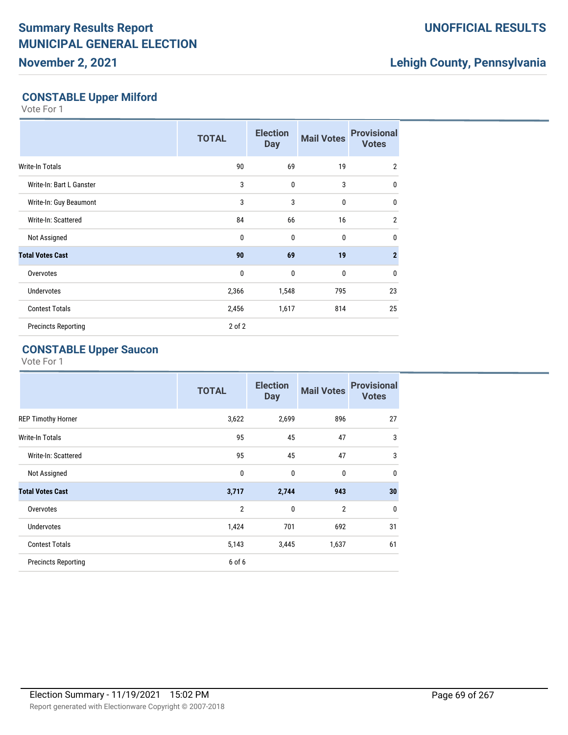**November 2, 2021**

## **UNOFFICIAL RESULTS**

## **Lehigh County, Pennsylvania**

## **CONSTABLE Upper Milford**

Vote For 1

|                            | <b>TOTAL</b> | <b>Election</b><br><b>Day</b> | <b>Mail Votes</b> | <b>Provisional</b><br><b>Votes</b> |
|----------------------------|--------------|-------------------------------|-------------------|------------------------------------|
| Write-In Totals            | 90           | 69                            | 19                | $\overline{2}$                     |
| Write-In: Bart L Ganster   | 3            | $\mathbf 0$                   | 3                 | $\mathbf{0}$                       |
| Write-In: Guy Beaumont     | 3            | 3                             | 0                 | $\mathbf{0}$                       |
| Write-In: Scattered        | 84           | 66                            | 16                | $\overline{2}$                     |
| Not Assigned               | 0            | $\mathbf 0$                   | 0                 | $\mathbf{0}$                       |
| <b>Total Votes Cast</b>    | 90           | 69                            | 19                | $\overline{2}$                     |
| Overvotes                  | $\mathbf{0}$ | $\mathbf{0}$                  | 0                 | $\mathbf{0}$                       |
| <b>Undervotes</b>          | 2,366        | 1,548                         | 795               | 23                                 |
| <b>Contest Totals</b>      | 2,456        | 1,617                         | 814               | 25                                 |
| <b>Precincts Reporting</b> | $2$ of $2$   |                               |                   |                                    |

## **CONSTABLE Upper Saucon**

|                            | <b>TOTAL</b>   | <b>Election</b><br><b>Day</b> | <b>Mail Votes</b> | <b>Provisional</b><br><b>Votes</b> |
|----------------------------|----------------|-------------------------------|-------------------|------------------------------------|
| <b>REP Timothy Horner</b>  | 3,622          | 2,699                         | 896               | 27                                 |
| <b>Write-In Totals</b>     | 95             | 45                            | 47                | 3                                  |
| Write-In: Scattered        | 95             | 45                            | 47                | 3                                  |
| Not Assigned               | $\mathbf 0$    | $\mathbf 0$                   | $\mathbf{0}$      | 0                                  |
| <b>Total Votes Cast</b>    | 3,717          | 2,744                         | 943               | 30                                 |
| Overvotes                  | $\overline{2}$ | 0                             | $\overline{2}$    | 0                                  |
| <b>Undervotes</b>          | 1,424          | 701                           | 692               | 31                                 |
| <b>Contest Totals</b>      | 5,143          | 3,445                         | 1,637             | 61                                 |
| <b>Precincts Reporting</b> | 6 of 6         |                               |                   |                                    |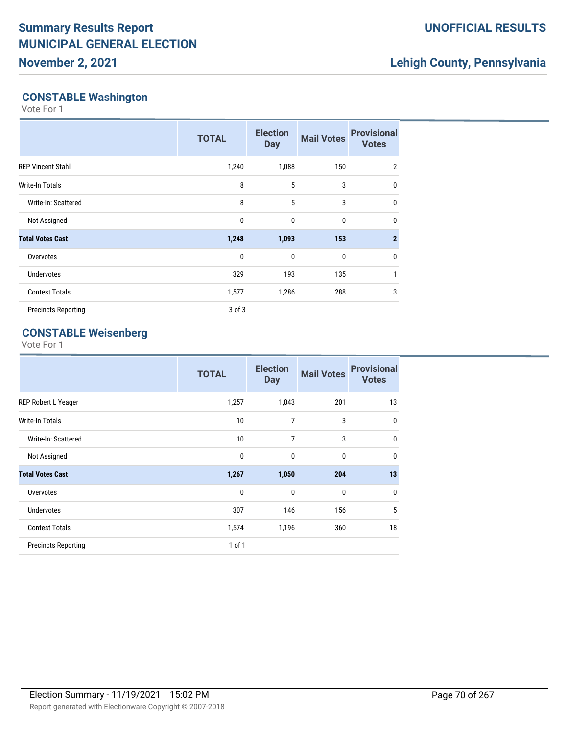## **November 2, 2021**

## **UNOFFICIAL RESULTS**

## **Lehigh County, Pennsylvania**

### **CONSTABLE Washington**

Vote For 1

|                            | <b>TOTAL</b> | <b>Election</b><br><b>Day</b> | <b>Mail Votes</b> | <b>Provisional</b><br><b>Votes</b> |
|----------------------------|--------------|-------------------------------|-------------------|------------------------------------|
| <b>REP Vincent Stahl</b>   | 1,240        | 1,088                         | 150               | 2                                  |
| <b>Write-In Totals</b>     | 8            | 5                             | 3                 | $\mathbf 0$                        |
| Write-In: Scattered        | 8            | 5                             | 3                 | $\mathbf 0$                        |
| Not Assigned               | $\mathbf 0$  | $\mathbf{0}$                  | $\mathbf{0}$      | $\mathbf{0}$                       |
| <b>Total Votes Cast</b>    | 1,248        | 1,093                         | 153               | $\overline{2}$                     |
| Overvotes                  | $\mathbf{0}$ | $\mathbf{0}$                  | $\mathbf{0}$      | $\mathbf 0$                        |
| <b>Undervotes</b>          | 329          | 193                           | 135               | 1                                  |
| <b>Contest Totals</b>      | 1,577        | 1,286                         | 288               | 3                                  |
| <b>Precincts Reporting</b> | $3$ of $3$   |                               |                   |                                    |

## **CONSTABLE Weisenberg**

|                            | <b>TOTAL</b> | <b>Election</b><br><b>Day</b> | <b>Mail Votes</b> | <b>Provisional</b><br><b>Votes</b> |
|----------------------------|--------------|-------------------------------|-------------------|------------------------------------|
| REP Robert L Yeager        | 1,257        | 1,043                         | 201               | 13                                 |
| <b>Write-In Totals</b>     | 10           | 7                             | 3                 | $\mathbf 0$                        |
| Write-In: Scattered        | 10           | 7                             | 3                 | $\mathbf{0}$                       |
| Not Assigned               | 0            | $\mathbf{0}$                  | $\mathbf{0}$      | $\mathbf{0}$                       |
| <b>Total Votes Cast</b>    | 1,267        | 1,050                         | 204               | 13                                 |
| Overvotes                  | $\mathbf{0}$ | $\mathbf{0}$                  | $\mathbf{0}$      | $\mathbf{0}$                       |
| <b>Undervotes</b>          | 307          | 146                           | 156               | 5                                  |
| <b>Contest Totals</b>      | 1,574        | 1,196                         | 360               | 18                                 |
| <b>Precincts Reporting</b> | $1$ of $1$   |                               |                   |                                    |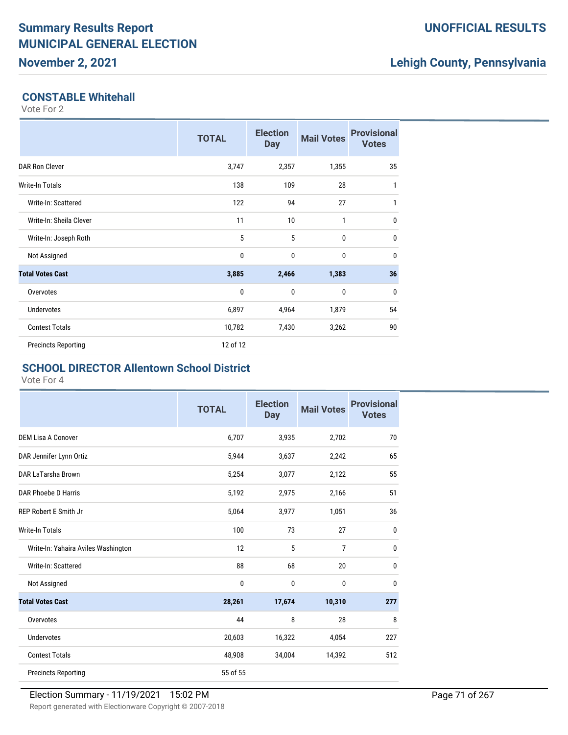## **Lehigh County, Pennsylvania**

#### **CONSTABLE Whitehall**

Vote For 2

|                            | <b>TOTAL</b> | <b>Election</b><br><b>Day</b> | <b>Mail Votes</b> | <b>Provisional</b><br><b>Votes</b> |
|----------------------------|--------------|-------------------------------|-------------------|------------------------------------|
| <b>DAR Ron Clever</b>      | 3,747        | 2,357                         | 1,355             | 35                                 |
| <b>Write-In Totals</b>     | 138          | 109                           | 28                | 1                                  |
| Write-In: Scattered        | 122          | 94                            | 27                | $\mathbf{1}$                       |
| Write-In: Sheila Clever    | 11           | 10                            | 1                 | $\mathbf{0}$                       |
| Write-In: Joseph Roth      | 5            | 5                             | $\mathbf{0}$      | $\mathbf{0}$                       |
| Not Assigned               | 0            | $\mathbf{0}$                  | $\bf{0}$          | $\mathbf{0}$                       |
| <b>Total Votes Cast</b>    | 3,885        | 2,466                         | 1,383             | 36                                 |
| Overvotes                  | 0            | $\mathbf{0}$                  | $\bf{0}$          | $\mathbf 0$                        |
| <b>Undervotes</b>          | 6,897        | 4,964                         | 1,879             | 54                                 |
| <b>Contest Totals</b>      | 10,782       | 7,430                         | 3,262             | 90                                 |
| <b>Precincts Reporting</b> | 12 of 12     |                               |                   |                                    |

#### **SCHOOL DIRECTOR Allentown School District**

|                                     | <b>TOTAL</b> | <b>Election</b><br><b>Day</b> | <b>Mail Votes</b> | <b>Provisional</b><br><b>Votes</b> |
|-------------------------------------|--------------|-------------------------------|-------------------|------------------------------------|
| <b>DEM Lisa A Conover</b>           | 6,707        | 3,935                         | 2,702             | 70                                 |
| DAR Jennifer Lynn Ortiz             | 5,944        | 3,637                         | 2,242             | 65                                 |
| DAR LaTarsha Brown                  | 5,254        | 3,077                         | 2,122             | 55                                 |
| DAR Phoebe D Harris                 | 5,192        | 2,975                         | 2,166             | 51                                 |
| <b>REP Robert E Smith Jr</b>        | 5,064        | 3,977                         | 1,051             | 36                                 |
| <b>Write-In Totals</b>              | 100          | 73                            | 27                | $\mathbf{0}$                       |
| Write-In: Yahaira Aviles Washington | 12           | 5                             | $\overline{7}$    | 0                                  |
| Write-In: Scattered                 | 88           | 68                            | 20                | $\mathbf{0}$                       |
| Not Assigned                        | 0            | 0                             | 0                 | $\mathbf{0}$                       |
| <b>Total Votes Cast</b>             | 28,261       | 17,674                        | 10,310            | 277                                |
| Overvotes                           | 44           | 8                             | 28                | 8                                  |
| <b>Undervotes</b>                   | 20,603       | 16,322                        | 4,054             | 227                                |
| <b>Contest Totals</b>               | 48,908       | 34,004                        | 14,392            | 512                                |
| <b>Precincts Reporting</b>          | 55 of 55     |                               |                   |                                    |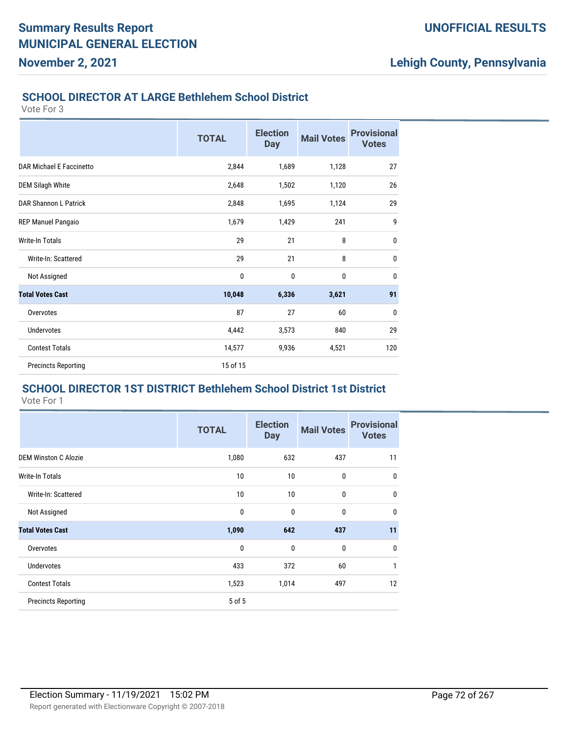## **Lehigh County, Pennsylvania**

#### **SCHOOL DIRECTOR AT LARGE Bethlehem School District**

Vote For 3

|                            | <b>TOTAL</b> | <b>Election</b><br><b>Day</b> | <b>Mail Votes</b> | <b>Provisional</b><br><b>Votes</b> |
|----------------------------|--------------|-------------------------------|-------------------|------------------------------------|
|                            |              |                               |                   |                                    |
| DAR Michael E Faccinetto   | 2,844        | 1,689                         | 1,128             | 27                                 |
| <b>DEM Silagh White</b>    | 2,648        | 1,502                         | 1,120             | 26                                 |
| DAR Shannon L Patrick      | 2,848        | 1,695                         | 1,124             | 29                                 |
| <b>REP Manuel Pangaio</b>  | 1,679        | 1,429                         | 241               | 9                                  |
| <b>Write-In Totals</b>     | 29           | 21                            | 8                 | $\mathbf 0$                        |
| Write-In: Scattered        | 29           | 21                            | 8                 | 0                                  |
| Not Assigned               | 0            | $\mathbf 0$                   | 0                 | $\mathbf 0$                        |
| <b>Total Votes Cast</b>    | 10,048       | 6,336                         | 3,621             | 91                                 |
| Overvotes                  | 87           | 27                            | 60                | $\mathbf 0$                        |
| <b>Undervotes</b>          | 4,442        | 3,573                         | 840               | 29                                 |
| <b>Contest Totals</b>      | 14,577       | 9,936                         | 4,521             | 120                                |
| <b>Precincts Reporting</b> | 15 of 15     |                               |                   |                                    |

#### **SCHOOL DIRECTOR 1ST DISTRICT Bethlehem School District 1st District** Vote For 1

|                             | <b>TOTAL</b> | <b>Election</b><br><b>Day</b> | <b>Mail Votes</b> | <b>Provisional</b><br><b>Votes</b> |
|-----------------------------|--------------|-------------------------------|-------------------|------------------------------------|
| <b>DEM Winston C Alozie</b> | 1,080        | 632                           | 437               | 11                                 |
| <b>Write-In Totals</b>      | 10           | 10                            | $\bf{0}$          | $\mathbf{0}$                       |
| Write-In: Scattered         | 10           | 10                            | $\mathbf{0}$      | $\mathbf{0}$                       |
| Not Assigned                | 0            | 0                             | $\mathbf{0}$      | 0                                  |
| <b>Total Votes Cast</b>     | 1,090        | 642                           | 437               | 11                                 |
| Overvotes                   | $\mathbf{0}$ | $\mathbf{0}$                  | $\mathbf{0}$      | $\mathbf{0}$                       |
| <b>Undervotes</b>           | 433          | 372                           | 60                | 1                                  |
| <b>Contest Totals</b>       | 1,523        | 1,014                         | 497               | 12                                 |
| <b>Precincts Reporting</b>  | 5 of 5       |                               |                   |                                    |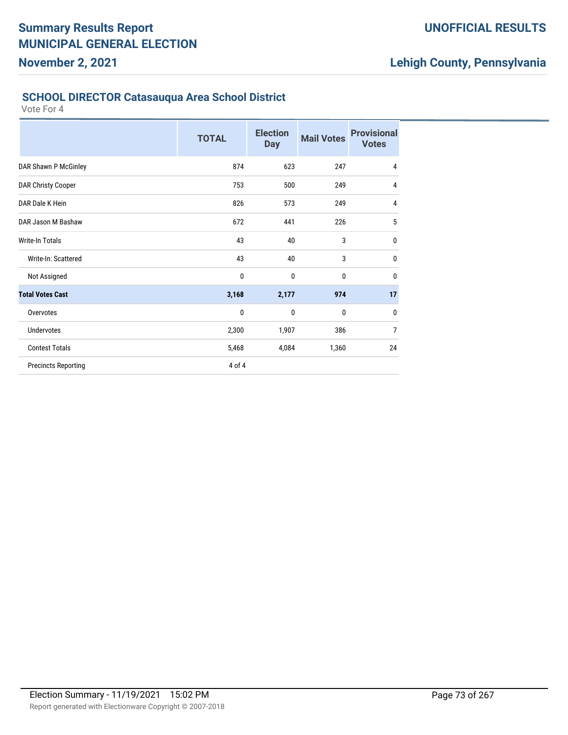#### **SCHOOL DIRECTOR Catasauqua Area School District**

|                            | <b>TOTAL</b> | <b>Election</b><br><b>Day</b> | <b>Mail Votes</b> | <b>Provisional</b><br><b>Votes</b> |
|----------------------------|--------------|-------------------------------|-------------------|------------------------------------|
| DAR Shawn P McGinley       | 874          | 623                           | 247               | 4                                  |
| <b>DAR Christy Cooper</b>  | 753          | 500                           | 249               | $\overline{4}$                     |
| DAR Dale K Hein            | 826          | 573                           | 249               | 4                                  |
| DAR Jason M Bashaw         | 672          | 441                           | 226               | 5                                  |
| Write-In Totals            | 43           | 40                            | 3                 | $\pmb{0}$                          |
| Write-In: Scattered        | 43           | 40                            | 3                 | 0                                  |
| Not Assigned               | 0            | $\mathbf 0$                   | 0                 | $\mathbf 0$                        |
| <b>Total Votes Cast</b>    | 3,168        | 2,177                         | 974               | 17                                 |
| Overvotes                  | 0            | 0                             | 0                 | 0                                  |
| <b>Undervotes</b>          | 2,300        | 1,907                         | 386               | $\overline{7}$                     |
| <b>Contest Totals</b>      | 5,468        | 4,084                         | 1,360             | 24                                 |
| <b>Precincts Reporting</b> | 4 of 4       |                               |                   |                                    |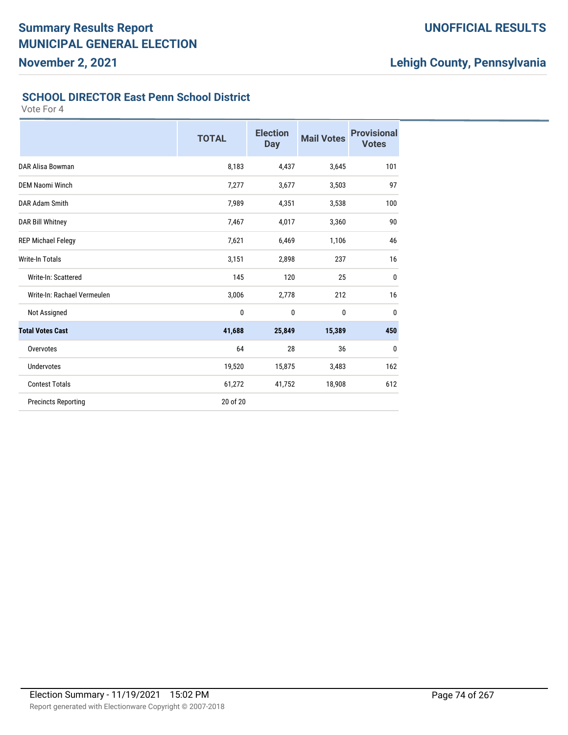## **UNOFFICIAL RESULTS**

# **Lehigh County, Pennsylvania**

#### **SCHOOL DIRECTOR East Penn School District**

|                             | <b>TOTAL</b> | <b>Election</b><br><b>Day</b> | <b>Mail Votes</b> | <b>Provisional</b><br><b>Votes</b> |
|-----------------------------|--------------|-------------------------------|-------------------|------------------------------------|
| DAR Alisa Bowman            | 8,183        | 4,437                         | 3,645             | 101                                |
| <b>DEM Naomi Winch</b>      | 7,277        | 3,677                         | 3,503             | 97                                 |
| DAR Adam Smith              | 7,989        | 4,351                         | 3,538             | 100                                |
| <b>DAR Bill Whitney</b>     | 7,467        | 4,017                         | 3,360             | 90                                 |
| <b>REP Michael Felegy</b>   | 7,621        | 6,469                         | 1,106             | 46                                 |
| <b>Write-In Totals</b>      | 3,151        | 2,898                         | 237               | 16                                 |
| Write-In: Scattered         | 145          | 120                           | 25                | $\mathbf{0}$                       |
| Write-In: Rachael Vermeulen | 3,006        | 2,778                         | 212               | 16                                 |
| Not Assigned                | 0            | 0                             | 0                 | $\bf{0}$                           |
| <b>Total Votes Cast</b>     | 41,688       | 25,849                        | 15,389            | 450                                |
| Overvotes                   | 64           | 28                            | 36                | 0                                  |
| <b>Undervotes</b>           | 19,520       | 15,875                        | 3,483             | 162                                |
| <b>Contest Totals</b>       | 61,272       | 41,752                        | 18,908            | 612                                |
| <b>Precincts Reporting</b>  | 20 of 20     |                               |                   |                                    |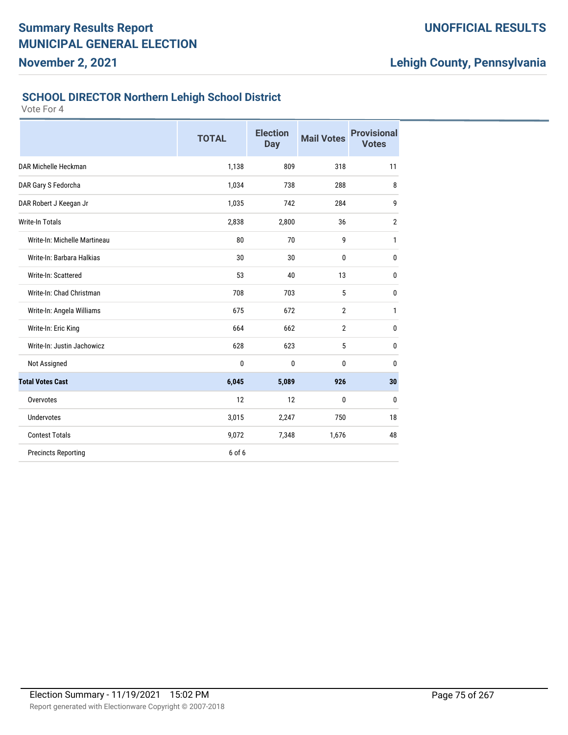### **UNOFFICIAL RESULTS**

# **Lehigh County, Pennsylvania**

# **SCHOOL DIRECTOR Northern Lehigh School District**

|                              | <b>TOTAL</b> | <b>Election</b><br><b>Day</b> | <b>Mail Votes</b> | <b>Provisional</b><br><b>Votes</b> |
|------------------------------|--------------|-------------------------------|-------------------|------------------------------------|
| DAR Michelle Heckman         | 1,138        | 809                           | 318               | 11                                 |
| DAR Gary S Fedorcha          | 1,034        | 738                           | 288               | 8                                  |
| DAR Robert J Keegan Jr       | 1,035        | 742                           | 284               | 9                                  |
| <b>Write-In Totals</b>       | 2,838        | 2,800                         | 36                | $\overline{2}$                     |
| Write-In: Michelle Martineau | 80           | 70                            | 9                 | 1                                  |
| Write-In: Barbara Halkias    | 30           | 30                            | $\mathbf{0}$      | 0                                  |
| Write-In: Scattered          | 53           | 40                            | 13                | 0                                  |
| Write-In: Chad Christman     | 708          | 703                           | 5                 | 0                                  |
| Write-In: Angela Williams    | 675          | 672                           | $\overline{2}$    | 1                                  |
| Write-In: Eric King          | 664          | 662                           | $\overline{2}$    | 0                                  |
| Write-In: Justin Jachowicz   | 628          | 623                           | 5                 | 0                                  |
| Not Assigned                 | 0            | 0                             | 0                 | 0                                  |
| <b>Total Votes Cast</b>      | 6,045        | 5,089                         | 926               | 30                                 |
| Overvotes                    | 12           | 12                            | 0                 | $\bf{0}$                           |
| <b>Undervotes</b>            | 3,015        | 2,247                         | 750               | 18                                 |
| <b>Contest Totals</b>        | 9,072        | 7,348                         | 1,676             | 48                                 |
| <b>Precincts Reporting</b>   | 6 of 6       |                               |                   |                                    |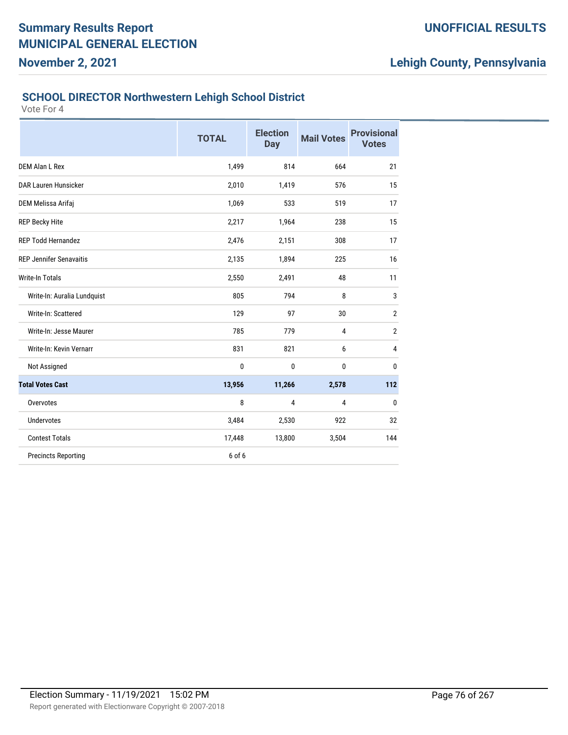#### **SCHOOL DIRECTOR Northwestern Lehigh School District**

|                                | <b>TOTAL</b> | <b>Election</b><br><b>Day</b> | <b>Mail Votes</b> | <b>Provisional</b><br><b>Votes</b> |
|--------------------------------|--------------|-------------------------------|-------------------|------------------------------------|
| DEM Alan L Rex                 | 1,499        | 814                           | 664               | 21                                 |
| DAR Lauren Hunsicker           | 2,010        | 1,419                         | 576               | 15                                 |
| DEM Melissa Arifaj             | 1,069        | 533                           | 519               | 17                                 |
| <b>REP Becky Hite</b>          | 2,217        | 1,964                         | 238               | 15                                 |
| <b>REP Todd Hernandez</b>      | 2,476        | 2,151                         | 308               | 17                                 |
| <b>REP Jennifer Senavaitis</b> | 2,135        | 1,894                         | 225               | 16                                 |
| <b>Write-In Totals</b>         | 2,550        | 2,491                         | 48                | 11                                 |
| Write-In: Auralia Lundquist    | 805          | 794                           | 8                 | 3                                  |
| Write-In: Scattered            | 129          | 97                            | 30                | $\overline{2}$                     |
| Write-In: Jesse Maurer         | 785          | 779                           | $\overline{4}$    | $\overline{2}$                     |
| Write-In: Kevin Vernarr        | 831          | 821                           | 6                 | 4                                  |
| Not Assigned                   | 0            | 0                             | 0                 | 0                                  |
| <b>Total Votes Cast</b>        | 13,956       | 11,266                        | 2,578             | 112                                |
| Overvotes                      | 8            | 4                             | 4                 | $\bf{0}$                           |
| <b>Undervotes</b>              | 3,484        | 2,530                         | 922               | 32                                 |
| <b>Contest Totals</b>          | 17,448       | 13,800                        | 3,504             | 144                                |
| <b>Precincts Reporting</b>     | 6 of 6       |                               |                   |                                    |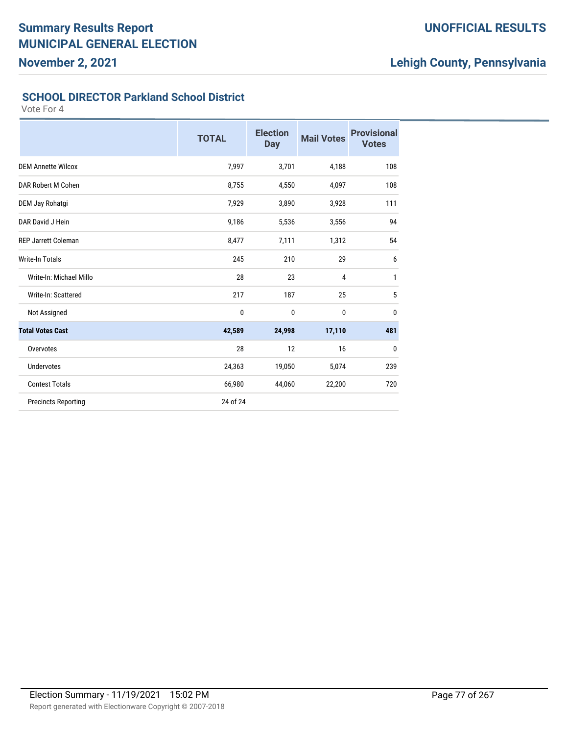## **UNOFFICIAL RESULTS**

# **Lehigh County, Pennsylvania**

#### **SCHOOL DIRECTOR Parkland School District**

|                            | <b>TOTAL</b> | <b>Election</b><br><b>Day</b> | <b>Mail Votes</b> | <b>Provisional</b><br><b>Votes</b> |
|----------------------------|--------------|-------------------------------|-------------------|------------------------------------|
| <b>DEM Annette Wilcox</b>  | 7,997        | 3,701                         | 4,188             | 108                                |
| DAR Robert M Cohen         | 8,755        | 4,550                         | 4,097             | 108                                |
| DEM Jay Rohatgi            | 7,929        | 3,890                         | 3,928             | 111                                |
| DAR David J Hein           | 9,186        | 5,536                         | 3,556             | 94                                 |
| <b>REP Jarrett Coleman</b> | 8,477        | 7,111                         | 1,312             | 54                                 |
| <b>Write-In Totals</b>     | 245          | 210                           | 29                | 6                                  |
| Write-In: Michael Millo    | 28           | 23                            | 4                 | $\mathbf{1}$                       |
| Write-In: Scattered        | 217          | 187                           | 25                | 5                                  |
| Not Assigned               | $\pmb{0}$    | 0                             | $\mathbf 0$       | $\bf{0}$                           |
| <b>Total Votes Cast</b>    | 42,589       | 24,998                        | 17,110            | 481                                |
| Overvotes                  | 28           | 12                            | 16                | 0                                  |
| <b>Undervotes</b>          | 24,363       | 19,050                        | 5,074             | 239                                |
| <b>Contest Totals</b>      | 66,980       | 44,060                        | 22,200            | 720                                |
| <b>Precincts Reporting</b> | 24 of 24     |                               |                   |                                    |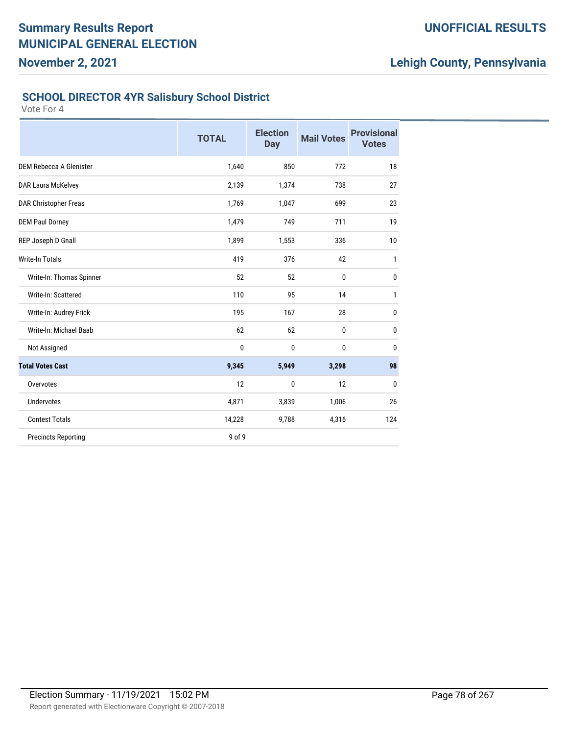## **UNOFFICIAL RESULTS**

# **Lehigh County, Pennsylvania**

#### **SCHOOL DIRECTOR 4YR Salisbury School District**

|                            | <b>TOTAL</b> | <b>Election</b><br><b>Day</b> | <b>Mail Votes</b> | <b>Provisional</b><br><b>Votes</b> |
|----------------------------|--------------|-------------------------------|-------------------|------------------------------------|
| DEM Rebecca A Glenister    | 1,640        | 850                           | 772               | 18                                 |
| DAR Laura McKelvey         | 2,139        | 1,374                         | 738               | 27                                 |
| DAR Christopher Freas      | 1,769        | 1,047                         | 699               | 23                                 |
| <b>DEM Paul Dorney</b>     | 1,479        | 749                           | 711               | 19                                 |
| REP Joseph D Gnall         | 1,899        | 1,553                         | 336               | 10                                 |
| <b>Write-In Totals</b>     | 419          | 376                           | 42                | 1                                  |
| Write-In: Thomas Spinner   | 52           | 52                            | $\mathbf{0}$      | 0                                  |
| Write-In: Scattered        | 110          | 95                            | 14                | 1                                  |
| Write-In: Audrey Frick     | 195          | 167                           | 28                | 0                                  |
| Write-In: Michael Baab     | 62           | 62                            | $\bf{0}$          | 0                                  |
| Not Assigned               | 0            | $\mathbf{0}$                  | 0                 | $\bf{0}$                           |
| <b>Total Votes Cast</b>    | 9,345        | 5,949                         | 3,298             | 98                                 |
| Overvotes                  | 12           | $\mathbf 0$                   | 12                | $\mathbf 0$                        |
| <b>Undervotes</b>          | 4,871        | 3,839                         | 1,006             | 26                                 |
| <b>Contest Totals</b>      | 14,228       | 9,788                         | 4,316             | 124                                |
| <b>Precincts Reporting</b> | 9 of 9       |                               |                   |                                    |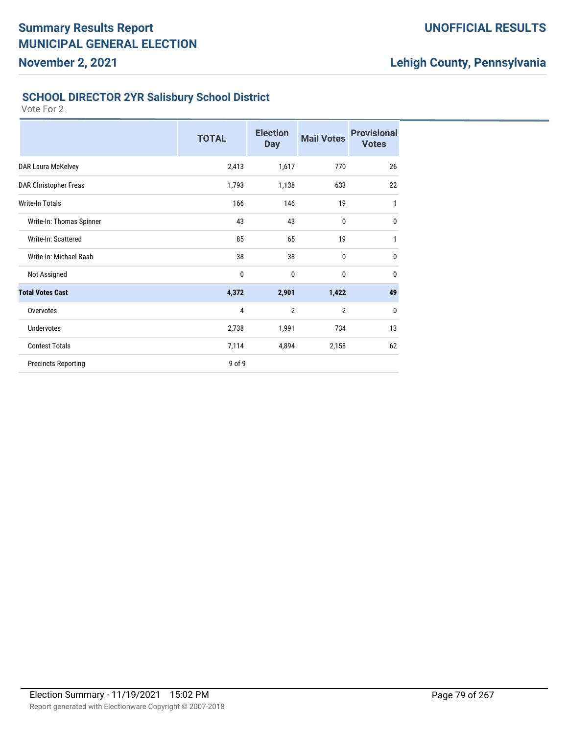## **UNOFFICIAL RESULTS**

# **Lehigh County, Pennsylvania**

#### **SCHOOL DIRECTOR 2YR Salisbury School District**

|                            | <b>TOTAL</b> | <b>Election</b><br><b>Day</b> | <b>Mail Votes</b> | <b>Provisional</b><br><b>Votes</b> |
|----------------------------|--------------|-------------------------------|-------------------|------------------------------------|
| DAR Laura McKelvey         | 2,413        | 1,617                         | 770               | 26                                 |
| DAR Christopher Freas      | 1,793        | 1,138                         | 633               | 22                                 |
| Write-In Totals            | 166          | 146                           | 19                | 1                                  |
| Write-In: Thomas Spinner   | 43           | 43                            | $\bf{0}$          | $\mathbf{0}$                       |
| Write-In: Scattered        | 85           | 65                            | 19                | 1                                  |
| Write-In: Michael Baab     | 38           | 38                            | 0                 | $\mathbf{0}$                       |
| Not Assigned               | 0            | 0                             | 0                 | $\mathbf{0}$                       |
| <b>Total Votes Cast</b>    | 4,372        | 2,901                         | 1,422             | 49                                 |
| Overvotes                  | 4            | $\overline{2}$                | $\overline{2}$    | $\mathbf{0}$                       |
| Undervotes                 | 2,738        | 1,991                         | 734               | 13                                 |
| <b>Contest Totals</b>      | 7,114        | 4,894                         | 2,158             | 62                                 |
| <b>Precincts Reporting</b> | 9 of 9       |                               |                   |                                    |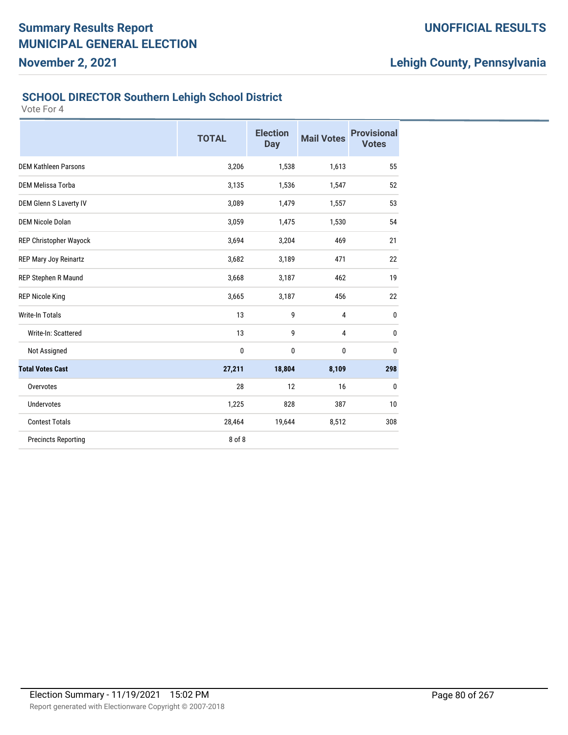## **UNOFFICIAL RESULTS**

# **Lehigh County, Pennsylvania**

#### **SCHOOL DIRECTOR Southern Lehigh School District**

|                               | <b>TOTAL</b> | <b>Election</b><br><b>Day</b> | <b>Mail Votes</b> | <b>Provisional</b><br><b>Votes</b> |
|-------------------------------|--------------|-------------------------------|-------------------|------------------------------------|
| <b>DEM Kathleen Parsons</b>   | 3,206        | 1,538                         | 1,613             | 55                                 |
| DEM Melissa Torba             | 3,135        | 1,536                         | 1,547             | 52                                 |
| <b>DEM Glenn S Laverty IV</b> | 3,089        | 1,479                         | 1,557             | 53                                 |
| <b>DEM Nicole Dolan</b>       | 3,059        | 1,475                         | 1,530             | 54                                 |
| REP Christopher Wayock        | 3,694        | 3,204                         | 469               | 21                                 |
| REP Mary Joy Reinartz         | 3,682        | 3,189                         | 471               | 22                                 |
| REP Stephen R Maund           | 3,668        | 3,187                         | 462               | 19                                 |
| <b>REP Nicole King</b>        | 3,665        | 3,187                         | 456               | 22                                 |
| <b>Write-In Totals</b>        | 13           | 9                             | $\overline{4}$    | $\mathbf{0}$                       |
| Write-In: Scattered           | 13           | 9                             | 4                 | 0                                  |
| Not Assigned                  | 0            | $\mathbf{0}$                  | 0                 | $\mathbf{0}$                       |
| <b>Total Votes Cast</b>       | 27,211       | 18,804                        | 8,109             | 298                                |
| Overvotes                     | 28           | 12                            | 16                | 0                                  |
| <b>Undervotes</b>             | 1,225        | 828                           | 387               | 10                                 |
| <b>Contest Totals</b>         | 28,464       | 19,644                        | 8,512             | 308                                |
| <b>Precincts Reporting</b>    | 8 of 8       |                               |                   |                                    |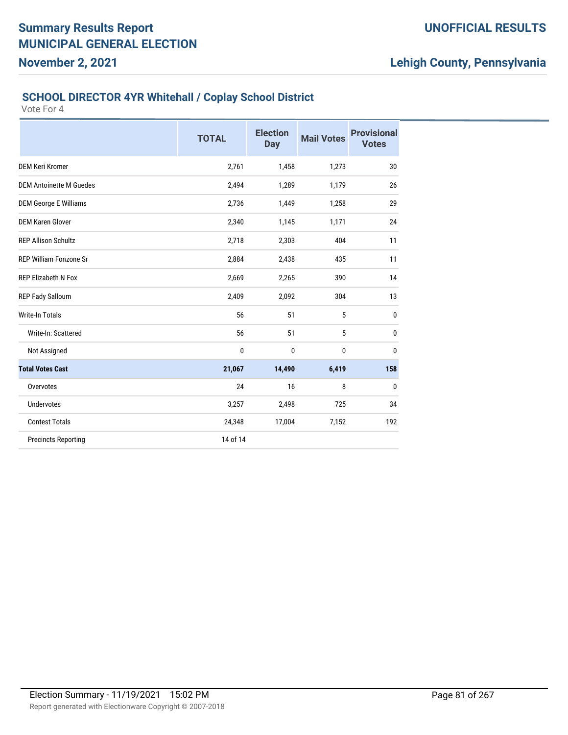#### **SCHOOL DIRECTOR 4YR Whitehall / Coplay School District**

Vote For 4

**November 2, 2021**

|                                | <b>TOTAL</b> | <b>Election</b><br><b>Day</b> | <b>Mail Votes</b> | <b>Provisional</b><br><b>Votes</b> |
|--------------------------------|--------------|-------------------------------|-------------------|------------------------------------|
| <b>DEM Keri Kromer</b>         | 2,761        | 1,458                         | 1,273             | 30                                 |
| <b>DEM Antoinette M Guedes</b> | 2,494        | 1,289                         | 1,179             | 26                                 |
| <b>DEM George E Williams</b>   | 2,736        | 1,449                         | 1,258             | 29                                 |
| <b>DEM Karen Glover</b>        | 2,340        | 1,145                         | 1,171             | 24                                 |
| <b>REP Allison Schultz</b>     | 2,718        | 2,303                         | 404               | 11                                 |
| REP William Fonzone Sr         | 2,884        | 2,438                         | 435               | 11                                 |
| <b>REP Elizabeth N Fox</b>     | 2,669        | 2,265                         | 390               | 14                                 |
| REP Fady Salloum               | 2,409        | 2,092                         | 304               | 13                                 |
| <b>Write-In Totals</b>         | 56           | 51                            | 5                 | $\mathbf{0}$                       |
| Write-In: Scattered            | 56           | 51                            | 5                 | 0                                  |
| Not Assigned                   | 0            | 0                             | 0                 | $\mathbf{0}$                       |
| <b>Total Votes Cast</b>        | 21,067       | 14,490                        | 6,419             | 158                                |
| Overvotes                      | 24           | 16                            | 8                 | 0                                  |
| Undervotes                     | 3,257        | 2,498                         | 725               | 34                                 |
| <b>Contest Totals</b>          | 24,348       | 17,004                        | 7,152             | 192                                |
| <b>Precincts Reporting</b>     | 14 of 14     |                               |                   |                                    |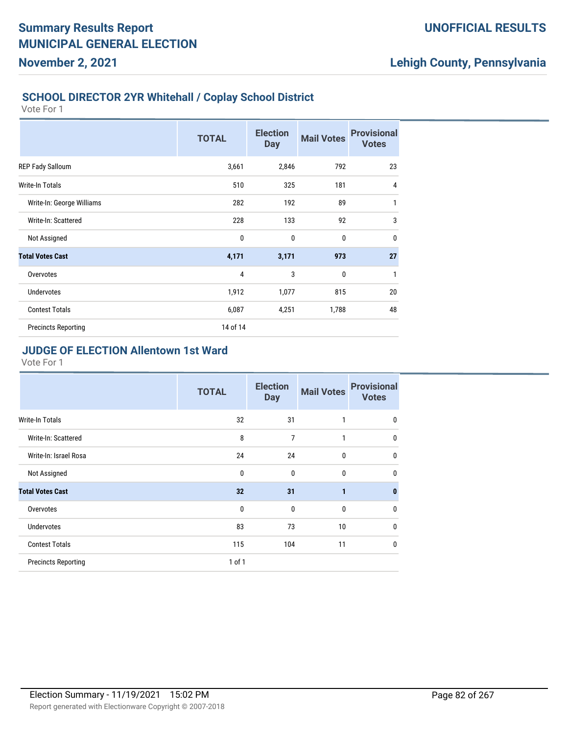#### **SCHOOL DIRECTOR 2YR Whitehall / Coplay School District**

Vote For 1

**November 2, 2021**

|                            | <b>TOTAL</b>   | <b>Election</b><br><b>Day</b> | <b>Mail Votes</b> | <b>Provisional</b><br><b>Votes</b> |
|----------------------------|----------------|-------------------------------|-------------------|------------------------------------|
| REP Fady Salloum           | 3,661          | 2,846                         | 792               | 23                                 |
| <b>Write-In Totals</b>     | 510            | 325                           | 181               | $\overline{4}$                     |
| Write-In: George Williams  | 282            | 192                           | 89                | 1                                  |
| Write-In: Scattered        | 228            | 133                           | 92                | 3                                  |
| Not Assigned               | $\mathbf 0$    | $\mathbf 0$                   | 0                 | $\mathbf{0}$                       |
| <b>Total Votes Cast</b>    | 4,171          | 3,171                         | 973               | 27                                 |
| Overvotes                  | $\overline{4}$ | 3                             | 0                 | 1                                  |
| <b>Undervotes</b>          | 1,912          | 1,077                         | 815               | 20                                 |
| <b>Contest Totals</b>      | 6,087          | 4,251                         | 1,788             | 48                                 |
| <b>Precincts Reporting</b> | 14 of 14       |                               |                   |                                    |

### **JUDGE OF ELECTION Allentown 1st Ward**

|                            | <b>TOTAL</b> | <b>Election</b><br><b>Day</b> | <b>Mail Votes</b> | <b>Provisional</b><br><b>Votes</b> |
|----------------------------|--------------|-------------------------------|-------------------|------------------------------------|
| <b>Write-In Totals</b>     | 32           | 31                            | 1                 | $\mathbf 0$                        |
| Write-In: Scattered        | 8            | $\overline{7}$                | 1                 | $\mathbf 0$                        |
| Write-In: Israel Rosa      | 24           | 24                            | $\mathbf{0}$      | $\mathbf{0}$                       |
| Not Assigned               | $\mathbf{0}$ | $\mathbf{0}$                  | $\mathbf{0}$      | $\mathbf{0}$                       |
| <b>Total Votes Cast</b>    | 32           | 31                            | $\mathbf{1}$      | $\bf{0}$                           |
| Overvotes                  | $\mathbf 0$  | $\mathbf{0}$                  | $\mathbf{0}$      | 0                                  |
| <b>Undervotes</b>          | 83           | 73                            | 10                | $\mathbf{0}$                       |
| <b>Contest Totals</b>      | 115          | 104                           | 11                | $\mathbf{0}$                       |
| <b>Precincts Reporting</b> | 1 of 1       |                               |                   |                                    |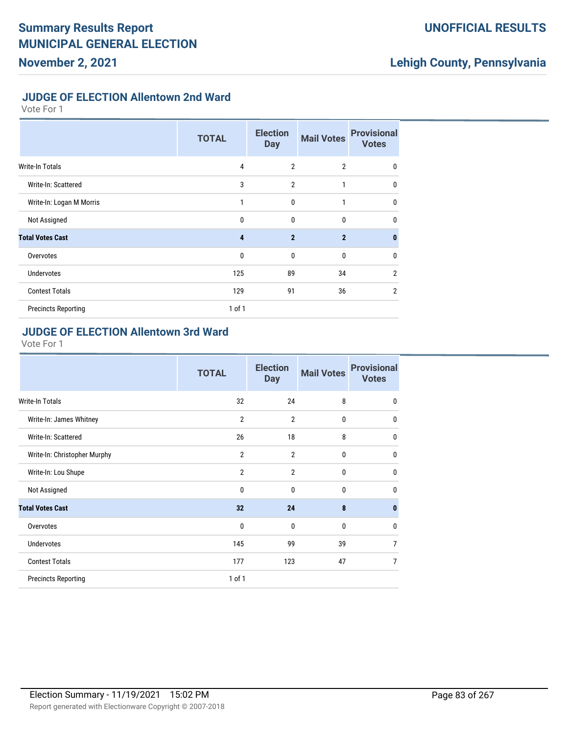### **UNOFFICIAL RESULTS**

# **Lehigh County, Pennsylvania**

#### **JUDGE OF ELECTION Allentown 2nd Ward**

Vote For 1

|                            | <b>TOTAL</b>   | <b>Election</b><br><b>Day</b> | <b>Mail Votes</b> | <b>Provisional</b><br><b>Votes</b> |
|----------------------------|----------------|-------------------------------|-------------------|------------------------------------|
| <b>Write-In Totals</b>     | $\overline{4}$ | $\overline{2}$                | $\overline{2}$    | $\mathbf 0$                        |
| Write-In: Scattered        | 3              | $\overline{2}$                | $\mathbf{1}$      | 0                                  |
| Write-In: Logan M Morris   | 1              | $\mathbf{0}$                  | 1                 | $\mathbf 0$                        |
| Not Assigned               | $\mathbf{0}$   | $\mathbf 0$                   | 0                 | $\mathbf{0}$                       |
| <b>Total Votes Cast</b>    | 4              | $\overline{2}$                | $\overline{2}$    | $\bf{0}$                           |
| Overvotes                  | $\mathbf{0}$   | $\mathbf{0}$                  | 0                 | 0                                  |
| <b>Undervotes</b>          | 125            | 89                            | 34                | $\overline{2}$                     |
| <b>Contest Totals</b>      | 129            | 91                            | 36                | $\overline{2}$                     |
| <b>Precincts Reporting</b> | $1$ of $1$     |                               |                   |                                    |

#### **JUDGE OF ELECTION Allentown 3rd Ward**

|                              | <b>TOTAL</b>   | <b>Election</b><br><b>Day</b> | <b>Mail Votes</b> | <b>Provisional</b><br><b>Votes</b> |
|------------------------------|----------------|-------------------------------|-------------------|------------------------------------|
| <b>Write-In Totals</b>       | 32             | 24                            | 8                 | $\mathbf 0$                        |
| Write-In: James Whitney      | $\overline{2}$ | $\overline{2}$                | 0                 | 0                                  |
| Write-In: Scattered          | 26             | 18                            | 8                 | $\mathbf 0$                        |
| Write-In: Christopher Murphy | $\overline{2}$ | $\overline{2}$                | $\mathbf{0}$      | 0                                  |
| Write-In: Lou Shupe          | $\overline{2}$ | $\overline{2}$                | 0                 | $\mathbf{0}$                       |
| Not Assigned                 | 0              | $\mathbf{0}$                  | $\mathbf{0}$      | 0                                  |
| <b>Total Votes Cast</b>      | 32             | 24                            | 8                 | $\bf{0}$                           |
| Overvotes                    | 0              | $\mathbf{0}$                  | $\mathbf{0}$      | $\mathbf{0}$                       |
| <b>Undervotes</b>            | 145            | 99                            | 39                | $\overline{7}$                     |
| <b>Contest Totals</b>        | 177            | 123                           | 47                | $\overline{7}$                     |
| <b>Precincts Reporting</b>   | 1 of 1         |                               |                   |                                    |
|                              |                |                               |                   |                                    |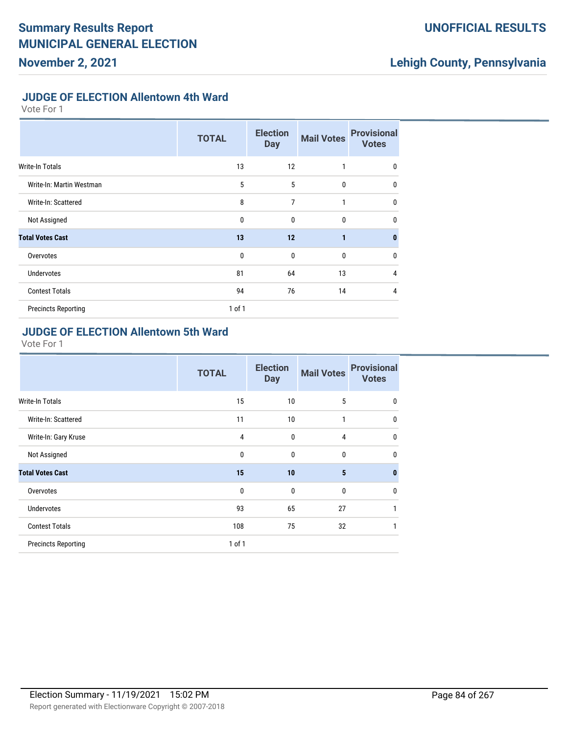### **UNOFFICIAL RESULTS**

# **Lehigh County, Pennsylvania**

#### **JUDGE OF ELECTION Allentown 4th Ward**

Vote For 1

|                            | <b>TOTAL</b> | <b>Election</b><br><b>Day</b> | <b>Mail Votes</b> | <b>Provisional</b><br><b>Votes</b> |
|----------------------------|--------------|-------------------------------|-------------------|------------------------------------|
| Write-In Totals            | 13           | 12                            | 1                 | 0                                  |
| Write-In: Martin Westman   | 5            | 5                             | $\mathbf{0}$      | $\mathbf{0}$                       |
| Write-In: Scattered        | 8            | 7                             | 1                 | 0                                  |
| Not Assigned               | $\mathbf{0}$ | $\mathbf{0}$                  | $\bf{0}$          | $\mathbf{0}$                       |
| <b>Total Votes Cast</b>    | 13           | 12                            | $\mathbf{1}$      | $\bf{0}$                           |
| Overvotes                  | $\mathbf{0}$ | $\mathbf{0}$                  | $\mathbf{0}$      | 0                                  |
| <b>Undervotes</b>          | 81           | 64                            | 13                | 4                                  |
| <b>Contest Totals</b>      | 94           | 76                            | 14                | 4                                  |
| <b>Precincts Reporting</b> | $1$ of $1$   |                               |                   |                                    |

#### **JUDGE OF ELECTION Allentown 5th Ward**

|                            | <b>TOTAL</b> | <b>Election</b><br><b>Day</b> | <b>Mail Votes</b> | <b>Provisional</b><br><b>Votes</b> |
|----------------------------|--------------|-------------------------------|-------------------|------------------------------------|
| <b>Write-In Totals</b>     | 15           | 10                            | 5                 | $\mathbf{0}$                       |
| Write-In: Scattered        | 11           | 10                            | 1                 | $\mathbf{0}$                       |
| Write-In: Gary Kruse       | 4            | $\mathbf 0$                   | $\overline{4}$    | $\mathbf{0}$                       |
| Not Assigned               | $\mathbf{0}$ | $\mathbf{0}$                  | $\mathbf{0}$      | $\mathbf{0}$                       |
| <b>Total Votes Cast</b>    | 15           | 10                            | 5                 | $\bf{0}$                           |
| Overvotes                  | 0            | $\mathbf 0$                   | $\bf{0}$          | $\mathbf{0}$                       |
| <b>Undervotes</b>          | 93           | 65                            | 27                | 1                                  |
| <b>Contest Totals</b>      | 108          | 75                            | 32                | 1                                  |
| <b>Precincts Reporting</b> | 1 of 1       |                               |                   |                                    |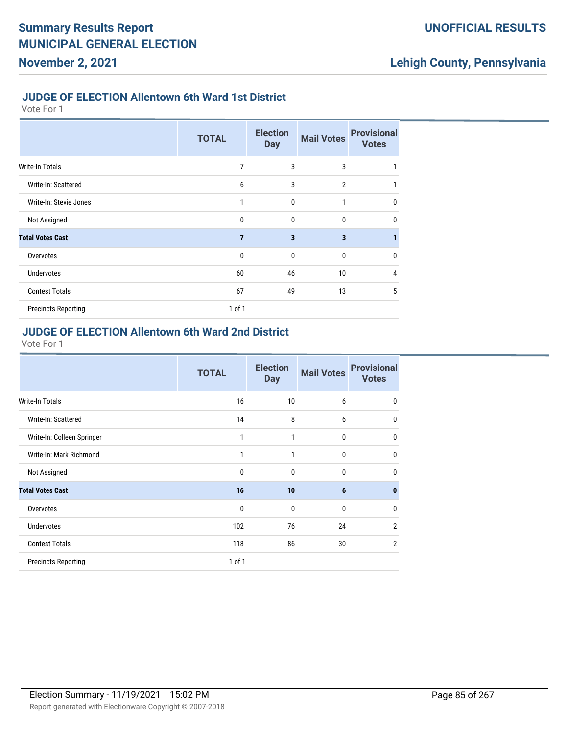#### **JUDGE OF ELECTION Allentown 6th Ward 1st District**

Vote For 1

|                            | <b>TOTAL</b>   | <b>Election</b><br><b>Day</b> | <b>Mail Votes</b>       | <b>Provisional</b><br><b>Votes</b> |
|----------------------------|----------------|-------------------------------|-------------------------|------------------------------------|
| <b>Write-In Totals</b>     | 7              | 3                             | 3                       | 1                                  |
| Write-In: Scattered        | 6              | 3                             | $\overline{2}$          | 1                                  |
| Write-In: Stevie Jones     | 1              | 0                             | 1                       | $\mathbf 0$                        |
| Not Assigned               | 0              | 0                             | 0                       | $\mathbf 0$                        |
| <b>Total Votes Cast</b>    | $\overline{7}$ | $\overline{\mathbf{3}}$       | $\overline{\mathbf{3}}$ | 1                                  |
| Overvotes                  | 0              | $\mathbf 0$                   | 0                       | $\mathbf 0$                        |
| <b>Undervotes</b>          | 60             | 46                            | 10                      | 4                                  |
| <b>Contest Totals</b>      | 67             | 49                            | 13                      | 5                                  |
| <b>Precincts Reporting</b> | 1 of 1         |                               |                         |                                    |

#### **JUDGE OF ELECTION Allentown 6th Ward 2nd District**

|                            | <b>TOTAL</b> | <b>Election</b><br><b>Day</b> | <b>Mail Votes</b> | <b>Provisional</b><br><b>Votes</b> |
|----------------------------|--------------|-------------------------------|-------------------|------------------------------------|
| Write-In Totals            | 16           | 10                            | 6                 | $\mathbf 0$                        |
| Write-In: Scattered        | 14           | 8                             | 6                 | $\mathbf{0}$                       |
| Write-In: Colleen Springer | 1            | 1                             | $\mathbf 0$       | $\mathbf{0}$                       |
| Write-In: Mark Richmond    | 1            | 1                             | $\mathbf 0$       | $\mathbf{0}$                       |
| Not Assigned               | 0            | $\mathbf 0$                   | $\mathbf 0$       | $\mathbf{0}$                       |
| <b>Total Votes Cast</b>    | 16           | 10                            | $6\phantom{1}6$   | $\mathbf{0}$                       |
| Overvotes                  | $\mathbf{0}$ | $\mathbf{0}$                  | $\mathbf{0}$      | $\mathbf{0}$                       |
| <b>Undervotes</b>          | 102          | 76                            | 24                | $\overline{2}$                     |
| <b>Contest Totals</b>      | 118          | 86                            | 30                | $\overline{2}$                     |
| <b>Precincts Reporting</b> | $1$ of $1$   |                               |                   |                                    |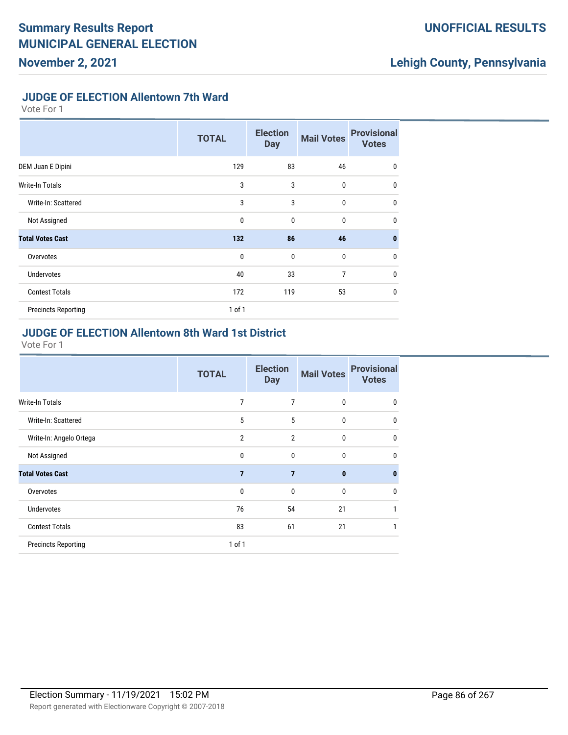## **UNOFFICIAL RESULTS**

# **Lehigh County, Pennsylvania**

#### **JUDGE OF ELECTION Allentown 7th Ward**

Vote For 1

|                            | <b>TOTAL</b> | <b>Election</b><br><b>Day</b> | <b>Mail Votes</b> | <b>Provisional</b><br><b>Votes</b> |
|----------------------------|--------------|-------------------------------|-------------------|------------------------------------|
| DEM Juan E Dipini          | 129          | 83                            | 46                | 0                                  |
| Write-In Totals            | 3            | 3                             | $\mathbf{0}$      | $\mathbf{0}$                       |
| Write-In: Scattered        | 3            | 3                             | $\mathbf 0$       | 0                                  |
| Not Assigned               | $\mathbf{0}$ | $\mathbf{0}$                  | $\mathbf 0$       | $\mathbf{0}$                       |
| <b>Total Votes Cast</b>    | 132          | 86                            | 46                | $\bf{0}$                           |
| Overvotes                  | $\mathbf{0}$ | $\mathbf{0}$                  | $\bf{0}$          | 0                                  |
| <b>Undervotes</b>          | 40           | 33                            | 7                 | 0                                  |
| <b>Contest Totals</b>      | 172          | 119                           | 53                | $\mathbf{0}$                       |
| <b>Precincts Reporting</b> | $1$ of $1$   |                               |                   |                                    |

### **JUDGE OF ELECTION Allentown 8th Ward 1st District**

|                            | <b>TOTAL</b>   | <b>Election</b><br><b>Day</b> | <b>Mail Votes</b> | <b>Provisional</b><br><b>Votes</b> |
|----------------------------|----------------|-------------------------------|-------------------|------------------------------------|
| Write-In Totals            | 7              | 7                             | 0                 | 0                                  |
| Write-In: Scattered        | 5              | 5                             | $\mathbf 0$       | 0                                  |
| Write-In: Angelo Ortega    | $\overline{2}$ | $\overline{2}$                | 0                 | 0                                  |
| Not Assigned               | $\mathbf{0}$   | $\mathbf{0}$                  | $\mathbf{0}$      | $\mathbf{0}$                       |
| <b>Total Votes Cast</b>    | $\overline{7}$ | $\overline{7}$                | $\mathbf{0}$      | $\bf{0}$                           |
| Overvotes                  | $\mathbf{0}$   | $\mathbf{0}$                  | $\mathbf{0}$      | 0                                  |
| Undervotes                 | 76             | 54                            | 21                | 1                                  |
| <b>Contest Totals</b>      | 83             | 61                            | 21                | 1                                  |
| <b>Precincts Reporting</b> | 1 of 1         |                               |                   |                                    |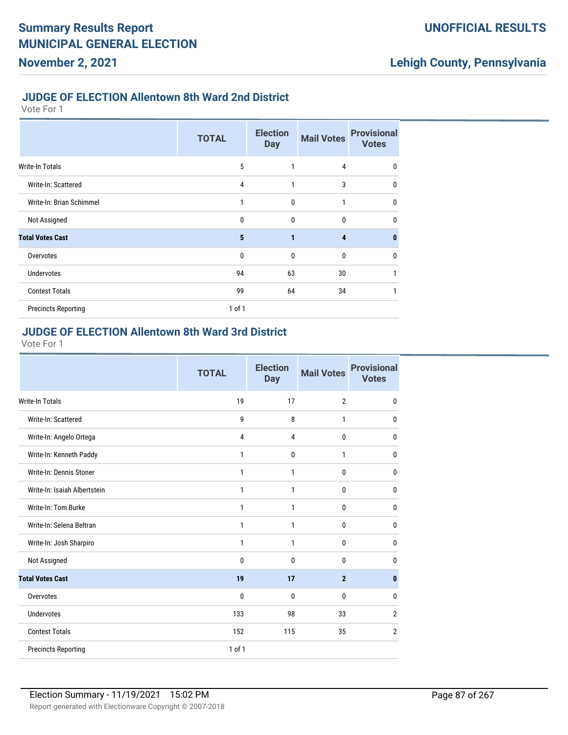#### **JUDGE OF ELECTION Allentown 8th Ward 2nd District**

Vote For 1

|                            | <b>TOTAL</b> | <b>Election</b><br><b>Day</b> | <b>Mail Votes</b> | <b>Provisional</b><br><b>Votes</b> |
|----------------------------|--------------|-------------------------------|-------------------|------------------------------------|
| <b>Write-In Totals</b>     | 5            | 1                             | 4                 | 0                                  |
| Write-In: Scattered        | 4            | 1                             | 3                 | $\mathbf 0$                        |
| Write-In: Brian Schimmel   | 1            | $\mathbf{0}$                  | 1                 | $\mathbf 0$                        |
| Not Assigned               | 0            | 0                             | 0                 | $\mathbf 0$                        |
| <b>Total Votes Cast</b>    | 5            | 1                             | 4                 | $\mathbf{0}$                       |
| Overvotes                  | 0            | $\mathbf{0}$                  | $\mathbf{0}$      | $\mathbf 0$                        |
| <b>Undervotes</b>          | 94           | 63                            | 30                | 1                                  |
| <b>Contest Totals</b>      | 99           | 64                            | 34                |                                    |
| <b>Precincts Reporting</b> | $1$ of $1$   |                               |                   |                                    |

#### **JUDGE OF ELECTION Allentown 8th Ward 3rd District**

|                              | <b>TOTAL</b>   | <b>Election</b><br><b>Day</b> | <b>Mail Votes</b> | <b>Provisional</b><br><b>Votes</b> |
|------------------------------|----------------|-------------------------------|-------------------|------------------------------------|
| <b>Write-In Totals</b>       | 19             | 17                            | $\overline{2}$    | 0                                  |
| Write-In: Scattered          | 9              | 8                             | 1                 | 0                                  |
| Write-In: Angelo Ortega      | $\overline{4}$ | 4                             | $\mathbf{0}$      | $\mathbf 0$                        |
| Write-In: Kenneth Paddy      | $\mathbf{1}$   | $\mathbf 0$                   | 1                 | 0                                  |
| Write-In: Dennis Stoner      | $\mathbf{1}$   | 1                             | 0                 | $\mathbf 0$                        |
| Write-In: Isaiah Albertstein | $\mathbf{1}$   | 1                             | 0                 | 0                                  |
| Write-In: Tom Burke          | $\mathbf{1}$   | 1                             | 0                 | 0                                  |
| Write-In: Selena Beltran     | 1              | 1                             | 0                 | 0                                  |
| Write-In: Josh Sharpiro      | 1              | 1                             | 0                 | 0                                  |
| Not Assigned                 | 0              | $\mathbf 0$                   | 0                 | 0                                  |
| <b>Total Votes Cast</b>      | 19             | 17                            | $\overline{2}$    | $\mathbf{0}$                       |
| Overvotes                    | 0              | 0                             | 0                 | 0                                  |
| <b>Undervotes</b>            | 133            | 98                            | 33                | $\overline{2}$                     |
| <b>Contest Totals</b>        | 152            | 115                           | 35                | $\overline{2}$                     |
| <b>Precincts Reporting</b>   | 1 of 1         |                               |                   |                                    |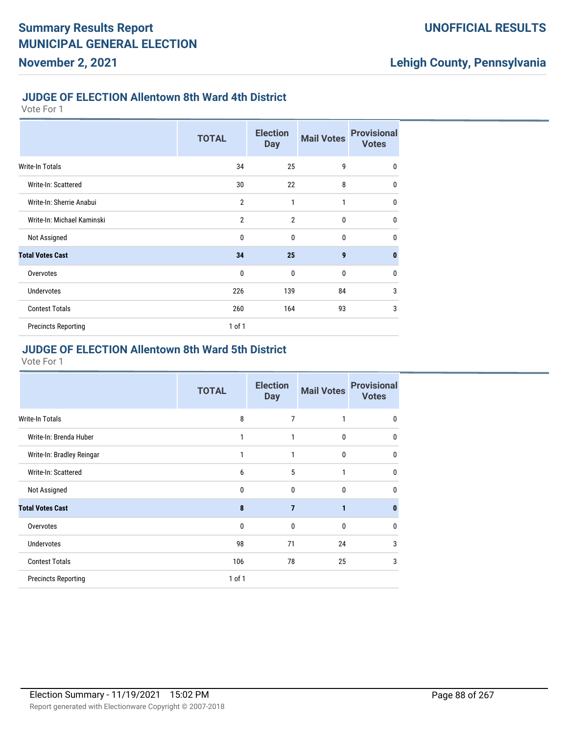#### **JUDGE OF ELECTION Allentown 8th Ward 4th District**

Vote For 1

|                            | <b>TOTAL</b>   | <b>Election</b><br><b>Day</b> | <b>Mail Votes</b> | <b>Provisional</b><br><b>Votes</b> |
|----------------------------|----------------|-------------------------------|-------------------|------------------------------------|
| <b>Write-In Totals</b>     | 34             | 25                            | 9                 | $\mathbf{0}$                       |
| Write-In: Scattered        | 30             | 22                            | 8                 | $\mathbf{0}$                       |
| Write-In: Sherrie Anabui   | $\overline{2}$ | 1                             | 1                 | $\mathbf{0}$                       |
| Write-In: Michael Kaminski | $\overline{2}$ | $\overline{2}$                | $\mathbf{0}$      | $\mathbf{0}$                       |
| Not Assigned               | $\mathbf{0}$   | $\mathbf{0}$                  | $\mathbf{0}$      | $\mathbf{0}$                       |
| <b>Total Votes Cast</b>    | 34             | 25                            | $\boldsymbol{9}$  | $\mathbf{0}$                       |
| Overvotes                  | $\mathbf 0$    | $\mathbf{0}$                  | $\mathbf{0}$      | $\mathbf{0}$                       |
| <b>Undervotes</b>          | 226            | 139                           | 84                | 3                                  |
| <b>Contest Totals</b>      | 260            | 164                           | 93                | 3                                  |
| <b>Precincts Reporting</b> | $1$ of $1$     |                               |                   |                                    |

## **JUDGE OF ELECTION Allentown 8th Ward 5th District**

|                            | <b>TOTAL</b> | <b>Election</b><br><b>Day</b> | <b>Mail Votes</b> | <b>Provisional</b><br><b>Votes</b> |
|----------------------------|--------------|-------------------------------|-------------------|------------------------------------|
| Write-In Totals            | 8            | 7                             | 1                 | $\mathbf{0}$                       |
| Write-In: Brenda Huber     | 1            | 1                             | 0                 | $\mathbf{0}$                       |
| Write-In: Bradley Reingar  | 1            | 1                             | 0                 | 0                                  |
| Write-In: Scattered        | 6            | 5                             | 1                 | 0                                  |
| Not Assigned               | 0            | $\mathbf 0$                   | 0                 | 0                                  |
| <b>Total Votes Cast</b>    | 8            | $\overline{7}$                | 1                 | $\bf{0}$                           |
| Overvotes                  | 0            | $\mathbf{0}$                  | 0                 | $\mathbf{0}$                       |
| <b>Undervotes</b>          | 98           | 71                            | 24                | 3                                  |
| <b>Contest Totals</b>      | 106          | 78                            | 25                | 3                                  |
| <b>Precincts Reporting</b> | $1$ of $1$   |                               |                   |                                    |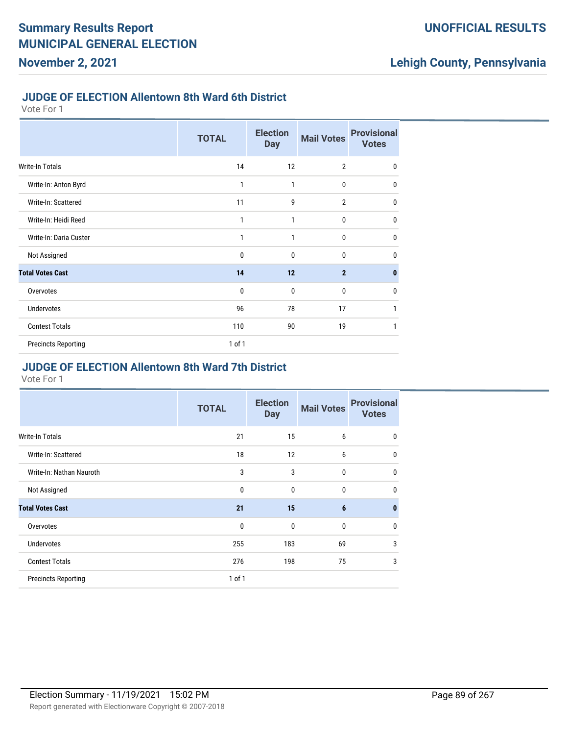#### **JUDGE OF ELECTION Allentown 8th Ward 6th District**

Vote For 1

|                            | <b>TOTAL</b> | <b>Election</b><br><b>Day</b> | <b>Mail Votes</b> | <b>Provisional</b><br><b>Votes</b> |
|----------------------------|--------------|-------------------------------|-------------------|------------------------------------|
| <b>Write-In Totals</b>     | 14           | 12                            | $\overline{2}$    | $\mathbf 0$                        |
| Write-In: Anton Byrd       | 1            | 1                             | 0                 | $\mathbf{0}$                       |
| Write-In: Scattered        | 11           | 9                             | $\overline{2}$    | $\mathbf{0}$                       |
| Write-In: Heidi Reed       | 1            | 1                             | $\mathbf 0$       | $\mathbf{0}$                       |
| Write-In: Daria Custer     | 1            | 1                             | $\mathbf 0$       | $\mathbf 0$                        |
| Not Assigned               | $\mathbf 0$  | $\mathbf 0$                   | $\bf{0}$          | $\mathbf{0}$                       |
| <b>Total Votes Cast</b>    | 14           | 12                            | $\overline{2}$    | $\mathbf{0}$                       |
| Overvotes                  | $\mathbf 0$  | $\mathbf 0$                   | $\bf{0}$          | $\mathbf 0$                        |
| <b>Undervotes</b>          | 96           | 78                            | 17                | 1                                  |
| <b>Contest Totals</b>      | 110          | 90                            | 19                | 1                                  |
| <b>Precincts Reporting</b> | 1 of 1       |                               |                   |                                    |

#### **JUDGE OF ELECTION Allentown 8th Ward 7th District**

|                            | <b>TOTAL</b> | <b>Election</b><br><b>Day</b> | <b>Mail Votes</b> | <b>Provisional</b><br><b>Votes</b> |
|----------------------------|--------------|-------------------------------|-------------------|------------------------------------|
| <b>Write-In Totals</b>     | 21           | 15                            | 6                 | 0                                  |
| Write-In: Scattered        | 18           | 12                            | 6                 | 0                                  |
| Write-In: Nathan Nauroth   | 3            | 3                             | 0                 | $\mathbf 0$                        |
| Not Assigned               | 0            | 0                             | 0                 | 0                                  |
| <b>Total Votes Cast</b>    | 21           | 15                            | 6                 | $\bf{0}$                           |
| Overvotes                  | 0            | 0                             | 0                 | 0                                  |
| <b>Undervotes</b>          | 255          | 183                           | 69                | 3                                  |
| <b>Contest Totals</b>      | 276          | 198                           | 75                | 3                                  |
| <b>Precincts Reporting</b> | 1 of 1       |                               |                   |                                    |
|                            |              |                               |                   |                                    |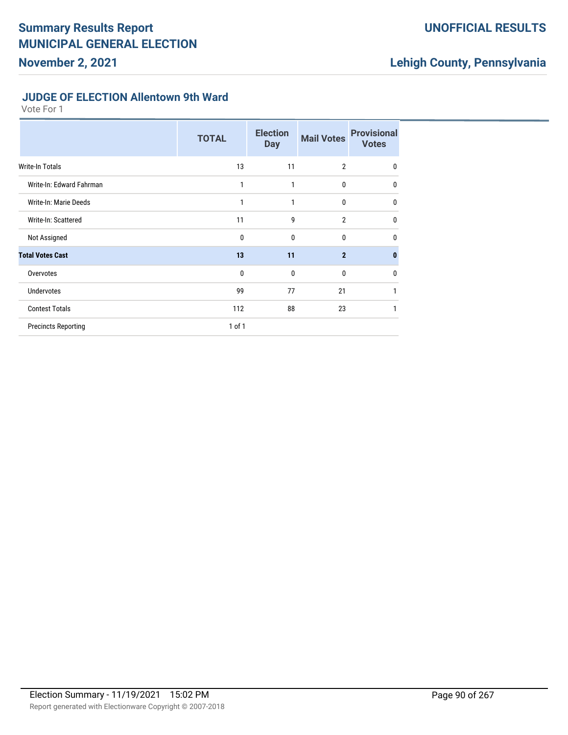## **UNOFFICIAL RESULTS**

# **Lehigh County, Pennsylvania**

#### **JUDGE OF ELECTION Allentown 9th Ward**

|                            | <b>TOTAL</b> | <b>Election</b><br><b>Day</b> | <b>Mail Votes</b> | <b>Provisional</b><br><b>Votes</b> |
|----------------------------|--------------|-------------------------------|-------------------|------------------------------------|
| Write-In Totals            | 13           | 11                            | $\overline{2}$    | $\mathbf{0}$                       |
| Write-In: Edward Fahrman   | 1            | 1                             | $\bf{0}$          | $\mathbf{0}$                       |
| Write-In: Marie Deeds      | 1            | 1                             | $\bf{0}$          | $\mathbf{0}$                       |
| Write-In: Scattered        | 11           | 9                             | $\overline{2}$    | $\mathbf{0}$                       |
| Not Assigned               | 0            | $\mathbf{0}$                  | $\mathbf{0}$      | $\mathbf{0}$                       |
| <b>Total Votes Cast</b>    | 13           | 11                            | $\overline{2}$    | $\bf{0}$                           |
| Overvotes                  | 0            | $\mathbf{0}$                  | $\Omega$          | $\mathbf{0}$                       |
| <b>Undervotes</b>          | 99           | 77                            | 21                | 1                                  |
| <b>Contest Totals</b>      | 112          | 88                            | 23                | 1                                  |
| <b>Precincts Reporting</b> | 1 of 1       |                               |                   |                                    |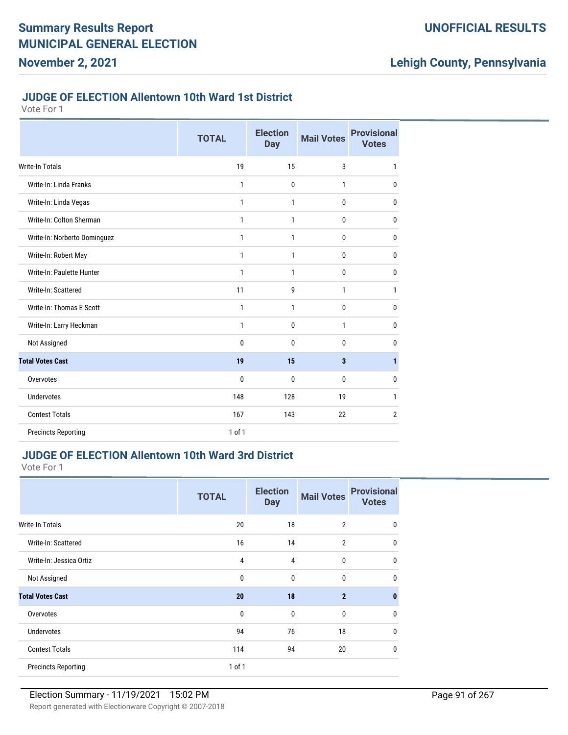#### **JUDGE OF ELECTION Allentown 10th Ward 1st District**

Vote For 1

|                              | <b>TOTAL</b> | <b>Election</b><br><b>Day</b> | <b>Mail Votes</b>       | <b>Provisional</b><br><b>Votes</b> |
|------------------------------|--------------|-------------------------------|-------------------------|------------------------------------|
| <b>Write-In Totals</b>       | 19           | 15                            | 3                       | $\mathbf{1}$                       |
| Write-In: Linda Franks       | $\mathbf{1}$ | $\mathbf{0}$                  | 1                       | 0                                  |
| Write-In: Linda Vegas        | 1            | 1                             | $\mathbf{0}$            | $\mathbf{0}$                       |
| Write-In: Colton Sherman     | 1            | 1                             | 0                       | $\mathbf 0$                        |
| Write-In: Norberto Dominguez | 1            | 1                             | 0                       | 0                                  |
| Write-In: Robert May         | $\mathbf{1}$ | $\mathbf{1}$                  | 0                       | 0                                  |
| Write-In: Paulette Hunter    | $\mathbf{1}$ | $\mathbf{1}$                  | $\mathbf{0}$            | $\bf{0}$                           |
| Write-In: Scattered          | 11           | 9                             | 1                       | 1                                  |
| Write-In: Thomas E Scott     | $\mathbf{1}$ | $\mathbf{1}$                  | 0                       | $\mathbf 0$                        |
| Write-In: Larry Heckman      | $\mathbf{1}$ | $\mathbf{0}$                  | 1                       | $\mathbf 0$                        |
| Not Assigned                 | $\mathbf{0}$ | $\Omega$                      | 0                       | $\bf{0}$                           |
| <b>Total Votes Cast</b>      | 19           | 15                            | $\overline{\mathbf{3}}$ | $\mathbf{1}$                       |
| Overvotes                    | $\mathbf{0}$ | $\mathbf{0}$                  | 0                       | 0                                  |
| <b>Undervotes</b>            | 148          | 128                           | 19                      | 1                                  |
| <b>Contest Totals</b>        | 167          | 143                           | 22                      | $\overline{2}$                     |
| <b>Precincts Reporting</b>   | 1 of 1       |                               |                         |                                    |

### **JUDGE OF ELECTION Allentown 10th Ward 3rd District**

|                            | <b>TOTAL</b> | <b>Election</b><br><b>Day</b> | <b>Mail Votes</b> | <b>Provisional</b><br><b>Votes</b> |
|----------------------------|--------------|-------------------------------|-------------------|------------------------------------|
| <b>Write-In Totals</b>     | 20           | 18                            | $\overline{2}$    | 0                                  |
| Write-In: Scattered        | 16           | 14                            | $\overline{2}$    | 0                                  |
| Write-In: Jessica Ortiz    | 4            | 4                             | $\mathbf{0}$      | $\mathbf 0$                        |
| Not Assigned               | $\mathbf 0$  | $\mathbf 0$                   | $\mathbf{0}$      | $\mathbf{0}$                       |
| <b>Total Votes Cast</b>    | 20           | 18                            | $\overline{2}$    | $\bf{0}$                           |
| Overvotes                  | $\mathbf{0}$ | $\mathbf{0}$                  | 0                 | 0                                  |
| <b>Undervotes</b>          | 94           | 76                            | 18                | 0                                  |
| <b>Contest Totals</b>      | 114          | 94                            | 20                | 0                                  |
| <b>Precincts Reporting</b> | 1 of 1       |                               |                   |                                    |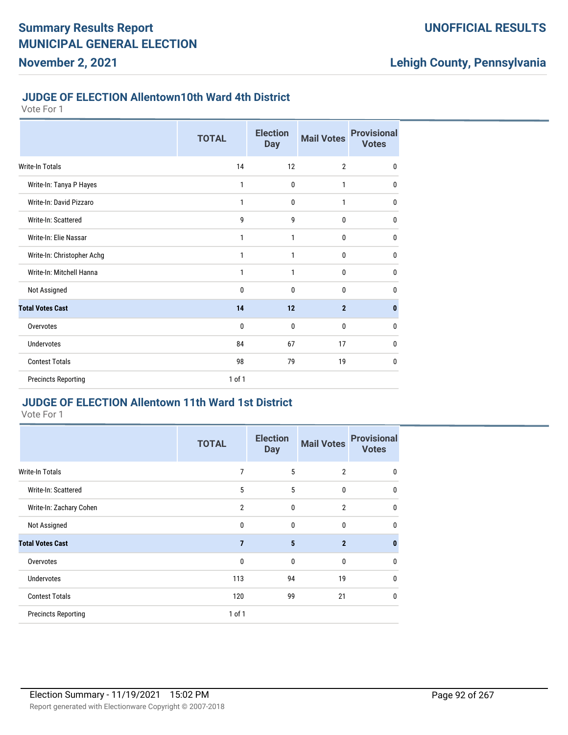#### **JUDGE OF ELECTION Allentown10th Ward 4th District**

Vote For 1

**November 2, 2021**

|                            | <b>TOTAL</b> | <b>Election</b><br><b>Day</b> | <b>Mail Votes</b> | <b>Provisional</b><br><b>Votes</b> |
|----------------------------|--------------|-------------------------------|-------------------|------------------------------------|
| <b>Write-In Totals</b>     | 14           | 12                            | $\overline{2}$    | $\mathbf{0}$                       |
| Write-In: Tanya P Hayes    | 1            | 0                             | 1                 | $\mathbf{0}$                       |
| Write-In: David Pizzaro    | 1            | 0                             | 1                 | $\mathbf{0}$                       |
| Write-In: Scattered        | 9            | 9                             | $\mathbf{0}$      | $\mathbf{0}$                       |
| Write-In: Elie Nassar      | 1            | 1                             | 0                 | $\mathbf{0}$                       |
| Write-In: Christopher Achg | 1            | 1                             | $\mathbf{0}$      | $\mathbf{0}$                       |
| Write-In: Mitchell Hanna   | 1            | 1                             | 0                 | $\mathbf{0}$                       |
| Not Assigned               | 0            | 0                             | 0                 | 0                                  |
| <b>Total Votes Cast</b>    | 14           | 12                            | $\overline{2}$    | $\bf{0}$                           |
| Overvotes                  | 0            | $\mathbf{0}$                  | $\mathbf{0}$      | 0                                  |
| <b>Undervotes</b>          | 84           | 67                            | 17                | $\mathbf{0}$                       |
| <b>Contest Totals</b>      | 98           | 79                            | 19                | $\mathbf{0}$                       |
| <b>Precincts Reporting</b> | 1 of 1       |                               |                   |                                    |

# **JUDGE OF ELECTION Allentown 11th Ward 1st District**

|                            | <b>TOTAL</b>   | <b>Election</b><br><b>Day</b> | <b>Mail Votes</b> | <b>Provisional</b><br><b>Votes</b> |
|----------------------------|----------------|-------------------------------|-------------------|------------------------------------|
| <b>Write-In Totals</b>     | 7              | 5                             | $\overline{2}$    | 0                                  |
| Write-In: Scattered        | 5              | 5                             | $\bf{0}$          | $\mathbf 0$                        |
| Write-In: Zachary Cohen    | $\overline{2}$ | 0                             | $\overline{2}$    | $\mathbf{0}$                       |
| Not Assigned               | 0              | $\mathbf{0}$                  | $\mathbf{0}$      | $\mathbf 0$                        |
| <b>Total Votes Cast</b>    | 7              | 5                             | $\overline{2}$    | $\bf{0}$                           |
| Overvotes                  | 0              | $\mathbf{0}$                  | $\mathbf{0}$      | $\mathbf{0}$                       |
| <b>Undervotes</b>          | 113            | 94                            | 19                | $\mathbf 0$                        |
| <b>Contest Totals</b>      | 120            | 99                            | 21                | $\mathbf{0}$                       |
| <b>Precincts Reporting</b> | $1$ of $1$     |                               |                   |                                    |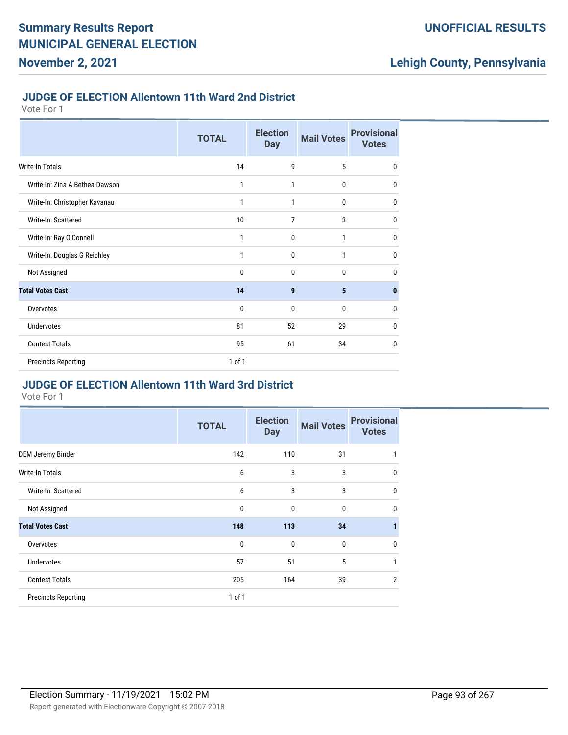#### **JUDGE OF ELECTION Allentown 11th Ward 2nd District**

Vote For 1

**November 2, 2021**

|                                | <b>TOTAL</b> | <b>Election</b><br><b>Day</b> | <b>Mail Votes</b> | <b>Provisional</b><br><b>Votes</b> |
|--------------------------------|--------------|-------------------------------|-------------------|------------------------------------|
| <b>Write-In Totals</b>         | 14           | 9                             | 5                 | $\mathbf 0$                        |
| Write-In: Zina A Bethea-Dawson | 1            | 1                             | 0                 | $\mathbf 0$                        |
| Write-In: Christopher Kavanau  | 1            | 1                             | 0                 | 0                                  |
| Write-In: Scattered            | 10           | 7                             | 3                 | $\mathbf 0$                        |
| Write-In: Ray O'Connell        | 1            | $\mathbf 0$                   | 1                 | $\mathbf 0$                        |
| Write-In: Douglas G Reichley   | 1            | 0                             | 1                 | $\mathbf{0}$                       |
| Not Assigned                   | 0            | $\mathbf{0}$                  | $\mathbf{0}$      | $\mathbf{0}$                       |
| <b>Total Votes Cast</b>        | 14           | 9                             | $5\phantom{.0}$   | $\mathbf{0}$                       |
| Overvotes                      | 0            | 0                             | 0                 | $\mathbf{0}$                       |
| <b>Undervotes</b>              | 81           | 52                            | 29                | 0                                  |
| <b>Contest Totals</b>          | 95           | 61                            | 34                | $\bf{0}$                           |
| <b>Precincts Reporting</b>     | 1 of 1       |                               |                   |                                    |

### **JUDGE OF ELECTION Allentown 11th Ward 3rd District**

|                            | <b>TOTAL</b> | <b>Election</b><br><b>Day</b> | <b>Mail Votes</b> | <b>Provisional</b><br><b>Votes</b> |
|----------------------------|--------------|-------------------------------|-------------------|------------------------------------|
| <b>DEM Jeremy Binder</b>   | 142          | 110                           | 31                | 1                                  |
| <b>Write-In Totals</b>     | 6            | 3                             | 3                 | $\mathbf{0}$                       |
| Write-In: Scattered        | 6            | 3                             | 3                 | 0                                  |
| Not Assigned               | $\mathbf{0}$ | $\mathbf{0}$                  | 0                 | $\mathbf{0}$                       |
| <b>Total Votes Cast</b>    | 148          | 113                           | 34                | 1                                  |
| Overvotes                  | $\mathbf{0}$ | $\mathbf 0$                   | 0                 | $\mathbf{0}$                       |
| <b>Undervotes</b>          | 57           | 51                            | 5                 | 1                                  |
| <b>Contest Totals</b>      | 205          | 164                           | 39                | $\overline{2}$                     |
| <b>Precincts Reporting</b> | $1$ of $1$   |                               |                   |                                    |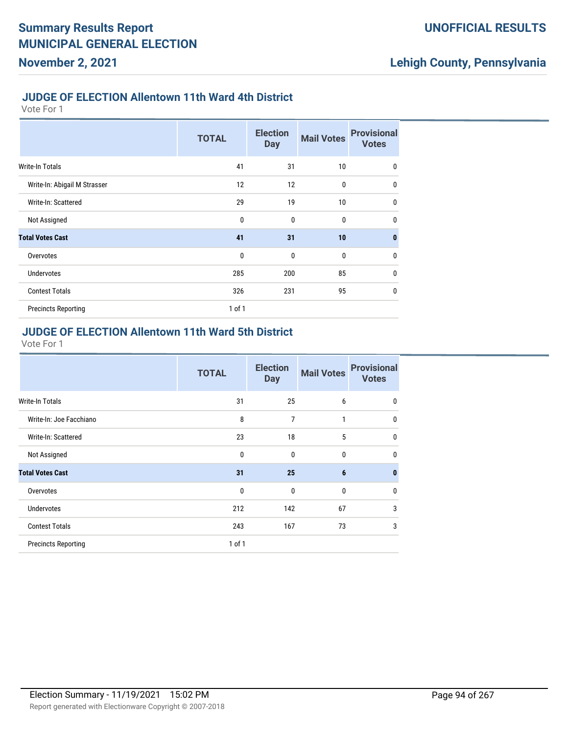#### **JUDGE OF ELECTION Allentown 11th Ward 4th District**

Vote For 1

**November 2, 2021**

|                              | <b>TOTAL</b> | <b>Election</b><br><b>Day</b> | <b>Mail Votes</b> | <b>Provisional</b><br><b>Votes</b> |
|------------------------------|--------------|-------------------------------|-------------------|------------------------------------|
| Write-In Totals              | 41           | 31                            | 10                | $\mathbf{0}$                       |
| Write-In: Abigail M Strasser | 12           | 12                            | $\mathbf{0}$      | $\mathbf{0}$                       |
| Write-In: Scattered          | 29           | 19                            | 10                | $\mathbf{0}$                       |
| Not Assigned                 | 0            | $\mathbf{0}$                  | $\mathbf{0}$      | $\mathbf{0}$                       |
| <b>Total Votes Cast</b>      | 41           | 31                            | 10                | $\mathbf{0}$                       |
| Overvotes                    | $\mathbf{0}$ | $\mathbf 0$                   | $\bf{0}$          | $\mathbf{0}$                       |
| <b>Undervotes</b>            | 285          | 200                           | 85                | $\mathbf{0}$                       |
| <b>Contest Totals</b>        | 326          | 231                           | 95                | $\mathbf{0}$                       |
| <b>Precincts Reporting</b>   | $1$ of $1$   |                               |                   |                                    |

#### **JUDGE OF ELECTION Allentown 11th Ward 5th District**

|                            | <b>TOTAL</b> | <b>Election</b><br><b>Day</b> | <b>Mail Votes</b> | <b>Provisional</b><br><b>Votes</b> |
|----------------------------|--------------|-------------------------------|-------------------|------------------------------------|
| <b>Write-In Totals</b>     | 31           | 25                            | 6                 | $\mathbf 0$                        |
| Write-In: Joe Facchiano    | 8            | 7                             | 1                 | $\mathbf{0}$                       |
| Write-In: Scattered        | 23           | 18                            | 5                 | $\mathbf{0}$                       |
| Not Assigned               | $\mathbf{0}$ | $\mathbf{0}$                  | $\mathbf{0}$      | $\mathbf{0}$                       |
| <b>Total Votes Cast</b>    | 31           | 25                            | $6\phantom{1}6$   | $\bf{0}$                           |
| Overvotes                  | $\mathbf 0$  | $\mathbf{0}$                  | $\mathbf{0}$      | $\mathbf{0}$                       |
| <b>Undervotes</b>          | 212          | 142                           | 67                | 3                                  |
| <b>Contest Totals</b>      | 243          | 167                           | 73                | 3                                  |
| <b>Precincts Reporting</b> | 1 of 1       |                               |                   |                                    |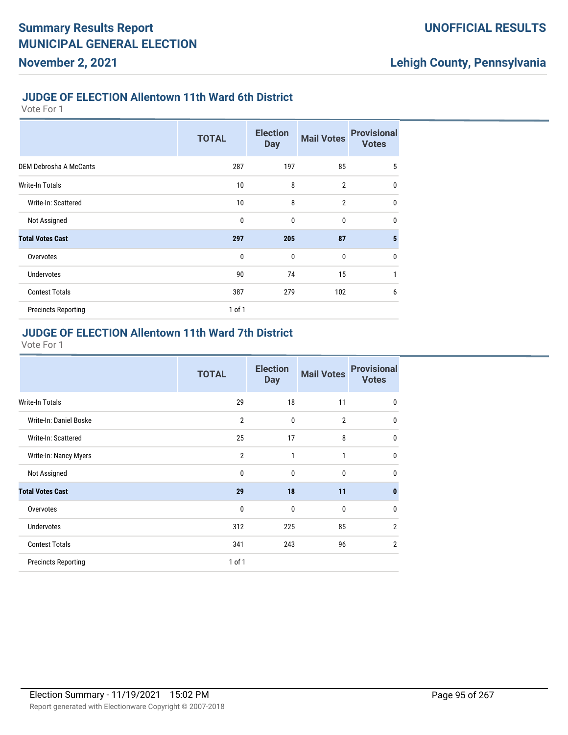#### **JUDGE OF ELECTION Allentown 11th Ward 6th District**

Vote For 1

**November 2, 2021**

|                               | <b>TOTAL</b> | <b>Election</b><br><b>Day</b> | <b>Mail Votes</b> | <b>Provisional</b><br><b>Votes</b> |
|-------------------------------|--------------|-------------------------------|-------------------|------------------------------------|
| <b>DEM Debrosha A McCants</b> | 287          | 197                           | 85                | 5                                  |
| <b>Write-In Totals</b>        | 10           | 8                             | $\overline{2}$    | $\mathbf{0}$                       |
| Write-In: Scattered           | 10           | 8                             | $\overline{2}$    | $\mathbf{0}$                       |
| Not Assigned                  | 0            | $\mathbf{0}$                  | $\mathbf 0$       | $\mathbf{0}$                       |
| <b>Total Votes Cast</b>       | 297          | 205                           | 87                | 5                                  |
| Overvotes                     | $\mathbf{0}$ | $\mathbf 0$                   | $\mathbf 0$       | $\mathbf{0}$                       |
| <b>Undervotes</b>             | 90           | 74                            | 15                | 1                                  |
| <b>Contest Totals</b>         | 387          | 279                           | 102               | 6                                  |
| <b>Precincts Reporting</b>    | $1$ of $1$   |                               |                   |                                    |

### **JUDGE OF ELECTION Allentown 11th Ward 7th District**

|                            | <b>TOTAL</b>   | <b>Election</b><br><b>Day</b> | <b>Mail Votes</b> | <b>Provisional</b><br><b>Votes</b> |
|----------------------------|----------------|-------------------------------|-------------------|------------------------------------|
| Write-In Totals            | 29             | 18                            | 11                | $\mathbf 0$                        |
| Write-In: Daniel Boske     | $\overline{2}$ | $\mathbf{0}$                  | $\overline{2}$    | 0                                  |
| Write-In: Scattered        | 25             | 17                            | 8                 | $\mathbf{0}$                       |
| Write-In: Nancy Myers      | $\overline{2}$ | 1                             | 1                 | $\mathbf{0}$                       |
| Not Assigned               | 0              | $\mathbf{0}$                  | 0                 | $\mathbf{0}$                       |
| <b>Total Votes Cast</b>    | 29             | 18                            | 11                | $\bf{0}$                           |
| Overvotes                  | 0              | $\mathbf{0}$                  | 0                 | 0                                  |
| <b>Undervotes</b>          | 312            | 225                           | 85                | $\overline{2}$                     |
| <b>Contest Totals</b>      | 341            | 243                           | 96                | $\overline{2}$                     |
| <b>Precincts Reporting</b> | 1 of 1         |                               |                   |                                    |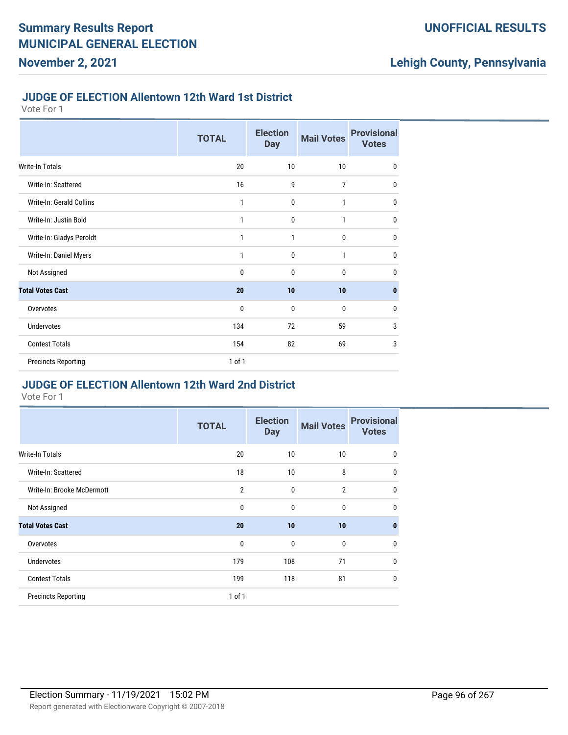#### **JUDGE OF ELECTION Allentown 12th Ward 1st District**

Vote For 1

**November 2, 2021**

|                            | <b>TOTAL</b> | <b>Election</b><br><b>Day</b> | <b>Mail Votes</b> | <b>Provisional</b><br><b>Votes</b> |
|----------------------------|--------------|-------------------------------|-------------------|------------------------------------|
| <b>Write-In Totals</b>     | 20           | 10                            | 10                | $\mathbf 0$                        |
| Write-In: Scattered        | 16           | 9                             | $\overline{7}$    | $\mathbf 0$                        |
| Write-In: Gerald Collins   | 1            | $\mathbf 0$                   | 1                 | $\mathbf 0$                        |
| Write-In: Justin Bold      | 1            | $\mathbf 0$                   | 1                 | $\mathbf 0$                        |
| Write-In: Gladys Peroldt   | 1            | 1                             | $\mathbf 0$       | $\mathbf 0$                        |
| Write-In: Daniel Myers     | 1            | 0                             | 1                 | $\mathbf 0$                        |
| Not Assigned               | $\mathbf{0}$ | $\mathbf 0$                   | $\mathbf 0$       | $\mathbf 0$                        |
| <b>Total Votes Cast</b>    | 20           | 10                            | 10                | 0                                  |
| Overvotes                  | 0            | 0                             | $\mathbf 0$       | $\mathbf{0}$                       |
| <b>Undervotes</b>          | 134          | 72                            | 59                | 3                                  |
| <b>Contest Totals</b>      | 154          | 82                            | 69                | 3                                  |
| <b>Precincts Reporting</b> | 1 of 1       |                               |                   |                                    |

## **JUDGE OF ELECTION Allentown 12th Ward 2nd District**

|                            | <b>TOTAL</b>   | <b>Election</b><br><b>Day</b> | <b>Mail Votes</b> | <b>Provisional</b><br><b>Votes</b> |
|----------------------------|----------------|-------------------------------|-------------------|------------------------------------|
| Write-In Totals            | 20             | 10                            | 10                | 0                                  |
| Write-In: Scattered        | 18             | 10                            | 8                 | $\mathbf{0}$                       |
| Write-In: Brooke McDermott | $\overline{2}$ | $\mathbf{0}$                  | $\overline{2}$    | $\mathbf{0}$                       |
| Not Assigned               | 0              | $\mathbf{0}$                  | $\mathbf{0}$      | $\mathbf{0}$                       |
| <b>Total Votes Cast</b>    | 20             | 10                            | 10                | $\mathbf{0}$                       |
| Overvotes                  | $\mathbf{0}$   | $\mathbf{0}$                  | $\mathbf{0}$      | $\mathbf{0}$                       |
| <b>Undervotes</b>          | 179            | 108                           | 71                | $\mathbf{0}$                       |
| <b>Contest Totals</b>      | 199            | 118                           | 81                | $\mathbf{0}$                       |
| <b>Precincts Reporting</b> | 1 of 1         |                               |                   |                                    |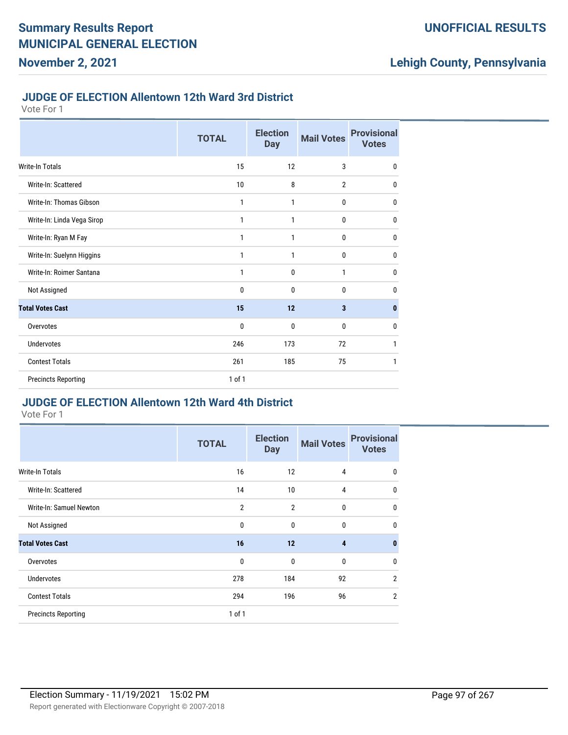#### **JUDGE OF ELECTION Allentown 12th Ward 3rd District**

Vote For 1

**November 2, 2021**

|                            | <b>TOTAL</b> | <b>Election</b><br><b>Day</b> | <b>Mail Votes</b> | <b>Provisional</b><br><b>Votes</b> |
|----------------------------|--------------|-------------------------------|-------------------|------------------------------------|
| <b>Write-In Totals</b>     | 15           | 12                            | 3                 | $\mathbf 0$                        |
| Write-In: Scattered        | 10           | 8                             | $\overline{2}$    | 0                                  |
| Write-In: Thomas Gibson    | 1            | 1                             | 0                 | 0                                  |
| Write-In: Linda Vega Sirop | 1            | 1                             | $\bf{0}$          | $\mathbf{0}$                       |
| Write-In: Ryan M Fay       | 1            | 1                             | 0                 | $\mathbf{0}$                       |
| Write-In: Suelynn Higgins  | 1            | 1                             | $\bf{0}$          | 0                                  |
| Write-In: Roimer Santana   | 1            | $\mathbf{0}$                  | 1                 | 0                                  |
| Not Assigned               | 0            | 0                             | 0                 | $\mathbf{0}$                       |
| <b>Total Votes Cast</b>    | 15           | 12                            | 3                 | $\mathbf{0}$                       |
| Overvotes                  | $\mathbf 0$  | 0                             | $\mathbf{0}$      | $\mathbf{0}$                       |
| <b>Undervotes</b>          | 246          | 173                           | 72                | 1                                  |
| <b>Contest Totals</b>      | 261          | 185                           | 75                | 1                                  |
| <b>Precincts Reporting</b> | 1 of 1       |                               |                   |                                    |

# **JUDGE OF ELECTION Allentown 12th Ward 4th District**

|                            | <b>TOTAL</b>   | <b>Election</b><br><b>Day</b> | <b>Mail Votes</b> | <b>Provisional</b><br><b>Votes</b> |
|----------------------------|----------------|-------------------------------|-------------------|------------------------------------|
| Write-In Totals            | 16             | 12                            | 4                 | $\mathbf 0$                        |
| Write-In: Scattered        | 14             | 10                            | 4                 | $\mathbf 0$                        |
| Write-In: Samuel Newton    | $\overline{2}$ | $\overline{2}$                | 0                 | $\mathbf{0}$                       |
| Not Assigned               | 0              | 0                             | 0                 | $\mathbf 0$                        |
| <b>Total Votes Cast</b>    | 16             | 12                            | 4                 | $\mathbf{0}$                       |
| Overvotes                  | 0              | 0                             | $\bf{0}$          | $\mathbf 0$                        |
| <b>Undervotes</b>          | 278            | 184                           | 92                | $\overline{2}$                     |
| <b>Contest Totals</b>      | 294            | 196                           | 96                | $\overline{2}$                     |
| <b>Precincts Reporting</b> | 1 of 1         |                               |                   |                                    |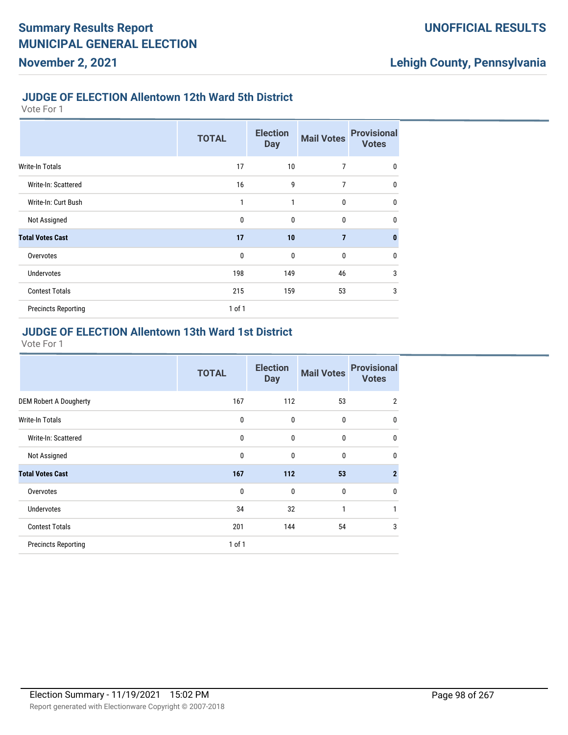#### **JUDGE OF ELECTION Allentown 12th Ward 5th District**

Vote For 1

**November 2, 2021**

|                            | <b>TOTAL</b> | <b>Election</b><br><b>Day</b> | <b>Mail Votes</b> | <b>Provisional</b><br><b>Votes</b> |
|----------------------------|--------------|-------------------------------|-------------------|------------------------------------|
| Write-In Totals            | 17           | 10                            | $\overline{7}$    | $\mathbf 0$                        |
| Write-In: Scattered        | 16           | 9                             | 7                 | $\mathbf{0}$                       |
| Write-In: Curt Bush        | 1            | 1                             | $\mathbf 0$       | $\mathbf 0$                        |
| Not Assigned               | $\mathbf{0}$ | $\mathbf{0}$                  | $\mathbf 0$       | $\mathbf{0}$                       |
| <b>Total Votes Cast</b>    | 17           | 10                            | $\overline{7}$    | $\bf{0}$                           |
| Overvotes                  | $\mathbf{0}$ | $\mathbf{0}$                  | $\mathbf 0$       | 0                                  |
| <b>Undervotes</b>          | 198          | 149                           | 46                | 3                                  |
| <b>Contest Totals</b>      | 215          | 159                           | 53                | 3                                  |
| <b>Precincts Reporting</b> | $1$ of $1$   |                               |                   |                                    |

#### **JUDGE OF ELECTION Allentown 13th Ward 1st District**

|                               | <b>TOTAL</b> | <b>Election</b><br><b>Day</b> | <b>Mail Votes</b> | <b>Provisional</b><br><b>Votes</b> |
|-------------------------------|--------------|-------------------------------|-------------------|------------------------------------|
| <b>DEM Robert A Dougherty</b> | 167          | 112                           | 53                | $\overline{2}$                     |
| <b>Write-In Totals</b>        | 0            | 0                             | 0                 | $\mathbf 0$                        |
| Write-In: Scattered           | 0            | 0                             | 0                 | $\mathbf{0}$                       |
| Not Assigned                  | $\mathbf 0$  | $\mathbf{0}$                  | $\mathbf{0}$      | $\mathbf 0$                        |
| <b>Total Votes Cast</b>       | 167          | 112                           | 53                | $\overline{2}$                     |
| Overvotes                     | 0            | $\mathbf{0}$                  | 0                 | $\mathbf 0$                        |
| <b>Undervotes</b>             | 34           | 32                            | 1                 | 1                                  |
| <b>Contest Totals</b>         | 201          | 144                           | 54                | 3                                  |
| <b>Precincts Reporting</b>    | $1$ of $1$   |                               |                   |                                    |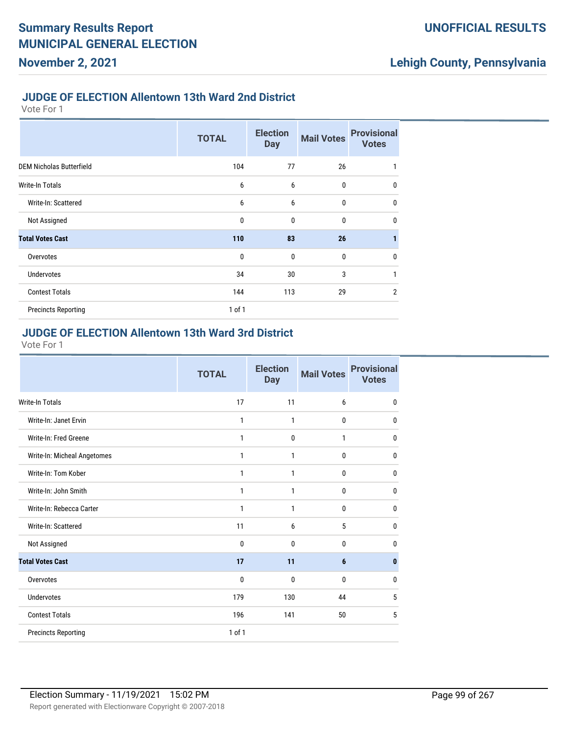#### **JUDGE OF ELECTION Allentown 13th Ward 2nd District**

Vote For 1

**November 2, 2021**

|                                 | <b>TOTAL</b> | <b>Election</b><br><b>Day</b> | <b>Mail Votes</b> | <b>Provisional</b><br><b>Votes</b> |
|---------------------------------|--------------|-------------------------------|-------------------|------------------------------------|
| <b>DEM Nicholas Butterfield</b> | 104          | 77                            | 26                | 1                                  |
| Write-In Totals                 | 6            | 6                             | $\mathbf 0$       | $\mathbf{0}$                       |
| Write-In: Scattered             | 6            | 6                             | $\mathbf 0$       | $\mathbf{0}$                       |
| Not Assigned                    | $\mathbf{0}$ | $\mathbf{0}$                  | $\mathbf 0$       | $\mathbf{0}$                       |
| <b>Total Votes Cast</b>         | 110          | 83                            | 26                | 1                                  |
| Overvotes                       | $\mathbf{0}$ | $\mathbf 0$                   | $\mathbf 0$       | $\mathbf{0}$                       |
| <b>Undervotes</b>               | 34           | 30                            | 3                 | $\mathbf{1}$                       |
| <b>Contest Totals</b>           | 144          | 113                           | 29                | $\overline{2}$                     |
| <b>Precincts Reporting</b>      | $1$ of $1$   |                               |                   |                                    |

## **JUDGE OF ELECTION Allentown 13th Ward 3rd District**

|                             | <b>TOTAL</b> | <b>Election</b><br><b>Day</b> | <b>Mail Votes</b> | <b>Provisional</b><br><b>Votes</b> |
|-----------------------------|--------------|-------------------------------|-------------------|------------------------------------|
| Write-In Totals             | 17           | 11                            | 6                 | 0                                  |
| Write-In: Janet Ervin       | 1            | $\mathbf{1}$                  | 0                 | 0                                  |
| Write-In: Fred Greene       | 1            | $\mathbf{0}$                  | 1                 | 0                                  |
| Write-In: Micheal Angetomes | 1            | 1                             | $\mathbf 0$       | 0                                  |
| Write-In: Tom Kober         | 1            | $\mathbf{1}$                  | $\mathbf 0$       | 0                                  |
| Write-In: John Smith        | 1            | $\mathbf{1}$                  | $\mathbf{0}$      | 0                                  |
| Write-In: Rebecca Carter    | 1            | 1                             | 0                 | 0                                  |
| Write-In: Scattered         | 11           | 6                             | 5                 | 0                                  |
| Not Assigned                | 0            | $\mathbf{0}$                  | 0                 | 0                                  |
| <b>Total Votes Cast</b>     | 17           | 11                            | 6                 | 0                                  |
| Overvotes                   | 0            | $\mathbf{0}$                  | 0                 | 0                                  |
| <b>Undervotes</b>           | 179          | 130                           | 44                | 5                                  |
| <b>Contest Totals</b>       | 196          | 141                           | 50                | 5                                  |
| <b>Precincts Reporting</b>  | 1 of 1       |                               |                   |                                    |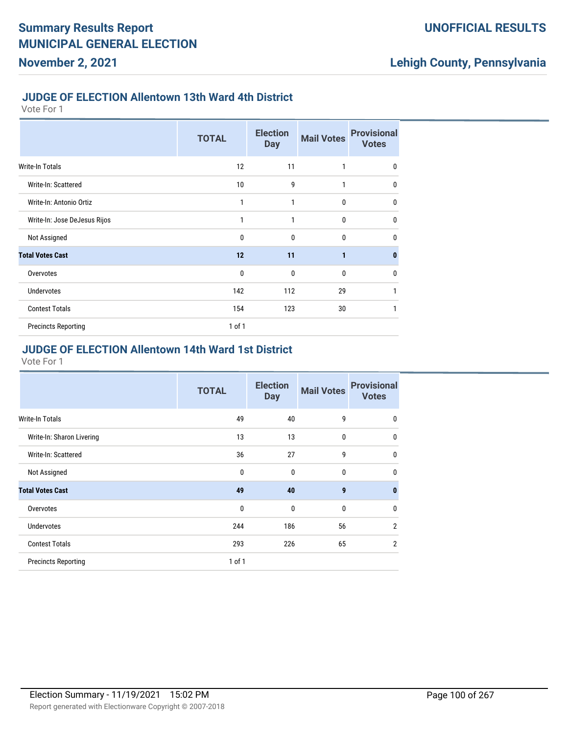#### **JUDGE OF ELECTION Allentown 13th Ward 4th District**

Vote For 1

**November 2, 2021**

|                              | <b>TOTAL</b> | <b>Election</b><br><b>Day</b> | <b>Mail Votes</b> | <b>Provisional</b><br><b>Votes</b> |
|------------------------------|--------------|-------------------------------|-------------------|------------------------------------|
| <b>Write-In Totals</b>       | 12           | 11                            | 1                 | $\mathbf 0$                        |
| Write-In: Scattered          | 10           | 9                             | 1                 | 0                                  |
| Write-In: Antonio Ortiz      | 1            | 1                             | 0                 | $\mathbf 0$                        |
| Write-In: Jose DeJesus Rijos | 1            | 1                             | 0                 | $\mathbf 0$                        |
| Not Assigned                 | 0            | 0                             | 0                 | $\mathbf{0}$                       |
| <b>Total Votes Cast</b>      | 12           | 11                            | 1                 | $\bf{0}$                           |
| Overvotes                    | $\mathbf{0}$ | 0                             | 0                 | $\mathbf 0$                        |
| <b>Undervotes</b>            | 142          | 112                           | 29                | 1                                  |
| <b>Contest Totals</b>        | 154          | 123                           | 30                | 1                                  |
| <b>Precincts Reporting</b>   | 1 of 1       |                               |                   |                                    |

#### **JUDGE OF ELECTION Allentown 14th Ward 1st District**

|                            | <b>TOTAL</b> | <b>Election</b><br><b>Day</b> | <b>Mail Votes</b> | <b>Provisional</b><br><b>Votes</b> |
|----------------------------|--------------|-------------------------------|-------------------|------------------------------------|
| Write-In Totals            | 49           | 40                            | 9                 | 0                                  |
| Write-In: Sharon Livering  | 13           | 13                            | $\bf{0}$          | $\mathbf 0$                        |
| Write-In: Scattered        | 36           | 27                            | 9                 | $\mathbf{0}$                       |
| Not Assigned               | $\mathbf{0}$ | $\mathbf{0}$                  | $\bf{0}$          | $\mathbf{0}$                       |
| <b>Total Votes Cast</b>    | 49           | 40                            | 9                 | $\mathbf{0}$                       |
| Overvotes                  | $\mathbf{0}$ | $\mathbf{0}$                  | $\mathbf{0}$      | $\mathbf{0}$                       |
| Undervotes                 | 244          | 186                           | 56                | $\overline{2}$                     |
| <b>Contest Totals</b>      | 293          | 226                           | 65                | $\overline{2}$                     |
| <b>Precincts Reporting</b> | $1$ of $1$   |                               |                   |                                    |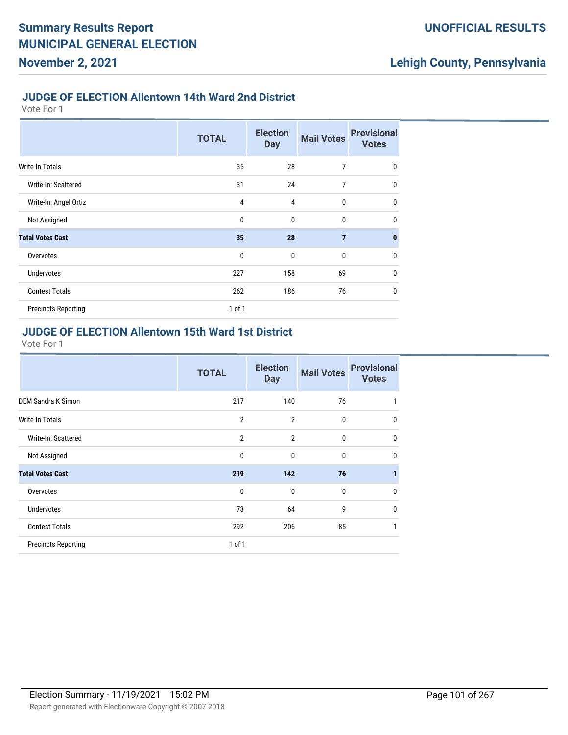#### **JUDGE OF ELECTION Allentown 14th Ward 2nd District**

Vote For 1

**November 2, 2021**

|                            | <b>TOTAL</b> | <b>Election</b><br><b>Day</b> | <b>Mail Votes</b> | <b>Provisional</b><br><b>Votes</b> |
|----------------------------|--------------|-------------------------------|-------------------|------------------------------------|
| <b>Write-In Totals</b>     | 35           | 28                            | 7                 | $\mathbf{0}$                       |
| Write-In: Scattered        | 31           | 24                            | 7                 | $\bf{0}$                           |
| Write-In: Angel Ortiz      | 4            | 4                             | 0                 | $\mathbf{0}$                       |
| Not Assigned               | $\mathbf 0$  | $\mathbf 0$                   | $\mathbf{0}$      | $\mathbf{0}$                       |
| <b>Total Votes Cast</b>    | 35           | 28                            | $\overline{7}$    | $\mathbf{0}$                       |
| Overvotes                  | $\mathbf 0$  | $\mathbf 0$                   | 0                 | $\mathbf{0}$                       |
| <b>Undervotes</b>          | 227          | 158                           | 69                | $\mathbf{0}$                       |
| <b>Contest Totals</b>      | 262          | 186                           | 76                | $\mathbf{0}$                       |
| <b>Precincts Reporting</b> | $1$ of $1$   |                               |                   |                                    |

#### **JUDGE OF ELECTION Allentown 15th Ward 1st District**

|                            | <b>TOTAL</b>   | <b>Election</b><br><b>Day</b> | <b>Mail Votes</b> | <b>Provisional</b><br><b>Votes</b> |
|----------------------------|----------------|-------------------------------|-------------------|------------------------------------|
| <b>DEM Sandra K Simon</b>  | 217            | 140                           | 76                |                                    |
| <b>Write-In Totals</b>     | $\overline{2}$ | $\overline{2}$                | 0                 | $\mathbf 0$                        |
| Write-In: Scattered        | $\overline{2}$ | $\overline{2}$                | 0                 | $\mathbf 0$                        |
| Not Assigned               | 0              | $\mathbf{0}$                  | 0                 | $\mathbf 0$                        |
| <b>Total Votes Cast</b>    | 219            | 142                           | 76                |                                    |
| Overvotes                  | 0              | $\mathbf{0}$                  | $\mathbf{0}$      | $\mathbf 0$                        |
| Undervotes                 | 73             | 64                            | 9                 | $\mathbf 0$                        |
| <b>Contest Totals</b>      | 292            | 206                           | 85                | 1                                  |
| <b>Precincts Reporting</b> | $1$ of $1$     |                               |                   |                                    |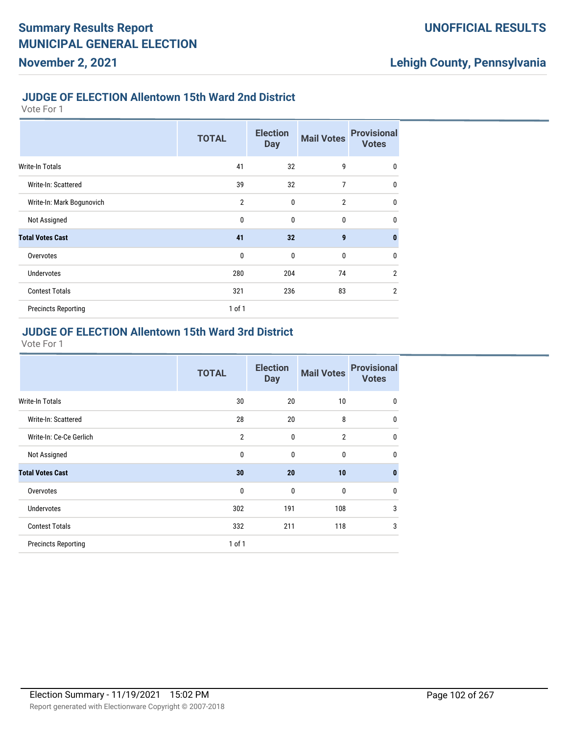#### **JUDGE OF ELECTION Allentown 15th Ward 2nd District**

Vote For 1

**November 2, 2021**

|                            | <b>TOTAL</b>   | <b>Election</b><br><b>Day</b> | <b>Mail Votes</b> | <b>Provisional</b><br><b>Votes</b> |
|----------------------------|----------------|-------------------------------|-------------------|------------------------------------|
| <b>Write-In Totals</b>     | 41             | 32                            | 9                 | $\mathbf{0}$                       |
| Write-In: Scattered        | 39             | 32                            | 7                 | $\mathbf{0}$                       |
| Write-In: Mark Bogunovich  | $\overline{2}$ | $\mathbf 0$                   | $\overline{2}$    | $\mathbf{0}$                       |
| Not Assigned               | 0              | $\mathbf 0$                   | $\mathbf{0}$      | $\mathbf{0}$                       |
| <b>Total Votes Cast</b>    | 41             | 32                            | $\boldsymbol{9}$  | $\mathbf{0}$                       |
| Overvotes                  | $\mathbf 0$    | $\mathbf 0$                   | 0                 | $\mathbf{0}$                       |
| <b>Undervotes</b>          | 280            | 204                           | 74                | $\overline{2}$                     |
| <b>Contest Totals</b>      | 321            | 236                           | 83                | $\overline{2}$                     |
| <b>Precincts Reporting</b> | $1$ of $1$     |                               |                   |                                    |

#### **JUDGE OF ELECTION Allentown 15th Ward 3rd District**

|                            | <b>TOTAL</b>   | <b>Election</b><br><b>Day</b> | <b>Mail Votes</b> | <b>Provisional</b><br><b>Votes</b> |
|----------------------------|----------------|-------------------------------|-------------------|------------------------------------|
| Write-In Totals            | 30             | 20                            | 10                | $\mathbf 0$                        |
| Write-In: Scattered        | 28             | 20                            | 8                 | $\mathbf 0$                        |
| Write-In: Ce-Ce Gerlich    | $\overline{2}$ | 0                             | $\overline{2}$    | $\mathbf 0$                        |
| Not Assigned               | 0              | $\mathbf{0}$                  | 0                 | $\mathbf 0$                        |
| <b>Total Votes Cast</b>    | 30             | 20                            | 10                | $\mathbf{0}$                       |
| Overvotes                  | 0              | $\mathbf{0}$                  | $\mathbf{0}$      | $\mathbf 0$                        |
| <b>Undervotes</b>          | 302            | 191                           | 108               | 3                                  |
| <b>Contest Totals</b>      | 332            | 211                           | 118               | 3                                  |
| <b>Precincts Reporting</b> | 1 of 1         |                               |                   |                                    |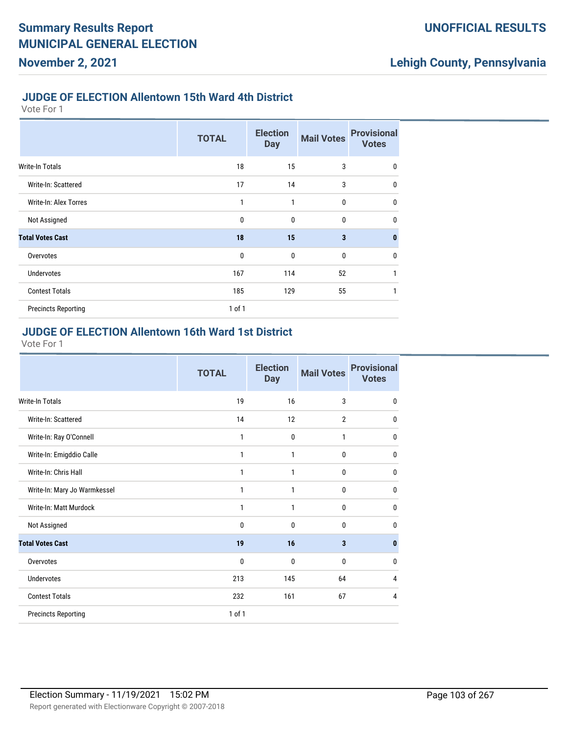#### **JUDGE OF ELECTION Allentown 15th Ward 4th District**

Vote For 1

**November 2, 2021**

|                            | <b>TOTAL</b> | <b>Election</b><br><b>Day</b> | <b>Mail Votes</b>       | <b>Provisional</b><br><b>Votes</b> |
|----------------------------|--------------|-------------------------------|-------------------------|------------------------------------|
| Write-In Totals            | 18           | 15                            | 3                       | $\mathbf 0$                        |
| Write-In: Scattered        | 17           | 14                            | 3                       | $\mathbf 0$                        |
| Write-In: Alex Torres      | 1            | 1                             | $\mathbf 0$             | $\mathbf 0$                        |
| Not Assigned               | $\mathbf 0$  | $\mathbf 0$                   | $\mathbf 0$             | $\mathbf{0}$                       |
| <b>Total Votes Cast</b>    | 18           | 15                            | $\overline{\mathbf{3}}$ | $\mathbf{0}$                       |
| Overvotes                  | $\mathbf 0$  | $\mathbf 0$                   | $\mathbf 0$             | $\mathbf 0$                        |
| <b>Undervotes</b>          | 167          | 114                           | 52                      | 1                                  |
| <b>Contest Totals</b>      | 185          | 129                           | 55                      | 1                                  |
| <b>Precincts Reporting</b> | $1$ of $1$   |                               |                         |                                    |

#### **JUDGE OF ELECTION Allentown 16th Ward 1st District**

|                              | <b>TOTAL</b> | <b>Election</b><br><b>Day</b> | <b>Mail Votes</b>       | <b>Provisional</b><br><b>Votes</b> |
|------------------------------|--------------|-------------------------------|-------------------------|------------------------------------|
| <b>Write-In Totals</b>       | 19           | 16                            | 3                       | $\mathbf 0$                        |
| Write-In: Scattered          | 14           | 12                            | $\overline{2}$          | $\mathbf{0}$                       |
| Write-In: Ray O'Connell      | 1            | $\mathbf{0}$                  | 1                       | 0                                  |
| Write-In: Emigddio Calle     | 1            | 1                             | 0                       | 0                                  |
| Write-In: Chris Hall         | 1            | 1                             | 0                       | 0                                  |
| Write-In: Mary Jo Warmkessel | 1            | 1                             | 0                       | $\mathbf{0}$                       |
| Write-In: Matt Murdock       | 1            | 1                             | 0                       | $\mathbf{0}$                       |
| Not Assigned                 | 0            | 0                             | 0                       | 0                                  |
| <b>Total Votes Cast</b>      | 19           | 16                            | $\overline{\mathbf{3}}$ | $\mathbf{0}$                       |
| Overvotes                    | 0            | 0                             | 0                       | $\mathbf{0}$                       |
| Undervotes                   | 213          | 145                           | 64                      | 4                                  |
| <b>Contest Totals</b>        | 232          | 161                           | 67                      | 4                                  |
| <b>Precincts Reporting</b>   | 1 of 1       |                               |                         |                                    |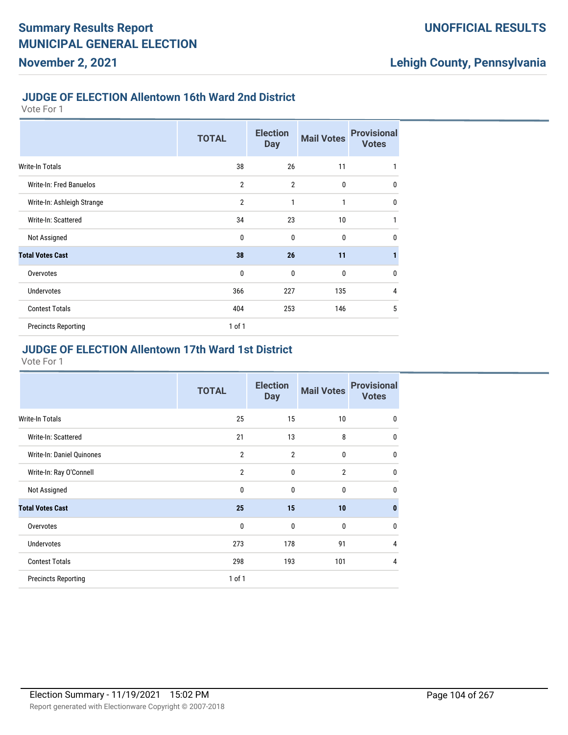#### **JUDGE OF ELECTION Allentown 16th Ward 2nd District**

Vote For 1

**November 2, 2021**

|                            | <b>TOTAL</b>   | <b>Election</b><br><b>Day</b> | <b>Mail Votes</b> | <b>Provisional</b><br><b>Votes</b> |
|----------------------------|----------------|-------------------------------|-------------------|------------------------------------|
| Write-In Totals            | 38             | 26                            | 11                | 1                                  |
| Write-In: Fred Banuelos    | $\overline{2}$ | $\overline{2}$                | $\mathbf 0$       | $\mathbf{0}$                       |
| Write-In: Ashleigh Strange | $\overline{2}$ | 1                             | 1                 | $\mathbf{0}$                       |
| Write-In: Scattered        | 34             | 23                            | 10                | 1                                  |
| Not Assigned               | $\mathbf{0}$   | $\mathbf{0}$                  | $\mathbf{0}$      | $\mathbf{0}$                       |
| <b>Total Votes Cast</b>    | 38             | 26                            | 11                | $\mathbf{1}$                       |
| Overvotes                  | $\mathbf{0}$   | $\mathbf 0$                   | $\mathbf{0}$      | $\mathbf{0}$                       |
| <b>Undervotes</b>          | 366            | 227                           | 135               | $\overline{4}$                     |
| <b>Contest Totals</b>      | 404            | 253                           | 146               | 5                                  |
| <b>Precincts Reporting</b> | $1$ of $1$     |                               |                   |                                    |

## **JUDGE OF ELECTION Allentown 17th Ward 1st District**

|                            | <b>TOTAL</b>   | <b>Election</b><br><b>Day</b> | <b>Mail Votes</b> | <b>Provisional</b><br><b>Votes</b> |
|----------------------------|----------------|-------------------------------|-------------------|------------------------------------|
| Write-In Totals            | 25             | 15                            | 10                | $\mathbf{0}$                       |
| Write-In: Scattered        | 21             | 13                            | 8                 | $\mathbf 0$                        |
| Write-In: Daniel Quinones  | $\overline{2}$ | $\overline{2}$                | 0                 | $\mathbf 0$                        |
| Write-In: Ray O'Connell    | $\overline{2}$ | $\mathbf{0}$                  | $\overline{2}$    | $\mathbf 0$                        |
| Not Assigned               | $\mathbf{0}$   | $\mathbf{0}$                  | 0                 | $\mathbf 0$                        |
| <b>Total Votes Cast</b>    | 25             | 15                            | 10                | $\bf{0}$                           |
| Overvotes                  | 0              | $\mathbf{0}$                  | 0                 | $\mathbf{0}$                       |
| <b>Undervotes</b>          | 273            | 178                           | 91                | $\overline{4}$                     |
| <b>Contest Totals</b>      | 298            | 193                           | 101               | 4                                  |
| <b>Precincts Reporting</b> | $1$ of $1$     |                               |                   |                                    |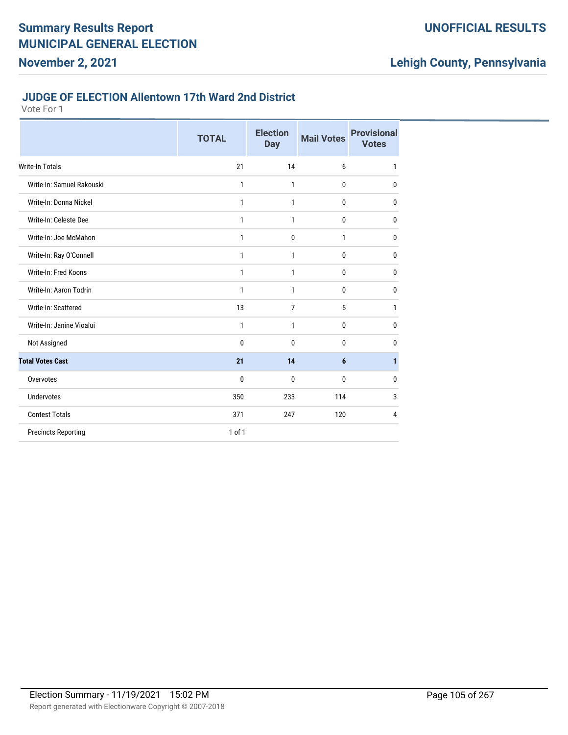#### **JUDGE OF ELECTION Allentown 17th Ward 2nd District**

|                            | <b>TOTAL</b> | <b>Election</b><br><b>Day</b> | <b>Mail Votes</b> | <b>Provisional</b><br><b>Votes</b> |
|----------------------------|--------------|-------------------------------|-------------------|------------------------------------|
| <b>Write-In Totals</b>     | 21           | 14                            | 6                 | 1                                  |
| Write-In: Samuel Rakouski  | 1            | 1                             | 0                 | 0                                  |
| Write-In: Donna Nickel     | 1            | 1                             | $\mathbf{0}$      | 0                                  |
| Write-In: Celeste Dee      | 1            | 1                             | 0                 | 0                                  |
| Write-In: Joe McMahon      | 1            | $\mathbf 0$                   | 1                 | 0                                  |
| Write-In: Ray O'Connell    | 1            | 1                             | 0                 | 0                                  |
| Write-In: Fred Koons       | 1            | 1                             | 0                 | 0                                  |
| Write-In: Aaron Todrin     | 1            | 1                             | 0                 | 0                                  |
| Write-In: Scattered        | 13           | $\overline{7}$                | 5                 | 1                                  |
| Write-In: Janine Vioalui   | $\mathbf{1}$ | 1                             | 0                 | $\mathbf{0}$                       |
| Not Assigned               | $\bf{0}$     | $\mathbf{0}$                  | 0                 | 0                                  |
| <b>Total Votes Cast</b>    | 21           | 14                            | $6\phantom{1}$    | 1                                  |
| Overvotes                  | 0            | 0                             | $\bf{0}$          | 0                                  |
| <b>Undervotes</b>          | 350          | 233                           | 114               | 3                                  |
| <b>Contest Totals</b>      | 371          | 247                           | 120               | 4                                  |
| <b>Precincts Reporting</b> | $1$ of $1$   |                               |                   |                                    |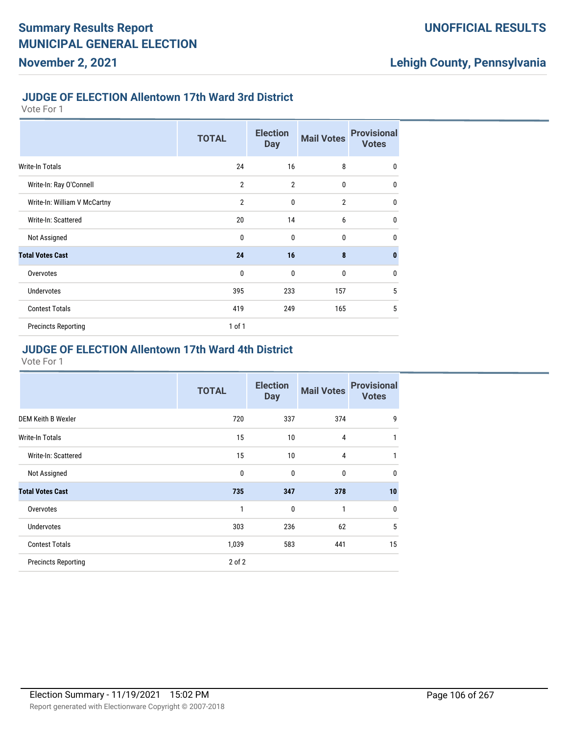#### **JUDGE OF ELECTION Allentown 17th Ward 3rd District**

Vote For 1

**November 2, 2021**

|                              | <b>TOTAL</b>   | <b>Election</b><br><b>Day</b> | <b>Mail Votes</b> | <b>Provisional</b><br><b>Votes</b> |
|------------------------------|----------------|-------------------------------|-------------------|------------------------------------|
| <b>Write-In Totals</b>       | 24             | 16                            | 8                 | 0                                  |
| Write-In: Ray O'Connell      | $\overline{2}$ | $\overline{2}$                | $\mathbf 0$       | $\mathbf{0}$                       |
| Write-In: William V McCartny | $\overline{2}$ | $\mathbf{0}$                  | $\overline{2}$    | $\mathbf{0}$                       |
| Write-In: Scattered          | 20             | 14                            | 6                 | 0                                  |
| Not Assigned                 | $\mathbf{0}$   | $\mathbf{0}$                  | $\mathbf{0}$      | $\mathbf{0}$                       |
| <b>Total Votes Cast</b>      | 24             | 16                            | 8                 | $\bf{0}$                           |
| Overvotes                    | $\mathbf 0$    | $\mathbf{0}$                  | $\mathbf 0$       | 0                                  |
| <b>Undervotes</b>            | 395            | 233                           | 157               | 5                                  |
| <b>Contest Totals</b>        | 419            | 249                           | 165               | 5                                  |
| <b>Precincts Reporting</b>   | $1$ of $1$     |                               |                   |                                    |

### **JUDGE OF ELECTION Allentown 17th Ward 4th District**

|                            | <b>TOTAL</b> | <b>Election</b><br><b>Day</b> | <b>Mail Votes</b> | <b>Provisional</b><br><b>Votes</b> |
|----------------------------|--------------|-------------------------------|-------------------|------------------------------------|
| <b>DEM Keith B Wexler</b>  | 720          | 337                           | 374               | 9                                  |
| <b>Write-In Totals</b>     | 15           | 10                            | $\overline{4}$    | 1                                  |
| Write-In: Scattered        | 15           | 10                            | 4                 | 1                                  |
| Not Assigned               | 0            | $\mathbf{0}$                  | $\mathbf{0}$      | 0                                  |
| <b>Total Votes Cast</b>    | 735          | 347                           | 378               | 10                                 |
| Overvotes                  | 1            | 0                             | $\mathbf{1}$      | 0                                  |
| <b>Undervotes</b>          | 303          | 236                           | 62                | 5                                  |
| <b>Contest Totals</b>      | 1,039        | 583                           | 441               | 15                                 |
| <b>Precincts Reporting</b> | $2$ of $2$   |                               |                   |                                    |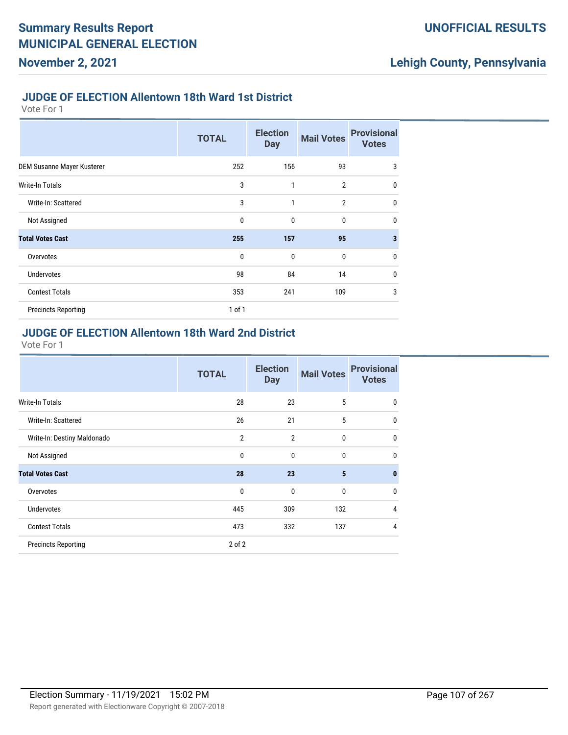#### **JUDGE OF ELECTION Allentown 18th Ward 1st District**

Vote For 1

**November 2, 2021**

|                            | <b>TOTAL</b> | <b>Election</b><br><b>Day</b> | <b>Mail Votes</b> | <b>Provisional</b><br><b>Votes</b> |
|----------------------------|--------------|-------------------------------|-------------------|------------------------------------|
| DEM Susanne Mayer Kusterer | 252          | 156                           | 93                | 3                                  |
| Write-In Totals            | 3            | 1                             | $\overline{2}$    | 0                                  |
| Write-In: Scattered        | 3            | 1                             | $\overline{2}$    | 0                                  |
| Not Assigned               | $\mathbf 0$  | $\mathbf{0}$                  | $\mathbf 0$       | 0                                  |
| <b>Total Votes Cast</b>    | 255          | 157                           | 95                | 3                                  |
| Overvotes                  | $\mathbf 0$  | $\mathbf{0}$                  | $\mathbf 0$       | 0                                  |
| <b>Undervotes</b>          | 98           | 84                            | 14                | 0                                  |
| <b>Contest Totals</b>      | 353          | 241                           | 109               | 3                                  |
| <b>Precincts Reporting</b> | $1$ of $1$   |                               |                   |                                    |

### **JUDGE OF ELECTION Allentown 18th Ward 2nd District**

|                             | <b>TOTAL</b>   | <b>Election</b><br><b>Day</b> | <b>Mail Votes</b> | <b>Provisional</b><br><b>Votes</b> |
|-----------------------------|----------------|-------------------------------|-------------------|------------------------------------|
| Write-In Totals             | 28             | 23                            | 5                 | 0                                  |
| Write-In: Scattered         | 26             | 21                            | 5                 | 0                                  |
| Write-In: Destiny Maldonado | $\overline{2}$ | $\overline{2}$                | $\mathbf 0$       | $\mathbf{0}$                       |
| Not Assigned                | $\mathbf{0}$   | $\mathbf{0}$                  | $\mathbf{0}$      | $\mathbf{0}$                       |
| <b>Total Votes Cast</b>     | 28             | 23                            | 5                 | $\bf{0}$                           |
| Overvotes                   | $\mathbf 0$    | 0                             | $\mathbf{0}$      | $\mathbf{0}$                       |
| <b>Undervotes</b>           | 445            | 309                           | 132               | 4                                  |
| <b>Contest Totals</b>       | 473            | 332                           | 137               | 4                                  |
| <b>Precincts Reporting</b>  | $2$ of $2$     |                               |                   |                                    |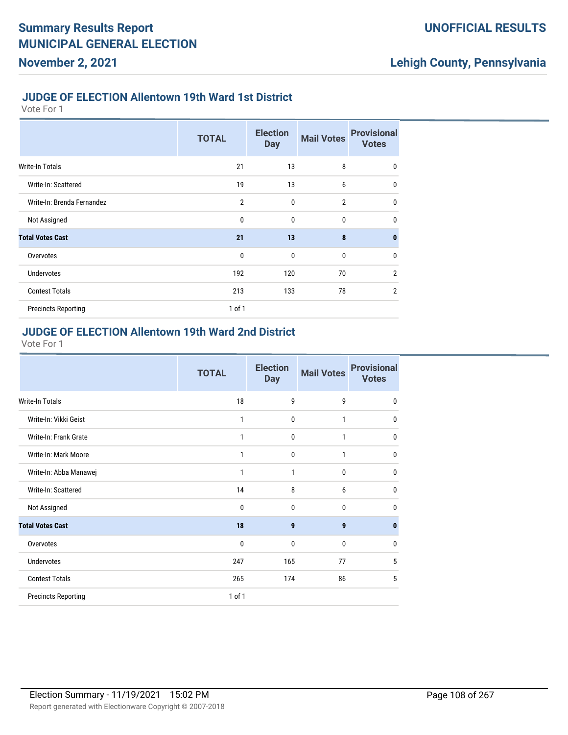#### **JUDGE OF ELECTION Allentown 19th Ward 1st District**

Vote For 1

**November 2, 2021**

|                            | <b>TOTAL</b>   | <b>Election</b><br><b>Day</b> | <b>Mail Votes</b> | <b>Provisional</b><br><b>Votes</b> |
|----------------------------|----------------|-------------------------------|-------------------|------------------------------------|
| <b>Write-In Totals</b>     | 21             | 13                            | 8                 | $\mathbf 0$                        |
| Write-In: Scattered        | 19             | 13                            | 6                 | $\mathbf 0$                        |
| Write-In: Brenda Fernandez | $\overline{2}$ | $\mathbf 0$                   | $\overline{2}$    | $\mathbf 0$                        |
| Not Assigned               | 0              | $\mathbf 0$                   | $\mathbf{0}$      | $\mathbf{0}$                       |
| <b>Total Votes Cast</b>    | 21             | 13                            | 8                 | $\mathbf{0}$                       |
| Overvotes                  | $\mathbf 0$    | $\mathbf 0$                   | 0                 | $\mathbf 0$                        |
| <b>Undervotes</b>          | 192            | 120                           | 70                | $\overline{2}$                     |
| <b>Contest Totals</b>      | 213            | 133                           | 78                | $\overline{2}$                     |
| <b>Precincts Reporting</b> | $1$ of $1$     |                               |                   |                                    |

#### **JUDGE OF ELECTION Allentown 19th Ward 2nd District**

|                            | <b>TOTAL</b> | <b>Election</b><br><b>Day</b> | <b>Mail Votes</b> | <b>Provisional</b><br><b>Votes</b> |
|----------------------------|--------------|-------------------------------|-------------------|------------------------------------|
| <b>Write-In Totals</b>     | 18           | 9                             | 9                 | $\mathbf{0}$                       |
| Write-In: Vikki Geist      | 1            | 0                             | 1                 | $\mathbf{0}$                       |
| Write-In: Frank Grate      | 1            | $\mathbf{0}$                  | 1                 | $\mathbf{0}$                       |
| Write-In: Mark Moore       | 1            | 0                             | 1                 | $\mathbf{0}$                       |
| Write-In: Abba Manawej     | 1            | $\mathbf{1}$                  | $\bf{0}$          | $\mathbf{0}$                       |
| Write-In: Scattered        | 14           | 8                             | 6                 | $\mathbf{0}$                       |
| Not Assigned               | 0            | 0                             | 0                 | 0                                  |
| <b>Total Votes Cast</b>    | 18           | 9                             | $\boldsymbol{9}$  | $\mathbf{0}$                       |
| Overvotes                  | 0            | $\mathbf{0}$                  | $\mathbf{0}$      | $\mathbf{0}$                       |
| <b>Undervotes</b>          | 247          | 165                           | 77                | 5                                  |
| <b>Contest Totals</b>      | 265          | 174                           | 86                | 5                                  |
| <b>Precincts Reporting</b> | 1 of 1       |                               |                   |                                    |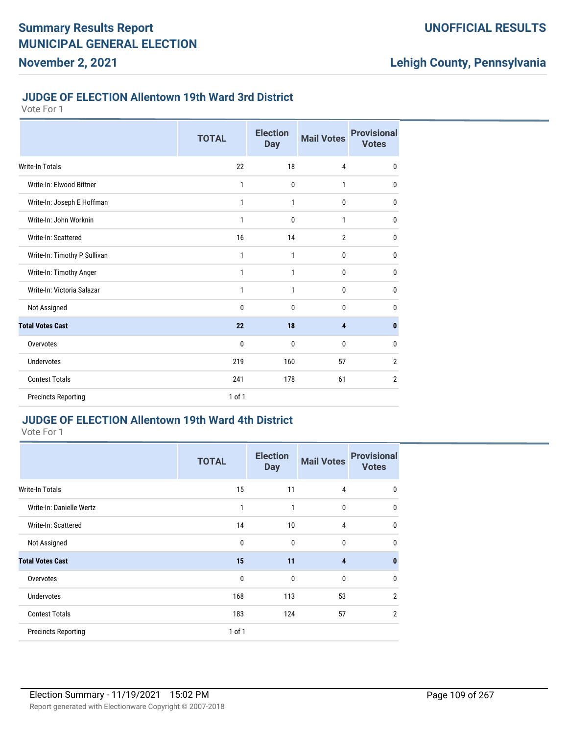#### **JUDGE OF ELECTION Allentown 19th Ward 3rd District**

Vote For 1

**November 2, 2021**

|                              | <b>TOTAL</b> | <b>Election</b><br><b>Day</b> | <b>Mail Votes</b> | <b>Provisional</b><br><b>Votes</b> |
|------------------------------|--------------|-------------------------------|-------------------|------------------------------------|
| <b>Write-In Totals</b>       | 22           | 18                            | 4                 | $\mathbf{0}$                       |
| Write-In: Elwood Bittner     | 1            | $\mathbf 0$                   | 1                 | 0                                  |
| Write-In: Joseph E Hoffman   | 1            | 1                             | 0                 | $\mathbf{0}$                       |
| Write-In: John Worknin       | 1            | $\mathbf 0$                   | 1                 | 0                                  |
| Write-In: Scattered          | 16           | 14                            | $\overline{2}$    | $\mathbf{0}$                       |
| Write-In: Timothy P Sullivan | 1            | 1                             | 0                 | $\mathbf{0}$                       |
| Write-In: Timothy Anger      | 1            | 1                             | 0                 | $\mathbf{0}$                       |
| Write-In: Victoria Salazar   | 1            | 1                             | 0                 | $\mathbf{0}$                       |
| Not Assigned                 | 0            | $\mathbf{0}$                  | 0                 | 0                                  |
| <b>Total Votes Cast</b>      | 22           | 18                            | 4                 | $\mathbf{0}$                       |
| Overvotes                    | 0            | $\mathbf 0$                   | 0                 | $\mathbf{0}$                       |
| <b>Undervotes</b>            | 219          | 160                           | 57                | $\overline{2}$                     |
| <b>Contest Totals</b>        | 241          | 178                           | 61                | $\overline{2}$                     |
| <b>Precincts Reporting</b>   | 1 of 1       |                               |                   |                                    |

### **JUDGE OF ELECTION Allentown 19th Ward 4th District**

|                            | <b>TOTAL</b> | <b>Election</b><br><b>Day</b> | <b>Mail Votes</b>       | <b>Provisional</b><br><b>Votes</b> |
|----------------------------|--------------|-------------------------------|-------------------------|------------------------------------|
| Write-In Totals            | 15           | 11                            | 4                       | $\mathbf{0}$                       |
| Write-In: Danielle Wertz   | $\mathbf{1}$ | 1                             | 0                       | $\mathbf{0}$                       |
| Write-In: Scattered        | 14           | 10                            | 4                       | $\mathbf{0}$                       |
| Not Assigned               | $\mathbf{0}$ | $\mathbf{0}$                  | $\mathbf{0}$            | 0                                  |
| <b>Total Votes Cast</b>    | 15           | 11                            | $\overline{\mathbf{4}}$ | $\bf{0}$                           |
| Overvotes                  | $\mathbf{0}$ | $\mathbf{0}$                  | $\mathbf{0}$            | $\mathbf{0}$                       |
| <b>Undervotes</b>          | 168          | 113                           | 53                      | $\overline{2}$                     |
| <b>Contest Totals</b>      | 183          | 124                           | 57                      | $\overline{2}$                     |
| <b>Precincts Reporting</b> | 1 of 1       |                               |                         |                                    |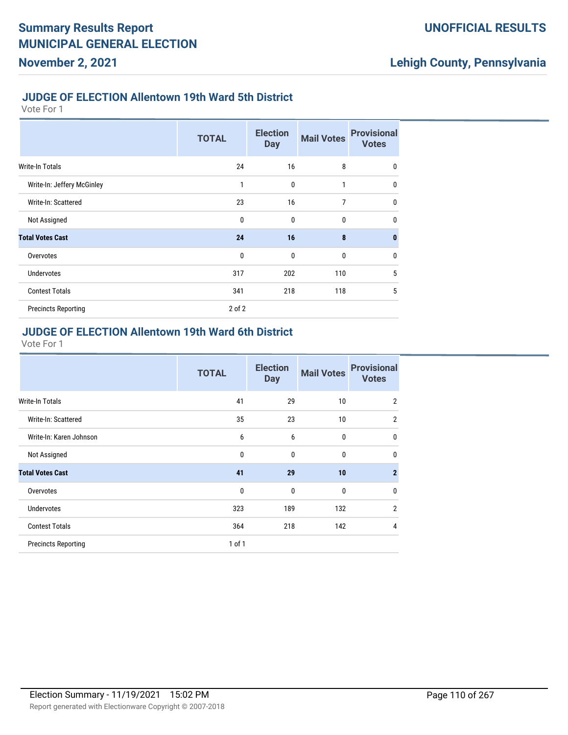#### **JUDGE OF ELECTION Allentown 19th Ward 5th District**

Vote For 1

**November 2, 2021**

|                            | <b>TOTAL</b> | <b>Election</b><br><b>Day</b> | <b>Mail Votes</b> | <b>Provisional</b><br><b>Votes</b> |
|----------------------------|--------------|-------------------------------|-------------------|------------------------------------|
| Write-In Totals            | 24           | 16                            | 8                 | $\mathbf 0$                        |
| Write-In: Jeffery McGinley | 1            | $\mathbf{0}$                  | $\mathbf{1}$      | $\mathbf{0}$                       |
| Write-In: Scattered        | 23           | 16                            | $\overline{7}$    | $\mathbf 0$                        |
| Not Assigned               | $\mathbf{0}$ | $\mathbf{0}$                  | $\bf{0}$          | 0                                  |
| <b>Total Votes Cast</b>    | 24           | 16                            | 8                 | $\bf{0}$                           |
| Overvotes                  | $\mathbf{0}$ | $\mathbf{0}$                  | $\mathbf 0$       | 0                                  |
| <b>Undervotes</b>          | 317          | 202                           | 110               | 5                                  |
| <b>Contest Totals</b>      | 341          | 218                           | 118               | 5                                  |
| <b>Precincts Reporting</b> | $2$ of $2$   |                               |                   |                                    |

#### **JUDGE OF ELECTION Allentown 19th Ward 6th District**

|                            | <b>TOTAL</b> | <b>Election</b><br><b>Day</b> | <b>Mail Votes</b> | <b>Provisional</b><br><b>Votes</b> |
|----------------------------|--------------|-------------------------------|-------------------|------------------------------------|
| <b>Write-In Totals</b>     | 41           | 29                            | 10                | $\overline{2}$                     |
| Write-In: Scattered        | 35           | 23                            | 10                | $\overline{2}$                     |
| Write-In: Karen Johnson    | 6            | 6                             | 0                 | $\mathbf{0}$                       |
| Not Assigned               | $\mathbf{0}$ | $\mathbf{0}$                  | $\mathbf{0}$      | $\mathbf{0}$                       |
| <b>Total Votes Cast</b>    | 41           | 29                            | 10                | $\overline{2}$                     |
| Overvotes                  | $\mathbf 0$  | $\mathbf{0}$                  | $\mathbf{0}$      | $\mathbf{0}$                       |
| <b>Undervotes</b>          | 323          | 189                           | 132               | $\overline{2}$                     |
| <b>Contest Totals</b>      | 364          | 218                           | 142               | $\overline{4}$                     |
| <b>Precincts Reporting</b> | 1 of 1       |                               |                   |                                    |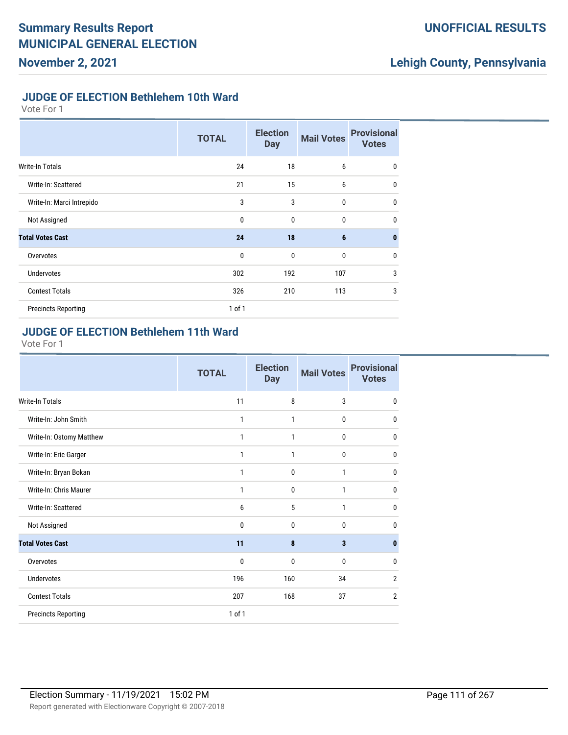### **UNOFFICIAL RESULTS**

## **Lehigh County, Pennsylvania**

#### **JUDGE OF ELECTION Bethlehem 10th Ward**

Vote For 1

|                            | <b>TOTAL</b> | <b>Election</b><br><b>Day</b> | <b>Mail Votes</b> | <b>Provisional</b><br><b>Votes</b> |
|----------------------------|--------------|-------------------------------|-------------------|------------------------------------|
| <b>Write-In Totals</b>     | 24           | 18                            | 6                 | 0                                  |
| Write-In: Scattered        | 21           | 15                            | 6                 | $\mathbf 0$                        |
| Write-In: Marci Intrepido  | 3            | 3                             | $\mathbf{0}$      | $\mathbf 0$                        |
| Not Assigned               | 0            | $\mathbf{0}$                  | 0                 | $\mathbf{0}$                       |
| <b>Total Votes Cast</b>    | 24           | 18                            | $6\phantom{1}6$   | $\mathbf{0}$                       |
| Overvotes                  | 0            | $\mathbf{0}$                  | 0                 | $\mathbf 0$                        |
| <b>Undervotes</b>          | 302          | 192                           | 107               | 3                                  |
| <b>Contest Totals</b>      | 326          | 210                           | 113               | 3                                  |
| <b>Precincts Reporting</b> | $1$ of $1$   |                               |                   |                                    |

#### **JUDGE OF ELECTION Bethlehem 11th Ward**

|                            | <b>TOTAL</b> | <b>Election</b><br><b>Day</b> | <b>Mail Votes</b>       | <b>Provisional</b><br><b>Votes</b> |
|----------------------------|--------------|-------------------------------|-------------------------|------------------------------------|
| <b>Write-In Totals</b>     | 11           | 8                             | 3                       | 0                                  |
| Write-In: John Smith       | 1            | 1                             | 0                       | $\mathbf 0$                        |
| Write-In: Ostomy Matthew   | 1            | 1                             | 0                       | 0                                  |
| Write-In: Eric Garger      | 1            | 1                             | 0                       | $\mathbf 0$                        |
| Write-In: Bryan Bokan      | 1            | $\mathbf 0$                   | 1                       | $\mathbf 0$                        |
| Write-In: Chris Maurer     | 1            | $\mathbf 0$                   | 1                       | $\mathbf 0$                        |
| Write-In: Scattered        | 6            | 5                             | 1                       | $\mathbf 0$                        |
| Not Assigned               | 0            | 0                             | 0                       | 0                                  |
| <b>Total Votes Cast</b>    | 11           | 8                             | $\overline{\mathbf{3}}$ | $\bf{0}$                           |
| Overvotes                  | 0            | 0                             | 0                       | $\mathbf{0}$                       |
| <b>Undervotes</b>          | 196          | 160                           | 34                      | $\overline{2}$                     |
| <b>Contest Totals</b>      | 207          | 168                           | 37                      | $\overline{2}$                     |
| <b>Precincts Reporting</b> | 1 of 1       |                               |                         |                                    |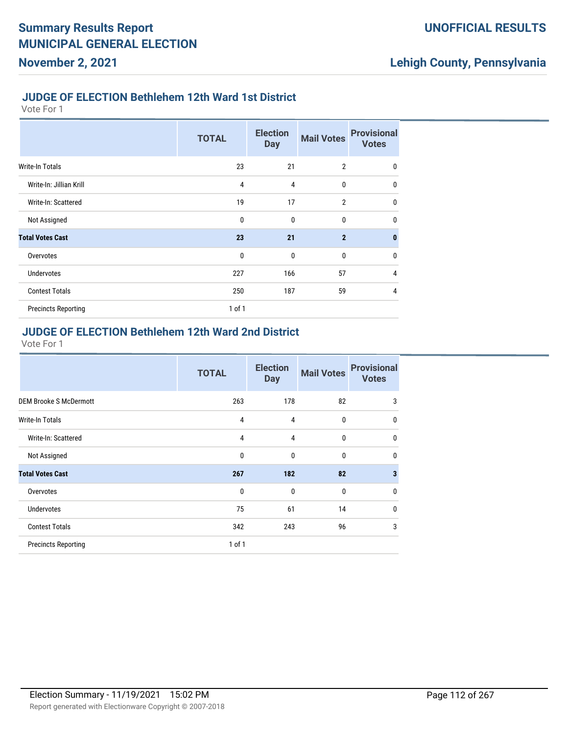#### **JUDGE OF ELECTION Bethlehem 12th Ward 1st District**

Vote For 1

**November 2, 2021**

|                            | <b>TOTAL</b> | <b>Election</b><br><b>Day</b> | <b>Mail Votes</b> | <b>Provisional</b><br><b>Votes</b> |
|----------------------------|--------------|-------------------------------|-------------------|------------------------------------|
| Write-In Totals            | 23           | 21                            | $\overline{2}$    | $\mathbf 0$                        |
| Write-In: Jillian Krill    | 4            | 4                             | $\mathbf{0}$      | $\mathbf 0$                        |
| Write-In: Scattered        | 19           | 17                            | $\overline{2}$    | $\mathbf 0$                        |
| Not Assigned               | 0            | $\mathbf 0$                   | 0                 | $\mathbf 0$                        |
| <b>Total Votes Cast</b>    | 23           | 21                            | $\overline{2}$    | $\mathbf{0}$                       |
| Overvotes                  | 0            | $\mathbf 0$                   | 0                 | $\mathbf{0}$                       |
| <b>Undervotes</b>          | 227          | 166                           | 57                | 4                                  |
| <b>Contest Totals</b>      | 250          | 187                           | 59                | 4                                  |
| <b>Precincts Reporting</b> | 1 of 1       |                               |                   |                                    |

#### **JUDGE OF ELECTION Bethlehem 12th Ward 2nd District**

|                               | <b>TOTAL</b> | <b>Election</b><br><b>Day</b> | <b>Mail Votes</b> | <b>Provisional</b><br><b>Votes</b> |
|-------------------------------|--------------|-------------------------------|-------------------|------------------------------------|
| <b>DEM Brooke S McDermott</b> | 263          | 178                           | 82                | 3                                  |
| <b>Write-In Totals</b>        | 4            | 4                             | 0                 | $\mathbf 0$                        |
| Write-In: Scattered           | 4            | 4                             | 0                 | $\mathbf{0}$                       |
| Not Assigned                  | 0            | $\mathbf{0}$                  | 0                 | $\mathbf 0$                        |
| <b>Total Votes Cast</b>       | 267          | 182                           | 82                | $\overline{\mathbf{3}}$            |
| Overvotes                     | $\mathbf{0}$ | $\mathbf{0}$                  | 0                 | $\mathbf 0$                        |
| <b>Undervotes</b>             | 75           | 61                            | 14                | $\mathbf 0$                        |
| <b>Contest Totals</b>         | 342          | 243                           | 96                | 3                                  |
| <b>Precincts Reporting</b>    | $1$ of $1$   |                               |                   |                                    |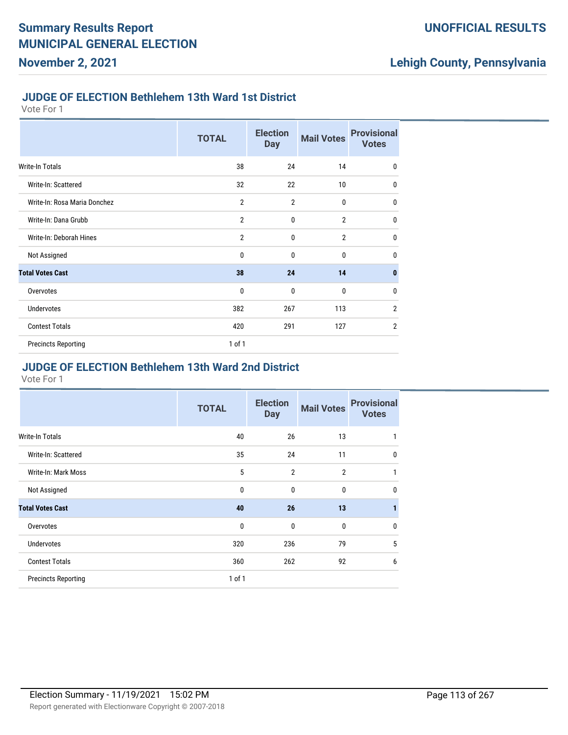#### **JUDGE OF ELECTION Bethlehem 13th Ward 1st District**

Vote For 1

**November 2, 2021**

|                              | <b>TOTAL</b>   | <b>Election</b><br><b>Day</b> | <b>Mail Votes</b> | <b>Provisional</b><br><b>Votes</b> |
|------------------------------|----------------|-------------------------------|-------------------|------------------------------------|
| Write-In Totals              | 38             | 24                            | 14                | $\mathbf 0$                        |
| Write-In: Scattered          | 32             | 22                            | 10                | $\mathbf{0}$                       |
| Write-In: Rosa Maria Donchez | $\overline{2}$ | $\overline{2}$                | $\mathbf{0}$      | $\mathbf{0}$                       |
| Write-In: Dana Grubb         | $\overline{2}$ | $\mathbf{0}$                  | $\overline{2}$    | $\mathbf 0$                        |
| Write-In: Deborah Hines      | $\overline{2}$ | $\mathbf{0}$                  | $\overline{2}$    | $\mathbf 0$                        |
| Not Assigned                 | $\mathbf{0}$   | $\mathbf{0}$                  | $\mathbf{0}$      | $\mathbf{0}$                       |
| <b>Total Votes Cast</b>      | 38             | 24                            | 14                | $\mathbf{0}$                       |
| Overvotes                    | $\mathbf{0}$   | $\mathbf{0}$                  | $\mathbf{0}$      | $\mathbf{0}$                       |
| Undervotes                   | 382            | 267                           | 113               | $\overline{2}$                     |
| <b>Contest Totals</b>        | 420            | 291                           | 127               | $\overline{2}$                     |
| <b>Precincts Reporting</b>   | 1 of 1         |                               |                   |                                    |

#### **JUDGE OF ELECTION Bethlehem 13th Ward 2nd District**

|                            | <b>TOTAL</b> | <b>Election</b><br><b>Day</b> | <b>Mail Votes</b> | <b>Provisional</b><br><b>Votes</b> |
|----------------------------|--------------|-------------------------------|-------------------|------------------------------------|
| <b>Write-In Totals</b>     | 40           | 26                            | 13                | 1                                  |
| Write-In: Scattered        | 35           | 24                            | 11                | $\mathbf{0}$                       |
| Write-In: Mark Moss        | 5            | $\overline{2}$                | $\overline{2}$    | 1                                  |
| Not Assigned               | 0            | 0                             | $\bf{0}$          | $\mathbf{0}$                       |
| <b>Total Votes Cast</b>    | 40           | 26                            | 13                | 1                                  |
| Overvotes                  | 0            | 0                             | 0                 | $\mathbf{0}$                       |
| <b>Undervotes</b>          | 320          | 236                           | 79                | 5                                  |
| <b>Contest Totals</b>      | 360          | 262                           | 92                | 6                                  |
| <b>Precincts Reporting</b> | $1$ of $1$   |                               |                   |                                    |
|                            |              |                               |                   |                                    |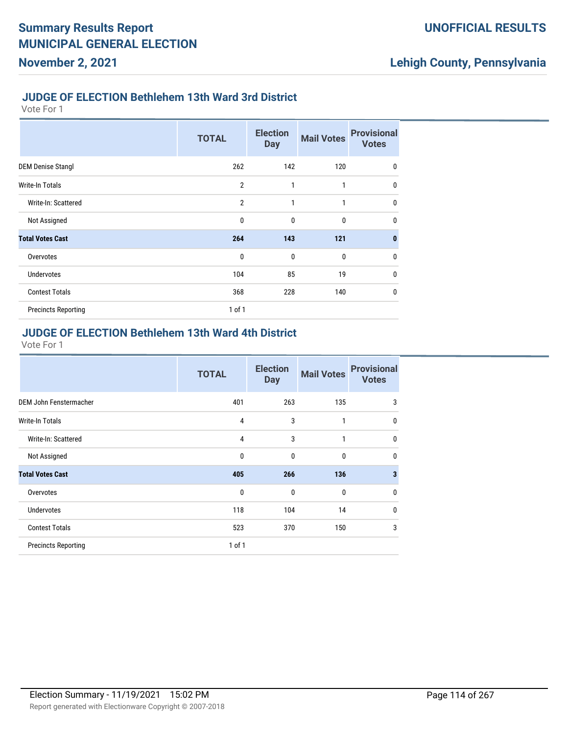#### **JUDGE OF ELECTION Bethlehem 13th Ward 3rd District**

Vote For 1

**November 2, 2021**

|                            | <b>TOTAL</b>   | <b>Election</b><br><b>Day</b> | <b>Mail Votes</b> | <b>Provisional</b><br><b>Votes</b> |
|----------------------------|----------------|-------------------------------|-------------------|------------------------------------|
| <b>DEM Denise Stangl</b>   | 262            | 142                           | 120               | $\mathbf 0$                        |
| Write-In Totals            | $\overline{2}$ | $\mathbf{1}$                  | $\mathbf{1}$      | $\mathbf{0}$                       |
| Write-In: Scattered        | $\overline{2}$ | 1                             | 1                 | 0                                  |
| Not Assigned               | $\mathbf{0}$   | $\mathbf{0}$                  | $\bf{0}$          | 0                                  |
| <b>Total Votes Cast</b>    | 264            | 143                           | 121               | $\bf{0}$                           |
| Overvotes                  | $\mathbf{0}$   | $\mathbf{0}$                  | $\mathbf 0$       | $\mathbf{0}$                       |
| <b>Undervotes</b>          | 104            | 85                            | 19                | $\mathbf{0}$                       |
| <b>Contest Totals</b>      | 368            | 228                           | 140               | 0                                  |
| <b>Precincts Reporting</b> | 1 of 1         |                               |                   |                                    |

### **JUDGE OF ELECTION Bethlehem 13th Ward 4th District**

|                            | <b>TOTAL</b> | <b>Election</b><br><b>Day</b> | <b>Mail Votes</b> | <b>Provisional</b><br><b>Votes</b> |
|----------------------------|--------------|-------------------------------|-------------------|------------------------------------|
| DEM John Fenstermacher     | 401          | 263                           | 135               | 3                                  |
| <b>Write-In Totals</b>     | 4            | 3                             | $\mathbf{1}$      | $\mathbf{0}$                       |
| Write-In: Scattered        | 4            | 3                             | 1                 | $\mathbf{0}$                       |
| Not Assigned               | $\mathbf{0}$ | $\mathbf{0}$                  | $\mathbf{0}$      | $\mathbf{0}$                       |
| <b>Total Votes Cast</b>    | 405          | 266                           | 136               | 3                                  |
| Overvotes                  | 0            | $\mathbf{0}$                  | $\mathbf{0}$      | $\mathbf{0}$                       |
| <b>Undervotes</b>          | 118          | 104                           | 14                | $\mathbf{0}$                       |
| <b>Contest Totals</b>      | 523          | 370                           | 150               | 3                                  |
| <b>Precincts Reporting</b> | $1$ of $1$   |                               |                   |                                    |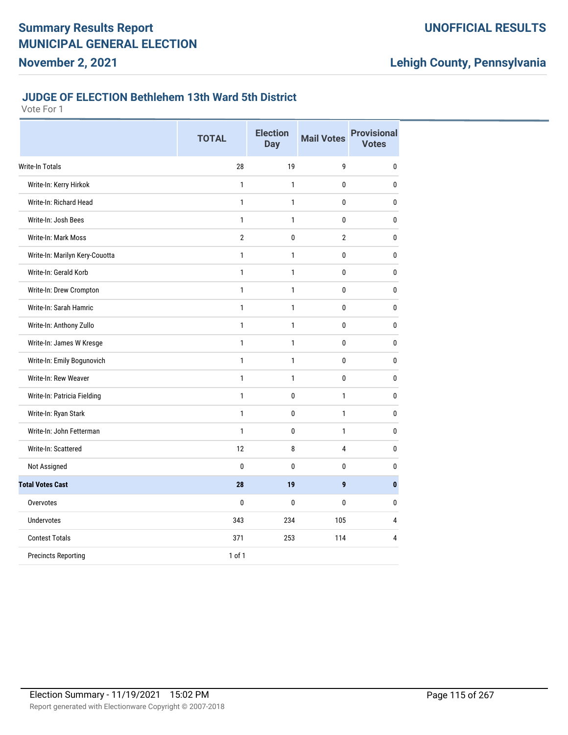### **UNOFFICIAL RESULTS**

## **Lehigh County, Pennsylvania**

#### **JUDGE OF ELECTION Bethlehem 13th Ward 5th District**

|                                | <b>TOTAL</b>   | <b>Election</b><br><b>Day</b> | <b>Mail Votes</b> | <b>Provisional</b><br><b>Votes</b> |
|--------------------------------|----------------|-------------------------------|-------------------|------------------------------------|
| <b>Write-In Totals</b>         | 28             | 19                            | 9                 | 0                                  |
| Write-In: Kerry Hirkok         | $\mathbf{1}$   | 1                             | 0                 | 0                                  |
| Write-In: Richard Head         | $\mathbf{1}$   | $\mathbf{1}$                  | 0                 | 0                                  |
| Write-In: Josh Bees            | $\mathbf{1}$   | $\mathbf{1}$                  | 0                 | 0                                  |
| Write-In: Mark Moss            | $\overline{2}$ | $\mathbf{0}$                  | $\overline{2}$    | $\mathbf{0}$                       |
| Write-In: Marilyn Kery-Couotta | $\mathbf{1}$   | $\mathbf{1}$                  | 0                 | 0                                  |
| Write-In: Gerald Korb          | $\mathbf{1}$   | $\mathbf{1}$                  | 0                 | 0                                  |
| Write-In: Drew Crompton        | $\mathbf{1}$   | $\mathbf{1}$                  | 0                 | 0                                  |
| Write-In: Sarah Hamric         | $\mathbf{1}$   | $\mathbf{1}$                  | 0                 | $\mathbf{0}$                       |
| Write-In: Anthony Zullo        | $\mathbf{1}$   | 1                             | 0                 | $\pmb{0}$                          |
| Write-In: James W Kresge       | $\mathbf{1}$   | 1                             | 0                 | 0                                  |
| Write-In: Emily Bogunovich     | $\mathbf{1}$   | 1                             | 0                 | 0                                  |
| Write-In: Rew Weaver           | $\mathbf{1}$   | $\mathbf{1}$                  | 0                 | 0                                  |
| Write-In: Patricia Fielding    | $\mathbf{1}$   | 0                             | $\mathbf{1}$      | 0                                  |
| Write-In: Ryan Stark           | $\mathbf{1}$   | 0                             | $\mathbf{1}$      | 0                                  |
| Write-In: John Fetterman       | $\mathbf{1}$   | 0                             | $\mathbf{1}$      | 0                                  |
| Write-In: Scattered            | 12             | 8                             | 4                 | 0                                  |
| Not Assigned                   | $\mathbf{0}$   | $\mathbf{0}$                  | 0                 | 0                                  |
| <b>Total Votes Cast</b>        | 28             | 19                            | 9                 | $\mathbf{0}$                       |
| Overvotes                      | $\mathbf{0}$   | $\mathbf{0}$                  | 0                 | $\mathbf{0}$                       |
| <b>Undervotes</b>              | 343            | 234                           | 105               | $\overline{4}$                     |
| <b>Contest Totals</b>          | 371            | 253                           | 114               | $\overline{4}$                     |
| <b>Precincts Reporting</b>     | 1 of 1         |                               |                   |                                    |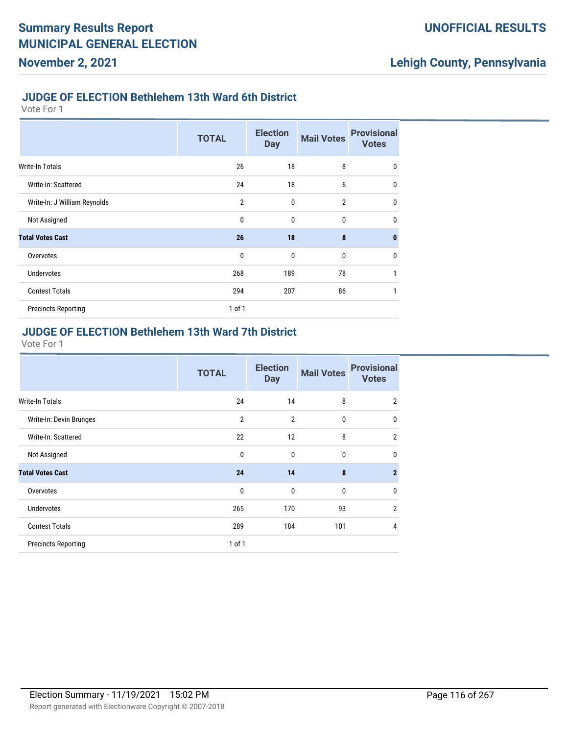#### **JUDGE OF ELECTION Bethlehem 13th Ward 6th District**

Vote For 1

**November 2, 2021**

|                              | <b>TOTAL</b>   | <b>Election</b><br><b>Day</b> | <b>Mail Votes</b> | <b>Provisional</b><br><b>Votes</b> |
|------------------------------|----------------|-------------------------------|-------------------|------------------------------------|
| Write-In Totals              | 26             | 18                            | 8                 | 0                                  |
| Write-In: Scattered          | 24             | 18                            | 6                 | $\mathbf{0}$                       |
| Write-In: J William Reynolds | $\overline{2}$ | $\mathbf 0$                   | $\overline{2}$    | $\mathbf{0}$                       |
| Not Assigned                 | 0              | $\mathbf 0$                   | $\bf{0}$          | $\mathbf{0}$                       |
| <b>Total Votes Cast</b>      | 26             | 18                            | 8                 | $\mathbf{0}$                       |
| Overvotes                    | $\mathbf{0}$   | $\mathbf 0$                   | $\bf{0}$          | $\mathbf{0}$                       |
| <b>Undervotes</b>            | 268            | 189                           | 78                | $\mathbf{1}$                       |
| <b>Contest Totals</b>        | 294            | 207                           | 86                | 1                                  |
| <b>Precincts Reporting</b>   | $1$ of $1$     |                               |                   |                                    |

#### **JUDGE OF ELECTION Bethlehem 13th Ward 7th District**

|                            | <b>TOTAL</b>   | <b>Election</b><br><b>Day</b> | <b>Mail Votes</b> | <b>Provisional</b><br><b>Votes</b> |
|----------------------------|----------------|-------------------------------|-------------------|------------------------------------|
| <b>Write-In Totals</b>     | 24             | 14                            | 8                 | $\overline{2}$                     |
| Write-In: Devin Brunges    | $\overline{2}$ | $\overline{2}$                | $\mathbf{0}$      | $\mathbf{0}$                       |
| Write-In: Scattered        | 22             | 12                            | 8                 | $\overline{2}$                     |
| Not Assigned               | $\mathbf 0$    | $\mathbf{0}$                  | $\mathbf{0}$      | $\mathbf{0}$                       |
| <b>Total Votes Cast</b>    | 24             | 14                            | 8                 | $\overline{2}$                     |
| Overvotes                  | $\mathbf 0$    | $\mathbf 0$                   | $\mathbf{0}$      | $\mathbf{0}$                       |
| <b>Undervotes</b>          | 265            | 170                           | 93                | $\overline{2}$                     |
| <b>Contest Totals</b>      | 289            | 184                           | 101               | $\overline{4}$                     |
| <b>Precincts Reporting</b> | 1 of 1         |                               |                   |                                    |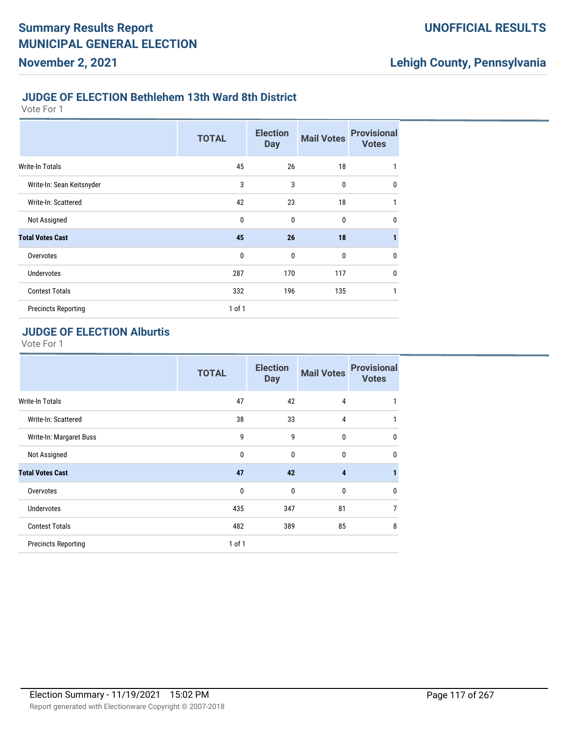#### **JUDGE OF ELECTION Bethlehem 13th Ward 8th District**

Vote For 1

**November 2, 2021**

|                            | <b>TOTAL</b> | <b>Election</b><br><b>Day</b> | <b>Mail Votes</b> | <b>Provisional</b><br><b>Votes</b> |
|----------------------------|--------------|-------------------------------|-------------------|------------------------------------|
| Write-In Totals            | 45           | 26                            | 18                | 1                                  |
| Write-In: Sean Keitsnyder  | 3            | 3                             | 0                 | $\mathbf{0}$                       |
| Write-In: Scattered        | 42           | 23                            | 18                | 1                                  |
| Not Assigned               | $\mathbf{0}$ | $\mathbf 0$                   | $\bf{0}$          | $\mathbf{0}$                       |
| <b>Total Votes Cast</b>    | 45           | 26                            | 18                | 1                                  |
| Overvotes                  | $\mathbf{0}$ | $\mathbf 0$                   | $\bf{0}$          | $\mathbf{0}$                       |
| <b>Undervotes</b>          | 287          | 170                           | 117               | $\mathbf{0}$                       |
| <b>Contest Totals</b>      | 332          | 196                           | 135               | 1                                  |
| <b>Precincts Reporting</b> | 1 of 1       |                               |                   |                                    |

### **JUDGE OF ELECTION Alburtis**

|                            | <b>TOTAL</b> | <b>Election</b><br><b>Day</b> | <b>Mail Votes</b> | <b>Provisional</b><br><b>Votes</b> |
|----------------------------|--------------|-------------------------------|-------------------|------------------------------------|
| Write-In Totals            | 47           | 42                            | 4                 |                                    |
| Write-In: Scattered        | 38           | 33                            | 4                 |                                    |
| Write-In: Margaret Buss    | 9            | 9                             | 0                 | $\mathbf{0}$                       |
| Not Assigned               | $\mathbf{0}$ | 0                             | $\Omega$          | $\Omega$                           |
| <b>Total Votes Cast</b>    | 47           | 42                            | 4                 |                                    |
| Overvotes                  | 0            | 0                             | 0                 | $\Omega$                           |
| <b>Undervotes</b>          | 435          | 347                           | 81                | 7                                  |
| <b>Contest Totals</b>      | 482          | 389                           | 85                | 8                                  |
| <b>Precincts Reporting</b> | $1$ of $1$   |                               |                   |                                    |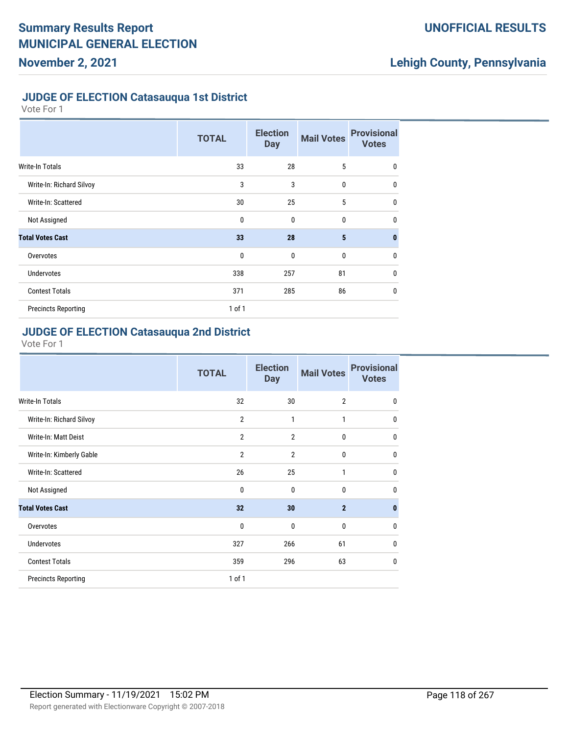### **UNOFFICIAL RESULTS**

## **Lehigh County, Pennsylvania**

#### **JUDGE OF ELECTION Catasauqua 1st District**

Vote For 1

|                            | <b>TOTAL</b> | <b>Election</b><br><b>Day</b> | <b>Mail Votes</b> | <b>Provisional</b><br><b>Votes</b> |
|----------------------------|--------------|-------------------------------|-------------------|------------------------------------|
| <b>Write-In Totals</b>     | 33           | 28                            | 5                 | $\mathbf 0$                        |
| Write-In: Richard Silvoy   | 3            | 3                             | $\mathbf 0$       | $\mathbf 0$                        |
| Write-In: Scattered        | 30           | 25                            | 5                 | $\mathbf 0$                        |
| Not Assigned               | $\mathbf 0$  | $\mathbf{0}$                  | $\mathbf 0$       | $\mathbf{0}$                       |
| <b>Total Votes Cast</b>    | 33           | 28                            | $5\phantom{.0}$   | $\mathbf{0}$                       |
| Overvotes                  | $\mathbf 0$  | $\mathbf{0}$                  | $\mathbf 0$       | $\mathbf 0$                        |
| <b>Undervotes</b>          | 338          | 257                           | 81                | $\mathbf 0$                        |
| <b>Contest Totals</b>      | 371          | 285                           | 86                | $\mathbf 0$                        |
| <b>Precincts Reporting</b> | 1 of 1       |                               |                   |                                    |

#### **JUDGE OF ELECTION Catasauqua 2nd District**

|                            | <b>TOTAL</b>   | <b>Election</b><br><b>Day</b> | <b>Mail Votes</b> | <b>Provisional</b><br><b>Votes</b> |
|----------------------------|----------------|-------------------------------|-------------------|------------------------------------|
| <b>Write-In Totals</b>     | 32             | 30                            | $\overline{2}$    | $\mathbf 0$                        |
| Write-In: Richard Silvoy   | $\overline{2}$ | $\mathbf{1}$                  | 1                 | $\mathbf{0}$                       |
| Write-In: Matt Deist       | $\overline{2}$ | $\overline{2}$                | $\mathbf 0$       | $\mathbf{0}$                       |
| Write-In: Kimberly Gable   | $\overline{2}$ | $\overline{2}$                | 0                 | $\mathbf{0}$                       |
| Write-In: Scattered        | 26             | 25                            | $\mathbf{1}$      | $\mathbf 0$                        |
| Not Assigned               | $\mathbf{0}$   | $\mathbf{0}$                  | $\mathbf{0}$      | $\mathbf{0}$                       |
| <b>Total Votes Cast</b>    | 32             | 30                            | $\overline{2}$    | $\mathbf{0}$                       |
| Overvotes                  | $\mathbf{0}$   | $\mathbf{0}$                  | 0                 | $\mathbf{0}$                       |
| <b>Undervotes</b>          | 327            | 266                           | 61                | $\mathbf 0$                        |
| <b>Contest Totals</b>      | 359            | 296                           | 63                | $\mathbf 0$                        |
| <b>Precincts Reporting</b> | 1 of 1         |                               |                   |                                    |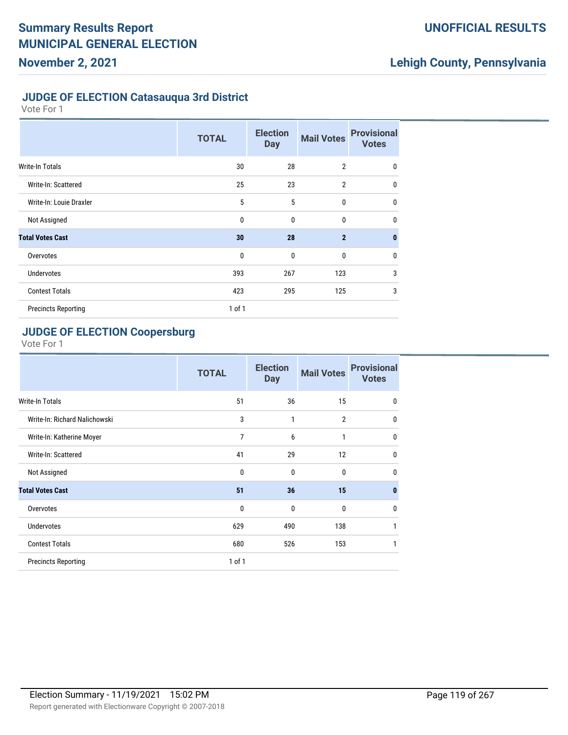### **UNOFFICIAL RESULTS**

## **Lehigh County, Pennsylvania**

#### **JUDGE OF ELECTION Catasauqua 3rd District**

Vote For 1

|                            | <b>TOTAL</b> | <b>Election</b><br><b>Day</b> | <b>Mail Votes</b> | <b>Provisional</b><br><b>Votes</b> |
|----------------------------|--------------|-------------------------------|-------------------|------------------------------------|
| <b>Write-In Totals</b>     | 30           | 28                            | $\overline{2}$    | $\mathbf 0$                        |
| Write-In: Scattered        | 25           | 23                            | $\overline{2}$    | $\mathbf 0$                        |
| Write-In: Louie Draxler    | 5            | 5                             | $\mathbf{0}$      | $\mathbf 0$                        |
| Not Assigned               | $\mathbf{0}$ | $\mathbf{0}$                  | 0                 | $\mathbf 0$                        |
| <b>Total Votes Cast</b>    | 30           | 28                            | $\overline{2}$    | $\mathbf{0}$                       |
| Overvotes                  | $\mathbf 0$  | $\mathbf{0}$                  | $\mathbf{0}$      | $\mathbf 0$                        |
| <b>Undervotes</b>          | 393          | 267                           | 123               | 3                                  |
| <b>Contest Totals</b>      | 423          | 295                           | 125               | 3                                  |
| <b>Precincts Reporting</b> | $1$ of $1$   |                               |                   |                                    |

### **JUDGE OF ELECTION Coopersburg**

|                               | <b>TOTAL</b>   | <b>Election</b><br><b>Day</b> | <b>Mail Votes</b> | <b>Provisional</b><br><b>Votes</b> |
|-------------------------------|----------------|-------------------------------|-------------------|------------------------------------|
| <b>Write-In Totals</b>        | 51             | 36                            | 15                | 0                                  |
| Write-In: Richard Nalichowski | 3              | 1                             | $\overline{2}$    | $\mathbf{0}$                       |
| Write-In: Katherine Moyer     | $\overline{7}$ | 6                             | 1                 | $\mathbf{0}$                       |
| Write-In: Scattered           | 41             | 29                            | 12                | $\mathbf{0}$                       |
| Not Assigned                  | 0              | 0                             | 0                 | $\mathbf{0}$                       |
| <b>Total Votes Cast</b>       | 51             | 36                            | 15                | $\mathbf{0}$                       |
| Overvotes                     | 0              | 0                             | $\mathbf{0}$      | $\mathbf{0}$                       |
| <b>Undervotes</b>             | 629            | 490                           | 138               | 1                                  |
| <b>Contest Totals</b>         | 680            | 526                           | 153               | 1                                  |
| <b>Precincts Reporting</b>    | $1$ of $1$     |                               |                   |                                    |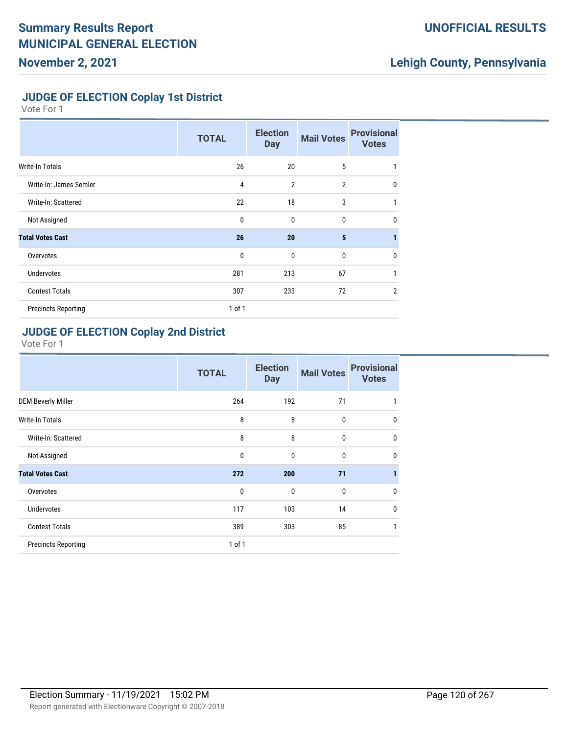### **UNOFFICIAL RESULTS**

## **Lehigh County, Pennsylvania**

### **JUDGE OF ELECTION Coplay 1st District**

Vote For 1

|                            | <b>TOTAL</b> | <b>Election</b><br><b>Day</b> | <b>Mail Votes</b> | <b>Provisional</b><br><b>Votes</b> |
|----------------------------|--------------|-------------------------------|-------------------|------------------------------------|
| <b>Write-In Totals</b>     | 26           | 20                            | 5                 | 1                                  |
| Write-In: James Semler     | 4            | $\overline{2}$                | $\overline{2}$    | $\mathbf{0}$                       |
| Write-In: Scattered        | 22           | 18                            | 3                 | 1                                  |
| Not Assigned               | $\mathbf 0$  | $\mathbf{0}$                  | $\bf{0}$          | $\mathbf 0$                        |
| <b>Total Votes Cast</b>    | 26           | 20                            | 5                 |                                    |
| Overvotes                  | $\mathbf 0$  | $\mathbf{0}$                  | $\bf{0}$          | $\mathbf 0$                        |
| <b>Undervotes</b>          | 281          | 213                           | 67                | 1                                  |
| <b>Contest Totals</b>      | 307          | 233                           | 72                | $\overline{2}$                     |
| <b>Precincts Reporting</b> | $1$ of $1$   |                               |                   |                                    |

#### **JUDGE OF ELECTION Coplay 2nd District**

|                            | <b>TOTAL</b> | <b>Election</b><br><b>Day</b> | <b>Mail Votes</b> | <b>Provisional</b><br><b>Votes</b> |
|----------------------------|--------------|-------------------------------|-------------------|------------------------------------|
| <b>DEM Beverly Miller</b>  | 264          | 192                           | 71                |                                    |
| <b>Write-In Totals</b>     | 8            | 8                             | $\mathbf{0}$      | $\mathbf 0$                        |
| Write-In: Scattered        | 8            | 8                             | $\mathbf{0}$      | $\mathbf{0}$                       |
| Not Assigned               | $\mathbf 0$  | $\mathbf{0}$                  | $\mathbf{0}$      | $\mathbf 0$                        |
| <b>Total Votes Cast</b>    | 272          | 200                           | 71                | 1                                  |
| Overvotes                  | $\mathbf{0}$ | $\mathbf{0}$                  | $\mathbf{0}$      | $\mathbf{0}$                       |
| <b>Undervotes</b>          | 117          | 103                           | 14                | $\mathbf 0$                        |
| <b>Contest Totals</b>      | 389          | 303                           | 85                | 1                                  |
| <b>Precincts Reporting</b> | 1 of 1       |                               |                   |                                    |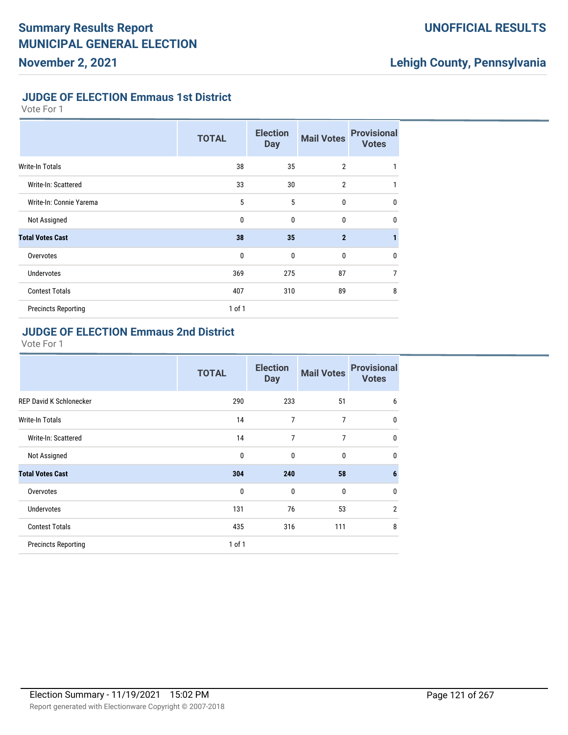### **UNOFFICIAL RESULTS**

## **Lehigh County, Pennsylvania**

#### **JUDGE OF ELECTION Emmaus 1st District**

Vote For 1

|                            | <b>TOTAL</b> | <b>Election</b><br><b>Day</b> | <b>Mail Votes</b> | <b>Provisional</b><br><b>Votes</b> |
|----------------------------|--------------|-------------------------------|-------------------|------------------------------------|
| <b>Write-In Totals</b>     | 38           | 35                            | $\overline{2}$    | 1                                  |
| Write-In: Scattered        | 33           | 30                            | $\overline{2}$    | 1                                  |
| Write-In: Connie Yarema    | 5            | 5                             | $\mathbf{0}$      | $\mathbf 0$                        |
| Not Assigned               | $\mathbf{0}$ | $\mathbf{0}$                  | 0                 | $\mathbf 0$                        |
| <b>Total Votes Cast</b>    | 38           | 35                            | $\overline{2}$    |                                    |
| Overvotes                  | $\mathbf 0$  | $\mathbf{0}$                  | $\mathbf{0}$      | $\mathbf 0$                        |
| <b>Undervotes</b>          | 369          | 275                           | 87                | 7                                  |
| <b>Contest Totals</b>      | 407          | 310                           | 89                | 8                                  |
| <b>Precincts Reporting</b> | $1$ of $1$   |                               |                   |                                    |

#### **JUDGE OF ELECTION Emmaus 2nd District**

|                                | <b>TOTAL</b> | <b>Election</b><br><b>Day</b> | <b>Mail Votes</b> | <b>Provisional</b><br><b>Votes</b> |
|--------------------------------|--------------|-------------------------------|-------------------|------------------------------------|
| <b>REP David K Schlonecker</b> | 290          | 233                           | 51                | 6                                  |
| <b>Write-In Totals</b>         | 14           | 7                             | 7                 | $\mathbf 0$                        |
| Write-In: Scattered            | 14           | 7                             | 7                 | $\mathbf 0$                        |
| Not Assigned                   | $\mathbf 0$  | $\mathbf{0}$                  | $\mathbf{0}$      | $\mathbf 0$                        |
| <b>Total Votes Cast</b>        | 304          | 240                           | 58                | $6\phantom{1}6$                    |
| Overvotes                      | $\mathbf 0$  | $\mathbf{0}$                  | $\mathbf{0}$      | $\mathbf{0}$                       |
| <b>Undervotes</b>              | 131          | 76                            | 53                | $\overline{2}$                     |
| <b>Contest Totals</b>          | 435          | 316                           | 111               | 8                                  |
| <b>Precincts Reporting</b>     | $1$ of $1$   |                               |                   |                                    |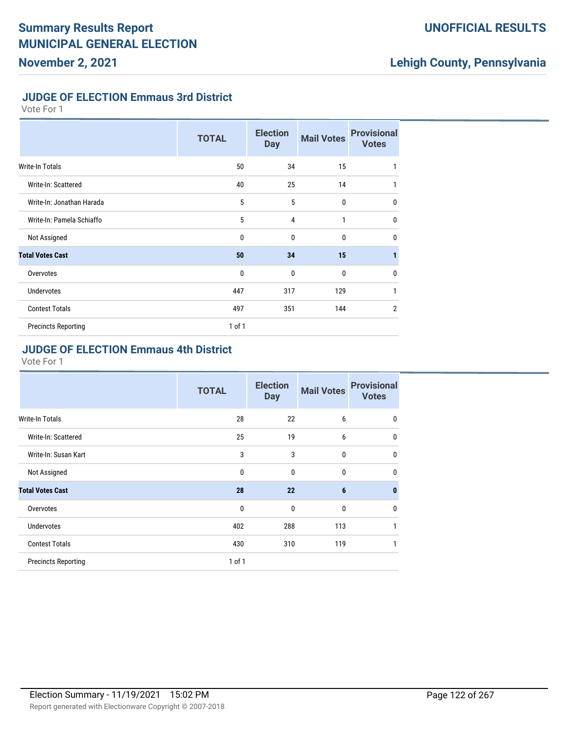### **UNOFFICIAL RESULTS**

## **Lehigh County, Pennsylvania**

### **JUDGE OF ELECTION Emmaus 3rd District**

Vote For 1

|                            | <b>TOTAL</b> | <b>Election</b><br><b>Day</b> | <b>Mail Votes</b> | <b>Provisional</b><br><b>Votes</b> |
|----------------------------|--------------|-------------------------------|-------------------|------------------------------------|
| <b>Write-In Totals</b>     | 50           | 34                            | 15                | 1                                  |
| Write-In: Scattered        | 40           | 25                            | 14                | 1                                  |
| Write-In: Jonathan Harada  | 5            | 5                             | 0                 | $\mathbf{0}$                       |
| Write-In: Pamela Schiaffo  | 5            | $\overline{4}$                | 1                 | $\mathbf 0$                        |
| Not Assigned               | $\mathbf{0}$ | $\mathbf{0}$                  | $\mathbf{0}$      | $\mathbf{0}$                       |
| <b>Total Votes Cast</b>    | 50           | 34                            | 15                | $\mathbf{1}$                       |
| Overvotes                  | $\mathbf 0$  | $\mathbf{0}$                  | $\mathbf{0}$      | $\mathbf 0$                        |
| <b>Undervotes</b>          | 447          | 317                           | 129               | $\mathbf{1}$                       |
| <b>Contest Totals</b>      | 497          | 351                           | 144               | $\overline{2}$                     |
| <b>Precincts Reporting</b> | 1 of 1       |                               |                   |                                    |

#### **JUDGE OF ELECTION Emmaus 4th District**

|                            | <b>TOTAL</b> | <b>Election</b><br><b>Day</b> | <b>Mail Votes</b> | <b>Provisional</b><br><b>Votes</b> |
|----------------------------|--------------|-------------------------------|-------------------|------------------------------------|
| <b>Write-In Totals</b>     | 28           | 22                            | 6                 | 0                                  |
| Write-In: Scattered        | 25           | 19                            | 6                 | $\mathbf 0$                        |
| Write-In: Susan Kart       | 3            | 3                             | 0                 | $\mathbf 0$                        |
| Not Assigned               | 0            | $\mathbf{0}$                  | 0                 | $\mathbf{0}$                       |
| <b>Total Votes Cast</b>    | 28           | 22                            | 6                 | $\mathbf{0}$                       |
| Overvotes                  | $\mathbf{0}$ | $\mathbf{0}$                  | $\mathbf{0}$      | 0                                  |
| Undervotes                 | 402          | 288                           | 113               | 1                                  |
| <b>Contest Totals</b>      | 430          | 310                           | 119               | 1                                  |
| <b>Precincts Reporting</b> | 1 of 1       |                               |                   |                                    |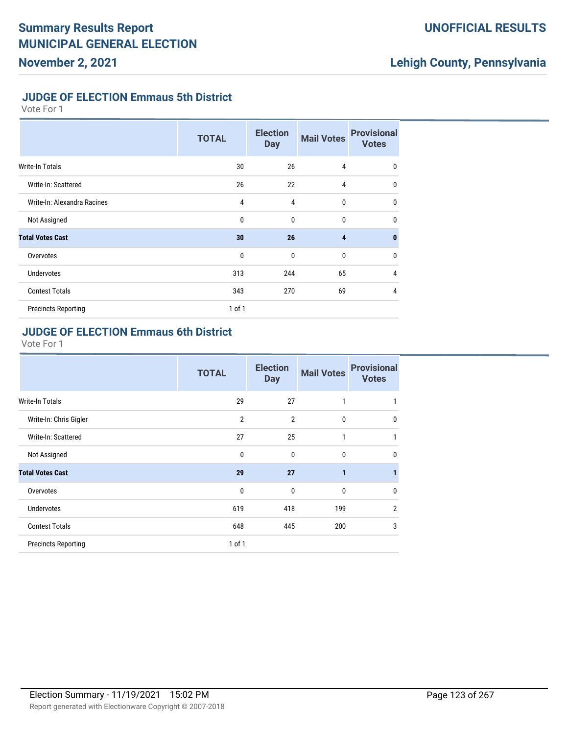### **UNOFFICIAL RESULTS**

## **Lehigh County, Pennsylvania**

#### **JUDGE OF ELECTION Emmaus 5th District**

Vote For 1

|                             | <b>TOTAL</b> | <b>Election</b><br><b>Day</b> | <b>Mail Votes</b> | <b>Provisional</b><br><b>Votes</b> |
|-----------------------------|--------------|-------------------------------|-------------------|------------------------------------|
| <b>Write-In Totals</b>      | 30           | 26                            | $\overline{4}$    | 0                                  |
| Write-In: Scattered         | 26           | 22                            | 4                 | $\mathbf{0}$                       |
| Write-In: Alexandra Racines | 4            | 4                             | 0                 | $\mathbf 0$                        |
| Not Assigned                | 0            | $\mathbf{0}$                  | 0                 | $\mathbf{0}$                       |
| <b>Total Votes Cast</b>     | 30           | 26                            | 4                 | $\mathbf{0}$                       |
| Overvotes                   | 0            | $\mathbf{0}$                  | 0                 | $\mathbf{0}$                       |
| <b>Undervotes</b>           | 313          | 244                           | 65                | 4                                  |
| <b>Contest Totals</b>       | 343          | 270                           | 69                | 4                                  |
| <b>Precincts Reporting</b>  | $1$ of $1$   |                               |                   |                                    |

#### **JUDGE OF ELECTION Emmaus 6th District**

|                            | <b>TOTAL</b>   | <b>Election</b><br><b>Day</b> | <b>Mail Votes</b> | <b>Provisional</b><br><b>Votes</b> |
|----------------------------|----------------|-------------------------------|-------------------|------------------------------------|
| <b>Write-In Totals</b>     | 29             | 27                            | 1                 |                                    |
| Write-In: Chris Gigler     | $\overline{2}$ | $\overline{2}$                | $\mathbf{0}$      | $\mathbf 0$                        |
| Write-In: Scattered        | 27             | 25                            | 1                 | 1                                  |
| Not Assigned               | $\mathbf{0}$   | $\mathbf{0}$                  | $\mathbf{0}$      | $\mathbf{0}$                       |
| <b>Total Votes Cast</b>    | 29             | 27                            | 1                 | 1                                  |
| Overvotes                  | 0              | $\mathbf{0}$                  | $\mathbf{0}$      | $\mathbf{0}$                       |
| <b>Undervotes</b>          | 619            | 418                           | 199               | $\overline{2}$                     |
| <b>Contest Totals</b>      | 648            | 445                           | 200               | 3                                  |
| <b>Precincts Reporting</b> | 1 of 1         |                               |                   |                                    |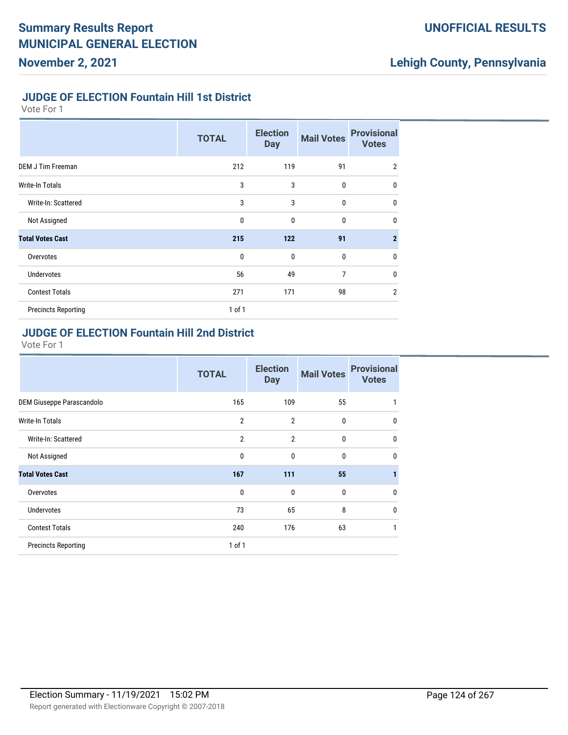### **UNOFFICIAL RESULTS**

## **Lehigh County, Pennsylvania**

#### **JUDGE OF ELECTION Fountain Hill 1st District**

Vote For 1

|                            | <b>TOTAL</b> | <b>Election</b><br><b>Day</b> | <b>Mail Votes</b> | <b>Provisional</b><br><b>Votes</b> |
|----------------------------|--------------|-------------------------------|-------------------|------------------------------------|
| <b>DEM J Tim Freeman</b>   | 212          | 119                           | 91                | $\overline{2}$                     |
| Write-In Totals            | 3            | 3                             | 0                 | $\mathbf 0$                        |
| Write-In: Scattered        | 3            | 3                             | $\mathbf{0}$      | $\mathbf 0$                        |
| Not Assigned               | 0            | $\mathbf{0}$                  | $\mathbf{0}$      | $\mathbf 0$                        |
| <b>Total Votes Cast</b>    | 215          | 122                           | 91                | $\overline{2}$                     |
| Overvotes                  | 0            | $\mathbf{0}$                  | 0                 | $\mathbf 0$                        |
| <b>Undervotes</b>          | 56           | 49                            | 7                 | $\mathbf 0$                        |
| <b>Contest Totals</b>      | 271          | 171                           | 98                | $\overline{2}$                     |
| <b>Precincts Reporting</b> | $1$ of $1$   |                               |                   |                                    |

### **JUDGE OF ELECTION Fountain Hill 2nd District**

|                            | <b>TOTAL</b>   | <b>Election</b><br><b>Day</b> | <b>Mail Votes</b> | <b>Provisional</b><br><b>Votes</b> |
|----------------------------|----------------|-------------------------------|-------------------|------------------------------------|
| DEM Giuseppe Parascandolo  | 165            | 109                           | 55                | 1                                  |
| Write-In Totals            | $\overline{2}$ | $\overline{2}$                | $\mathbf{0}$      | $\mathbf 0$                        |
| Write-In: Scattered        | $\overline{2}$ | $\overline{2}$                | 0                 | $\mathbf 0$                        |
| Not Assigned               | $\mathbf{0}$   | $\mathbf{0}$                  | $\mathbf{0}$      | $\mathbf{0}$                       |
| <b>Total Votes Cast</b>    | 167            | 111                           | 55                |                                    |
| Overvotes                  | 0              | $\mathbf{0}$                  | $\mathbf{0}$      | $\mathbf{0}$                       |
| <b>Undervotes</b>          | 73             | 65                            | 8                 | $\mathbf{0}$                       |
| <b>Contest Totals</b>      | 240            | 176                           | 63                | 1                                  |
| <b>Precincts Reporting</b> | $1$ of $1$     |                               |                   |                                    |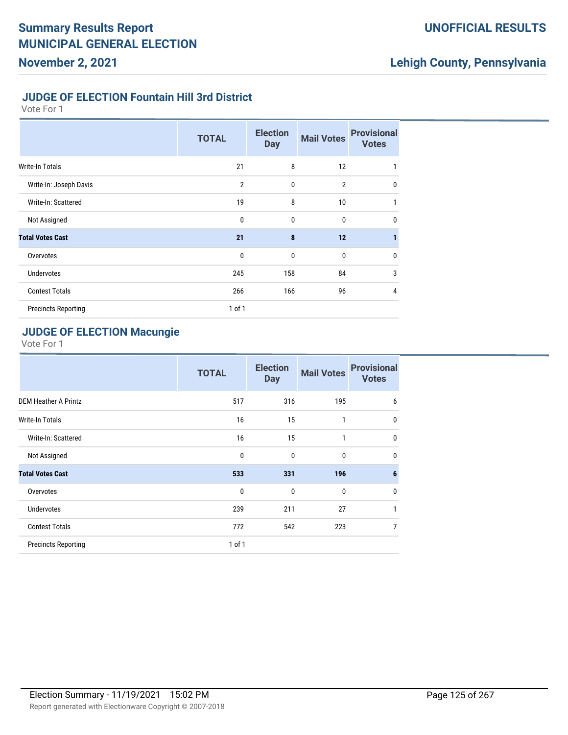### **UNOFFICIAL RESULTS**

## **Lehigh County, Pennsylvania**

#### **JUDGE OF ELECTION Fountain Hill 3rd District**

Vote For 1

|                            | <b>TOTAL</b>   | <b>Election</b><br><b>Day</b> | <b>Mail Votes</b> | <b>Provisional</b><br><b>Votes</b> |
|----------------------------|----------------|-------------------------------|-------------------|------------------------------------|
| Write-In Totals            | 21             | 8                             | 12                | 1                                  |
| Write-In: Joseph Davis     | $\overline{2}$ | $\mathbf{0}$                  | $\overline{2}$    | $\mathbf 0$                        |
| Write-In: Scattered        | 19             | 8                             | 10                | 1                                  |
| Not Assigned               | $\mathbf{0}$   | $\mathbf{0}$                  | 0                 | $\mathbf 0$                        |
| <b>Total Votes Cast</b>    | 21             | 8                             | 12                | 1                                  |
| Overvotes                  | $\mathbf{0}$   | $\mathbf{0}$                  | 0                 | $\mathbf 0$                        |
| <b>Undervotes</b>          | 245            | 158                           | 84                | 3                                  |
| <b>Contest Totals</b>      | 266            | 166                           | 96                | $\overline{4}$                     |
| <b>Precincts Reporting</b> | 1 of 1         |                               |                   |                                    |

### **JUDGE OF ELECTION Macungie**

|                             | <b>TOTAL</b> | <b>Election</b><br><b>Day</b> | <b>Mail Votes</b> | <b>Provisional</b><br><b>Votes</b> |
|-----------------------------|--------------|-------------------------------|-------------------|------------------------------------|
| <b>DEM Heather A Printz</b> | 517          | 316                           | 195               | 6                                  |
| <b>Write-In Totals</b>      | 16           | 15                            | 1                 | $\mathbf{0}$                       |
| Write-In: Scattered         | 16           | 15                            | 1                 | $\mathbf{0}$                       |
| Not Assigned                | $\mathbf 0$  | $\mathbf{0}$                  | $\mathbf{0}$      | $\mathbf{0}$                       |
| <b>Total Votes Cast</b>     | 533          | 331                           | 196               | $6\phantom{1}6$                    |
| Overvotes                   | $\mathbf{0}$ | $\mathbf{0}$                  | $\mathbf{0}$      | 0                                  |
| <b>Undervotes</b>           | 239          | 211                           | 27                | 1                                  |
| <b>Contest Totals</b>       | 772          | 542                           | 223               | $\overline{7}$                     |
| <b>Precincts Reporting</b>  | $1$ of $1$   |                               |                   |                                    |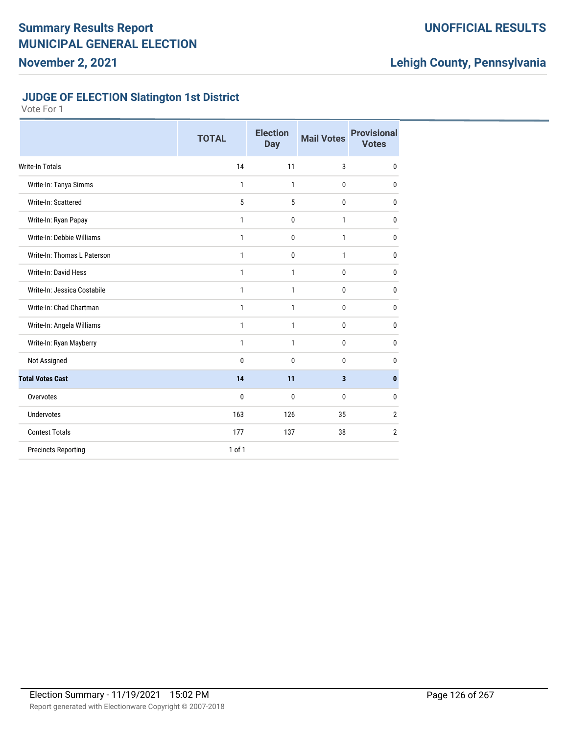### **UNOFFICIAL RESULTS**

## **Lehigh County, Pennsylvania**

### **JUDGE OF ELECTION Slatington 1st District**

|                             | <b>TOTAL</b> | <b>Election</b><br><b>Day</b> | <b>Mail Votes</b> | <b>Provisional</b><br><b>Votes</b> |
|-----------------------------|--------------|-------------------------------|-------------------|------------------------------------|
| <b>Write-In Totals</b>      | 14           | 11                            | 3                 | $\mathbf{0}$                       |
| Write-In: Tanya Simms       | 1            | 1                             | 0                 | $\mathbf{0}$                       |
| Write-In: Scattered         | 5            | 5                             | 0                 | $\mathbf{0}$                       |
| Write-In: Ryan Papay        | 1            | 0                             | 1                 | $\mathbf{0}$                       |
| Write-In: Debbie Williams   | $\mathbf{1}$ | 0                             | $\mathbf{1}$      | $\mathbf{0}$                       |
| Write-In: Thomas L Paterson | 1            | 0                             | 1                 | $\mathbf{0}$                       |
| Write-In: David Hess        | $\mathbf{1}$ | 1                             | 0                 | $\mathbf{0}$                       |
| Write-In: Jessica Costabile | 1            | 1                             | 0                 | 0                                  |
| Write-In: Chad Chartman     | 1            | 1                             | 0                 | $\mathbf{0}$                       |
| Write-In: Angela Williams   | 1            | 1                             | 0                 | 0                                  |
| Write-In: Ryan Mayberry     | 1            | 1                             | 0                 | $\mathbf{0}$                       |
| Not Assigned                | 0            | 0                             | 0                 | $\mathbf{0}$                       |
| <b>Total Votes Cast</b>     | 14           | 11                            | 3                 | $\bf{0}$                           |
| Overvotes                   | 0            | 0                             | 0                 | $\mathbf{0}$                       |
| Undervotes                  | 163          | 126                           | 35                | $\overline{2}$                     |
| <b>Contest Totals</b>       | 177          | 137                           | 38                | $\overline{2}$                     |
| <b>Precincts Reporting</b>  | $1$ of $1$   |                               |                   |                                    |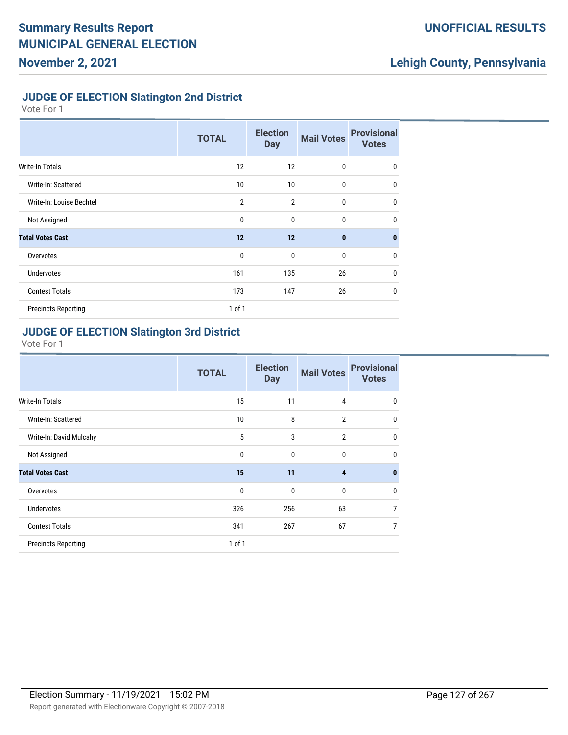### **UNOFFICIAL RESULTS**

## **Lehigh County, Pennsylvania**

### **JUDGE OF ELECTION Slatington 2nd District**

Vote For 1

|                            | <b>TOTAL</b>   | <b>Election</b><br><b>Day</b> | <b>Mail Votes</b> | <b>Provisional</b><br><b>Votes</b> |
|----------------------------|----------------|-------------------------------|-------------------|------------------------------------|
| <b>Write-In Totals</b>     | 12             | 12                            | $\mathbf{0}$      | $\mathbf 0$                        |
| Write-In: Scattered        | 10             | 10                            | $\mathbf{0}$      | $\mathbf{0}$                       |
| Write-In: Louise Bechtel   | $\overline{2}$ | $\overline{2}$                | $\mathbf{0}$      | $\mathbf 0$                        |
| Not Assigned               | $\mathbf{0}$   | $\mathbf 0$                   | 0                 | $\mathbf 0$                        |
| <b>Total Votes Cast</b>    | 12             | 12                            | $\mathbf{0}$      | $\mathbf{0}$                       |
| Overvotes                  | $\mathbf{0}$   | $\mathbf 0$                   | $\mathbf{0}$      | $\mathbf 0$                        |
| <b>Undervotes</b>          | 161            | 135                           | 26                | $\mathbf 0$                        |
| <b>Contest Totals</b>      | 173            | 147                           | 26                | $\mathbf 0$                        |
| <b>Precincts Reporting</b> | $1$ of $1$     |                               |                   |                                    |

#### **JUDGE OF ELECTION Slatington 3rd District**

|                            | <b>TOTAL</b> | <b>Election</b><br><b>Day</b> | <b>Mail Votes</b>       | <b>Provisional</b><br><b>Votes</b> |
|----------------------------|--------------|-------------------------------|-------------------------|------------------------------------|
| <b>Write-In Totals</b>     | 15           | 11                            | 4                       | $\mathbf{0}$                       |
| Write-In: Scattered        | 10           | 8                             | $\overline{2}$          | $\mathbf{0}$                       |
| Write-In: David Mulcahy    | 5            | 3                             | $\overline{2}$          | $\mathbf{0}$                       |
| Not Assigned               | $\mathbf{0}$ | $\mathbf{0}$                  | 0                       | $\mathbf{0}$                       |
| <b>Total Votes Cast</b>    | 15           | 11                            | $\overline{\mathbf{4}}$ | $\bf{0}$                           |
| Overvotes                  | 0            | $\mathbf 0$                   | $\bf{0}$                | $\mathbf{0}$                       |
| <b>Undervotes</b>          | 326          | 256                           | 63                      | 7                                  |
| <b>Contest Totals</b>      | 341          | 267                           | 67                      | 7                                  |
| <b>Precincts Reporting</b> | 1 of 1       |                               |                         |                                    |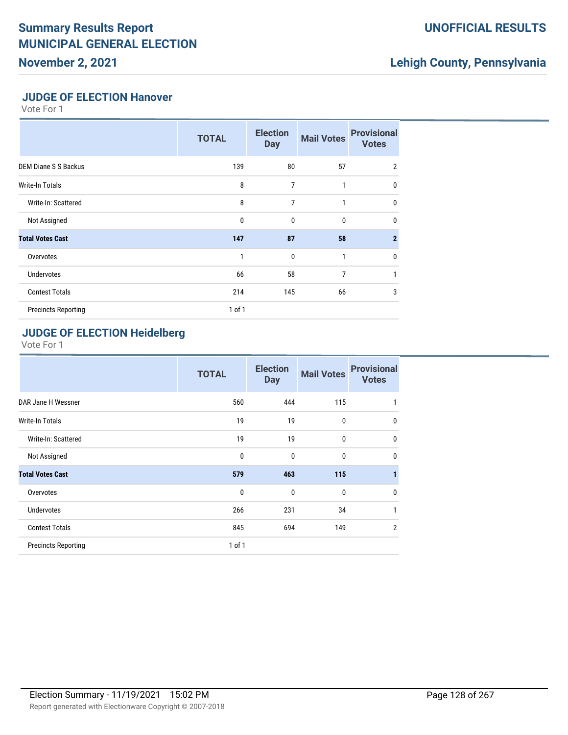# **Summary Results Report MUNICIPAL GENERAL ELECTION**

**November 2, 2021**

### **UNOFFICIAL RESULTS**

## **Lehigh County, Pennsylvania**

### **JUDGE OF ELECTION Hanover**

Vote For 1

|                             | <b>TOTAL</b> | <b>Election</b><br><b>Day</b> | <b>Mail Votes</b> | <b>Provisional</b><br><b>Votes</b> |
|-----------------------------|--------------|-------------------------------|-------------------|------------------------------------|
| <b>DEM Diane S S Backus</b> | 139          | 80                            | 57                | $\overline{2}$                     |
| <b>Write-In Totals</b>      | 8            | $\overline{7}$                | 1                 | $\mathbf{0}$                       |
| Write-In: Scattered         | 8            | $\overline{7}$                | 1                 | $\mathbf{0}$                       |
| Not Assigned                | $\mathbf{0}$ | $\mathbf 0$                   | 0                 | $\mathbf{0}$                       |
| <b>Total Votes Cast</b>     | 147          | 87                            | 58                | $\overline{2}$                     |
| Overvotes                   | 1            | $\mathbf 0$                   | 1                 | $\mathbf{0}$                       |
| <b>Undervotes</b>           | 66           | 58                            | 7                 | 1                                  |
| <b>Contest Totals</b>       | 214          | 145                           | 66                | 3                                  |
| <b>Precincts Reporting</b>  | $1$ of $1$   |                               |                   |                                    |

## **JUDGE OF ELECTION Heidelberg**

|                            | <b>TOTAL</b> | <b>Election</b><br><b>Day</b> | <b>Mail Votes</b> | <b>Provisional</b><br><b>Votes</b> |
|----------------------------|--------------|-------------------------------|-------------------|------------------------------------|
| DAR Jane H Wessner         | 560          | 444                           | 115               | 1                                  |
| <b>Write-In Totals</b>     | 19           | 19                            | $\bf{0}$          | $\mathbf{0}$                       |
| Write-In: Scattered        | 19           | 19                            | $\bf{0}$          | $\mathbf{0}$                       |
| Not Assigned               | 0            | 0                             | $\mathbf{0}$      | $\mathbf{0}$                       |
| <b>Total Votes Cast</b>    | 579          | 463                           | 115               | 1                                  |
| Overvotes                  | 0            | 0                             | $\bf{0}$          | 0                                  |
| <b>Undervotes</b>          | 266          | 231                           | 34                | 1                                  |
| <b>Contest Totals</b>      | 845          | 694                           | 149               | $\overline{2}$                     |
| <b>Precincts Reporting</b> | $1$ of $1$   |                               |                   |                                    |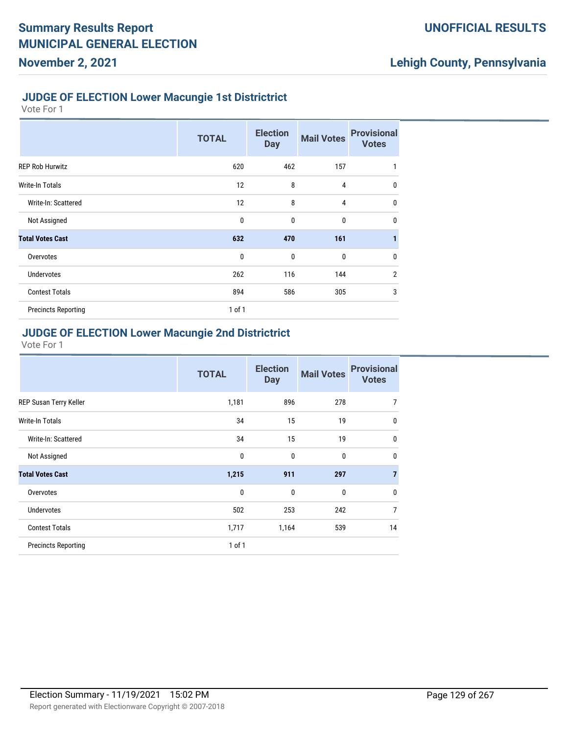#### **JUDGE OF ELECTION Lower Macungie 1st Districtrict**

Vote For 1

**November 2, 2021**

|                            | <b>TOTAL</b> | <b>Election</b><br><b>Day</b> | <b>Mail Votes</b> | <b>Provisional</b><br><b>Votes</b> |
|----------------------------|--------------|-------------------------------|-------------------|------------------------------------|
| <b>REP Rob Hurwitz</b>     | 620          | 462                           | 157               | 1                                  |
| Write-In Totals            | 12           | 8                             | 4                 | $\mathbf{0}$                       |
| Write-In: Scattered        | 12           | 8                             | 4                 | $\mathbf{0}$                       |
| Not Assigned               | $\mathbf{0}$ | $\mathbf 0$                   | $\bf{0}$          | $\mathbf{0}$                       |
| <b>Total Votes Cast</b>    | 632          | 470                           | 161               | 1                                  |
| Overvotes                  | $\mathbf{0}$ | $\mathbf 0$                   | $\bf{0}$          | $\mathbf{0}$                       |
| <b>Undervotes</b>          | 262          | 116                           | 144               | $\overline{2}$                     |
| <b>Contest Totals</b>      | 894          | 586                           | 305               | 3                                  |
| <b>Precincts Reporting</b> | $1$ of $1$   |                               |                   |                                    |

### **JUDGE OF ELECTION Lower Macungie 2nd Districtrict**

|                            | <b>TOTAL</b> | <b>Election</b><br><b>Day</b> | <b>Mail Votes</b> | <b>Provisional</b><br><b>Votes</b> |
|----------------------------|--------------|-------------------------------|-------------------|------------------------------------|
| REP Susan Terry Keller     | 1,181        | 896                           | 278               | 7                                  |
| Write-In Totals            | 34           | 15                            | 19                | $\mathbf 0$                        |
| Write-In: Scattered        | 34           | 15                            | 19                | $\mathbf 0$                        |
| Not Assigned               | $\mathbf 0$  | $\mathbf{0}$                  | $\mathbf{0}$      | $\mathbf 0$                        |
| <b>Total Votes Cast</b>    | 1,215        | 911                           | 297               | $\overline{7}$                     |
| Overvotes                  | $\mathbf 0$  | $\mathbf{0}$                  | $\mathbf{0}$      | $\mathbf{0}$                       |
| <b>Undervotes</b>          | 502          | 253                           | 242               | $\overline{7}$                     |
| <b>Contest Totals</b>      | 1,717        | 1,164                         | 539               | 14                                 |
| <b>Precincts Reporting</b> | $1$ of $1$   |                               |                   |                                    |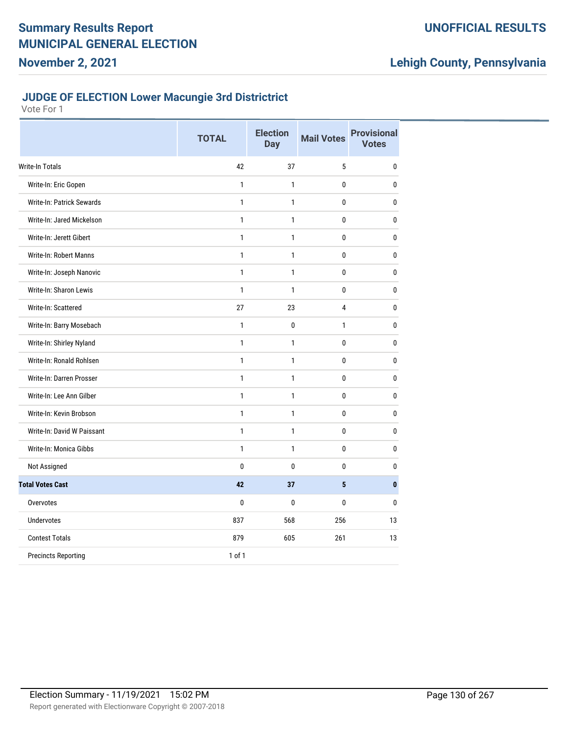## **JUDGE OF ELECTION Lower Macungie 3rd Districtrict**

|                            | <b>TOTAL</b> | <b>Election</b><br><b>Day</b> | <b>Mail Votes</b> | <b>Provisional</b><br><b>Votes</b> |
|----------------------------|--------------|-------------------------------|-------------------|------------------------------------|
| <b>Write-In Totals</b>     | 42           | 37                            | 5                 | 0                                  |
| Write-In: Eric Gopen       | $\mathbf{1}$ | $\mathbf{1}$                  | 0                 | 0                                  |
| Write-In: Patrick Sewards  | $\mathbf{1}$ | $\mathbf{1}$                  | $\mathbf{0}$      | $\pmb{0}$                          |
| Write-In: Jared Mickelson  | $\mathbf{1}$ | $\mathbf{1}$                  | 0                 | 0                                  |
| Write-In: Jerett Gibert    | $\mathbf{1}$ | $\mathbf{1}$                  | 0                 | 0                                  |
| Write-In: Robert Manns     | $\mathbf{1}$ | $\mathbf{1}$                  | 0                 | 0                                  |
| Write-In: Joseph Nanovic   | $\mathbf{1}$ | $\mathbf{1}$                  | 0                 | 0                                  |
| Write-In: Sharon Lewis     | $\mathbf{1}$ | 1                             | 0                 | $\mathbf{0}$                       |
| Write-In: Scattered        | 27           | 23                            | 4                 | 0                                  |
| Write-In: Barry Mosebach   | $\mathbf{1}$ | $\mathbf{0}$                  | 1                 | 0                                  |
| Write-In: Shirley Nyland   | $\mathbf{1}$ | $\mathbf{1}$                  | 0                 | 0                                  |
| Write-In: Ronald Rohlsen   | $\mathbf{1}$ | $\mathbf{1}$                  | 0                 | $\pmb{0}$                          |
| Write-In: Darren Prosser   | $\mathbf{1}$ | $\mathbf{1}$                  | 0                 | 0                                  |
| Write-In: Lee Ann Gilber   | $\mathbf{1}$ | $\mathbf{1}$                  | 0                 | 0                                  |
| Write-In: Kevin Brobson    | $\mathbf{1}$ | $\mathbf{1}$                  | $\mathbf 0$       | $\mathbf 0$                        |
| Write-In: David W Paissant | $\mathbf{1}$ | $\mathbf{1}$                  | 0                 | 0                                  |
| Write-In: Monica Gibbs     | $\mathbf{1}$ | $\mathbf{1}$                  | 0                 | 0                                  |
| Not Assigned               | $\mathbf{0}$ | $\mathbf{0}$                  | $\mathbf{0}$      | $\mathbf{0}$                       |
| <b>Total Votes Cast</b>    | 42           | 37                            | 5                 | $\mathbf{0}$                       |
| Overvotes                  | 0            | $\mathbf{0}$                  | $\mathbf{0}$      | $\mathbf{0}$                       |
| <b>Undervotes</b>          | 837          | 568                           | 256               | 13                                 |
| <b>Contest Totals</b>      | 879          | 605                           | 261               | 13                                 |
| <b>Precincts Reporting</b> | $1$ of $1$   |                               |                   |                                    |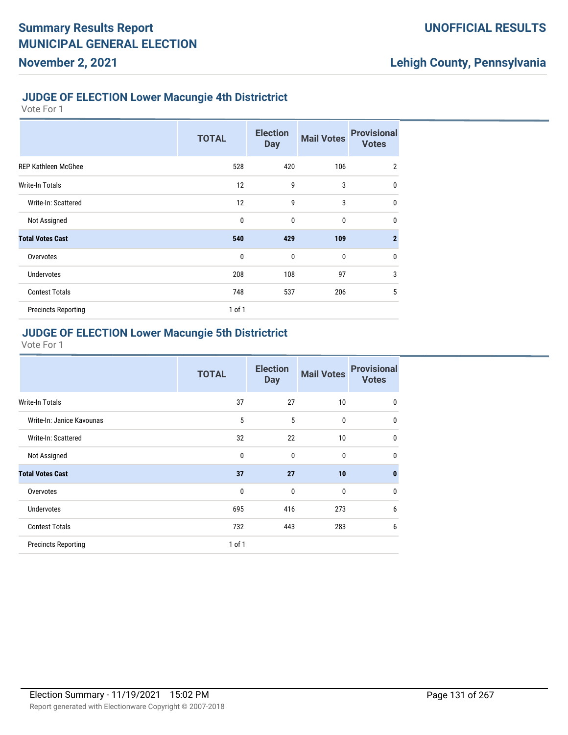#### **JUDGE OF ELECTION Lower Macungie 4th Districtrict**

Vote For 1

**November 2, 2021**

|                            | <b>TOTAL</b> | <b>Election</b><br><b>Day</b> | <b>Mail Votes</b> | <b>Provisional</b><br><b>Votes</b> |
|----------------------------|--------------|-------------------------------|-------------------|------------------------------------|
| <b>REP Kathleen McGhee</b> | 528          | 420                           | 106               | $\overline{2}$                     |
| Write-In Totals            | 12           | 9                             | 3                 | $\mathbf{0}$                       |
| Write-In: Scattered        | 12           | 9                             | 3                 | $\mathbf{0}$                       |
| Not Assigned               | $\mathbf{0}$ | $\mathbf 0$                   | $\bf{0}$          | $\mathbf{0}$                       |
| <b>Total Votes Cast</b>    | 540          | 429                           | 109               | $\overline{2}$                     |
| Overvotes                  | $\mathbf{0}$ | $\mathbf 0$                   | $\bf{0}$          | $\mathbf{0}$                       |
| <b>Undervotes</b>          | 208          | 108                           | 97                | 3                                  |
| <b>Contest Totals</b>      | 748          | 537                           | 206               | 5                                  |
| <b>Precincts Reporting</b> | $1$ of $1$   |                               |                   |                                    |

### **JUDGE OF ELECTION Lower Macungie 5th Districtrict**

|                            | <b>TOTAL</b> | <b>Election</b><br><b>Day</b> | <b>Mail Votes</b> | <b>Provisional</b><br><b>Votes</b> |
|----------------------------|--------------|-------------------------------|-------------------|------------------------------------|
| Write-In Totals            | 37           | 27                            | 10                | $\mathbf{0}$                       |
| Write-In: Janice Kavounas  | 5            | 5                             | $\bf{0}$          | $\mathbf{0}$                       |
| Write-In: Scattered        | 32           | 22                            | 10                | $\mathbf{0}$                       |
| Not Assigned               | 0            | $\mathbf{0}$                  | $\mathbf{0}$      | $\mathbf{0}$                       |
| <b>Total Votes Cast</b>    | 37           | 27                            | 10                | $\bf{0}$                           |
| Overvotes                  | $\mathbf 0$  | $\mathbf 0$                   | $\bf{0}$          | $\mathbf{0}$                       |
| Undervotes                 | 695          | 416                           | 273               | 6                                  |
| <b>Contest Totals</b>      | 732          | 443                           | 283               | 6                                  |
| <b>Precincts Reporting</b> | $1$ of $1$   |                               |                   |                                    |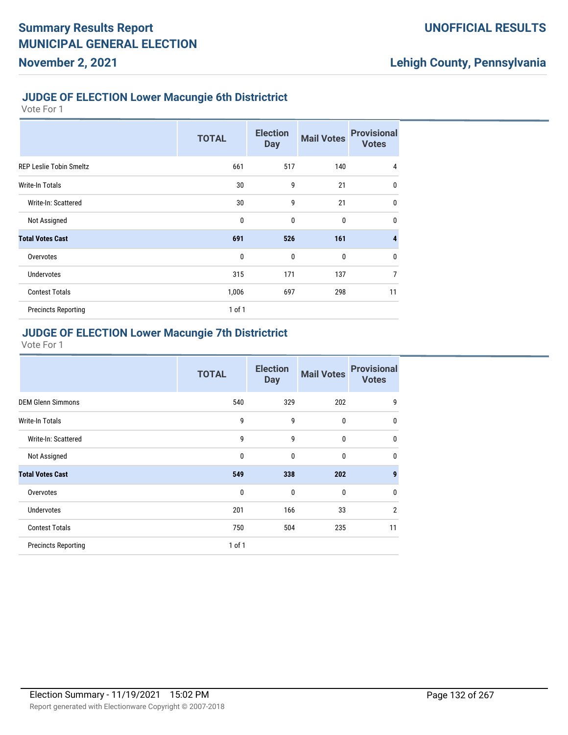#### **JUDGE OF ELECTION Lower Macungie 6th Districtrict**

Vote For 1

**November 2, 2021**

|                                | <b>TOTAL</b> | <b>Election</b><br><b>Day</b> | <b>Mail Votes</b> | <b>Provisional</b><br><b>Votes</b> |
|--------------------------------|--------------|-------------------------------|-------------------|------------------------------------|
| <b>REP Leslie Tobin Smeltz</b> | 661          | 517                           | 140               | $\overline{4}$                     |
| Write-In Totals                | 30           | 9                             | 21                | $\mathbf 0$                        |
| Write-In: Scattered            | 30           | 9                             | 21                | $\mathbf 0$                        |
| Not Assigned                   | $\mathbf{0}$ | $\mathbf 0$                   | $\bf{0}$          | $\mathbf{0}$                       |
| <b>Total Votes Cast</b>        | 691          | 526                           | 161               | $\overline{\mathbf{4}}$            |
| Overvotes                      | $\mathbf{0}$ | $\mathbf{0}$                  | $\mathbf 0$       | $\mathbf 0$                        |
| <b>Undervotes</b>              | 315          | 171                           | 137               | $\overline{7}$                     |
| <b>Contest Totals</b>          | 1,006        | 697                           | 298               | 11                                 |
| <b>Precincts Reporting</b>     | $1$ of $1$   |                               |                   |                                    |

### **JUDGE OF ELECTION Lower Macungie 7th Districtrict**

|                            | <b>TOTAL</b> | <b>Election</b><br><b>Day</b> | <b>Mail Votes</b> | <b>Provisional</b><br><b>Votes</b> |
|----------------------------|--------------|-------------------------------|-------------------|------------------------------------|
| <b>DEM Glenn Simmons</b>   | 540          | 329                           | 202               | 9                                  |
| Write-In Totals            | 9            | 9                             | 0                 | $\mathbf 0$                        |
| Write-In: Scattered        | 9            | 9                             | 0                 | $\mathbf 0$                        |
| Not Assigned               | $\mathbf 0$  | $\mathbf{0}$                  | $\mathbf{0}$      | $\mathbf 0$                        |
| <b>Total Votes Cast</b>    | 549          | 338                           | 202               | $\boldsymbol{9}$                   |
| Overvotes                  | $\mathbf 0$  | $\mathbf{0}$                  | $\mathbf{0}$      | $\mathbf{0}$                       |
| <b>Undervotes</b>          | 201          | 166                           | 33                | $\overline{2}$                     |
| <b>Contest Totals</b>      | 750          | 504                           | 235               | 11                                 |
| <b>Precincts Reporting</b> | $1$ of $1$   |                               |                   |                                    |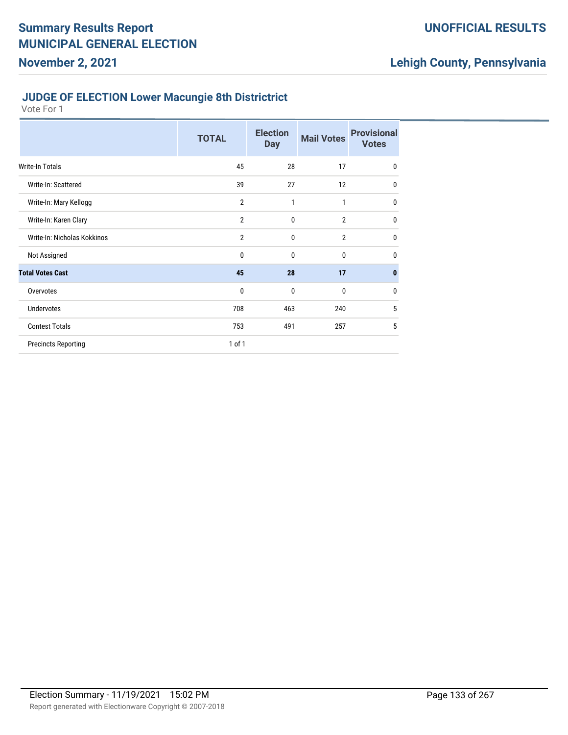### **JUDGE OF ELECTION Lower Macungie 8th Districtrict**

|                             | <b>TOTAL</b>   | <b>Election</b><br><b>Day</b> | <b>Mail Votes</b> | <b>Provisional</b><br><b>Votes</b> |
|-----------------------------|----------------|-------------------------------|-------------------|------------------------------------|
| Write-In Totals             | 45             | 28                            | 17                | $\mathbf 0$                        |
| Write-In: Scattered         | 39             | 27                            | 12                | 0                                  |
| Write-In: Mary Kellogg      | $\overline{2}$ | 1                             | $\mathbf{1}$      | $\mathbf{0}$                       |
| Write-In: Karen Clary       | $\overline{2}$ | $\mathbf{0}$                  | $\overline{2}$    | 0                                  |
| Write-In: Nicholas Kokkinos | $\overline{2}$ | $\mathbf{0}$                  | $\overline{2}$    | $\mathbf{0}$                       |
| Not Assigned                | 0              | $\mathbf{0}$                  | 0                 | $\mathbf 0$                        |
| <b>Total Votes Cast</b>     | 45             | 28                            | 17                | $\bf{0}$                           |
| Overvotes                   | 0              | 0                             | 0                 | 0                                  |
| Undervotes                  | 708            | 463                           | 240               | 5                                  |
| <b>Contest Totals</b>       | 753            | 491                           | 257               | 5                                  |
| <b>Precincts Reporting</b>  | 1 of 1         |                               |                   |                                    |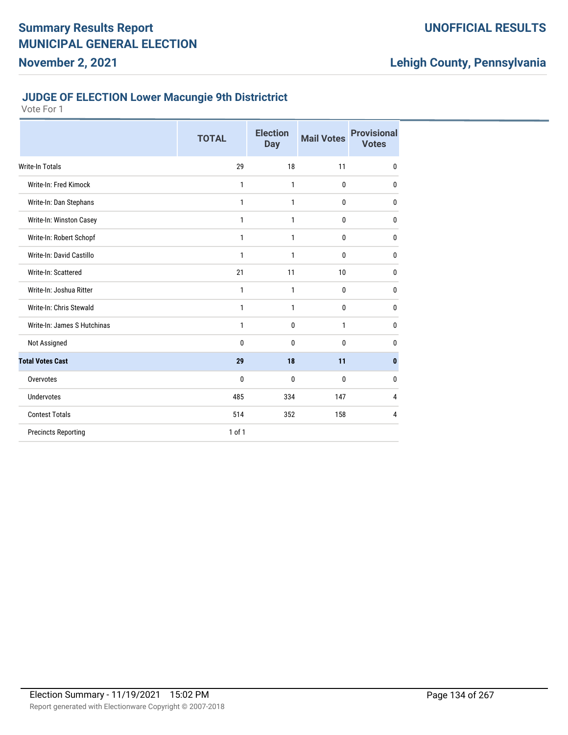#### **JUDGE OF ELECTION Lower Macungie 9th Districtrict**

|                             | <b>TOTAL</b> | <b>Election</b><br><b>Day</b> | <b>Mail Votes</b> | <b>Provisional</b><br><b>Votes</b> |
|-----------------------------|--------------|-------------------------------|-------------------|------------------------------------|
| <b>Write-In Totals</b>      | 29           | 18                            | 11                | $\mathbf{0}$                       |
| Write-In: Fred Kimock       | 1            | 1                             | 0                 | $\mathbf{0}$                       |
| Write-In: Dan Stephans      | 1            | 1                             | 0                 | $\mathbf{0}$                       |
| Write-In: Winston Casey     | 1            | 1                             | 0                 | $\mathbf{0}$                       |
| Write-In: Robert Schopf     | 1            | 1                             | 0                 | 0                                  |
| Write-In: David Castillo    | 1            | 1                             | 0                 | $\mathbf{0}$                       |
| Write-In: Scattered         | 21           | 11                            | 10                | 0                                  |
| Write-In: Joshua Ritter     | 1            | 1                             | 0                 | 0                                  |
| Write-In: Chris Stewald     | 1            | 1                             | 0                 | $\mathbf{0}$                       |
| Write-In: James S Hutchinas | 1            | 0                             | 1                 | $\mathbf{0}$                       |
| Not Assigned                | 0            | 0                             | 0                 | $\mathbf{0}$                       |
| <b>Total Votes Cast</b>     | 29           | 18                            | 11                | $\mathbf{0}$                       |
| Overvotes                   | 0            | 0                             | 0                 | 0                                  |
| <b>Undervotes</b>           | 485          | 334                           | 147               | 4                                  |
| <b>Contest Totals</b>       | 514          | 352                           | 158               | 4                                  |
| <b>Precincts Reporting</b>  | 1 of 1       |                               |                   |                                    |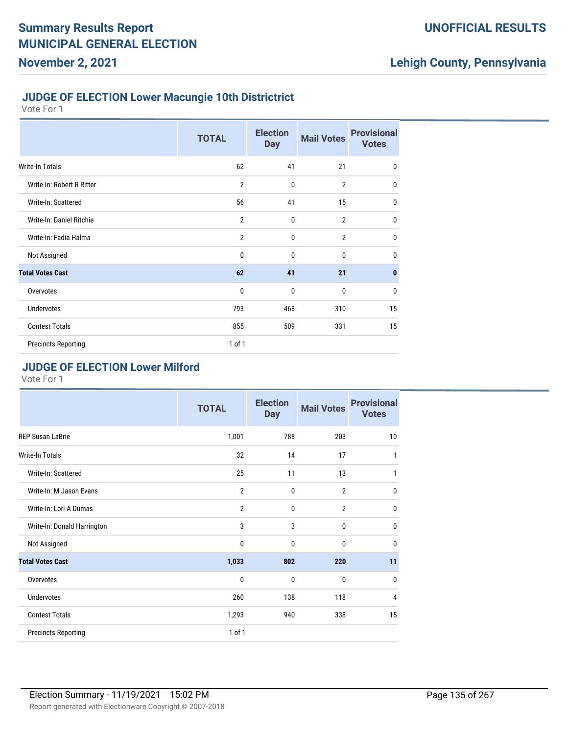#### **JUDGE OF ELECTION Lower Macungie 10th Districtrict**

Vote For 1

**November 2, 2021**

|                            | <b>TOTAL</b>   | <b>Election</b><br><b>Day</b> | <b>Mail Votes</b> | <b>Provisional</b><br><b>Votes</b> |
|----------------------------|----------------|-------------------------------|-------------------|------------------------------------|
| Write-In Totals            | 62             | 41                            | 21                | $\mathbf 0$                        |
| Write-In: Robert R Ritter  | $\overline{2}$ | $\mathbf{0}$                  | $\overline{2}$    | $\mathbf{0}$                       |
| Write-In: Scattered        | 56             | 41                            | 15                | $\mathbf 0$                        |
| Write-In: Daniel Ritchie   | $\overline{2}$ | $\mathbf{0}$                  | $\overline{2}$    | $\mathbf 0$                        |
| Write-In: Fadia Halma      | $\overline{2}$ | 0                             | $\overline{2}$    | $\mathbf 0$                        |
| Not Assigned               | $\mathbf{0}$   | 0                             | 0                 | $\mathbf{0}$                       |
| <b>Total Votes Cast</b>    | 62             | 41                            | 21                | $\mathbf{0}$                       |
| Overvotes                  | $\mathbf 0$    | 0                             | 0                 | $\mathbf 0$                        |
| Undervotes                 | 793            | 468                           | 310               | 15                                 |
| <b>Contest Totals</b>      | 855            | 509                           | 331               | 15                                 |
| <b>Precincts Reporting</b> | 1 of 1         |                               |                   |                                    |

#### **JUDGE OF ELECTION Lower Milford**

|                             | <b>TOTAL</b>   | <b>Election</b><br><b>Day</b> | <b>Mail Votes</b> | <b>Provisional</b><br><b>Votes</b> |
|-----------------------------|----------------|-------------------------------|-------------------|------------------------------------|
| <b>REP Susan LaBrie</b>     | 1,001          | 788                           | 203               | 10                                 |
| Write-In Totals             | 32             | 14                            | 17                | $\mathbf{1}$                       |
| Write-In: Scattered         | 25             | 11                            | 13                | $\mathbf{1}$                       |
| Write-In: M Jason Evans     | $\overline{2}$ | 0                             | $\overline{2}$    | $\mathbf{0}$                       |
| Write-In: Lori A Dumas      | $\overline{2}$ | 0                             | $\overline{2}$    | $\mathbf{0}$                       |
| Write-In: Donald Harrington | 3              | 3                             | $\mathbf 0$       | $\bf{0}$                           |
| Not Assigned                | 0              | 0                             | $\mathbf{0}$      | $\mathbf{0}$                       |
| <b>Total Votes Cast</b>     | 1,033          | 802                           | 220               | 11                                 |
| Overvotes                   | $\mathbf{0}$   | $\mathbf{0}$                  | $\mathbf{0}$      | $\mathbf{0}$                       |
| Undervotes                  | 260            | 138                           | 118               | 4                                  |
| <b>Contest Totals</b>       | 1,293          | 940                           | 338               | 15                                 |
| <b>Precincts Reporting</b>  | 1 of 1         |                               |                   |                                    |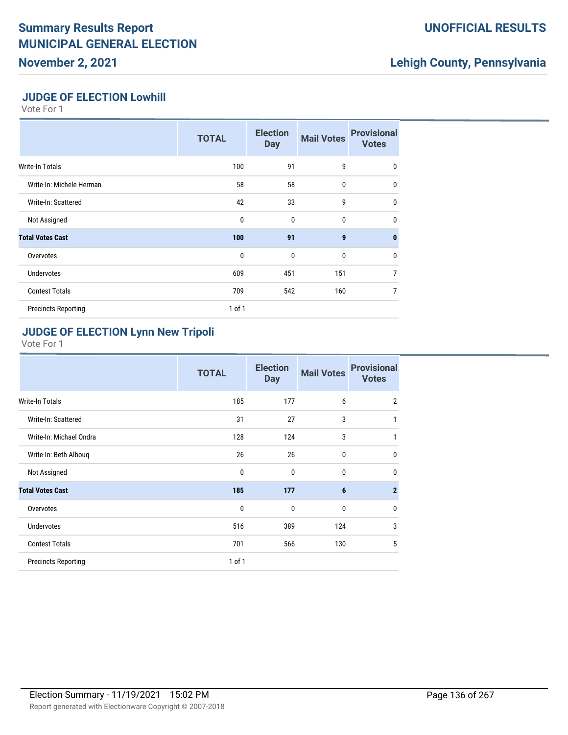# **Summary Results Report MUNICIPAL GENERAL ELECTION**

**November 2, 2021**

### **UNOFFICIAL RESULTS**

## **Lehigh County, Pennsylvania**

#### **JUDGE OF ELECTION Lowhill**

Vote For 1

|                            | <b>TOTAL</b> | <b>Election</b><br><b>Day</b> | <b>Mail Votes</b> | <b>Provisional</b><br><b>Votes</b> |
|----------------------------|--------------|-------------------------------|-------------------|------------------------------------|
| Write-In Totals            | 100          | 91                            | 9                 | 0                                  |
| Write-In: Michele Herman   | 58           | 58                            | 0                 | $\mathbf{0}$                       |
| Write-In: Scattered        | 42           | 33                            | 9                 | $\mathbf{0}$                       |
| Not Assigned               | $\mathbf{0}$ | $\mathbf 0$                   | $\mathbf 0$       | $\mathbf{0}$                       |
| <b>Total Votes Cast</b>    | 100          | 91                            | $\mathbf{9}$      | $\bf{0}$                           |
| Overvotes                  | $\mathbf{0}$ | $\mathbf{0}$                  | 0                 | $\mathbf{0}$                       |
| <b>Undervotes</b>          | 609          | 451                           | 151               | $\overline{7}$                     |
| <b>Contest Totals</b>      | 709          | 542                           | 160               | $\overline{7}$                     |
| <b>Precincts Reporting</b> | $1$ of $1$   |                               |                   |                                    |

#### **JUDGE OF ELECTION Lynn New Tripoli**

|                            | <b>TOTAL</b> | <b>Election</b><br><b>Day</b> | <b>Mail Votes</b> | <b>Provisional</b><br><b>Votes</b> |
|----------------------------|--------------|-------------------------------|-------------------|------------------------------------|
| <b>Write-In Totals</b>     | 185          | 177                           | 6                 | $\overline{2}$                     |
| Write-In: Scattered        | 31           | 27                            | 3                 | 1                                  |
| Write-In: Michael Ondra    | 128          | 124                           | 3                 | 1                                  |
| Write-In: Beth Albouq      | 26           | 26                            | 0                 | $\mathbf 0$                        |
| Not Assigned               | 0            | 0                             | 0                 | $\mathbf 0$                        |
| <b>Total Votes Cast</b>    | 185          | 177                           | 6                 | $\overline{2}$                     |
| Overvotes                  | 0            | $\mathbf{0}$                  | $\mathbf{0}$      | $\mathbf 0$                        |
| <b>Undervotes</b>          | 516          | 389                           | 124               | 3                                  |
| <b>Contest Totals</b>      | 701          | 566                           | 130               | 5                                  |
| <b>Precincts Reporting</b> | 1 of 1       |                               |                   |                                    |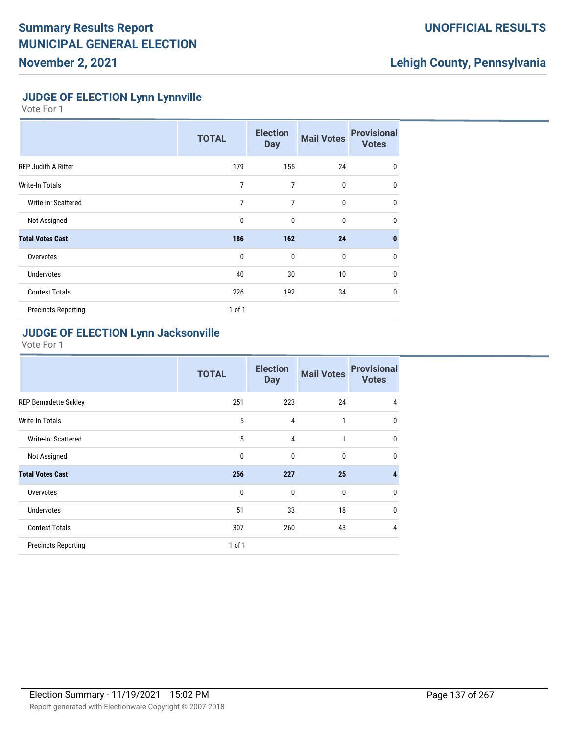### **UNOFFICIAL RESULTS**

## **Lehigh County, Pennsylvania**

#### **JUDGE OF ELECTION Lynn Lynnville**

Vote For 1

|                            | <b>TOTAL</b>   | <b>Election</b><br><b>Day</b> | <b>Mail Votes</b> | <b>Provisional</b><br><b>Votes</b> |
|----------------------------|----------------|-------------------------------|-------------------|------------------------------------|
| <b>REP Judith A Ritter</b> | 179            | 155                           | 24                | $\mathbf{0}$                       |
| Write-In Totals            | 7              | 7                             | 0                 | $\mathbf{0}$                       |
| Write-In: Scattered        | $\overline{7}$ | 7                             | $\bf{0}$          | $\mathbf{0}$                       |
| Not Assigned               | 0              | 0                             | 0                 | $\mathbf{0}$                       |
| <b>Total Votes Cast</b>    | 186            | 162                           | 24                | $\mathbf{0}$                       |
| Overvotes                  | $\mathbf{0}$   | $\mathbf 0$                   | $\bf{0}$          | $\mathbf{0}$                       |
| <b>Undervotes</b>          | 40             | 30                            | 10                | $\mathbf{0}$                       |
| <b>Contest Totals</b>      | 226            | 192                           | 34                | $\mathbf{0}$                       |
| <b>Precincts Reporting</b> | $1$ of $1$     |                               |                   |                                    |

### **JUDGE OF ELECTION Lynn Jacksonville**

|                              | <b>TOTAL</b> | <b>Election</b><br><b>Day</b> | <b>Mail Votes</b> | <b>Provisional</b><br><b>Votes</b> |
|------------------------------|--------------|-------------------------------|-------------------|------------------------------------|
| <b>REP Bernadette Sukley</b> | 251          | 223                           | 24                | 4                                  |
| <b>Write-In Totals</b>       | 5            | 4                             | 1                 | $\mathbf 0$                        |
| Write-In: Scattered          | 5            | 4                             | 1                 | $\mathbf 0$                        |
| Not Assigned                 | 0            | $\mathbf{0}$                  | 0                 | $\mathbf 0$                        |
| <b>Total Votes Cast</b>      | 256          | 227                           | 25                | $\overline{4}$                     |
| Overvotes                    | $\mathbf{0}$ | $\mathbf{0}$                  | $\mathbf{0}$      | $\mathbf 0$                        |
| <b>Undervotes</b>            | 51           | 33                            | 18                | $\mathbf 0$                        |
| <b>Contest Totals</b>        | 307          | 260                           | 43                | $\overline{4}$                     |
| <b>Precincts Reporting</b>   | 1 of 1       |                               |                   |                                    |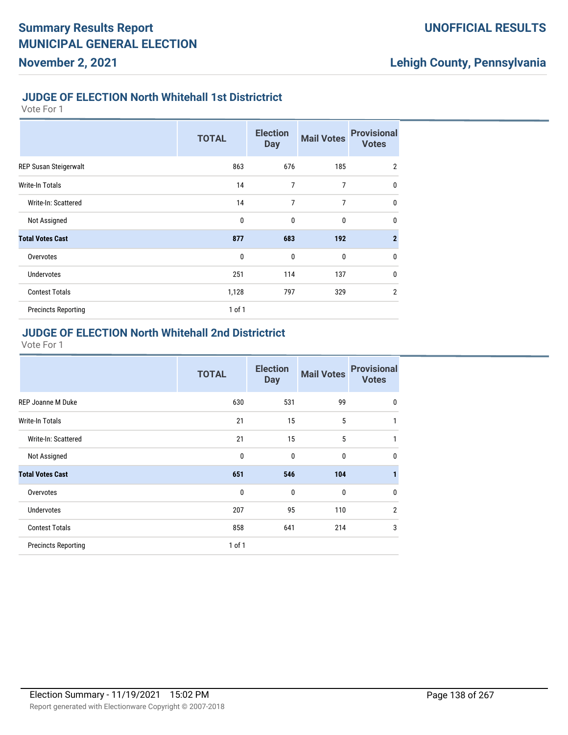#### **JUDGE OF ELECTION North Whitehall 1st Districtrict**

Vote For 1

|                            | <b>TOTAL</b> | <b>Election</b><br><b>Day</b> | <b>Mail Votes</b> | <b>Provisional</b><br><b>Votes</b> |
|----------------------------|--------------|-------------------------------|-------------------|------------------------------------|
| REP Susan Steigerwalt      | 863          | 676                           | 185               | $\overline{2}$                     |
| Write-In Totals            | 14           | 7                             | 7                 | $\mathbf{0}$                       |
| Write-In: Scattered        | 14           | 7                             | 7                 | $\mathbf{0}$                       |
| Not Assigned               | $\mathbf{0}$ | $\mathbf 0$                   | $\bf{0}$          | $\mathbf{0}$                       |
| <b>Total Votes Cast</b>    | 877          | 683                           | 192               | $\overline{2}$                     |
| Overvotes                  | $\mathbf{0}$ | $\mathbf 0$                   | $\bf{0}$          | $\mathbf{0}$                       |
| <b>Undervotes</b>          | 251          | 114                           | 137               | $\mathbf{0}$                       |
| <b>Contest Totals</b>      | 1,128        | 797                           | 329               | $\overline{2}$                     |
| <b>Precincts Reporting</b> | $1$ of $1$   |                               |                   |                                    |

### **JUDGE OF ELECTION North Whitehall 2nd Districtrict**

|                            | <b>TOTAL</b> | <b>Election</b><br><b>Day</b> | <b>Mail Votes</b> | <b>Provisional</b><br><b>Votes</b> |
|----------------------------|--------------|-------------------------------|-------------------|------------------------------------|
| <b>REP Joanne M Duke</b>   | 630          | 531                           | 99                | 0                                  |
| Write-In Totals            | 21           | 15                            | 5                 | 1                                  |
| Write-In: Scattered        | 21           | 15                            | 5                 | 1                                  |
| Not Assigned               | $\mathbf{0}$ | $\mathbf{0}$                  | $\mathbf{0}$      | $\mathbf{0}$                       |
| <b>Total Votes Cast</b>    | 651          | 546                           | 104               | 1                                  |
| Overvotes                  | 0            | $\mathbf 0$                   | $\bf{0}$          | 0                                  |
| <b>Undervotes</b>          | 207          | 95                            | 110               | $\overline{2}$                     |
| <b>Contest Totals</b>      | 858          | 641                           | 214               | 3                                  |
| <b>Precincts Reporting</b> | $1$ of $1$   |                               |                   |                                    |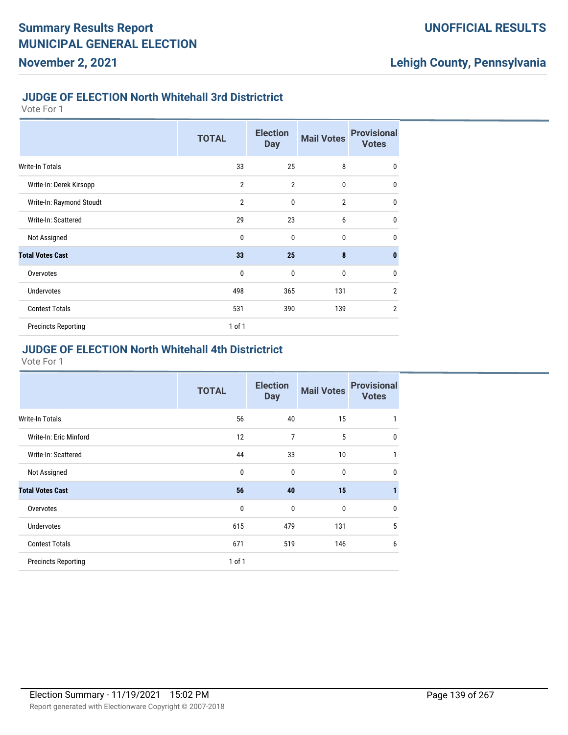#### **JUDGE OF ELECTION North Whitehall 3rd Districtrict**

Vote For 1

|                            | <b>TOTAL</b>   | <b>Election</b><br><b>Day</b> | <b>Mail Votes</b> | <b>Provisional</b><br><b>Votes</b> |
|----------------------------|----------------|-------------------------------|-------------------|------------------------------------|
| Write-In Totals            | 33             | 25                            | 8                 | 0                                  |
| Write-In: Derek Kirsopp    | $\overline{2}$ | $\overline{2}$                | $\mathbf{0}$      | $\mathbf{0}$                       |
| Write-In: Raymond Stoudt   | $\overline{2}$ | $\mathbf{0}$                  | $\overline{2}$    | $\mathbf{0}$                       |
| Write-In: Scattered        | 29             | 23                            | 6                 | $\mathbf{0}$                       |
| Not Assigned               | 0              | $\mathbf{0}$                  | $\mathbf{0}$      | $\mathbf{0}$                       |
| <b>Total Votes Cast</b>    | 33             | 25                            | 8                 | $\mathbf{0}$                       |
| Overvotes                  | $\mathbf{0}$   | $\mathbf 0$                   | $\bf{0}$          | $\mathbf{0}$                       |
| <b>Undervotes</b>          | 498            | 365                           | 131               | $\overline{2}$                     |
| <b>Contest Totals</b>      | 531            | 390                           | 139               | $\overline{2}$                     |
| <b>Precincts Reporting</b> | $1$ of $1$     |                               |                   |                                    |

#### **JUDGE OF ELECTION North Whitehall 4th Districtrict**

|                            | <b>TOTAL</b> | <b>Election</b><br><b>Day</b> | <b>Mail Votes</b> | <b>Provisional</b><br><b>Votes</b> |
|----------------------------|--------------|-------------------------------|-------------------|------------------------------------|
| <b>Write-In Totals</b>     | 56           | 40                            | 15                | 1                                  |
| Write-In: Eric Minford     | 12           | 7                             | 5                 | $\mathbf{0}$                       |
| Write-In: Scattered        | 44           | 33                            | 10                | 1                                  |
| Not Assigned               | 0            | $\mathbf{0}$                  | $\bf{0}$          | $\mathbf{0}$                       |
| <b>Total Votes Cast</b>    | 56           | 40                            | 15                | 1                                  |
| Overvotes                  | $\mathbf{0}$ | $\mathbf{0}$                  | $\mathbf{0}$      | 0                                  |
| Undervotes                 | 615          | 479                           | 131               | 5                                  |
| <b>Contest Totals</b>      | 671          | 519                           | 146               | 6                                  |
| <b>Precincts Reporting</b> | $1$ of $1$   |                               |                   |                                    |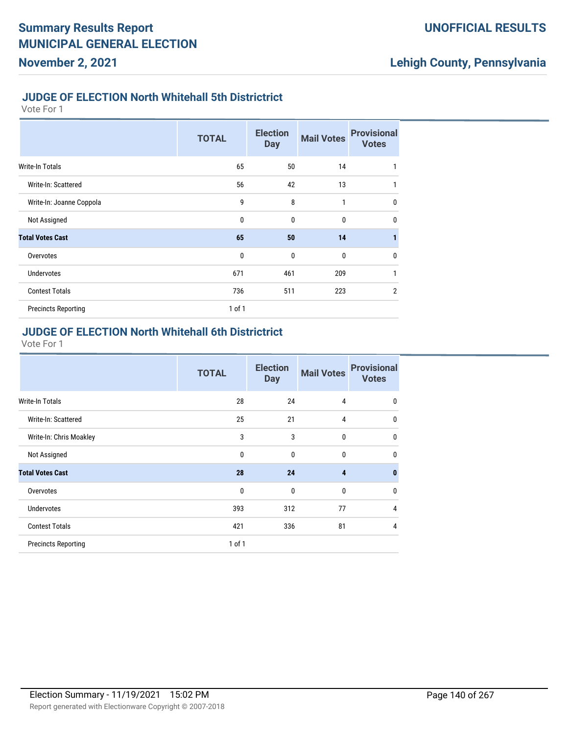#### **JUDGE OF ELECTION North Whitehall 5th Districtrict**

Vote For 1

|                            | <b>TOTAL</b> | <b>Election</b><br><b>Day</b> | <b>Mail Votes</b> | <b>Provisional</b><br><b>Votes</b> |
|----------------------------|--------------|-------------------------------|-------------------|------------------------------------|
| <b>Write-In Totals</b>     | 65           | 50                            | 14                | 1                                  |
| Write-In: Scattered        | 56           | 42                            | 13                | 1                                  |
| Write-In: Joanne Coppola   | 9            | 8                             | 1                 | $\mathbf 0$                        |
| Not Assigned               | $\mathbf{0}$ | $\mathbf 0$                   | 0                 | $\mathbf 0$                        |
| <b>Total Votes Cast</b>    | 65           | 50                            | 14                | 1                                  |
| Overvotes                  | $\mathbf{0}$ | $\mathbf 0$                   | 0                 | $\mathbf 0$                        |
| <b>Undervotes</b>          | 671          | 461                           | 209               | 1                                  |
| <b>Contest Totals</b>      | 736          | 511                           | 223               | $\overline{2}$                     |
| <b>Precincts Reporting</b> | 1 of 1       |                               |                   |                                    |

#### **JUDGE OF ELECTION North Whitehall 6th Districtrict**

|                            | <b>TOTAL</b> | <b>Election</b><br><b>Day</b> | <b>Mail Votes</b> | <b>Provisional</b><br><b>Votes</b> |
|----------------------------|--------------|-------------------------------|-------------------|------------------------------------|
| <b>Write-In Totals</b>     | 28           | 24                            | 4                 | $\mathbf 0$                        |
| Write-In: Scattered        | 25           | 21                            | 4                 | $\mathbf 0$                        |
| Write-In: Chris Moakley    | 3            | 3                             | $\mathbf{0}$      | $\mathbf 0$                        |
| Not Assigned               | $\mathbf{0}$ | $\mathbf{0}$                  | $\mathbf{0}$      | $\mathbf 0$                        |
| <b>Total Votes Cast</b>    | 28           | 24                            | $\overline{4}$    | $\mathbf{0}$                       |
| Overvotes                  | $\mathbf{0}$ | $\mathbf{0}$                  | $\mathbf 0$       | $\mathbf{0}$                       |
| <b>Undervotes</b>          | 393          | 312                           | 77                | $\overline{4}$                     |
| <b>Contest Totals</b>      | 421          | 336                           | 81                | 4                                  |
| <b>Precincts Reporting</b> | 1 of 1       |                               |                   |                                    |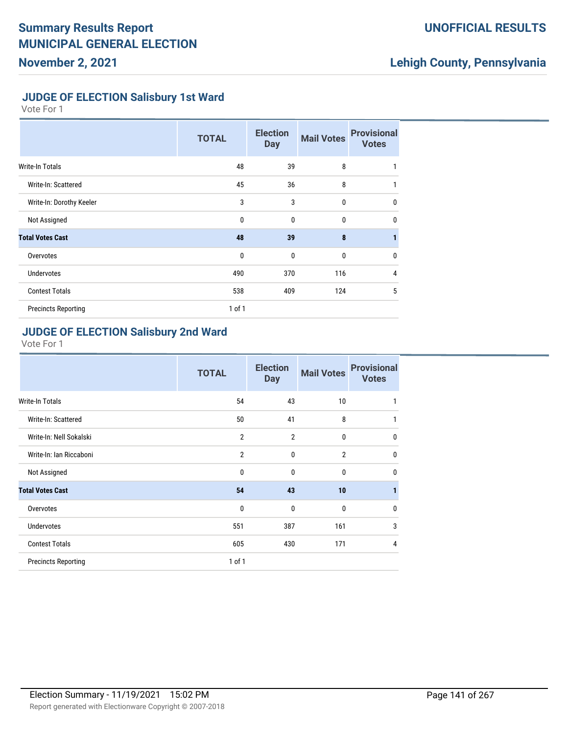### **UNOFFICIAL RESULTS**

## **Lehigh County, Pennsylvania**

### **JUDGE OF ELECTION Salisbury 1st Ward**

Vote For 1

|                            | <b>TOTAL</b> | <b>Election</b><br><b>Day</b> | <b>Mail Votes</b> | <b>Provisional</b><br><b>Votes</b> |
|----------------------------|--------------|-------------------------------|-------------------|------------------------------------|
| <b>Write-In Totals</b>     | 48           | 39                            | 8                 | 1                                  |
| Write-In: Scattered        | 45           | 36                            | 8                 | 1                                  |
| Write-In: Dorothy Keeler   | 3            | 3                             | 0                 | $\mathbf 0$                        |
| Not Assigned               | $\mathbf 0$  | $\mathbf{0}$                  | 0                 | $\mathbf{0}$                       |
| <b>Total Votes Cast</b>    | 48           | 39                            | 8                 | 1                                  |
| Overvotes                  | $\mathbf{0}$ | $\mathbf{0}$                  | $\bf{0}$          | $\mathbf{0}$                       |
| <b>Undervotes</b>          | 490          | 370                           | 116               | 4                                  |
| <b>Contest Totals</b>      | 538          | 409                           | 124               | 5                                  |
| <b>Precincts Reporting</b> | $1$ of $1$   |                               |                   |                                    |

#### **JUDGE OF ELECTION Salisbury 2nd Ward**

|                            | <b>TOTAL</b>   | <b>Election</b><br><b>Day</b> | <b>Mail Votes</b> | <b>Provisional</b><br><b>Votes</b> |
|----------------------------|----------------|-------------------------------|-------------------|------------------------------------|
| <b>Write-In Totals</b>     | 54             | 43                            | 10                | 1                                  |
| Write-In: Scattered        | 50             | 41                            | 8                 | 1                                  |
| Write-In: Nell Sokalski    | $\overline{2}$ | $\overline{2}$                | 0                 | $\mathbf 0$                        |
| Write-In: Ian Riccaboni    | $\overline{2}$ | 0                             | $\overline{2}$    | $\mathbf{0}$                       |
| Not Assigned               | 0              | 0                             | 0                 | $\mathbf 0$                        |
| <b>Total Votes Cast</b>    | 54             | 43                            | 10                | $\mathbf{1}$                       |
| Overvotes                  | 0              | $\mathbf{0}$                  | 0                 | $\mathbf{0}$                       |
| Undervotes                 | 551            | 387                           | 161               | 3                                  |
| <b>Contest Totals</b>      | 605            | 430                           | 171               | 4                                  |
| <b>Precincts Reporting</b> | 1 of 1         |                               |                   |                                    |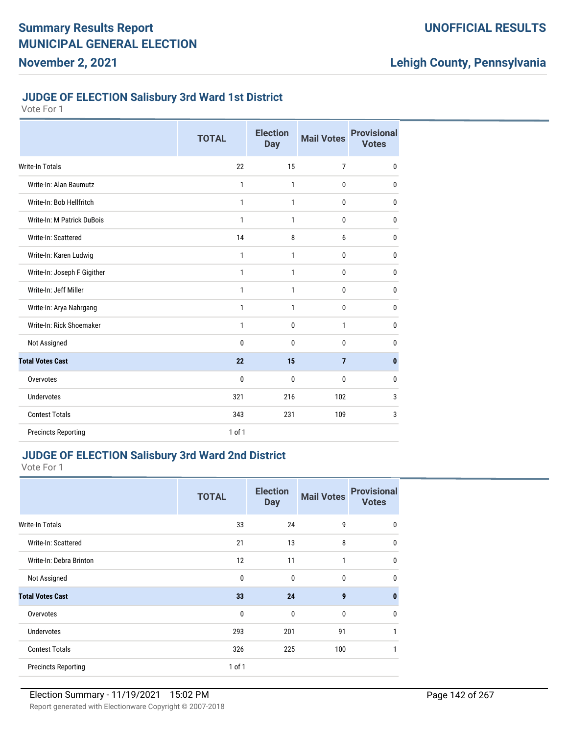#### **JUDGE OF ELECTION Salisbury 3rd Ward 1st District**

| Vote For |  |  |
|----------|--|--|
|----------|--|--|

|                             | <b>TOTAL</b> | <b>Election</b><br><b>Day</b> | <b>Mail Votes</b> | <b>Provisional</b><br><b>Votes</b> |
|-----------------------------|--------------|-------------------------------|-------------------|------------------------------------|
| Write-In Totals             | 22           | 15                            | 7                 | $\mathbf 0$                        |
| Write-In: Alan Baumutz      | 1            | 1                             | 0                 | $\mathbf 0$                        |
| Write-In: Bob Hellfritch    | 1            | 1                             | 0                 | $\mathbf 0$                        |
| Write-In: M Patrick DuBois  | 1            | 1                             | 0                 | $\mathbf 0$                        |
| Write-In: Scattered         | 14           | 8                             | 6                 | $\mathbf{0}$                       |
| Write-In: Karen Ludwig      | $\mathbf{1}$ | 1                             | 0                 | $\mathbf{0}$                       |
| Write-In: Joseph F Gigither | $\mathbf{1}$ | $\mathbf{1}$                  | 0                 | $\mathbf{0}$                       |
| Write-In: Jeff Miller       | $\mathbf{1}$ | $\mathbf{1}$                  | 0                 | $\mathbf{0}$                       |
| Write-In: Arya Nahrgang     | $\mathbf{1}$ | $\mathbf{1}$                  | 0                 | 0                                  |
| Write-In: Rick Shoemaker    | $\mathbf{1}$ | $\mathbf{0}$                  | 1                 | $\mathbf{0}$                       |
| Not Assigned                | $\mathbf{0}$ | $\mathbf{0}$                  | 0                 | $\mathbf{0}$                       |
| <b>Total Votes Cast</b>     | 22           | 15                            | $\overline{7}$    | $\mathbf{0}$                       |
| Overvotes                   | $\mathbf{0}$ | $\mathbf{0}$                  | 0                 | $\mathbf 0$                        |
| Undervotes                  | 321          | 216                           | 102               | 3                                  |
| <b>Contest Totals</b>       | 343          | 231                           | 109               | 3                                  |
| <b>Precincts Reporting</b>  | $1$ of $1$   |                               |                   |                                    |

### **JUDGE OF ELECTION Salisbury 3rd Ward 2nd District**

|                            | <b>TOTAL</b> | <b>Election</b><br><b>Day</b> | <b>Mail Votes</b> | <b>Provisional</b><br><b>Votes</b> |
|----------------------------|--------------|-------------------------------|-------------------|------------------------------------|
| <b>Write-In Totals</b>     | 33           | 24                            | 9                 | $\mathbf 0$                        |
| Write-In: Scattered        | 21           | 13                            | 8                 | $\mathbf 0$                        |
| Write-In: Debra Brinton    | 12           | 11                            | $\mathbf{1}$      | $\mathbf 0$                        |
| Not Assigned               | $\mathbf 0$  | $\mathbf{0}$                  | 0                 | $\mathbf 0$                        |
| <b>Total Votes Cast</b>    | 33           | 24                            | 9                 | $\mathbf{0}$                       |
| Overvotes                  | $\mathbf{0}$ | $\mathbf{0}$                  | $\mathbf{0}$      | $\mathbf 0$                        |
| <b>Undervotes</b>          | 293          | 201                           | 91                | 1                                  |
| <b>Contest Totals</b>      | 326          | 225                           | 100               | 1                                  |
| <b>Precincts Reporting</b> | 1 of 1       |                               |                   |                                    |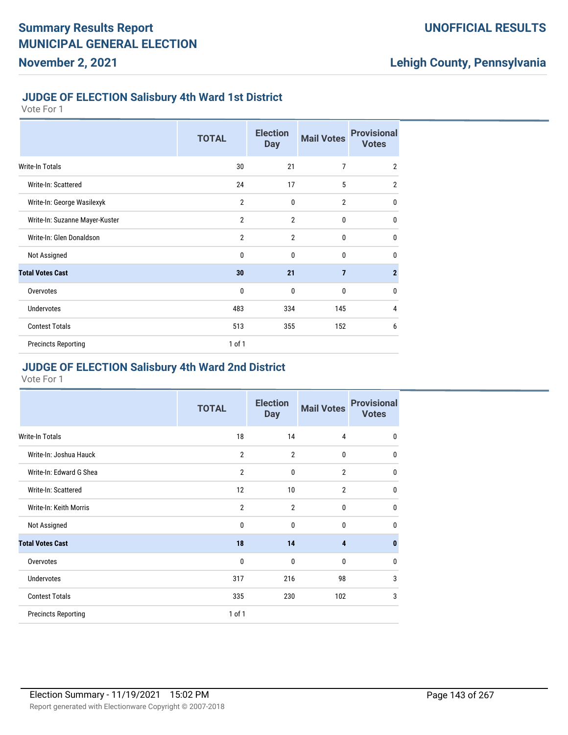#### **JUDGE OF ELECTION Salisbury 4th Ward 1st District**

Vote For 1

|                                | <b>TOTAL</b>   | <b>Election</b><br><b>Day</b> | <b>Mail Votes</b> | <b>Provisional</b><br><b>Votes</b> |
|--------------------------------|----------------|-------------------------------|-------------------|------------------------------------|
| <b>Write-In Totals</b>         | 30             | 21                            | $\overline{7}$    | $\overline{2}$                     |
| Write-In: Scattered            | 24             | 17                            | 5                 | $\overline{2}$                     |
| Write-In: George Wasilexyk     | $\overline{2}$ | 0                             | $\overline{2}$    | $\mathbf 0$                        |
| Write-In: Suzanne Mayer-Kuster | $\overline{2}$ | $\overline{2}$                | 0                 | 0                                  |
| Write-In: Glen Donaldson       | $\overline{2}$ | $\overline{2}$                | 0                 | $\mathbf{0}$                       |
| Not Assigned                   | 0              | $\mathbf{0}$                  | 0                 | $\mathbf{0}$                       |
| <b>Total Votes Cast</b>        | 30             | 21                            | $\overline{7}$    | $\overline{2}$                     |
| Overvotes                      | 0              | $\mathbf{0}$                  | 0                 | $\mathbf 0$                        |
| <b>Undervotes</b>              | 483            | 334                           | 145               | 4                                  |
| <b>Contest Totals</b>          | 513            | 355                           | 152               | 6                                  |
| <b>Precincts Reporting</b>     | 1 of 1         |                               |                   |                                    |

#### **JUDGE OF ELECTION Salisbury 4th Ward 2nd District**

|                            | <b>TOTAL</b>   | <b>Election</b><br><b>Day</b> | <b>Mail Votes</b> | <b>Provisional</b><br><b>Votes</b> |
|----------------------------|----------------|-------------------------------|-------------------|------------------------------------|
| Write-In Totals            | 18             | 14                            | 4                 | 0                                  |
| Write-In: Joshua Hauck     | $\overline{2}$ | $\overline{2}$                | 0                 | 0                                  |
| Write-In: Edward G Shea    | $\overline{2}$ | $\mathbf 0$                   | $\overline{2}$    | 0                                  |
| Write-In: Scattered        | 12             | 10                            | $\overline{2}$    | 0                                  |
| Write-In: Keith Morris     | $\overline{2}$ | $\overline{2}$                | 0                 | 0                                  |
| Not Assigned               | 0              | $\mathbf{0}$                  | 0                 | 0                                  |
| <b>Total Votes Cast</b>    | 18             | 14                            | 4                 | 0                                  |
| Overvotes                  | 0              | $\mathbf 0$                   | 0                 | 0                                  |
| <b>Undervotes</b>          | 317            | 216                           | 98                | 3                                  |
| <b>Contest Totals</b>      | 335            | 230                           | 102               | 3                                  |
| <b>Precincts Reporting</b> | 1 of 1         |                               |                   |                                    |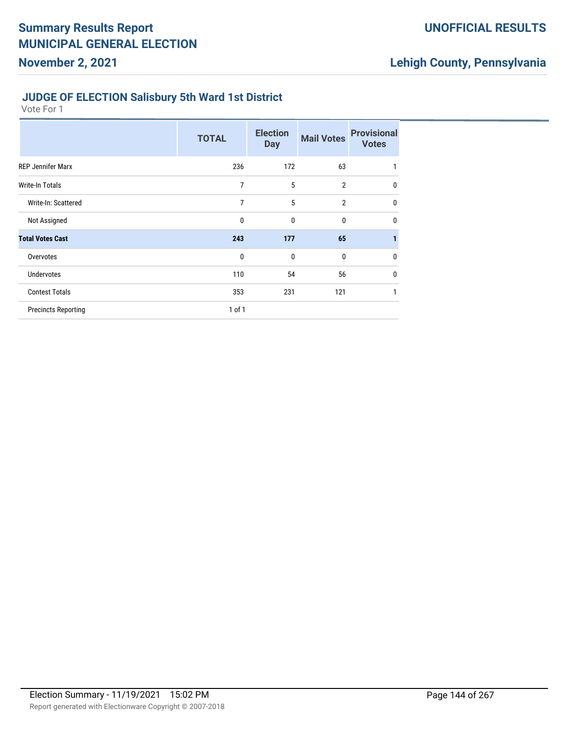### **UNOFFICIAL RESULTS**

## **Lehigh County, Pennsylvania**

#### **JUDGE OF ELECTION Salisbury 5th Ward 1st District**

|                            | <b>TOTAL</b> | <b>Election</b><br><b>Day</b> | <b>Mail Votes</b> | <b>Provisional</b><br><b>Votes</b> |
|----------------------------|--------------|-------------------------------|-------------------|------------------------------------|
| <b>REP Jennifer Marx</b>   | 236          | 172                           | 63                | 1                                  |
| <b>Write-In Totals</b>     | 7            | 5                             | $\overline{2}$    | 0                                  |
| Write-In: Scattered        | 7            | 5                             | $\overline{2}$    | 0                                  |
| Not Assigned               | 0            | 0                             | 0                 | $\mathbf 0$                        |
| <b>Total Votes Cast</b>    | 243          | 177                           | 65                | 1                                  |
| Overvotes                  | 0            | 0                             | 0                 | 0                                  |
| <b>Undervotes</b>          | 110          | 54                            | 56                | $\mathbf 0$                        |
| <b>Contest Totals</b>      | 353          | 231                           | 121               | 1                                  |
| <b>Precincts Reporting</b> | 1 of 1       |                               |                   |                                    |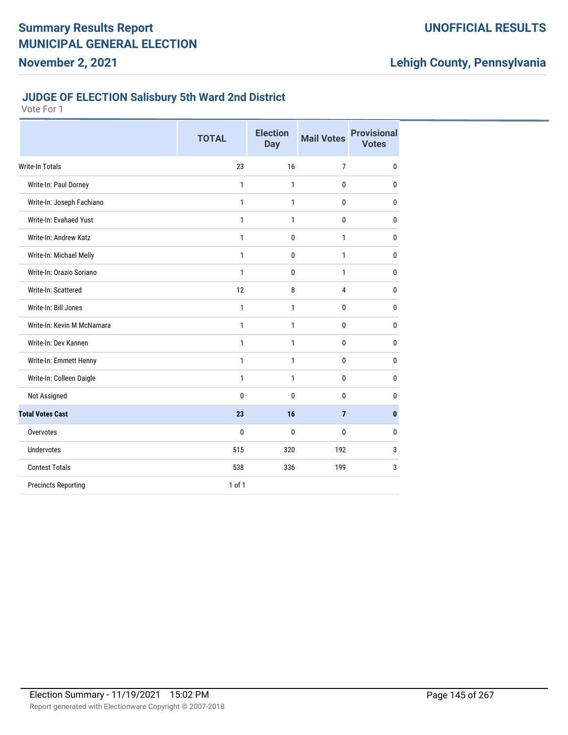## **UNOFFICIAL RESULTS**

# **Lehigh County, Pennsylvania**

#### **JUDGE OF ELECTION Salisbury 5th Ward 2nd District**

|                            | <b>TOTAL</b> | <b>Election</b><br>Day | <b>Mail Votes</b> | <b>Provisional</b><br><b>Votes</b> |
|----------------------------|--------------|------------------------|-------------------|------------------------------------|
| Write-In Totals            | 23           | 16                     | $\overline{7}$    | $\mathbf{0}$                       |
| Write-In: Paul Dorney      | $\mathbf{1}$ | $\mathbf{1}$           | $\bf{0}$          | 0                                  |
| Write-In: Joseph Fachiano  | 1            | 1                      | $\bf{0}$          | 0                                  |
| Write-In: Evahaed Yust     | $\mathbf{1}$ | $\mathbf{1}$           | $\mathbf 0$       | $\mathbf 0$                        |
| Write-In: Andrew Katz      | $\mathbf{1}$ | $\mathbf{0}$           | 1                 | 0                                  |
| Write-In: Michael Melly    | 1            | $\mathbf 0$            | 1                 | 0                                  |
| Write-In: Orazio Soriano   | 1            | 0                      | $\mathbf{1}$      | $\mathbf{0}$                       |
| Write-In: Scattered        | 12           | 8                      | $\overline{4}$    | $\mathbf{0}$                       |
| Write-In: Bill Jones       | 1            | $\mathbf{1}$           | $\bf{0}$          | 0                                  |
| Write-In: Kevin M McNamara | 1            | 1                      | $\mathbf{0}$      | 0                                  |
| Write-In: Dev Kannen       | 1            | $\mathbf{1}$           | $\mathbf{0}$      | $\mathbf{0}$                       |
| Write-In: Emmett Henny     | 1            | $\mathbf{1}$           | $\bf{0}$          | 0                                  |
| Write-In: Colleen Daigle   | $\mathbf{1}$ | 1                      | $\bf{0}$          | 0                                  |
| Not Assigned               | 0            | 0                      | 0                 | 0                                  |
| <b>Total Votes Cast</b>    | 23           | 16                     | $\overline{7}$    | $\mathbf{0}$                       |
| Overvotes                  | 0            | 0                      | 0                 | 0                                  |
| <b>Undervotes</b>          | 515          | 320                    | 192               | 3                                  |
| <b>Contest Totals</b>      | 538          | 336                    | 199               | 3                                  |
| <b>Precincts Reporting</b> | 1 of 1       |                        |                   |                                    |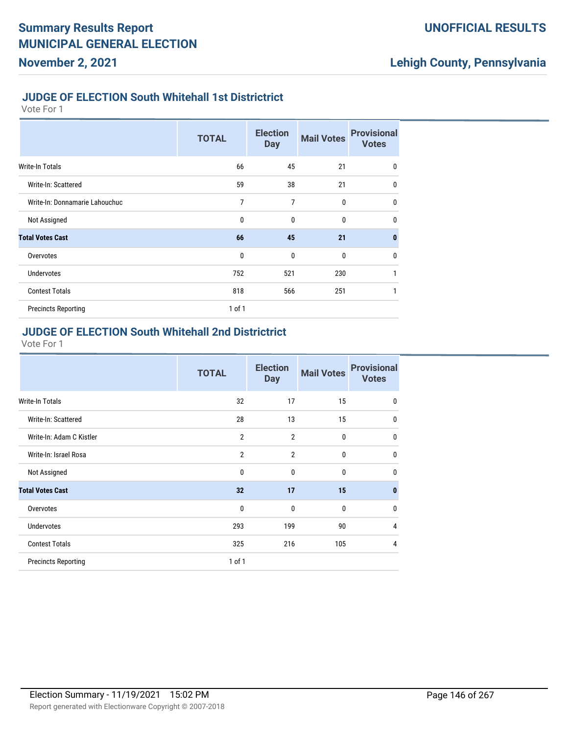#### **JUDGE OF ELECTION South Whitehall 1st Districtrict**

Vote For 1

|                                | <b>TOTAL</b> | <b>Election</b><br><b>Day</b> | <b>Mail Votes</b> | <b>Provisional</b><br><b>Votes</b> |
|--------------------------------|--------------|-------------------------------|-------------------|------------------------------------|
| <b>Write-In Totals</b>         | 66           | 45                            | 21                | $\mathbf 0$                        |
| Write-In: Scattered            | 59           | 38                            | 21                | $\mathbf 0$                        |
| Write-In: Donnamarie Lahouchuc | 7            | 7                             | $\mathbf{0}$      | $\mathbf 0$                        |
| Not Assigned                   | 0            | 0                             | 0                 | $\mathbf 0$                        |
| <b>Total Votes Cast</b>        | 66           | 45                            | 21                | $\mathbf{0}$                       |
| Overvotes                      | $\mathbf{0}$ | $\mathbf{0}$                  | $\mathbf{0}$      | $\mathbf 0$                        |
| <b>Undervotes</b>              | 752          | 521                           | 230               | 1                                  |
| <b>Contest Totals</b>          | 818          | 566                           | 251               | 1                                  |
| <b>Precincts Reporting</b>     | $1$ of $1$   |                               |                   |                                    |

#### **JUDGE OF ELECTION South Whitehall 2nd Districtrict**

|                            | <b>TOTAL</b>   | <b>Election</b><br><b>Day</b> | <b>Mail Votes</b> | <b>Provisional</b><br><b>Votes</b> |
|----------------------------|----------------|-------------------------------|-------------------|------------------------------------|
| Write-In Totals            | 32             | 17                            | 15                | $\mathbf 0$                        |
| Write-In: Scattered        | 28             | 13                            | 15                | $\mathbf{0}$                       |
| Write-In: Adam C Kistler   | $\overline{2}$ | $\overline{2}$                | $\mathbf 0$       | $\mathbf{0}$                       |
| Write-In: Israel Rosa      | $\overline{2}$ | $\overline{2}$                | $\mathbf 0$       | $\mathbf{0}$                       |
| Not Assigned               | $\mathbf{0}$   | $\mathbf 0$                   | $\mathbf 0$       | $\mathbf{0}$                       |
| <b>Total Votes Cast</b>    | 32             | 17                            | 15                | $\mathbf{0}$                       |
| Overvotes                  | $\mathbf{0}$   | $\mathbf{0}$                  | $\mathbf{0}$      | $\mathbf{0}$                       |
| <b>Undervotes</b>          | 293            | 199                           | 90                | 4                                  |
| <b>Contest Totals</b>      | 325            | 216                           | 105               | $\overline{4}$                     |
| <b>Precincts Reporting</b> | $1$ of $1$     |                               |                   |                                    |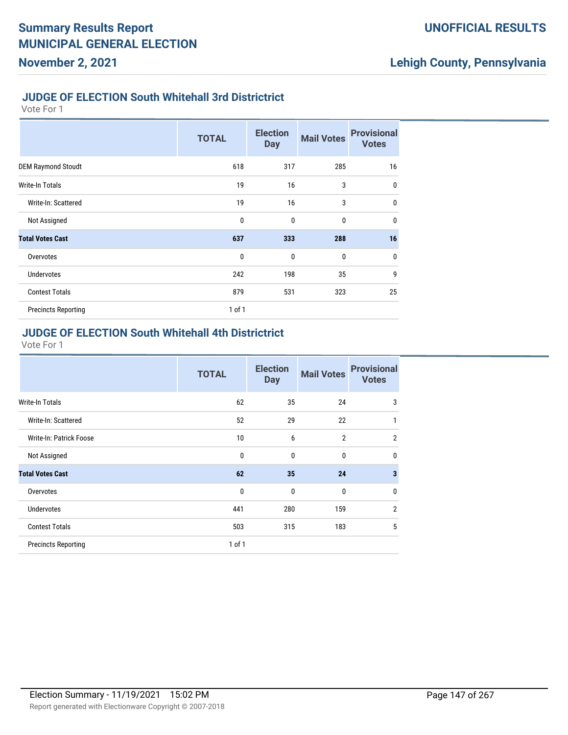#### **JUDGE OF ELECTION South Whitehall 3rd Districtrict**

Vote For 1

|                            | <b>TOTAL</b> | <b>Election</b><br><b>Day</b> | <b>Mail Votes</b> | <b>Provisional</b><br><b>Votes</b> |
|----------------------------|--------------|-------------------------------|-------------------|------------------------------------|
| <b>DEM Raymond Stoudt</b>  | 618          | 317                           | 285               | 16                                 |
| Write-In Totals            | 19           | 16                            | 3                 | $\mathbf{0}$                       |
| Write-In: Scattered        | 19           | 16                            | 3                 | $\mathbf{0}$                       |
| Not Assigned               | $\mathbf{0}$ | $\mathbf{0}$                  | $\mathbf 0$       | $\mathbf{0}$                       |
| <b>Total Votes Cast</b>    | 637          | 333                           | 288               | 16                                 |
| Overvotes                  | $\mathbf{0}$ | $\mathbf 0$                   | $\mathbf 0$       | $\mathbf{0}$                       |
| <b>Undervotes</b>          | 242          | 198                           | 35                | 9                                  |
| <b>Contest Totals</b>      | 879          | 531                           | 323               | 25                                 |
| <b>Precincts Reporting</b> | $1$ of $1$   |                               |                   |                                    |

## **JUDGE OF ELECTION South Whitehall 4th Districtrict**

|                            | <b>TOTAL</b> | <b>Election</b><br><b>Day</b> | <b>Mail Votes</b> | <b>Provisional</b><br><b>Votes</b> |
|----------------------------|--------------|-------------------------------|-------------------|------------------------------------|
| Write-In Totals            | 62           | 35                            | 24                | 3                                  |
| Write-In: Scattered        | 52           | 29                            | 22                | 1                                  |
| Write-In: Patrick Foose    | 10           | 6                             | $\overline{2}$    | $\overline{2}$                     |
| Not Assigned               | 0            | $\mathbf{0}$                  | $\mathbf{0}$      | $\mathbf{0}$                       |
| <b>Total Votes Cast</b>    | 62           | 35                            | 24                | $\mathbf{3}$                       |
| Overvotes                  | $\mathbf 0$  | $\mathbf{0}$                  | $\mathbf 0$       | $\mathbf{0}$                       |
| Undervotes                 | 441          | 280                           | 159               | $\overline{2}$                     |
| <b>Contest Totals</b>      | 503          | 315                           | 183               | 5                                  |
| <b>Precincts Reporting</b> | $1$ of $1$   |                               |                   |                                    |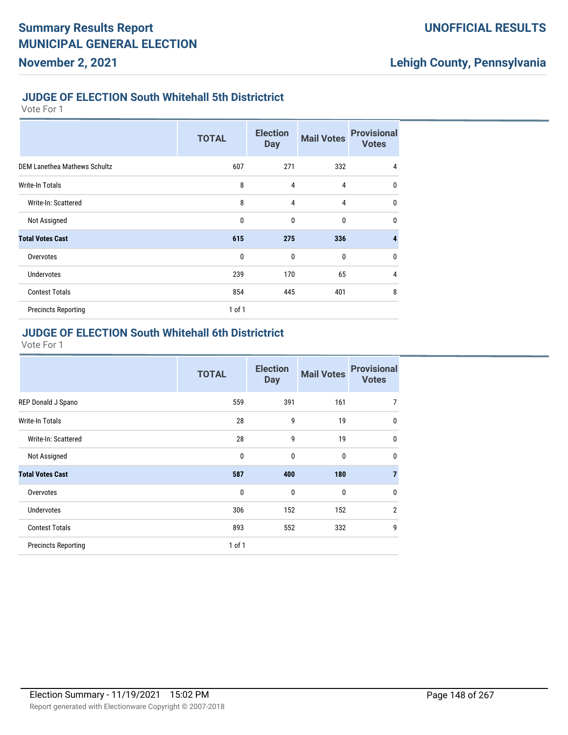#### **JUDGE OF ELECTION South Whitehall 5th Districtrict**

Vote For 1

**November 2, 2021**

|                                     | <b>TOTAL</b> | <b>Election</b><br><b>Day</b> | <b>Mail Votes</b> | <b>Provisional</b><br><b>Votes</b> |
|-------------------------------------|--------------|-------------------------------|-------------------|------------------------------------|
| <b>DEM Lanethea Mathews Schultz</b> | 607          | 271                           | 332               | 4                                  |
| Write-In Totals                     | 8            | 4                             | 4                 | $\mathbf{0}$                       |
| Write-In: Scattered                 | 8            | 4                             | 4                 | $\mathbf{0}$                       |
| Not Assigned                        | 0            | $\mathbf 0$                   | $\bf{0}$          | $\mathbf{0}$                       |
| <b>Total Votes Cast</b>             | 615          | 275                           | 336               | 4                                  |
| Overvotes                           | 0            | $\mathbf 0$                   | $\bf{0}$          | $\mathbf{0}$                       |
| <b>Undervotes</b>                   | 239          | 170                           | 65                | 4                                  |
| <b>Contest Totals</b>               | 854          | 445                           | 401               | 8                                  |
| <b>Precincts Reporting</b>          | $1$ of $1$   |                               |                   |                                    |

### **JUDGE OF ELECTION South Whitehall 6th Districtrict**

|                            | <b>TOTAL</b> | <b>Election</b><br><b>Day</b> | <b>Mail Votes</b> | <b>Provisional</b><br><b>Votes</b> |
|----------------------------|--------------|-------------------------------|-------------------|------------------------------------|
| REP Donald J Spano         | 559          | 391                           | 161               | 7                                  |
| Write-In Totals            | 28           | 9                             | 19                | $\mathbf 0$                        |
| Write-In: Scattered        | 28           | 9                             | 19                | $\mathbf 0$                        |
| Not Assigned               | 0            | 0                             | $\mathbf{0}$      | $\mathbf 0$                        |
| <b>Total Votes Cast</b>    | 587          | 400                           | 180               | $\overline{7}$                     |
| Overvotes                  | 0            | $\mathbf{0}$                  | $\mathbf{0}$      | $\mathbf{0}$                       |
| <b>Undervotes</b>          | 306          | 152                           | 152               | $\overline{2}$                     |
| <b>Contest Totals</b>      | 893          | 552                           | 332               | 9                                  |
| <b>Precincts Reporting</b> | $1$ of $1$   |                               |                   |                                    |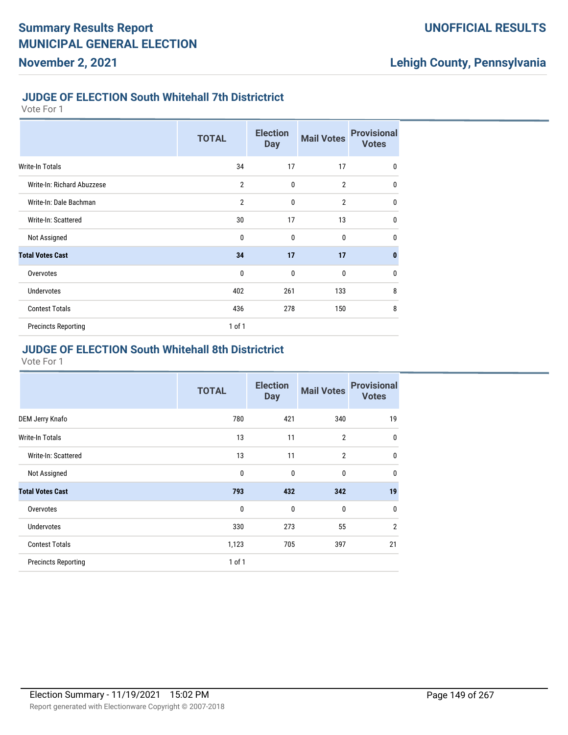#### **JUDGE OF ELECTION South Whitehall 7th Districtrict**

Vote For 1

|                            | <b>TOTAL</b>   | <b>Election</b><br><b>Day</b> | <b>Mail Votes</b> | <b>Provisional</b><br><b>Votes</b> |
|----------------------------|----------------|-------------------------------|-------------------|------------------------------------|
| Write-In Totals            | 34             | 17                            | 17                | $\mathbf{0}$                       |
| Write-In: Richard Abuzzese | $\overline{2}$ | $\mathbf 0$                   | $\overline{2}$    | $\mathbf{0}$                       |
| Write-In: Dale Bachman     | $\overline{2}$ | $\mathbf{0}$                  | $\overline{2}$    | $\mathbf{0}$                       |
| Write-In: Scattered        | 30             | 17                            | 13                | 0                                  |
| Not Assigned               | $\mathbf{0}$   | $\mathbf{0}$                  | $\mathbf{0}$      | $\mathbf{0}$                       |
| <b>Total Votes Cast</b>    | 34             | 17                            | 17                | $\mathbf{0}$                       |
| Overvotes                  | $\mathbf{0}$   | $\mathbf 0$                   | $\mathbf{0}$      | $\bf{0}$                           |
| <b>Undervotes</b>          | 402            | 261                           | 133               | 8                                  |
| <b>Contest Totals</b>      | 436            | 278                           | 150               | 8                                  |
| <b>Precincts Reporting</b> | $1$ of $1$     |                               |                   |                                    |

#### **JUDGE OF ELECTION South Whitehall 8th Districtrict**

|                            | <b>TOTAL</b> | <b>Election</b><br><b>Day</b> | <b>Mail Votes</b> | <b>Provisional</b><br><b>Votes</b> |
|----------------------------|--------------|-------------------------------|-------------------|------------------------------------|
| DEM Jerry Knafo            | 780          | 421                           | 340               | 19                                 |
| <b>Write-In Totals</b>     | 13           | 11                            | $\overline{2}$    | $\mathbf 0$                        |
| Write-In: Scattered        | 13           | 11                            | $\overline{2}$    | $\mathbf{0}$                       |
| Not Assigned               | 0            | 0                             | $\mathbf{0}$      | $\mathbf{0}$                       |
| <b>Total Votes Cast</b>    | 793          | 432                           | 342               | 19                                 |
| Overvotes                  | 0            | 0                             | $\bf{0}$          | $\mathbf{0}$                       |
| Undervotes                 | 330          | 273                           | 55                | $\overline{2}$                     |
| <b>Contest Totals</b>      | 1,123        | 705                           | 397               | 21                                 |
| <b>Precincts Reporting</b> | $1$ of $1$   |                               |                   |                                    |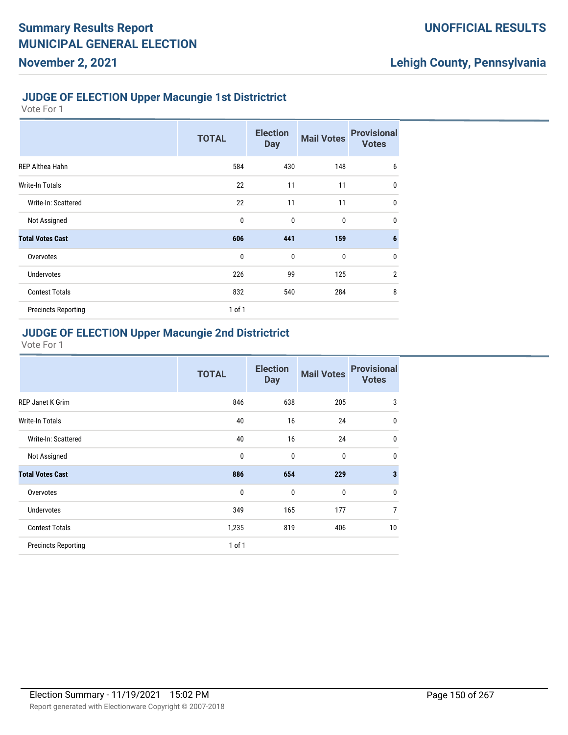#### **JUDGE OF ELECTION Upper Macungie 1st Districtrict**

Vote For 1

**November 2, 2021**

|                            | <b>TOTAL</b> | <b>Election</b><br><b>Day</b> | <b>Mail Votes</b> | <b>Provisional</b><br><b>Votes</b> |
|----------------------------|--------------|-------------------------------|-------------------|------------------------------------|
| <b>REP Althea Hahn</b>     | 584          | 430                           | 148               | 6                                  |
| Write-In Totals            | 22           | 11                            | 11                | $\mathbf{0}$                       |
| Write-In: Scattered        | 22           | 11                            | 11                | 0                                  |
| Not Assigned               | $\mathbf{0}$ | $\mathbf{0}$                  | $\bf{0}$          | 0                                  |
| <b>Total Votes Cast</b>    | 606          | 441                           | 159               | 6                                  |
| Overvotes                  | $\mathbf{0}$ | $\mathbf{0}$                  | $\mathbf 0$       | $\mathbf{0}$                       |
| <b>Undervotes</b>          | 226          | 99                            | 125               | $\overline{2}$                     |
| <b>Contest Totals</b>      | 832          | 540                           | 284               | 8                                  |
| <b>Precincts Reporting</b> | 1 of 1       |                               |                   |                                    |

## **JUDGE OF ELECTION Upper Macungie 2nd Districtrict**

|                            | <b>TOTAL</b> | <b>Election</b><br><b>Day</b> | <b>Mail Votes</b> | <b>Provisional</b><br><b>Votes</b> |
|----------------------------|--------------|-------------------------------|-------------------|------------------------------------|
| <b>REP Janet K Grim</b>    | 846          | 638                           | 205               | 3                                  |
| Write-In Totals            | 40           | 16                            | 24                | $\mathbf 0$                        |
| Write-In: Scattered        | 40           | 16                            | 24                | $\mathbf 0$                        |
| Not Assigned               | 0            | $\mathbf{0}$                  | $\mathbf{0}$      | $\mathbf 0$                        |
| <b>Total Votes Cast</b>    | 886          | 654                           | 229               | $\overline{\mathbf{3}}$            |
| Overvotes                  | 0            | $\mathbf{0}$                  | $\mathbf{0}$      | $\mathbf 0$                        |
| <b>Undervotes</b>          | 349          | 165                           | 177               | $\overline{7}$                     |
| <b>Contest Totals</b>      | 1,235        | 819                           | 406               | 10                                 |
| <b>Precincts Reporting</b> | $1$ of $1$   |                               |                   |                                    |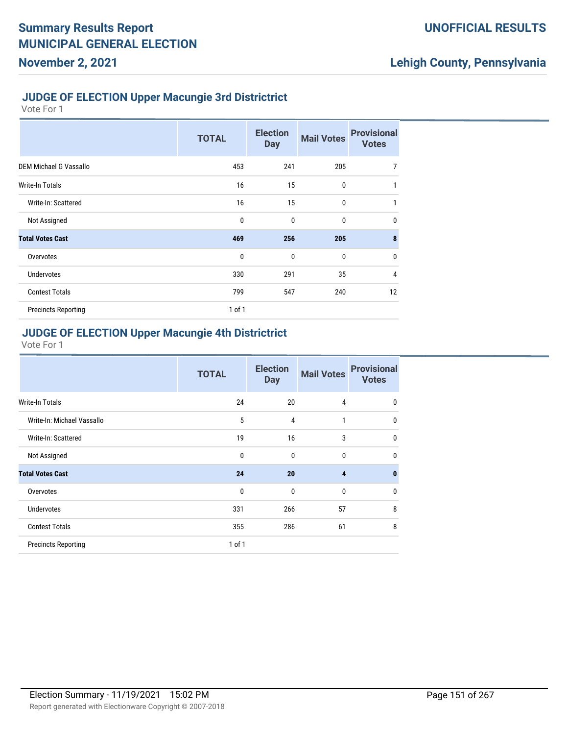#### **JUDGE OF ELECTION Upper Macungie 3rd Districtrict**

Vote For 1

**November 2, 2021**

|                            | <b>TOTAL</b> | <b>Election</b><br><b>Day</b> | <b>Mail Votes</b> | <b>Provisional</b><br><b>Votes</b> |
|----------------------------|--------------|-------------------------------|-------------------|------------------------------------|
| DEM Michael G Vassallo     | 453          | 241                           | 205               | $\overline{7}$                     |
| Write-In Totals            | 16           | 15                            | 0                 | 1                                  |
| Write-In: Scattered        | 16           | 15                            | 0                 | 1                                  |
| Not Assigned               | 0            | $\mathbf{0}$                  | 0                 | $\mathbf 0$                        |
| <b>Total Votes Cast</b>    | 469          | 256                           | 205               | 8                                  |
| Overvotes                  | 0            | $\mathbf{0}$                  | 0                 | $\mathbf 0$                        |
| <b>Undervotes</b>          | 330          | 291                           | 35                | $\overline{4}$                     |
| <b>Contest Totals</b>      | 799          | 547                           | 240               | 12                                 |
| <b>Precincts Reporting</b> | $1$ of $1$   |                               |                   |                                    |

## **JUDGE OF ELECTION Upper Macungie 4th Districtrict**

|                            | <b>TOTAL</b> | <b>Election</b><br><b>Day</b> | <b>Mail Votes</b> | <b>Provisional</b><br><b>Votes</b> |
|----------------------------|--------------|-------------------------------|-------------------|------------------------------------|
| Write-In Totals            | 24           | 20                            | 4                 | $\mathbf{0}$                       |
| Write-In: Michael Vassallo | 5            | $\overline{4}$                | 1                 | $\mathbf 0$                        |
| Write-In: Scattered        | 19           | 16                            | 3                 | $\mathbf{0}$                       |
| Not Assigned               | $\mathbf{0}$ | $\mathbf{0}$                  | $\mathbf{0}$      | $\mathbf{0}$                       |
| <b>Total Votes Cast</b>    | 24           | 20                            | $\overline{4}$    | $\mathbf{0}$                       |
| Overvotes                  | $\mathbf 0$  | $\mathbf{0}$                  | $\mathbf{0}$      | $\mathbf{0}$                       |
| <b>Undervotes</b>          | 331          | 266                           | 57                | 8                                  |
| <b>Contest Totals</b>      | 355          | 286                           | 61                | 8                                  |
| <b>Precincts Reporting</b> | $1$ of $1$   |                               |                   |                                    |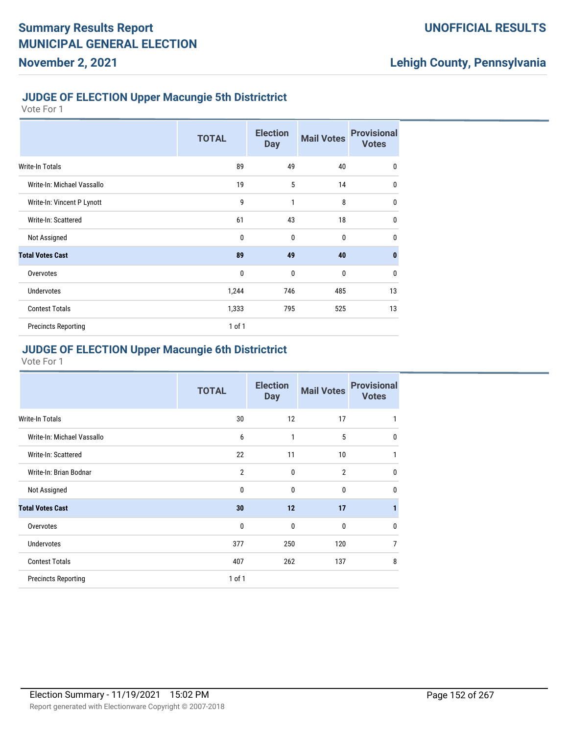#### **JUDGE OF ELECTION Upper Macungie 5th Districtrict**

Vote For 1

**November 2, 2021**

|                            | <b>TOTAL</b> | <b>Election</b><br><b>Day</b> | <b>Mail Votes</b> | <b>Provisional</b><br><b>Votes</b> |
|----------------------------|--------------|-------------------------------|-------------------|------------------------------------|
| Write-In Totals            | 89           | 49                            | 40                | $\mathbf 0$                        |
| Write-In: Michael Vassallo | 19           | 5                             | 14                | $\mathbf 0$                        |
| Write-In: Vincent P Lynott | 9            | 1                             | 8                 | $\mathbf{0}$                       |
| Write-In: Scattered        | 61           | 43                            | 18                | $\mathbf 0$                        |
| Not Assigned               | $\mathbf{0}$ | $\mathbf{0}$                  | $\mathbf{0}$      | $\mathbf{0}$                       |
| <b>Total Votes Cast</b>    | 89           | 49                            | 40                | $\mathbf{0}$                       |
| Overvotes                  | $\mathbf{0}$ | $\mathbf 0$                   | $\mathbf 0$       | $\mathbf{0}$                       |
| <b>Undervotes</b>          | 1,244        | 746                           | 485               | 13                                 |
| <b>Contest Totals</b>      | 1,333        | 795                           | 525               | 13                                 |
| <b>Precincts Reporting</b> | 1 of 1       |                               |                   |                                    |

### **JUDGE OF ELECTION Upper Macungie 6th Districtrict**

|                            | <b>TOTAL</b>   | <b>Election</b><br><b>Day</b> | <b>Mail Votes</b> | <b>Provisional</b><br><b>Votes</b> |
|----------------------------|----------------|-------------------------------|-------------------|------------------------------------|
| Write-In Totals            | 30             | 12                            | 17                |                                    |
| Write-In: Michael Vassallo | 6              | 1                             | 5                 | 0                                  |
| Write-In: Scattered        | 22             | 11                            | 10                |                                    |
| Write-In: Brian Bodnar     | $\overline{2}$ | 0                             | $\overline{2}$    | 0                                  |
| Not Assigned               | $\mathbf{0}$   | $\mathbf{0}$                  | $\mathbf{0}$      | 0                                  |
| <b>Total Votes Cast</b>    | 30             | 12                            | 17                |                                    |
| Overvotes                  | $\mathbf 0$    | 0                             | $\mathbf{0}$      | 0                                  |
| <b>Undervotes</b>          | 377            | 250                           | 120               | 7                                  |
| <b>Contest Totals</b>      | 407            | 262                           | 137               | 8                                  |
| <b>Precincts Reporting</b> | $1$ of $1$     |                               |                   |                                    |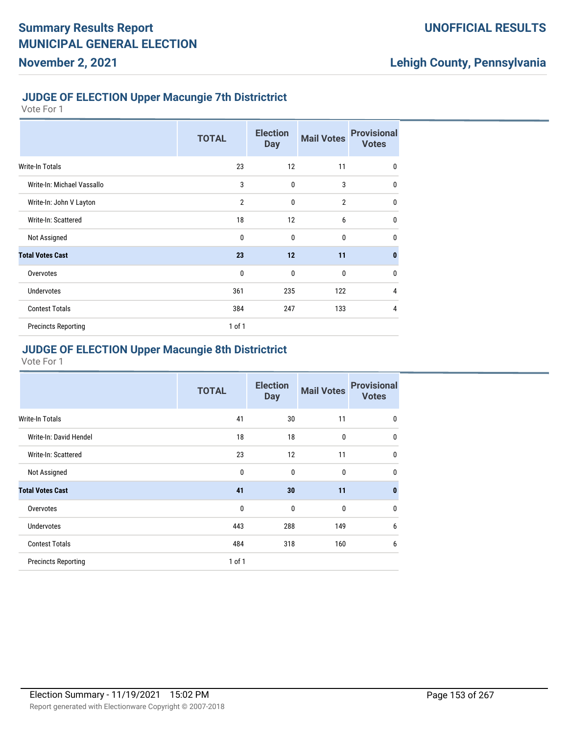#### **JUDGE OF ELECTION Upper Macungie 7th Districtrict**

Vote For 1

|                            | <b>TOTAL</b>   | <b>Election</b><br><b>Day</b> | <b>Mail Votes</b> | <b>Provisional</b><br><b>Votes</b> |
|----------------------------|----------------|-------------------------------|-------------------|------------------------------------|
| Write-In Totals            | 23             | 12                            | 11                | 0                                  |
| Write-In: Michael Vassallo | 3              | $\mathbf 0$                   | 3                 | $\mathbf{0}$                       |
| Write-In: John V Layton    | $\overline{2}$ | $\mathbf{0}$                  | $\overline{2}$    | $\mathbf{0}$                       |
| Write-In: Scattered        | 18             | 12                            | 6                 | $\mathbf{0}$                       |
| Not Assigned               | $\mathbf{0}$   | $\mathbf{0}$                  | $\mathbf{0}$      | $\mathbf{0}$                       |
| <b>Total Votes Cast</b>    | 23             | 12                            | 11                | $\bf{0}$                           |
| Overvotes                  | $\mathbf{0}$   | $\mathbf 0$                   | $\mathbf 0$       | $\mathbf{0}$                       |
| <b>Undervotes</b>          | 361            | 235                           | 122               | 4                                  |
| <b>Contest Totals</b>      | 384            | 247                           | 133               | 4                                  |
| <b>Precincts Reporting</b> | 1 of 1         |                               |                   |                                    |

## **JUDGE OF ELECTION Upper Macungie 8th Districtrict**

|                            | <b>TOTAL</b> | <b>Election</b><br><b>Day</b> | <b>Mail Votes</b> | <b>Provisional</b><br><b>Votes</b> |
|----------------------------|--------------|-------------------------------|-------------------|------------------------------------|
| Write-In Totals            | 41           | 30                            | 11                | 0                                  |
| Write-In: David Hendel     | 18           | 18                            | $\mathbf 0$       | $\mathbf 0$                        |
| Write-In: Scattered        | 23           | 12                            | 11                | $\mathbf 0$                        |
| Not Assigned               | $\mathbf{0}$ | $\mathbf{0}$                  | $\mathbf 0$       | $\mathbf{0}$                       |
| <b>Total Votes Cast</b>    | 41           | 30                            | 11                | $\bf{0}$                           |
| Overvotes                  | $\mathbf{0}$ | $\mathbf{0}$                  | $\mathbf{0}$      | 0                                  |
| <b>Undervotes</b>          | 443          | 288                           | 149               | 6                                  |
| <b>Contest Totals</b>      | 484          | 318                           | 160               | 6                                  |
| <b>Precincts Reporting</b> | $1$ of $1$   |                               |                   |                                    |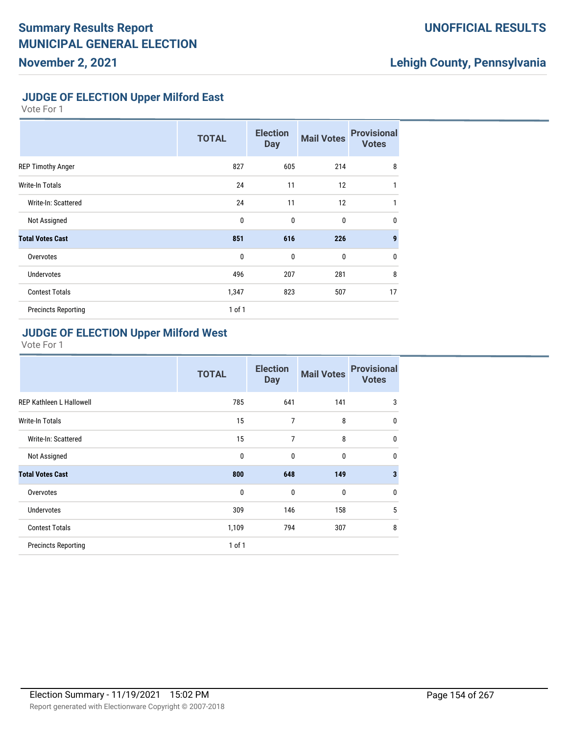## **UNOFFICIAL RESULTS**

# **Lehigh County, Pennsylvania**

#### **JUDGE OF ELECTION Upper Milford East**

Vote For 1

|                            | <b>TOTAL</b> | <b>Election</b><br><b>Day</b> | <b>Mail Votes</b> | <b>Provisional</b><br><b>Votes</b> |
|----------------------------|--------------|-------------------------------|-------------------|------------------------------------|
| <b>REP Timothy Anger</b>   | 827          | 605                           | 214               | 8                                  |
| Write-In Totals            | 24           | 11                            | 12                | 1                                  |
| Write-In: Scattered        | 24           | 11                            | 12                | 1                                  |
| Not Assigned               | $\mathbf{0}$ | $\mathbf{0}$                  | $\mathbf 0$       | $\mathbf{0}$                       |
| <b>Total Votes Cast</b>    | 851          | 616                           | 226               | $\boldsymbol{9}$                   |
| Overvotes                  | $\mathbf 0$  | $\mathbf{0}$                  | $\mathbf 0$       | $\mathbf{0}$                       |
| <b>Undervotes</b>          | 496          | 207                           | 281               | 8                                  |
| <b>Contest Totals</b>      | 1,347        | 823                           | 507               | 17                                 |
| <b>Precincts Reporting</b> | $1$ of $1$   |                               |                   |                                    |

### **JUDGE OF ELECTION Upper Milford West**

|                                 | <b>TOTAL</b> | <b>Election</b><br><b>Day</b> | <b>Mail Votes</b> | <b>Provisional</b><br><b>Votes</b> |
|---------------------------------|--------------|-------------------------------|-------------------|------------------------------------|
| <b>REP Kathleen L Hallowell</b> | 785          | 641                           | 141               | 3                                  |
| Write-In Totals                 | 15           | 7                             | 8                 | $\mathbf 0$                        |
| Write-In: Scattered             | 15           | 7                             | 8                 | $\mathbf{0}$                       |
| Not Assigned                    | $\mathbf{0}$ | $\mathbf{0}$                  | $\mathbf{0}$      | $\mathbf 0$                        |
| <b>Total Votes Cast</b>         | 800          | 648                           | 149               | $\overline{\mathbf{3}}$            |
| Overvotes                       | 0            | $\mathbf{0}$                  | $\mathbf 0$       | $\mathbf{0}$                       |
| <b>Undervotes</b>               | 309          | 146                           | 158               | 5                                  |
| <b>Contest Totals</b>           | 1,109        | 794                           | 307               | 8                                  |
| <b>Precincts Reporting</b>      | 1 of 1       |                               |                   |                                    |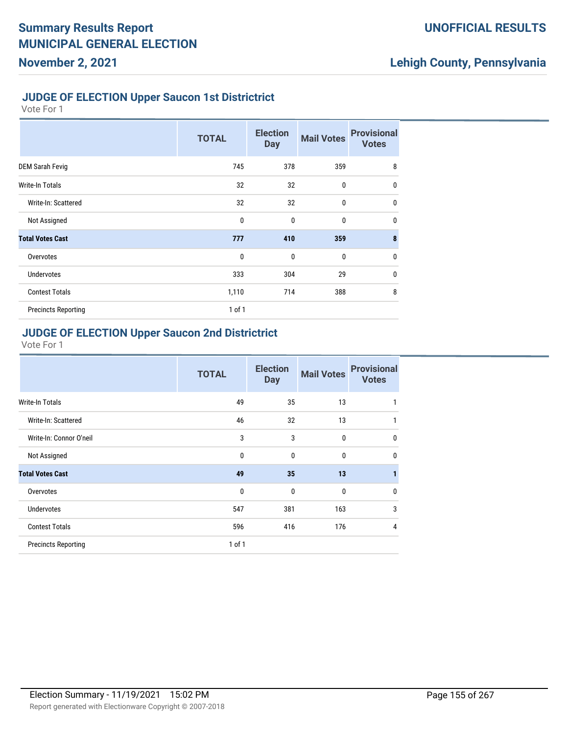#### **JUDGE OF ELECTION Upper Saucon 1st Districtrict**

Vote For 1

|                            | <b>TOTAL</b> | <b>Election</b><br><b>Day</b> | <b>Mail Votes</b> | <b>Provisional</b><br><b>Votes</b> |
|----------------------------|--------------|-------------------------------|-------------------|------------------------------------|
| DEM Sarah Fevig            | 745          | 378                           | 359               | 8                                  |
| Write-In Totals            | 32           | 32                            | 0                 | $\mathbf 0$                        |
| Write-In: Scattered        | 32           | 32                            | 0                 | $\mathbf 0$                        |
| Not Assigned               | $\mathbf 0$  | $\mathbf{0}$                  | $\mathbf{0}$      | $\mathbf 0$                        |
| <b>Total Votes Cast</b>    | 777          | 410                           | 359               | 8                                  |
| Overvotes                  | $\mathbf 0$  | $\mathbf{0}$                  | $\mathbf{0}$      | $\mathbf 0$                        |
| <b>Undervotes</b>          | 333          | 304                           | 29                | $\mathbf 0$                        |
| <b>Contest Totals</b>      | 1,110        | 714                           | 388               | 8                                  |
| <b>Precincts Reporting</b> | $1$ of $1$   |                               |                   |                                    |

## **JUDGE OF ELECTION Upper Saucon 2nd Districtrict**

|                            | <b>TOTAL</b> | <b>Election</b><br><b>Day</b> | <b>Mail Votes</b> | <b>Provisional</b><br><b>Votes</b> |
|----------------------------|--------------|-------------------------------|-------------------|------------------------------------|
| Write-In Totals            | 49           | 35                            | 13                | 1                                  |
| Write-In: Scattered        | 46           | 32                            | 13                | 1                                  |
| Write-In: Connor O'neil    | 3            | 3                             | $\mathbf 0$       | 0                                  |
| Not Assigned               | $\mathbf{0}$ | $\mathbf{0}$                  | $\mathbf{0}$      | $\mathbf 0$                        |
| <b>Total Votes Cast</b>    | 49           | 35                            | 13                | $\mathbf{1}$                       |
| Overvotes                  | $\mathbf 0$  | 0                             | $\mathbf{0}$      | $\mathbf{0}$                       |
| <b>Undervotes</b>          | 547          | 381                           | 163               | 3                                  |
| <b>Contest Totals</b>      | 596          | 416                           | 176               | 4                                  |
| <b>Precincts Reporting</b> | 1 of 1       |                               |                   |                                    |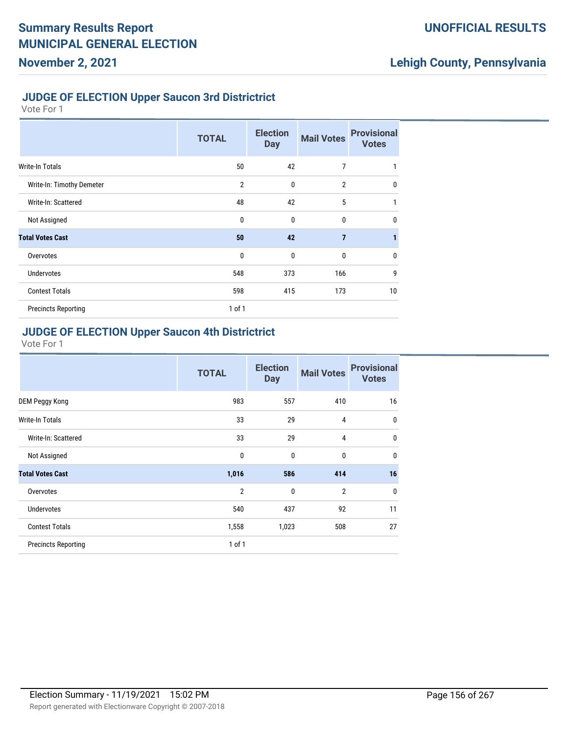#### **JUDGE OF ELECTION Upper Saucon 3rd Districtrict**

Vote For 1

|                            | <b>TOTAL</b>   | <b>Election</b><br><b>Day</b> | <b>Mail Votes</b> | <b>Provisional</b><br><b>Votes</b> |
|----------------------------|----------------|-------------------------------|-------------------|------------------------------------|
| Write-In Totals            | 50             | 42                            | 7                 | 1                                  |
| Write-In: Timothy Demeter  | $\overline{2}$ | $\mathbf{0}$                  | $\overline{2}$    | $\mathbf{0}$                       |
| Write-In: Scattered        | 48             | 42                            | 5                 | 1                                  |
| Not Assigned               | 0              | $\mathbf{0}$                  | $\mathbf{0}$      | $\mathbf 0$                        |
| <b>Total Votes Cast</b>    | 50             | 42                            | $\overline{7}$    |                                    |
| Overvotes                  | 0              | $\mathbf{0}$                  | $\mathbf{0}$      | $\mathbf 0$                        |
| <b>Undervotes</b>          | 548            | 373                           | 166               | 9                                  |
| <b>Contest Totals</b>      | 598            | 415                           | 173               | 10                                 |
| <b>Precincts Reporting</b> | $1$ of $1$     |                               |                   |                                    |

#### **JUDGE OF ELECTION Upper Saucon 4th Districtrict**

|                            | <b>TOTAL</b>   | <b>Election</b><br><b>Day</b> | <b>Mail Votes</b> | <b>Provisional</b><br><b>Votes</b> |
|----------------------------|----------------|-------------------------------|-------------------|------------------------------------|
| DEM Peggy Kong             | 983            | 557                           | 410               | 16                                 |
| <b>Write-In Totals</b>     | 33             | 29                            | 4                 | $\mathbf 0$                        |
| Write-In: Scattered        | 33             | 29                            | 4                 | $\mathbf 0$                        |
| Not Assigned               | 0              | $\mathbf{0}$                  | 0                 | $\mathbf 0$                        |
| <b>Total Votes Cast</b>    | 1,016          | 586                           | 414               | 16                                 |
| Overvotes                  | $\overline{2}$ | $\mathbf{0}$                  | $\overline{2}$    | $\mathbf 0$                        |
| <b>Undervotes</b>          | 540            | 437                           | 92                | 11                                 |
| <b>Contest Totals</b>      | 1,558          | 1,023                         | 508               | 27                                 |
| <b>Precincts Reporting</b> | $1$ of $1$     |                               |                   |                                    |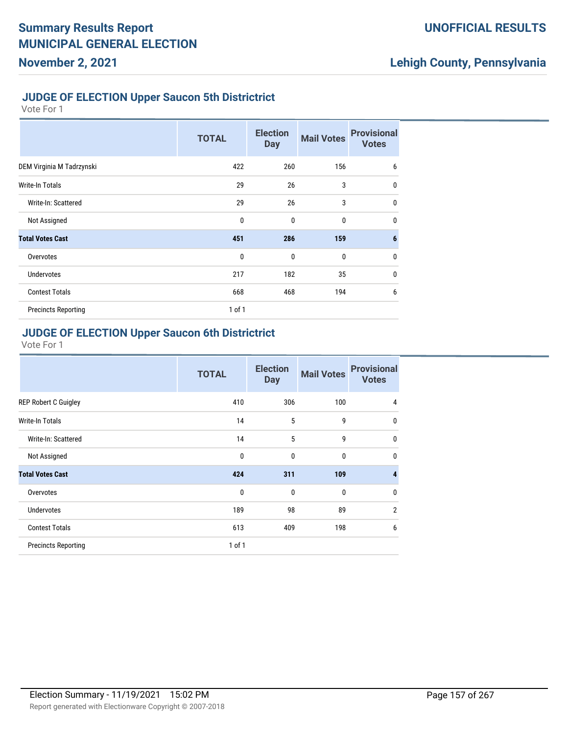#### **JUDGE OF ELECTION Upper Saucon 5th Districtrict**

Vote For 1

|                            | <b>TOTAL</b> | <b>Election</b><br><b>Day</b> | <b>Mail Votes</b> | <b>Provisional</b><br><b>Votes</b> |
|----------------------------|--------------|-------------------------------|-------------------|------------------------------------|
| DEM Virginia M Tadrzynski  | 422          | 260                           | 156               | 6                                  |
| Write-In Totals            | 29           | 26                            | 3                 | $\mathbf 0$                        |
| Write-In: Scattered        | 29           | 26                            | 3                 | $\mathbf 0$                        |
| Not Assigned               | 0            | $\mathbf{0}$                  | $\mathbf 0$       | $\mathbf{0}$                       |
| <b>Total Votes Cast</b>    | 451          | 286                           | 159               | $6\phantom{1}6$                    |
| Overvotes                  | $\mathbf{0}$ | $\mathbf{0}$                  | $\mathbf 0$       | $\mathbf 0$                        |
| <b>Undervotes</b>          | 217          | 182                           | 35                | $\mathbf 0$                        |
| <b>Contest Totals</b>      | 668          | 468                           | 194               | 6                                  |
| <b>Precincts Reporting</b> | 1 of 1       |                               |                   |                                    |

## **JUDGE OF ELECTION Upper Saucon 6th Districtrict**

|                             | <b>TOTAL</b> | <b>Election</b><br><b>Day</b> | <b>Mail Votes</b> | <b>Provisional</b><br><b>Votes</b> |
|-----------------------------|--------------|-------------------------------|-------------------|------------------------------------|
| <b>REP Robert C Guigley</b> | 410          | 306                           | 100               | 4                                  |
| <b>Write-In Totals</b>      | 14           | 5                             | 9                 | $\mathbf 0$                        |
| Write-In: Scattered         | 14           | 5                             | 9                 | $\mathbf 0$                        |
| Not Assigned                | $\mathbf 0$  | $\mathbf{0}$                  | 0                 | $\mathbf 0$                        |
| <b>Total Votes Cast</b>     | 424          | 311                           | 109               | $\overline{4}$                     |
| Overvotes                   | $\mathbf{0}$ | $\mathbf{0}$                  | 0                 | $\mathbf{0}$                       |
| <b>Undervotes</b>           | 189          | 98                            | 89                | $\overline{2}$                     |
| <b>Contest Totals</b>       | 613          | 409                           | 198               | 6                                  |
| <b>Precincts Reporting</b>  | $1$ of $1$   |                               |                   |                                    |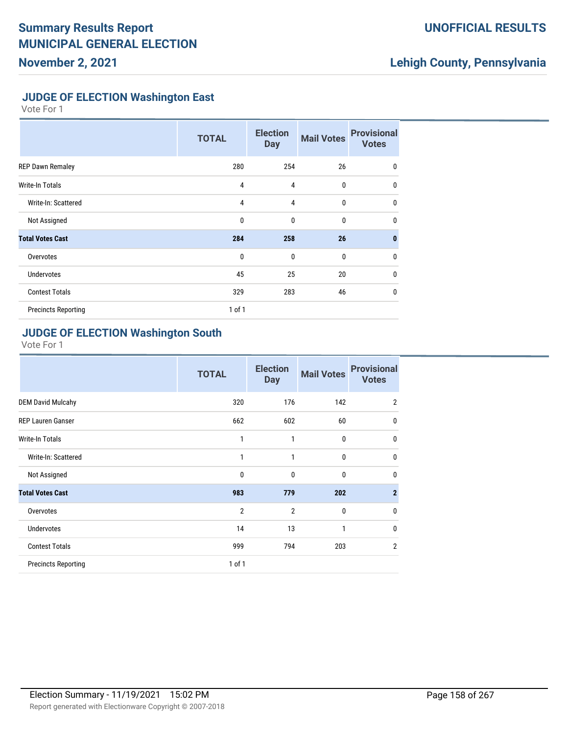## **UNOFFICIAL RESULTS**

# **Lehigh County, Pennsylvania**

#### **JUDGE OF ELECTION Washington East**

Vote For 1

|                            | <b>TOTAL</b>   | <b>Election</b><br><b>Day</b> | <b>Mail Votes</b> | <b>Provisional</b><br><b>Votes</b> |
|----------------------------|----------------|-------------------------------|-------------------|------------------------------------|
| <b>REP Dawn Remaley</b>    | 280            | 254                           | 26                | 0                                  |
| Write-In Totals            | 4              | 4                             | 0                 | $\mathbf{0}$                       |
| Write-In: Scattered        | $\overline{4}$ | 4                             | 0                 | $\mathbf 0$                        |
| Not Assigned               | 0              | 0                             | 0                 | $\mathbf{0}$                       |
| <b>Total Votes Cast</b>    | 284            | 258                           | 26                | $\mathbf{0}$                       |
| Overvotes                  | $\mathbf{0}$   | $\mathbf 0$                   | 0                 | $\mathbf 0$                        |
| <b>Undervotes</b>          | 45             | 25                            | 20                | $\mathbf{0}$                       |
| <b>Contest Totals</b>      | 329            | 283                           | 46                | $\mathbf 0$                        |
| <b>Precincts Reporting</b> | $1$ of $1$     |                               |                   |                                    |

### **JUDGE OF ELECTION Washington South**

|                            | <b>TOTAL</b>   | <b>Election</b><br><b>Day</b> | <b>Mail Votes</b> | <b>Provisional</b><br><b>Votes</b> |
|----------------------------|----------------|-------------------------------|-------------------|------------------------------------|
| <b>DEM David Mulcahy</b>   | 320            | 176                           | 142               | $\overline{2}$                     |
| <b>REP Lauren Ganser</b>   | 662            | 602                           | 60                | $\mathbf{0}$                       |
| <b>Write-In Totals</b>     | 1              | 1                             | $\bf{0}$          | $\mathbf 0$                        |
| Write-In: Scattered        | 1              | 1                             | $\mathbf{0}$      | $\mathbf{0}$                       |
| Not Assigned               | 0              | $\mathbf{0}$                  | $\mathbf{0}$      | $\mathbf{0}$                       |
| <b>Total Votes Cast</b>    | 983            | 779                           | 202               | $\overline{2}$                     |
| Overvotes                  | $\overline{2}$ | $\overline{2}$                | $\mathbf{0}$      | $\mathbf{0}$                       |
| <b>Undervotes</b>          | 14             | 13                            | $\mathbf{1}$      | $\mathbf{0}$                       |
| <b>Contest Totals</b>      | 999            | 794                           | 203               | $\overline{2}$                     |
| <b>Precincts Reporting</b> | $1$ of $1$     |                               |                   |                                    |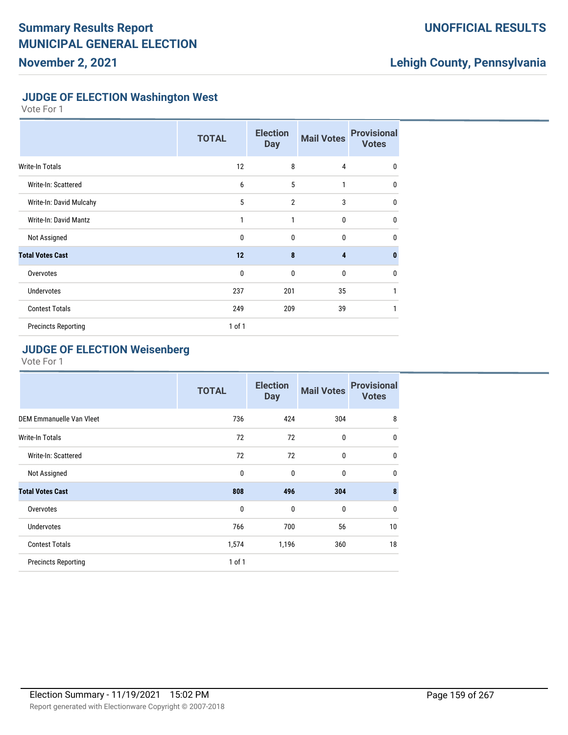## **UNOFFICIAL RESULTS**

# **Lehigh County, Pennsylvania**

#### **JUDGE OF ELECTION Washington West**

Vote For 1

|                              | <b>TOTAL</b> | <b>Election</b><br><b>Day</b> | <b>Mail Votes</b> | <b>Provisional</b><br><b>Votes</b> |
|------------------------------|--------------|-------------------------------|-------------------|------------------------------------|
| <b>Write-In Totals</b>       | 12           | 8                             | 4                 | 0                                  |
| Write-In: Scattered          | 6            | 5                             | 1                 | $\mathbf{0}$                       |
| Write-In: David Mulcahy      | 5            | $\overline{2}$                | 3                 | $\mathbf{0}$                       |
| <b>Write-In: David Mantz</b> | 1            | 1                             | $\mathbf{0}$      | $\mathbf{0}$                       |
| Not Assigned                 | $\mathbf{0}$ | $\mathbf{0}$                  | 0                 | 0                                  |
| <b>Total Votes Cast</b>      | 12           | 8                             | 4                 | $\bf{0}$                           |
| Overvotes                    | $\mathbf{0}$ | $\mathbf{0}$                  | 0                 | 0                                  |
| <b>Undervotes</b>            | 237          | 201                           | 35                | 1                                  |
| <b>Contest Totals</b>        | 249          | 209                           | 39                | 1                                  |
| <b>Precincts Reporting</b>   | 1 of 1       |                               |                   |                                    |

## **JUDGE OF ELECTION Weisenberg**

|                            | <b>TOTAL</b> | <b>Election</b><br><b>Day</b> | <b>Mail Votes</b> | <b>Provisional</b><br><b>Votes</b> |
|----------------------------|--------------|-------------------------------|-------------------|------------------------------------|
| DEM Emmanuelle Van Vleet   | 736          | 424                           | 304               | 8                                  |
| <b>Write-In Totals</b>     | 72           | 72                            | $\mathbf{0}$      | $\mathbf{0}$                       |
| Write-In: Scattered        | 72           | 72                            | $\bf{0}$          | $\mathbf{0}$                       |
| Not Assigned               | 0            | 0                             | $\bf{0}$          | $\mathbf{0}$                       |
| <b>Total Votes Cast</b>    | 808          | 496                           | 304               | 8                                  |
| Overvotes                  | 0            | 0                             | $\mathbf{0}$      | $\mathbf{0}$                       |
| <b>Undervotes</b>          | 766          | 700                           | 56                | 10                                 |
| <b>Contest Totals</b>      | 1,574        | 1,196                         | 360               | 18                                 |
| <b>Precincts Reporting</b> | $1$ of $1$   |                               |                   |                                    |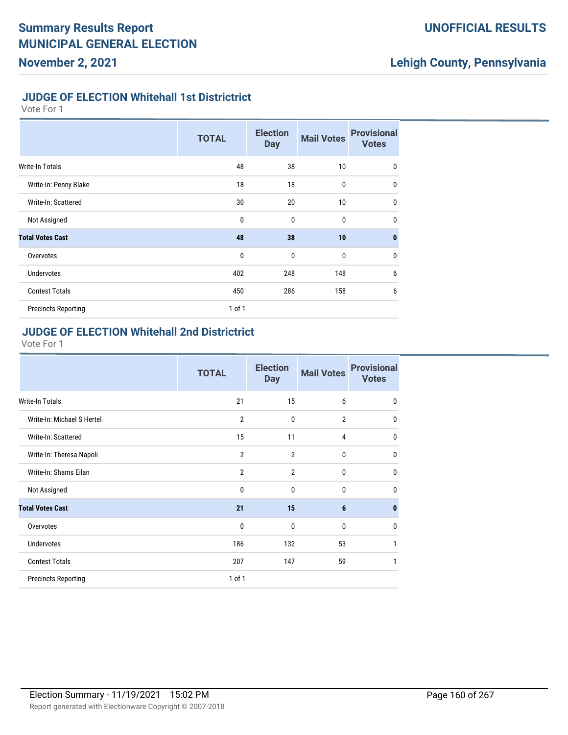## **UNOFFICIAL RESULTS**

# **Lehigh County, Pennsylvania**

### **JUDGE OF ELECTION Whitehall 1st Districtrict**

Vote For 1

|                            | <b>TOTAL</b> | <b>Election</b><br><b>Day</b> | <b>Mail Votes</b> | <b>Provisional</b><br><b>Votes</b> |
|----------------------------|--------------|-------------------------------|-------------------|------------------------------------|
| <b>Write-In Totals</b>     | 48           | 38                            | 10                | $\mathbf 0$                        |
| Write-In: Penny Blake      | 18           | 18                            | $\bf{0}$          | $\mathbf 0$                        |
| Write-In: Scattered        | 30           | 20                            | 10                | $\mathbf 0$                        |
| Not Assigned               | $\mathbf 0$  | $\mathbf{0}$                  | $\mathbf{0}$      | $\mathbf 0$                        |
| <b>Total Votes Cast</b>    | 48           | 38                            | 10                | $\mathbf{0}$                       |
| Overvotes                  | $\mathbf 0$  | $\mathbf{0}$                  | $\mathbf{0}$      | $\mathbf 0$                        |
| <b>Undervotes</b>          | 402          | 248                           | 148               | 6                                  |
| <b>Contest Totals</b>      | 450          | 286                           | 158               | 6                                  |
| <b>Precincts Reporting</b> | $1$ of $1$   |                               |                   |                                    |

#### **JUDGE OF ELECTION Whitehall 2nd Districtrict**

| <b>TOTAL</b>   | <b>Election</b><br><b>Day</b> | <b>Mail Votes</b> | <b>Provisional</b><br><b>Votes</b> |
|----------------|-------------------------------|-------------------|------------------------------------|
| 21             | 15                            | 6                 | $\mathbf 0$                        |
| $\overline{2}$ | 0                             | $\overline{2}$    | $\mathbf{0}$                       |
| 15             | 11                            | $\overline{4}$    | $\mathbf 0$                        |
| $\overline{2}$ | $\overline{2}$                | $\mathbf{0}$      | 0                                  |
| $\overline{2}$ | $\overline{2}$                | $\mathbf 0$       | $\mathbf{0}$                       |
| $\mathbf{0}$   | 0                             | $\mathbf 0$       | $\mathbf{0}$                       |
| 21             | 15                            | $6\phantom{1}6$   | $\bf{0}$                           |
| $\mathbf{0}$   | $\mathbf{0}$                  | $\mathbf{0}$      | $\mathbf{0}$                       |
| 186            | 132                           | 53                | 1                                  |
| 207            | 147                           | 59                | 1                                  |
| $1$ of $1$     |                               |                   |                                    |
|                |                               |                   |                                    |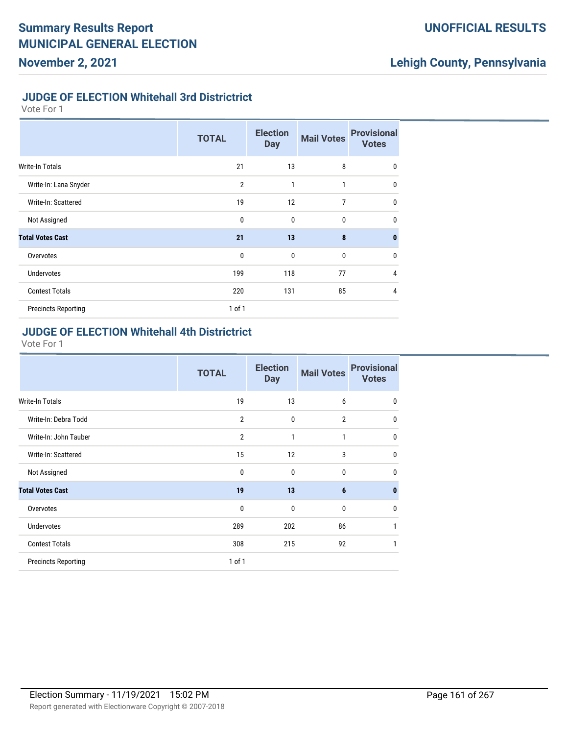## **UNOFFICIAL RESULTS**

# **Lehigh County, Pennsylvania**

## **JUDGE OF ELECTION Whitehall 3rd Districtrict**

Vote For 1

|                            | <b>TOTAL</b>   | <b>Election</b><br><b>Day</b> | <b>Mail Votes</b> | <b>Provisional</b><br><b>Votes</b> |
|----------------------------|----------------|-------------------------------|-------------------|------------------------------------|
| Write-In Totals            | 21             | 13                            | 8                 | $\mathbf 0$                        |
| Write-In: Lana Snyder      | $\overline{2}$ | $\mathbf{1}$                  | $\mathbf{1}$      | $\mathbf{0}$                       |
| Write-In: Scattered        | 19             | 12                            | 7                 | $\mathbf{0}$                       |
| Not Assigned               | $\mathbf{0}$   | $\mathbf 0$                   | $\bf{0}$          | $\mathbf{0}$                       |
| <b>Total Votes Cast</b>    | 21             | 13                            | 8                 | $\mathbf{0}$                       |
| Overvotes                  | $\mathbf{0}$   | $\mathbf 0$                   | $\bf{0}$          | $\mathbf{0}$                       |
| <b>Undervotes</b>          | 199            | 118                           | 77                | 4                                  |
| <b>Contest Totals</b>      | 220            | 131                           | 85                | $\overline{4}$                     |
| <b>Precincts Reporting</b> | 1 of 1         |                               |                   |                                    |

#### **JUDGE OF ELECTION Whitehall 4th Districtrict**

|                            | <b>TOTAL</b>   | <b>Election</b><br><b>Day</b> | <b>Mail Votes</b> | <b>Provisional</b><br><b>Votes</b> |
|----------------------------|----------------|-------------------------------|-------------------|------------------------------------|
| Write-In Totals            | 19             | 13                            | 6                 | $\mathbf 0$                        |
| Write-In: Debra Todd       | $\overline{2}$ | $\mathbf{0}$                  | $\overline{2}$    | $\mathbf 0$                        |
| Write-In: John Tauber      | $\overline{2}$ | 1                             | 1                 | $\mathbf 0$                        |
| Write-In: Scattered        | 15             | 12                            | 3                 | $\mathbf 0$                        |
| Not Assigned               | 0              | $\mathbf{0}$                  | 0                 | $\mathbf 0$                        |
| <b>Total Votes Cast</b>    | 19             | 13                            | $6\phantom{1}6$   | $\mathbf{0}$                       |
| Overvotes                  | 0              | 0                             | 0                 | $\mathbf 0$                        |
| <b>Undervotes</b>          | 289            | 202                           | 86                | 1                                  |
| <b>Contest Totals</b>      | 308            | 215                           | 92                | 1                                  |
| <b>Precincts Reporting</b> | $1$ of $1$     |                               |                   |                                    |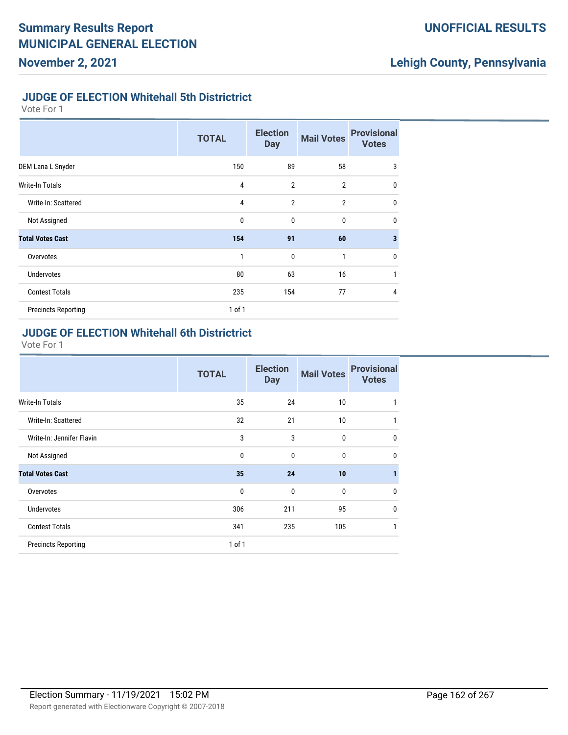## **UNOFFICIAL RESULTS**

# **Lehigh County, Pennsylvania**

#### **JUDGE OF ELECTION Whitehall 5th Districtrict**

Vote For 1

|                            | <b>TOTAL</b>   | <b>Election</b><br><b>Day</b> | <b>Mail Votes</b> | <b>Provisional</b><br><b>Votes</b> |
|----------------------------|----------------|-------------------------------|-------------------|------------------------------------|
| DEM Lana L Snyder          | 150            | 89                            | 58                | 3                                  |
| <b>Write-In Totals</b>     | $\overline{4}$ | $\overline{2}$                | $\overline{2}$    | $\mathbf 0$                        |
| Write-In: Scattered        | $\overline{4}$ | $\overline{2}$                | $\overline{2}$    | $\mathbf 0$                        |
| Not Assigned               | $\mathbf 0$    | $\mathbf{0}$                  | $\mathbf{0}$      | $\mathbf 0$                        |
| <b>Total Votes Cast</b>    | 154            | 91                            | 60                | $\overline{\mathbf{3}}$            |
| Overvotes                  | 1              | $\mathbf{0}$                  | 1                 | $\mathbf 0$                        |
| <b>Undervotes</b>          | 80             | 63                            | 16                | 1                                  |
| <b>Contest Totals</b>      | 235            | 154                           | 77                | $\overline{4}$                     |
| <b>Precincts Reporting</b> | 1 of 1         |                               |                   |                                    |

### **JUDGE OF ELECTION Whitehall 6th Districtrict**

|                            | <b>TOTAL</b> | <b>Election</b><br><b>Day</b> | <b>Mail Votes</b> | <b>Provisional</b><br><b>Votes</b> |
|----------------------------|--------------|-------------------------------|-------------------|------------------------------------|
| <b>Write-In Totals</b>     | 35           | 24                            | 10                | 1                                  |
| Write-In: Scattered        | 32           | 21                            | 10                | 1                                  |
| Write-In: Jennifer Flavin  | 3            | 3                             | 0                 | $\mathbf 0$                        |
| Not Assigned               | 0            | $\mathbf{0}$                  | 0                 | $\mathbf 0$                        |
| <b>Total Votes Cast</b>    | 35           | 24                            | 10                | 1                                  |
| Overvotes                  | 0            | 0                             | 0                 | $\mathbf 0$                        |
| <b>Undervotes</b>          | 306          | 211                           | 95                | $\mathbf{0}$                       |
| <b>Contest Totals</b>      | 341          | 235                           | 105               | 1                                  |
| <b>Precincts Reporting</b> | 1 of 1       |                               |                   |                                    |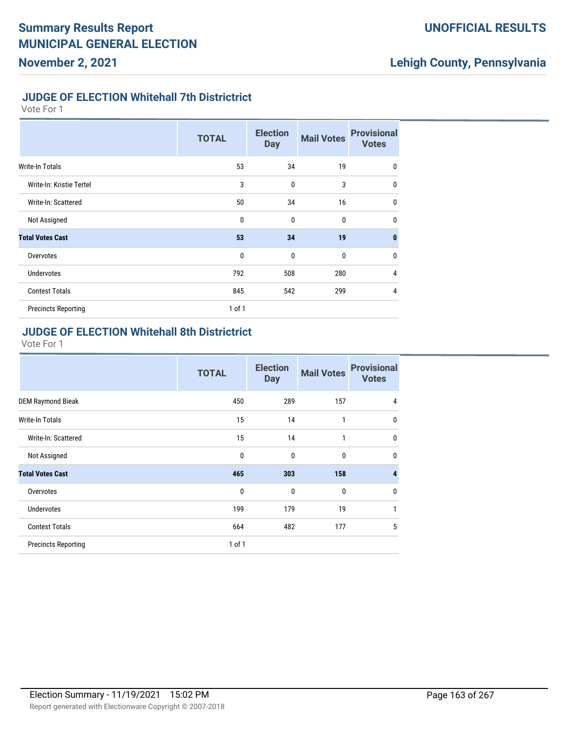## **UNOFFICIAL RESULTS**

# **Lehigh County, Pennsylvania**

## **JUDGE OF ELECTION Whitehall 7th Districtrict**

Vote For 1

|                            | <b>TOTAL</b> | <b>Election</b><br><b>Day</b> | <b>Mail Votes</b> | <b>Provisional</b><br><b>Votes</b> |
|----------------------------|--------------|-------------------------------|-------------------|------------------------------------|
| <b>Write-In Totals</b>     | 53           | 34                            | 19                | 0                                  |
| Write-In: Kristie Tertel   | 3            | $\mathbf{0}$                  | 3                 | $\mathbf 0$                        |
| Write-In: Scattered        | 50           | 34                            | 16                | 0                                  |
| Not Assigned               | 0            | $\mathbf{0}$                  | 0                 | $\mathbf 0$                        |
| <b>Total Votes Cast</b>    | 53           | 34                            | 19                | $\mathbf{0}$                       |
| Overvotes                  | 0            | 0                             | 0                 | $\mathbf 0$                        |
| <b>Undervotes</b>          | 792          | 508                           | 280               | 4                                  |
| <b>Contest Totals</b>      | 845          | 542                           | 299               | 4                                  |
| <b>Precincts Reporting</b> | 1 of 1       |                               |                   |                                    |

#### **JUDGE OF ELECTION Whitehall 8th Districtrict**

|                            | <b>TOTAL</b> | <b>Election</b><br><b>Day</b> | <b>Mail Votes</b> | <b>Provisional</b><br><b>Votes</b> |
|----------------------------|--------------|-------------------------------|-------------------|------------------------------------|
| <b>DEM Raymond Bieak</b>   | 450          | 289                           | 157               | 4                                  |
| <b>Write-In Totals</b>     | 15           | 14                            | $\mathbf{1}$      | $\mathbf 0$                        |
| Write-In: Scattered        | 15           | 14                            | 1                 | $\mathbf 0$                        |
| Not Assigned               | 0            | $\mathbf{0}$                  | 0                 | $\mathbf 0$                        |
| <b>Total Votes Cast</b>    | 465          | 303                           | 158               | $\overline{4}$                     |
| Overvotes                  | $\mathbf{0}$ | $\mathbf{0}$                  | $\mathbf{0}$      | $\mathbf 0$                        |
| <b>Undervotes</b>          | 199          | 179                           | 19                | 1                                  |
| <b>Contest Totals</b>      | 664          | 482                           | 177               | 5                                  |
| <b>Precincts Reporting</b> | 1 of 1       |                               |                   |                                    |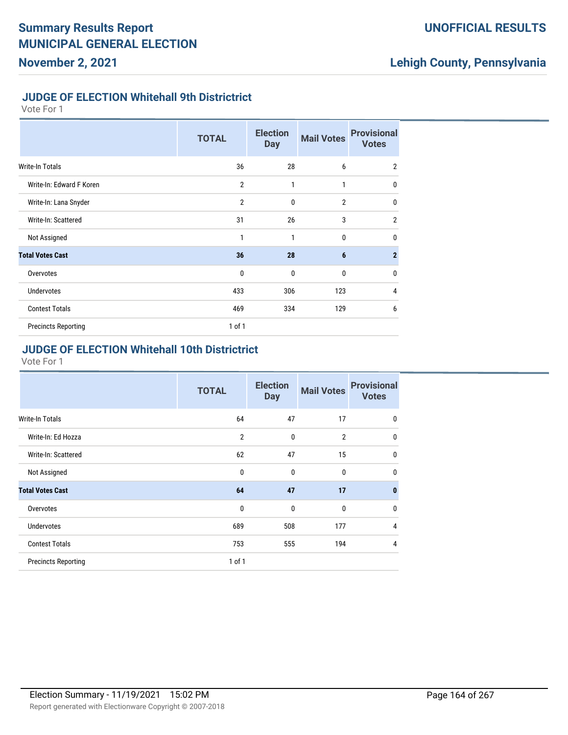## **UNOFFICIAL RESULTS**

# **Lehigh County, Pennsylvania**

#### **JUDGE OF ELECTION Whitehall 9th Districtrict**

Vote For 1

|                            | <b>TOTAL</b>   | <b>Election</b><br><b>Day</b> | <b>Mail Votes</b> | <b>Provisional</b><br><b>Votes</b> |
|----------------------------|----------------|-------------------------------|-------------------|------------------------------------|
| Write-In Totals            | 36             | 28                            | 6                 | $\overline{2}$                     |
| Write-In: Edward F Koren   | $\overline{2}$ | 1                             | 1                 | $\mathbf{0}$                       |
| Write-In: Lana Snyder      | $\overline{2}$ | $\mathbf{0}$                  | $\overline{2}$    | $\mathbf{0}$                       |
| Write-In: Scattered        | 31             | 26                            | 3                 | $\overline{2}$                     |
| Not Assigned               | 1              | 1                             | $\Omega$          | $\mathbf 0$                        |
| <b>Total Votes Cast</b>    | 36             | 28                            | 6                 | $\overline{2}$                     |
| Overvotes                  | $\mathbf{0}$   | $\mathbf{0}$                  | $\mathbf 0$       | $\mathbf 0$                        |
| <b>Undervotes</b>          | 433            | 306                           | 123               | $\overline{4}$                     |
| <b>Contest Totals</b>      | 469            | 334                           | 129               | 6                                  |
| <b>Precincts Reporting</b> | $1$ of $1$     |                               |                   |                                    |

#### **JUDGE OF ELECTION Whitehall 10th Districtrict**

|                            | <b>TOTAL</b>   | <b>Election</b><br><b>Day</b> | <b>Mail Votes</b> | <b>Provisional</b><br><b>Votes</b> |
|----------------------------|----------------|-------------------------------|-------------------|------------------------------------|
| <b>Write-In Totals</b>     | 64             | 47                            | 17                | 0                                  |
| Write-In: Ed Hozza         | $\overline{2}$ | $\mathbf{0}$                  | $\overline{2}$    | 0                                  |
| Write-In: Scattered        | 62             | 47                            | 15                | 0                                  |
| Not Assigned               | $\mathbf 0$    | $\mathbf 0$                   | 0                 | $\mathbf 0$                        |
| <b>Total Votes Cast</b>    | 64             | 47                            | 17                | $\bf{0}$                           |
| Overvotes                  | $\mathbf{0}$   | $\mathbf{0}$                  | 0                 | $\mathbf 0$                        |
| Undervotes                 | 689            | 508                           | 177               | 4                                  |
| <b>Contest Totals</b>      | 753            | 555                           | 194               | 4                                  |
| <b>Precincts Reporting</b> | $1$ of $1$     |                               |                   |                                    |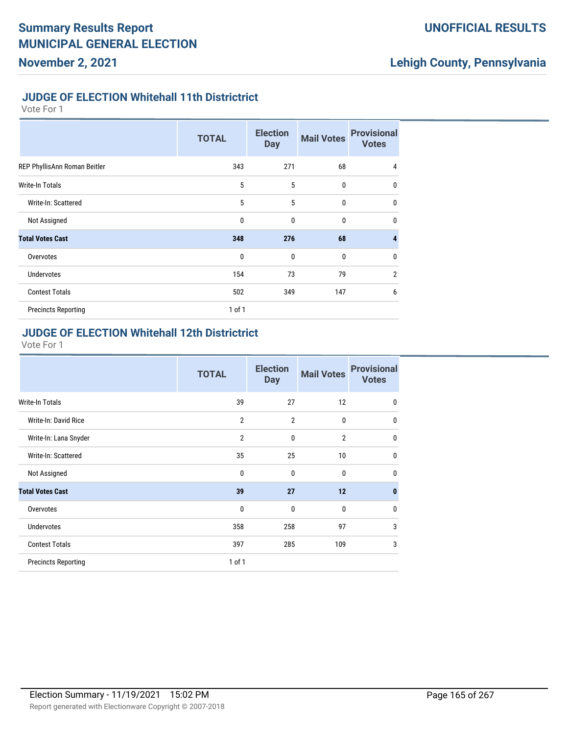## **UNOFFICIAL RESULTS**

# **Lehigh County, Pennsylvania**

#### **JUDGE OF ELECTION Whitehall 11th Districtrict**

Vote For 1

|                              | <b>TOTAL</b> | <b>Election</b><br><b>Day</b> | <b>Mail Votes</b> | <b>Provisional</b><br><b>Votes</b> |
|------------------------------|--------------|-------------------------------|-------------------|------------------------------------|
| REP PhyllisAnn Roman Beitler | 343          | 271                           | 68                | $\overline{4}$                     |
| Write-In Totals              | 5            | 5                             | 0                 | 0                                  |
| Write-In: Scattered          | 5            | 5                             | 0                 | $\mathbf 0$                        |
| Not Assigned                 | 0            | $\mathbf{0}$                  | 0                 | $\mathbf 0$                        |
| <b>Total Votes Cast</b>      | 348          | 276                           | 68                | $\overline{4}$                     |
| Overvotes                    | $\mathbf 0$  | $\mathbf{0}$                  | $\mathbf{0}$      | $\mathbf 0$                        |
| <b>Undervotes</b>            | 154          | 73                            | 79                | $\overline{2}$                     |
| <b>Contest Totals</b>        | 502          | 349                           | 147               | 6                                  |
| <b>Precincts Reporting</b>   | $1$ of $1$   |                               |                   |                                    |

### **JUDGE OF ELECTION Whitehall 12th Districtrict**

| <b>TOTAL</b>   | <b>Election</b><br><b>Day</b> | <b>Mail Votes</b> | <b>Provisional</b><br><b>Votes</b> |
|----------------|-------------------------------|-------------------|------------------------------------|
| 39             | 27                            | 12                | $\mathbf 0$                        |
| $\overline{2}$ | $\overline{2}$                | $\mathbf{0}$      | $\mathbf 0$                        |
| $\overline{2}$ | $\mathbf{0}$                  | $\overline{2}$    | $\mathbf{0}$                       |
| 35             | 25                            | 10                | $\mathbf{0}$                       |
| $\mathbf{0}$   | 0                             | $\mathbf 0$       | $\mathbf{0}$                       |
| 39             | 27                            | 12                | $\mathbf{0}$                       |
| 0              | $\mathbf{0}$                  | $\mathbf{0}$      | $\mathbf{0}$                       |
| 358            | 258                           | 97                | 3                                  |
| 397            | 285                           | 109               | 3                                  |
| 1 of 1         |                               |                   |                                    |
|                |                               |                   |                                    |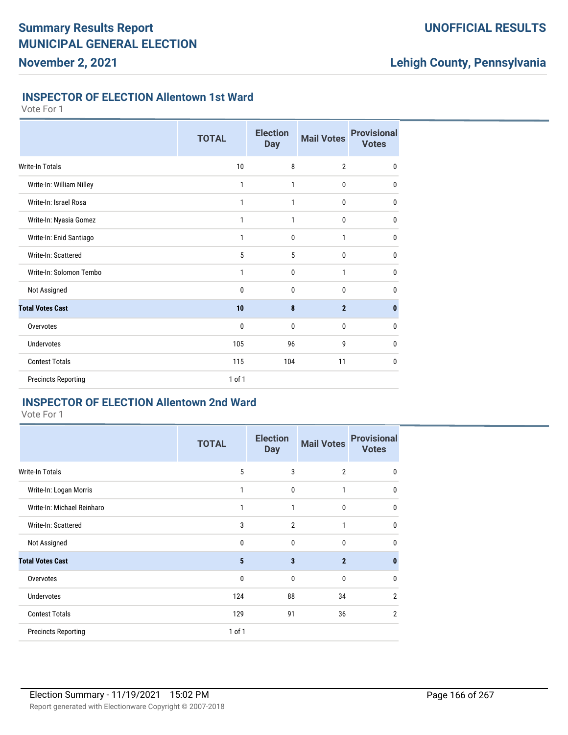## **UNOFFICIAL RESULTS**

## **Lehigh County, Pennsylvania**

#### **INSPECTOR OF ELECTION Allentown 1st Ward**

Vote For 1

|                            | <b>TOTAL</b> | <b>Election</b><br><b>Day</b> | <b>Mail Votes</b> | <b>Provisional</b><br><b>Votes</b> |
|----------------------------|--------------|-------------------------------|-------------------|------------------------------------|
| <b>Write-In Totals</b>     | 10           | 8                             | $\overline{2}$    | $\mathbf{0}$                       |
| Write-In: William Nilley   | 1            | 1                             | 0                 | $\mathbf 0$                        |
| Write-In: Israel Rosa      | 1            | 1                             | 0                 | $\mathbf 0$                        |
| Write-In: Nyasia Gomez     | 1            | 1                             | $\bf{0}$          | $\mathbf 0$                        |
| Write-In: Enid Santiago    | 1            | 0                             | 1                 | 0                                  |
| Write-In: Scattered        | 5            | 5                             | $\bf{0}$          | 0                                  |
| Write-In: Solomon Tembo    | 1            | 0                             | 1                 | 0                                  |
| Not Assigned               | 0            | 0                             | 0                 | 0                                  |
| <b>Total Votes Cast</b>    | 10           | 8                             | $\overline{2}$    | $\bf{0}$                           |
| Overvotes                  | 0            | 0                             | 0                 | $\mathbf{0}$                       |
| <b>Undervotes</b>          | 105          | 96                            | 9                 | 0                                  |
| <b>Contest Totals</b>      | 115          | 104                           | 11                | 0                                  |
| <b>Precincts Reporting</b> | 1 of 1       |                               |                   |                                    |

## **INSPECTOR OF ELECTION Allentown 2nd Ward**

| <b>TOTAL</b> | <b>Election</b><br><b>Day</b> | <b>Mail Votes</b> | <b>Provisional</b><br><b>Votes</b> |
|--------------|-------------------------------|-------------------|------------------------------------|
| 5            | 3                             | $\overline{2}$    | $\mathbf 0$                        |
| 1            | 0                             | 1                 | 0                                  |
| 1            | 1                             | 0                 | 0                                  |
| 3            | $\overline{2}$                | 1                 | $\mathbf{0}$                       |
| 0            | $\mathbf 0$                   | $\mathbf 0$       | $\mathbf{0}$                       |
| 5            | 3                             | $\overline{2}$    | $\bf{0}$                           |
| 0            | 0                             | 0                 | $\mathbf{0}$                       |
| 124          | 88                            | 34                | $\overline{2}$                     |
| 129          | 91                            | 36                | $\overline{2}$                     |
| 1 of 1       |                               |                   |                                    |
|              |                               |                   |                                    |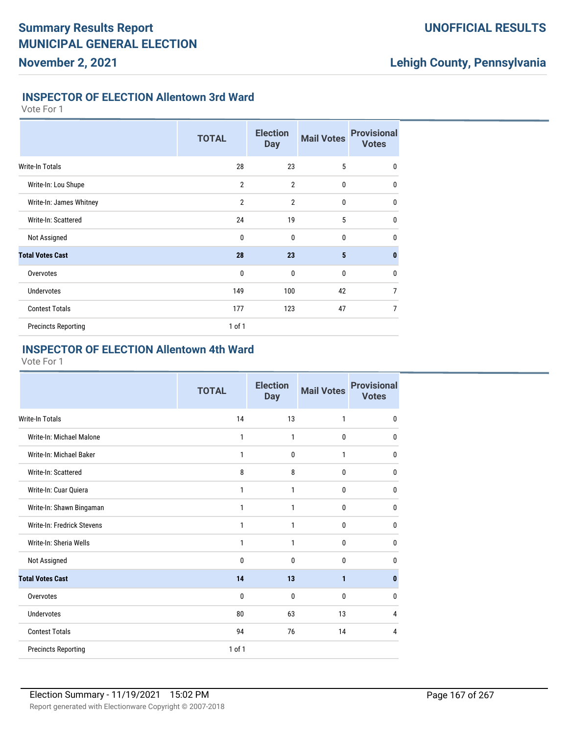## **UNOFFICIAL RESULTS**

# **Lehigh County, Pennsylvania**

#### **INSPECTOR OF ELECTION Allentown 3rd Ward**

Vote For 1

|                            | <b>TOTAL</b>   | <b>Election</b><br><b>Day</b> | <b>Mail Votes</b> | <b>Provisional</b><br><b>Votes</b> |
|----------------------------|----------------|-------------------------------|-------------------|------------------------------------|
| <b>Write-In Totals</b>     | 28             | 23                            | 5                 | $\mathbf 0$                        |
| Write-In: Lou Shupe        | $\overline{2}$ | $\overline{2}$                | $\mathbf 0$       | $\mathbf{0}$                       |
| Write-In: James Whitney    | $\overline{2}$ | $\overline{2}$                | $\mathbf{0}$      | $\mathbf{0}$                       |
| Write-In: Scattered        | 24             | 19                            | 5                 | $\mathbf{0}$                       |
| Not Assigned               | $\mathbf{0}$   | $\mathbf{0}$                  | $\mathbf{0}$      | $\mathbf{0}$                       |
| <b>Total Votes Cast</b>    | 28             | 23                            | 5                 | $\mathbf{0}$                       |
| Overvotes                  | $\mathbf 0$    | $\mathbf{0}$                  | $\mathbf{0}$      | $\mathbf 0$                        |
| <b>Undervotes</b>          | 149            | 100                           | 42                | $\overline{7}$                     |
| <b>Contest Totals</b>      | 177            | 123                           | 47                | $\overline{7}$                     |
| <b>Precincts Reporting</b> | $1$ of $1$     |                               |                   |                                    |

#### **INSPECTOR OF ELECTION Allentown 4th Ward**

|                            | <b>TOTAL</b> | <b>Election</b><br><b>Day</b> | <b>Mail Votes</b> | <b>Provisional</b><br><b>Votes</b> |
|----------------------------|--------------|-------------------------------|-------------------|------------------------------------|
| <b>Write-In Totals</b>     | 14           | 13                            | 1                 | 0                                  |
| Write-In: Michael Malone   | $\mathbf{1}$ | $\mathbf{1}$                  | 0                 | $\mathbf 0$                        |
| Write-In: Michael Baker    | 1            | $\mathbf{0}$                  | 1                 | 0                                  |
| Write-In: Scattered        | 8            | 8                             | $\mathbf{0}$      | 0                                  |
| Write-In: Cuar Quiera      | 1            | $\mathbf{1}$                  | 0                 | $\mathbf 0$                        |
| Write-In: Shawn Bingaman   | $\mathbf{1}$ | $\mathbf{1}$                  | $\mathbf{0}$      | 0                                  |
| Write-In: Fredrick Stevens | 1            | 1                             | $\mathbf{0}$      | 0                                  |
| Write-In: Sheria Wells     | $\mathbf{1}$ | $\mathbf{1}$                  | $\bf{0}$          | 0                                  |
| Not Assigned               | 0            | $\mathbf{0}$                  | $\mathbf{0}$      | 0                                  |
| <b>Total Votes Cast</b>    | 14           | 13                            | 1                 | $\bf{0}$                           |
| Overvotes                  | $\mathbf{0}$ | $\mathbf{0}$                  | $\mathbf{0}$      | 0                                  |
| Undervotes                 | 80           | 63                            | 13                | 4                                  |
| <b>Contest Totals</b>      | 94           | 76                            | 14                | 4                                  |
| <b>Precincts Reporting</b> | 1 of 1       |                               |                   |                                    |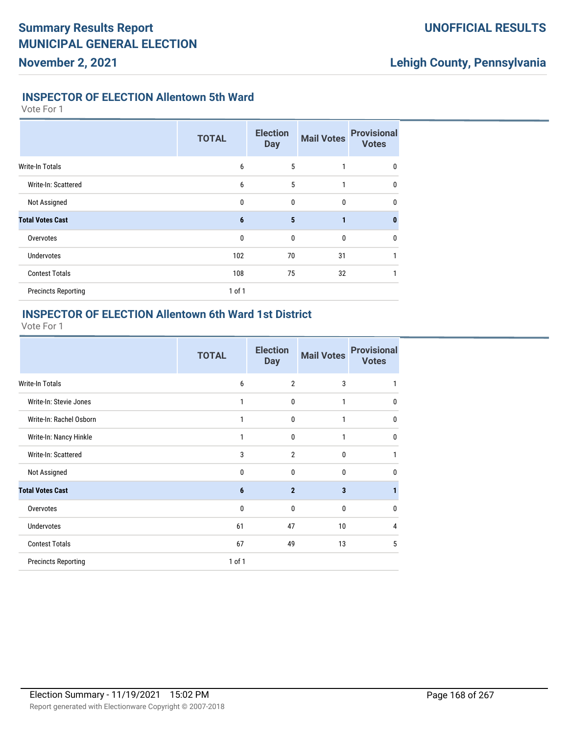## **UNOFFICIAL RESULTS**

# **Lehigh County, Pennsylvania**

#### **INSPECTOR OF ELECTION Allentown 5th Ward**

Vote For 1

|                            | <b>TOTAL</b> | <b>Election</b><br><b>Day</b> | <b>Mail Votes</b> | <b>Provisional</b><br><b>Votes</b> |
|----------------------------|--------------|-------------------------------|-------------------|------------------------------------|
| <b>Write-In Totals</b>     | 6            | 5                             |                   | 0                                  |
| Write-In: Scattered        | 6            | 5                             | 1                 | $\mathbf{0}$                       |
| Not Assigned               | $\mathbf{0}$ | 0                             | $\mathbf{0}$      | $\mathbf{0}$                       |
| <b>Total Votes Cast</b>    | 6            | 5                             | 1                 | $\mathbf{0}$                       |
| Overvotes                  | $\mathbf{0}$ | $\mathbf{0}$                  | $\mathbf 0$       | $\mathbf 0$                        |
| <b>Undervotes</b>          | 102          | 70                            | 31                |                                    |
| <b>Contest Totals</b>      | 108          | 75                            | 32                |                                    |
| <b>Precincts Reporting</b> | $1$ of $1$   |                               |                   |                                    |

## **INSPECTOR OF ELECTION Allentown 6th Ward 1st District**

|                            | <b>TOTAL</b> | <b>Election</b><br><b>Day</b> | <b>Mail Votes</b> | <b>Provisional</b><br><b>Votes</b> |
|----------------------------|--------------|-------------------------------|-------------------|------------------------------------|
| <b>Write-In Totals</b>     | 6            | $\overline{2}$                | 3                 |                                    |
| Write-In: Stevie Jones     | 1            | $\mathbf 0$                   | 1                 | $\mathbf{0}$                       |
| Write-In: Rachel Osborn    | 1            | $\mathbf 0$                   | 1                 | $\Omega$                           |
| Write-In: Nancy Hinkle     | 1            | $\mathbf 0$                   | 1                 | $\mathbf{0}$                       |
| Write-In: Scattered        | 3            | $\overline{2}$                | $\Omega$          |                                    |
| Not Assigned               | 0            | $\mathbf{0}$                  | 0                 | n                                  |
| <b>Total Votes Cast</b>    | 6            | $\overline{2}$                | 3                 |                                    |
| Overvotes                  | 0            | $\mathbf 0$                   | $\mathbf{0}$      | n                                  |
| <b>Undervotes</b>          | 61           | 47                            | 10                | 4                                  |
| <b>Contest Totals</b>      | 67           | 49                            | 13                | 5                                  |
| <b>Precincts Reporting</b> | $1$ of $1$   |                               |                   |                                    |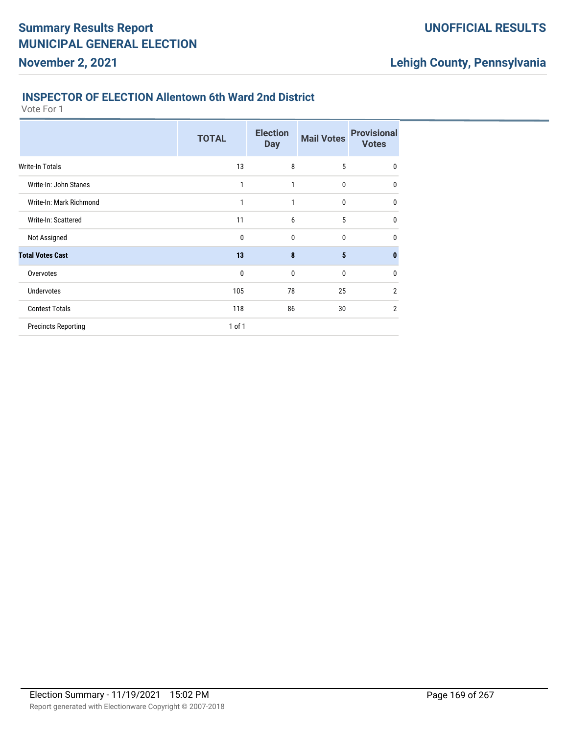#### **INSPECTOR OF ELECTION Allentown 6th Ward 2nd District**

Vote For 1

**November 2, 2021**

|                            | <b>TOTAL</b> | <b>Election</b><br><b>Day</b> | <b>Mail Votes</b> | <b>Provisional</b><br><b>Votes</b> |
|----------------------------|--------------|-------------------------------|-------------------|------------------------------------|
| <b>Write-In Totals</b>     | 13           | 8                             | 5                 | 0                                  |
| Write-In: John Stanes      | 1            | 1                             | 0                 | 0                                  |
| Write-In: Mark Richmond    | 1            | 1                             | 0                 | 0                                  |
| Write-In: Scattered        | 11           | 6                             | 5                 | 0                                  |
| Not Assigned               | 0            | 0                             | 0                 | 0                                  |
| <b>Total Votes Cast</b>    | 13           | 8                             | 5                 | n                                  |
| Overvotes                  | 0            | 0                             | 0                 | 0                                  |
| <b>Undervotes</b>          | 105          | 78                            | 25                | 2                                  |
| <b>Contest Totals</b>      | 118          | 86                            | 30                | $\overline{2}$                     |
| <b>Precincts Reporting</b> | 1 of 1       |                               |                   |                                    |
|                            |              |                               |                   |                                    |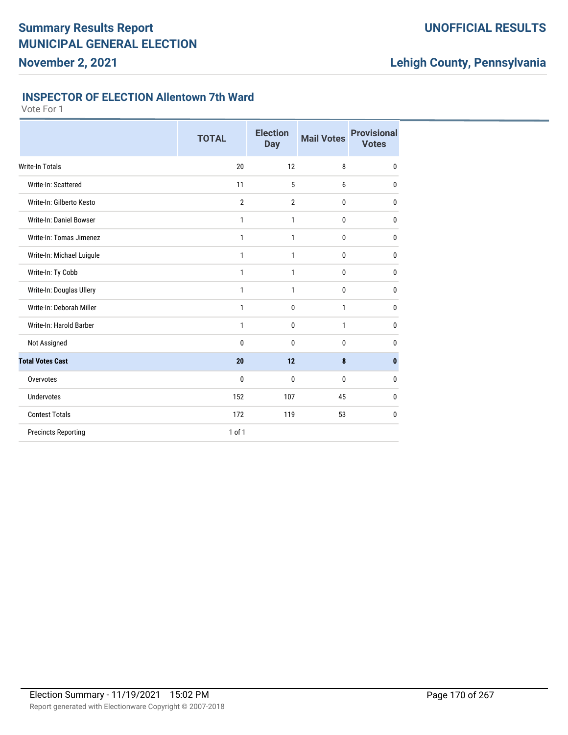## **UNOFFICIAL RESULTS**

# **Lehigh County, Pennsylvania**

#### **INSPECTOR OF ELECTION Allentown 7th Ward**

|                            | <b>TOTAL</b>   | <b>Election</b><br><b>Day</b> | <b>Mail Votes</b> | <b>Provisional</b><br><b>Votes</b> |
|----------------------------|----------------|-------------------------------|-------------------|------------------------------------|
| <b>Write-In Totals</b>     | 20             | 12                            | 8                 | $\mathbf{0}$                       |
| Write-In: Scattered        | 11             | 5                             | 6                 | $\bf{0}$                           |
| Write-In: Gilberto Kesto   | $\overline{2}$ | $\overline{2}$                | 0                 | $\mathbf{0}$                       |
| Write-In: Daniel Bowser    | 1              | 1                             | 0                 | $\mathbf{0}$                       |
| Write-In: Tomas Jimenez    | 1              | 1                             | 0                 | $\bf{0}$                           |
| Write-In: Michael Luigule  | 1              | 1                             | 0                 | 0                                  |
| Write-In: Ty Cobb          | 1              | 1                             | 0                 | 0                                  |
| Write-In: Douglas Ullery   | 1              | 1                             | 0                 | 0                                  |
| Write-In: Deborah Miller   | 1              | $\mathbf 0$                   | $\mathbf{1}$      | $\bf{0}$                           |
| Write-In: Harold Barber    | 1              | $\mathbf 0$                   | $\mathbf{1}$      | $\bf{0}$                           |
| Not Assigned               | $\bf{0}$       | $\mathbf{0}$                  | 0                 | $\bf{0}$                           |
| <b>Total Votes Cast</b>    | 20             | 12                            | 8                 | $\mathbf{0}$                       |
| Overvotes                  | $\bf{0}$       | $\mathbf{0}$                  | 0                 | 0                                  |
| <b>Undervotes</b>          | 152            | 107                           | 45                | 0                                  |
| <b>Contest Totals</b>      | 172            | 119                           | 53                | $\mathbf 0$                        |
| <b>Precincts Reporting</b> | $1$ of $1$     |                               |                   |                                    |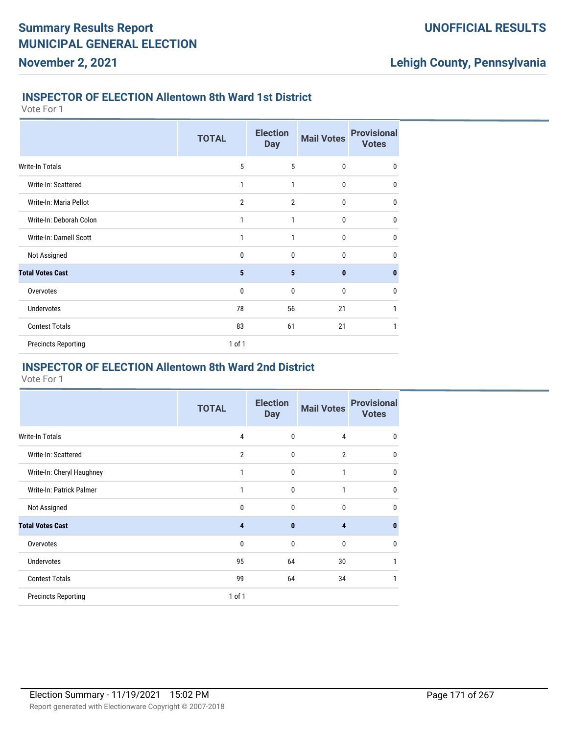#### **INSPECTOR OF ELECTION Allentown 8th Ward 1st District**

Vote For 1

**November 2, 2021**

|                            | <b>TOTAL</b>   | <b>Election</b><br><b>Day</b> | <b>Mail Votes</b> | <b>Provisional</b><br><b>Votes</b> |
|----------------------------|----------------|-------------------------------|-------------------|------------------------------------|
| Write-In Totals            | 5              | 5                             | 0                 | $\mathbf 0$                        |
| Write-In: Scattered        | 1              | 1                             | $\mathbf{0}$      | 0                                  |
| Write-In: Maria Pellot     | $\overline{2}$ | $\overline{2}$                | 0                 | 0                                  |
| Write-In: Deborah Colon    | 1              | 1                             | 0                 | 0                                  |
| Write-In: Darnell Scott    | 1              | 1                             | 0                 | 0                                  |
| Not Assigned               | 0              | $\mathbf{0}$                  | 0                 | $\mathbf{0}$                       |
| <b>Total Votes Cast</b>    | 5              | 5                             | $\bf{0}$          | $\bf{0}$                           |
| Overvotes                  | 0              | $\mathbf{0}$                  | 0                 | $\mathbf 0$                        |
| <b>Undervotes</b>          | 78             | 56                            | 21                | 1                                  |
| <b>Contest Totals</b>      | 83             | 61                            | 21                | 1                                  |
| <b>Precincts Reporting</b> | 1 of 1         |                               |                   |                                    |

#### **INSPECTOR OF ELECTION Allentown 8th Ward 2nd District**

|                            | <b>TOTAL</b>   | <b>Election</b><br><b>Day</b> | <b>Mail Votes</b> | <b>Provisional</b><br><b>Votes</b> |
|----------------------------|----------------|-------------------------------|-------------------|------------------------------------|
| Write-In Totals            | 4              | 0                             | $\overline{4}$    | $\mathbf{0}$                       |
| Write-In: Scattered        | $\overline{2}$ | 0                             | $\overline{2}$    | 0                                  |
| Write-In: Cheryl Haughney  | 1              | 0                             | 1                 | 0                                  |
| Write-In: Patrick Palmer   | 1              | 0                             | 1                 | $\mathbf{0}$                       |
| Not Assigned               | 0              | 0                             | $\mathbf{0}$      | $\mathbf{0}$                       |
| <b>Total Votes Cast</b>    | 4              | $\bf{0}$                      | 4                 | 0                                  |
| Overvotes                  | 0              | 0                             | $\bf{0}$          | $\mathbf{0}$                       |
| <b>Undervotes</b>          | 95             | 64                            | 30                |                                    |
| <b>Contest Totals</b>      | 99             | 64                            | 34                | 1                                  |
| <b>Precincts Reporting</b> | 1 of 1         |                               |                   |                                    |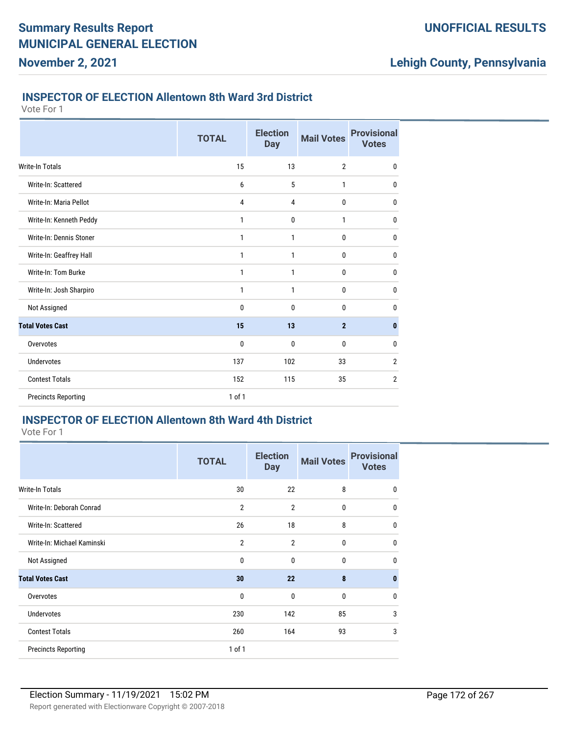#### **INSPECTOR OF ELECTION Allentown 8th Ward 3rd District**

Vote For 1

**November 2, 2021**

|                            | <b>TOTAL</b> | <b>Election</b><br><b>Day</b> | <b>Mail Votes</b> | <b>Provisional</b><br><b>Votes</b> |
|----------------------------|--------------|-------------------------------|-------------------|------------------------------------|
| <b>Write-In Totals</b>     | 15           | 13                            | $\overline{2}$    | $\mathbf 0$                        |
| Write-In: Scattered        | 6            | 5                             | 1                 | 0                                  |
| Write-In: Maria Pellot     | 4            | 4                             | 0                 | $\mathbf{0}$                       |
| Write-In: Kenneth Peddy    | 1            | $\mathbf 0$                   | 1                 | 0                                  |
| Write-In: Dennis Stoner    | 1            | 1                             | 0                 | 0                                  |
| Write-In: Geaffrey Hall    | 1            | 1                             | 0                 | $\mathbf{0}$                       |
| Write-In: Tom Burke        | 1            | 1                             | 0                 | 0                                  |
| Write-In: Josh Sharpiro    | 1            | 1                             | 0                 | 0                                  |
| Not Assigned               | 0            | $\mathbf{0}$                  | 0                 | $\mathbf{0}$                       |
| <b>Total Votes Cast</b>    | 15           | 13                            | $\overline{2}$    | $\mathbf{0}$                       |
| Overvotes                  | 0            | $\mathbf 0$                   | 0                 | $\mathbf{0}$                       |
| <b>Undervotes</b>          | 137          | 102                           | 33                | $\overline{2}$                     |
| <b>Contest Totals</b>      | 152          | 115                           | 35                | $\overline{2}$                     |
| <b>Precincts Reporting</b> | 1 of 1       |                               |                   |                                    |

## **INSPECTOR OF ELECTION Allentown 8th Ward 4th District**

Vote For 1

|                            | <b>TOTAL</b>   | <b>Election</b><br><b>Day</b> | <b>Mail Votes</b> | <b>Provisional</b><br><b>Votes</b> |
|----------------------------|----------------|-------------------------------|-------------------|------------------------------------|
| Write-In Totals            | 30             | 22                            | 8                 | $\mathbf{0}$                       |
| Write-In: Deborah Conrad   | $\overline{2}$ | $\overline{2}$                | $\mathbf{0}$      | 0                                  |
| Write-In: Scattered        | 26             | 18                            | 8                 | 0                                  |
| Write-In: Michael Kaminski | $\overline{2}$ | $\overline{2}$                | $\mathbf{0}$      | 0                                  |
| Not Assigned               | $\mathbf 0$    | 0                             | $\mathbf{0}$      | 0                                  |
| <b>Total Votes Cast</b>    | 30             | 22                            | 8                 | 0                                  |
| Overvotes                  | $\mathbf{0}$   | $\mathbf{0}$                  | $\mathbf{0}$      | 0                                  |
| <b>Undervotes</b>          | 230            | 142                           | 85                | 3                                  |
| <b>Contest Totals</b>      | 260            | 164                           | 93                | 3                                  |
| <b>Precincts Reporting</b> | 1 of 1         |                               |                   |                                    |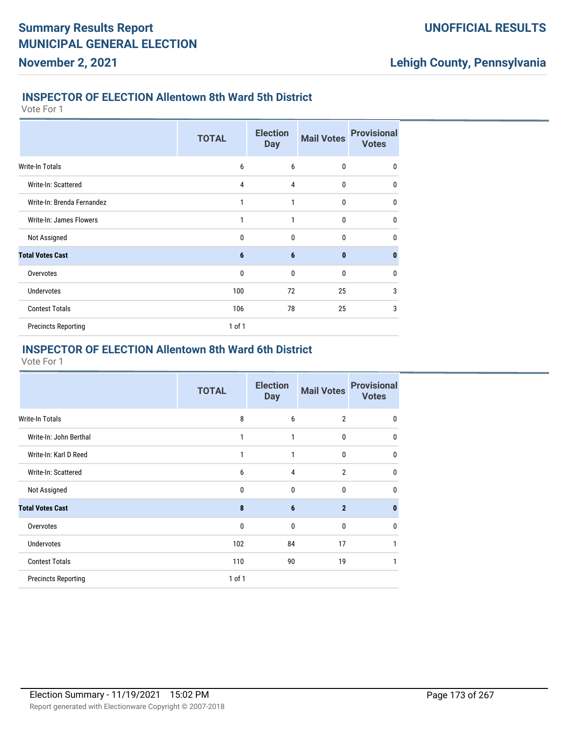#### **INSPECTOR OF ELECTION Allentown 8th Ward 5th District**

Vote For 1

**November 2, 2021**

|                            | <b>TOTAL</b> | <b>Election</b><br><b>Day</b> | <b>Mail Votes</b> | <b>Provisional</b><br><b>Votes</b> |
|----------------------------|--------------|-------------------------------|-------------------|------------------------------------|
| <b>Write-In Totals</b>     | 6            | 6                             | 0                 | 0                                  |
| Write-In: Scattered        | 4            | 4                             | $\mathbf{0}$      | $\mathbf{0}$                       |
| Write-In: Brenda Fernandez | 1            | 1                             | $\mathbf{0}$      | $\mathbf{0}$                       |
| Write-In: James Flowers    | 1            | $\mathbf{1}$                  | $\mathbf{0}$      | $\mathbf{0}$                       |
| Not Assigned               | $\mathbf{0}$ | $\mathbf{0}$                  | $\mathbf{0}$      | $\mathbf{0}$                       |
| <b>Total Votes Cast</b>    | 6            | 6                             | $\mathbf{0}$      | $\bf{0}$                           |
| Overvotes                  | $\mathbf 0$  | $\mathbf{0}$                  | 0                 | $\mathbf{0}$                       |
| <b>Undervotes</b>          | 100          | 72                            | 25                | 3                                  |
| <b>Contest Totals</b>      | 106          | 78                            | 25                | 3                                  |
| <b>Precincts Reporting</b> | 1 of 1       |                               |                   |                                    |

#### **INSPECTOR OF ELECTION Allentown 8th Ward 6th District**

|                            | <b>TOTAL</b> | <b>Election</b><br><b>Day</b> | <b>Mail Votes</b> | <b>Provisional</b><br><b>Votes</b> |
|----------------------------|--------------|-------------------------------|-------------------|------------------------------------|
| <b>Write-In Totals</b>     | 8            | 6                             | $\overline{2}$    | $\Omega$                           |
| Write-In: John Berthal     | 1            | 1                             | 0                 | 0                                  |
| Write-In: Karl D Reed      | 1            | 1                             | 0                 | 0                                  |
| Write-In: Scattered        | 6            | $\overline{4}$                | $\overline{2}$    | 0                                  |
| Not Assigned               | 0            | $\mathbf{0}$                  | 0                 | 0                                  |
| <b>Total Votes Cast</b>    | 8            | $6\phantom{1}6$               | $\overline{2}$    | n                                  |
| Overvotes                  | $\mathbf 0$  | $\mathbf{0}$                  | 0                 | 0                                  |
| <b>Undervotes</b>          | 102          | 84                            | 17                |                                    |
| <b>Contest Totals</b>      | 110          | 90                            | 19                | 1                                  |
| <b>Precincts Reporting</b> | $1$ of $1$   |                               |                   |                                    |
|                            |              |                               |                   |                                    |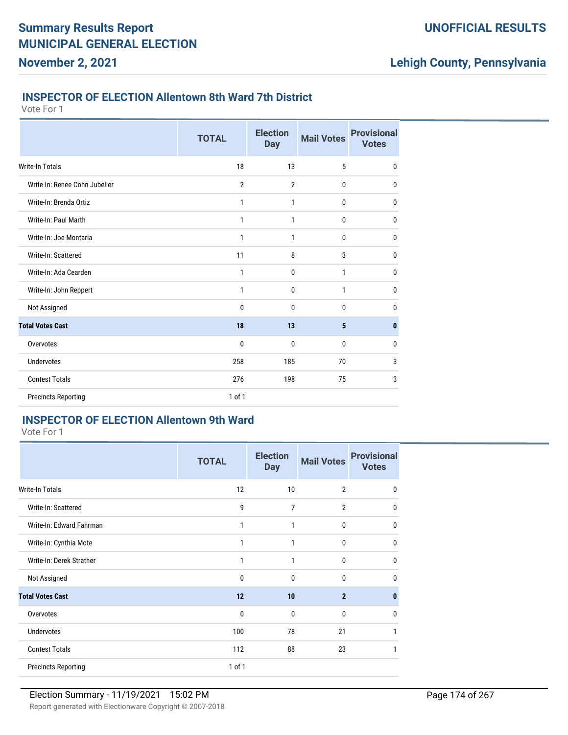#### **INSPECTOR OF ELECTION Allentown 8th Ward 7th District**

Vote For 1

**November 2, 2021**

|                               | <b>TOTAL</b>   | <b>Election</b><br><b>Day</b> | <b>Mail Votes</b> | <b>Provisional</b><br><b>Votes</b> |
|-------------------------------|----------------|-------------------------------|-------------------|------------------------------------|
| <b>Write-In Totals</b>        | 18             | 13                            | 5                 | $\mathbf 0$                        |
| Write-In: Renee Cohn Jubelier | $\overline{2}$ | $\overline{2}$                | 0                 | 0                                  |
| Write-In: Brenda Ortiz        | 1              | 1                             | 0                 | $\mathbf{0}$                       |
| Write-In: Paul Marth          | 1              | 1                             | 0                 | $\mathbf 0$                        |
| Write-In: Joe Montaria        | 1              | 1                             | 0                 | 0                                  |
| Write-In: Scattered           | 11             | 8                             | 3                 | $\mathbf{0}$                       |
| Write-In: Ada Cearden         | 1              | $\mathbf 0$                   | 1                 | $\mathbf 0$                        |
| Write-In: John Reppert        | 1              | $\mathbf 0$                   | 1                 | 0                                  |
| Not Assigned                  | $\bf{0}$       | $\mathbf 0$                   | 0                 | $\mathbf{0}$                       |
| <b>Total Votes Cast</b>       | 18             | 13                            | 5                 | $\mathbf{0}$                       |
| Overvotes                     | 0              | $\mathbf 0$                   | 0                 | 0                                  |
| <b>Undervotes</b>             | 258            | 185                           | 70                | 3                                  |
| <b>Contest Totals</b>         | 276            | 198                           | 75                | 3                                  |
| <b>Precincts Reporting</b>    | $1$ of $1$     |                               |                   |                                    |

## **INSPECTOR OF ELECTION Allentown 9th Ward**

Vote For 1

|                            | <b>TOTAL</b> | <b>Election</b><br><b>Day</b> | <b>Mail Votes</b> | <b>Provisional</b><br><b>Votes</b> |
|----------------------------|--------------|-------------------------------|-------------------|------------------------------------|
| <b>Write-In Totals</b>     | 12           | 10                            | $\overline{2}$    | $\mathbf{0}$                       |
| Write-In: Scattered        | 9            | 7                             | $\overline{2}$    | $\mathbf 0$                        |
| Write-In: Edward Fahrman   | $\mathbf{1}$ | 1                             | $\bf{0}$          | $\mathbf{0}$                       |
| Write-In: Cynthia Mote     | $\mathbf{1}$ | 1                             | $\bf{0}$          | $\mathbf 0$                        |
| Write-In: Derek Strather   | $\mathbf{1}$ | 1                             | 0                 | $\mathbf{0}$                       |
| Not Assigned               | 0            | $\mathbf{0}$                  | 0                 | $\mathbf{0}$                       |
| <b>Total Votes Cast</b>    | 12           | 10                            | $\overline{2}$    | $\mathbf{0}$                       |
| Overvotes                  | $\mathbf 0$  | $\mathbf{0}$                  | $\mathbf{0}$      | $\mathbf{0}$                       |
| <b>Undervotes</b>          | 100          | 78                            | 21                | 1                                  |
| <b>Contest Totals</b>      | 112          | 88                            | 23                | 1                                  |
| <b>Precincts Reporting</b> | $1$ of $1$   |                               |                   |                                    |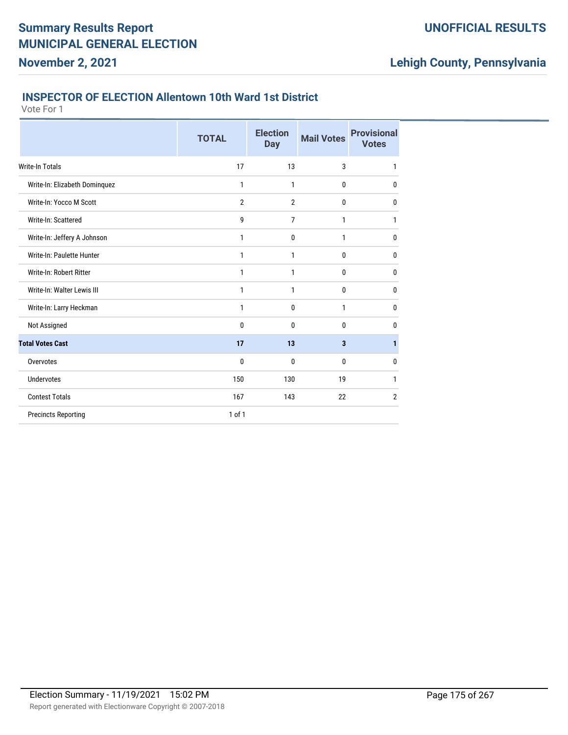#### **INSPECTOR OF ELECTION Allentown 10th Ward 1st District**

Vote For 1

**November 2, 2021**

|                               | <b>TOTAL</b>   | <b>Election</b><br><b>Day</b> | <b>Mail Votes</b> | <b>Provisional</b><br><b>Votes</b> |
|-------------------------------|----------------|-------------------------------|-------------------|------------------------------------|
| Write-In Totals               | 17             | 13                            | 3                 | 1                                  |
| Write-In: Elizabeth Dominquez | 1              | $\mathbf{1}$                  | 0                 | $\bf{0}$                           |
| Write-In: Yocco M Scott       | $\overline{2}$ | $\overline{2}$                | $\bf{0}$          | $\mathbf 0$                        |
| Write-In: Scattered           | 9              | $\overline{7}$                | 1                 | 1                                  |
| Write-In: Jeffery A Johnson   | 1              | $\mathbf{0}$                  | 1                 | 0                                  |
| Write-In: Paulette Hunter     | 1              | 1                             | 0                 | $\mathbf 0$                        |
| Write-In: Robert Ritter       | 1              | 1                             | 0                 | $\mathbf 0$                        |
| Write-In: Walter Lewis III    | 1              | 1                             | 0                 | 0                                  |
| Write-In: Larry Heckman       | 1              | $\mathbf 0$                   | 1                 | $\mathbf 0$                        |
| Not Assigned                  | 0              | 0                             | 0                 | $\mathbf{0}$                       |
| <b>Total Votes Cast</b>       | 17             | 13                            | 3                 | 1                                  |
| Overvotes                     | 0              | $\mathbf 0$                   | 0                 | $\mathbf 0$                        |
| <b>Undervotes</b>             | 150            | 130                           | 19                | 1                                  |
| <b>Contest Totals</b>         | 167            | 143                           | 22                | $\overline{2}$                     |
| <b>Precincts Reporting</b>    | $1$ of $1$     |                               |                   |                                    |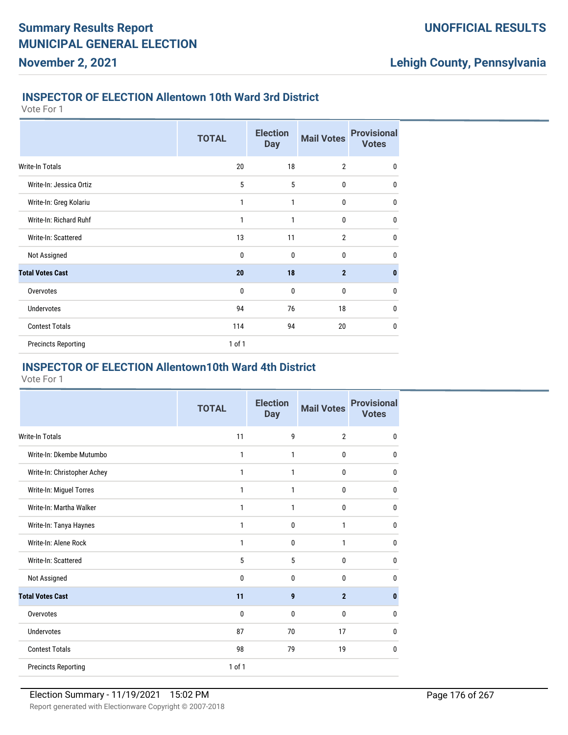#### **INSPECTOR OF ELECTION Allentown 10th Ward 3rd District**

Vote For 1

**November 2, 2021**

|                            | <b>TOTAL</b> | <b>Election</b><br><b>Day</b> | <b>Mail Votes</b> | <b>Provisional</b><br><b>Votes</b> |
|----------------------------|--------------|-------------------------------|-------------------|------------------------------------|
| Write-In Totals            | 20           | 18                            | $\overline{2}$    | $\mathbf 0$                        |
| Write-In: Jessica Ortiz    | 5            | 5                             | 0                 | $\mathbf{0}$                       |
| Write-In: Greg Kolariu     | 1            | 1                             | 0                 | $\mathbf{0}$                       |
| Write-In: Richard Ruhf     | 1            | 1                             | 0                 | $\mathbf 0$                        |
| Write-In: Scattered        | 13           | 11                            | $\overline{2}$    | $\mathbf 0$                        |
| Not Assigned               | 0            | $\mathbf{0}$                  | 0                 | $\mathbf{0}$                       |
| <b>Total Votes Cast</b>    | 20           | 18                            | $\overline{2}$    | $\mathbf{0}$                       |
| Overvotes                  | $\mathbf 0$  | $\mathbf{0}$                  | 0                 | $\mathbf 0$                        |
| <b>Undervotes</b>          | 94           | 76                            | 18                | 0                                  |
| <b>Contest Totals</b>      | 114          | 94                            | 20                | $\mathbf{0}$                       |
| <b>Precincts Reporting</b> | 1 of 1       |                               |                   |                                    |

#### **INSPECTOR OF ELECTION Allentown10th Ward 4th District**

|                             | <b>TOTAL</b> | <b>Election</b><br><b>Day</b> | <b>Mail Votes</b> | <b>Provisional</b><br><b>Votes</b> |
|-----------------------------|--------------|-------------------------------|-------------------|------------------------------------|
| <b>Write-In Totals</b>      | 11           | 9                             | $\overline{2}$    | $\mathbf 0$                        |
| Write-In: Dkembe Mutumbo    | 1            | 1                             | $\mathbf 0$       | 0                                  |
| Write-In: Christopher Achey | 1            | 1                             | $\mathbf 0$       | $\mathbf{0}$                       |
| Write-In: Miguel Torres     | 1            | 1                             | $\mathbf 0$       | $\mathbf 0$                        |
| Write-In: Martha Walker     | 1            | 1                             | $\mathbf{0}$      | $\mathbf{0}$                       |
| Write-In: Tanya Haynes      | 1            | 0                             | 1                 | 0                                  |
| Write-In: Alene Rock        | 1            | 0                             | $\mathbf{1}$      | $\mathbf{0}$                       |
| Write-In: Scattered         | 5            | 5                             | $\mathbf{0}$      | $\mathbf 0$                        |
| Not Assigned                | 0            | 0                             | $\mathbf{0}$      | $\mathbf{0}$                       |
| <b>Total Votes Cast</b>     | 11           | 9                             | $\overline{2}$    | $\mathbf{0}$                       |
| Overvotes                   | 0            | 0                             | $\mathbf 0$       | $\mathbf 0$                        |
| <b>Undervotes</b>           | 87           | 70                            | 17                | 0                                  |
| <b>Contest Totals</b>       | 98           | 79                            | 19                | $\mathbf{0}$                       |
| <b>Precincts Reporting</b>  | $1$ of $1$   |                               |                   |                                    |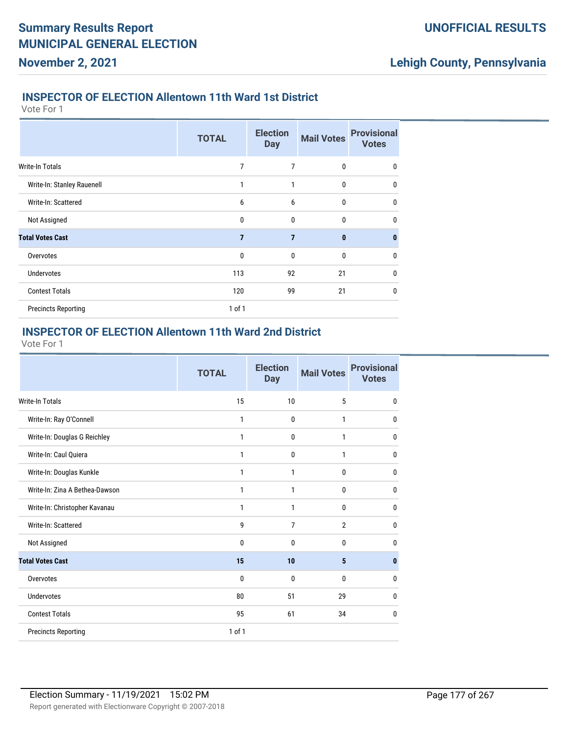#### **INSPECTOR OF ELECTION Allentown 11th Ward 1st District**

Vote For 1

**November 2, 2021**

|                            | <b>TOTAL</b>   | <b>Election</b><br><b>Day</b> | <b>Mail Votes</b> | <b>Provisional</b><br><b>Votes</b> |
|----------------------------|----------------|-------------------------------|-------------------|------------------------------------|
| <b>Write-In Totals</b>     | 7              | 7                             | $\mathbf 0$       | $\mathbf 0$                        |
| Write-In: Stanley Rauenell | 1              | $\mathbf{1}$                  | $\mathbf{0}$      | $\mathbf 0$                        |
| Write-In: Scattered        | 6              | 6                             | $\mathbf 0$       | $\mathbf 0$                        |
| Not Assigned               | 0              | $\mathbf{0}$                  | $\mathbf 0$       | $\mathbf{0}$                       |
| <b>Total Votes Cast</b>    | $\overline{7}$ | $\overline{7}$                | $\mathbf{0}$      | $\bf{0}$                           |
| Overvotes                  | $\mathbf{0}$   | $\mathbf{0}$                  | $\mathbf 0$       | $\mathbf 0$                        |
| <b>Undervotes</b>          | 113            | 92                            | 21                | $\mathbf{0}$                       |
| <b>Contest Totals</b>      | 120            | 99                            | 21                | $\mathbf{0}$                       |
| <b>Precincts Reporting</b> | 1 of 1         |                               |                   |                                    |

#### **INSPECTOR OF ELECTION Allentown 11th Ward 2nd District**

|                                | <b>TOTAL</b> | <b>Election</b><br><b>Day</b> | <b>Mail Votes</b> | <b>Provisional</b><br><b>Votes</b> |
|--------------------------------|--------------|-------------------------------|-------------------|------------------------------------|
| <b>Write-In Totals</b>         | 15           | 10                            | 5                 | $\bf{0}$                           |
| Write-In: Ray O'Connell        | 1            | $\mathbf{0}$                  | 1                 | $\mathbf 0$                        |
| Write-In: Douglas G Reichley   | 1            | $\mathbf{0}$                  | 1                 | $\bf{0}$                           |
| Write-In: Caul Ouiera          | 1            | $\mathbf{0}$                  | 1                 | $\mathbf 0$                        |
| Write-In: Douglas Kunkle       | 1            | 1                             | $\mathbf 0$       | $\mathbf 0$                        |
| Write-In: Zina A Bethea-Dawson | 1            | 1                             | 0                 | 0                                  |
| Write-In: Christopher Kavanau  | 1            | 1                             | 0                 | $\mathbf 0$                        |
| Write-In: Scattered            | 9            | 7                             | $\overline{2}$    | $\mathbf 0$                        |
| Not Assigned                   | 0            | $\mathbf{0}$                  | 0                 | $\mathbf 0$                        |
| <b>Total Votes Cast</b>        | 15           | 10                            | 5                 | $\mathbf{0}$                       |
| Overvotes                      | 0            | $\mathbf{0}$                  | $\mathbf{0}$      | $\mathbf 0$                        |
| <b>Undervotes</b>              | 80           | 51                            | 29                | $\mathbf{0}$                       |
| <b>Contest Totals</b>          | 95           | 61                            | 34                | $\mathbf 0$                        |
| <b>Precincts Reporting</b>     | 1 of 1       |                               |                   |                                    |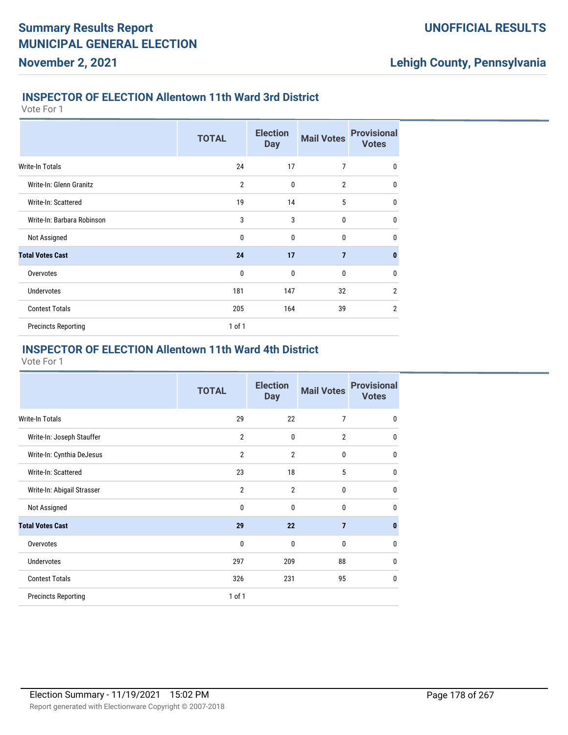#### **INSPECTOR OF ELECTION Allentown 11th Ward 3rd District**

Vote For 1

**November 2, 2021**

|                            | <b>TOTAL</b>   | <b>Election</b><br><b>Day</b> | <b>Mail Votes</b> | <b>Provisional</b><br><b>Votes</b> |
|----------------------------|----------------|-------------------------------|-------------------|------------------------------------|
| <b>Write-In Totals</b>     | 24             | 17                            | 7                 | 0                                  |
| Write-In: Glenn Granitz    | $\overline{2}$ | $\mathbf{0}$                  | $\overline{2}$    | $\mathbf{0}$                       |
| Write-In: Scattered        | 19             | 14                            | 5                 | $\mathbf{0}$                       |
| Write-In: Barbara Robinson | 3              | 3                             | $\mathbf{0}$      | $\mathbf{0}$                       |
| Not Assigned               | $\mathbf 0$    | $\mathbf{0}$                  | $\Omega$          | $\mathbf{0}$                       |
| <b>Total Votes Cast</b>    | 24             | 17                            | $\overline{7}$    | $\mathbf{0}$                       |
| Overvotes                  | $\mathbf 0$    | $\mathbf 0$                   | 0                 | $\mathbf{0}$                       |
| <b>Undervotes</b>          | 181            | 147                           | 32                | $\overline{2}$                     |
| <b>Contest Totals</b>      | 205            | 164                           | 39                | $\overline{2}$                     |
| <b>Precincts Reporting</b> | $1$ of $1$     |                               |                   |                                    |

#### **INSPECTOR OF ELECTION Allentown 11th Ward 4th District**

|                            | <b>TOTAL</b>   | <b>Election</b><br><b>Day</b> | <b>Mail Votes</b> | <b>Provisional</b><br><b>Votes</b> |
|----------------------------|----------------|-------------------------------|-------------------|------------------------------------|
| Write-In Totals            | 29             | 22                            | 7                 | $\mathbf 0$                        |
| Write-In: Joseph Stauffer  | $\overline{2}$ | $\mathbf 0$                   | $\overline{2}$    | 0                                  |
| Write-In: Cynthia DeJesus  | $\overline{2}$ | $\overline{2}$                | 0                 | 0                                  |
| Write-In: Scattered        | 23             | 18                            | 5                 | 0                                  |
| Write-In: Abigail Strasser | $\overline{2}$ | $\overline{2}$                | $\mathbf{0}$      | 0                                  |
| Not Assigned               | 0              | $\mathbf{0}$                  | $\mathbf{0}$      | $\Omega$                           |
| <b>Total Votes Cast</b>    | 29             | 22                            | $\overline{7}$    | $\bf{0}$                           |
| Overvotes                  | 0              | $\mathbf 0$                   | $\mathbf{0}$      | $\Omega$                           |
| <b>Undervotes</b>          | 297            | 209                           | 88                | $\Omega$                           |
| <b>Contest Totals</b>      | 326            | 231                           | 95                | 0                                  |
| <b>Precincts Reporting</b> | 1 of 1         |                               |                   |                                    |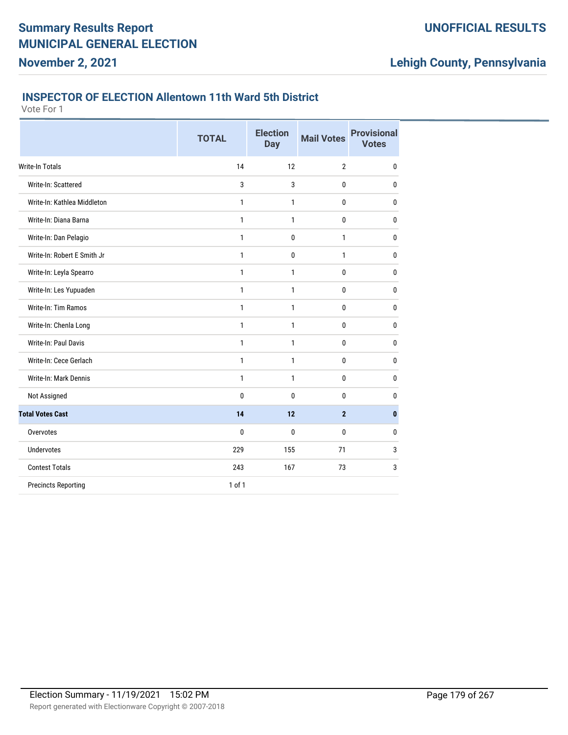#### **INSPECTOR OF ELECTION Allentown 11th Ward 5th District**

Vote For 1

**November 2, 2021**

|                             | <b>TOTAL</b> | <b>Election</b><br><b>Day</b> | <b>Mail Votes</b> | <b>Provisional</b><br><b>Votes</b> |
|-----------------------------|--------------|-------------------------------|-------------------|------------------------------------|
| Write-In Totals             | 14           | 12                            | $\overline{2}$    | $\mathbf{0}$                       |
| Write-In: Scattered         | 3            | 3                             | $\mathbf{0}$      | 0                                  |
| Write-In: Kathlea Middleton | 1            | $\mathbf{1}$                  | $\bf{0}$          | $\mathbf 0$                        |
| Write-In: Diana Barna       | $\mathbf{1}$ | $\mathbf{1}$                  | $\bf{0}$          | 0                                  |
| Write-In: Dan Pelagio       | 1            | $\mathbf 0$                   | 1                 | $\mathbf 0$                        |
| Write-In: Robert E Smith Jr | 1            | $\mathbf{0}$                  | $\mathbf{1}$      | 0                                  |
| Write-In: Leyla Spearro     | 1            | $\mathbf{1}$                  | $\bf{0}$          | $\mathbf 0$                        |
| Write-In: Les Yupuaden      | $\mathbf{1}$ | $\mathbf{1}$                  | $\bf{0}$          | 0                                  |
| Write-In: Tim Ramos         | $\mathbf{1}$ | $\mathbf{1}$                  | $\bf{0}$          | 0                                  |
| Write-In: Chenla Long       | 1            | 1                             | 0                 | 0                                  |
| Write-In: Paul Davis        | $\mathbf{1}$ | $\mathbf{1}$                  | $\bf{0}$          | 0                                  |
| Write-In: Cece Gerlach      | 1            | 1                             | $\bf{0}$          | 0                                  |
| Write-In: Mark Dennis       | $\mathbf{1}$ | $\mathbf{1}$                  | $\mathbf{0}$      | 0                                  |
| Not Assigned                | 0            | 0                             | 0                 | 0                                  |
| <b>Total Votes Cast</b>     | 14           | 12                            | $\overline{2}$    | $\mathbf{0}$                       |
| Overvotes                   | 0            | $\mathbf{0}$                  | 0                 | 0                                  |
| <b>Undervotes</b>           | 229          | 155                           | 71                | 3                                  |
| <b>Contest Totals</b>       | 243          | 167                           | 73                | 3                                  |
| <b>Precincts Reporting</b>  | 1 of 1       |                               |                   |                                    |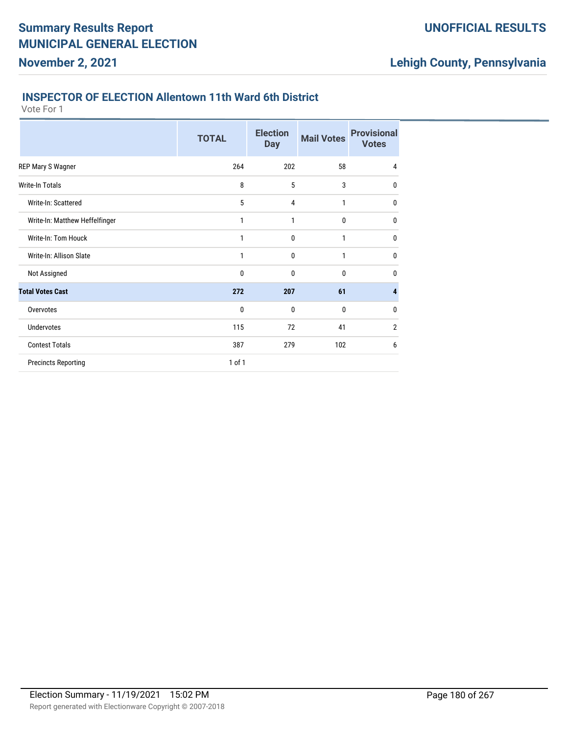#### **INSPECTOR OF ELECTION Allentown 11th Ward 6th District**

Vote For 1

**November 2, 2021**

|                                | <b>TOTAL</b> | <b>Election</b><br><b>Day</b> | <b>Mail Votes</b> | <b>Provisional</b><br><b>Votes</b> |
|--------------------------------|--------------|-------------------------------|-------------------|------------------------------------|
| REP Mary S Wagner              | 264          | 202                           | 58                | 4                                  |
| <b>Write-In Totals</b>         | 8            | 5                             | 3                 | 0                                  |
| Write-In: Scattered            | 5            | 4                             | 1                 | 0                                  |
| Write-In: Matthew Heffelfinger | 1            | 1                             | 0                 | 0                                  |
| Write-In: Tom Houck            | 1            | 0                             | 1                 | 0                                  |
| Write-In: Allison Slate        | 1            | 0                             | 1                 | 0                                  |
| Not Assigned                   | 0            | 0                             | 0                 | 0                                  |
| <b>Total Votes Cast</b>        | 272          | 207                           | 61                | 4                                  |
| Overvotes                      | 0            | 0                             | 0                 | 0                                  |
| <b>Undervotes</b>              | 115          | 72                            | 41                | $\overline{2}$                     |
| <b>Contest Totals</b>          | 387          | 279                           | 102               | 6                                  |
| <b>Precincts Reporting</b>     | 1 of 1       |                               |                   |                                    |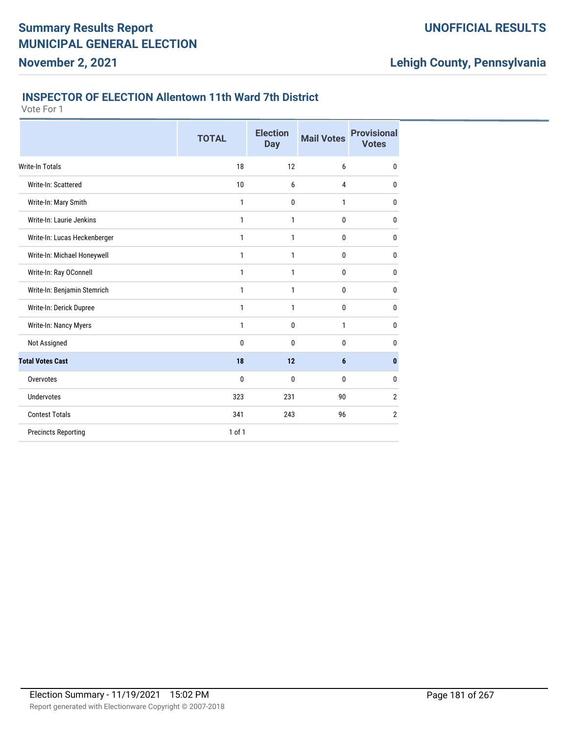### **INSPECTOR OF ELECTION Allentown 11th Ward 7th District**

Vote For 1

**November 2, 2021**

|                              | <b>TOTAL</b> | <b>Election</b><br><b>Day</b> | <b>Mail Votes</b> | <b>Provisional</b><br><b>Votes</b> |
|------------------------------|--------------|-------------------------------|-------------------|------------------------------------|
| <b>Write-In Totals</b>       | 18           | 12                            | 6                 | $\mathbf{0}$                       |
| Write-In: Scattered          | 10           | 6                             | 4                 | 0                                  |
| Write-In: Mary Smith         | 1            | $\mathbf 0$                   | 1                 | 0                                  |
| Write-In: Laurie Jenkins     | 1            | 1                             | 0                 | 0                                  |
| Write-In: Lucas Heckenberger | 1            | 1                             | 0                 | 0                                  |
| Write-In: Michael Honeywell  | 1            | 1                             | 0                 | 0                                  |
| Write-In: Ray OConnell       | 1            | $\mathbf{1}$                  | 0                 | 0                                  |
| Write-In: Benjamin Stemrich  | 1            | 1                             | 0                 | 0                                  |
| Write-In: Derick Dupree      | 1            | 1                             | 0                 | 0                                  |
| Write-In: Nancy Myers        | $\mathbf{1}$ | $\mathbf 0$                   | 1                 | 0                                  |
| Not Assigned                 | 0            | $\mathbf 0$                   | 0                 | 0                                  |
| <b>Total Votes Cast</b>      | 18           | 12                            | $6\phantom{1}$    | $\mathbf{0}$                       |
| Overvotes                    | 0            | $\mathbf{0}$                  | 0                 | $\mathbf{0}$                       |
| <b>Undervotes</b>            | 323          | 231                           | 90                | $\overline{2}$                     |
| <b>Contest Totals</b>        | 341          | 243                           | 96                | 2                                  |
| <b>Precincts Reporting</b>   | 1 of 1       |                               |                   |                                    |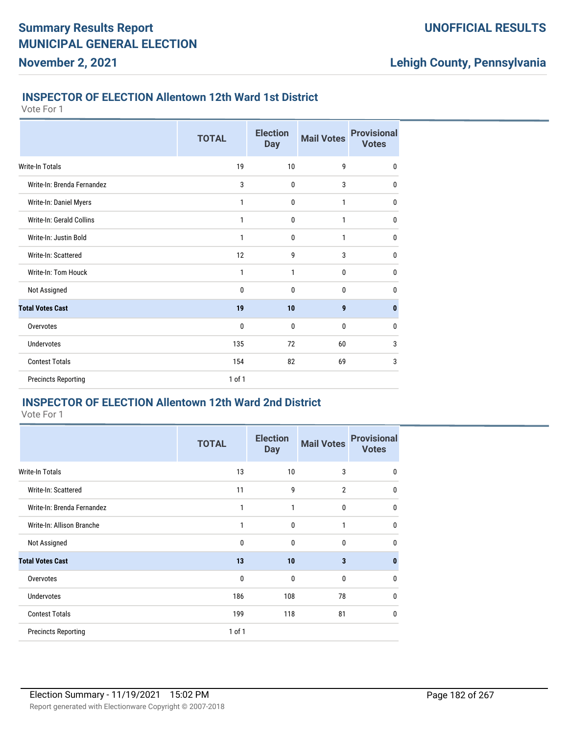### **INSPECTOR OF ELECTION Allentown 12th Ward 1st District**

Vote For 1

**November 2, 2021**

|                            | <b>TOTAL</b> | <b>Election</b><br><b>Day</b> | <b>Mail Votes</b> | <b>Provisional</b><br><b>Votes</b> |
|----------------------------|--------------|-------------------------------|-------------------|------------------------------------|
| Write-In Totals            | 19           | 10                            | 9                 | $\mathbf 0$                        |
| Write-In: Brenda Fernandez | 3            | 0                             | 3                 | 0                                  |
| Write-In: Daniel Myers     | 1            | 0                             | 1                 | $\mathbf 0$                        |
| Write-In: Gerald Collins   | 1            | $\mathbf{0}$                  | 1                 | $\mathbf 0$                        |
| Write-In: Justin Bold      | 1            | 0                             | 1                 | $\mathbf 0$                        |
| Write-In: Scattered        | 12           | 9                             | 3                 | $\mathbf 0$                        |
| Write-In: Tom Houck        | 1            | 1                             | 0                 | 0                                  |
| Not Assigned               | 0            | 0                             | 0                 | $\mathbf 0$                        |
| <b>Total Votes Cast</b>    | 19           | 10                            | 9                 | $\bf{0}$                           |
| Overvotes                  | 0            | $\mathbf{0}$                  | 0                 | $\mathbf 0$                        |
| <b>Undervotes</b>          | 135          | 72                            | 60                | 3                                  |
| <b>Contest Totals</b>      | 154          | 82                            | 69                | 3                                  |
| <b>Precincts Reporting</b> | $1$ of $1$   |                               |                   |                                    |

## **INSPECTOR OF ELECTION Allentown 12th Ward 2nd District**

|                            | <b>TOTAL</b> | <b>Election</b><br><b>Day</b> | <b>Mail Votes</b> | <b>Provisional</b><br><b>Votes</b> |
|----------------------------|--------------|-------------------------------|-------------------|------------------------------------|
| <b>Write-In Totals</b>     | 13           | 10                            | 3                 | $\mathbf 0$                        |
| Write-In: Scattered        | 11           | 9                             | $\overline{2}$    | $\mathbf 0$                        |
| Write-In: Brenda Fernandez | 1            | 1                             | 0                 | 0                                  |
| Write-In: Allison Branche  | 1            | $\mathbf 0$                   | 1                 | $\mathbf{0}$                       |
| Not Assigned               | 0            | $\mathbf 0$                   | $\bf{0}$          | $\mathbf 0$                        |
| <b>Total Votes Cast</b>    | 13           | 10                            | 3                 | $\mathbf{0}$                       |
| Overvotes                  | 0            | 0                             | $\bf{0}$          | $\mathbf 0$                        |
| <b>Undervotes</b>          | 186          | 108                           | 78                | $\mathbf{0}$                       |
| <b>Contest Totals</b>      | 199          | 118                           | 81                | $\mathbf{0}$                       |
| <b>Precincts Reporting</b> | 1 of 1       |                               |                   |                                    |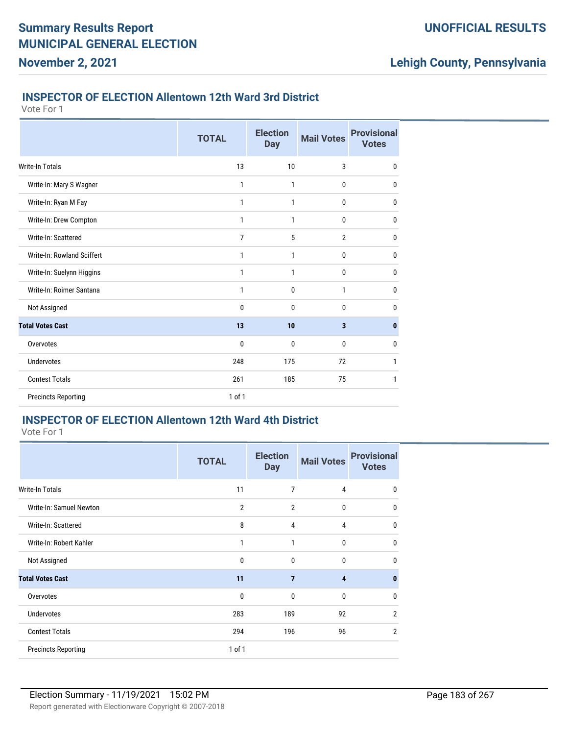### **INSPECTOR OF ELECTION Allentown 12th Ward 3rd District**

Vote For 1

**November 2, 2021**

|                            | <b>TOTAL</b> | <b>Election</b><br><b>Day</b> | <b>Mail Votes</b> | <b>Provisional</b><br><b>Votes</b> |
|----------------------------|--------------|-------------------------------|-------------------|------------------------------------|
| <b>Write-In Totals</b>     | 13           | 10                            | 3                 | $\mathbf 0$                        |
| Write-In: Mary S Wagner    | 1            | 1                             | 0                 | $\mathbf 0$                        |
| Write-In: Ryan M Fay       | 1            | 1                             | $\mathbf 0$       | 0                                  |
| Write-In: Drew Compton     | 1            | 1                             | 0                 | $\mathbf 0$                        |
| Write-In: Scattered        | 7            | 5                             | $\mathbf{2}$      | $\mathbf 0$                        |
| Write-In: Rowland Sciffert | 1            | 1                             | $\mathbf 0$       | 0                                  |
| Write-In: Suelynn Higgins  | 1            | 1                             | 0                 | $\mathbf 0$                        |
| Write-In: Roimer Santana   | 1            | 0                             | 1                 | $\mathbf 0$                        |
| Not Assigned               | 0            | $\mathbf{0}$                  | 0                 | 0                                  |
| <b>Total Votes Cast</b>    | 13           | 10                            | $\mathbf{3}$      | $\mathbf{0}$                       |
| Overvotes                  | 0            | 0                             | 0                 | 0                                  |
| <b>Undervotes</b>          | 248          | 175                           | 72                | 1                                  |
| <b>Contest Totals</b>      | 261          | 185                           | 75                | 1                                  |
| <b>Precincts Reporting</b> | 1 of 1       |                               |                   |                                    |

### **INSPECTOR OF ELECTION Allentown 12th Ward 4th District**

|                            | <b>TOTAL</b>   | <b>Election</b><br><b>Day</b> | <b>Mail Votes</b>       | <b>Provisional</b><br><b>Votes</b> |
|----------------------------|----------------|-------------------------------|-------------------------|------------------------------------|
| <b>Write-In Totals</b>     | 11             | 7                             | 4                       | 0                                  |
| Write-In: Samuel Newton    | $\overline{2}$ | $\overline{2}$                | 0                       | $\mathbf{0}$                       |
| Write-In: Scattered        | 8              | 4                             | 4                       | $\mathbf 0$                        |
| Write-In: Robert Kahler    | 1              | 1                             | $\mathbf 0$             | $\mathbf{0}$                       |
| Not Assigned               | $\mathbf{0}$   | $\mathbf{0}$                  | $\mathbf{0}$            | $\mathbf{0}$                       |
| <b>Total Votes Cast</b>    | 11             | $\overline{7}$                | $\overline{\mathbf{4}}$ | $\mathbf{0}$                       |
| Overvotes                  | $\mathbf{0}$   | $\mathbf{0}$                  | $\mathbf{0}$            | $\mathbf{0}$                       |
| <b>Undervotes</b>          | 283            | 189                           | 92                      | $\overline{2}$                     |
| <b>Contest Totals</b>      | 294            | 196                           | 96                      | $\overline{2}$                     |
| <b>Precincts Reporting</b> | $1$ of $1$     |                               |                         |                                    |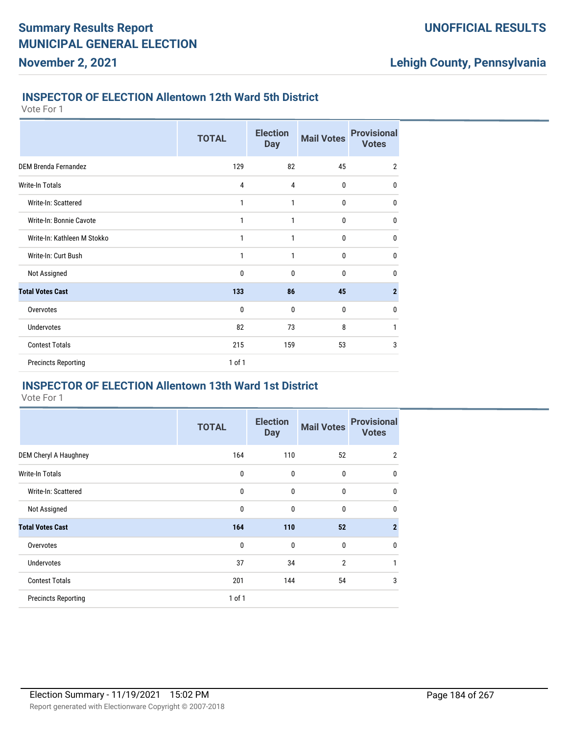### **INSPECTOR OF ELECTION Allentown 12th Ward 5th District**

Vote For 1

**November 2, 2021**

|                             | <b>TOTAL</b> | <b>Election</b><br><b>Day</b> | <b>Mail Votes</b> | <b>Provisional</b><br><b>Votes</b> |
|-----------------------------|--------------|-------------------------------|-------------------|------------------------------------|
| <b>DEM Brenda Fernandez</b> | 129          | 82                            | 45                | $\overline{2}$                     |
| Write-In Totals             | 4            | 4                             | 0                 | 0                                  |
| Write-In: Scattered         | 1            | 1                             | 0                 | 0                                  |
| Write-In: Bonnie Cavote     | 1            | 1                             | 0                 | 0                                  |
| Write-In: Kathleen M Stokko | 1            | 1                             | 0                 | 0                                  |
| Write-In: Curt Bush         | 1            | 1                             | 0                 | 0                                  |
| Not Assigned                | 0            | 0                             | 0                 | 0                                  |
| <b>Total Votes Cast</b>     | 133          | 86                            | 45                | $\overline{2}$                     |
| Overvotes                   | 0            | 0                             | 0                 | 0                                  |
| <b>Undervotes</b>           | 82           | 73                            | 8                 | 1                                  |
| <b>Contest Totals</b>       | 215          | 159                           | 53                | 3                                  |
| <b>Precincts Reporting</b>  | 1 of 1       |                               |                   |                                    |

#### **INSPECTOR OF ELECTION Allentown 13th Ward 1st District**

|                            | <b>TOTAL</b> | <b>Election</b><br><b>Day</b> | <b>Mail Votes</b> | <b>Provisional</b><br><b>Votes</b> |
|----------------------------|--------------|-------------------------------|-------------------|------------------------------------|
| DEM Cheryl A Haughney      | 164          | 110                           | 52                | $\overline{2}$                     |
| <b>Write-In Totals</b>     | 0            | 0                             | $\bf{0}$          | $\mathbf 0$                        |
| Write-In: Scattered        | 0            | 0                             | $\bf{0}$          | $\mathbf{0}$                       |
| Not Assigned               | 0            | $\mathbf 0$                   | $\bf{0}$          | $\mathbf 0$                        |
| <b>Total Votes Cast</b>    | 164          | 110                           | 52                | $\overline{2}$                     |
| Overvotes                  | $\mathbf 0$  | $\mathbf 0$                   | $\bf{0}$          | $\mathbf 0$                        |
| <b>Undervotes</b>          | 37           | 34                            | $\overline{2}$    | 1                                  |
| <b>Contest Totals</b>      | 201          | 144                           | 54                | 3                                  |
| <b>Precincts Reporting</b> | 1 of 1       |                               |                   |                                    |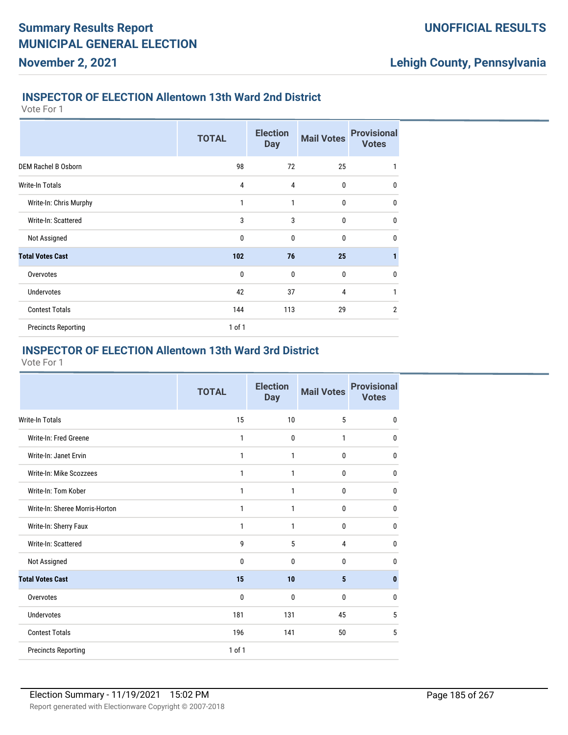### **INSPECTOR OF ELECTION Allentown 13th Ward 2nd District**

Vote For 1

**November 2, 2021**

|                            | <b>TOTAL</b> | <b>Election</b><br><b>Day</b> | <b>Mail Votes</b> | <b>Provisional</b><br><b>Votes</b> |
|----------------------------|--------------|-------------------------------|-------------------|------------------------------------|
| <b>DEM Rachel B Osborn</b> | 98           | 72                            | 25                | 1                                  |
| <b>Write-In Totals</b>     | 4            | 4                             | 0                 | $\mathbf 0$                        |
| Write-In: Chris Murphy     | 1            | 1                             | 0                 | $\mathbf 0$                        |
| Write-In: Scattered        | 3            | 3                             | 0                 | $\mathbf 0$                        |
| Not Assigned               | 0            | 0                             | 0                 | $\mathbf 0$                        |
| <b>Total Votes Cast</b>    | 102          | 76                            | 25                | 1                                  |
| Overvotes                  | 0            | 0                             | 0                 | $\mathbf 0$                        |
| <b>Undervotes</b>          | 42           | 37                            | 4                 | 1                                  |
| <b>Contest Totals</b>      | 144          | 113                           | 29                | $\overline{2}$                     |
| <b>Precincts Reporting</b> | $1$ of $1$   |                               |                   |                                    |

### **INSPECTOR OF ELECTION Allentown 13th Ward 3rd District**

|                                | <b>TOTAL</b> | <b>Election</b><br><b>Day</b> | <b>Mail Votes</b> | <b>Provisional</b><br><b>Votes</b> |
|--------------------------------|--------------|-------------------------------|-------------------|------------------------------------|
| <b>Write-In Totals</b>         | 15           | 10                            | 5                 | $\mathbf{0}$                       |
| Write-In: Fred Greene          | 1            | $\mathbf 0$                   | $\mathbf{1}$      | 0                                  |
| Write-In: Janet Ervin          | 1            | 1                             | 0                 | 0                                  |
| Write-In: Mike Scozzees        | $\mathbf{1}$ | $\mathbf{1}$                  | 0                 | 0                                  |
| Write-In: Tom Kober            | 1            | 1                             | 0                 | 0                                  |
| Write-In: Sheree Morris-Horton | 1            | 1                             | 0                 | 0                                  |
| Write-In: Sherry Faux          | 1            | 1                             | 0                 | 0                                  |
| Write-In: Scattered            | 9            | 5                             | 4                 | $\mathbf{0}$                       |
| Not Assigned                   | $\mathbf 0$  | $\mathbf{0}$                  | 0                 | 0                                  |
| <b>Total Votes Cast</b>        | 15           | 10                            | 5                 | $\bf{0}$                           |
| Overvotes                      | 0            | $\mathbf{0}$                  | 0                 | 0                                  |
| Undervotes                     | 181          | 131                           | 45                | 5                                  |
| <b>Contest Totals</b>          | 196          | 141                           | 50                | 5                                  |
| <b>Precincts Reporting</b>     | 1 of 1       |                               |                   |                                    |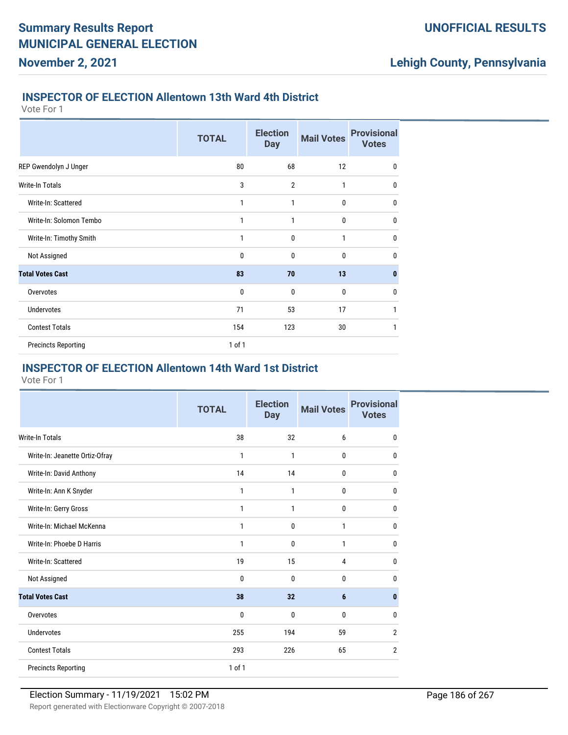### **INSPECTOR OF ELECTION Allentown 13th Ward 4th District**

Vote For 1

**November 2, 2021**

|                            |              | <b>Election</b> |                   | <b>Provisional</b> |
|----------------------------|--------------|-----------------|-------------------|--------------------|
|                            | <b>TOTAL</b> | <b>Day</b>      | <b>Mail Votes</b> | <b>Votes</b>       |
| REP Gwendolyn J Unger      | 80           | 68              | 12                | $\mathbf 0$        |
| <b>Write-In Totals</b>     | 3            | $\overline{2}$  | 1                 | 0                  |
| Write-In: Scattered        | 1            | 1               | $\mathbf{0}$      | $\mathbf{0}$       |
| Write-In: Solomon Tembo    | 1            | 1               | $\mathbf{0}$      | $\mathbf{0}$       |
| Write-In: Timothy Smith    | 1            | $\mathbf 0$     | 1                 | $\mathbf 0$        |
| Not Assigned               | $\mathbf 0$  | $\mathbf{0}$    | $\mathbf{0}$      | $\mathbf{0}$       |
| <b>Total Votes Cast</b>    | 83           | 70              | 13                | $\bf{0}$           |
| Overvotes                  | $\mathbf 0$  | $\mathbf 0$     | $\bf{0}$          | $\mathbf 0$        |
| <b>Undervotes</b>          | 71           | 53              | 17                | 1                  |
| <b>Contest Totals</b>      | 154          | 123             | 30                | 1                  |
| <b>Precincts Reporting</b> | $1$ of $1$   |                 |                   |                    |

### **INSPECTOR OF ELECTION Allentown 14th Ward 1st District**

|                                | <b>TOTAL</b> | <b>Election</b><br><b>Day</b> | <b>Mail Votes</b> | <b>Provisional</b><br><b>Votes</b> |
|--------------------------------|--------------|-------------------------------|-------------------|------------------------------------|
| <b>Write-In Totals</b>         | 38           | 32                            | 6                 | 0                                  |
| Write-In: Jeanette Ortiz-Ofray | 1            | $\mathbf{1}$                  | $\mathbf{0}$      | $\mathbf{0}$                       |
| Write-In: David Anthony        | 14           | 14                            | 0                 | 0                                  |
| Write-In: Ann K Snyder         | 1            | $\mathbf{1}$                  | $\mathbf{0}$      | $\mathbf{0}$                       |
| Write-In: Gerry Gross          | 1            | 1                             | $\bf{0}$          | 0                                  |
| Write-In: Michael McKenna      | 1            | 0                             | $\mathbf{1}$      | $\mathbf{0}$                       |
| Write-In: Phoebe D Harris      | 1            | $\mathbf{0}$                  | $\mathbf{1}$      | 0                                  |
| Write-In: Scattered            | 19           | 15                            | 4                 | 0                                  |
| Not Assigned                   | 0            | $\mathbf{0}$                  | $\mathbf{0}$      | $\mathbf{0}$                       |
| <b>Total Votes Cast</b>        | 38           | 32                            | 6                 | 0                                  |
| Overvotes                      | 0            | $\mathbf{0}$                  | $\mathbf 0$       | 0                                  |
| <b>Undervotes</b>              | 255          | 194                           | 59                | $\overline{2}$                     |
| <b>Contest Totals</b>          | 293          | 226                           | 65                | $\overline{2}$                     |
| <b>Precincts Reporting</b>     | 1 of 1       |                               |                   |                                    |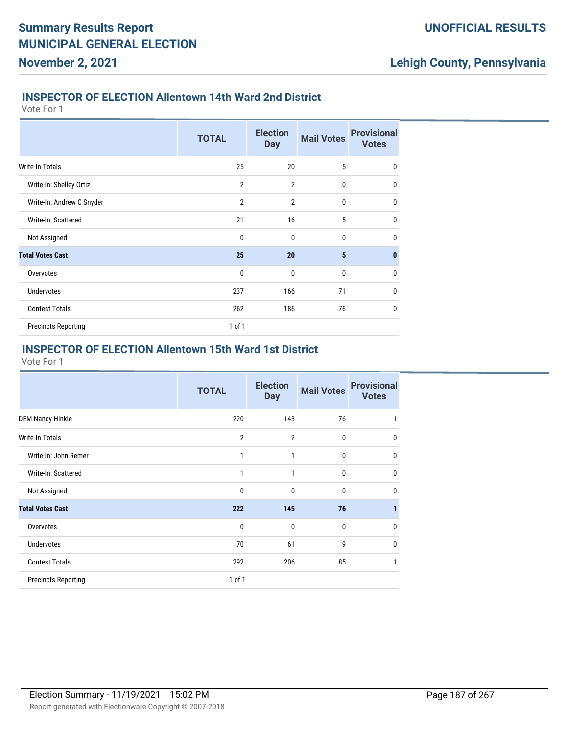### **INSPECTOR OF ELECTION Allentown 14th Ward 2nd District**

Vote For 1

**November 2, 2021**

|                            | <b>TOTAL</b>   | <b>Election</b><br><b>Day</b> | <b>Mail Votes</b> | <b>Provisional</b><br><b>Votes</b> |
|----------------------------|----------------|-------------------------------|-------------------|------------------------------------|
| <b>Write-In Totals</b>     | 25             | 20                            | 5                 | $\mathbf{0}$                       |
| Write-In: Shelley Ortiz    | $\overline{2}$ | $\overline{2}$                | $\mathbf{0}$      | $\mathbf{0}$                       |
| Write-In: Andrew C Snyder  | $\overline{2}$ | $\overline{2}$                | $\mathbf{0}$      | $\mathbf{0}$                       |
| Write-In: Scattered        | 21             | 16                            | 5                 | $\mathbf{0}$                       |
| Not Assigned               | $\mathbf{0}$   | $\mathbf{0}$                  | $\mathbf{0}$      | $\mathbf{0}$                       |
| <b>Total Votes Cast</b>    | 25             | 20                            | 5                 | $\mathbf{0}$                       |
| Overvotes                  | $\mathbf{0}$   | $\mathbf{0}$                  | 0                 | $\mathbf{0}$                       |
| <b>Undervotes</b>          | 237            | 166                           | 71                | $\mathbf{0}$                       |
| <b>Contest Totals</b>      | 262            | 186                           | 76                | $\mathbf{0}$                       |
| <b>Precincts Reporting</b> | $1$ of $1$     |                               |                   |                                    |

### **INSPECTOR OF ELECTION Allentown 15th Ward 1st District**

|                            | <b>TOTAL</b>   | <b>Election</b><br><b>Day</b> | <b>Mail Votes</b> | <b>Provisional</b><br><b>Votes</b> |
|----------------------------|----------------|-------------------------------|-------------------|------------------------------------|
| <b>DEM Nancy Hinkle</b>    | 220            | 143                           | 76                |                                    |
| <b>Write-In Totals</b>     | $\overline{2}$ | $\overline{2}$                | $\bf{0}$          | 0                                  |
| Write-In: John Remer       | 1              | 1                             | 0                 | 0                                  |
| Write-In: Scattered        | 1              | 1                             | 0                 | 0                                  |
| Not Assigned               | $\mathbf 0$    | $\mathbf{0}$                  | 0                 | 0                                  |
| <b>Total Votes Cast</b>    | 222            | 145                           | 76                |                                    |
| Overvotes                  | $\mathbf 0$    | $\mathbf{0}$                  | $\mathbf{0}$      | U                                  |
| <b>Undervotes</b>          | 70             | 61                            | 9                 | 0                                  |
| <b>Contest Totals</b>      | 292            | 206                           | 85                |                                    |
| <b>Precincts Reporting</b> | $1$ of $1$     |                               |                   |                                    |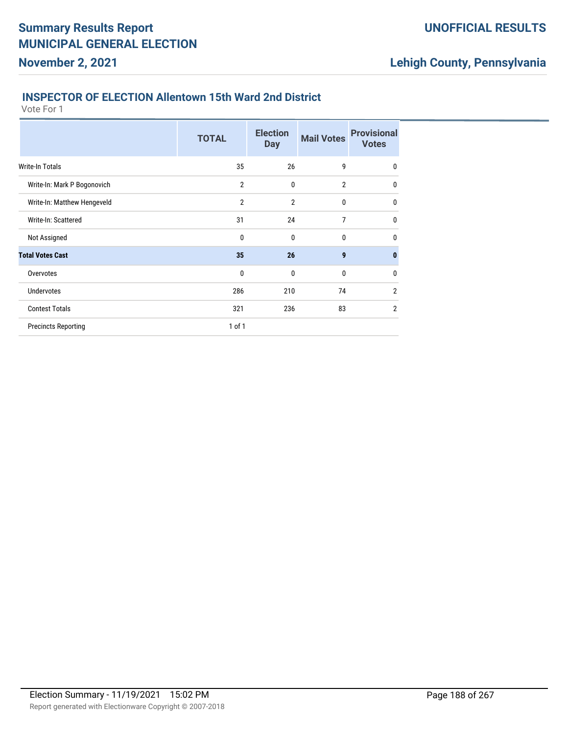### **INSPECTOR OF ELECTION Allentown 15th Ward 2nd District**

Vote For 1

**November 2, 2021**

|                             | <b>TOTAL</b>   | <b>Election</b><br><b>Day</b> | <b>Mail Votes</b> | <b>Provisional</b><br><b>Votes</b> |
|-----------------------------|----------------|-------------------------------|-------------------|------------------------------------|
| Write-In Totals             | 35             | 26                            | 9                 | 0                                  |
| Write-In: Mark P Bogonovich | $\overline{2}$ | 0                             | $\overline{2}$    | $\mathbf{0}$                       |
| Write-In: Matthew Hengeveld | $\overline{2}$ | $\overline{2}$                | 0                 | $\mathbf{0}$                       |
| Write-In: Scattered         | 31             | 24                            | 7                 | $\mathbf{0}$                       |
| Not Assigned                | $\mathbf{0}$   | $\mathbf{0}$                  | $\mathbf{0}$      | $\mathbf{0}$                       |
| <b>Total Votes Cast</b>     | 35             | 26                            | 9                 | $\bf{0}$                           |
| Overvotes                   | $\mathbf 0$    | 0                             | 0                 | $\mathbf{0}$                       |
| <b>Undervotes</b>           | 286            | 210                           | 74                | $\overline{2}$                     |
| <b>Contest Totals</b>       | 321            | 236                           | 83                | $\overline{2}$                     |
| <b>Precincts Reporting</b>  | 1 of 1         |                               |                   |                                    |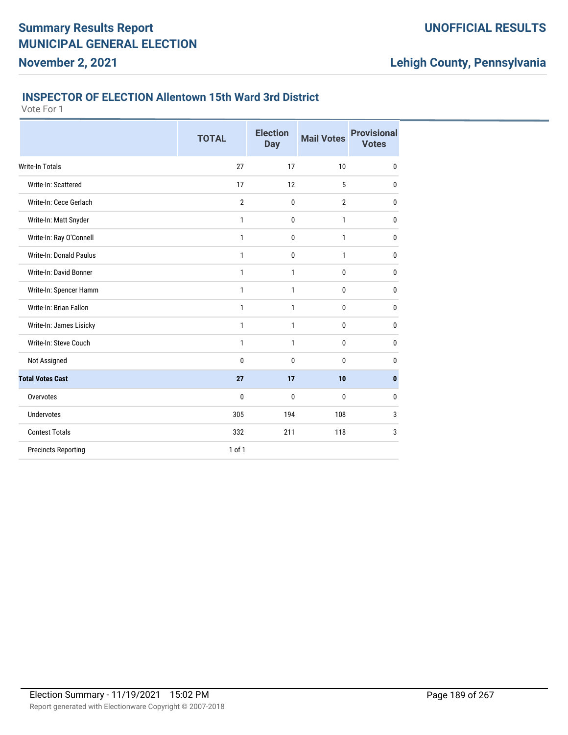### **INSPECTOR OF ELECTION Allentown 15th Ward 3rd District**

Vote For 1

**November 2, 2021**

|                            | <b>TOTAL</b>   | <b>Election</b><br><b>Day</b> | <b>Mail Votes</b> | <b>Provisional</b><br><b>Votes</b> |
|----------------------------|----------------|-------------------------------|-------------------|------------------------------------|
| <b>Write-In Totals</b>     | 27             | 17                            | 10                | $\mathbf{0}$                       |
| Write-In: Scattered        | 17             | 12                            | 5                 | 0                                  |
| Write-In: Cece Gerlach     | $\overline{2}$ | $\mathbf 0$                   | $\overline{2}$    | $\mathbf{0}$                       |
| Write-In: Matt Snyder      | 1              | $\mathbf 0$                   | 1                 | $\mathbf{0}$                       |
| Write-In: Ray O'Connell    | $\mathbf{1}$   | $\mathbf 0$                   | 1                 | $\mathbf{0}$                       |
| Write-In: Donald Paulus    | $\mathbf{1}$   | 0                             | 1                 | $\mathbf{0}$                       |
| Write-In: David Bonner     | $\mathbf{1}$   | 1                             | 0                 | $\mathbf{0}$                       |
| Write-In: Spencer Hamm     | $\mathbf{1}$   | $\mathbf{1}$                  | 0                 | $\bf{0}$                           |
| Write-In: Brian Fallon     | 1              | 1                             | 0                 | $\bf{0}$                           |
| Write-In: James Lisicky    | 1              | 1                             | 0                 | $\bf{0}$                           |
| Write-In: Steve Couch      | 1              | 1                             | 0                 | $\bf{0}$                           |
| Not Assigned               | 0              | 0                             | 0                 | $\mathbf{0}$                       |
| <b>Total Votes Cast</b>    | 27             | 17                            | 10                | $\mathbf{0}$                       |
| Overvotes                  | 0              | 0                             | 0                 | $\mathbf{0}$                       |
| <b>Undervotes</b>          | 305            | 194                           | 108               | 3                                  |
| <b>Contest Totals</b>      | 332            | 211                           | 118               | 3                                  |
| <b>Precincts Reporting</b> | $1$ of $1$     |                               |                   |                                    |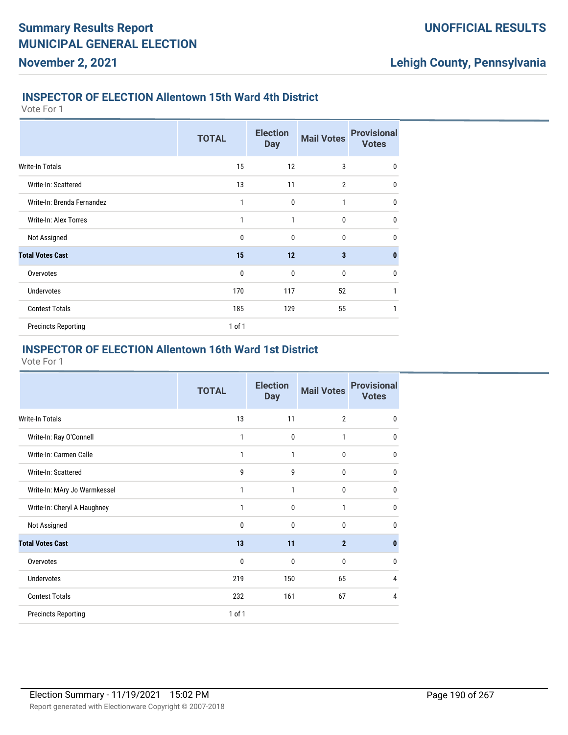### **INSPECTOR OF ELECTION Allentown 15th Ward 4th District**

Vote For 1

**November 2, 2021**

|                            | <b>TOTAL</b> | <b>Election</b><br><b>Day</b> | <b>Mail Votes</b>       | <b>Provisional</b><br><b>Votes</b> |
|----------------------------|--------------|-------------------------------|-------------------------|------------------------------------|
| <b>Write-In Totals</b>     | 15           | 12                            | 3                       | 0                                  |
| Write-In: Scattered        | 13           | 11                            | $\overline{2}$          | $\mathbf 0$                        |
| Write-In: Brenda Fernandez | 1            | 0                             | 1                       | $\mathbf 0$                        |
| Write-In: Alex Torres      | 1            | 1                             | $\mathbf{0}$            | $\mathbf 0$                        |
| Not Assigned               | $\mathbf 0$  | $\mathbf{0}$                  | $\mathbf{0}$            | $\mathbf{0}$                       |
| <b>Total Votes Cast</b>    | 15           | 12                            | $\overline{\mathbf{3}}$ | $\bf{0}$                           |
| Overvotes                  | $\mathbf 0$  | $\mathbf{0}$                  | $\mathbf 0$             | $\mathbf 0$                        |
| Undervotes                 | 170          | 117                           | 52                      | 1                                  |
| <b>Contest Totals</b>      | 185          | 129                           | 55                      | 1                                  |
| <b>Precincts Reporting</b> | $1$ of $1$   |                               |                         |                                    |

### **INSPECTOR OF ELECTION Allentown 16th Ward 1st District**

|                              | <b>TOTAL</b> | <b>Election</b><br><b>Day</b> | <b>Mail Votes</b> | <b>Provisional</b><br><b>Votes</b> |
|------------------------------|--------------|-------------------------------|-------------------|------------------------------------|
| <b>Write-In Totals</b>       | 13           | 11                            | $\overline{2}$    | $\mathbf{0}$                       |
| Write-In: Ray O'Connell      | 1            | $\mathbf 0$                   | $\mathbf{1}$      | $\Omega$                           |
| Write-In: Carmen Calle       | 1            | 1                             | 0                 | $\Omega$                           |
| Write-In: Scattered          | 9            | 9                             | 0                 | $\Omega$                           |
| Write-In: MAry Jo Warmkessel | 1            | 1                             | 0                 | $\Omega$                           |
| Write-In: Cheryl A Haughney  | 1            | $\mathbf{0}$                  | 1                 | 0                                  |
| Not Assigned                 | 0            | $\mathbf{0}$                  | $\mathbf{0}$      | <sup>0</sup>                       |
| <b>Total Votes Cast</b>      | 13           | 11                            | $\overline{2}$    | n                                  |
| Overvotes                    | $\mathbf{0}$ | $\mathbf{0}$                  | 0                 | 0                                  |
| <b>Undervotes</b>            | 219          | 150                           | 65                | 4                                  |
| <b>Contest Totals</b>        | 232          | 161                           | 67                | 4                                  |
| <b>Precincts Reporting</b>   | 1 of 1       |                               |                   |                                    |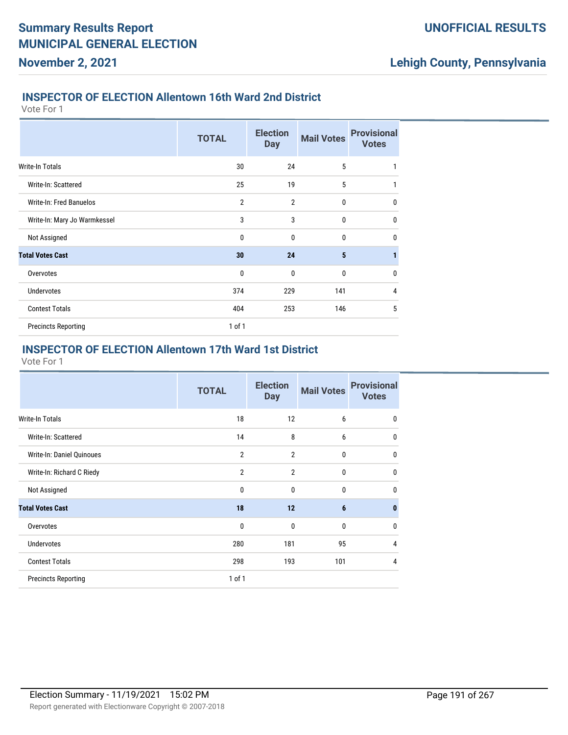### **INSPECTOR OF ELECTION Allentown 16th Ward 2nd District**

Vote For 1

**November 2, 2021**

|                                | <b>TOTAL</b>   | <b>Election</b><br><b>Day</b> | <b>Mail Votes</b> | <b>Provisional</b><br><b>Votes</b> |
|--------------------------------|----------------|-------------------------------|-------------------|------------------------------------|
| Write-In Totals                | 30             | 24                            | 5                 | 1                                  |
| Write-In: Scattered            | 25             | 19                            | 5                 | 1                                  |
| <b>Write-In: Fred Banuelos</b> | $\overline{2}$ | $\overline{2}$                | 0                 | $\mathbf{0}$                       |
| Write-In: Mary Jo Warmkessel   | 3              | 3                             | $\mathbf{0}$      | $\mathbf{0}$                       |
| Not Assigned                   | $\mathbf{0}$   | $\mathbf{0}$                  | $\mathbf{0}$      | $\mathbf{0}$                       |
| <b>Total Votes Cast</b>        | 30             | 24                            | 5                 | 1                                  |
| Overvotes                      | $\mathbf{0}$   | $\mathbf{0}$                  | 0                 | $\mathbf 0$                        |
| <b>Undervotes</b>              | 374            | 229                           | 141               | 4                                  |
| <b>Contest Totals</b>          | 404            | 253                           | 146               | 5                                  |
| <b>Precincts Reporting</b>     | $1$ of $1$     |                               |                   |                                    |

### **INSPECTOR OF ELECTION Allentown 17th Ward 1st District**

| <b>TOTAL</b>   | <b>Election</b><br><b>Day</b> | <b>Mail Votes</b> | <b>Provisional</b><br><b>Votes</b> |
|----------------|-------------------------------|-------------------|------------------------------------|
| 18             | 12                            | 6                 | $\mathbf{0}$                       |
| 14             | 8                             | 6                 | $\Omega$                           |
| $\overline{2}$ | $\overline{2}$                | 0                 | 0                                  |
| $\overline{2}$ | $\overline{2}$                | 0                 | 0                                  |
| $\mathbf 0$    | 0                             | 0                 | $\mathbf{0}$                       |
| 18             | 12                            | 6                 | $\bf{0}$                           |
| 0              | 0                             | 0                 | $\mathbf{0}$                       |
| 280            | 181                           | 95                | 4                                  |
| 298            | 193                           | 101               | 4                                  |
| $1$ of $1$     |                               |                   |                                    |
|                |                               |                   |                                    |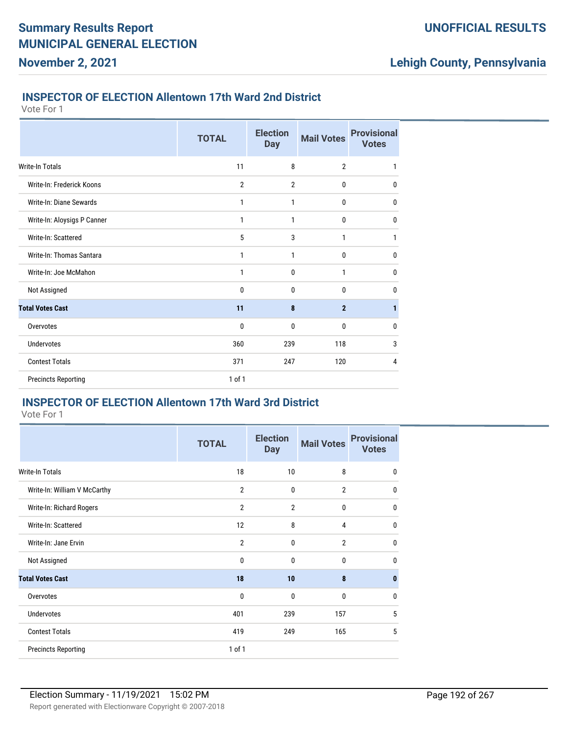### **INSPECTOR OF ELECTION Allentown 17th Ward 2nd District**

Vote For 1

**November 2, 2021**

|                             | <b>TOTAL</b> | <b>Election</b><br><b>Day</b> | <b>Mail Votes</b> | <b>Provisional</b><br><b>Votes</b> |
|-----------------------------|--------------|-------------------------------|-------------------|------------------------------------|
| <b>Write-In Totals</b>      | 11           | 8                             | $\overline{2}$    | 1                                  |
| Write-In: Frederick Koons   | 2            | $\overline{2}$                | $\bf{0}$          | 0                                  |
| Write-In: Diane Sewards     | 1            | 1                             | 0                 | 0                                  |
| Write-In: Aloysigs P Canner | 1            | 1                             | $\bf{0}$          | $\mathbf 0$                        |
| Write-In: Scattered         | 5            | 3                             | 1                 | 1                                  |
| Write-In: Thomas Santara    | 1            | 1                             | $\mathbf 0$       | $\mathbf 0$                        |
| Write-In: Joe McMahon       | 1            | 0                             | 1                 | 0                                  |
| Not Assigned                | 0            | $\mathbf 0$                   | 0                 | 0                                  |
| <b>Total Votes Cast</b>     | 11           | 8                             | $\mathbf{2}$      | 1                                  |
| Overvotes                   | 0            | $\mathbf 0$                   | $\bf{0}$          | $\mathbf 0$                        |
| <b>Undervotes</b>           | 360          | 239                           | 118               | 3                                  |
| <b>Contest Totals</b>       | 371          | 247                           | 120               | 4                                  |
| <b>Precincts Reporting</b>  | 1 of 1       |                               |                   |                                    |

# **INSPECTOR OF ELECTION Allentown 17th Ward 3rd District**

|                              | <b>TOTAL</b>   | <b>Election</b><br><b>Day</b> | <b>Mail Votes</b> | <b>Provisional</b><br><b>Votes</b> |
|------------------------------|----------------|-------------------------------|-------------------|------------------------------------|
| <b>Write-In Totals</b>       | 18             | 10                            | 8                 | $\mathbf{0}$                       |
| Write-In: William V McCarthy | $\overline{2}$ | 0                             | $\overline{2}$    | $\mathbf{0}$                       |
| Write-In: Richard Rogers     | $\overline{2}$ | $\overline{2}$                | 0                 | $\mathbf{0}$                       |
| Write-In: Scattered          | 12             | 8                             | 4                 | $\mathbf{0}$                       |
| Write-In: Jane Ervin         | $\overline{2}$ | $\mathbf{0}$                  | $\overline{2}$    | $\mathbf{0}$                       |
| Not Assigned                 | 0              | $\mathbf{0}$                  | 0                 | $\mathbf{0}$                       |
| <b>Total Votes Cast</b>      | 18             | 10                            | 8                 | $\bf{0}$                           |
| Overvotes                    | 0              | 0                             | 0                 | $\mathbf{0}$                       |
| <b>Undervotes</b>            | 401            | 239                           | 157               | 5                                  |
| <b>Contest Totals</b>        | 419            | 249                           | 165               | 5                                  |
| <b>Precincts Reporting</b>   | 1 of 1         |                               |                   |                                    |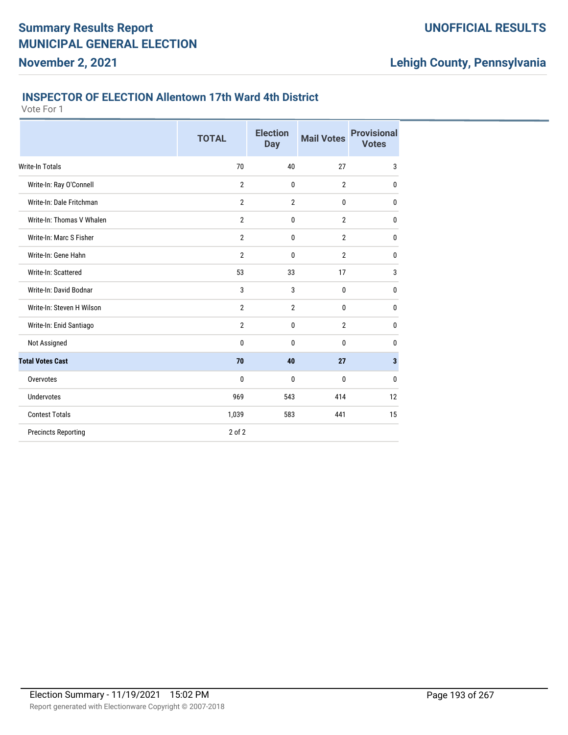### **INSPECTOR OF ELECTION Allentown 17th Ward 4th District**

Vote For 1

**November 2, 2021**

|                            | <b>TOTAL</b>   | <b>Election</b><br><b>Day</b> | <b>Mail Votes</b> | <b>Provisional</b><br><b>Votes</b> |
|----------------------------|----------------|-------------------------------|-------------------|------------------------------------|
| <b>Write-In Totals</b>     | 70             | 40                            | 27                | 3                                  |
| Write-In: Ray O'Connell    | $\overline{2}$ | $\mathbf{0}$                  | $\overline{2}$    | $\mathbf{0}$                       |
| Write-In: Dale Fritchman   | $\overline{2}$ | $\overline{2}$                | 0                 | 0                                  |
| Write-In: Thomas V Whalen  | $\overline{2}$ | 0                             | $\overline{2}$    | $\mathbf{0}$                       |
| Write-In: Marc S Fisher    | $\overline{2}$ | 0                             | $\overline{2}$    | $\mathbf{0}$                       |
| Write-In: Gene Hahn        | $\overline{2}$ | 0                             | $\overline{2}$    | $\mathbf{0}$                       |
| Write-In: Scattered        | 53             | 33                            | 17                | 3                                  |
| Write-In: David Bodnar     | 3              | 3                             | 0                 | $\mathbf{0}$                       |
| Write-In: Steven H Wilson  | $\overline{2}$ | $\overline{2}$                | 0                 | $\mathbf{0}$                       |
| Write-In: Enid Santiago    | $\overline{2}$ | 0                             | $\overline{2}$    | $\mathbf{0}$                       |
| Not Assigned               | $\mathbf{0}$   | 0                             | 0                 | $\mathbf{0}$                       |
| <b>Total Votes Cast</b>    | 70             | 40                            | 27                | $\mathbf{3}$                       |
| Overvotes                  | $\mathbf{0}$   | $\mathbf{0}$                  | 0                 | $\mathbf{0}$                       |
| <b>Undervotes</b>          | 969            | 543                           | 414               | 12                                 |
| <b>Contest Totals</b>      | 1,039          | 583                           | 441               | 15                                 |
| <b>Precincts Reporting</b> | 2 of 2         |                               |                   |                                    |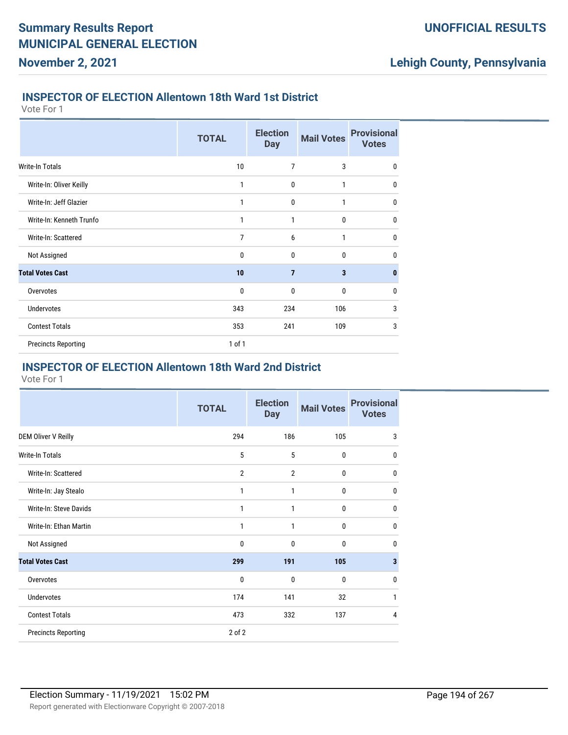#### **INSPECTOR OF ELECTION Allentown 18th Ward 1st District**

Vote For 1

**November 2, 2021**

|                            | <b>TOTAL</b> | <b>Election</b><br><b>Day</b> | <b>Mail Votes</b> | <b>Provisional</b><br><b>Votes</b> |
|----------------------------|--------------|-------------------------------|-------------------|------------------------------------|
| Write-In Totals            | 10           | $\overline{7}$                | 3                 | $\mathbf 0$                        |
| Write-In: Oliver Keilly    | 1            | 0                             | 1                 | $\mathbf{0}$                       |
| Write-In: Jeff Glazier     | 1            | $\mathbf{0}$                  | 1                 | $\mathbf{0}$                       |
| Write-In: Kenneth Trunfo   | 1            | 1                             | 0                 | $\mathbf{0}$                       |
| Write-In: Scattered        | 7            | 6                             | 1                 | $\mathbf{0}$                       |
| Not Assigned               | $\mathbf{0}$ | $\mathbf{0}$                  | $\mathbf{0}$      | $\mathbf{0}$                       |
| <b>Total Votes Cast</b>    | 10           | $\overline{7}$                | 3                 | $\bf{0}$                           |
| Overvotes                  | 0            | 0                             | 0                 | 0                                  |
| <b>Undervotes</b>          | 343          | 234                           | 106               | 3                                  |
| <b>Contest Totals</b>      | 353          | 241                           | 109               | 3                                  |
| <b>Precincts Reporting</b> | $1$ of $1$   |                               |                   |                                    |

### **INSPECTOR OF ELECTION Allentown 18th Ward 2nd District**

|                            | <b>TOTAL</b>   | <b>Election</b><br><b>Day</b> | <b>Mail Votes</b> | <b>Provisional</b><br><b>Votes</b> |
|----------------------------|----------------|-------------------------------|-------------------|------------------------------------|
| <b>DEM Oliver V Reilly</b> | 294            | 186                           | 105               | 3                                  |
| Write-In Totals            | 5              | 5                             | $\mathbf 0$       | $\mathbf{0}$                       |
| Write-In: Scattered        | $\overline{2}$ | $\overline{2}$                | $\mathbf 0$       | 0                                  |
| Write-In: Jay Stealo       | 1              | 1                             | $\mathbf 0$       | $\mathbf 0$                        |
| Write-In: Steve Davids     | 1              | 1                             | $\mathbf{0}$      | $\mathbf{0}$                       |
| Write-In: Ethan Martin     | 1              | 1                             | $\mathbf 0$       | $\mathbf{0}$                       |
| Not Assigned               | 0              | 0                             | 0                 | $\mathbf{0}$                       |
| <b>Total Votes Cast</b>    | 299            | 191                           | 105               | $\mathbf{3}$                       |
| Overvotes                  | $\mathbf{0}$   | 0                             | $\mathbf{0}$      | $\mathbf{0}$                       |
| <b>Undervotes</b>          | 174            | 141                           | 32                | 1                                  |
| <b>Contest Totals</b>      | 473            | 332                           | 137               | 4                                  |
| <b>Precincts Reporting</b> | 2 of 2         |                               |                   |                                    |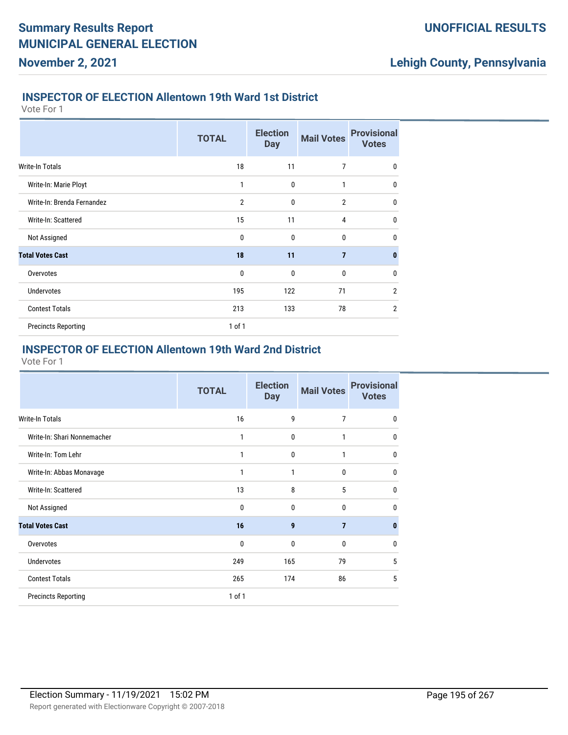#### **INSPECTOR OF ELECTION Allentown 19th Ward 1st District**

Vote For 1

**November 2, 2021**

|                            | <b>TOTAL</b>   | <b>Election</b><br><b>Day</b> | <b>Mail Votes</b> | <b>Provisional</b><br><b>Votes</b> |
|----------------------------|----------------|-------------------------------|-------------------|------------------------------------|
| <b>Write-In Totals</b>     | 18             | 11                            | 7                 | 0                                  |
| Write-In: Marie Ployt      | 1              | $\mathbf{0}$                  | $\mathbf{1}$      | $\mathbf{0}$                       |
| Write-In: Brenda Fernandez | $\overline{2}$ | $\mathbf{0}$                  | $\overline{2}$    | $\mathbf 0$                        |
| Write-In: Scattered        | 15             | 11                            | 4                 | $\mathbf 0$                        |
| Not Assigned               | $\mathbf 0$    | $\mathbf{0}$                  | $\mathbf{0}$      | $\mathbf 0$                        |
| <b>Total Votes Cast</b>    | 18             | 11                            | $\overline{7}$    | $\mathbf{0}$                       |
| Overvotes                  | $\mathbf 0$    | $\mathbf 0$                   | $\bf{0}$          | $\mathbf 0$                        |
| <b>Undervotes</b>          | 195            | 122                           | 71                | $\overline{2}$                     |
| <b>Contest Totals</b>      | 213            | 133                           | 78                | $\overline{2}$                     |
| <b>Precincts Reporting</b> | $1$ of $1$     |                               |                   |                                    |

#### **INSPECTOR OF ELECTION Allentown 19th Ward 2nd District**

|                             | <b>TOTAL</b> | <b>Election</b><br><b>Day</b> | <b>Mail Votes</b> | <b>Provisional</b><br><b>Votes</b> |
|-----------------------------|--------------|-------------------------------|-------------------|------------------------------------|
| <b>Write-In Totals</b>      | 16           | 9                             | 7                 | $\Omega$                           |
| Write-In: Shari Nonnemacher | 1            | 0                             | 1                 | 0                                  |
| Write-In: Tom Lehr          | 1            | 0                             | 1                 | 0                                  |
| Write-In: Abbas Monavage    | 1            | 1                             | 0                 | 0                                  |
| Write-In: Scattered         | 13           | 8                             | 5                 | 0                                  |
| Not Assigned                | 0            | $\mathbf{0}$                  | $\mathbf{0}$      | $\Omega$                           |
| <b>Total Votes Cast</b>     | 16           | 9                             | $\overline{7}$    | 0                                  |
| Overvotes                   | 0            | $\mathbf{0}$                  | $\mathbf{0}$      | $\Omega$                           |
| <b>Undervotes</b>           | 249          | 165                           | 79                | 5                                  |
| <b>Contest Totals</b>       | 265          | 174                           | 86                | 5                                  |
| <b>Precincts Reporting</b>  | 1 of 1       |                               |                   |                                    |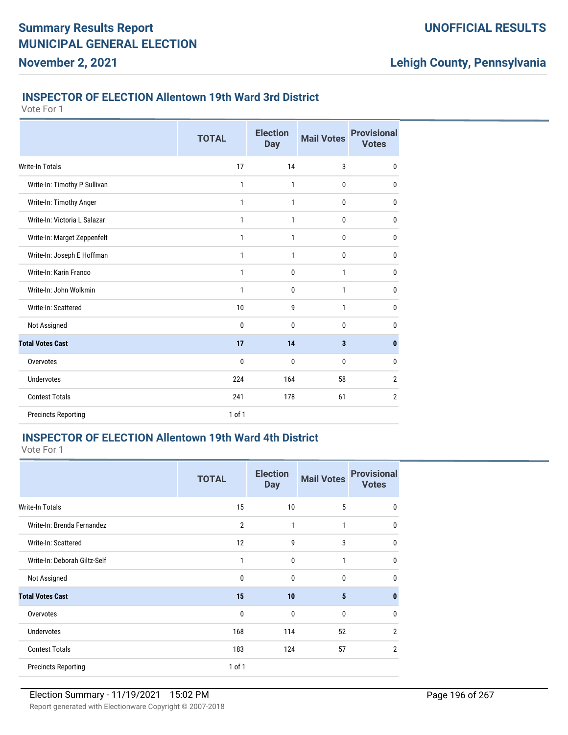### **INSPECTOR OF ELECTION Allentown 19th Ward 3rd District**

Vote For 1

**November 2, 2021**

|                              | <b>TOTAL</b> | <b>Election</b><br><b>Day</b> | <b>Mail Votes</b>       | <b>Provisional</b><br><b>Votes</b> |
|------------------------------|--------------|-------------------------------|-------------------------|------------------------------------|
| Write-In Totals              | 17           | 14                            | 3                       | $\mathbf{0}$                       |
| Write-In: Timothy P Sullivan | $\mathbf{1}$ | $\mathbf{1}$                  | $\bf{0}$                | $\mathbf{0}$                       |
| Write-In: Timothy Anger      | 1            | 1                             | $\bf{0}$                | 0                                  |
| Write-In: Victoria L Salazar | $\mathbf{1}$ | $\mathbf{1}$                  | $\mathbf{0}$            | $\mathbf{0}$                       |
| Write-In: Marget Zeppenfelt  | 1            | 1                             | $\mathbf{0}$            | $\mathbf{0}$                       |
| Write-In: Joseph E Hoffman   | 1            | 1                             | $\bf{0}$                | 0                                  |
| Write-In: Karin Franco       | 1            | $\mathbf 0$                   | $\mathbf{1}$            | $\mathbf{0}$                       |
| Write-In: John Wolkmin       | $\mathbf{1}$ | $\mathbf{0}$                  | $\mathbf{1}$            | $\mathbf{0}$                       |
| Write-In: Scattered          | 10           | 9                             | $\mathbf{1}$            | $\mathbf{0}$                       |
| Not Assigned                 | $\mathbf{0}$ | $\mathbf{0}$                  | $\mathbf{0}$            | $\mathbf{0}$                       |
| <b>Total Votes Cast</b>      | 17           | 14                            | $\overline{\mathbf{3}}$ | $\bf{0}$                           |
| Overvotes                    | 0            | 0                             | $\bf{0}$                | 0                                  |
| <b>Undervotes</b>            | 224          | 164                           | 58                      | $\overline{2}$                     |
| <b>Contest Totals</b>        | 241          | 178                           | 61                      | $\overline{2}$                     |
| <b>Precincts Reporting</b>   | $1$ of $1$   |                               |                         |                                    |

#### **INSPECTOR OF ELECTION Allentown 19th Ward 4th District**

|                              | <b>TOTAL</b>   | <b>Election</b><br><b>Day</b> | <b>Mail Votes</b> | <b>Provisional</b><br><b>Votes</b> |
|------------------------------|----------------|-------------------------------|-------------------|------------------------------------|
| Write-In Totals              | 15             | 10                            | 5                 | 0                                  |
| Write-In: Brenda Fernandez   | $\overline{2}$ | 1                             | 1                 | $\Omega$                           |
| Write-In: Scattered          | 12             | 9                             | 3                 | $\Omega$                           |
| Write-In: Deborah Giltz-Self | 1              | 0                             | 1                 | $\Omega$                           |
| Not Assigned                 | 0              | $\mathbf{0}$                  | 0                 | $\Omega$                           |
| <b>Total Votes Cast</b>      | 15             | 10                            | 5                 | n                                  |
| Overvotes                    | 0              | 0                             | $\mathbf{0}$      | $\Omega$                           |
| <b>Undervotes</b>            | 168            | 114                           | 52                | $\overline{2}$                     |
| <b>Contest Totals</b>        | 183            | 124                           | 57                | $\mathfrak{p}$                     |
| <b>Precincts Reporting</b>   | $1$ of $1$     |                               |                   |                                    |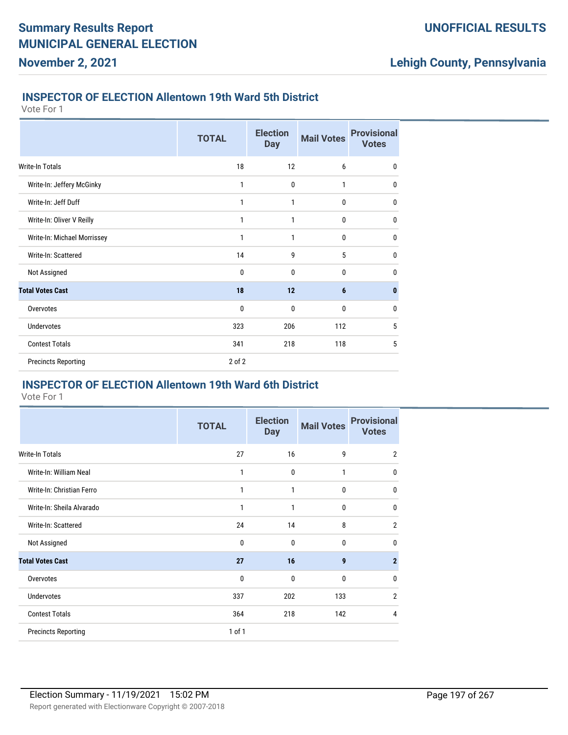### **INSPECTOR OF ELECTION Allentown 19th Ward 5th District**

Vote For 1

**November 2, 2021**

|                             | <b>TOTAL</b> | <b>Election</b><br><b>Day</b> | <b>Mail Votes</b> | <b>Provisional</b><br><b>Votes</b> |
|-----------------------------|--------------|-------------------------------|-------------------|------------------------------------|
| <b>Write-In Totals</b>      | 18           | 12                            | 6                 | $\mathbf 0$                        |
| Write-In: Jeffery McGinky   | 1            | $\mathbf{0}$                  | 1                 | $\mathbf 0$                        |
| Write-In: Jeff Duff         | 1            | 1                             | 0                 | 0                                  |
| Write-In: Oliver V Reilly   | 1            | 1                             | 0                 | $\mathbf 0$                        |
| Write-In: Michael Morrissey | 1            | 1                             | 0                 | $\mathbf 0$                        |
| Write-In: Scattered         | 14           | 9                             | 5                 | 0                                  |
| Not Assigned                | $\mathbf 0$  | $\mathbf{0}$                  | 0                 | $\mathbf 0$                        |
| <b>Total Votes Cast</b>     | 18           | 12                            | $6\phantom{1}$    | $\bf{0}$                           |
| Overvotes                   | 0            | 0                             | 0                 | 0                                  |
| <b>Undervotes</b>           | 323          | 206                           | 112               | 5                                  |
| <b>Contest Totals</b>       | 341          | 218                           | 118               | 5                                  |
| <b>Precincts Reporting</b>  | 2 of 2       |                               |                   |                                    |

### **INSPECTOR OF ELECTION Allentown 19th Ward 6th District**

|                            | <b>TOTAL</b> | <b>Election</b><br><b>Day</b> | <b>Mail Votes</b> | <b>Provisional</b><br><b>Votes</b> |
|----------------------------|--------------|-------------------------------|-------------------|------------------------------------|
| Write-In Totals            | 27           | 16                            | 9                 | $\overline{2}$                     |
| Write-In: William Neal     | 1            | 0                             | 1                 | $\mathbf{0}$                       |
| Write-In: Christian Ferro  | 1            | 1                             | $\mathbf{0}$      | $\mathbf 0$                        |
| Write-In: Sheila Alvarado  | 1            | 1                             | 0                 | $\mathbf 0$                        |
| Write-In: Scattered        | 24           | 14                            | 8                 | $\overline{2}$                     |
| Not Assigned               | $\mathbf{0}$ | $\mathbf{0}$                  | $\mathbf{0}$      | 0                                  |
| <b>Total Votes Cast</b>    | 27           | 16                            | 9                 | $\overline{2}$                     |
| Overvotes                  | $\mathbf{0}$ | $\mathbf{0}$                  | $\mathbf{0}$      | 0                                  |
| <b>Undervotes</b>          | 337          | 202                           | 133               | $\overline{2}$                     |
| <b>Contest Totals</b>      | 364          | 218                           | 142               | 4                                  |
| <b>Precincts Reporting</b> | $1$ of $1$   |                               |                   |                                    |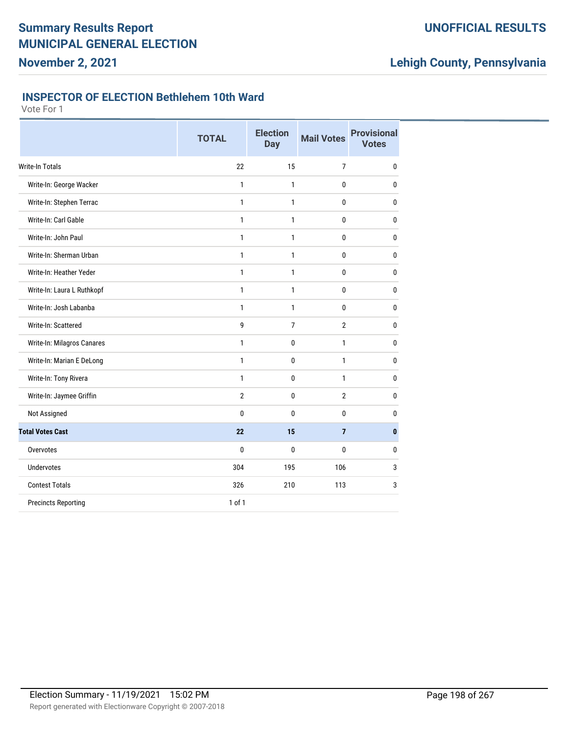### **UNOFFICIAL RESULTS**

# **Lehigh County, Pennsylvania**

### **INSPECTOR OF ELECTION Bethlehem 10th Ward**

|                            | <b>TOTAL</b>   | <b>Election</b><br><b>Day</b> | <b>Mail Votes</b> | <b>Provisional</b><br><b>Votes</b> |
|----------------------------|----------------|-------------------------------|-------------------|------------------------------------|
| Write-In Totals            | 22             | 15                            | $\overline{7}$    | $\bf{0}$                           |
| Write-In: George Wacker    | $\mathbf{1}$   | 1                             | 0                 | 0                                  |
| Write-In: Stephen Terrac   | $\mathbf{1}$   | 1                             | $\mathbf{0}$      | 0                                  |
| Write-In: Carl Gable       | $\mathbf{1}$   | 1                             | $\mathbf{0}$      | 0                                  |
| Write-In: John Paul        | $\mathbf{1}$   | 1                             | 0                 | 0                                  |
| Write-In: Sherman Urban    | $\mathbf{1}$   | 1                             | $\mathbf{0}$      | 0                                  |
| Write-In: Heather Yeder    | 1              | 1                             | $\mathbf{0}$      | 0                                  |
| Write-In: Laura L Ruthkopf | $\mathbf{1}$   | 1                             | $\mathbf 0$       | $\bf{0}$                           |
| Write-In: Josh Labanba     | $\mathbf{1}$   | 1                             | $\mathbf{0}$      | 0                                  |
| Write-In: Scattered        | 9              | 7                             | $\overline{2}$    | 0                                  |
| Write-In: Milagros Canares | 1              | $\mathbf 0$                   | $\mathbf{1}$      | 0                                  |
| Write-In: Marian E DeLong  | $\mathbf{1}$   | $\mathbf 0$                   | $\mathbf{1}$      | 0                                  |
| Write-In: Tony Rivera      | $\mathbf{1}$   | $\mathbf 0$                   | $\mathbf{1}$      | 0                                  |
| Write-In: Jaymee Griffin   | $\overline{2}$ | 0                             | $\overline{2}$    | 0                                  |
| Not Assigned               | 0              | $\mathbf{0}$                  | 0                 | 0                                  |
| <b>Total Votes Cast</b>    | 22             | 15                            | $\overline{7}$    | $\bf{0}$                           |
| Overvotes                  | $\bf{0}$       | $\mathbf{0}$                  | $\mathbf{0}$      | 0                                  |
| <b>Undervotes</b>          | 304            | 195                           | 106               | 3                                  |
| <b>Contest Totals</b>      | 326            | 210                           | 113               | 3                                  |
| <b>Precincts Reporting</b> | 1 of 1         |                               |                   |                                    |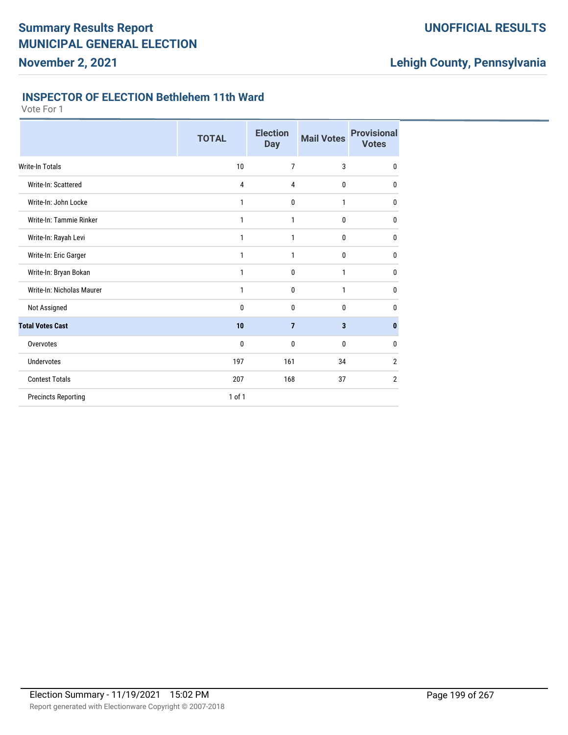### **UNOFFICIAL RESULTS**

# **Lehigh County, Pennsylvania**

### **INSPECTOR OF ELECTION Bethlehem 11th Ward**

|                            | <b>TOTAL</b>   | <b>Election</b><br><b>Day</b> | <b>Mail Votes</b> | <b>Provisional</b><br><b>Votes</b> |
|----------------------------|----------------|-------------------------------|-------------------|------------------------------------|
| Write-In Totals            | 10             | 7                             | 3                 | $\mathbf 0$                        |
| Write-In: Scattered        | $\overline{4}$ | 4                             | 0                 | 0                                  |
| Write-In: John Locke       | 1              | 0                             | 1                 | $\mathbf 0$                        |
| Write-In: Tammie Rinker    | 1              | 1                             | 0                 | $\mathbf 0$                        |
| Write-In: Rayah Levi       | 1              | 1                             | 0                 | 0                                  |
| Write-In: Eric Garger      | 1              | 1                             | 0                 | 0                                  |
| Write-In: Bryan Bokan      | 1              | 0                             | 1                 | 0                                  |
| Write-In: Nicholas Maurer  | 1              | 0                             | 1                 | $\mathbf 0$                        |
| Not Assigned               | 0              | 0                             | 0                 | 0                                  |
| <b>Total Votes Cast</b>    | 10             | 7                             | 3                 | 0                                  |
| Overvotes                  | 0              | 0                             | 0                 | 0                                  |
| <b>Undervotes</b>          | 197            | 161                           | 34                | $\overline{2}$                     |
| <b>Contest Totals</b>      | 207            | 168                           | 37                | $\overline{2}$                     |
| <b>Precincts Reporting</b> | 1 of 1         |                               |                   |                                    |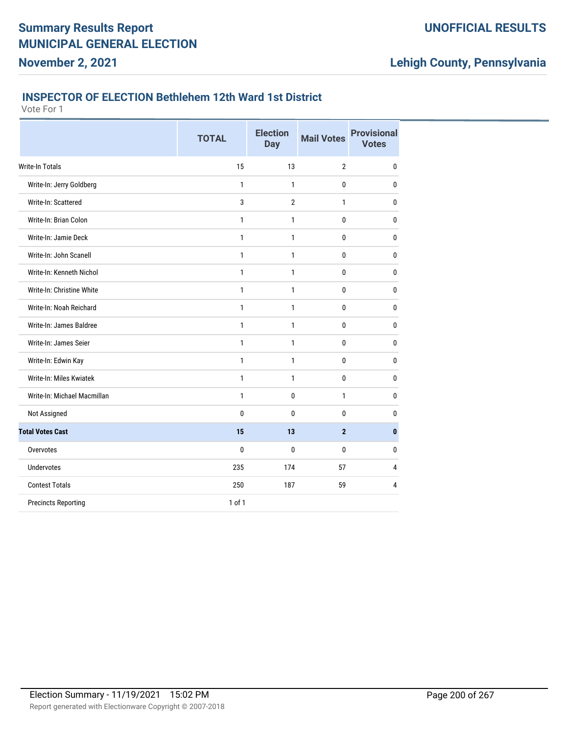# **Lehigh County, Pennsylvania**

#### **INSPECTOR OF ELECTION Bethlehem 12th Ward 1st District**

|                             | <b>TOTAL</b> | <b>Election</b><br><b>Day</b> | <b>Mail Votes</b> | <b>Provisional</b><br><b>Votes</b> |
|-----------------------------|--------------|-------------------------------|-------------------|------------------------------------|
| Write-In Totals             | 15           | 13                            | $\overline{2}$    | 0                                  |
| Write-In: Jerry Goldberg    | $\mathbf{1}$ | $\mathbf{1}$                  | 0                 | 0                                  |
| Write-In: Scattered         | 3            | $\overline{2}$                | 1                 | 0                                  |
| Write-In: Brian Colon       | $\mathbf{1}$ | $\mathbf{1}$                  | 0                 | 0                                  |
| Write-In: Jamie Deck        | $\mathbf{1}$ | 1                             | 0                 | 0                                  |
| Write-In: John Scanell      | 1            | $\mathbf{1}$                  | 0                 | $\bf{0}$                           |
| Write-In: Kenneth Nichol    | $\mathbf{1}$ | 1                             | 0                 | 0                                  |
| Write-In: Christine White   | 1            | $\mathbf{1}$                  | 0                 | 0                                  |
| Write-In: Noah Reichard     | $\mathbf{1}$ | $\mathbf{1}$                  | 0                 | 0                                  |
| Write-In: James Baldree     | 1            | $\mathbf{1}$                  | 0                 | 0                                  |
| Write-In: James Seier       | $\mathbf{1}$ | $\mathbf{1}$                  | 0                 | 0                                  |
| Write-In: Edwin Kay         | $\mathbf{1}$ | $\mathbf{1}$                  | 0                 | 0                                  |
| Write-In: Miles Kwiatek     | 1            | 1                             | 0                 | 0                                  |
| Write-In: Michael Macmillan | 1            | 0                             | 1                 | 0                                  |
| Not Assigned                | $\bf{0}$     | 0                             | 0                 | 0                                  |
| <b>Total Votes Cast</b>     | 15           | 13                            | $\overline{2}$    | $\bf{0}$                           |
| Overvotes                   | 0            | 0                             | 0                 | 0                                  |
| <b>Undervotes</b>           | 235          | 174                           | 57                | 4                                  |
| <b>Contest Totals</b>       | 250          | 187                           | 59                | 4                                  |
| <b>Precincts Reporting</b>  | 1 of 1       |                               |                   |                                    |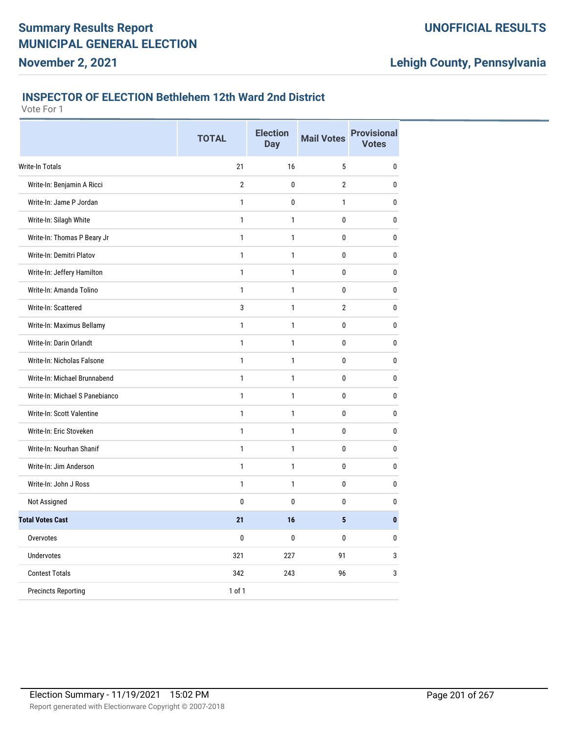# **Lehigh County, Pennsylvania**

#### **INSPECTOR OF ELECTION Bethlehem 12th Ward 2nd District**

|                                | <b>TOTAL</b>   | <b>Election</b><br><b>Day</b> | <b>Mail Votes</b> | <b>Provisional</b><br><b>Votes</b> |
|--------------------------------|----------------|-------------------------------|-------------------|------------------------------------|
| Write-In Totals                | 21             | 16                            | 5                 | $\pmb{0}$                          |
| Write-In: Benjamin A Ricci     | $\overline{2}$ | $\mathbf{0}$                  | $\overline{2}$    | 0                                  |
| Write-In: Jame P Jordan        | $\mathbf{1}$   | 0                             | $\mathbf{1}$      | $\bf{0}$                           |
| Write-In: Silagh White         | $\mathbf{1}$   | 1                             | 0                 | 0                                  |
| Write-In: Thomas P Beary Jr    | $\mathbf{1}$   | $\mathbf{1}$                  | 0                 | $\pmb{0}$                          |
| Write-In: Demitri Platov       | $\mathbf{1}$   | 1                             | 0                 | 0                                  |
| Write-In: Jeffery Hamilton     | $\mathbf{1}$   | 1                             | 0                 | 0                                  |
| Write-In: Amanda Tolino        | $\mathbf{1}$   | 1                             | 0                 | 0                                  |
| Write-In: Scattered            | 3              | $\mathbf{1}$                  | $\overline{2}$    | $\pmb{0}$                          |
| Write-In: Maximus Bellamy      | $\mathbf{1}$   | $\mathbf{1}$                  | $\mathbf{0}$      | $\bf{0}$                           |
| Write-In: Darin Orlandt        | $\mathbf{1}$   | 1                             | 0                 | 0                                  |
| Write-In: Nicholas Falsone     | $\mathbf{1}$   | 1                             | 0                 | 0                                  |
| Write-In: Michael Brunnabend   | $\mathbf{1}$   | $\mathbf{1}$                  | 0                 | $\pmb{0}$                          |
| Write-In: Michael S Panebianco | $\mathbf{1}$   | 1                             | 0                 | $\bf{0}$                           |
| Write-In: Scott Valentine      | $\mathbf{1}$   | 1                             | 0                 | 0                                  |
| Write-In: Eric Stoveken        | $\mathbf{1}$   | 1                             | 0                 | $\bf{0}$                           |
| Write-In: Nourhan Shanif       | $\mathbf{1}$   | 1                             | 0                 | $\pmb{0}$                          |
| Write-In: Jim Anderson         | $\mathbf{1}$   | $\mathbf{1}$                  | $\mathbf{0}$      | $\bf{0}$                           |
| Write-In: John J Ross          | $\mathbf{1}$   | 1                             | 0                 | 0                                  |
| Not Assigned                   | 0              | 0                             | 0                 | $\bf{0}$                           |
| <b>Total Votes Cast</b>        | 21             | 16                            | 5                 | $\bf{0}$                           |
| Overvotes                      | $\bf{0}$       | 0                             | 0                 | $\bf{0}$                           |
| <b>Undervotes</b>              | 321            | 227                           | 91                | 3                                  |
| <b>Contest Totals</b>          | 342            | 243                           | 96                | 3                                  |
| <b>Precincts Reporting</b>     | 1 of 1         |                               |                   |                                    |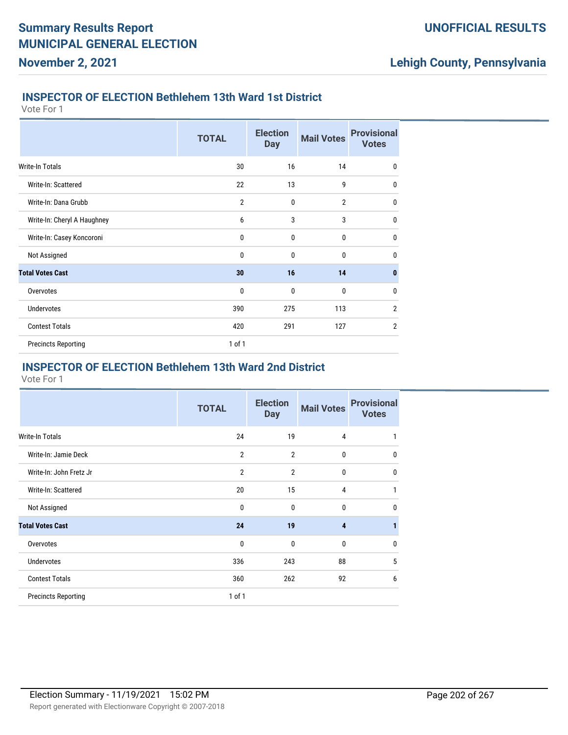### **INSPECTOR OF ELECTION Bethlehem 13th Ward 1st District**

Vote For 1

**November 2, 2021**

|                             | <b>TOTAL</b>   | <b>Election</b><br><b>Day</b> | <b>Mail Votes</b> | <b>Provisional</b><br><b>Votes</b> |
|-----------------------------|----------------|-------------------------------|-------------------|------------------------------------|
| Write-In Totals             | 30             | 16                            | 14                | $\mathbf 0$                        |
| Write-In: Scattered         | 22             | 13                            | 9                 | $\mathbf{0}$                       |
| Write-In: Dana Grubb        | $\overline{2}$ | 0                             | $\overline{2}$    | $\mathbf{0}$                       |
| Write-In: Cheryl A Haughney | 6              | 3                             | 3                 | $\mathbf 0$                        |
| Write-In: Casey Koncoroni   | 0              | 0                             | 0                 | $\mathbf{0}$                       |
| Not Assigned                | $\bf{0}$       | 0                             | 0                 | $\mathbf{0}$                       |
| <b>Total Votes Cast</b>     | 30             | 16                            | 14                | $\mathbf{0}$                       |
| Overvotes                   | 0              | $\mathbf{0}$                  | $\mathbf{0}$      | $\mathbf 0$                        |
| <b>Undervotes</b>           | 390            | 275                           | 113               | $\overline{2}$                     |
| <b>Contest Totals</b>       | 420            | 291                           | 127               | $\overline{2}$                     |
| <b>Precincts Reporting</b>  | 1 of 1         |                               |                   |                                    |

### **INSPECTOR OF ELECTION Bethlehem 13th Ward 2nd District**

|                            | <b>TOTAL</b>   | <b>Election</b><br><b>Day</b> | <b>Mail Votes</b> | <b>Provisional</b><br><b>Votes</b> |
|----------------------------|----------------|-------------------------------|-------------------|------------------------------------|
| Write-In Totals            | 24             | 19                            | 4                 | 1                                  |
| Write-In: Jamie Deck       | $\overline{2}$ | $\overline{2}$                | 0                 | 0                                  |
| Write-In: John Fretz Jr    | $\overline{2}$ | $\overline{2}$                | 0                 | 0                                  |
| Write-In: Scattered        | 20             | 15                            | 4                 | 1                                  |
| Not Assigned               | 0              | 0                             | 0                 | 0                                  |
| <b>Total Votes Cast</b>    | 24             | 19                            | 4                 |                                    |
| Overvotes                  | 0              | 0                             | 0                 | 0                                  |
| Undervotes                 | 336            | 243                           | 88                | 5                                  |
| <b>Contest Totals</b>      | 360            | 262                           | 92                | 6                                  |
| <b>Precincts Reporting</b> | 1 of 1         |                               |                   |                                    |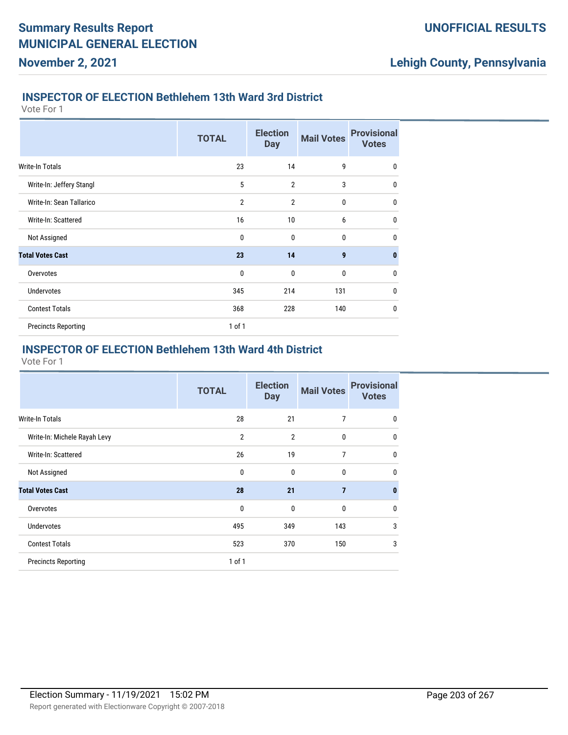#### **INSPECTOR OF ELECTION Bethlehem 13th Ward 3rd District**

Vote For 1

**November 2, 2021**

|                            | <b>TOTAL</b>   | <b>Election</b><br><b>Day</b> | <b>Mail Votes</b> | <b>Provisional</b><br><b>Votes</b> |
|----------------------------|----------------|-------------------------------|-------------------|------------------------------------|
| <b>Write-In Totals</b>     | 23             | 14                            | 9                 | $\mathbf{0}$                       |
| Write-In: Jeffery Stangl   | 5              | $\overline{2}$                | 3                 | $\mathbf{0}$                       |
| Write-In: Sean Tallarico   | $\overline{2}$ | $\overline{2}$                | $\mathbf{0}$      | $\mathbf{0}$                       |
| Write-In: Scattered        | 16             | 10                            | 6                 | $\mathbf{0}$                       |
| Not Assigned               | $\mathbf 0$    | $\mathbf 0$                   | $\mathbf{0}$      | $\mathbf{0}$                       |
| <b>Total Votes Cast</b>    | 23             | 14                            | $\boldsymbol{9}$  | $\mathbf{0}$                       |
| Overvotes                  | $\mathbf 0$    | $\mathbf 0$                   | 0                 | $\mathbf{0}$                       |
| <b>Undervotes</b>          | 345            | 214                           | 131               | 0                                  |
| <b>Contest Totals</b>      | 368            | 228                           | 140               | $\mathbf{0}$                       |
| <b>Precincts Reporting</b> | $1$ of $1$     |                               |                   |                                    |

#### **INSPECTOR OF ELECTION Bethlehem 13th Ward 4th District**

|                              | <b>TOTAL</b>   | <b>Election</b><br><b>Day</b> | <b>Mail Votes</b> | <b>Provisional</b><br><b>Votes</b> |
|------------------------------|----------------|-------------------------------|-------------------|------------------------------------|
| <b>Write-In Totals</b>       | 28             | 21                            | 7                 | 0                                  |
| Write-In: Michele Rayah Levy | $\overline{2}$ | $\overline{2}$                | 0                 | 0                                  |
| Write-In: Scattered          | 26             | 19                            | 7                 | 0                                  |
| Not Assigned                 | 0              | $\mathbf{0}$                  | 0                 | 0                                  |
| <b>Total Votes Cast</b>      | 28             | 21                            | $\overline{7}$    | $\bf{0}$                           |
| Overvotes                    | 0              | $\mathbf{0}$                  | 0                 | $\Omega$                           |
| <b>Undervotes</b>            | 495            | 349                           | 143               | 3                                  |
| <b>Contest Totals</b>        | 523            | 370                           | 150               | 3                                  |
| <b>Precincts Reporting</b>   | $1$ of $1$     |                               |                   |                                    |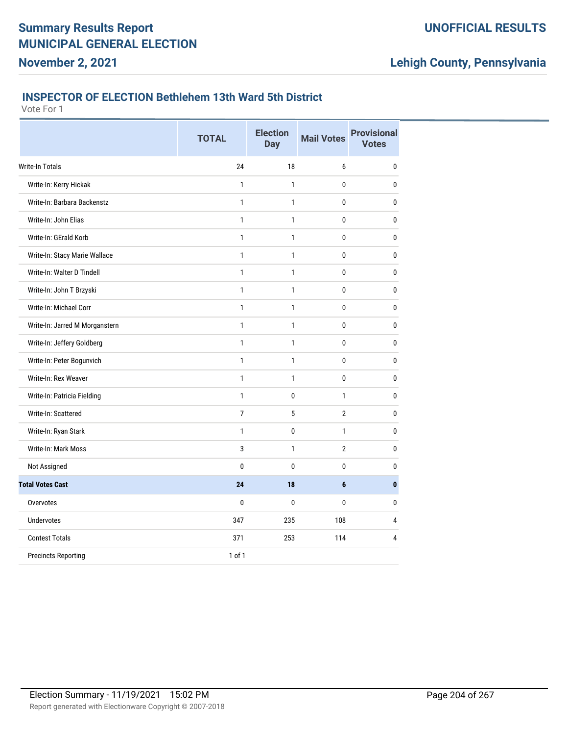# **Lehigh County, Pennsylvania**

#### **INSPECTOR OF ELECTION Bethlehem 13th Ward 5th District**

|                                | <b>TOTAL</b>   | <b>Election</b><br><b>Day</b> | <b>Mail Votes</b> | <b>Provisional</b><br><b>Votes</b> |
|--------------------------------|----------------|-------------------------------|-------------------|------------------------------------|
| <b>Write-In Totals</b>         | 24             | 18                            | 6                 | $\bf{0}$                           |
| Write-In: Kerry Hickak         | $\mathbf{1}$   | 1                             | 0                 | $\bf{0}$                           |
| Write-In: Barbara Backenstz    | $\mathbf{1}$   | $\mathbf{1}$                  | 0                 | $\bf{0}$                           |
| Write-In: John Elias           | $\mathbf{1}$   | $\mathbf{1}$                  | 0                 | $\mathbf{0}$                       |
| Write-In: GErald Korb          | $\mathbf{1}$   | 1                             | 0                 | 0                                  |
| Write-In: Stacy Marie Wallace  | 1              | 1                             | 0                 | 0                                  |
| Write-In: Walter D Tindell     | $\mathbf{1}$   | $\mathbf{1}$                  | 0                 | $\bf{0}$                           |
| Write-In: John T Brzyski       | $\mathbf{1}$   | $\mathbf{1}$                  | 0                 | $\pmb{0}$                          |
| Write-In: Michael Corr         | $\mathbf{1}$   | 1                             | 0                 | 0                                  |
| Write-In: Jarred M Morganstern | $\mathbf{1}$   | $\mathbf{1}$                  | 0                 | $\bf{0}$                           |
| Write-In: Jeffery Goldberg     | $\mathbf{1}$   | $\mathbf{1}$                  | 0                 | $\bf{0}$                           |
| Write-In: Peter Bogunvich      | $\mathbf{1}$   | $\mathbf{1}$                  | 0                 | $\mathbf{0}$                       |
| Write-In: Rex Weaver           | $\mathbf{1}$   | 1                             | 0                 | $\bf{0}$                           |
| Write-In: Patricia Fielding    | $\mathbf{1}$   | 0                             | $\mathbf{1}$      | $\bf{0}$                           |
| Write-In: Scattered            | $\overline{7}$ | 5                             | $\overline{2}$    | $\bf{0}$                           |
| Write-In: Ryan Stark           | $\mathbf{1}$   | $\pmb{0}$                     | $\mathbf{1}$      | $\bf{0}$                           |
| Write-In: Mark Moss            | 3              | 1                             | $\overline{2}$    | 0                                  |
| Not Assigned                   | 0              | 0                             | 0                 | 0                                  |
| <b>Total Votes Cast</b>        | 24             | 18                            | 6                 | $\mathbf{0}$                       |
| Overvotes                      | 0              | 0                             | 0                 | $\bf{0}$                           |
| <b>Undervotes</b>              | 347            | 235                           | 108               | 4                                  |
| <b>Contest Totals</b>          | 371            | 253                           | 114               | 4                                  |
| <b>Precincts Reporting</b>     | $1$ of $1$     |                               |                   |                                    |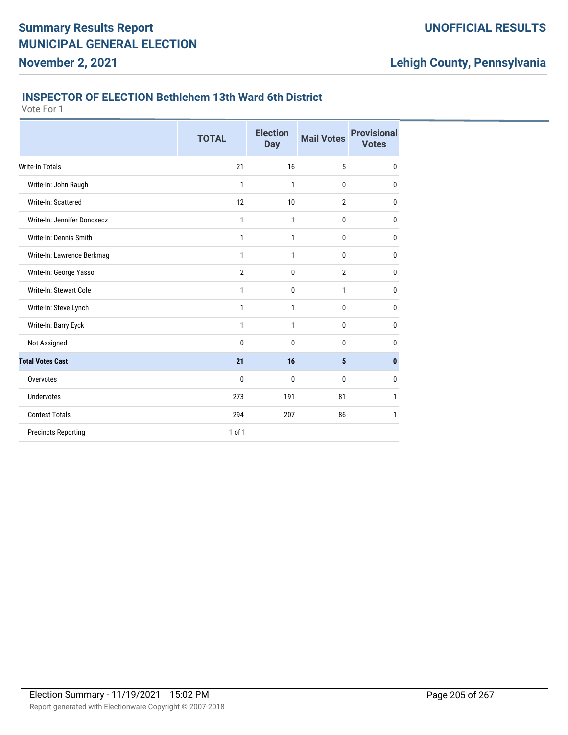#### **INSPECTOR OF ELECTION Bethlehem 13th Ward 6th District**

Vote For 1

**November 2, 2021**

|                             | <b>TOTAL</b>   | <b>Election</b><br><b>Day</b> | <b>Mail Votes</b> | <b>Provisional</b><br><b>Votes</b> |
|-----------------------------|----------------|-------------------------------|-------------------|------------------------------------|
| Write-In Totals             | 21             | 16                            | 5                 | $\bf{0}$                           |
| Write-In: John Raugh        | 1              | 1                             | $\mathbf{0}$      | 0                                  |
| Write-In: Scattered         | 12             | 10                            | $\overline{2}$    | 0                                  |
| Write-In: Jennifer Doncsecz | 1              | 1                             | 0                 | 0                                  |
| Write-In: Dennis Smith      | 1              | 1                             | 0                 | 0                                  |
| Write-In: Lawrence Berkmag  | 1              | 1                             | 0                 | 0                                  |
| Write-In: George Yasso      | $\overline{2}$ | 0                             | $\overline{2}$    | 0                                  |
| Write-In: Stewart Cole      | 1              | 0                             | 1                 | 0                                  |
| Write-In: Steve Lynch       | $\mathbf{1}$   | 1                             | 0                 | $\bf{0}$                           |
| Write-In: Barry Eyck        | 1              | 1                             | 0                 | $\bf{0}$                           |
| Not Assigned                | 0              | $\mathbf 0$                   | 0                 | 0                                  |
| <b>Total Votes Cast</b>     | 21             | 16                            | 5                 | $\mathbf{0}$                       |
| Overvotes                   | 0              | $\mathbf 0$                   | 0                 | $\bf{0}$                           |
| <b>Undervotes</b>           | 273            | 191                           | 81                | 1                                  |
| <b>Contest Totals</b>       | 294            | 207                           | 86                | 1                                  |
| <b>Precincts Reporting</b>  | $1$ of $1$     |                               |                   |                                    |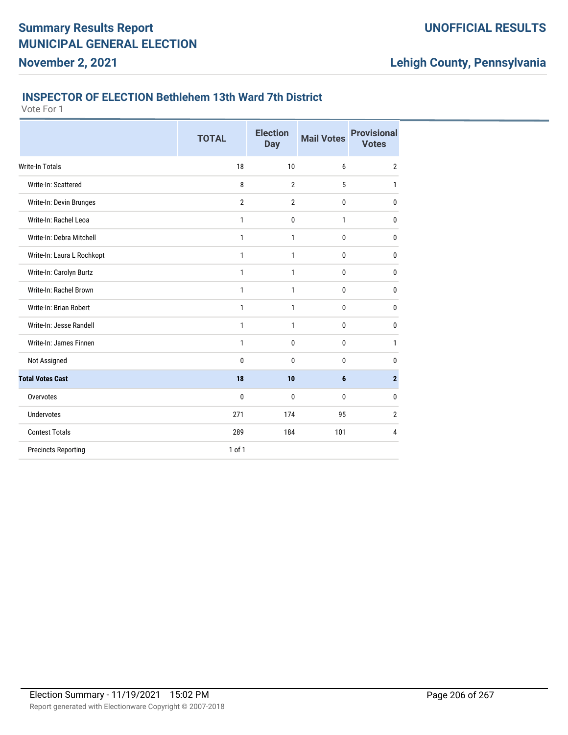#### **INSPECTOR OF ELECTION Bethlehem 13th Ward 7th District**

Vote For 1

**November 2, 2021**

|                            | <b>TOTAL</b>   | <b>Election</b><br><b>Day</b> | <b>Mail Votes</b> | <b>Provisional</b><br><b>Votes</b> |
|----------------------------|----------------|-------------------------------|-------------------|------------------------------------|
| <b>Write-In Totals</b>     | 18             | 10                            | 6                 | $\overline{2}$                     |
| Write-In: Scattered        | 8              | $\overline{2}$                | 5                 | 1                                  |
| Write-In: Devin Brunges    | $\overline{2}$ | $\overline{2}$                | $\bf{0}$          | $\bf{0}$                           |
| Write-In: Rachel Leoa      | $\mathbf{1}$   | $\mathbf{0}$                  | $\mathbf{1}$      | 0                                  |
| Write-In: Debra Mitchell   | 1              | $\mathbf{1}$                  | $\mathbf 0$       | 0                                  |
| Write-In: Laura L Rochkopt | 1              | $\mathbf{1}$                  | $\bf{0}$          | 0                                  |
| Write-In: Carolyn Burtz    | $\mathbf{1}$   | $\mathbf{1}$                  | $\bf{0}$          | 0                                  |
| Write-In: Rachel Brown     | 1              | 1                             | 0                 | 0                                  |
| Write-In: Brian Robert     | $\mathbf{1}$   | 1                             | $\bf{0}$          | 0                                  |
| Write-In: Jesse Randell    | 1              | 1                             | $\bf{0}$          | $\mathbf 0$                        |
| Write-In: James Finnen     | 1              | 0                             | 0                 | 1                                  |
| Not Assigned               | 0              | $\mathbf{0}$                  | 0                 | 0                                  |
| <b>Total Votes Cast</b>    | 18             | 10                            | $6\phantom{1}$    | $\mathbf{2}$                       |
| Overvotes                  | 0              | $\mathbf{0}$                  | 0                 | 0                                  |
| <b>Undervotes</b>          | 271            | 174                           | 95                | $\overline{2}$                     |
| <b>Contest Totals</b>      | 289            | 184                           | 101               | $\overline{4}$                     |
| <b>Precincts Reporting</b> | 1 of 1         |                               |                   |                                    |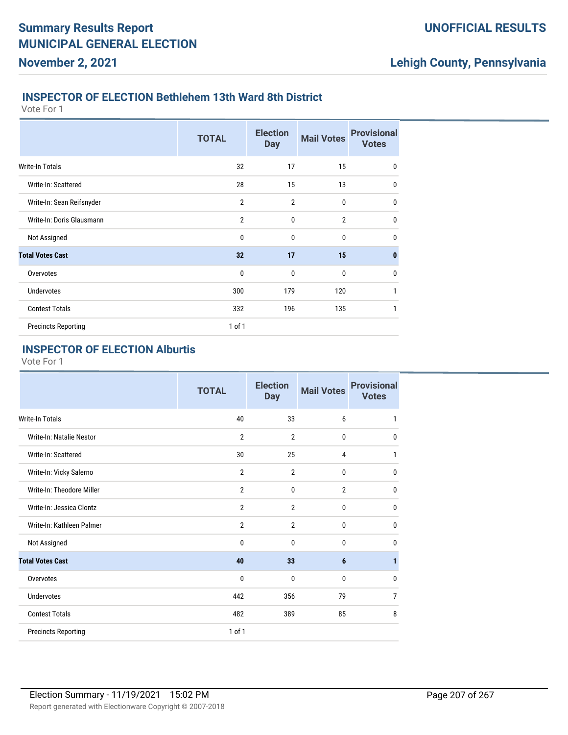#### **INSPECTOR OF ELECTION Bethlehem 13th Ward 8th District**

Vote For 1

**November 2, 2021**

|                            | <b>TOTAL</b>   | <b>Election</b><br><b>Day</b> | <b>Mail Votes</b> | <b>Provisional</b><br><b>Votes</b> |
|----------------------------|----------------|-------------------------------|-------------------|------------------------------------|
| <b>Write-In Totals</b>     | 32             | 17                            | 15                | $\mathbf 0$                        |
| Write-In: Scattered        | 28             | 15                            | 13                | $\mathbf{0}$                       |
| Write-In: Sean Reifsnyder  | $\overline{2}$ | $\overline{2}$                | 0                 | $\mathbf 0$                        |
| Write-In: Doris Glausmann  | $\overline{2}$ | $\mathbf{0}$                  | $\overline{2}$    | $\mathbf 0$                        |
| Not Assigned               | 0              | $\mathbf{0}$                  | $\mathbf{0}$      | $\mathbf{0}$                       |
| <b>Total Votes Cast</b>    | 32             | 17                            | 15                | $\mathbf{0}$                       |
| Overvotes                  | $\mathbf 0$    | 0                             | 0                 | $\mathbf 0$                        |
| <b>Undervotes</b>          | 300            | 179                           | 120               | 1                                  |
| <b>Contest Totals</b>      | 332            | 196                           | 135               | 1                                  |
| <b>Precincts Reporting</b> | $1$ of $1$     |                               |                   |                                    |

### **INSPECTOR OF ELECTION Alburtis**

|                            | <b>TOTAL</b>   | <b>Election</b><br><b>Day</b> | <b>Mail Votes</b> | <b>Provisional</b><br><b>Votes</b> |
|----------------------------|----------------|-------------------------------|-------------------|------------------------------------|
| <b>Write-In Totals</b>     | 40             | 33                            | 6                 | 1                                  |
| Write-In: Natalie Nestor   | $\overline{2}$ | $\overline{2}$                | 0                 | 0                                  |
| Write-In: Scattered        | 30             | 25                            | $\overline{4}$    | 1                                  |
| Write-In: Vicky Salerno    | $\overline{2}$ | $\overline{2}$                | 0                 | 0                                  |
| Write-In: Theodore Miller  | $\overline{2}$ | $\mathbf 0$                   | $\overline{2}$    | $\bf{0}$                           |
| Write-In: Jessica Clontz   | $\overline{2}$ | $\overline{2}$                | 0                 | $\mathbf{0}$                       |
| Write-In: Kathleen Palmer  | $\overline{2}$ | $\overline{2}$                | $\mathbf{0}$      | 0                                  |
| Not Assigned               | $\mathbf{0}$   | $\mathbf{0}$                  | 0                 | $\mathbf 0$                        |
| <b>Total Votes Cast</b>    | 40             | 33                            | 6                 | 1                                  |
| Overvotes                  | $\mathbf{0}$   | $\mathbf{0}$                  | 0                 | 0                                  |
| <b>Undervotes</b>          | 442            | 356                           | 79                | 7                                  |
| <b>Contest Totals</b>      | 482            | 389                           | 85                | 8                                  |
| <b>Precincts Reporting</b> | $1$ of $1$     |                               |                   |                                    |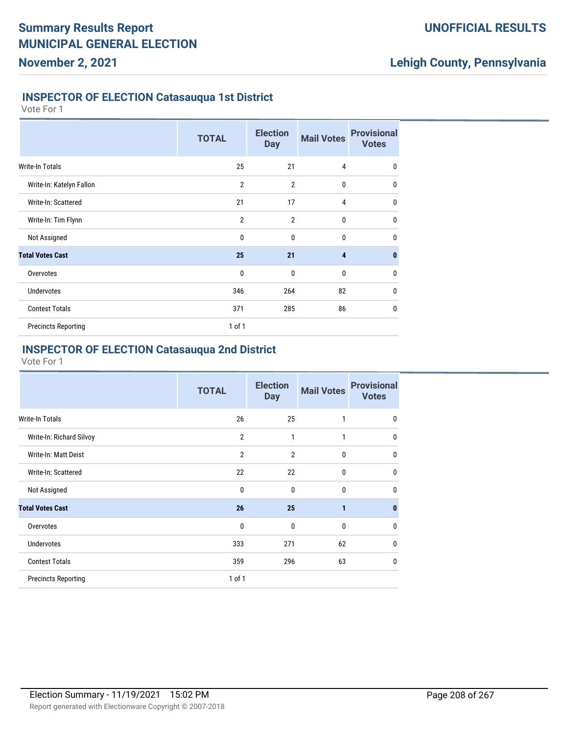### **INSPECTOR OF ELECTION Catasauqua 1st District**

Vote For 1

|                            | <b>TOTAL</b>   | <b>Election</b><br><b>Day</b> | <b>Mail Votes</b> | <b>Provisional</b><br><b>Votes</b> |
|----------------------------|----------------|-------------------------------|-------------------|------------------------------------|
| Write-In Totals            | 25             | 21                            | 4                 | 0                                  |
| Write-In: Katelyn Fallon   | $\overline{2}$ | $\overline{2}$                | $\mathbf 0$       | $\mathbf{0}$                       |
| Write-In: Scattered        | 21             | 17                            | 4                 | $\mathbf{0}$                       |
| Write-In: Tim Flynn        | $\overline{2}$ | $\overline{2}$                | $\mathbf{0}$      | $\mathbf 0$                        |
| Not Assigned               | $\mathbf{0}$   | $\mathbf{0}$                  | $\mathbf{0}$      | $\mathbf{0}$                       |
| <b>Total Votes Cast</b>    | 25             | 21                            | $\overline{4}$    | $\bf{0}$                           |
| Overvotes                  | $\mathbf{0}$   | $\mathbf{0}$                  | $\mathbf 0$       | $\mathbf 0$                        |
| <b>Undervotes</b>          | 346            | 264                           | 82                | $\mathbf 0$                        |
| <b>Contest Totals</b>      | 371            | 285                           | 86                | $\mathbf 0$                        |
| <b>Precincts Reporting</b> | $1$ of $1$     |                               |                   |                                    |

### **INSPECTOR OF ELECTION Catasauqua 2nd District**

|                            | <b>TOTAL</b>   | <b>Election</b><br><b>Day</b> | <b>Mail Votes</b> | <b>Provisional</b><br><b>Votes</b> |
|----------------------------|----------------|-------------------------------|-------------------|------------------------------------|
| <b>Write-In Totals</b>     | 26             | 25                            | 1                 | $\mathbf{0}$                       |
| Write-In: Richard Silvoy   | $\overline{2}$ | $\mathbf{1}$                  | 1                 | $\mathbf{0}$                       |
| Write-In: Matt Deist       | $\overline{2}$ | $\overline{2}$                | $\mathbf{0}$      | $\mathbf{0}$                       |
| Write-In: Scattered        | 22             | 22                            | $\mathbf{0}$      | 0                                  |
| Not Assigned               | 0              | $\mathbf{0}$                  | $\mathbf{0}$      | 0                                  |
| <b>Total Votes Cast</b>    | 26             | 25                            | $\mathbf{1}$      | $\mathbf{0}$                       |
| Overvotes                  | 0              | $\mathbf{0}$                  | $\mathbf 0$       | $\mathbf{0}$                       |
| <b>Undervotes</b>          | 333            | 271                           | 62                | $\mathbf{0}$                       |
| <b>Contest Totals</b>      | 359            | 296                           | 63                | $\mathbf{0}$                       |
| <b>Precincts Reporting</b> | $1$ of $1$     |                               |                   |                                    |
|                            |                |                               |                   |                                    |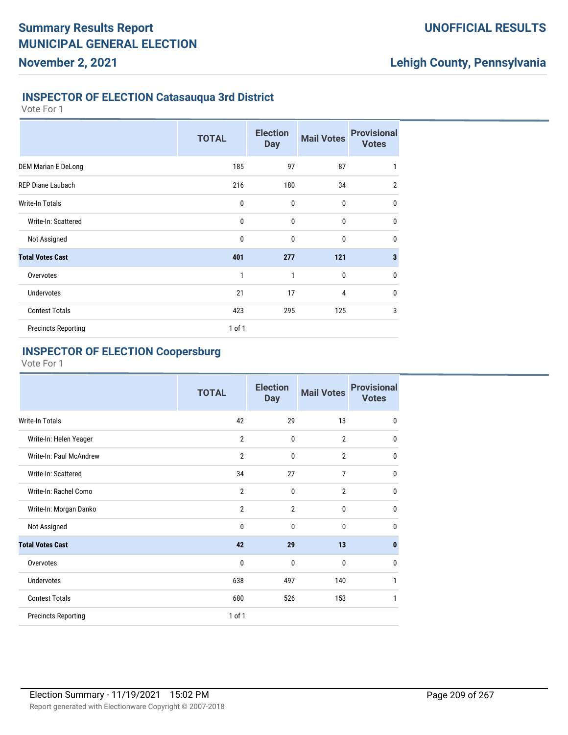### **INSPECTOR OF ELECTION Catasauqua 3rd District**

Vote For 1

|                            | <b>TOTAL</b> | <b>Election</b><br><b>Day</b> | <b>Mail Votes</b> | <b>Provisional</b><br><b>Votes</b> |
|----------------------------|--------------|-------------------------------|-------------------|------------------------------------|
| <b>DEM Marian E DeLong</b> | 185          | 97                            | 87                | 1                                  |
| <b>REP Diane Laubach</b>   | 216          | 180                           | 34                | $\overline{2}$                     |
| <b>Write-In Totals</b>     | 0            | $\mathbf{0}$                  | 0                 | $\mathbf 0$                        |
| Write-In: Scattered        | 0            | $\mathbf{0}$                  | 0                 | $\mathbf 0$                        |
| Not Assigned               | 0            | 0                             | 0                 | $\mathbf 0$                        |
| <b>Total Votes Cast</b>    | 401          | 277                           | 121               | $\mathbf{3}$                       |
| Overvotes                  | 1            | 1                             | 0                 | $\mathbf 0$                        |
| <b>Undervotes</b>          | 21           | 17                            | 4                 | $\mathbf 0$                        |
| <b>Contest Totals</b>      | 423          | 295                           | 125               | 3                                  |
| <b>Precincts Reporting</b> | 1 of 1       |                               |                   |                                    |

### **INSPECTOR OF ELECTION Coopersburg**

|                            | <b>TOTAL</b>   | <b>Election</b><br><b>Day</b> | <b>Mail Votes</b> | <b>Provisional</b><br><b>Votes</b> |
|----------------------------|----------------|-------------------------------|-------------------|------------------------------------|
| Write-In Totals            | 42             | 29                            | 13                | $\mathbf{0}$                       |
| Write-In: Helen Yeager     | $\overline{2}$ | $\mathbf{0}$                  | $\overline{2}$    | $\mathbf 0$                        |
| Write-In: Paul McAndrew    | $\overline{2}$ | $\mathbf{0}$                  | $\overline{2}$    | $\mathbf 0$                        |
| Write-In: Scattered        | 34             | 27                            | 7                 | $\mathbf 0$                        |
| Write-In: Rachel Como      | $\overline{2}$ | $\mathbf 0$                   | $\overline{2}$    | $\mathbf 0$                        |
| Write-In: Morgan Danko     | $\overline{2}$ | $\overline{2}$                | 0                 | $\mathbf{0}$                       |
| Not Assigned               | $\mathbf{0}$   | $\mathbf{0}$                  | $\mathbf{0}$      | 0                                  |
| <b>Total Votes Cast</b>    | 42             | 29                            | 13                | $\bf{0}$                           |
| Overvotes                  | $\mathbf 0$    | $\mathbf{0}$                  | $\mathbf{0}$      | $\mathbf 0$                        |
| Undervotes                 | 638            | 497                           | 140               | 1                                  |
| <b>Contest Totals</b>      | 680            | 526                           | 153               | 1                                  |
| <b>Precincts Reporting</b> | 1 of 1         |                               |                   |                                    |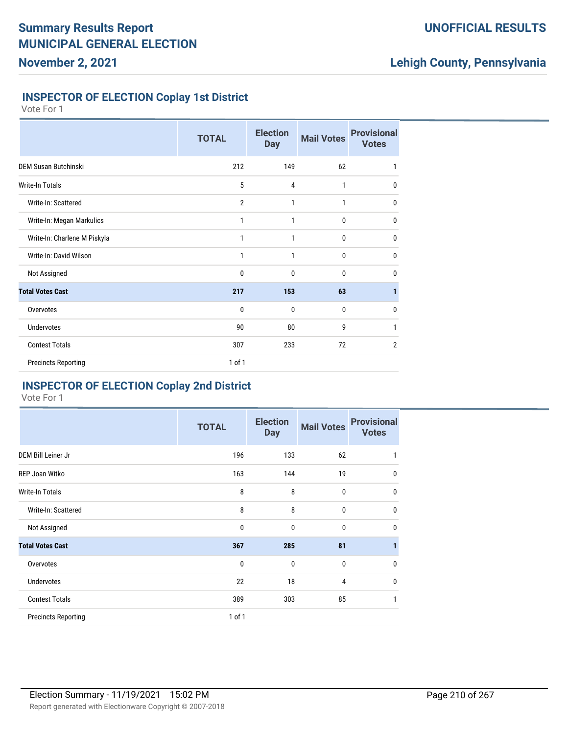### **UNOFFICIAL RESULTS**

## **Lehigh County, Pennsylvania**

### **INSPECTOR OF ELECTION Coplay 1st District**

Vote For 1

|                              | <b>TOTAL</b>   | <b>Election</b><br><b>Day</b> | <b>Mail Votes</b> | <b>Provisional</b><br><b>Votes</b> |
|------------------------------|----------------|-------------------------------|-------------------|------------------------------------|
| <b>DEM Susan Butchinski</b>  | 212            | 149                           | 62                | 1                                  |
| <b>Write-In Totals</b>       | 5              | $\overline{4}$                | 1                 | 0                                  |
| Write-In: Scattered          | $\overline{2}$ | 1                             | 1                 | $\mathbf{0}$                       |
| Write-In: Megan Markulics    | 1              | 1                             | 0                 | 0                                  |
| Write-In: Charlene M Piskyla | 1              | 1                             | 0                 | $\mathbf 0$                        |
| Write-In: David Wilson       | 1              | 1                             | 0                 | $\mathbf{0}$                       |
| Not Assigned                 | 0              | $\mathbf 0$                   | $\mathbf{0}$      | $\mathbf{0}$                       |
| <b>Total Votes Cast</b>      | 217            | 153                           | 63                | 1                                  |
| Overvotes                    | 0              | 0                             | $\mathbf{0}$      | $\mathbf{0}$                       |
| Undervotes                   | 90             | 80                            | 9                 | 1                                  |
| <b>Contest Totals</b>        | 307            | 233                           | 72                | $\overline{2}$                     |
| <b>Precincts Reporting</b>   | 1 of 1         |                               |                   |                                    |

### **INSPECTOR OF ELECTION Coplay 2nd District**

|                            | <b>TOTAL</b> | <b>Election</b><br><b>Day</b> | <b>Mail Votes</b> | <b>Provisional</b><br><b>Votes</b> |
|----------------------------|--------------|-------------------------------|-------------------|------------------------------------|
| DEM Bill Leiner Jr         | 196          | 133                           | 62                | 1                                  |
| REP Joan Witko             | 163          | 144                           | 19                | $\mathbf 0$                        |
| <b>Write-In Totals</b>     | 8            | 8                             | $\bf{0}$          | $\mathbf 0$                        |
| Write-In: Scattered        | 8            | 8                             | $\mathbf 0$       | $\mathbf 0$                        |
| Not Assigned               | 0            | 0                             | $\mathbf 0$       | $\mathbf 0$                        |
| <b>Total Votes Cast</b>    | 367          | 285                           | 81                | 1                                  |
| Overvotes                  | $\mathbf 0$  | $\mathbf 0$                   | $\mathbf 0$       | $\mathbf 0$                        |
| <b>Undervotes</b>          | 22           | 18                            | $\overline{4}$    | $\mathbf 0$                        |
| <b>Contest Totals</b>      | 389          | 303                           | 85                | 1                                  |
| <b>Precincts Reporting</b> | 1 of 1       |                               |                   |                                    |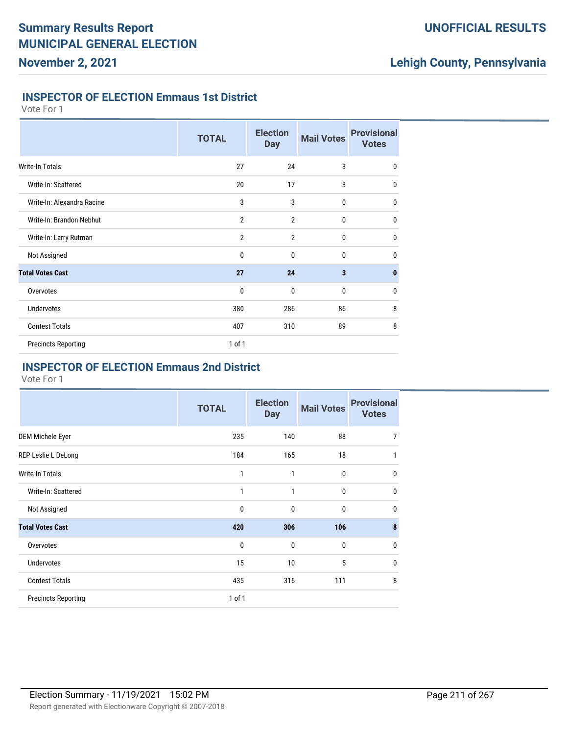### **UNOFFICIAL RESULTS**

## **Lehigh County, Pennsylvania**

### **INSPECTOR OF ELECTION Emmaus 1st District**

Vote For 1

|                            | <b>TOTAL</b>   | <b>Election</b><br><b>Day</b> | <b>Mail Votes</b> | <b>Provisional</b><br><b>Votes</b> |
|----------------------------|----------------|-------------------------------|-------------------|------------------------------------|
| Write-In Totals            | 27             | 24                            | 3                 | $\mathbf 0$                        |
| Write-In: Scattered        | 20             | 17                            | 3                 | $\mathbf{0}$                       |
| Write-In: Alexandra Racine | 3              | 3                             | $\mathbf{0}$      | $\mathbf{0}$                       |
| Write-In: Brandon Nebhut   | $\overline{2}$ | $\overline{2}$                | 0                 | $\mathbf{0}$                       |
| Write-In: Larry Rutman     | $\overline{2}$ | $\overline{2}$                | 0                 | $\mathbf 0$                        |
| Not Assigned               | 0              | 0                             | 0                 | $\mathbf 0$                        |
| <b>Total Votes Cast</b>    | 27             | 24                            | 3                 | $\mathbf{0}$                       |
| Overvotes                  | 0              | 0                             | 0                 | $\mathbf 0$                        |
| <b>Undervotes</b>          | 380            | 286                           | 86                | 8                                  |
| <b>Contest Totals</b>      | 407            | 310                           | 89                | 8                                  |
| <b>Precincts Reporting</b> | $1$ of $1$     |                               |                   |                                    |

### **INSPECTOR OF ELECTION Emmaus 2nd District**

|                            | <b>TOTAL</b> | <b>Election</b><br><b>Day</b> | <b>Mail Votes</b> | <b>Provisional</b><br><b>Votes</b> |
|----------------------------|--------------|-------------------------------|-------------------|------------------------------------|
| DEM Michele Eyer           | 235          | 140                           | 88                | $\overline{7}$                     |
| REP Leslie L DeLong        | 184          | 165                           | 18                | 1                                  |
| <b>Write-In Totals</b>     | 1            | 1                             | 0                 | $\mathbf 0$                        |
| Write-In: Scattered        | 1            | 1                             | 0                 | $\mathbf 0$                        |
| Not Assigned               | 0            | 0                             | 0                 | $\mathbf 0$                        |
| <b>Total Votes Cast</b>    | 420          | 306                           | 106               | 8                                  |
| Overvotes                  | 0            | $\mathbf{0}$                  | 0                 | 0                                  |
| <b>Undervotes</b>          | 15           | 10                            | 5                 | 0                                  |
| <b>Contest Totals</b>      | 435          | 316                           | 111               | 8                                  |
| <b>Precincts Reporting</b> | 1 of 1       |                               |                   |                                    |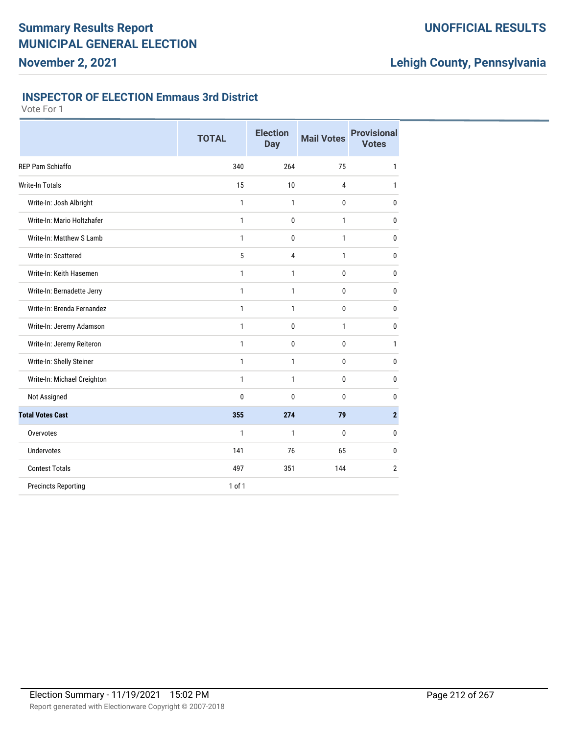### **UNOFFICIAL RESULTS**

# **Lehigh County, Pennsylvania**

### **INSPECTOR OF ELECTION Emmaus 3rd District**

|                             | <b>TOTAL</b> | <b>Election</b><br><b>Day</b> | <b>Mail Votes</b> | <b>Provisional</b><br><b>Votes</b> |
|-----------------------------|--------------|-------------------------------|-------------------|------------------------------------|
| REP Pam Schiaffo            | 340          | 264                           | 75                | 1                                  |
| Write-In Totals             | 15           | 10                            | 4                 | 1                                  |
| Write-In: Josh Albright     | $\mathbf{1}$ | 1                             | 0                 | 0                                  |
| Write-In: Mario Holtzhafer  | $\mathbf{1}$ | 0                             | $\mathbf{1}$      | 0                                  |
| Write-In: Matthew S Lamb    | $\mathbf{1}$ | 0                             | 1                 | 0                                  |
| Write-In: Scattered         | 5            | 4                             | $\mathbf{1}$      | 0                                  |
| Write-In: Keith Hasemen     | $\mathbf{1}$ | 1                             | 0                 | 0                                  |
| Write-In: Bernadette Jerry  | $\mathbf{1}$ | $\mathbf{1}$                  | 0                 | 0                                  |
| Write-In: Brenda Fernandez  | 1            | $\mathbf{1}$                  | 0                 | 0                                  |
| Write-In: Jeremy Adamson    | 1            | 0                             | $\mathbf{1}$      | 0                                  |
| Write-In: Jeremy Reiteron   | $\mathbf{1}$ | 0                             | 0                 | 1                                  |
| Write-In: Shelly Steiner    | $\mathbf{1}$ | $\mathbf{1}$                  | 0                 | 0                                  |
| Write-In: Michael Creighton | $\mathbf{1}$ | $\mathbf{1}$                  | 0                 | 0                                  |
| Not Assigned                | $\mathbf{0}$ | 0                             | 0                 | 0                                  |
| <b>Total Votes Cast</b>     | 355          | 274                           | 79                | $\overline{2}$                     |
| Overvotes                   | 1            | 1                             | 0                 | 0                                  |
| <b>Undervotes</b>           | 141          | 76                            | 65                | 0                                  |
| <b>Contest Totals</b>       | 497          | 351                           | 144               | $\overline{2}$                     |
| <b>Precincts Reporting</b>  | 1 of 1       |                               |                   |                                    |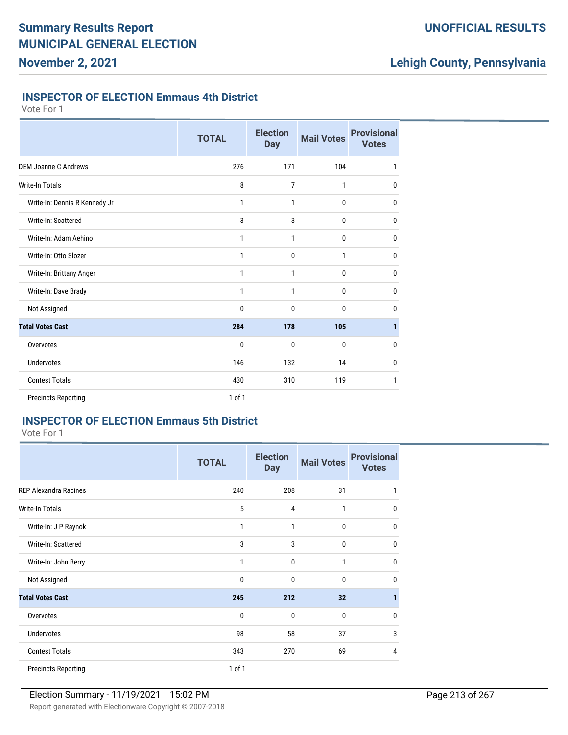### **UNOFFICIAL RESULTS**

## **Lehigh County, Pennsylvania**

### **INSPECTOR OF ELECTION Emmaus 4th District**

Vote For 1

|                               | <b>TOTAL</b> | <b>Election</b><br><b>Day</b> | <b>Mail Votes</b> | <b>Provisional</b><br><b>Votes</b> |
|-------------------------------|--------------|-------------------------------|-------------------|------------------------------------|
| <b>DEM Joanne C Andrews</b>   | 276          | 171                           | 104               | 1                                  |
| Write-In Totals               | 8            | 7                             | 1                 | 0                                  |
| Write-In: Dennis R Kennedy Jr | 1            | 1                             | $\bf{0}$          | 0                                  |
| Write-In: Scattered           | 3            | 3                             | 0                 | 0                                  |
| Write-In: Adam Aehino         | 1            | 1                             | 0                 | 0                                  |
| Write-In: Otto Slozer         | 1            | 0                             | 1                 | $\mathbf{0}$                       |
| Write-In: Brittany Anger      | 1            | 1                             | 0                 | 0                                  |
| Write-In: Dave Brady          | 1            | 1                             | 0                 | 0                                  |
| Not Assigned                  | 0            | 0                             | 0                 | 0                                  |
| <b>Total Votes Cast</b>       | 284          | 178                           | 105               | 1                                  |
| Overvotes                     | 0            | 0                             | 0                 | 0                                  |
| <b>Undervotes</b>             | 146          | 132                           | 14                | $\mathbf{0}$                       |
| <b>Contest Totals</b>         | 430          | 310                           | 119               | 1                                  |
| <b>Precincts Reporting</b>    | 1 of 1       |                               |                   |                                    |

### **INSPECTOR OF ELECTION Emmaus 5th District**

Vote For 1

|                              | <b>TOTAL</b> | <b>Election</b><br><b>Day</b> | <b>Mail Votes</b> | <b>Provisional</b><br><b>Votes</b> |
|------------------------------|--------------|-------------------------------|-------------------|------------------------------------|
| <b>REP Alexandra Racines</b> | 240          | 208                           | 31                |                                    |
| <b>Write-In Totals</b>       | 5            | $\overline{4}$                | 1                 | $\Omega$                           |
| Write-In: J P Raynok         | 1            | 1                             | 0                 | $\Omega$                           |
| Write-In: Scattered          | 3            | 3                             | 0                 | $\Omega$                           |
| Write-In: John Berry         | 1            | $\mathbf 0$                   | 1                 | $\Omega$                           |
| Not Assigned                 | 0            | $\mathbf 0$                   | 0                 | <sup>0</sup>                       |
| <b>Total Votes Cast</b>      | 245          | 212                           | 32                |                                    |
| Overvotes                    | 0            | $\mathbf 0$                   | $\mathbf{0}$      | $\Omega$                           |
| <b>Undervotes</b>            | 98           | 58                            | 37                | 3                                  |
| <b>Contest Totals</b>        | 343          | 270                           | 69                | 4                                  |
| <b>Precincts Reporting</b>   | 1 of 1       |                               |                   |                                    |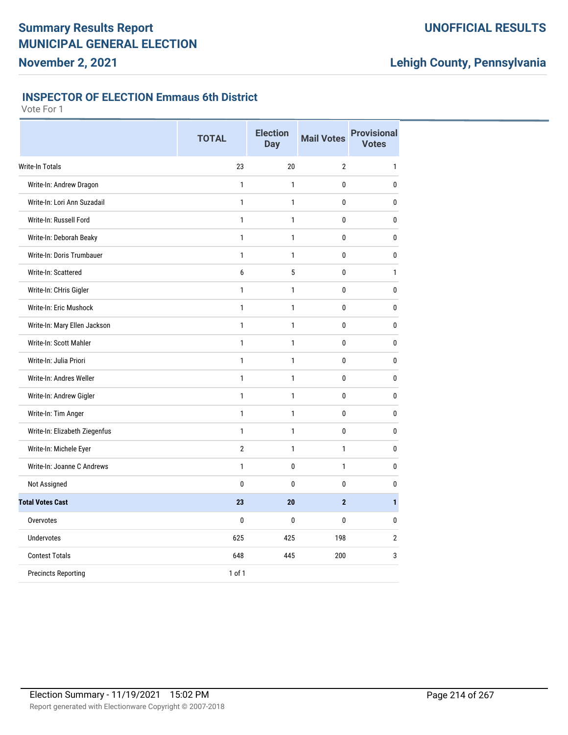### **UNOFFICIAL RESULTS**

# **Lehigh County, Pennsylvania**

### **INSPECTOR OF ELECTION Emmaus 6th District**

|                               | <b>TOTAL</b>   | <b>Election</b><br><b>Day</b> | <b>Mail Votes</b> | <b>Provisional</b><br><b>Votes</b> |
|-------------------------------|----------------|-------------------------------|-------------------|------------------------------------|
| Write-In Totals               | 23             | 20                            | $\overline{2}$    | $\mathbf{1}$                       |
| Write-In: Andrew Dragon       | $\mathbf{1}$   | $\mathbf{1}$                  | 0                 | 0                                  |
| Write-In: Lori Ann Suzadail   | $\mathbf{1}$   | $\mathbf{1}$                  | 0                 | 0                                  |
| Write-In: Russell Ford        | $\mathbf{1}$   | $\mathbf{1}$                  | 0                 | 0                                  |
| Write-In: Deborah Beaky       | $\mathbf{1}$   | $\mathbf{1}$                  | 0                 | 0                                  |
| Write-In: Doris Trumbauer     | 1              | $\mathbf{1}$                  | 0                 | 0                                  |
| Write-In: Scattered           | 6              | 5                             | 0                 | $\mathbf{1}$                       |
| Write-In: CHris Gigler        | $\mathbf{1}$   | 1                             | 0                 | 0                                  |
| Write-In: Eric Mushock        | $\mathbf{1}$   | $\mathbf{1}$                  | 0                 | 0                                  |
| Write-In: Mary Ellen Jackson  | $\mathbf{1}$   | $\mathbf{1}$                  | 0                 | 0                                  |
| Write-In: Scott Mahler        | $\mathbf{1}$   | $\mathbf{1}$                  | 0                 | 0                                  |
| Write-In: Julia Priori        | $\mathbf{1}$   | $\mathbf{1}$                  | 0                 | 0                                  |
| Write-In: Andres Weller       | 1              | $\mathbf{1}$                  | 0                 | $\bf{0}$                           |
| Write-In: Andrew Gigler       | $\mathbf{1}$   | $\mathbf{1}$                  | 0                 | 0                                  |
| Write-In: Tim Anger           | $\mathbf{1}$   | $\mathbf{1}$                  | 0                 | 0                                  |
| Write-In: Elizabeth Ziegenfus | $\mathbf{1}$   | $\mathbf{1}$                  | 0                 | 0                                  |
| Write-In: Michele Eyer        | $\overline{2}$ | $\mathbf{1}$                  | $\mathbf{1}$      | 0                                  |
| Write-In: Joanne C Andrews    | 1              | 0                             | 1                 | 0                                  |
| Not Assigned                  | $\mathbf{0}$   | $\mathbf{0}$                  | 0                 | $\mathbf{0}$                       |
| <b>Total Votes Cast</b>       | 23             | 20                            | $\overline{2}$    | $\mathbf{1}$                       |
| Overvotes                     | $\mathbf{0}$   | 0                             | 0                 | 0                                  |
| Undervotes                    | 625            | 425                           | 198               | $\overline{2}$                     |
| <b>Contest Totals</b>         | 648            | 445                           | 200               | 3                                  |
| <b>Precincts Reporting</b>    | 1 of 1         |                               |                   |                                    |
|                               |                |                               |                   |                                    |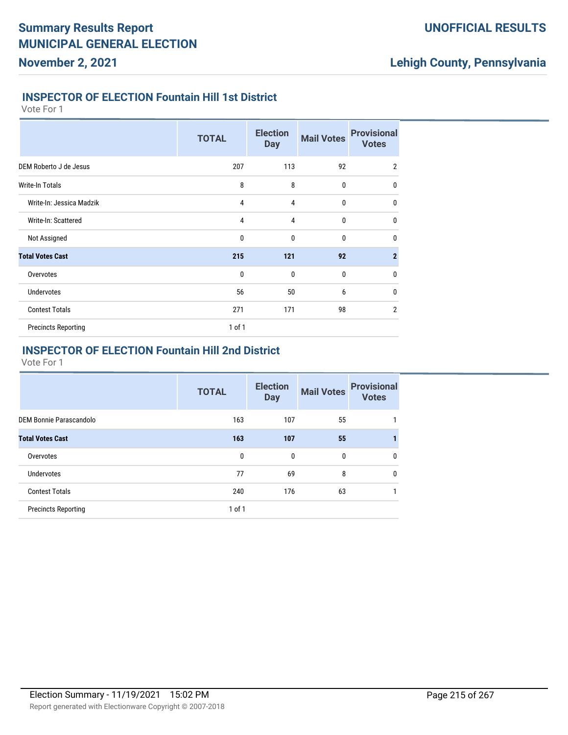### **INSPECTOR OF ELECTION Fountain Hill 1st District**

Vote For 1

|                            | <b>TOTAL</b> | <b>Election</b><br><b>Day</b> | <b>Mail Votes</b> | <b>Provisional</b><br><b>Votes</b> |
|----------------------------|--------------|-------------------------------|-------------------|------------------------------------|
| DEM Roberto J de Jesus     | 207          | 113                           | 92                | $\overline{2}$                     |
| <b>Write-In Totals</b>     | 8            | 8                             | $\mathbf 0$       | $\mathbf{0}$                       |
| Write-In: Jessica Madzik   | 4            | 4                             | $\mathbf{0}$      | $\mathbf 0$                        |
| Write-In: Scattered        | 4            | 4                             | $\mathbf{0}$      | $\mathbf 0$                        |
| Not Assigned               | 0            | $\mathbf{0}$                  | $\mathbf 0$       | $\mathbf 0$                        |
| <b>Total Votes Cast</b>    | 215          | 121                           | 92                | $\overline{2}$                     |
| Overvotes                  | $\mathbf 0$  | $\mathbf{0}$                  | $\mathbf 0$       | $\mathbf 0$                        |
| <b>Undervotes</b>          | 56           | 50                            | 6                 | $\mathbf 0$                        |
| <b>Contest Totals</b>      | 271          | 171                           | 98                | $\overline{2}$                     |
| <b>Precincts Reporting</b> | $1$ of $1$   |                               |                   |                                    |

### **INSPECTOR OF ELECTION Fountain Hill 2nd District**

|                            | <b>TOTAL</b> | <b>Election</b><br><b>Day</b> | <b>Mail Votes</b> | <b>Provisional</b><br><b>Votes</b> |
|----------------------------|--------------|-------------------------------|-------------------|------------------------------------|
| DEM Bonnie Parascandolo    | 163          | 107                           | 55                |                                    |
| <b>Total Votes Cast</b>    | 163          | 107                           | 55                |                                    |
| Overvotes                  | 0            | 0                             | 0                 | 0                                  |
| <b>Undervotes</b>          | 77           | 69                            | 8                 | $\Omega$                           |
| <b>Contest Totals</b>      | 240          | 176                           | 63                |                                    |
| <b>Precincts Reporting</b> | $1$ of $1$   |                               |                   |                                    |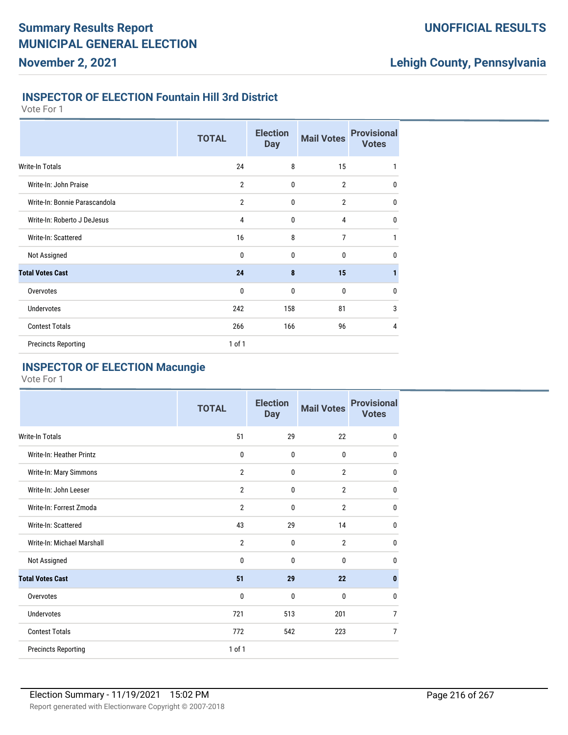### **INSPECTOR OF ELECTION Fountain Hill 3rd District**

Vote For 1

|                               | <b>TOTAL</b>   | <b>Election</b><br><b>Day</b> | <b>Mail Votes</b> | <b>Provisional</b><br><b>Votes</b> |
|-------------------------------|----------------|-------------------------------|-------------------|------------------------------------|
| Write-In Totals               | 24             | 8                             | 15                | 1                                  |
| Write-In: John Praise         | $\overline{2}$ | $\mathbf{0}$                  | $\overline{2}$    | $\mathbf{0}$                       |
| Write-In: Bonnie Parascandola | $\overline{2}$ | $\mathbf{0}$                  | $\overline{2}$    | $\mathbf{0}$                       |
| Write-In: Roberto J DeJesus   | 4              | 0                             | 4                 | $\mathbf 0$                        |
| Write-In: Scattered           | 16             | 8                             | $\overline{7}$    | 1                                  |
| Not Assigned                  | 0              | $\mathbf 0$                   | 0                 | $\mathbf 0$                        |
| <b>Total Votes Cast</b>       | 24             | 8                             | 15                | 1                                  |
| Overvotes                     | 0              | $\mathbf{0}$                  | 0                 | $\mathbf 0$                        |
| <b>Undervotes</b>             | 242            | 158                           | 81                | 3                                  |
| <b>Contest Totals</b>         | 266            | 166                           | 96                | $\overline{4}$                     |
| <b>Precincts Reporting</b>    | 1 of 1         |                               |                   |                                    |

### **INSPECTOR OF ELECTION Macungie**

|                            | <b>TOTAL</b>   | <b>Election</b><br><b>Day</b> | <b>Mail Votes</b> | <b>Provisional</b><br><b>Votes</b> |
|----------------------------|----------------|-------------------------------|-------------------|------------------------------------|
| <b>Write-In Totals</b>     | 51             | 29                            | 22                | $\mathbf{0}$                       |
| Write-In: Heather Printz   | $\mathbf 0$    | 0                             | 0                 | $\mathbf{0}$                       |
| Write-In: Mary Simmons     | $\overline{2}$ | 0                             | $\overline{2}$    | $\mathbf{0}$                       |
| Write-In: John Leeser      | $\overline{2}$ | 0                             | $\overline{2}$    | $\bf{0}$                           |
| Write-In: Forrest Zmoda    | $\overline{2}$ | 0                             | $\overline{2}$    | $\mathbf{0}$                       |
| Write-In: Scattered        | 43             | 29                            | 14                | $\mathbf{0}$                       |
| Write-In: Michael Marshall | $\overline{2}$ | $\mathbf{0}$                  | $\overline{2}$    | $\mathbf{0}$                       |
| Not Assigned               | $\mathbf{0}$   | $\mathbf{0}$                  | $\Omega$          | $\mathbf{0}$                       |
| <b>Total Votes Cast</b>    | 51             | 29                            | 22                | $\mathbf{0}$                       |
| Overvotes                  | $\mathbf{0}$   | $\mathbf{0}$                  | $\mathbf{0}$      | $\mathbf{0}$                       |
| <b>Undervotes</b>          | 721            | 513                           | 201               | $\overline{7}$                     |
| <b>Contest Totals</b>      | 772            | 542                           | 223               | $\overline{7}$                     |
| <b>Precincts Reporting</b> | 1 of 1         |                               |                   |                                    |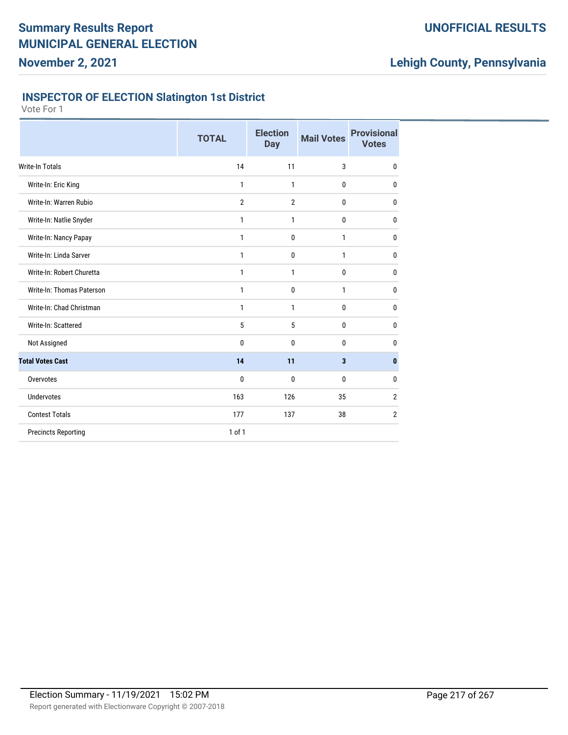## **UNOFFICIAL RESULTS**

# **Lehigh County, Pennsylvania**

### **INSPECTOR OF ELECTION Slatington 1st District**

|                            | <b>TOTAL</b>   | <b>Election</b><br><b>Day</b> | <b>Mail Votes</b> | <b>Provisional</b><br><b>Votes</b> |
|----------------------------|----------------|-------------------------------|-------------------|------------------------------------|
| <b>Write-In Totals</b>     | 14             | 11                            | 3                 | $\mathbf{0}$                       |
| Write-In: Eric King        | 1              | 1                             | 0                 | 0                                  |
| Write-In: Warren Rubio     | $\overline{2}$ | $\overline{2}$                | 0                 | 0                                  |
| Write-In: Natlie Snyder    | 1              | 1                             | 0                 | 0                                  |
| Write-In: Nancy Papay      | 1              | $\mathbf 0$                   | 1                 | 0                                  |
| Write-In: Linda Sarver     | 1              | $\mathbf 0$                   | 1                 | 0                                  |
| Write-In: Robert Churetta  | 1              | 1                             | 0                 | 0                                  |
| Write-In: Thomas Paterson  | 1              | $\mathbf 0$                   | 1                 | 0                                  |
| Write-In: Chad Christman   | 1              | 1                             | 0                 | 0                                  |
| Write-In: Scattered        | 5              | 5                             | 0                 | $\mathbf{0}$                       |
| Not Assigned               | 0              | $\mathbf{0}$                  | 0                 | 0                                  |
| <b>Total Votes Cast</b>    | 14             | 11                            | 3                 | $\mathbf{0}$                       |
| Overvotes                  | 0              | $\mathbf{0}$                  | $\mathbf{0}$      | 0                                  |
| <b>Undervotes</b>          | 163            | 126                           | 35                | 2                                  |
| <b>Contest Totals</b>      | 177            | 137                           | 38                | 2                                  |
| <b>Precincts Reporting</b> | $1$ of $1$     |                               |                   |                                    |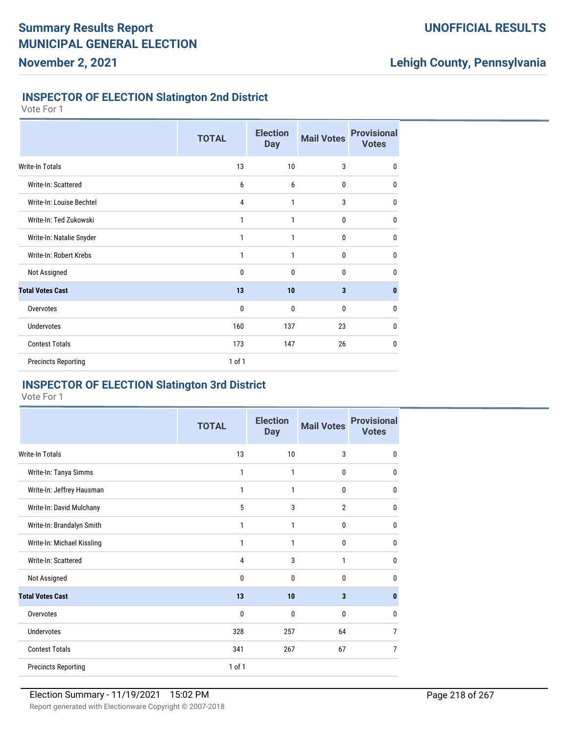## **UNOFFICIAL RESULTS**

# **Lehigh County, Pennsylvania**

### **INSPECTOR OF ELECTION Slatington 2nd District**

Vote For 1

|                            | <b>TOTAL</b> | <b>Election</b><br><b>Day</b> | <b>Mail Votes</b> | <b>Provisional</b><br><b>Votes</b> |
|----------------------------|--------------|-------------------------------|-------------------|------------------------------------|
| <b>Write-In Totals</b>     | 13           | 10                            | 3                 | $\mathbf 0$                        |
| Write-In: Scattered        | 6            | 6                             | 0                 | $\bf{0}$                           |
| Write-In: Louise Bechtel   | 4            | 1                             | 3                 | $\mathbf 0$                        |
| Write-In: Ted Zukowski     | 1            | 1                             | $\mathbf 0$       | $\mathbf 0$                        |
| Write-In: Natalie Snyder   | 1            | 1                             | 0                 | $\mathbf 0$                        |
| Write-In: Robert Krebs     | 1            | 1                             | 0                 | $\mathbf 0$                        |
| Not Assigned               | 0            | $\mathbf 0$                   | $\mathbf 0$       | $\mathbf 0$                        |
| <b>Total Votes Cast</b>    | 13           | 10                            | 3                 | 0                                  |
| Overvotes                  | 0            | 0                             | 0                 | $\mathbf 0$                        |
| <b>Undervotes</b>          | 160          | 137                           | 23                | $\mathbf 0$                        |
| <b>Contest Totals</b>      | 173          | 147                           | 26                | $\mathbf 0$                        |
| <b>Precincts Reporting</b> | 1 of 1       |                               |                   |                                    |

#### **INSPECTOR OF ELECTION Slatington 3rd District**

|                            | <b>TOTAL</b> | <b>Election</b><br><b>Day</b> | <b>Mail Votes</b> | <b>Provisional</b><br><b>Votes</b> |
|----------------------------|--------------|-------------------------------|-------------------|------------------------------------|
| <b>Write-In Totals</b>     | 13           | 10                            | 3                 | $\mathbf 0$                        |
| Write-In: Tanya Simms      | 1            | 1                             | $\mathbf{0}$      | $\mathbf{0}$                       |
| Write-In: Jeffrey Hausman  | 1            | 1                             | $\mathbf 0$       | $\mathbf 0$                        |
| Write-In: David Mulchany   | 5            | 3                             | 2                 | $\mathbf{0}$                       |
| Write-In: Brandalyn Smith  | 1            | 1                             | $\mathbf{0}$      | $\mathbf{0}$                       |
| Write-In: Michael Kissling | 1            | 1                             | $\mathbf{0}$      | $\mathbf 0$                        |
| Write-In: Scattered        | 4            | 3                             | 1                 | $\mathbf{0}$                       |
| Not Assigned               | 0            | 0                             | 0                 | $\mathbf{0}$                       |
| <b>Total Votes Cast</b>    | 13           | 10                            | 3                 | $\bf{0}$                           |
| Overvotes                  | 0            | 0                             | 0                 | $\mathbf 0$                        |
| Undervotes                 | 328          | 257                           | 64                | $\overline{7}$                     |
| <b>Contest Totals</b>      | 341          | 267                           | 67                | $\overline{7}$                     |
| <b>Precincts Reporting</b> | 1 of 1       |                               |                   |                                    |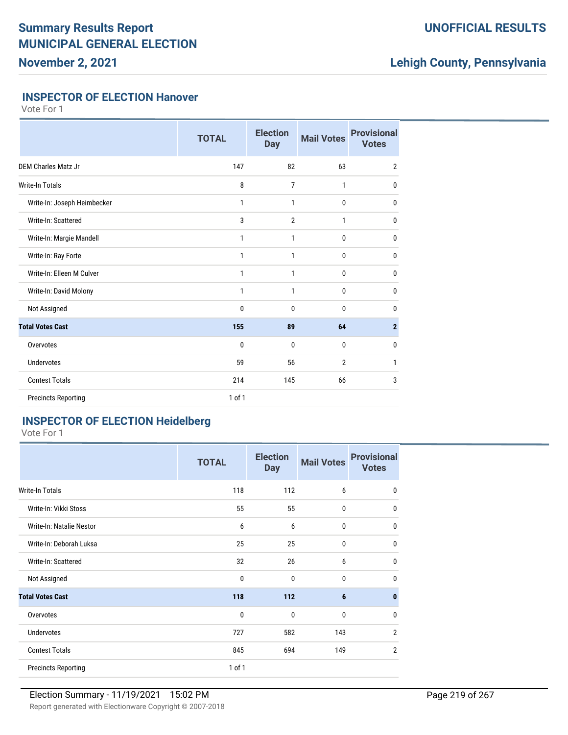## **UNOFFICIAL RESULTS**

# **Lehigh County, Pennsylvania**

#### **INSPECTOR OF ELECTION Hanover**

Vote For 1

|                             | <b>TOTAL</b> | <b>Election</b><br><b>Day</b> | <b>Mail Votes</b> | <b>Provisional</b><br><b>Votes</b> |
|-----------------------------|--------------|-------------------------------|-------------------|------------------------------------|
| <b>DEM Charles Matz Jr</b>  | 147          | 82                            | 63                | $\overline{2}$                     |
| <b>Write-In Totals</b>      | 8            | 7                             | 1                 | $\mathbf{0}$                       |
| Write-In: Joseph Heimbecker | $\mathbf{1}$ | 1                             | $\bf{0}$          | $\mathbf{0}$                       |
| Write-In: Scattered         | 3            | $\overline{2}$                | 1                 | 0                                  |
| Write-In: Margie Mandell    | 1            | 1                             | 0                 | $\mathbf{0}$                       |
| Write-In: Ray Forte         | 1            | 1                             | 0                 | $\mathbf{0}$                       |
| Write-In: Elleen M Culver   | $\mathbf{1}$ | 1                             | 0                 | $\bf{0}$                           |
| Write-In: David Molony      | 1            | 1                             | $\mathbf{0}$      | $\mathbf 0$                        |
| Not Assigned                | 0            | 0                             | 0                 | $\mathbf{0}$                       |
| <b>Total Votes Cast</b>     | 155          | 89                            | 64                | $\overline{2}$                     |
| Overvotes                   | $\mathbf{0}$ | 0                             | $\mathbf{0}$      | $\mathbf{0}$                       |
| <b>Undervotes</b>           | 59           | 56                            | $\overline{2}$    | $\mathbf{1}$                       |
| <b>Contest Totals</b>       | 214          | 145                           | 66                | 3                                  |
| <b>Precincts Reporting</b>  | 1 of 1       |                               |                   |                                    |

## **INSPECTOR OF ELECTION Heidelberg**

|                            | <b>TOTAL</b> | <b>Election</b><br><b>Day</b> | <b>Mail Votes</b> | <b>Provisional</b><br><b>Votes</b> |
|----------------------------|--------------|-------------------------------|-------------------|------------------------------------|
| Write-In Totals            | 118          | 112                           | 6                 | $\mathbf{0}$                       |
| Write-In: Vikki Stoss      | 55           | 55                            | 0                 | 0                                  |
| Write-In: Natalie Nestor   | 6            | 6                             | 0                 | 0                                  |
| Write-In: Deborah Luksa    | 25           | 25                            | 0                 | 0                                  |
| Write-In: Scattered        | 32           | 26                            | 6                 | 0                                  |
| Not Assigned               | 0            | $\mathbf 0$                   | 0                 | <sub>0</sub>                       |
| <b>Total Votes Cast</b>    | 118          | 112                           | 6                 |                                    |
| Overvotes                  | $\bf{0}$     | 0                             | 0                 | <sup>0</sup>                       |
| <b>Undervotes</b>          | 727          | 582                           | 143               | $\overline{2}$                     |
| <b>Contest Totals</b>      | 845          | 694                           | 149               | $\overline{2}$                     |
| <b>Precincts Reporting</b> | 1 of 1       |                               |                   |                                    |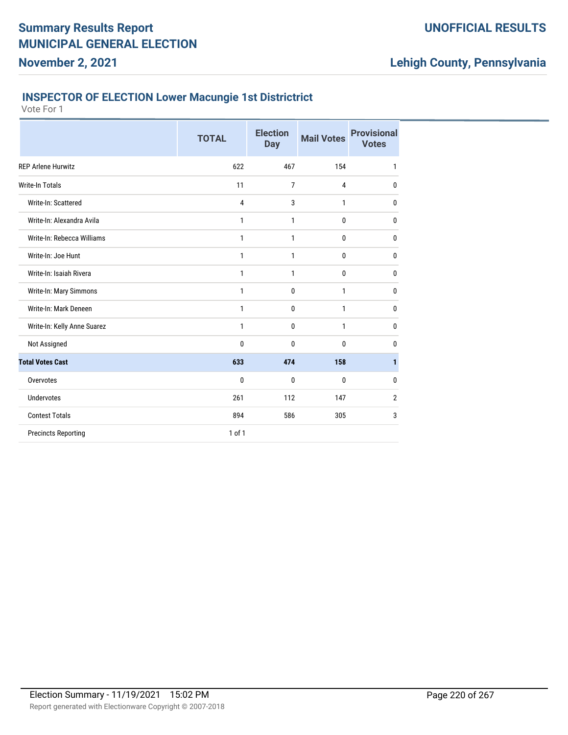## **INSPECTOR OF ELECTION Lower Macungie 1st Districtrict**

Vote For 1

|                             | <b>TOTAL</b> | <b>Election</b><br><b>Day</b> | <b>Mail Votes</b> | <b>Provisional</b><br><b>Votes</b> |
|-----------------------------|--------------|-------------------------------|-------------------|------------------------------------|
| <b>REP Arlene Hurwitz</b>   | 622          | 467                           | 154               | 1                                  |
| <b>Write-In Totals</b>      | 11           | 7                             | 4                 | 0                                  |
| Write-In: Scattered         | 4            | 3                             | 1                 | 0                                  |
| Write-In: Alexandra Avila   | 1            | 1                             | 0                 | 0                                  |
| Write-In: Rebecca Williams  | 1            | 1                             | 0                 | 0                                  |
| Write-In: Joe Hunt          | 1            | 1                             | 0                 | 0                                  |
| Write-In: Isaiah Rivera     | 1            | 1                             | 0                 | 0                                  |
| Write-In: Mary Simmons      | $\mathbf{1}$ | $\mathbf 0$                   | 1                 | 0                                  |
| Write-In: Mark Deneen       | 1            | $\mathbf 0$                   | 1                 | 0                                  |
| Write-In: Kelly Anne Suarez | $\mathbf{1}$ | $\mathbf 0$                   | 1                 | 0                                  |
| Not Assigned                | 0            | $\mathbf 0$                   | 0                 | 0                                  |
| <b>Total Votes Cast</b>     | 633          | 474                           | 158               | 1                                  |
| Overvotes                   | 0            | 0                             | 0                 | 0                                  |
| <b>Undervotes</b>           | 261          | 112                           | 147               | $\overline{2}$                     |
| <b>Contest Totals</b>       | 894          | 586                           | 305               | 3                                  |
| <b>Precincts Reporting</b>  | $1$ of $1$   |                               |                   |                                    |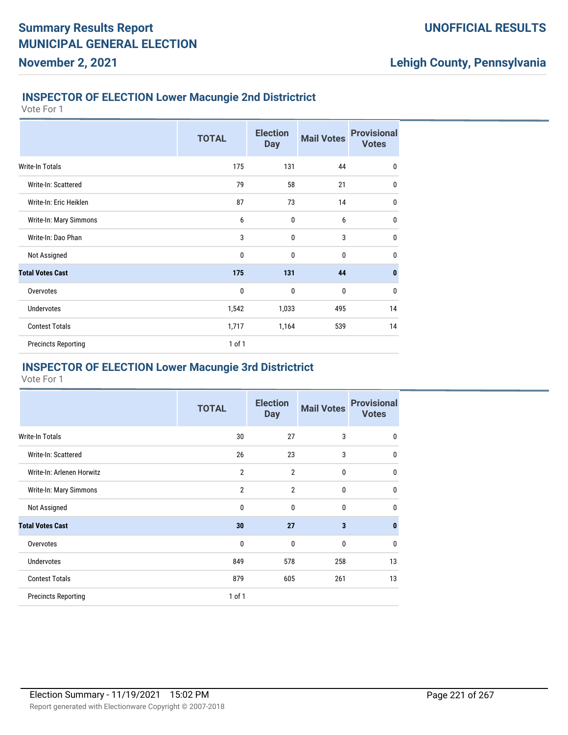### **INSPECTOR OF ELECTION Lower Macungie 2nd Districtrict**

Vote For 1

**November 2, 2021**

|                            | <b>TOTAL</b> | <b>Election</b><br><b>Day</b> | <b>Mail Votes</b> | <b>Provisional</b><br><b>Votes</b> |
|----------------------------|--------------|-------------------------------|-------------------|------------------------------------|
| Write-In Totals            | 175          | 131                           | 44                | $\mathbf 0$                        |
| Write-In: Scattered        | 79           | 58                            | 21                | $\mathbf 0$                        |
| Write-In: Eric Heiklen     | 87           | 73                            | 14                | $\bf{0}$                           |
| Write-In: Mary Simmons     | 6            | $\mathbf{0}$                  | 6                 | $\mathbf 0$                        |
| Write-In: Dao Phan         | 3            | $\mathbf 0$                   | 3                 | $\mathbf 0$                        |
| Not Assigned               | 0            | $\mathbf{0}$                  | 0                 | $\mathbf 0$                        |
| <b>Total Votes Cast</b>    | 175          | 131                           | 44                | $\mathbf{0}$                       |
| Overvotes                  | 0            | $\mathbf{0}$                  | 0                 | $\mathbf 0$                        |
| <b>Undervotes</b>          | 1,542        | 1,033                         | 495               | 14                                 |
| <b>Contest Totals</b>      | 1,717        | 1,164                         | 539               | 14                                 |
| <b>Precincts Reporting</b> | 1 of 1       |                               |                   |                                    |

### **INSPECTOR OF ELECTION Lower Macungie 3rd Districtrict**

|                            | <b>TOTAL</b>   | <b>Election</b><br><b>Day</b> | <b>Mail Votes</b> | <b>Provisional</b><br><b>Votes</b> |
|----------------------------|----------------|-------------------------------|-------------------|------------------------------------|
| Write-In Totals            | 30             | 27                            | 3                 | $\mathbf{0}$                       |
| Write-In: Scattered        | 26             | 23                            | 3                 | $\mathbf 0$                        |
| Write-In: Arlenen Horwitz  | $\overline{2}$ | $\overline{2}$                | $\bf{0}$          | $\mathbf 0$                        |
| Write-In: Mary Simmons     | $\overline{2}$ | $\overline{2}$                | $\bf{0}$          | $\mathbf 0$                        |
| Not Assigned               | 0              | 0                             | 0                 | $\mathbf 0$                        |
| <b>Total Votes Cast</b>    | 30             | 27                            | 3                 | $\mathbf{0}$                       |
| Overvotes                  | 0              | 0                             | $\bf{0}$          | $\mathbf{0}$                       |
| <b>Undervotes</b>          | 849            | 578                           | 258               | 13                                 |
| <b>Contest Totals</b>      | 879            | 605                           | 261               | 13                                 |
| <b>Precincts Reporting</b> | 1 of 1         |                               |                   |                                    |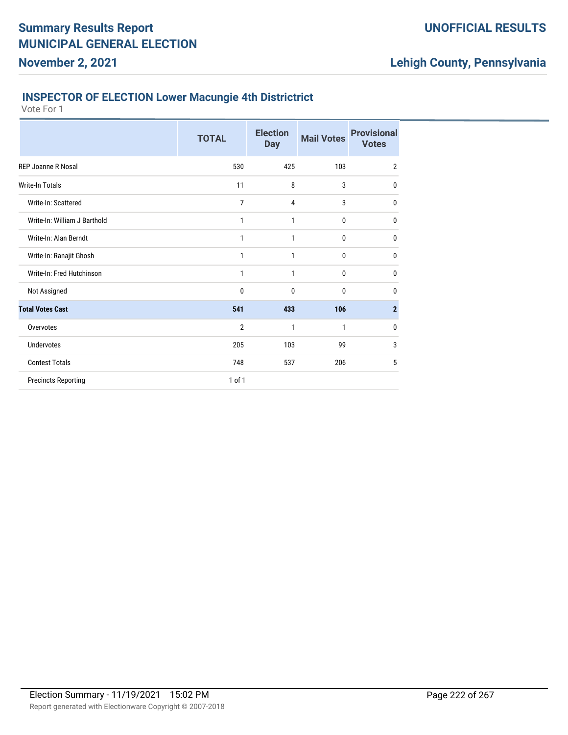## **INSPECTOR OF ELECTION Lower Macungie 4th Districtrict**

Vote For 1

|                              | <b>TOTAL</b>   | <b>Election</b><br><b>Day</b> | <b>Mail Votes</b> | <b>Provisional</b><br><b>Votes</b> |
|------------------------------|----------------|-------------------------------|-------------------|------------------------------------|
| <b>REP Joanne R Nosal</b>    | 530            | 425                           | 103               | $\overline{2}$                     |
| <b>Write-In Totals</b>       | 11             | 8                             | 3                 | 0                                  |
| Write-In: Scattered          | 7              | 4                             | 3                 | 0                                  |
| Write-In: William J Barthold | 1              | 1                             | 0                 | 0                                  |
| Write-In: Alan Berndt        | 1              | 1                             | 0                 | 0                                  |
| Write-In: Ranajit Ghosh      | 1              | 1                             | 0                 | 0                                  |
| Write-In: Fred Hutchinson    | 1              | 1                             | 0                 | 0                                  |
| Not Assigned                 | 0              | 0                             | 0                 | 0                                  |
| <b>Total Votes Cast</b>      | 541            | 433                           | 106               | $\mathbf{2}$                       |
| Overvotes                    | $\overline{2}$ | 1                             | $\mathbf{1}$      | 0                                  |
| <b>Undervotes</b>            | 205            | 103                           | 99                | 3                                  |
| <b>Contest Totals</b>        | 748            | 537                           | 206               | 5                                  |
| <b>Precincts Reporting</b>   | 1 of 1         |                               |                   |                                    |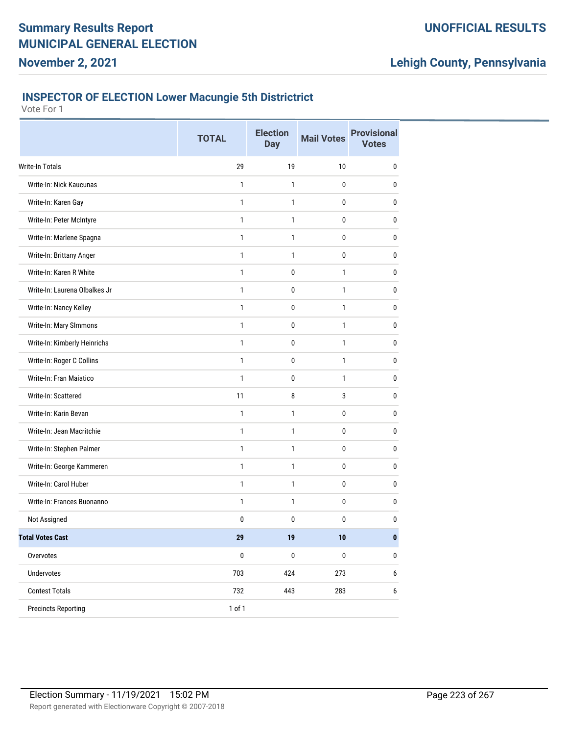# **Lehigh County, Pennsylvania**

### **INSPECTOR OF ELECTION Lower Macungie 5th Districtrict**

| 29<br><b>Write-In Totals</b><br>19<br>10<br>0<br>Write-In: Nick Kaucunas<br>$\mathbf{1}$<br>1<br>0<br>0<br>Write-In: Karen Gay<br>$\mathbf{1}$<br>1<br>0<br>0<br>Write-In: Peter McIntyre<br>$\mathbf{1}$<br>$\mathbf{1}$<br>$\mathbf 0$<br>0<br>Write-In: Marlene Spagna<br>0<br>$\mathbf 0$<br>1<br>1<br>Write-In: Brittany Anger<br>1<br>0<br>0<br>$\mathbf{1}$<br>Write-In: Karen R White<br>$\mathbf{1}$<br>0<br>1<br>0<br>Write-In: Laurena Olbalkes Jr<br>$\mathbf{1}$<br>0<br>1<br>0<br>Write-In: Nancy Kelley<br>$\mathbf{1}$<br>0<br>$\mathbf{1}$<br>0<br>Write-In: Mary SImmons<br>$\mathbf{1}$<br>$\mathbf{1}$<br>0<br>0<br>Write-In: Kimberly Heinrichs<br>$\mathbf{1}$<br>0<br>1<br>$\mathbf 0$<br>Write-In: Roger C Collins<br>0<br>1<br>0<br>1<br>Write-In: Fran Maiatico<br>$\mathbf{1}$<br>0<br>1<br>0<br>Write-In: Scattered<br>11<br>8<br>3<br>0<br>Write-In: Karin Bevan<br>$\mathbf{1}$<br>1<br>0<br>0<br>Write-In: Jean Macritchie<br>$\mathbf{1}$<br>$\mathbf{1}$<br>$\mathbf 0$<br>$\mathbf 0$<br>Write-In: Stephen Palmer<br>1<br>0<br>$\mathbf 0$<br>1<br>Write-In: George Kammeren<br>1<br>1<br>0<br>0<br>Write-In: Carol Huber<br>1<br>$\mathbf{1}$<br>0<br>0<br>Write-In: Frances Buonanno<br>1<br>1<br>0<br>$\bf{0}$<br>0<br>Not Assigned<br>0<br>0<br>0<br><b>Total Votes Cast</b><br>29<br>$\bf{0}$<br>10<br>19<br>$\pmb{0}$<br>Overvotes<br>$\pmb{0}$<br>$\pmb{0}$<br>$\pmb{0}$<br>703<br>Undervotes<br>424<br>273<br>6<br><b>Contest Totals</b><br>732<br>443<br>283<br>$\boldsymbol{6}$<br>1 of 1<br><b>Precincts Reporting</b> | <b>TOTAL</b> | <b>Election</b><br><b>Day</b> | <b>Mail Votes</b> | <b>Provisional</b><br><b>Votes</b> |
|---------------------------------------------------------------------------------------------------------------------------------------------------------------------------------------------------------------------------------------------------------------------------------------------------------------------------------------------------------------------------------------------------------------------------------------------------------------------------------------------------------------------------------------------------------------------------------------------------------------------------------------------------------------------------------------------------------------------------------------------------------------------------------------------------------------------------------------------------------------------------------------------------------------------------------------------------------------------------------------------------------------------------------------------------------------------------------------------------------------------------------------------------------------------------------------------------------------------------------------------------------------------------------------------------------------------------------------------------------------------------------------------------------------------------------------------------------------------------------------------------------------------------------------------------------------------|--------------|-------------------------------|-------------------|------------------------------------|
|                                                                                                                                                                                                                                                                                                                                                                                                                                                                                                                                                                                                                                                                                                                                                                                                                                                                                                                                                                                                                                                                                                                                                                                                                                                                                                                                                                                                                                                                                                                                                                     |              |                               |                   |                                    |
|                                                                                                                                                                                                                                                                                                                                                                                                                                                                                                                                                                                                                                                                                                                                                                                                                                                                                                                                                                                                                                                                                                                                                                                                                                                                                                                                                                                                                                                                                                                                                                     |              |                               |                   |                                    |
|                                                                                                                                                                                                                                                                                                                                                                                                                                                                                                                                                                                                                                                                                                                                                                                                                                                                                                                                                                                                                                                                                                                                                                                                                                                                                                                                                                                                                                                                                                                                                                     |              |                               |                   |                                    |
|                                                                                                                                                                                                                                                                                                                                                                                                                                                                                                                                                                                                                                                                                                                                                                                                                                                                                                                                                                                                                                                                                                                                                                                                                                                                                                                                                                                                                                                                                                                                                                     |              |                               |                   |                                    |
|                                                                                                                                                                                                                                                                                                                                                                                                                                                                                                                                                                                                                                                                                                                                                                                                                                                                                                                                                                                                                                                                                                                                                                                                                                                                                                                                                                                                                                                                                                                                                                     |              |                               |                   |                                    |
|                                                                                                                                                                                                                                                                                                                                                                                                                                                                                                                                                                                                                                                                                                                                                                                                                                                                                                                                                                                                                                                                                                                                                                                                                                                                                                                                                                                                                                                                                                                                                                     |              |                               |                   |                                    |
|                                                                                                                                                                                                                                                                                                                                                                                                                                                                                                                                                                                                                                                                                                                                                                                                                                                                                                                                                                                                                                                                                                                                                                                                                                                                                                                                                                                                                                                                                                                                                                     |              |                               |                   |                                    |
|                                                                                                                                                                                                                                                                                                                                                                                                                                                                                                                                                                                                                                                                                                                                                                                                                                                                                                                                                                                                                                                                                                                                                                                                                                                                                                                                                                                                                                                                                                                                                                     |              |                               |                   |                                    |
|                                                                                                                                                                                                                                                                                                                                                                                                                                                                                                                                                                                                                                                                                                                                                                                                                                                                                                                                                                                                                                                                                                                                                                                                                                                                                                                                                                                                                                                                                                                                                                     |              |                               |                   |                                    |
|                                                                                                                                                                                                                                                                                                                                                                                                                                                                                                                                                                                                                                                                                                                                                                                                                                                                                                                                                                                                                                                                                                                                                                                                                                                                                                                                                                                                                                                                                                                                                                     |              |                               |                   |                                    |
|                                                                                                                                                                                                                                                                                                                                                                                                                                                                                                                                                                                                                                                                                                                                                                                                                                                                                                                                                                                                                                                                                                                                                                                                                                                                                                                                                                                                                                                                                                                                                                     |              |                               |                   |                                    |
|                                                                                                                                                                                                                                                                                                                                                                                                                                                                                                                                                                                                                                                                                                                                                                                                                                                                                                                                                                                                                                                                                                                                                                                                                                                                                                                                                                                                                                                                                                                                                                     |              |                               |                   |                                    |
|                                                                                                                                                                                                                                                                                                                                                                                                                                                                                                                                                                                                                                                                                                                                                                                                                                                                                                                                                                                                                                                                                                                                                                                                                                                                                                                                                                                                                                                                                                                                                                     |              |                               |                   |                                    |
|                                                                                                                                                                                                                                                                                                                                                                                                                                                                                                                                                                                                                                                                                                                                                                                                                                                                                                                                                                                                                                                                                                                                                                                                                                                                                                                                                                                                                                                                                                                                                                     |              |                               |                   |                                    |
|                                                                                                                                                                                                                                                                                                                                                                                                                                                                                                                                                                                                                                                                                                                                                                                                                                                                                                                                                                                                                                                                                                                                                                                                                                                                                                                                                                                                                                                                                                                                                                     |              |                               |                   |                                    |
|                                                                                                                                                                                                                                                                                                                                                                                                                                                                                                                                                                                                                                                                                                                                                                                                                                                                                                                                                                                                                                                                                                                                                                                                                                                                                                                                                                                                                                                                                                                                                                     |              |                               |                   |                                    |
|                                                                                                                                                                                                                                                                                                                                                                                                                                                                                                                                                                                                                                                                                                                                                                                                                                                                                                                                                                                                                                                                                                                                                                                                                                                                                                                                                                                                                                                                                                                                                                     |              |                               |                   |                                    |
|                                                                                                                                                                                                                                                                                                                                                                                                                                                                                                                                                                                                                                                                                                                                                                                                                                                                                                                                                                                                                                                                                                                                                                                                                                                                                                                                                                                                                                                                                                                                                                     |              |                               |                   |                                    |
|                                                                                                                                                                                                                                                                                                                                                                                                                                                                                                                                                                                                                                                                                                                                                                                                                                                                                                                                                                                                                                                                                                                                                                                                                                                                                                                                                                                                                                                                                                                                                                     |              |                               |                   |                                    |
|                                                                                                                                                                                                                                                                                                                                                                                                                                                                                                                                                                                                                                                                                                                                                                                                                                                                                                                                                                                                                                                                                                                                                                                                                                                                                                                                                                                                                                                                                                                                                                     |              |                               |                   |                                    |
|                                                                                                                                                                                                                                                                                                                                                                                                                                                                                                                                                                                                                                                                                                                                                                                                                                                                                                                                                                                                                                                                                                                                                                                                                                                                                                                                                                                                                                                                                                                                                                     |              |                               |                   |                                    |
|                                                                                                                                                                                                                                                                                                                                                                                                                                                                                                                                                                                                                                                                                                                                                                                                                                                                                                                                                                                                                                                                                                                                                                                                                                                                                                                                                                                                                                                                                                                                                                     |              |                               |                   |                                    |
|                                                                                                                                                                                                                                                                                                                                                                                                                                                                                                                                                                                                                                                                                                                                                                                                                                                                                                                                                                                                                                                                                                                                                                                                                                                                                                                                                                                                                                                                                                                                                                     |              |                               |                   |                                    |
|                                                                                                                                                                                                                                                                                                                                                                                                                                                                                                                                                                                                                                                                                                                                                                                                                                                                                                                                                                                                                                                                                                                                                                                                                                                                                                                                                                                                                                                                                                                                                                     |              |                               |                   |                                    |
|                                                                                                                                                                                                                                                                                                                                                                                                                                                                                                                                                                                                                                                                                                                                                                                                                                                                                                                                                                                                                                                                                                                                                                                                                                                                                                                                                                                                                                                                                                                                                                     |              |                               |                   |                                    |
|                                                                                                                                                                                                                                                                                                                                                                                                                                                                                                                                                                                                                                                                                                                                                                                                                                                                                                                                                                                                                                                                                                                                                                                                                                                                                                                                                                                                                                                                                                                                                                     |              |                               |                   |                                    |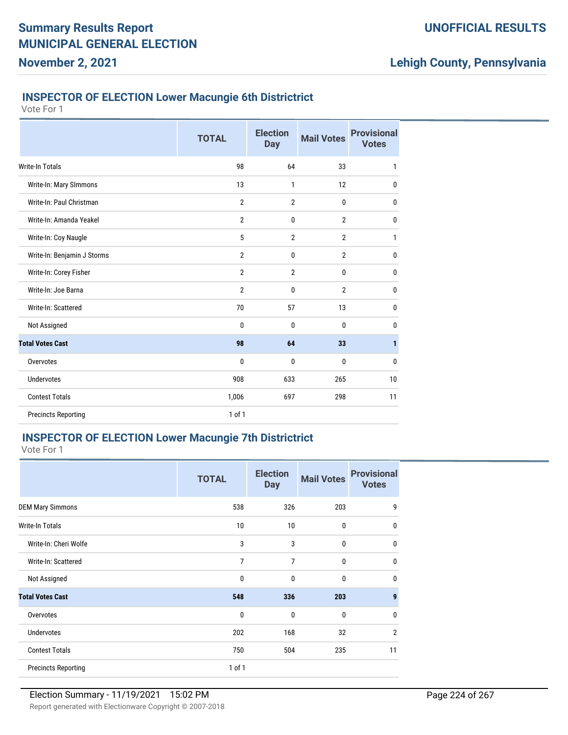### **INSPECTOR OF ELECTION Lower Macungie 6th Districtrict**

Vote For 1

**November 2, 2021**

|                             | <b>TOTAL</b>   | <b>Election</b><br><b>Day</b> | <b>Mail Votes</b> | <b>Provisional</b><br><b>Votes</b> |
|-----------------------------|----------------|-------------------------------|-------------------|------------------------------------|
| Write-In Totals             | 98             | 64                            | 33                | 1                                  |
| Write-In: Mary SImmons      | 13             | 1                             | 12                | $\mathbf 0$                        |
| Write-In: Paul Christman    | $\overline{2}$ | $\overline{2}$                | $\bf{0}$          | $\mathbf 0$                        |
| Write-In: Amanda Yeakel     | $\overline{2}$ | 0                             | $\overline{2}$    | $\mathbf{0}$                       |
| Write-In: Coy Naugle        | 5              | $\overline{2}$                | $\overline{2}$    | $\mathbf{1}$                       |
| Write-In: Benjamin J Storms | $\overline{2}$ | 0                             | $\overline{2}$    | $\mathbf 0$                        |
| Write-In: Corey Fisher      | $\overline{2}$ | $\overline{2}$                | 0                 | $\mathbf{0}$                       |
| Write-In: Joe Barna         | $\overline{2}$ | 0                             | $\overline{2}$    | $\mathbf{0}$                       |
| Write-In: Scattered         | 70             | 57                            | 13                | $\bf{0}$                           |
| Not Assigned                | $\mathbf{0}$   | $\mathbf{0}$                  | 0                 | 0                                  |
| <b>Total Votes Cast</b>     | 98             | 64                            | 33                | $\mathbf{1}$                       |
| Overvotes                   | 0              | 0                             | 0                 | $\mathbf{0}$                       |
| <b>Undervotes</b>           | 908            | 633                           | 265               | 10                                 |
| <b>Contest Totals</b>       | 1,006          | 697                           | 298               | 11                                 |
| <b>Precincts Reporting</b>  | $1$ of $1$     |                               |                   |                                    |

## **INSPECTOR OF ELECTION Lower Macungie 7th Districtrict**

|                            | <b>TOTAL</b>   | <b>Election</b><br><b>Day</b> | <b>Mail Votes</b> | <b>Provisional</b><br><b>Votes</b> |
|----------------------------|----------------|-------------------------------|-------------------|------------------------------------|
| <b>DEM Mary Simmons</b>    | 538            | 326                           | 203               | 9                                  |
| Write-In Totals            | 10             | 10                            | 0                 | $\mathbf{0}$                       |
| Write-In: Cheri Wolfe      | 3              | 3                             | 0                 | $\mathbf{0}$                       |
| Write-In: Scattered        | $\overline{7}$ | 7                             | $\mathbf{0}$      | $\mathbf{0}$                       |
| Not Assigned               | $\mathbf 0$    | 0                             | $\mathbf{0}$      | $\mathbf{0}$                       |
| <b>Total Votes Cast</b>    | 548            | 336                           | 203               | 9                                  |
| Overvotes                  | $\mathbf 0$    | 0                             | 0                 | $\mathbf{0}$                       |
| Undervotes                 | 202            | 168                           | 32                | $\overline{2}$                     |
| <b>Contest Totals</b>      | 750            | 504                           | 235               | 11                                 |
| <b>Precincts Reporting</b> | 1 of 1         |                               |                   |                                    |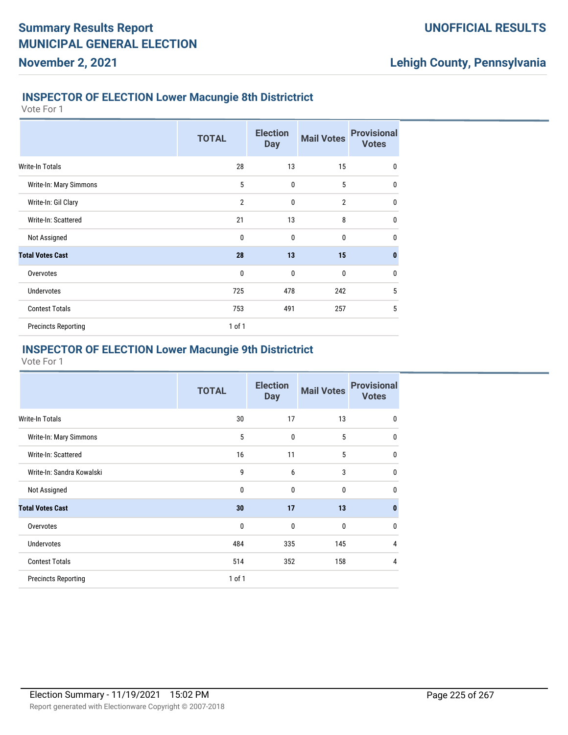### **INSPECTOR OF ELECTION Lower Macungie 8th Districtrict**

Vote For 1

**November 2, 2021**

|                            | <b>TOTAL</b>   | <b>Election</b><br><b>Day</b> | <b>Mail Votes</b> | <b>Provisional</b><br><b>Votes</b> |
|----------------------------|----------------|-------------------------------|-------------------|------------------------------------|
| <b>Write-In Totals</b>     | 28             | 13                            | 15                | $\mathbf 0$                        |
| Write-In: Mary Simmons     | 5              | $\mathbf{0}$                  | 5                 | $\mathbf{0}$                       |
| Write-In: Gil Clary        | $\overline{2}$ | $\mathbf{0}$                  | $\overline{2}$    | $\mathbf{0}$                       |
| Write-In: Scattered        | 21             | 13                            | 8                 | $\mathbf{0}$                       |
| Not Assigned               | $\mathbf{0}$   | $\mathbf{0}$                  | $\mathbf{0}$      | $\mathbf{0}$                       |
| <b>Total Votes Cast</b>    | 28             | 13                            | 15                | $\mathbf{0}$                       |
| Overvotes                  | $\mathbf 0$    | $\mathbf{0}$                  | 0                 | $\mathbf 0$                        |
| <b>Undervotes</b>          | 725            | 478                           | 242               | 5                                  |
| <b>Contest Totals</b>      | 753            | 491                           | 257               | 5                                  |
| <b>Precincts Reporting</b> | $1$ of $1$     |                               |                   |                                    |

## **INSPECTOR OF ELECTION Lower Macungie 9th Districtrict**

|                            | <b>TOTAL</b> | <b>Election</b><br><b>Day</b> | <b>Mail Votes</b> | <b>Provisional</b><br><b>Votes</b> |
|----------------------------|--------------|-------------------------------|-------------------|------------------------------------|
| Write-In Totals            | 30           | 17                            | 13                | 0                                  |
| Write-In: Mary Simmons     | 5            | $\mathbf{0}$                  | 5                 | 0                                  |
| Write-In: Scattered        | 16           | 11                            | 5                 | 0                                  |
| Write-In: Sandra Kowalski  | 9            | 6                             | 3                 | 0                                  |
| Not Assigned               | 0            | $\mathbf{0}$                  | 0                 | $\mathbf{0}$                       |
| <b>Total Votes Cast</b>    | 30           | 17                            | 13                | 0                                  |
| Overvotes                  | 0            | $\mathbf{0}$                  | 0                 | $\mathbf{0}$                       |
| <b>Undervotes</b>          | 484          | 335                           | 145               | 4                                  |
| <b>Contest Totals</b>      | 514          | 352                           | 158               | 4                                  |
| <b>Precincts Reporting</b> | $1$ of $1$   |                               |                   |                                    |
|                            |              |                               |                   |                                    |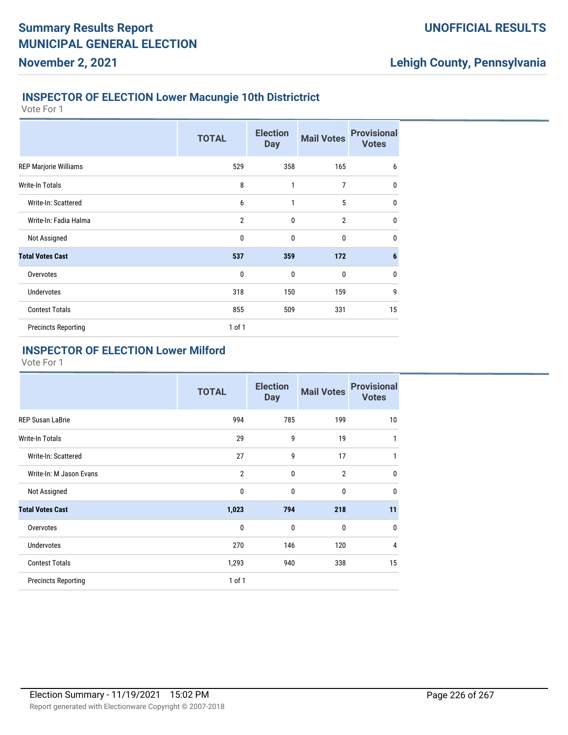## **INSPECTOR OF ELECTION Lower Macungie 10th Districtrict**

Vote For 1

**November 2, 2021**

|                              | <b>TOTAL</b>   | <b>Election</b><br><b>Day</b> | <b>Mail Votes</b> | <b>Provisional</b><br><b>Votes</b> |
|------------------------------|----------------|-------------------------------|-------------------|------------------------------------|
| <b>REP Marjorie Williams</b> | 529            | 358                           | 165               | 6                                  |
| <b>Write-In Totals</b>       | 8              | 1                             | 7                 | $\mathbf{0}$                       |
| Write-In: Scattered          | 6              | 1                             | 5                 | $\mathbf{0}$                       |
| Write-In: Fadia Halma        | $\overline{2}$ | $\mathbf{0}$                  | $\overline{2}$    | $\mathbf{0}$                       |
| Not Assigned                 | 0              | $\mathbf{0}$                  | $\mathbf{0}$      | $\mathbf{0}$                       |
| <b>Total Votes Cast</b>      | 537            | 359                           | 172               | $6\phantom{1}6$                    |
| Overvotes                    | $\mathbf 0$    | $\mathbf 0$                   | $\bf{0}$          | $\mathbf 0$                        |
| <b>Undervotes</b>            | 318            | 150                           | 159               | 9                                  |
| <b>Contest Totals</b>        | 855            | 509                           | 331               | 15                                 |
| <b>Precincts Reporting</b>   | 1 of 1         |                               |                   |                                    |

### **INSPECTOR OF ELECTION Lower Milford**

|                            | <b>TOTAL</b>   | <b>Election</b><br><b>Day</b> | <b>Mail Votes</b> | <b>Provisional</b><br><b>Votes</b> |
|----------------------------|----------------|-------------------------------|-------------------|------------------------------------|
| <b>REP Susan LaBrie</b>    | 994            | 785                           | 199               | 10                                 |
| Write-In Totals            | 29             | 9                             | 19                | 1                                  |
| Write-In: Scattered        | 27             | 9                             | 17                | 1                                  |
| Write-In: M Jason Evans    | $\overline{2}$ | $\mathbf{0}$                  | $\overline{2}$    | $\mathbf{0}$                       |
| Not Assigned               | $\mathbf 0$    | $\mathbf{0}$                  | $\mathbf 0$       | $\mathbf{0}$                       |
| <b>Total Votes Cast</b>    | 1,023          | 794                           | 218               | 11                                 |
| Overvotes                  | $\mathbf{0}$   | $\mathbf{0}$                  | $\mathbf{0}$      | $\mathbf{0}$                       |
| <b>Undervotes</b>          | 270            | 146                           | 120               | 4                                  |
| <b>Contest Totals</b>      | 1,293          | 940                           | 338               | 15                                 |
| <b>Precincts Reporting</b> | 1 of 1         |                               |                   |                                    |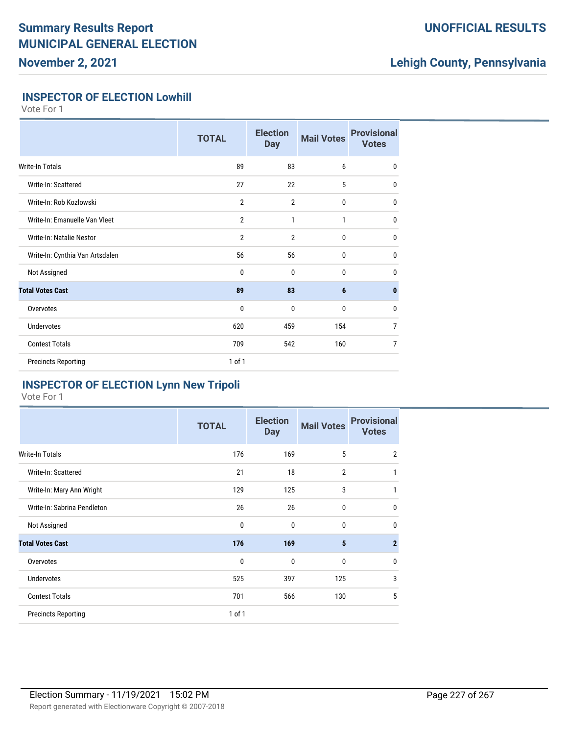## **UNOFFICIAL RESULTS**

# **Lehigh County, Pennsylvania**

### **INSPECTOR OF ELECTION Lowhill**

Vote For 1

|                                 | <b>TOTAL</b>   | <b>Election</b><br><b>Day</b> | <b>Mail Votes</b> | <b>Provisional</b><br><b>Votes</b> |
|---------------------------------|----------------|-------------------------------|-------------------|------------------------------------|
| Write-In Totals                 | 89             | 83                            | 6                 | $\mathbf 0$                        |
| Write-In: Scattered             | 27             | 22                            | 5                 | 0                                  |
| Write-In: Rob Kozlowski         | $\overline{2}$ | $\overline{2}$                | $\bf{0}$          | $\mathbf{0}$                       |
| Write-In: Emanuelle Van Vleet   | $\overline{2}$ | 1                             | 1                 | $\mathbf{0}$                       |
| Write-In: Natalie Nestor        | $\overline{2}$ | $\overline{2}$                | $\bf{0}$          | $\mathbf 0$                        |
| Write-In: Cynthia Van Artsdalen | 56             | 56                            | $\mathbf{0}$      | $\mathbf{0}$                       |
| Not Assigned                    | $\mathbf{0}$   | $\mathbf{0}$                  | $\mathbf 0$       | $\mathbf{0}$                       |
| <b>Total Votes Cast</b>         | 89             | 83                            | $6\phantom{1}6$   | $\mathbf{0}$                       |
| Overvotes                       | 0              | 0                             | $\mathbf{0}$      | $\mathbf{0}$                       |
| <b>Undervotes</b>               | 620            | 459                           | 154               | $\overline{7}$                     |
| <b>Contest Totals</b>           | 709            | 542                           | 160               | $\overline{7}$                     |
| <b>Precincts Reporting</b>      | $1$ of $1$     |                               |                   |                                    |

## **INSPECTOR OF ELECTION Lynn New Tripoli**

|                             | <b>TOTAL</b> | <b>Election</b><br><b>Day</b> | <b>Mail Votes</b> | <b>Provisional</b><br><b>Votes</b> |
|-----------------------------|--------------|-------------------------------|-------------------|------------------------------------|
| <b>Write-In Totals</b>      | 176          | 169                           | 5                 | $\overline{2}$                     |
| Write-In: Scattered         | 21           | 18                            | $\overline{2}$    | 1                                  |
| Write-In: Mary Ann Wright   | 129          | 125                           | 3                 | 1                                  |
| Write-In: Sabrina Pendleton | 26           | 26                            | $\mathbf 0$       | $\mathbf 0$                        |
| Not Assigned                | 0            | 0                             | $\mathbf 0$       | $\mathbf 0$                        |
| <b>Total Votes Cast</b>     | 176          | 169                           | 5                 | $\overline{2}$                     |
| Overvotes                   | 0            | $\mathbf 0$                   | $\mathbf 0$       | $\mathbf 0$                        |
| <b>Undervotes</b>           | 525          | 397                           | 125               | 3                                  |
| <b>Contest Totals</b>       | 701          | 566                           | 130               | 5                                  |
| <b>Precincts Reporting</b>  | $1$ of $1$   |                               |                   |                                    |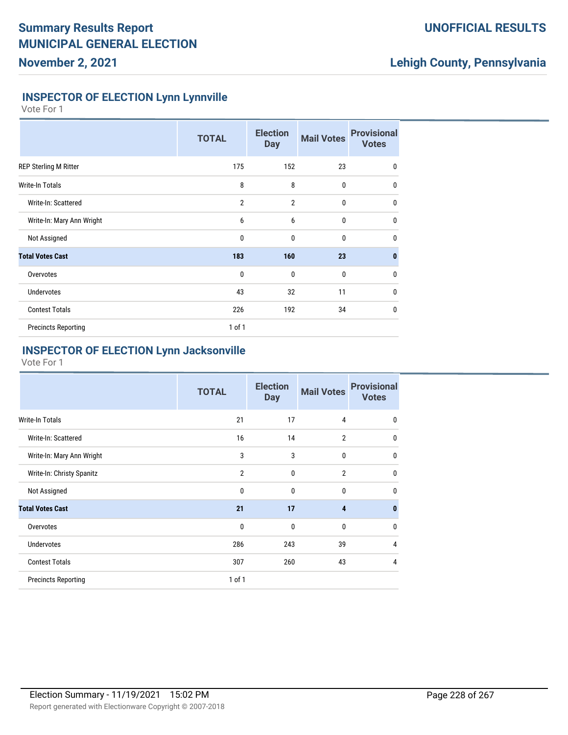## **UNOFFICIAL RESULTS**

# **Lehigh County, Pennsylvania**

### **INSPECTOR OF ELECTION Lynn Lynnville**

Vote For 1

|                              | <b>TOTAL</b>   | <b>Election</b><br><b>Day</b> | <b>Mail Votes</b> | <b>Provisional</b><br><b>Votes</b> |
|------------------------------|----------------|-------------------------------|-------------------|------------------------------------|
| <b>REP Sterling M Ritter</b> | 175            | 152                           | 23                | 0                                  |
| <b>Write-In Totals</b>       | 8              | 8                             | $\mathbf 0$       | 0                                  |
| Write-In: Scattered          | $\overline{2}$ | $\overline{2}$                | $\mathbf{0}$      | $\mathbf{0}$                       |
| Write-In: Mary Ann Wright    | 6              | 6                             | $\mathbf{0}$      | $\mathbf 0$                        |
| Not Assigned                 | $\mathbf 0$    | $\mathbf{0}$                  | $\mathbf{0}$      | $\mathbf 0$                        |
| <b>Total Votes Cast</b>      | 183            | 160                           | 23                | 0                                  |
| Overvotes                    | $\mathbf 0$    | $\mathbf{0}$                  | $\mathbf{0}$      | $\mathbf 0$                        |
| <b>Undervotes</b>            | 43             | 32                            | 11                | $\mathbf 0$                        |
| <b>Contest Totals</b>        | 226            | 192                           | 34                | $\mathbf{0}$                       |
| <b>Precincts Reporting</b>   | $1$ of $1$     |                               |                   |                                    |

## **INSPECTOR OF ELECTION Lynn Jacksonville**

|                            | <b>TOTAL</b>   | <b>Election</b><br><b>Day</b> | <b>Mail Votes</b>       | <b>Provisional</b><br><b>Votes</b> |
|----------------------------|----------------|-------------------------------|-------------------------|------------------------------------|
| Write-In Totals            | 21             | 17                            | 4                       | $\mathbf{0}$                       |
| Write-In: Scattered        | 16             | 14                            | $\overline{2}$          | $\mathbf{0}$                       |
| Write-In: Mary Ann Wright  | 3              | 3                             | $\mathbf{0}$            | $\mathbf{0}$                       |
| Write-In: Christy Spanitz  | $\overline{2}$ | $\mathbf{0}$                  | $\overline{2}$          | $\mathbf{0}$                       |
| Not Assigned               | $\mathbf{0}$   | $\mathbf{0}$                  | $\mathbf 0$             | $\mathbf{0}$                       |
| <b>Total Votes Cast</b>    | 21             | 17                            | $\overline{\mathbf{4}}$ | $\bf{0}$                           |
| Overvotes                  | $\mathbf{0}$   | $\mathbf{0}$                  | $\mathbf{0}$            | $\mathbf{0}$                       |
| <b>Undervotes</b>          | 286            | 243                           | 39                      | $\overline{4}$                     |
| <b>Contest Totals</b>      | 307            | 260                           | 43                      | 4                                  |
| <b>Precincts Reporting</b> | $1$ of $1$     |                               |                         |                                    |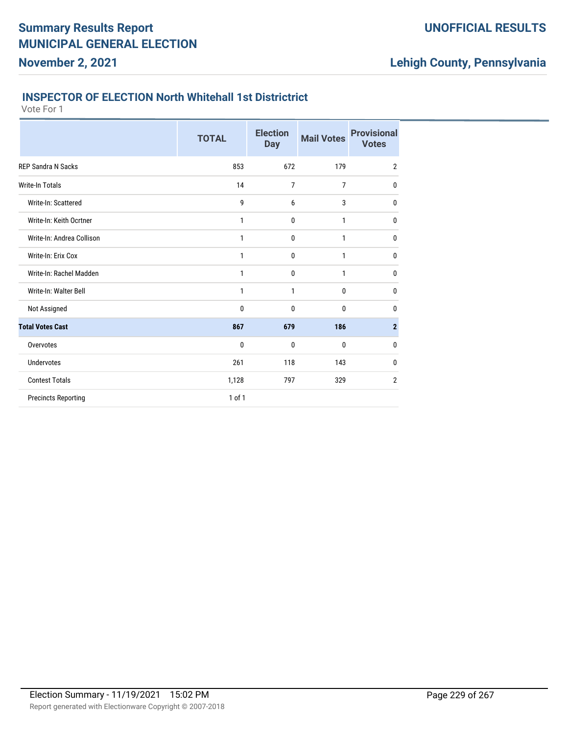# **Lehigh County, Pennsylvania**

### **INSPECTOR OF ELECTION North Whitehall 1st Districtrict**

|                            | <b>TOTAL</b> | <b>Election</b><br><b>Day</b> | <b>Mail Votes</b> | <b>Provisional</b><br><b>Votes</b> |
|----------------------------|--------------|-------------------------------|-------------------|------------------------------------|
| <b>REP Sandra N Sacks</b>  | 853          | 672                           | 179               | $\overline{2}$                     |
| Write-In Totals            | 14           | 7                             | 7                 | 0                                  |
| Write-In: Scattered        | 9            | 6                             | 3                 | 0                                  |
| Write-In: Keith Ocrtner    | 1            | 0                             | $\mathbf{1}$      | $\bf{0}$                           |
| Write-In: Andrea Collison  | 1            | 0                             | 1                 | 0                                  |
| Write-In: Erix Cox         | 1            | 0                             | 1                 | 0                                  |
| Write-In: Rachel Madden    | 1            | 0                             | 1                 | 0                                  |
| Write-In: Walter Bell      | 1            | 1                             | 0                 | 0                                  |
| Not Assigned               | 0            | 0                             | 0                 | 0                                  |
| <b>Total Votes Cast</b>    | 867          | 679                           | 186               | $\overline{2}$                     |
| Overvotes                  | 0            | 0                             | 0                 | 0                                  |
| <b>Undervotes</b>          | 261          | 118                           | 143               | 0                                  |
| <b>Contest Totals</b>      | 1,128        | 797                           | 329               | $\overline{2}$                     |
| <b>Precincts Reporting</b> | 1 of 1       |                               |                   |                                    |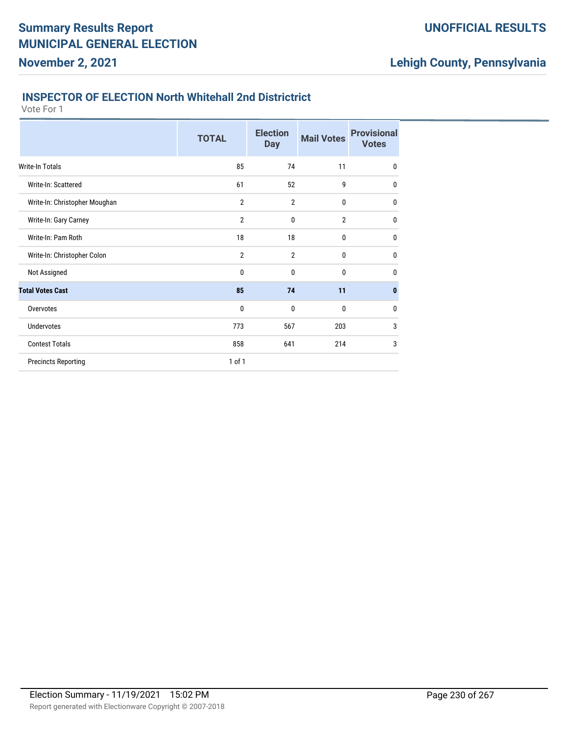#### **INSPECTOR OF ELECTION North Whitehall 2nd Districtrict**

Vote For 1

|                               | <b>TOTAL</b>   | <b>Election</b><br><b>Day</b> | <b>Mail Votes</b> | <b>Provisional</b><br><b>Votes</b> |
|-------------------------------|----------------|-------------------------------|-------------------|------------------------------------|
| <b>Write-In Totals</b>        | 85             | 74                            | 11                | $\mathbf{0}$                       |
| Write-In: Scattered           | 61             | 52                            | 9                 | $\mathbf{0}$                       |
| Write-In: Christopher Moughan | $\overline{2}$ | $\overline{2}$                | $\bf{0}$          | $\mathbf{0}$                       |
| Write-In: Gary Carney         | $\overline{2}$ | 0                             | $\overline{2}$    | $\bf{0}$                           |
| Write-In: Pam Roth            | 18             | 18                            | $\bf{0}$          | $\mathbf{0}$                       |
| Write-In: Christopher Colon   | $\overline{2}$ | $\overline{2}$                | 0                 | $\mathbf{0}$                       |
| Not Assigned                  | 0              | 0                             | $\bf{0}$          | $\mathbf{0}$                       |
| <b>Total Votes Cast</b>       | 85             | 74                            | 11                | $\mathbf{0}$                       |
| Overvotes                     | 0              | 0                             | $\bf{0}$          | $\bf{0}$                           |
| <b>Undervotes</b>             | 773            | 567                           | 203               | 3                                  |
| <b>Contest Totals</b>         | 858            | 641                           | 214               | 3                                  |
| <b>Precincts Reporting</b>    | 1 of 1         |                               |                   |                                    |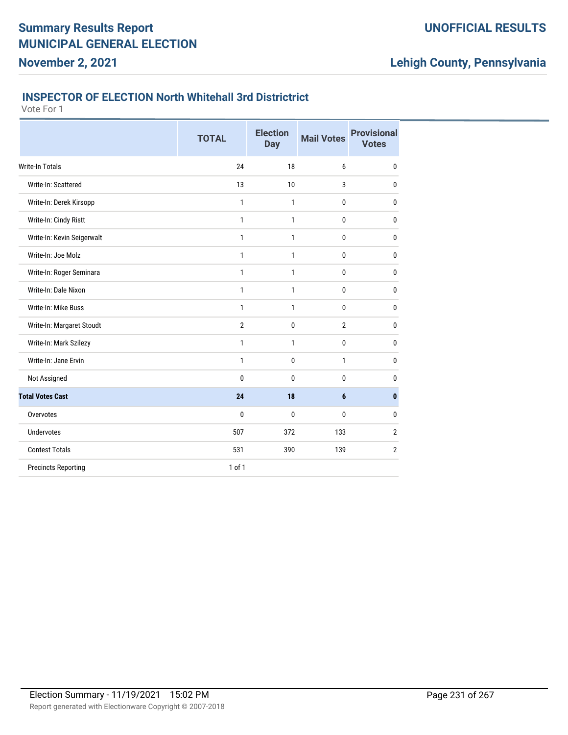### **INSPECTOR OF ELECTION North Whitehall 3rd Districtrict**

Vote For 1

|                            | <b>TOTAL</b>   | <b>Election</b><br><b>Day</b> | <b>Mail Votes</b> | <b>Provisional</b><br><b>Votes</b> |
|----------------------------|----------------|-------------------------------|-------------------|------------------------------------|
| <b>Write-In Totals</b>     | 24             | 18                            | 6                 | 0                                  |
| Write-In: Scattered        | 13             | 10                            | 3                 | 0                                  |
| Write-In: Derek Kirsopp    | 1              | 1                             | $\bf{0}$          | 0                                  |
| Write-In: Cindy Ristt      | $\mathbf{1}$   | 1                             | $\mathbf{0}$      | $\mathbf{0}$                       |
| Write-In: Kevin Seigerwalt | 1              | 1                             | $\bf{0}$          | $\mathbf 0$                        |
| Write-In: Joe Molz         | $\mathbf{1}$   | 1                             | $\bf{0}$          | $\mathbf{0}$                       |
| Write-In: Roger Seminara   | $\mathbf{1}$   | $\mathbf{1}$                  | $\mathbf 0$       | $\mathbf{0}$                       |
| Write-In: Dale Nixon       | $\mathbf{1}$   | 1                             | $\bf{0}$          | $\mathbf 0$                        |
| Write-In: Mike Buss        | $\mathbf{1}$   | 1                             | 0                 | $\mathbf{0}$                       |
| Write-In: Margaret Stoudt  | $\overline{2}$ | $\mathbf{0}$                  | $\overline{2}$    | 0                                  |
| Write-In: Mark Szilezy     | 1              | $\mathbf{1}$                  | 0                 | 0                                  |
| Write-In: Jane Ervin       | 1              | $\mathbf 0$                   | 1                 | $\mathbf{0}$                       |
| Not Assigned               | 0              | $\mathbf{0}$                  | $\bf{0}$          | 0                                  |
| <b>Total Votes Cast</b>    | 24             | 18                            | $6\phantom{1}$    | $\mathbf{0}$                       |
| Overvotes                  | 0              | $\mathbf{0}$                  | $\mathbf{0}$      | $\mathbf 0$                        |
| <b>Undervotes</b>          | 507            | 372                           | 133               | $\overline{2}$                     |
| <b>Contest Totals</b>      | 531            | 390                           | 139               | $\overline{2}$                     |
| <b>Precincts Reporting</b> | 1 of 1         |                               |                   |                                    |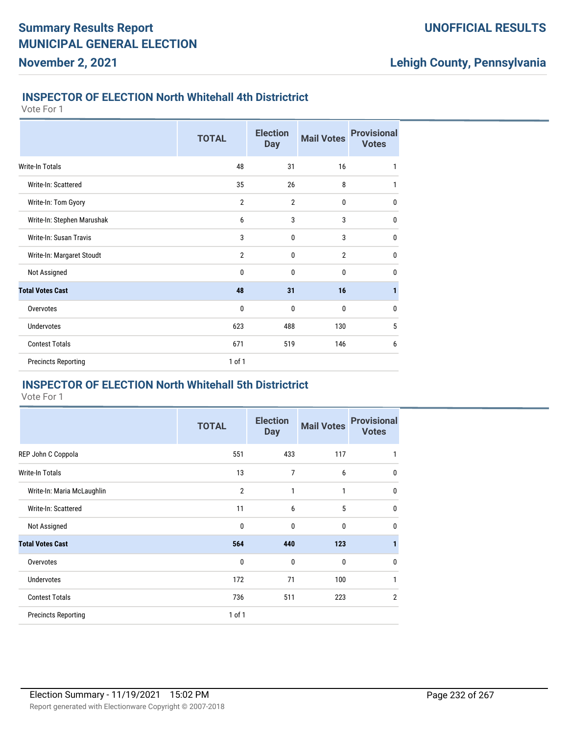### **INSPECTOR OF ELECTION North Whitehall 4th Districtrict**

Vote For 1

**November 2, 2021**

|                            | <b>TOTAL</b>   | <b>Election</b><br><b>Day</b> | <b>Mail Votes</b> | <b>Provisional</b><br><b>Votes</b> |
|----------------------------|----------------|-------------------------------|-------------------|------------------------------------|
| Write-In Totals            | 48             | 31                            | 16                | 1                                  |
| Write-In: Scattered        | 35             | 26                            | 8                 | 1                                  |
| Write-In: Tom Gyory        | $\overline{2}$ | 2                             | 0                 | 0                                  |
| Write-In: Stephen Marushak | 6              | 3                             | 3                 | $\mathbf 0$                        |
| Write-In: Susan Travis     | 3              | 0                             | 3                 | 0                                  |
| Write-In: Margaret Stoudt  | $\overline{2}$ | 0                             | $\overline{2}$    | 0                                  |
| Not Assigned               | 0              | 0                             | 0                 | $\mathbf 0$                        |
| <b>Total Votes Cast</b>    | 48             | 31                            | 16                | 1                                  |
| Overvotes                  | 0              | 0                             | 0                 | 0                                  |
| <b>Undervotes</b>          | 623            | 488                           | 130               | 5                                  |
| <b>Contest Totals</b>      | 671            | 519                           | 146               | 6                                  |
| <b>Precincts Reporting</b> | 1 of 1         |                               |                   |                                    |

#### **INSPECTOR OF ELECTION North Whitehall 5th Districtrict**

|                            | <b>TOTAL</b>   | <b>Election</b><br><b>Day</b> | <b>Mail Votes</b> | <b>Provisional</b><br><b>Votes</b> |
|----------------------------|----------------|-------------------------------|-------------------|------------------------------------|
| REP John C Coppola         | 551            | 433                           | 117               | 1                                  |
| <b>Write-In Totals</b>     | 13             | 7                             | 6                 | 0                                  |
| Write-In: Maria McLaughlin | $\overline{2}$ | 1                             | 1                 | 0                                  |
| Write-In: Scattered        | 11             | 6                             | 5                 | 0                                  |
| Not Assigned               | $\mathbf 0$    | 0                             | 0                 | 0                                  |
| <b>Total Votes Cast</b>    | 564            | 440                           | 123               | 1                                  |
| Overvotes                  | $\mathbf{0}$   | $\mathbf{0}$                  | 0                 | 0                                  |
| <b>Undervotes</b>          | 172            | 71                            | 100               | 1                                  |
| <b>Contest Totals</b>      | 736            | 511                           | 223               | $\overline{2}$                     |
| <b>Precincts Reporting</b> | 1 of 1         |                               |                   |                                    |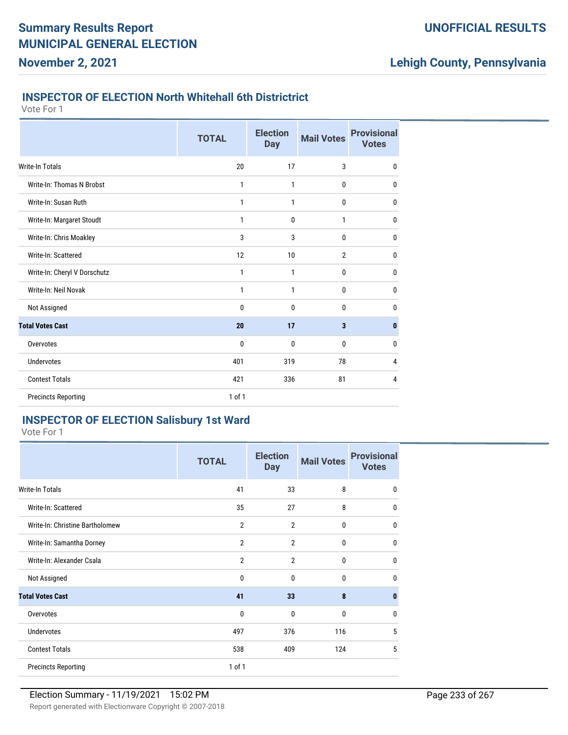# **Lehigh County, Pennsylvania**

### **INSPECTOR OF ELECTION North Whitehall 6th Districtrict**

Vote For 1

|                              | <b>TOTAL</b> | <b>Election</b><br><b>Day</b> | <b>Mail Votes</b> | <b>Provisional</b><br><b>Votes</b> |
|------------------------------|--------------|-------------------------------|-------------------|------------------------------------|
| <b>Write-In Totals</b>       | 20           | 17                            | 3                 | 0                                  |
| Write-In: Thomas N Brobst    | 1            | 1                             | 0                 | 0                                  |
| Write-In: Susan Ruth         | 1            | 1                             | 0                 | 0                                  |
| Write-In: Margaret Stoudt    | 1            | $\mathbf 0$                   | 1                 | 0                                  |
| Write-In: Chris Moakley      | 3            | 3                             | 0                 | 0                                  |
| Write-In: Scattered          | 12           | 10                            | $\overline{2}$    | $\mathbf{0}$                       |
| Write-In: Cheryl V Dorschutz | 1            | 1                             | 0                 | 0                                  |
| Write-In: Neil Novak         | 1            | 1                             | 0                 | 0                                  |
| Not Assigned                 | 0            | $\mathbf 0$                   | 0                 | $\mathbf{0}$                       |
| <b>Total Votes Cast</b>      | 20           | 17                            | 3                 | $\mathbf{0}$                       |
| Overvotes                    | 0            | 0                             | 0                 | 0                                  |
| <b>Undervotes</b>            | 401          | 319                           | 78                | 4                                  |
| <b>Contest Totals</b>        | 421          | 336                           | 81                | 4                                  |
| <b>Precincts Reporting</b>   | $1$ of $1$   |                               |                   |                                    |

## **INSPECTOR OF ELECTION Salisbury 1st Ward**

|                                 | <b>TOTAL</b>   | <b>Election</b><br><b>Day</b> | <b>Mail Votes</b> | <b>Provisional</b><br><b>Votes</b> |
|---------------------------------|----------------|-------------------------------|-------------------|------------------------------------|
| <b>Write-In Totals</b>          | 41             | 33                            | 8                 | $\mathbf 0$                        |
| Write-In: Scattered             | 35             | 27                            | 8                 | 0                                  |
| Write-In: Christine Bartholomew | $\overline{2}$ | $\overline{2}$                | $\mathbf{0}$      | $\mathbf{0}$                       |
| Write-In: Samantha Dorney       | $\overline{2}$ | $\overline{2}$                | $\mathbf{0}$      | $\mathbf 0$                        |
| Write-In: Alexander Csala       | $\overline{2}$ | $\overline{2}$                | $\mathbf{0}$      | $\mathbf 0$                        |
| Not Assigned                    | 0              | $\mathbf{0}$                  | $\mathbf{0}$      | 0                                  |
| <b>Total Votes Cast</b>         | 41             | 33                            | 8                 | $\mathbf{0}$                       |
| Overvotes                       | $\mathbf{0}$   | $\mathbf{0}$                  | $\mathbf{0}$      | 0                                  |
| <b>Undervotes</b>               | 497            | 376                           | 116               | 5                                  |
| <b>Contest Totals</b>           | 538            | 409                           | 124               | 5                                  |
| <b>Precincts Reporting</b>      | $1$ of $1$     |                               |                   |                                    |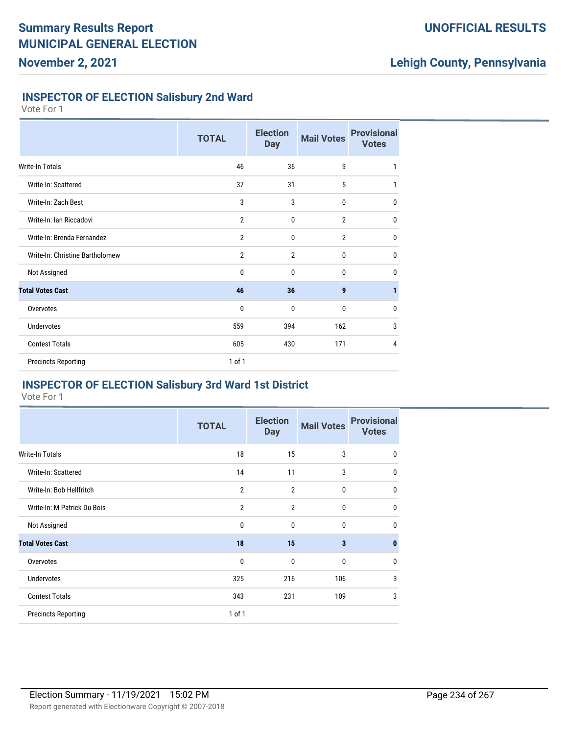## **UNOFFICIAL RESULTS**

# **Lehigh County, Pennsylvania**

### **INSPECTOR OF ELECTION Salisbury 2nd Ward**

Vote For 1

|                                 | <b>TOTAL</b>   | <b>Election</b><br><b>Day</b> | <b>Mail Votes</b> | <b>Provisional</b><br><b>Votes</b> |
|---------------------------------|----------------|-------------------------------|-------------------|------------------------------------|
| Write-In Totals                 | 46             | 36                            | 9                 | 1                                  |
| Write-In: Scattered             | 37             | 31                            | 5                 | 1                                  |
| Write-In: Zach Best             | 3              | 3                             | 0                 | 0                                  |
| Write-In: Ian Riccadovi         | $\overline{2}$ | 0                             | $\overline{2}$    | 0                                  |
| Write-In: Brenda Fernandez      | 2              | 0                             | $\overline{2}$    | 0                                  |
| Write-In: Christine Bartholomew | $\overline{2}$ | $\overline{2}$                | 0                 | 0                                  |
| Not Assigned                    | 0              | 0                             | 0                 | 0                                  |
| <b>Total Votes Cast</b>         | 46             | 36                            | 9                 | 1                                  |
| Overvotes                       | 0              | 0                             | 0                 | 0                                  |
| <b>Undervotes</b>               | 559            | 394                           | 162               | 3                                  |
| <b>Contest Totals</b>           | 605            | 430                           | 171               | 4                                  |
| <b>Precincts Reporting</b>      | 1 of 1         |                               |                   |                                    |

### **INSPECTOR OF ELECTION Salisbury 3rd Ward 1st District**

|                             | <b>TOTAL</b>   | <b>Election</b><br><b>Day</b> | <b>Mail Votes</b> | <b>Provisional</b><br><b>Votes</b> |
|-----------------------------|----------------|-------------------------------|-------------------|------------------------------------|
| <b>Write-In Totals</b>      | 18             | 15                            | 3                 | $\mathbf 0$                        |
| Write-In: Scattered         | 14             | 11                            | 3                 | $\mathbf 0$                        |
| Write-In: Bob Hellfritch    | $\overline{2}$ | $\overline{2}$                | $\bf{0}$          | $\mathbf{0}$                       |
| Write-In: M Patrick Du Bois | $\overline{2}$ | $\overline{2}$                | $\bf{0}$          | $\mathbf 0$                        |
| Not Assigned                | $\mathbf{0}$   | $\mathbf{0}$                  | $\mathbf 0$       | $\mathbf{0}$                       |
| <b>Total Votes Cast</b>     | 18             | 15                            | 3                 | $\mathbf{0}$                       |
| Overvotes                   | $\mathbf 0$    | $\mathbf{0}$                  | $\mathbf 0$       | $\mathbf 0$                        |
| <b>Undervotes</b>           | 325            | 216                           | 106               | 3                                  |
| <b>Contest Totals</b>       | 343            | 231                           | 109               | 3                                  |
| <b>Precincts Reporting</b>  | $1$ of $1$     |                               |                   |                                    |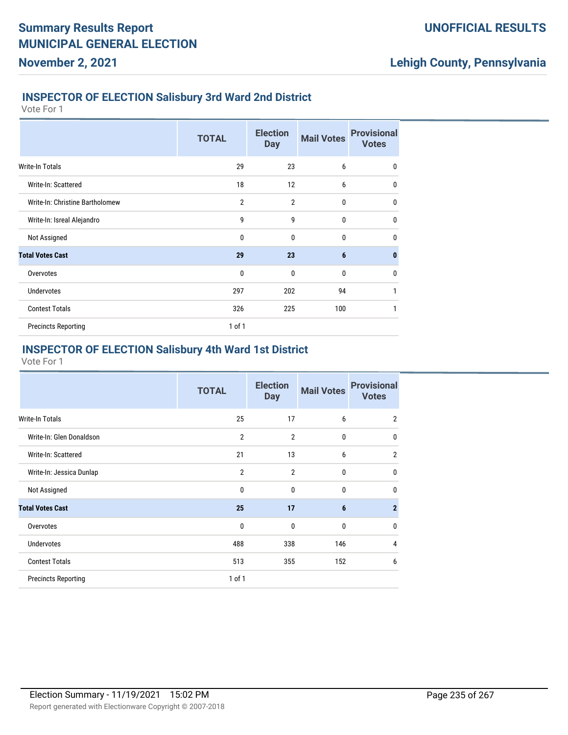#### **INSPECTOR OF ELECTION Salisbury 3rd Ward 2nd District**

Vote For 1

**November 2, 2021**

|                                 | <b>TOTAL</b>   | <b>Election</b><br><b>Day</b> | <b>Mail Votes</b> | <b>Provisional</b><br><b>Votes</b> |
|---------------------------------|----------------|-------------------------------|-------------------|------------------------------------|
| Write-In Totals                 | 29             | 23                            | 6                 | $\mathbf 0$                        |
| Write-In: Scattered             | 18             | 12                            | 6                 | $\mathbf 0$                        |
| Write-In: Christine Bartholomew | $\overline{2}$ | $\overline{2}$                | 0                 | $\mathbf 0$                        |
| Write-In: Isreal Alejandro      | 9              | 9                             | $\mathbf{0}$      | $\mathbf 0$                        |
| Not Assigned                    | 0              | 0                             | 0                 | $\mathbf{0}$                       |
| <b>Total Votes Cast</b>         | 29             | 23                            | 6                 | $\bf{0}$                           |
| Overvotes                       | $\mathbf{0}$   | $\mathbf{0}$                  | 0                 | $\mathbf 0$                        |
| <b>Undervotes</b>               | 297            | 202                           | 94                | 1                                  |
| <b>Contest Totals</b>           | 326            | 225                           | 100               | 1                                  |
| <b>Precincts Reporting</b>      | $1$ of $1$     |                               |                   |                                    |

## **INSPECTOR OF ELECTION Salisbury 4th Ward 1st District**

|                            | <b>TOTAL</b>   | <b>Election</b><br><b>Day</b> | <b>Mail Votes</b> | <b>Provisional</b><br><b>Votes</b> |
|----------------------------|----------------|-------------------------------|-------------------|------------------------------------|
| Write-In Totals            | 25             | 17                            | 6                 | $\overline{2}$                     |
| Write-In: Glen Donaldson   | $\overline{2}$ | $\overline{2}$                | 0                 | 0                                  |
| Write-In: Scattered        | 21             | 13                            | 6                 | $\overline{2}$                     |
| Write-In: Jessica Dunlap   | $\overline{2}$ | $\overline{2}$                | 0                 | 0                                  |
| Not Assigned               | 0              | $\mathbf{0}$                  | 0                 | 0                                  |
| <b>Total Votes Cast</b>    | 25             | 17                            | 6                 | $\mathbf{2}$                       |
| Overvotes                  | 0              | $\mathbf{0}$                  | 0                 | 0                                  |
| Undervotes                 | 488            | 338                           | 146               | 4                                  |
| <b>Contest Totals</b>      | 513            | 355                           | 152               | 6                                  |
| <b>Precincts Reporting</b> | $1$ of $1$     |                               |                   |                                    |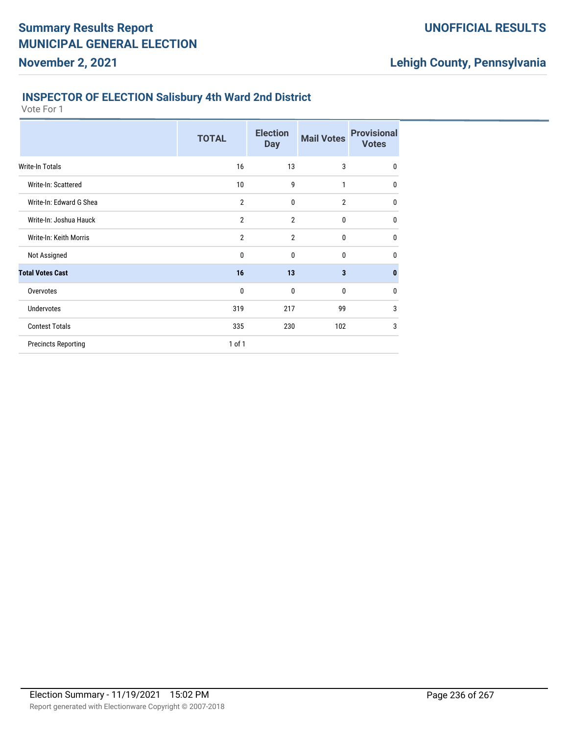### **INSPECTOR OF ELECTION Salisbury 4th Ward 2nd District**

Vote For 1

|                            | <b>TOTAL</b>   | <b>Election</b><br><b>Day</b> | <b>Mail Votes</b> | <b>Provisional</b><br><b>Votes</b> |
|----------------------------|----------------|-------------------------------|-------------------|------------------------------------|
| Write-In Totals            | 16             | 13                            | 3                 | $\mathbf 0$                        |
| Write-In: Scattered        | 10             | 9                             | 1                 | $\mathbf 0$                        |
| Write-In: Edward G Shea    | $\overline{2}$ | $\mathbf{0}$                  | $\overline{2}$    | $\mathbf 0$                        |
| Write-In: Joshua Hauck     | $\overline{2}$ | $\overline{2}$                | 0                 | $\mathbf 0$                        |
| Write-In: Keith Morris     | $\overline{2}$ | $\overline{2}$                | 0                 | $\mathbf 0$                        |
| Not Assigned               | 0              | 0                             | 0                 | $\mathbf 0$                        |
| <b>Total Votes Cast</b>    | 16             | 13                            | 3                 | $\bf{0}$                           |
| Overvotes                  | 0              | $\mathbf{0}$                  | 0                 | $\mathbf 0$                        |
| <b>Undervotes</b>          | 319            | 217                           | 99                | 3                                  |
| <b>Contest Totals</b>      | 335            | 230                           | 102               | 3                                  |
| <b>Precincts Reporting</b> | 1 of 1         |                               |                   |                                    |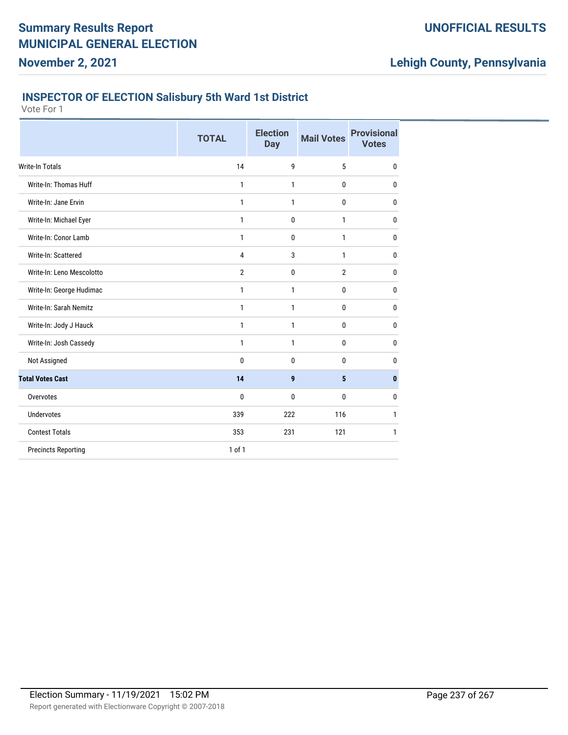### **INSPECTOR OF ELECTION Salisbury 5th Ward 1st District**

Vote For 1

|                            | <b>TOTAL</b>   | <b>Election</b><br><b>Day</b> | <b>Mail Votes</b> | <b>Provisional</b><br><b>Votes</b> |
|----------------------------|----------------|-------------------------------|-------------------|------------------------------------|
| <b>Write-In Totals</b>     | 14             | 9                             | 5                 | $\mathbf{0}$                       |
| Write-In: Thomas Huff      | 1              | 1                             | 0                 | 0                                  |
| Write-In: Jane Ervin       | 1              | $\mathbf{1}$                  | 0                 | 0                                  |
| Write-In: Michael Eyer     | 1              | $\mathbf 0$                   | 1                 | 0                                  |
| Write-In: Conor Lamb       | 1              | $\mathbf 0$                   | 1                 | 0                                  |
| Write-In: Scattered        | 4              | 3                             | 1                 | 0                                  |
| Write-In: Leno Mescolotto  | $\overline{2}$ | $\mathbf 0$                   | $\overline{2}$    | 0                                  |
| Write-In: George Hudimac   | 1              | 1                             | 0                 | 0                                  |
| Write-In: Sarah Nemitz     | 1              | 1                             | 0                 | 0                                  |
| Write-In: Jody J Hauck     | 1              | 1                             | 0                 | 0                                  |
| Write-In: Josh Cassedy     | 1              | 1                             | $\mathbf{0}$      | 0                                  |
| Not Assigned               | 0              | $\mathbf{0}$                  | 0                 | 0                                  |
| <b>Total Votes Cast</b>    | 14             | 9                             | 5                 | $\bf{0}$                           |
| Overvotes                  | 0              | $\mathbf{0}$                  | 0                 | 0                                  |
| Undervotes                 | 339            | 222                           | 116               | 1                                  |
| <b>Contest Totals</b>      | 353            | 231                           | 121               | 1                                  |
| <b>Precincts Reporting</b> | $1$ of $1$     |                               |                   |                                    |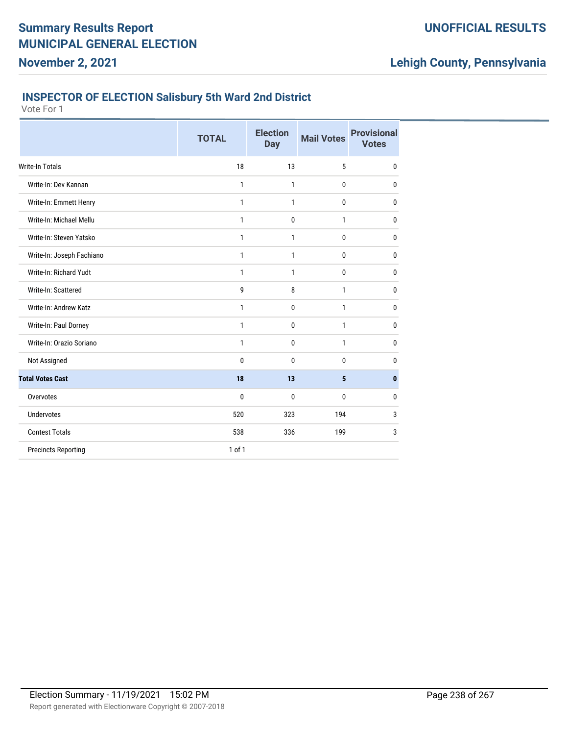### **INSPECTOR OF ELECTION Salisbury 5th Ward 2nd District**

Vote For 1

|                            | <b>TOTAL</b> | <b>Election</b><br><b>Day</b> | <b>Mail Votes</b> | <b>Provisional</b><br><b>Votes</b> |
|----------------------------|--------------|-------------------------------|-------------------|------------------------------------|
| <b>Write-In Totals</b>     | 18           | 13                            | 5                 | $\mathbf{0}$                       |
| Write-In: Dev Kannan       | 1            | 1                             | 0                 | 0                                  |
| Write-In: Emmett Henry     | 1            | $\mathbf{1}$                  | 0                 | $\mathbf{0}$                       |
| Write-In: Michael Mellu    | 1            | $\mathbf 0$                   | 1                 | $\mathbf{0}$                       |
| Write-In: Steven Yatsko    | $\mathbf{1}$ | $\mathbf{1}$                  | 0                 | $\bf{0}$                           |
| Write-In: Joseph Fachiano  | 1            | 1                             | 0                 | $\mathbf{0}$                       |
| Write-In: Richard Yudt     | $\mathbf{1}$ | 1                             | 0                 | $\mathbf{0}$                       |
| Write-In: Scattered        | 9            | 8                             | $\mathbf{1}$      | $\mathbf{0}$                       |
| Write-In: Andrew Katz      | 1            | 0                             | 1                 | $\mathbf{0}$                       |
| Write-In: Paul Dorney      | 1            | $\mathbf 0$                   | 1                 | $\mathbf{0}$                       |
| Write-In: Orazio Soriano   | 1            | $\mathbf 0$                   | 1                 | $\mathbf{0}$                       |
| Not Assigned               | $\mathbf{0}$ | 0                             | 0                 | 0                                  |
| <b>Total Votes Cast</b>    | 18           | 13                            | 5                 | $\mathbf{0}$                       |
| Overvotes                  | 0            | 0                             | 0                 | $\mathbf{0}$                       |
| <b>Undervotes</b>          | 520          | 323                           | 194               | 3                                  |
| <b>Contest Totals</b>      | 538          | 336                           | 199               | 3                                  |
| <b>Precincts Reporting</b> | $1$ of $1$   |                               |                   |                                    |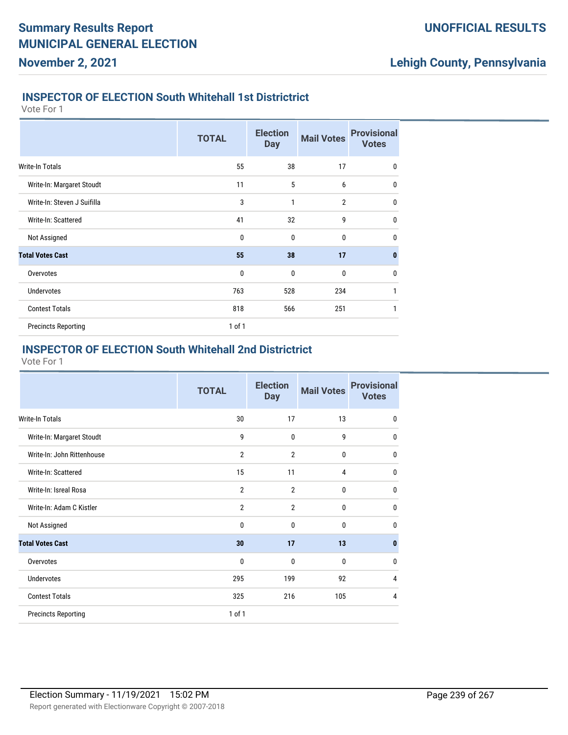### **INSPECTOR OF ELECTION South Whitehall 1st Districtrict**

Vote For 1

**November 2, 2021**

|                             | <b>TOTAL</b> | <b>Election</b><br><b>Day</b> | <b>Mail Votes</b> | <b>Provisional</b><br><b>Votes</b> |
|-----------------------------|--------------|-------------------------------|-------------------|------------------------------------|
| <b>Write-In Totals</b>      | 55           | 38                            | 17                | 0                                  |
| Write-In: Margaret Stoudt   | 11           | 5                             | 6                 | $\mathbf{0}$                       |
| Write-In: Steven J Suifilla | 3            | 1                             | $\overline{2}$    | $\mathbf{0}$                       |
| Write-In: Scattered         | 41           | 32                            | 9                 | 0                                  |
| Not Assigned                | $\mathbf{0}$ | $\mathbf{0}$                  | $\mathbf{0}$      | $\mathbf{0}$                       |
| <b>Total Votes Cast</b>     | 55           | 38                            | 17                | $\mathbf{0}$                       |
| Overvotes                   | $\mathbf{0}$ | $\mathbf{0}$                  | $\mathbf{0}$      | $\mathbf{0}$                       |
| <b>Undervotes</b>           | 763          | 528                           | 234               | 1                                  |
| <b>Contest Totals</b>       | 818          | 566                           | 251               | 1                                  |
| <b>Precincts Reporting</b>  | $1$ of $1$   |                               |                   |                                    |

### **INSPECTOR OF ELECTION South Whitehall 2nd Districtrict**

|                            | <b>TOTAL</b>   | <b>Election</b><br><b>Day</b> | <b>Mail Votes</b> | <b>Provisional</b><br><b>Votes</b> |
|----------------------------|----------------|-------------------------------|-------------------|------------------------------------|
| Write-In Totals            | 30             | 17                            | 13                | $\mathbf{0}$                       |
| Write-In: Margaret Stoudt  | 9              | 0                             | 9                 | $\mathbf{0}$                       |
| Write-In: John Rittenhouse | $\overline{2}$ | $\overline{2}$                | 0                 | 0                                  |
| Write-In: Scattered        | 15             | 11                            | 4                 | 0                                  |
| Write-In: Isreal Rosa      | $\overline{2}$ | $\overline{2}$                | 0                 | $\mathbf{0}$                       |
| Write-In: Adam C Kistler   | $\overline{2}$ | $\overline{2}$                | 0                 | $\mathbf{0}$                       |
| Not Assigned               | 0              | $\mathbf{0}$                  | $\mathbf{0}$      | $\Omega$                           |
| <b>Total Votes Cast</b>    | 30             | 17                            | 13                | 0                                  |
| Overvotes                  | $\mathbf{0}$   | 0                             | 0                 | 0                                  |
| Undervotes                 | 295            | 199                           | 92                | 4                                  |
| <b>Contest Totals</b>      | 325            | 216                           | 105               | 4                                  |
| <b>Precincts Reporting</b> | 1 of 1         |                               |                   |                                    |
|                            |                |                               |                   |                                    |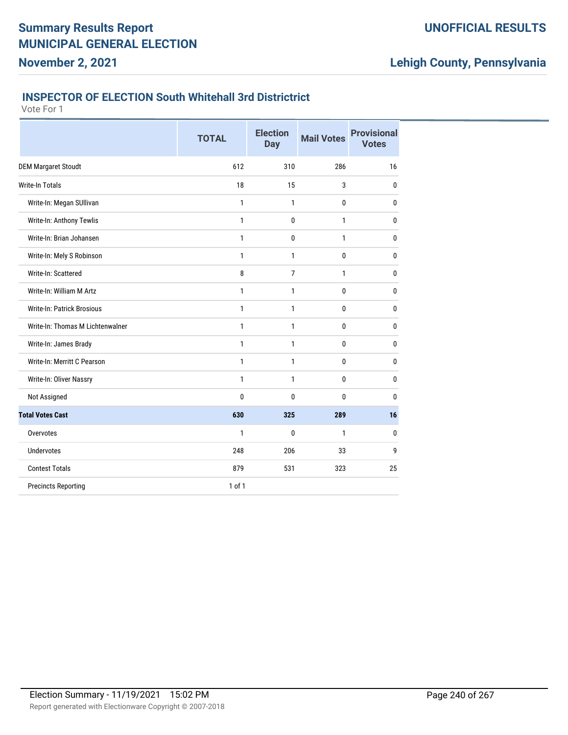# **Lehigh County, Pennsylvania**

#### **INSPECTOR OF ELECTION South Whitehall 3rd Districtrict**

|                                   | <b>TOTAL</b> | <b>Election</b><br><b>Day</b> | <b>Mail Votes</b> | <b>Provisional</b><br><b>Votes</b> |
|-----------------------------------|--------------|-------------------------------|-------------------|------------------------------------|
| <b>DEM Margaret Stoudt</b>        | 612          | 310                           | 286               | 16                                 |
| <b>Write-In Totals</b>            | 18           | 15                            | 3                 | 0                                  |
| Write-In: Megan SUllivan          | 1            | 1                             | $\mathbf 0$       | 0                                  |
| Write-In: Anthony Tewlis          | 1            | 0                             | $\mathbf{1}$      | 0                                  |
| Write-In: Brian Johansen          | 1            | 0                             | $\mathbf{1}$      | 0                                  |
| Write-In: Mely S Robinson         | 1            | 1                             | 0                 | 0                                  |
| Write-In: Scattered               | 8            | $\overline{7}$                | $\mathbf{1}$      | 0                                  |
| Write-In: William M Artz          | 1            | 1                             | 0                 | 0                                  |
| <b>Write-In: Patrick Brosious</b> | 1            | 1                             | 0                 | 0                                  |
| Write-In: Thomas M Lichtenwalner  | 1            | 1                             | 0                 | 0                                  |
| Write-In: James Brady             | 1            | 1                             | 0                 | 0                                  |
| Write-In: Merritt C Pearson       | 1            | 1                             | 0                 | 0                                  |
| Write-In: Oliver Nassry           | $\mathbf{1}$ | 1                             | 0                 | 0                                  |
| Not Assigned                      | $\bf{0}$     | 0                             | $\bf{0}$          | 0                                  |
| <b>Total Votes Cast</b>           | 630          | 325                           | 289               | 16                                 |
| Overvotes                         | 1            | 0                             | $\mathbf{1}$      | 0                                  |
| <b>Undervotes</b>                 | 248          | 206                           | 33                | 9                                  |
| <b>Contest Totals</b>             | 879          | 531                           | 323               | 25                                 |
| <b>Precincts Reporting</b>        | 1 of 1       |                               |                   |                                    |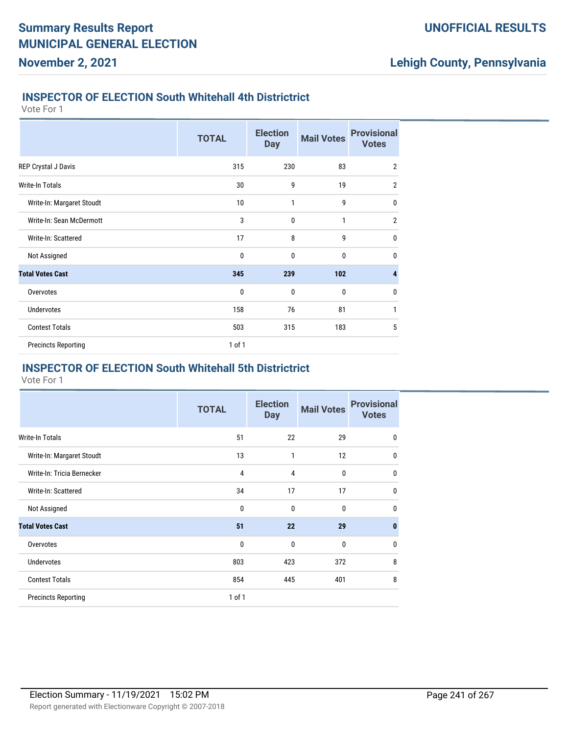#### **INSPECTOR OF ELECTION South Whitehall 4th Districtrict**

Vote For 1

**November 2, 2021**

|                            | <b>TOTAL</b> | <b>Election</b><br><b>Day</b> | <b>Mail Votes</b> | <b>Provisional</b><br><b>Votes</b> |
|----------------------------|--------------|-------------------------------|-------------------|------------------------------------|
| REP Crystal J Davis        | 315          | 230                           | 83                | $\overline{2}$                     |
| <b>Write-In Totals</b>     | 30           | 9                             | 19                | $\overline{2}$                     |
| Write-In: Margaret Stoudt  | 10           | $\mathbf{1}$                  | 9                 | $\bf{0}$                           |
| Write-In: Sean McDermott   | 3            | $\mathbf{0}$                  | 1                 | $\overline{2}$                     |
| Write-In: Scattered        | 17           | 8                             | 9                 | $\mathbf{0}$                       |
| Not Assigned               | 0            | 0                             | 0                 | $\mathbf{0}$                       |
| <b>Total Votes Cast</b>    | 345          | 239                           | 102               | 4                                  |
| Overvotes                  | $\mathbf 0$  | $\mathbf 0$                   | $\bf{0}$          | $\mathbf 0$                        |
| <b>Undervotes</b>          | 158          | 76                            | 81                | 1                                  |
| <b>Contest Totals</b>      | 503          | 315                           | 183               | 5                                  |
| <b>Precincts Reporting</b> | $1$ of $1$   |                               |                   |                                    |

## **INSPECTOR OF ELECTION South Whitehall 5th Districtrict**

|                            | <b>TOTAL</b>   | <b>Election</b><br><b>Day</b> | <b>Mail Votes</b> | <b>Provisional</b><br><b>Votes</b> |
|----------------------------|----------------|-------------------------------|-------------------|------------------------------------|
| Write-In Totals            | 51             | 22                            | 29                | $\bf{0}$                           |
| Write-In: Margaret Stoudt  | 13             | 1                             | 12                | $\mathbf 0$                        |
| Write-In: Tricia Bernecker | $\overline{4}$ | 4                             | $\bf{0}$          | $\mathbf 0$                        |
| Write-In: Scattered        | 34             | 17                            | 17                | $\mathbf 0$                        |
| Not Assigned               | 0              | 0                             | 0                 | $\mathbf 0$                        |
| <b>Total Votes Cast</b>    | 51             | 22                            | 29                | $\bf{0}$                           |
| Overvotes                  | 0              | $\mathbf 0$                   | $\bf{0}$          | $\mathbf{0}$                       |
| Undervotes                 | 803            | 423                           | 372               | 8                                  |
| <b>Contest Totals</b>      | 854            | 445                           | 401               | 8                                  |
| <b>Precincts Reporting</b> | 1 of 1         |                               |                   |                                    |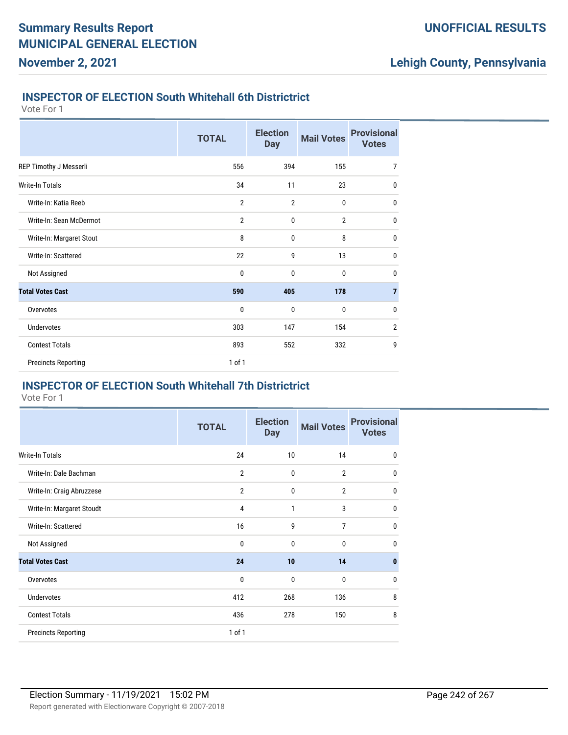### **INSPECTOR OF ELECTION South Whitehall 6th Districtrict**

Vote For 1

**November 2, 2021**

|                            | <b>TOTAL</b>   | <b>Election</b><br><b>Day</b> | <b>Mail Votes</b> | <b>Provisional</b><br><b>Votes</b> |
|----------------------------|----------------|-------------------------------|-------------------|------------------------------------|
| REP Timothy J Messerli     | 556            | 394                           | 155               | $\overline{7}$                     |
| Write-In Totals            | 34             | 11                            | 23                | 0                                  |
| Write-In: Katia Reeb       | $\overline{2}$ | $\overline{2}$                | 0                 | 0                                  |
| Write-In: Sean McDermot    | $\overline{2}$ | $\mathbf 0$                   | $\overline{2}$    | 0                                  |
| Write-In: Margaret Stout   | 8              | $\mathbf 0$                   | 8                 | 0                                  |
| Write-In: Scattered        | 22             | 9                             | 13                | 0                                  |
| Not Assigned               | 0              | $\mathbf 0$                   | $\bf{0}$          | $\mathbf 0$                        |
| <b>Total Votes Cast</b>    | 590            | 405                           | 178               | $\overline{7}$                     |
| Overvotes                  | 0              | 0                             | 0                 | $\mathbf 0$                        |
| <b>Undervotes</b>          | 303            | 147                           | 154               | $\overline{2}$                     |
| <b>Contest Totals</b>      | 893            | 552                           | 332               | 9                                  |
| <b>Precincts Reporting</b> | 1 of 1         |                               |                   |                                    |

### **INSPECTOR OF ELECTION South Whitehall 7th Districtrict**

|                            | <b>TOTAL</b>   | <b>Election</b><br><b>Day</b> | <b>Mail Votes</b> | <b>Provisional</b><br><b>Votes</b> |
|----------------------------|----------------|-------------------------------|-------------------|------------------------------------|
| <b>Write-In Totals</b>     | 24             | 10                            | 14                | $\mathbf 0$                        |
| Write-In: Dale Bachman     | $\overline{2}$ | $\mathbf 0$                   | $\overline{2}$    | $\mathbf{0}$                       |
| Write-In: Craig Abruzzese  | $\overline{2}$ | $\mathbf 0$                   | $\overline{2}$    | $\mathbf{0}$                       |
| Write-In: Margaret Stoudt  | 4              | 1                             | 3                 | $\mathbf 0$                        |
| Write-In: Scattered        | 16             | 9                             | 7                 | 0                                  |
| Not Assigned               | 0              | $\mathbf{0}$                  | 0                 | $\mathbf{0}$                       |
| <b>Total Votes Cast</b>    | 24             | 10                            | 14                | $\bf{0}$                           |
| Overvotes                  | 0              | $\mathbf 0$                   | $\bf{0}$          | $\mathbf{0}$                       |
| <b>Undervotes</b>          | 412            | 268                           | 136               | 8                                  |
| <b>Contest Totals</b>      | 436            | 278                           | 150               | 8                                  |
| <b>Precincts Reporting</b> | $1$ of $1$     |                               |                   |                                    |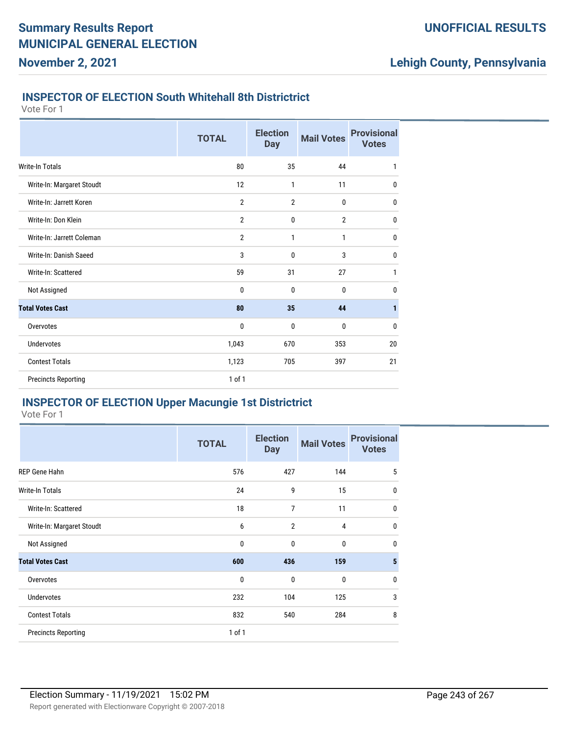### **INSPECTOR OF ELECTION South Whitehall 8th Districtrict**

Vote For 1

**November 2, 2021**

|                            | <b>TOTAL</b>   | <b>Election</b><br><b>Day</b> | <b>Mail Votes</b> | <b>Provisional</b><br><b>Votes</b> |
|----------------------------|----------------|-------------------------------|-------------------|------------------------------------|
| <b>Write-In Totals</b>     | 80             | 35                            | 44                | 1                                  |
| Write-In: Margaret Stoudt  | 12             | 1                             | 11                | 0                                  |
| Write-In: Jarrett Koren    | $\overline{2}$ | $\overline{2}$                | 0                 | $\mathbf 0$                        |
| Write-In: Don Klein        | $\overline{2}$ | 0                             | $\overline{2}$    | $\mathbf 0$                        |
| Write-In: Jarrett Coleman  | $\overline{2}$ | 1                             | 1                 | $\mathbf 0$                        |
| Write-In: Danish Saeed     | 3              | $\mathbf{0}$                  | 3                 | $\mathbf 0$                        |
| Write-In: Scattered        | 59             | 31                            | 27                | 1                                  |
| Not Assigned               | 0              | $\mathbf{0}$                  | 0                 | $\mathbf 0$                        |
| <b>Total Votes Cast</b>    | 80             | 35                            | 44                | $\mathbf{1}$                       |
| Overvotes                  | 0              | $\mathbf{0}$                  | 0                 | $\mathbf{0}$                       |
| Undervotes                 | 1,043          | 670                           | 353               | 20                                 |
| <b>Contest Totals</b>      | 1,123          | 705                           | 397               | 21                                 |
| <b>Precincts Reporting</b> | 1 of 1         |                               |                   |                                    |

### **INSPECTOR OF ELECTION Upper Macungie 1st Districtrict**

|                            | <b>TOTAL</b> | <b>Election</b><br><b>Day</b> | <b>Mail Votes</b> | <b>Provisional</b><br><b>Votes</b> |
|----------------------------|--------------|-------------------------------|-------------------|------------------------------------|
| <b>REP Gene Hahn</b>       | 576          | 427                           | 144               | 5                                  |
| <b>Write-In Totals</b>     | 24           | 9                             | 15                | $\mathbf{0}$                       |
| Write-In: Scattered        | 18           | 7                             | 11                | $\mathbf 0$                        |
| Write-In: Margaret Stoudt  | 6            | 2                             | $\overline{4}$    | $\mathbf{0}$                       |
| Not Assigned               | 0            | 0                             | 0                 | $\mathbf{0}$                       |
| <b>Total Votes Cast</b>    | 600          | 436                           | 159               | 5                                  |
| Overvotes                  | 0            | $\mathbf{0}$                  | 0                 | $\mathbf{0}$                       |
| <b>Undervotes</b>          | 232          | 104                           | 125               | 3                                  |
| <b>Contest Totals</b>      | 832          | 540                           | 284               | 8                                  |
| <b>Precincts Reporting</b> | 1 of 1       |                               |                   |                                    |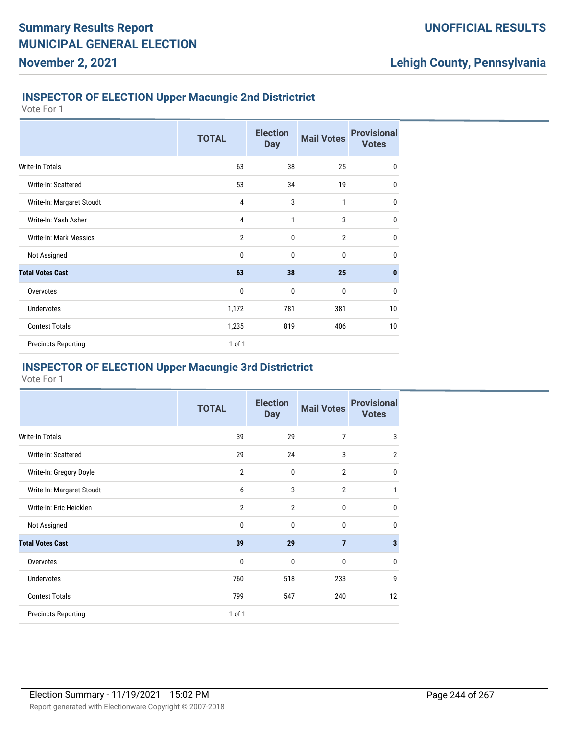# **INSPECTOR OF ELECTION Upper Macungie 2nd Districtrict**

Vote For 1

**November 2, 2021**

|                            | <b>TOTAL</b>   | <b>Election</b><br><b>Day</b> | <b>Mail Votes</b> | <b>Provisional</b><br><b>Votes</b> |
|----------------------------|----------------|-------------------------------|-------------------|------------------------------------|
| Write-In Totals            | 63             | 38                            | 25                | $\mathbf 0$                        |
| Write-In: Scattered        | 53             | 34                            | 19                | $\mathbf{0}$                       |
| Write-In: Margaret Stoudt  | $\overline{4}$ | 3                             | 1                 | $\mathbf{0}$                       |
| Write-In: Yash Asher       | $\overline{4}$ | 1                             | 3                 | $\mathbf 0$                        |
| Write-In: Mark Messics     | $\overline{2}$ | 0                             | $\overline{2}$    | $\mathbf{0}$                       |
| Not Assigned               | $\mathbf{0}$   | $\mathbf{0}$                  | $\mathbf{0}$      | $\mathbf{0}$                       |
| <b>Total Votes Cast</b>    | 63             | 38                            | 25                | $\mathbf{0}$                       |
| Overvotes                  | $\mathbf{0}$   | $\mathbf{0}$                  | 0                 | $\mathbf 0$                        |
| <b>Undervotes</b>          | 1,172          | 781                           | 381               | 10                                 |
| <b>Contest Totals</b>      | 1,235          | 819                           | 406               | 10                                 |
| <b>Precincts Reporting</b> | $1$ of $1$     |                               |                   |                                    |

# **INSPECTOR OF ELECTION Upper Macungie 3rd Districtrict**

|                            | <b>TOTAL</b>   | <b>Election</b><br><b>Day</b> | <b>Mail Votes</b> | <b>Provisional</b><br><b>Votes</b> |
|----------------------------|----------------|-------------------------------|-------------------|------------------------------------|
| Write-In Totals            | 39             | 29                            | 7                 | 3                                  |
| Write-In: Scattered        | 29             | 24                            | 3                 | $\overline{2}$                     |
| Write-In: Gregory Doyle    | 2              | 0                             | $\mathbf{2}$      | 0                                  |
| Write-In: Margaret Stoudt  | 6              | 3                             | $\overline{2}$    | $\mathbf{1}$                       |
| Write-In: Eric Heicklen    | $\overline{2}$ | $\overline{2}$                | 0                 | 0                                  |
| Not Assigned               | 0              | 0                             | 0                 | 0                                  |
| <b>Total Votes Cast</b>    | 39             | 29                            | $\overline{7}$    | 3                                  |
| Overvotes                  | 0              | 0                             | 0                 | 0                                  |
| <b>Undervotes</b>          | 760            | 518                           | 233               | 9                                  |
| <b>Contest Totals</b>      | 799            | 547                           | 240               | 12                                 |
| <b>Precincts Reporting</b> | 1 of 1         |                               |                   |                                    |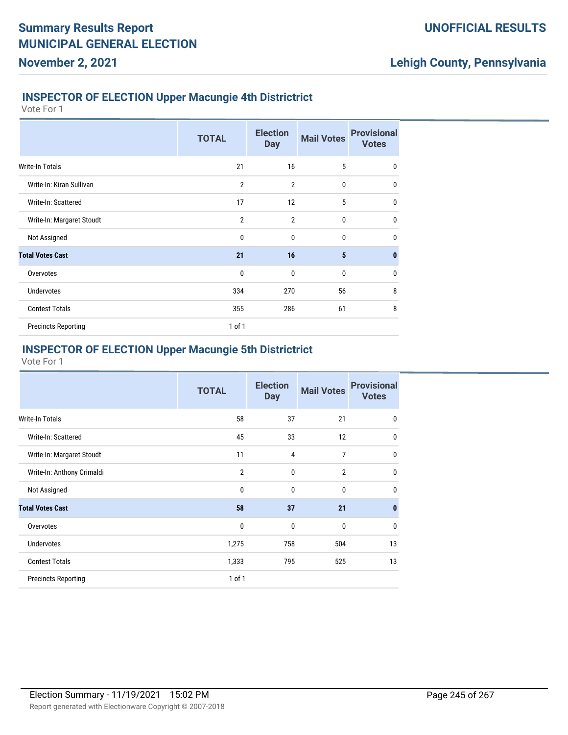# **INSPECTOR OF ELECTION Upper Macungie 4th Districtrict**

Vote For 1

**November 2, 2021**

|                            | <b>TOTAL</b>   | <b>Election</b><br><b>Day</b> | <b>Mail Votes</b> | <b>Provisional</b><br><b>Votes</b> |
|----------------------------|----------------|-------------------------------|-------------------|------------------------------------|
| <b>Write-In Totals</b>     | 21             | 16                            | 5                 | $\mathbf{0}$                       |
| Write-In: Kiran Sullivan   | $\overline{2}$ | $\overline{2}$                | $\mathbf{0}$      | $\mathbf{0}$                       |
| Write-In: Scattered        | 17             | 12                            | 5                 | $\mathbf{0}$                       |
| Write-In: Margaret Stoudt  | $\overline{2}$ | $\overline{2}$                | $\mathbf{0}$      | $\mathbf{0}$                       |
| Not Assigned               | $\mathbf{0}$   | $\mathbf{0}$                  | $\mathbf{0}$      | $\mathbf{0}$                       |
| <b>Total Votes Cast</b>    | 21             | 16                            | 5                 | $\mathbf{0}$                       |
| Overvotes                  | $\mathbf 0$    | $\mathbf{0}$                  | 0                 | $\mathbf 0$                        |
| <b>Undervotes</b>          | 334            | 270                           | 56                | 8                                  |
| <b>Contest Totals</b>      | 355            | 286                           | 61                | 8                                  |
| <b>Precincts Reporting</b> | $1$ of $1$     |                               |                   |                                    |

## **INSPECTOR OF ELECTION Upper Macungie 5th Districtrict**

|                            | <b>TOTAL</b>   | <b>Election</b><br><b>Day</b> | <b>Mail Votes</b> | <b>Provisional</b><br><b>Votes</b> |
|----------------------------|----------------|-------------------------------|-------------------|------------------------------------|
| <b>Write-In Totals</b>     | 58             | 37                            | 21                | 0                                  |
| Write-In: Scattered        | 45             | 33                            | 12                | 0                                  |
| Write-In: Margaret Stoudt  | 11             | $\overline{4}$                | 7                 | 0                                  |
| Write-In: Anthony Crimaldi | $\overline{2}$ | 0                             | $\overline{2}$    | 0                                  |
| Not Assigned               | 0              | $\mathbf{0}$                  | 0                 | 0                                  |
| <b>Total Votes Cast</b>    | 58             | 37                            | 21                | $\bf{0}$                           |
| Overvotes                  | 0              | 0                             | 0                 | 0                                  |
| <b>Undervotes</b>          | 1,275          | 758                           | 504               | 13                                 |
| <b>Contest Totals</b>      | 1,333          | 795                           | 525               | 13                                 |
| <b>Precincts Reporting</b> | 1 of 1         |                               |                   |                                    |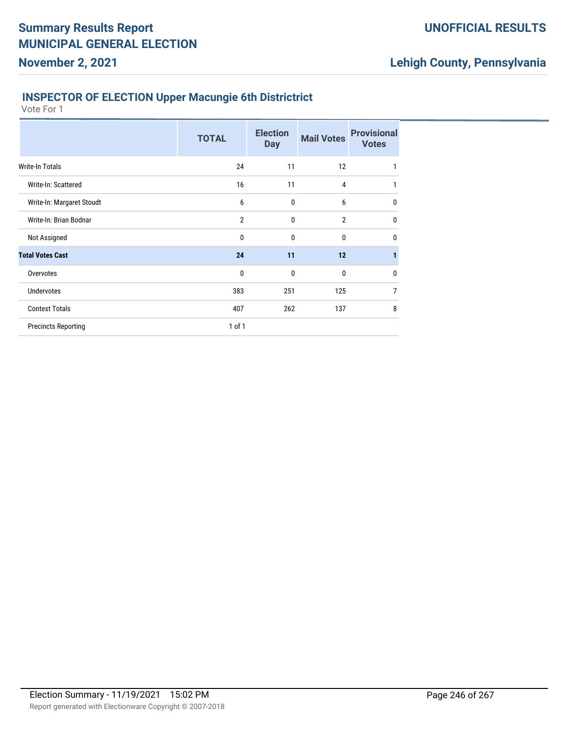# **Lehigh County, Pennsylvania**

## **INSPECTOR OF ELECTION Upper Macungie 6th Districtrict**

|                            | <b>TOTAL</b>   | <b>Election</b><br><b>Day</b> | <b>Mail Votes</b> | <b>Provisional</b><br><b>Votes</b> |
|----------------------------|----------------|-------------------------------|-------------------|------------------------------------|
| Write-In Totals            | 24             | 11                            | 12                | 1                                  |
| Write-In: Scattered        | 16             | 11                            | 4                 | 1                                  |
| Write-In: Margaret Stoudt  | 6              | 0                             | 6                 | 0                                  |
| Write-In: Brian Bodnar     | $\overline{2}$ | 0                             | $\overline{2}$    | 0                                  |
| Not Assigned               | 0              | 0                             | 0                 | 0                                  |
| <b>Total Votes Cast</b>    | 24             | 11                            | 12                |                                    |
| Overvotes                  | 0              | 0                             | 0                 | 0                                  |
| <b>Undervotes</b>          | 383            | 251                           | 125               | $\overline{7}$                     |
| <b>Contest Totals</b>      | 407            | 262                           | 137               | 8                                  |
| <b>Precincts Reporting</b> | $1$ of $1$     |                               |                   |                                    |
|                            |                |                               |                   |                                    |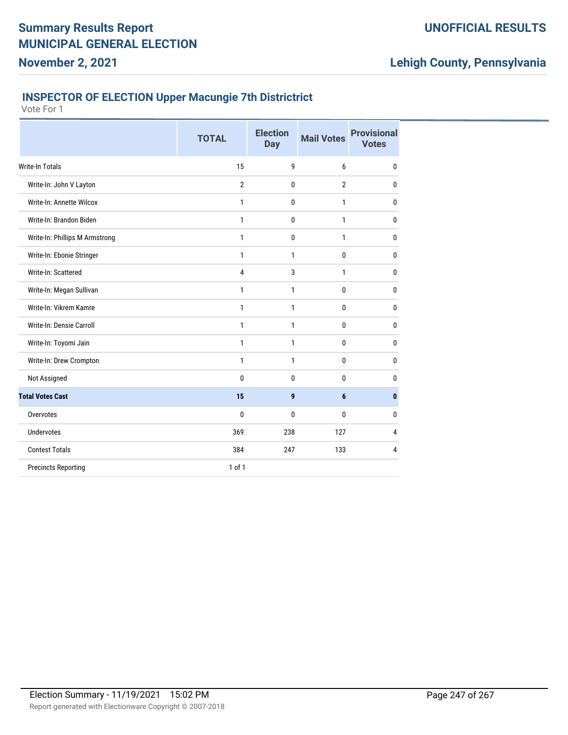### **INSPECTOR OF ELECTION Upper Macungie 7th Districtrict**

Vote For 1

|                                | <b>TOTAL</b>   | <b>Election</b><br><b>Day</b> | <b>Mail Votes</b> | <b>Provisional</b><br><b>Votes</b> |
|--------------------------------|----------------|-------------------------------|-------------------|------------------------------------|
| <b>Write-In Totals</b>         | 15             | 9                             | 6                 | 0                                  |
| Write-In: John V Layton        | $\overline{2}$ | $\mathbf 0$                   | $\overline{2}$    | 0                                  |
| Write-In: Annette Wilcox       | 1              | 0                             | 1                 | 0                                  |
| Write-In: Brandon Biden        | 1              | $\mathbf 0$                   | 1                 | $\mathbf{0}$                       |
| Write-In: Phillips M Armstrong | 1              | 0                             | 1                 | $\mathbf{0}$                       |
| Write-In: Ebonie Stringer      | 1              | 1                             | 0                 | $\mathbf 0$                        |
| Write-In: Scattered            | 4              | 3                             | 1                 | $\mathbf{0}$                       |
| Write-In: Megan Sullivan       | 1              | 1                             | $\bf{0}$          | 0                                  |
| Write-In: Vikrem Kamre         | $\mathbf{1}$   | 1                             | 0                 | $\mathbf{0}$                       |
| Write-In: Densie Carroll       | 1              | 1                             | $\mathbf{0}$      | 0                                  |
| Write-In: Toyomi Jain          | 1              | $\mathbf{1}$                  | $\mathbf{0}$      | $\mathbf{0}$                       |
| Write-In: Drew Crompton        | 1              | 1                             | 0                 | $\mathbf 0$                        |
| Not Assigned                   | 0              | 0                             | 0                 | 0                                  |
| <b>Total Votes Cast</b>        | 15             | 9                             | $6\phantom{1}$    | $\mathbf{0}$                       |
| Overvotes                      | 0              | $\mathbf{0}$                  | $\mathbf{0}$      | $\bf{0}$                           |
| <b>Undervotes</b>              | 369            | 238                           | 127               | 4                                  |
| <b>Contest Totals</b>          | 384            | 247                           | 133               | 4                                  |
| <b>Precincts Reporting</b>     | 1 of 1         |                               |                   |                                    |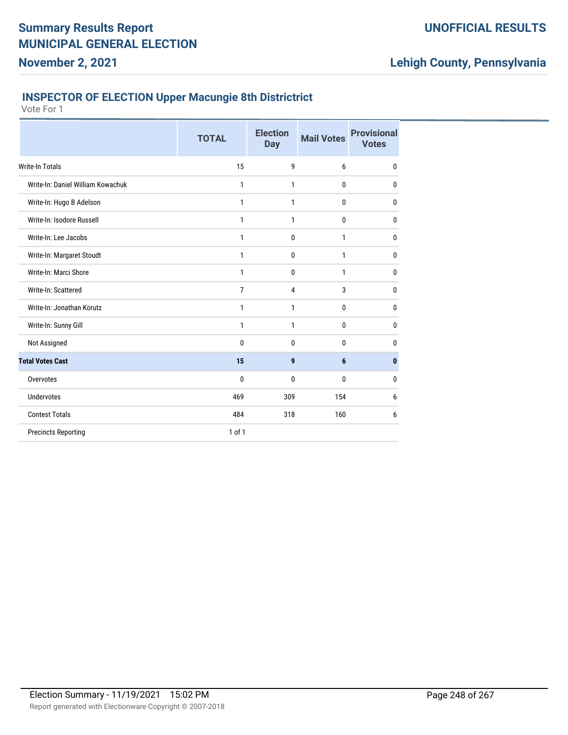### **INSPECTOR OF ELECTION Upper Macungie 8th Districtrict**

Vote For 1

|                                   | <b>TOTAL</b>   | <b>Election</b><br><b>Day</b> | <b>Mail Votes</b> | <b>Provisional</b><br><b>Votes</b> |
|-----------------------------------|----------------|-------------------------------|-------------------|------------------------------------|
| Write-In Totals                   | 15             | 9                             | 6                 | $\mathbf{0}$                       |
| Write-In: Daniel William Kowachuk | 1              | 1                             | 0                 | $\mathbf{0}$                       |
| Write-In: Hugo B Adelson          | 1              | 1                             | 0                 | 0                                  |
| Write-In: Isodore Russell         | 1              | 1                             | 0                 | 0                                  |
| Write-In: Lee Jacobs              | 1              | $\mathbf 0$                   | 1                 | 0                                  |
| Write-In: Margaret Stoudt         | 1              | 0                             | 1                 | 0                                  |
| Write-In: Marci Shore             | 1              | 0                             | 1                 | 0                                  |
| Write-In: Scattered               | $\overline{7}$ | $\overline{4}$                | 3                 | 0                                  |
| Write-In: Jonathan Korutz         | 1              | 1                             | 0                 | $\mathbf 0$                        |
| Write-In: Sunny Gill              | 1              | 1                             | 0                 | $\bf{0}$                           |
| Not Assigned                      | 0              | $\mathbf 0$                   | 0                 | 0                                  |
| <b>Total Votes Cast</b>           | 15             | 9                             | 6                 | $\bf{0}$                           |
| Overvotes                         | 0              | 0                             | 0                 | $\bf{0}$                           |
| <b>Undervotes</b>                 | 469            | 309                           | 154               | 6                                  |
| <b>Contest Totals</b>             | 484            | 318                           | 160               | 6                                  |
| <b>Precincts Reporting</b>        | $1$ of $1$     |                               |                   |                                    |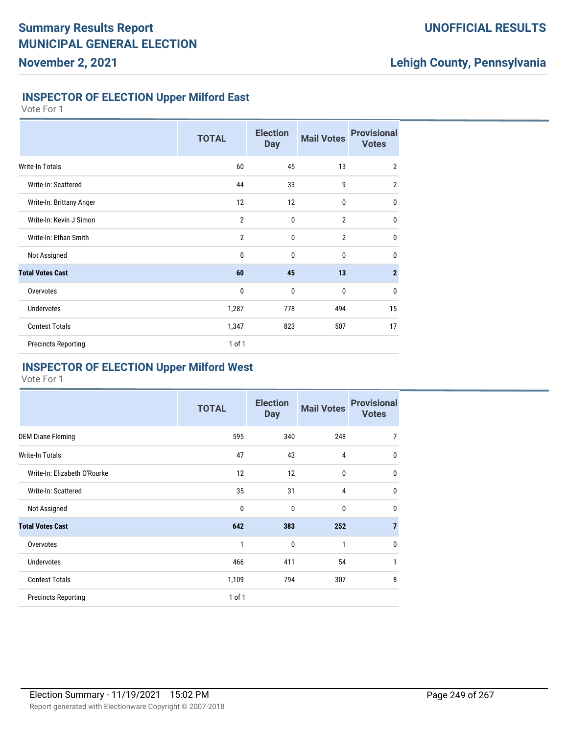## **UNOFFICIAL RESULTS**

# **Lehigh County, Pennsylvania**

### **INSPECTOR OF ELECTION Upper Milford East**

Vote For 1

|                            | <b>TOTAL</b>   | <b>Election</b><br><b>Day</b> | <b>Mail Votes</b> | <b>Provisional</b><br><b>Votes</b> |
|----------------------------|----------------|-------------------------------|-------------------|------------------------------------|
| <b>Write-In Totals</b>     | 60             | 45                            | 13                | $\overline{2}$                     |
| Write-In: Scattered        | 44             | 33                            | 9                 | $\overline{2}$                     |
| Write-In: Brittany Anger   | 12             | 12                            | $\mathbf 0$       | $\mathbf{0}$                       |
| Write-In: Kevin J Simon    | $\overline{2}$ | $\mathbf 0$                   | $\overline{2}$    | $\mathbf 0$                        |
| Write-In: Ethan Smith      | $\overline{2}$ | 0                             | $\overline{2}$    | $\mathbf 0$                        |
| Not Assigned               | $\mathbf 0$    | $\mathbf 0$                   | $\bf{0}$          | $\mathbf 0$                        |
| <b>Total Votes Cast</b>    | 60             | 45                            | 13                | $\overline{2}$                     |
| Overvotes                  | $\mathbf 0$    | 0                             | $\bf{0}$          | $\mathbf 0$                        |
| <b>Undervotes</b>          | 1,287          | 778                           | 494               | 15                                 |
| <b>Contest Totals</b>      | 1,347          | 823                           | 507               | 17                                 |
| <b>Precincts Reporting</b> | 1 of 1         |                               |                   |                                    |

#### **INSPECTOR OF ELECTION Upper Milford West**

|                              | <b>TOTAL</b> | <b>Election</b><br><b>Day</b> | <b>Mail Votes</b> | <b>Provisional</b><br><b>Votes</b> |
|------------------------------|--------------|-------------------------------|-------------------|------------------------------------|
| <b>DEM Diane Fleming</b>     | 595          | 340                           | 248               | $\overline{7}$                     |
| Write-In Totals              | 47           | 43                            | 4                 | $\mathbf 0$                        |
| Write-In: Elizabeth O'Rourke | 12           | 12                            | 0                 | $\mathbf 0$                        |
| Write-In: Scattered          | 35           | 31                            | $\overline{4}$    | $\mathbf{0}$                       |
| Not Assigned                 | 0            | $\mathbf{0}$                  | $\mathbf{0}$      | $\mathbf{0}$                       |
| <b>Total Votes Cast</b>      | 642          | 383                           | 252               | $\overline{7}$                     |
| Overvotes                    | 1            | $\mathbf 0$                   | 1                 | $\mathbf{0}$                       |
| <b>Undervotes</b>            | 466          | 411                           | 54                | 1                                  |
| <b>Contest Totals</b>        | 1,109        | 794                           | 307               | 8                                  |
| <b>Precincts Reporting</b>   | 1 of 1       |                               |                   |                                    |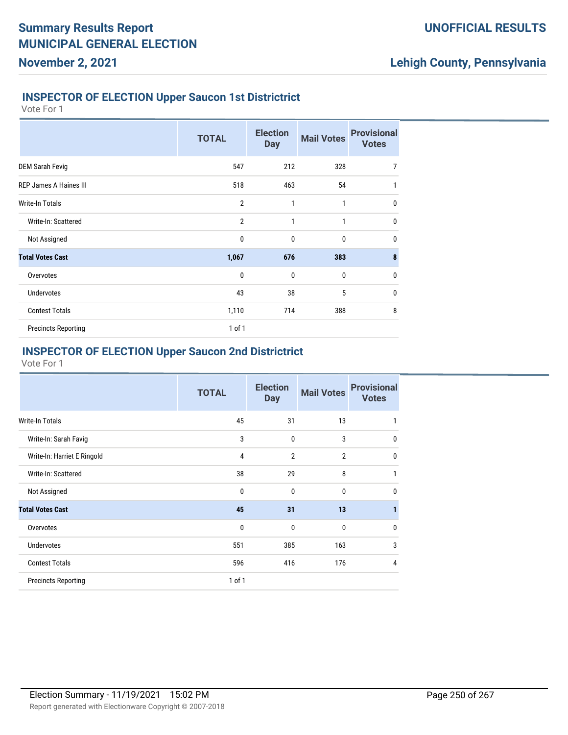#### **INSPECTOR OF ELECTION Upper Saucon 1st Districtrict**

Vote For 1

**November 2, 2021**

|                               | <b>TOTAL</b>   | <b>Election</b><br><b>Day</b> | <b>Mail Votes</b> | <b>Provisional</b><br><b>Votes</b> |
|-------------------------------|----------------|-------------------------------|-------------------|------------------------------------|
| <b>DEM Sarah Fevig</b>        | 547            | 212                           | 328               | $\overline{7}$                     |
| <b>REP James A Haines III</b> | 518            | 463                           | 54                | 1                                  |
| <b>Write-In Totals</b>        | $\overline{2}$ | $\mathbf{1}$                  | $\mathbf{1}$      | $\mathbf 0$                        |
| Write-In: Scattered           | $\overline{2}$ | $\mathbf{1}$                  | 1                 | $\mathbf{0}$                       |
| Not Assigned                  | $\mathbf 0$    | $\mathbf 0$                   | 0                 | $\mathbf 0$                        |
| <b>Total Votes Cast</b>       | 1,067          | 676                           | 383               | 8                                  |
| Overvotes                     | 0              | $\mathbf 0$                   | 0                 | $\mathbf 0$                        |
| <b>Undervotes</b>             | 43             | 38                            | 5                 | $\mathbf{0}$                       |
| <b>Contest Totals</b>         | 1,110          | 714                           | 388               | 8                                  |
| <b>Precincts Reporting</b>    | 1 of 1         |                               |                   |                                    |

### **INSPECTOR OF ELECTION Upper Saucon 2nd Districtrict**

|                             | <b>TOTAL</b> | <b>Election</b><br><b>Day</b> | <b>Mail Votes</b> | <b>Provisional</b><br><b>Votes</b> |
|-----------------------------|--------------|-------------------------------|-------------------|------------------------------------|
| Write-In Totals             | 45           | 31                            | 13                | 1                                  |
| Write-In: Sarah Favig       | 3            | $\mathbf{0}$                  | 3                 | $\mathbf{0}$                       |
| Write-In: Harriet E Ringold | 4            | $\overline{2}$                | $\overline{2}$    | $\mathbf{0}$                       |
| Write-In: Scattered         | 38           | 29                            | 8                 | 1                                  |
| Not Assigned                | $\mathbf{0}$ | 0                             | 0                 | $\mathbf{0}$                       |
| <b>Total Votes Cast</b>     | 45           | 31                            | 13                | $\mathbf{1}$                       |
| Overvotes                   | 0            | $\mathbf 0$                   | $\mathbf 0$       | $\mathbf{0}$                       |
| <b>Undervotes</b>           | 551          | 385                           | 163               | 3                                  |
| <b>Contest Totals</b>       | 596          | 416                           | 176               | $\overline{4}$                     |
| <b>Precincts Reporting</b>  | $1$ of $1$   |                               |                   |                                    |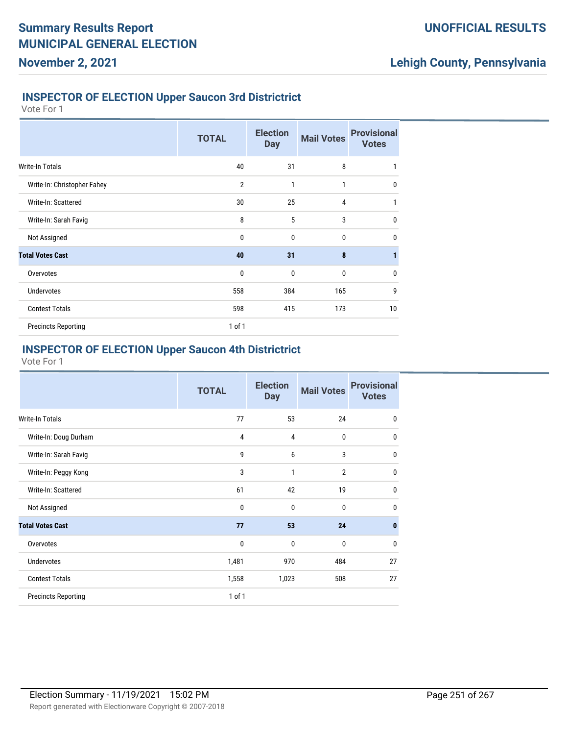#### **INSPECTOR OF ELECTION Upper Saucon 3rd Districtrict**

Vote For 1

**November 2, 2021**

|                             | <b>TOTAL</b>   | <b>Election</b><br><b>Day</b> | <b>Mail Votes</b> | <b>Provisional</b><br><b>Votes</b> |
|-----------------------------|----------------|-------------------------------|-------------------|------------------------------------|
| Write-In Totals             | 40             | 31                            | 8                 | 1                                  |
| Write-In: Christopher Fahey | $\overline{2}$ | 1                             | 1                 | $\mathbf{0}$                       |
| Write-In: Scattered         | 30             | 25                            | 4                 | 1                                  |
| Write-In: Sarah Favig       | 8              | 5                             | 3                 | $\mathbf{0}$                       |
| Not Assigned                | 0              | $\mathbf{0}$                  | $\mathbf{0}$      | $\mathbf{0}$                       |
| <b>Total Votes Cast</b>     | 40             | 31                            | 8                 | $\mathbf{1}$                       |
| Overvotes                   | $\mathbf 0$    | $\mathbf 0$                   | $\mathbf 0$       | $\mathbf 0$                        |
| <b>Undervotes</b>           | 558            | 384                           | 165               | 9                                  |
| <b>Contest Totals</b>       | 598            | 415                           | 173               | 10                                 |
| <b>Precincts Reporting</b>  | $1$ of $1$     |                               |                   |                                    |

## **INSPECTOR OF ELECTION Upper Saucon 4th Districtrict**

|                            | <b>TOTAL</b> | <b>Election</b><br><b>Day</b> | <b>Mail Votes</b> | <b>Provisional</b><br><b>Votes</b> |
|----------------------------|--------------|-------------------------------|-------------------|------------------------------------|
| <b>Write-In Totals</b>     | 77           | 53                            | 24                | 0                                  |
| Write-In: Doug Durham      | 4            | $\overline{4}$                | 0                 | 0                                  |
| Write-In: Sarah Favig      | 9            | 6                             | 3                 | 0                                  |
| Write-In: Peggy Kong       | 3            | 1                             | $\overline{2}$    | 0                                  |
| Write-In: Scattered        | 61           | 42                            | 19                | 0                                  |
| Not Assigned               | $\bf{0}$     | $\mathbf{0}$                  | 0                 | 0                                  |
| <b>Total Votes Cast</b>    | 77           | 53                            | 24                | $\bf{0}$                           |
| Overvotes                  | 0            | 0                             | 0                 | $\mathbf{0}$                       |
| <b>Undervotes</b>          | 1,481        | 970                           | 484               | 27                                 |
| <b>Contest Totals</b>      | 1,558        | 1,023                         | 508               | 27                                 |
| <b>Precincts Reporting</b> | 1 of 1       |                               |                   |                                    |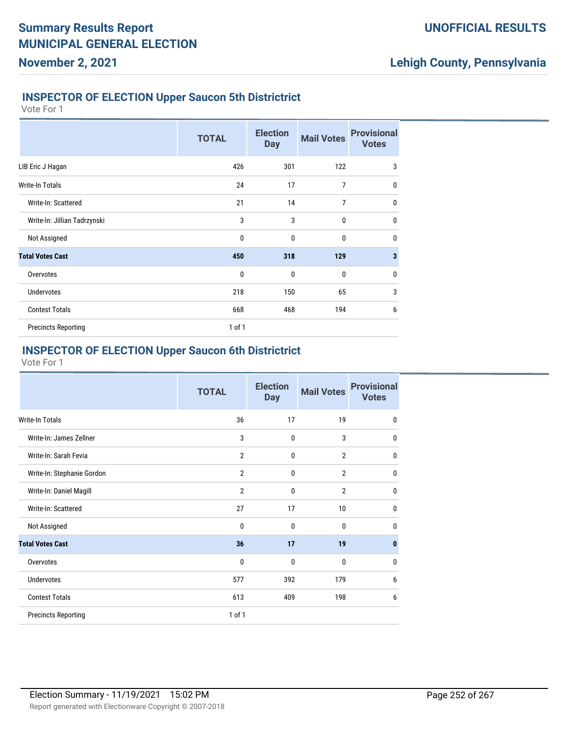#### **INSPECTOR OF ELECTION Upper Saucon 5th Districtrict**

Vote For 1

**November 2, 2021**

|                              | <b>TOTAL</b> | <b>Election</b><br><b>Day</b> | <b>Mail Votes</b> | <b>Provisional</b><br><b>Votes</b> |
|------------------------------|--------------|-------------------------------|-------------------|------------------------------------|
| LIB Eric J Hagan             | 426          | 301                           | 122               | 3                                  |
| Write-In Totals              | 24           | 17                            | 7                 | $\mathbf{0}$                       |
| Write-In: Scattered          | 21           | 14                            | $\overline{7}$    | $\mathbf 0$                        |
| Write-In: Jillian Tadrzynski | 3            | 3                             | $\mathbf{0}$      | $\mathbf{0}$                       |
| Not Assigned                 | $\mathbf 0$  | $\mathbf 0$                   | $\mathbf 0$       | $\mathbf 0$                        |
| <b>Total Votes Cast</b>      | 450          | 318                           | 129               | $\overline{\mathbf{3}}$            |
| Overvotes                    | $\mathbf 0$  | $\mathbf 0$                   | $\mathbf 0$       | $\mathbf 0$                        |
| <b>Undervotes</b>            | 218          | 150                           | 65                | 3                                  |
| <b>Contest Totals</b>        | 668          | 468                           | 194               | 6                                  |
| <b>Precincts Reporting</b>   | $1$ of $1$   |                               |                   |                                    |

## **INSPECTOR OF ELECTION Upper Saucon 6th Districtrict**

|                            | <b>TOTAL</b>   | <b>Election</b><br><b>Day</b> | <b>Mail Votes</b> | <b>Provisional</b><br><b>Votes</b> |
|----------------------------|----------------|-------------------------------|-------------------|------------------------------------|
| Write-In Totals            | 36             | 17                            | 19                | $\mathbf 0$                        |
| Write-In: James Zellner    | 3              | $\mathbf{0}$                  | 3                 | $\mathbf 0$                        |
| Write-In: Sarah Fevia      | $\overline{2}$ | 0                             | $\overline{2}$    | $\mathbf 0$                        |
| Write-In: Stephanie Gordon | $\overline{2}$ | $\mathbf{0}$                  | $\overline{2}$    | $\mathbf{0}$                       |
| Write-In: Daniel Magill    | $\overline{2}$ | $\mathbf{0}$                  | $\overline{2}$    | $\mathbf 0$                        |
| Write-In: Scattered        | 27             | 17                            | 10                | $\mathbf 0$                        |
| Not Assigned               | 0              | $\mathbf{0}$                  | $\mathbf{0}$      | $\mathbf{0}$                       |
| <b>Total Votes Cast</b>    | 36             | 17                            | 19                | $\mathbf{0}$                       |
| Overvotes                  | $\mathbf 0$    | 0                             | 0                 | $\mathbf 0$                        |
| Undervotes                 | 577            | 392                           | 179               | 6                                  |
| <b>Contest Totals</b>      | 613            | 409                           | 198               | 6                                  |
| <b>Precincts Reporting</b> | $1$ of $1$     |                               |                   |                                    |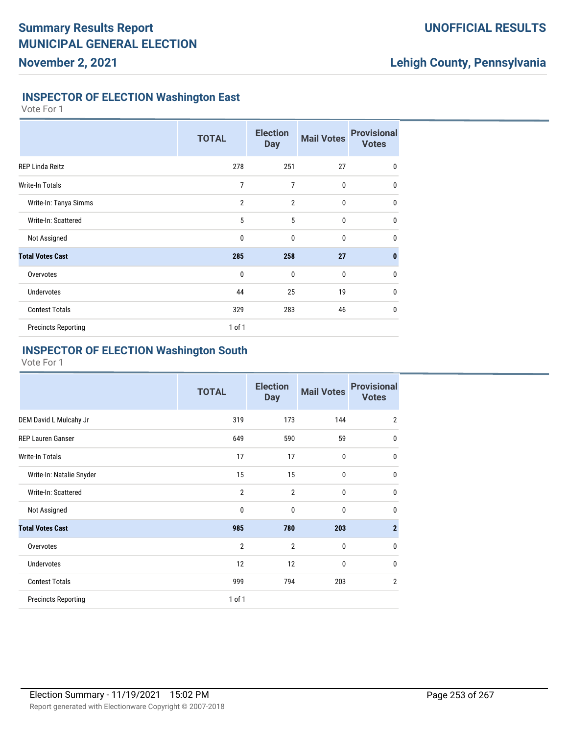### **UNOFFICIAL RESULTS**

## **Lehigh County, Pennsylvania**

#### **INSPECTOR OF ELECTION Washington East**

Vote For 1

|                            | <b>TOTAL</b>   | <b>Election</b><br><b>Day</b> | <b>Mail Votes</b> | <b>Provisional</b><br><b>Votes</b> |
|----------------------------|----------------|-------------------------------|-------------------|------------------------------------|
| <b>REP Linda Reitz</b>     | 278            | 251                           | 27                | $\mathbf{0}$                       |
| Write-In Totals            | 7              | $\overline{7}$                | $\mathbf 0$       | $\mathbf{0}$                       |
| Write-In: Tanya Simms      | $\overline{2}$ | $\overline{2}$                | $\mathbf{0}$      | $\mathbf{0}$                       |
| Write-In: Scattered        | 5              | 5                             | $\mathbf{0}$      | $\mathbf{0}$                       |
| Not Assigned               | 0              | $\mathbf 0$                   | $\mathbf{0}$      | $\mathbf{0}$                       |
| <b>Total Votes Cast</b>    | 285            | 258                           | 27                | $\bf{0}$                           |
| Overvotes                  | $\mathbf{0}$   | $\mathbf{0}$                  | $\mathbf{0}$      | $\mathbf{0}$                       |
| <b>Undervotes</b>          | 44             | 25                            | 19                | $\mathbf 0$                        |
| <b>Contest Totals</b>      | 329            | 283                           | 46                | $\mathbf{0}$                       |
| <b>Precincts Reporting</b> | $1$ of $1$     |                               |                   |                                    |

### **INSPECTOR OF ELECTION Washington South**

|                            | <b>TOTAL</b>   | <b>Election</b><br><b>Day</b> | <b>Mail Votes</b> | <b>Provisional</b><br><b>Votes</b> |
|----------------------------|----------------|-------------------------------|-------------------|------------------------------------|
| DEM David L Mulcahy Jr     | 319            | 173                           | 144               | $\overline{2}$                     |
| <b>REP Lauren Ganser</b>   | 649            | 590                           | 59                | $\mathbf{0}$                       |
| <b>Write-In Totals</b>     | 17             | 17                            | 0                 | 0                                  |
| Write-In: Natalie Snyder   | 15             | 15                            | 0                 | $\mathbf{0}$                       |
| Write-In: Scattered        | $\overline{2}$ | $\overline{2}$                | $\mathbf{0}$      | 0                                  |
| Not Assigned               | $\mathbf{0}$   | $\mathbf{0}$                  | $\mathbf{0}$      | $\mathbf{0}$                       |
| <b>Total Votes Cast</b>    | 985            | 780                           | 203               | $\overline{2}$                     |
| Overvotes                  | $\overline{2}$ | $\overline{2}$                | 0                 | $\mathbf{0}$                       |
| <b>Undervotes</b>          | 12             | 12                            | 0                 | $\mathbf{0}$                       |
| <b>Contest Totals</b>      | 999            | 794                           | 203               | $\overline{2}$                     |
| <b>Precincts Reporting</b> | 1 of 1         |                               |                   |                                    |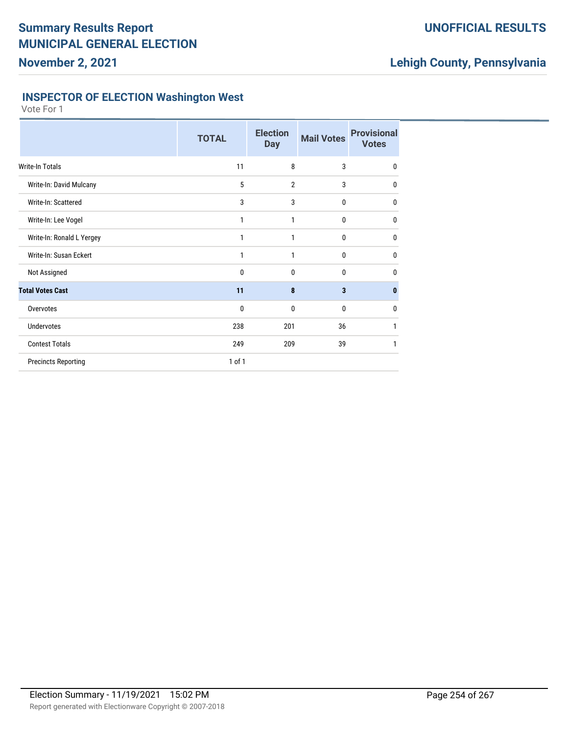### **UNOFFICIAL RESULTS**

## **Lehigh County, Pennsylvania**

#### **INSPECTOR OF ELECTION Washington West**

|                            | <b>TOTAL</b> | <b>Election</b><br><b>Day</b> | <b>Mail Votes</b> | <b>Provisional</b><br><b>Votes</b> |
|----------------------------|--------------|-------------------------------|-------------------|------------------------------------|
| Write-In Totals            | 11           | 8                             | 3                 | 0                                  |
| Write-In: David Mulcany    | 5            | 2                             | 3                 | 0                                  |
| Write-In: Scattered        | 3            | 3                             | 0                 | 0                                  |
| Write-In: Lee Vogel        | 1            | 1                             | 0                 | 0                                  |
| Write-In: Ronald L Yergey  | 1            | 1                             | 0                 | 0                                  |
| Write-In: Susan Eckert     | 1            | 1                             | 0                 | 0                                  |
| Not Assigned               | 0            | 0                             | 0                 | 0                                  |
| <b>Total Votes Cast</b>    | 11           | 8                             | 3                 | 0                                  |
| Overvotes                  | 0            | 0                             | 0                 | 0                                  |
| <b>Undervotes</b>          | 238          | 201                           | 36                | 1                                  |
| <b>Contest Totals</b>      | 249          | 209                           | 39                | 1                                  |
| <b>Precincts Reporting</b> | 1 of 1       |                               |                   |                                    |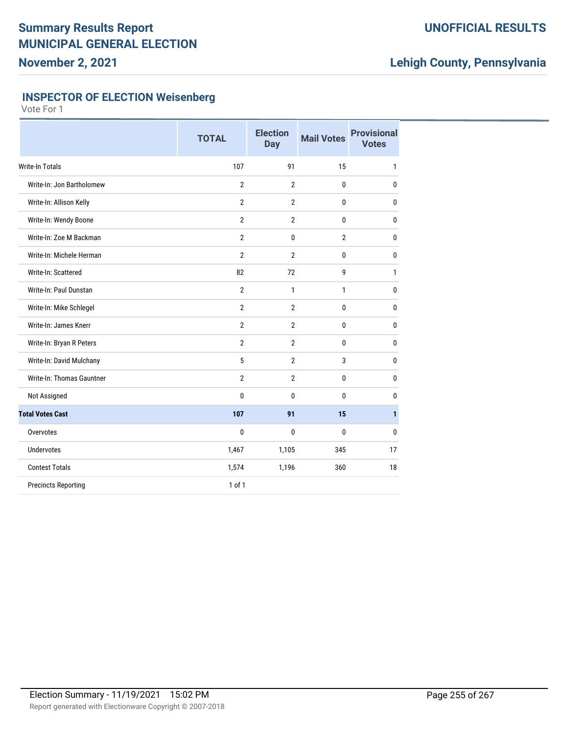### **UNOFFICIAL RESULTS**

## **Lehigh County, Pennsylvania**

### **INSPECTOR OF ELECTION Weisenberg**

|                            | <b>TOTAL</b>   | <b>Election</b><br>Day | <b>Mail Votes</b> | <b>Provisional</b><br><b>Votes</b> |
|----------------------------|----------------|------------------------|-------------------|------------------------------------|
| Write-In Totals            | 107            | 91                     | 15                | 1                                  |
| Write-In: Jon Bartholomew  | $\overline{2}$ | $\overline{2}$         | $\mathbf 0$       | $\bf{0}$                           |
| Write-In: Allison Kelly    | $\overline{2}$ | $\overline{2}$         | 0                 | $\mathbf 0$                        |
| Write-In: Wendy Boone      | $\overline{2}$ | $\overline{2}$         | 0                 | 0                                  |
| Write-In: Zoe M Backman    | $\overline{2}$ | 0                      | $\overline{2}$    | 0                                  |
| Write-In: Michele Herman   | $\overline{2}$ | $\overline{2}$         | $\mathbf{0}$      | $\mathbf{0}$                       |
| Write-In: Scattered        | 82             | 72                     | 9                 | 1                                  |
| Write-In: Paul Dunstan     | $\overline{2}$ | $\mathbf{1}$           | $\mathbf{1}$      | $\mathbf 0$                        |
| Write-In: Mike Schlegel    | $\overline{2}$ | $\overline{2}$         | 0                 | $\mathbf 0$                        |
| Write-In: James Knerr      | $\overline{2}$ | $\overline{2}$         | 0                 | $\mathbf 0$                        |
| Write-In: Bryan R Peters   | $\overline{2}$ | $\overline{2}$         | 0                 | $\mathbf 0$                        |
| Write-In: David Mulchany   | 5              | $\overline{2}$         | 3                 | 0                                  |
| Write-In: Thomas Gauntner  | $\overline{2}$ | $\overline{2}$         | 0                 | $\mathbf 0$                        |
| Not Assigned               | 0              | 0                      | 0                 | 0                                  |
| <b>Total Votes Cast</b>    | 107            | 91                     | 15                | 1                                  |
| Overvotes                  | 0              | 0                      | 0                 | 0                                  |
| <b>Undervotes</b>          | 1,467          | 1,105                  | 345               | 17                                 |
| <b>Contest Totals</b>      | 1,574          | 1,196                  | 360               | 18                                 |
| <b>Precincts Reporting</b> | $1$ of $1$     |                        |                   |                                    |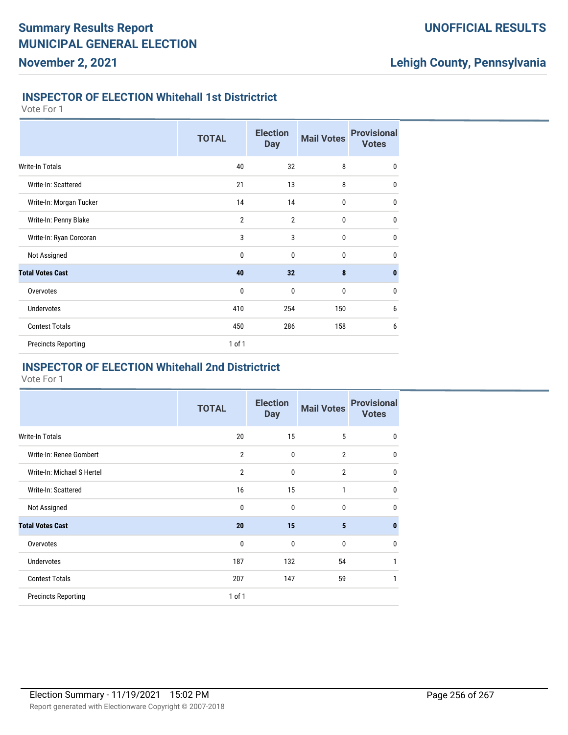## **Lehigh County, Pennsylvania**

#### **INSPECTOR OF ELECTION Whitehall 1st Districtrict**

Vote For 1

|                            | <b>TOTAL</b>   | <b>Election</b><br><b>Day</b> | <b>Mail Votes</b> | <b>Provisional</b><br><b>Votes</b> |
|----------------------------|----------------|-------------------------------|-------------------|------------------------------------|
| Write-In Totals            | 40             | 32                            | 8                 | $\mathbf 0$                        |
| Write-In: Scattered        | 21             | 13                            | 8                 | $\mathbf{0}$                       |
| Write-In: Morgan Tucker    | 14             | 14                            | 0                 | $\mathbf{0}$                       |
| Write-In: Penny Blake      | $\overline{2}$ | $\overline{2}$                | 0                 | $\mathbf{0}$                       |
| Write-In: Ryan Corcoran    | 3              | 3                             | 0                 | $\mathbf 0$                        |
| Not Assigned               | $\mathbf{0}$   | 0                             | $\bf{0}$          | $\bf{0}$                           |
| <b>Total Votes Cast</b>    | 40             | 32                            | 8                 | $\mathbf{0}$                       |
| Overvotes                  | $\mathbf{0}$   | $\mathbf{0}$                  | 0                 | $\mathbf 0$                        |
| <b>Undervotes</b>          | 410            | 254                           | 150               | 6                                  |
| <b>Contest Totals</b>      | 450            | 286                           | 158               | 6                                  |
| <b>Precincts Reporting</b> | 1 of 1         |                               |                   |                                    |

#### **INSPECTOR OF ELECTION Whitehall 2nd Districtrict**

|                            | <b>TOTAL</b>   | <b>Election</b><br><b>Day</b> | <b>Mail Votes</b> | <b>Provisional</b><br><b>Votes</b> |
|----------------------------|----------------|-------------------------------|-------------------|------------------------------------|
| <b>Write-In Totals</b>     | 20             | 15                            | 5                 | $\mathbf 0$                        |
| Write-In: Renee Gombert    | $\overline{2}$ | $\mathbf{0}$                  | $\overline{2}$    | $\mathbf 0$                        |
| Write-In: Michael S Hertel | $\overline{2}$ | $\mathbf{0}$                  | $\overline{2}$    | $\mathbf 0$                        |
| Write-In: Scattered        | 16             | 15                            | $\mathbf{1}$      | $\mathbf{0}$                       |
| Not Assigned               | 0              | $\mathbf{0}$                  | 0                 | $\mathbf 0$                        |
| <b>Total Votes Cast</b>    | 20             | 15                            | 5                 | $\mathbf{0}$                       |
| Overvotes                  | 0              | $\mathbf{0}$                  | $\mathbf{0}$      | $\mathbf{0}$                       |
| <b>Undervotes</b>          | 187            | 132                           | 54                | 1                                  |
| <b>Contest Totals</b>      | 207            | 147                           | 59                | 1                                  |
| <b>Precincts Reporting</b> | 1 of 1         |                               |                   |                                    |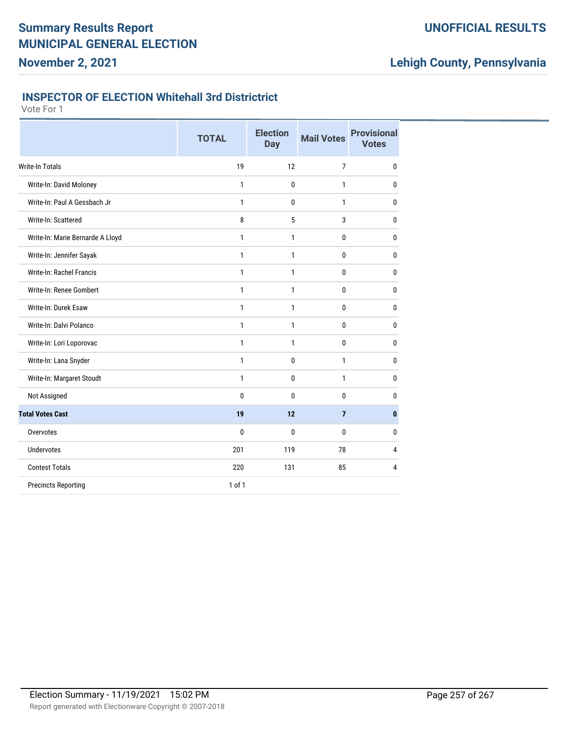### **UNOFFICIAL RESULTS**

## **Lehigh County, Pennsylvania**

#### **INSPECTOR OF ELECTION Whitehall 3rd Districtrict**

|                                  | <b>TOTAL</b> | <b>Election</b><br><b>Day</b> | <b>Mail Votes</b> | <b>Provisional</b><br><b>Votes</b> |
|----------------------------------|--------------|-------------------------------|-------------------|------------------------------------|
| Write-In Totals                  | 19           | 12                            | $\overline{7}$    | $\mathbf{0}$                       |
| Write-In: David Moloney          | 1            | 0                             | $\mathbf{1}$      | 0                                  |
| Write-In: Paul A Gessbach Jr     | 1            | 0                             | 1                 | 0                                  |
| Write-In: Scattered              | 8            | 5                             | 3                 | 0                                  |
| Write-In: Marie Bernarde A Lloyd | 1            | 1                             | 0                 | 0                                  |
| Write-In: Jennifer Sayak         | 1            | 1                             | $\mathbf{0}$      | 0                                  |
| Write-In: Rachel Francis         | $\mathbf{1}$ | 1                             | $\mathbf{0}$      | 0                                  |
| Write-In: Renee Gombert          | 1            | 1                             | $\bf{0}$          | $\mathbf 0$                        |
| Write-In: Durek Esaw             | 1            | 1                             | 0                 | 0                                  |
| Write-In: Dalvi Polanco          | 1            | 1                             | 0                 | 0                                  |
| Write-In: Lori Loporovac         | 1            | 1                             | 0                 | 0                                  |
| Write-In: Lana Snyder            | $\mathbf{1}$ | 0                             | $\mathbf{1}$      | 0                                  |
| Write-In: Margaret Stoudt        | 1            | 0                             | $\mathbf{1}$      | $\mathbf 0$                        |
| Not Assigned                     | 0            | 0                             | 0                 | 0                                  |
| <b>Total Votes Cast</b>          | 19           | 12                            | $\overline{7}$    | $\mathbf{0}$                       |
| Overvotes                        | 0            | 0                             | 0                 | 0                                  |
| <b>Undervotes</b>                | 201          | 119                           | 78                | 4                                  |
| <b>Contest Totals</b>            | 220          | 131                           | 85                | 4                                  |
| <b>Precincts Reporting</b>       | $1$ of $1$   |                               |                   |                                    |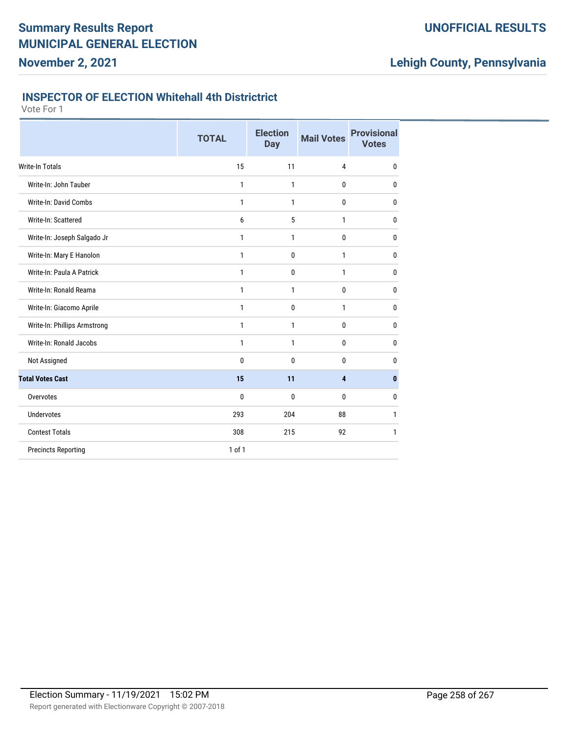### **UNOFFICIAL RESULTS**

## **Lehigh County, Pennsylvania**

#### **INSPECTOR OF ELECTION Whitehall 4th Districtrict**

|                              | <b>TOTAL</b> | <b>Election</b><br><b>Day</b> | <b>Mail Votes</b> | <b>Provisional</b><br><b>Votes</b> |
|------------------------------|--------------|-------------------------------|-------------------|------------------------------------|
| <b>Write-In Totals</b>       | 15           | 11                            | 4                 | 0                                  |
| Write-In: John Tauber        | 1            | 1                             | 0                 | 0                                  |
| Write-In: David Combs        | 1            | 1                             | 0                 | 0                                  |
| Write-In: Scattered          | 6            | 5                             | 1                 | 0                                  |
| Write-In: Joseph Salgado Jr  | $\mathbf{1}$ | $\mathbf{1}$                  | 0                 | 0                                  |
| Write-In: Mary E Hanolon     | 1            | $\mathbf 0$                   | 1                 | 0                                  |
| Write-In: Paula A Patrick    | $\mathbf{1}$ | $\mathbf 0$                   | $\mathbf{1}$      | 0                                  |
| Write-In: Ronald Reama       | 1            | 1                             | 0                 | 0                                  |
| Write-In: Giacomo Aprile     | 1            | $\mathbf 0$                   | 1                 | 0                                  |
| Write-In: Phillips Armstrong | 1            | 1                             | 0                 | 0                                  |
| Write-In: Ronald Jacobs      | 1            | 1                             | 0                 | 0                                  |
| Not Assigned                 | 0            | $\mathbf{0}$                  | 0                 | 0                                  |
| <b>Total Votes Cast</b>      | 15           | 11                            | 4                 | 0                                  |
| Overvotes                    | 0            | $\mathbf{0}$                  | 0                 | 0                                  |
| <b>Undervotes</b>            | 293          | 204                           | 88                | 1                                  |
| <b>Contest Totals</b>        | 308          | 215                           | 92                | 1                                  |
| <b>Precincts Reporting</b>   | $1$ of $1$   |                               |                   |                                    |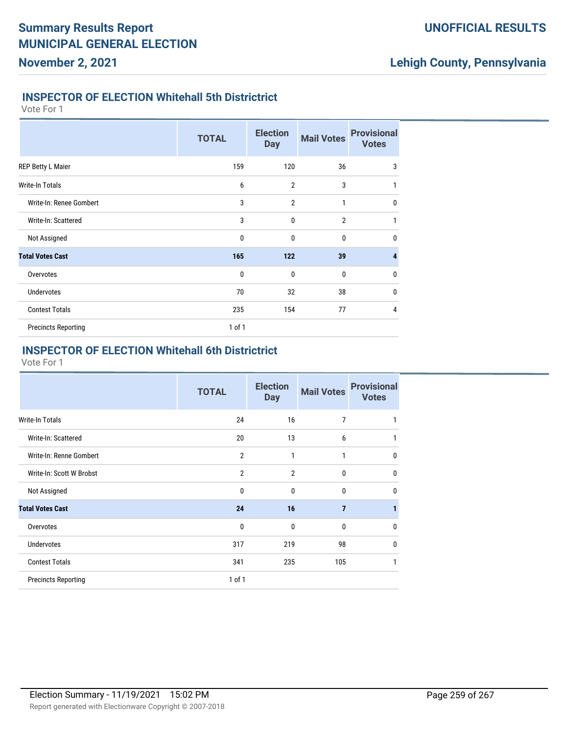## **Lehigh County, Pennsylvania**

#### **INSPECTOR OF ELECTION Whitehall 5th Districtrict**

Vote For 1

|                            | <b>TOTAL</b> | <b>Election</b><br><b>Day</b> | <b>Mail Votes</b> | <b>Provisional</b><br><b>Votes</b> |
|----------------------------|--------------|-------------------------------|-------------------|------------------------------------|
| REP Betty L Maier          | 159          | 120                           | 36                | 3                                  |
| <b>Write-In Totals</b>     | 6            | $\overline{2}$                | 3                 | 1                                  |
| Write-In: Renee Gombert    | 3            | $\overline{2}$                | 1                 | $\mathbf 0$                        |
| Write-In: Scattered        | 3            | 0                             | $\overline{2}$    | 1                                  |
| Not Assigned               | $\mathbf 0$  | $\mathbf{0}$                  | $\mathbf{0}$      | $\mathbf{0}$                       |
| <b>Total Votes Cast</b>    | 165          | 122                           | 39                | 4                                  |
| Overvotes                  | $\mathbf 0$  | $\mathbf 0$                   | $\bf{0}$          | $\mathbf 0$                        |
| <b>Undervotes</b>          | 70           | 32                            | 38                | $\mathbf 0$                        |
| <b>Contest Totals</b>      | 235          | 154                           | 77                | 4                                  |
| <b>Precincts Reporting</b> | $1$ of $1$   |                               |                   |                                    |

### **INSPECTOR OF ELECTION Whitehall 6th Districtrict**

|                            | <b>TOTAL</b>   | <b>Election</b><br><b>Day</b> | <b>Mail Votes</b> | <b>Provisional</b><br><b>Votes</b> |
|----------------------------|----------------|-------------------------------|-------------------|------------------------------------|
| Write-In Totals            | 24             | 16                            | $\overline{7}$    | 1                                  |
| Write-In: Scattered        | 20             | 13                            | 6                 | 1                                  |
| Write-In: Renne Gombert    | $\overline{2}$ | 1                             | $\mathbf{1}$      | $\mathbf{0}$                       |
| Write-In: Scott W Brobst   | $\overline{2}$ | $\overline{2}$                | $\mathbf{0}$      | $\mathbf{0}$                       |
| Not Assigned               | $\mathbf 0$    | $\mathbf{0}$                  | $\mathbf{0}$      | $\mathbf{0}$                       |
| <b>Total Votes Cast</b>    | 24             | 16                            | $\overline{7}$    | 1                                  |
| Overvotes                  | $\mathbf{0}$   | $\mathbf{0}$                  | $\mathbf{0}$      | $\mathbf{0}$                       |
| <b>Undervotes</b>          | 317            | 219                           | 98                | $\mathbf{0}$                       |
| <b>Contest Totals</b>      | 341            | 235                           | 105               | $\mathbf{1}$                       |
| <b>Precincts Reporting</b> | $1$ of $1$     |                               |                   |                                    |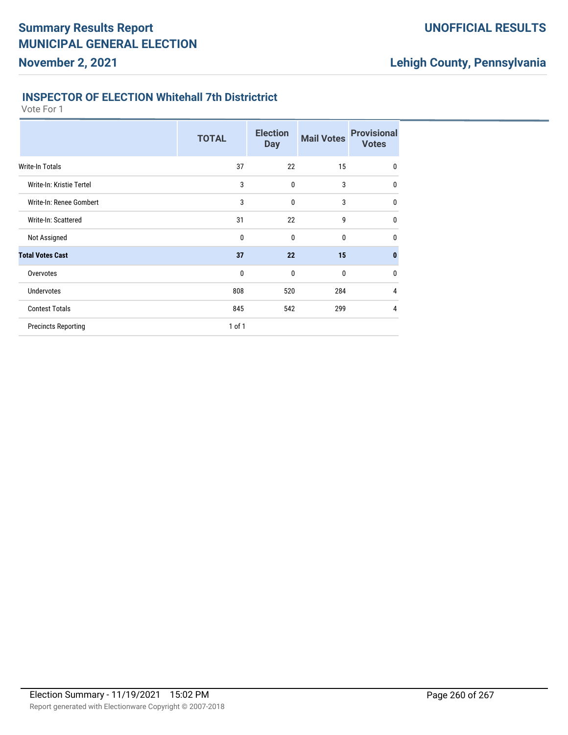### **UNOFFICIAL RESULTS**

## **Lehigh County, Pennsylvania**

#### **INSPECTOR OF ELECTION Whitehall 7th Districtrict**

|                            | <b>TOTAL</b> | <b>Election</b><br><b>Day</b> | <b>Mail Votes</b> | <b>Provisional</b><br><b>Votes</b> |
|----------------------------|--------------|-------------------------------|-------------------|------------------------------------|
| Write-In Totals            | 37           | 22                            | 15                | $\mathbf 0$                        |
| Write-In: Kristie Tertel   | 3            | 0                             | 3                 | $\mathbf{0}$                       |
| Write-In: Renee Gombert    | 3            | $\mathbf{0}$                  | 3                 | $\mathbf 0$                        |
| Write-In: Scattered        | 31           | 22                            | 9                 | $\mathbf{0}$                       |
| Not Assigned               | 0            | $\mathbf{0}$                  | 0                 | $\mathbf{0}$                       |
| <b>Total Votes Cast</b>    | 37           | 22                            | 15                | $\mathbf{0}$                       |
| Overvotes                  | 0            | $\mathbf{0}$                  | 0                 | $\mathbf{0}$                       |
| <b>Undervotes</b>          | 808          | 520                           | 284               | 4                                  |
| <b>Contest Totals</b>      | 845          | 542                           | 299               | 4                                  |
| <b>Precincts Reporting</b> | 1 of 1       |                               |                   |                                    |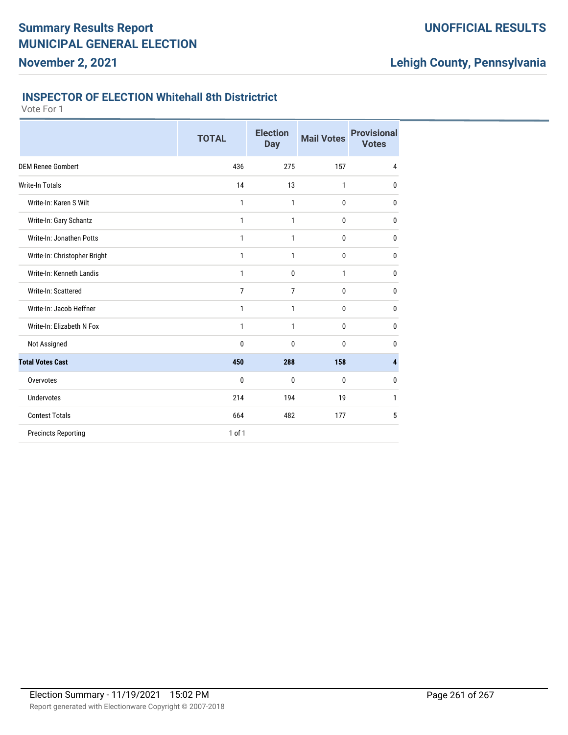### **UNOFFICIAL RESULTS**

## **Lehigh County, Pennsylvania**

#### **INSPECTOR OF ELECTION Whitehall 8th Districtrict**

|                              | <b>TOTAL</b>   | <b>Election</b><br><b>Day</b> | <b>Mail Votes</b> | <b>Provisional</b><br><b>Votes</b> |
|------------------------------|----------------|-------------------------------|-------------------|------------------------------------|
| <b>DEM Renee Gombert</b>     | 436            | 275                           | 157               | 4                                  |
| <b>Write-In Totals</b>       | 14             | 13                            | 1                 | 0                                  |
| Write-In: Karen S Wilt       | 1              | 1                             | 0                 | 0                                  |
| Write-In: Gary Schantz       | 1              | 1                             | 0                 | 0                                  |
| Write-In: Jonathen Potts     | 1              | 1                             | 0                 | 0                                  |
| Write-In: Christopher Bright | 1              | 1                             | 0                 | 0                                  |
| Write-In: Kenneth Landis     | 1              | $\mathbf 0$                   | 1                 | 0                                  |
| Write-In: Scattered          | $\overline{7}$ | $\overline{7}$                | 0                 | 0                                  |
| Write-In: Jacob Heffner      | 1              | 1                             | 0                 | $\mathbf{0}$                       |
| Write-In: Elizabeth N Fox    | $\mathbf{1}$   | $\mathbf{1}$                  | 0                 | $\mathbf{0}$                       |
| Not Assigned                 | 0              | $\mathbf 0$                   | 0                 | 0                                  |
| <b>Total Votes Cast</b>      | 450            | 288                           | 158               | 4                                  |
| Overvotes                    | 0              | 0                             | 0                 | 0                                  |
| <b>Undervotes</b>            | 214            | 194                           | 19                | 1                                  |
| <b>Contest Totals</b>        | 664            | 482                           | 177               | 5                                  |
| <b>Precincts Reporting</b>   | $1$ of $1$     |                               |                   |                                    |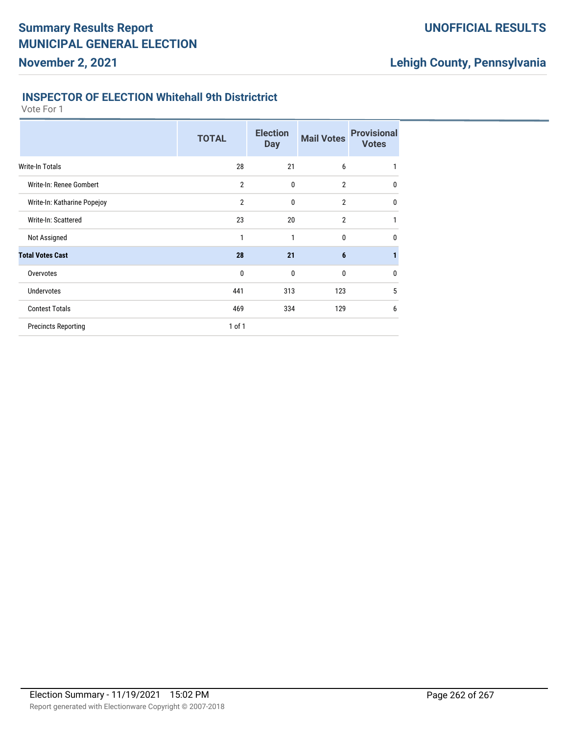### **UNOFFICIAL RESULTS**

## **Lehigh County, Pennsylvania**

#### **INSPECTOR OF ELECTION Whitehall 9th Districtrict**

|                             | <b>TOTAL</b>   | <b>Election</b><br><b>Day</b> | <b>Mail Votes</b> | <b>Provisional</b><br><b>Votes</b> |
|-----------------------------|----------------|-------------------------------|-------------------|------------------------------------|
| Write-In Totals             | 28             | 21                            | 6                 | 1                                  |
| Write-In: Renee Gombert     | $\overline{2}$ | 0                             | $\overline{2}$    | $\mathbf{0}$                       |
| Write-In: Katharine Popejoy | $\overline{2}$ | 0                             | $\overline{2}$    | $\mathbf{0}$                       |
| Write-In: Scattered         | 23             | 20                            | $\overline{2}$    | 1                                  |
| Not Assigned                | 1              | 1                             | $\mathbf{0}$      | $\mathbf{0}$                       |
| <b>Total Votes Cast</b>     | 28             | 21                            | 6                 |                                    |
| Overvotes                   | $\mathbf{0}$   | $\mathbf{0}$                  | 0                 | $\mathbf{0}$                       |
| <b>Undervotes</b>           | 441            | 313                           | 123               | 5                                  |
| <b>Contest Totals</b>       | 469            | 334                           | 129               | 6                                  |
| <b>Precincts Reporting</b>  | 1 of 1         |                               |                   |                                    |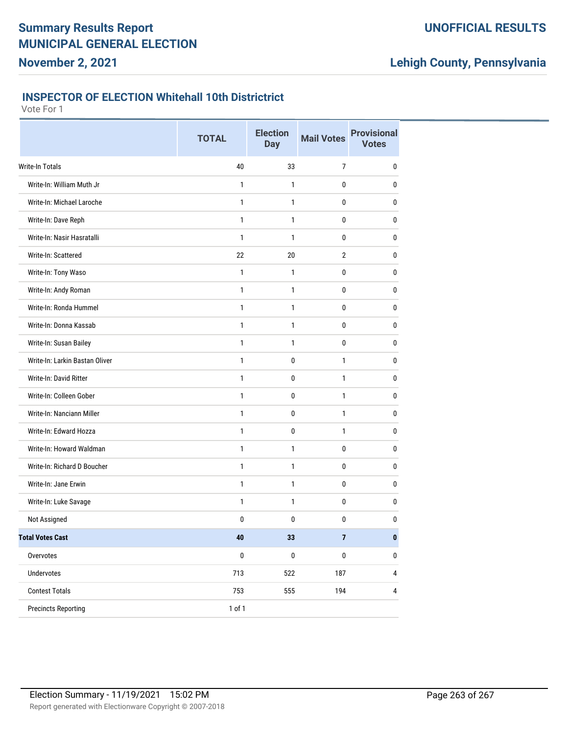### **UNOFFICIAL RESULTS**

## **Lehigh County, Pennsylvania**

#### **INSPECTOR OF ELECTION Whitehall 10th Districtrict**

|                                | <b>TOTAL</b> | <b>Election</b><br><b>Day</b> | <b>Mail Votes</b> | <b>Provisional</b><br><b>Votes</b> |
|--------------------------------|--------------|-------------------------------|-------------------|------------------------------------|
| Write-In Totals                | 40           | 33                            | $\overline{7}$    | $\pmb{0}$                          |
| Write-In: William Muth Jr      | 1            | 1                             | 0                 | 0                                  |
| Write-In: Michael Laroche      | 1            | $\mathbf{1}$                  | 0                 | 0                                  |
| Write-In: Dave Reph            | $\mathbf{1}$ | $\mathbf{1}$                  | 0                 | 0                                  |
| Write-In: Nasir Hasratalli     | 1            | 1                             | 0                 | 0                                  |
| Write-In: Scattered            | 22           | 20                            | $\overline{2}$    | $\pmb{0}$                          |
| Write-In: Tony Waso            | $\mathbf{1}$ | 1                             | 0                 | 0                                  |
| Write-In: Andy Roman           | $\mathbf{1}$ | 1                             | 0                 | 0                                  |
| Write-In: Ronda Hummel         | $\mathbf{1}$ | $\mathbf{1}$                  | 0                 | 0                                  |
| Write-In: Donna Kassab         | $\mathbf{1}$ | $\mathbf{1}$                  | 0                 | 0                                  |
| Write-In: Susan Bailey         | $\mathbf{1}$ | $\mathbf{1}$                  | $\mathbf 0$       | $\bf{0}$                           |
| Write-In: Larkin Bastan Oliver | 1            | 0                             | 1                 | 0                                  |
| Write-In: David Ritter         | $\mathbf{1}$ | 0                             | 1                 | 0                                  |
| Write-In: Colleen Gober        | $\mathbf{1}$ | 0                             | $\mathbf{1}$      | 0                                  |
| Write-In: Nanciann Miller      | $\mathbf{1}$ | 0                             | $\mathbf{1}$      | 0                                  |
| Write-In: Edward Hozza         | $\mathbf{1}$ | 0                             | 1                 | 0                                  |
| Write-In: Howard Waldman       | $\mathbf{1}$ | 1                             | 0                 | $\bf{0}$                           |
| Write-In: Richard D Boucher    | 1            | 1                             | 0                 | 0                                  |
| Write-In: Jane Erwin           | $\mathbf{1}$ | $\mathbf{1}$                  | 0                 | 0                                  |
| Write-In: Luke Savage          | $\mathbf{1}$ | 1                             | 0                 | 0                                  |
| Not Assigned                   | 0            | 0                             | 0                 | $\pmb{0}$                          |
| <b>Total Votes Cast</b>        | $\bf 40$     | 33                            | 7                 | $\pmb{0}$                          |
| Overvotes                      | $\pmb{0}$    | $\pmb{0}$                     | $\pmb{0}$         | $\pmb{0}$                          |
| Undervotes                     | 713          | 522                           | 187               | 4                                  |
| <b>Contest Totals</b>          | 753          | 555                           | 194               | $\pmb{4}$                          |
| <b>Precincts Reporting</b>     | 1 of 1       |                               |                   |                                    |
|                                |              |                               |                   |                                    |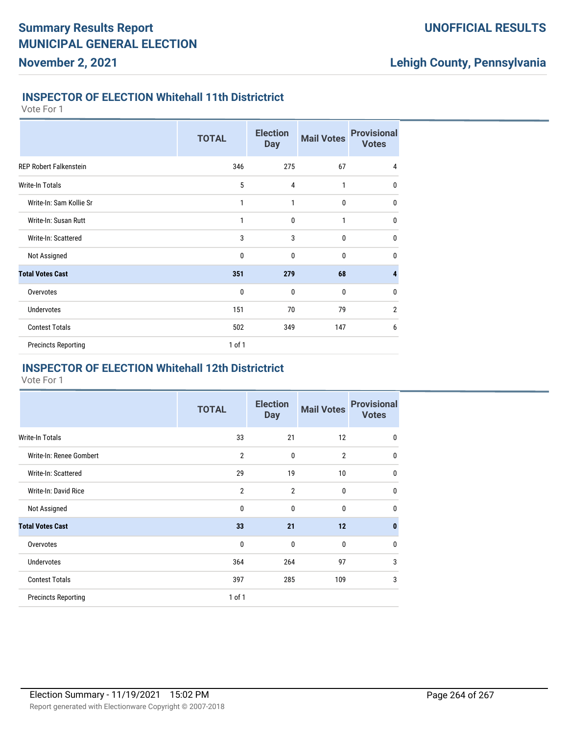## **Lehigh County, Pennsylvania**

#### **INSPECTOR OF ELECTION Whitehall 11th Districtrict**

Vote For 1

|                               | <b>TOTAL</b> | <b>Election</b><br><b>Day</b> | <b>Mail Votes</b> | <b>Provisional</b><br><b>Votes</b> |
|-------------------------------|--------------|-------------------------------|-------------------|------------------------------------|
| <b>REP Robert Falkenstein</b> | 346          | 275                           | 67                | $\overline{4}$                     |
| <b>Write-In Totals</b>        | 5            | $\overline{4}$                | 1                 | $\mathbf{0}$                       |
| Write-In: Sam Kollie Sr       | $\mathbf{1}$ | 1                             | 0                 | $\mathbf{0}$                       |
| Write-In: Susan Rutt          | 1            | $\mathbf{0}$                  | 1                 | $\mathbf{0}$                       |
| Write-In: Scattered           | 3            | 3                             | 0                 | $\mathbf{0}$                       |
| Not Assigned                  | 0            | 0                             | $\mathbf{0}$      | $\bf{0}$                           |
| <b>Total Votes Cast</b>       | 351          | 279                           | 68                | 4                                  |
| Overvotes                     | $\mathbf 0$  | $\mathbf 0$                   | $\mathbf 0$       | $\mathbf{0}$                       |
| <b>Undervotes</b>             | 151          | 70                            | 79                | $\overline{2}$                     |
| <b>Contest Totals</b>         | 502          | 349                           | 147               | 6                                  |
| <b>Precincts Reporting</b>    | $1$ of $1$   |                               |                   |                                    |

### **INSPECTOR OF ELECTION Whitehall 12th Districtrict**

|                            | <b>TOTAL</b>   | <b>Election</b><br><b>Day</b> | <b>Mail Votes</b> | <b>Provisional</b><br><b>Votes</b> |
|----------------------------|----------------|-------------------------------|-------------------|------------------------------------|
| Write-In Totals            | 33             | 21                            | 12                | $\mathbf 0$                        |
| Write-In: Renee Gombert    | $\overline{2}$ | 0                             | $\overline{2}$    | 0                                  |
| Write-In: Scattered        | 29             | 19                            | 10                | 0                                  |
| Write-In: David Rice       | $\overline{2}$ | 2                             | 0                 | $\mathbf{0}$                       |
| Not Assigned               | 0              | 0                             | 0                 | 0                                  |
| <b>Total Votes Cast</b>    | 33             | 21                            | 12                | $\bf{0}$                           |
| Overvotes                  | 0              | 0                             | 0                 | 0                                  |
| <b>Undervotes</b>          | 364            | 264                           | 97                | 3                                  |
| <b>Contest Totals</b>      | 397            | 285                           | 109               | 3                                  |
| <b>Precincts Reporting</b> | 1 of 1         |                               |                   |                                    |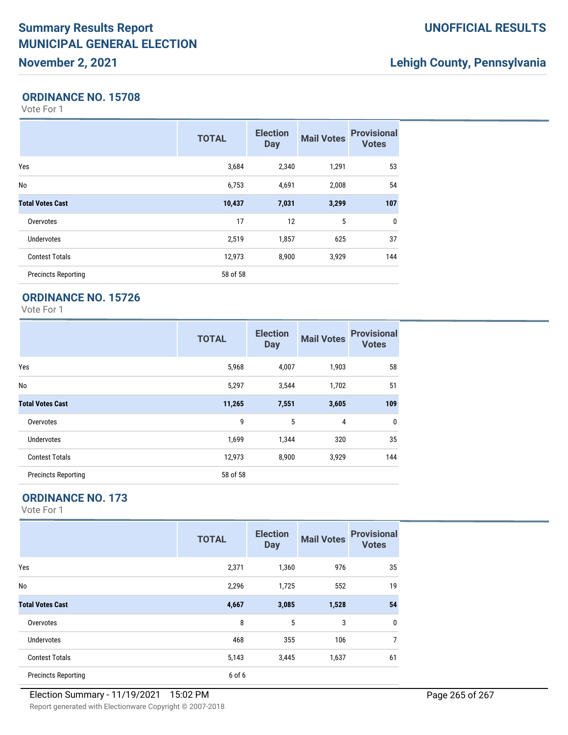# **Summary Results Report MUNICIPAL GENERAL ELECTION**

## **November 2, 2021**

### **UNOFFICIAL RESULTS**

## **Lehigh County, Pennsylvania**

#### **ORDINANCE NO. 15708**

Vote For 1

|                            | <b>TOTAL</b> | <b>Election</b><br><b>Day</b> | <b>Mail Votes</b> | <b>Provisional</b><br><b>Votes</b> |
|----------------------------|--------------|-------------------------------|-------------------|------------------------------------|
| Yes                        | 3,684        | 2,340                         | 1,291             | 53                                 |
| No                         | 6,753        | 4,691                         | 2,008             | 54                                 |
| <b>Total Votes Cast</b>    | 10,437       | 7,031                         | 3,299             | 107                                |
| Overvotes                  | 17           | 12                            | 5                 | $\mathbf{0}$                       |
| <b>Undervotes</b>          | 2,519        | 1,857                         | 625               | 37                                 |
| <b>Contest Totals</b>      | 12,973       | 8,900                         | 3,929             | 144                                |
| <b>Precincts Reporting</b> | 58 of 58     |                               |                   |                                    |

### **ORDINANCE NO. 15726**

Vote For 1

|                            | <b>TOTAL</b> | <b>Election</b><br><b>Day</b> | <b>Mail Votes</b> | <b>Provisional</b><br><b>Votes</b> |
|----------------------------|--------------|-------------------------------|-------------------|------------------------------------|
| Yes                        | 5,968        | 4,007                         | 1,903             | 58                                 |
| No                         | 5,297        | 3,544                         | 1,702             | 51                                 |
| <b>Total Votes Cast</b>    | 11,265       | 7,551                         | 3,605             | 109                                |
| Overvotes                  | 9            | 5                             | 4                 | $\mathbf 0$                        |
| <b>Undervotes</b>          | 1,699        | 1,344                         | 320               | 35                                 |
| <b>Contest Totals</b>      | 12,973       | 8,900                         | 3,929             | 144                                |
| <b>Precincts Reporting</b> | 58 of 58     |                               |                   |                                    |

### **ORDINANCE NO. 173**

|                            | <b>TOTAL</b> | <b>Election</b><br><b>Day</b> | <b>Mail Votes</b> | <b>Provisional</b><br><b>Votes</b> |
|----------------------------|--------------|-------------------------------|-------------------|------------------------------------|
| Yes                        | 2,371        | 1,360                         | 976               | 35                                 |
| No                         | 2,296        | 1,725                         | 552               | 19                                 |
| <b>Total Votes Cast</b>    | 4,667        | 3,085                         | 1,528             | 54                                 |
| Overvotes                  | 8            | 5                             | 3                 | 0                                  |
| Undervotes                 | 468          | 355                           | 106               | 7                                  |
| <b>Contest Totals</b>      | 5,143        | 3,445                         | 1,637             | 61                                 |
| <b>Precincts Reporting</b> | 6 of 6       |                               |                   |                                    |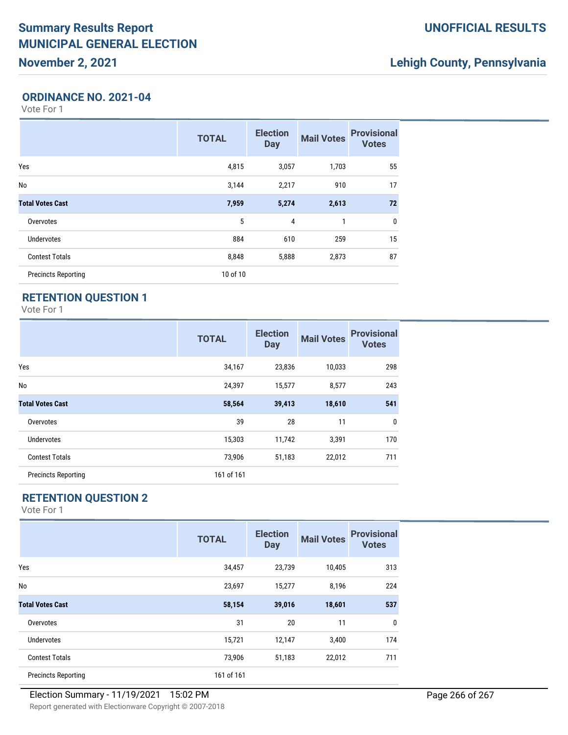## **Lehigh County, Pennsylvania**

#### **ORDINANCE NO. 2021-04**

Vote For 1

|                            | <b>TOTAL</b> | <b>Election</b><br><b>Day</b> | <b>Mail Votes</b> | <b>Provisional</b><br><b>Votes</b> |
|----------------------------|--------------|-------------------------------|-------------------|------------------------------------|
| Yes                        | 4,815        | 3,057                         | 1,703             | 55                                 |
| No                         | 3,144        | 2,217                         | 910               | 17                                 |
| <b>Total Votes Cast</b>    | 7,959        | 5,274                         | 2,613             | 72                                 |
| Overvotes                  | 5            | 4                             | 1                 | $\mathbf{0}$                       |
| <b>Undervotes</b>          | 884          | 610                           | 259               | 15                                 |
| <b>Contest Totals</b>      | 8,848        | 5,888                         | 2,873             | 87                                 |
| <b>Precincts Reporting</b> | 10 of 10     |                               |                   |                                    |

### **RETENTION QUESTION 1**

Vote For 1

|                            | <b>TOTAL</b> | <b>Election</b><br><b>Day</b> | <b>Mail Votes</b> | <b>Provisional</b><br><b>Votes</b> |
|----------------------------|--------------|-------------------------------|-------------------|------------------------------------|
| Yes                        | 34,167       | 23,836                        | 10,033            | 298                                |
| No                         | 24,397       | 15,577                        | 8,577             | 243                                |
| <b>Total Votes Cast</b>    | 58,564       | 39,413                        | 18,610            | 541                                |
| Overvotes                  | 39           | 28                            | 11                | 0                                  |
| Undervotes                 | 15,303       | 11,742                        | 3,391             | 170                                |
| <b>Contest Totals</b>      | 73,906       | 51,183                        | 22,012            | 711                                |
| <b>Precincts Reporting</b> | 161 of 161   |                               |                   |                                    |

### **RETENTION QUESTION 2**

|                            | <b>TOTAL</b> | <b>Election</b><br><b>Day</b> | <b>Mail Votes</b> | <b>Provisional</b><br><b>Votes</b> |
|----------------------------|--------------|-------------------------------|-------------------|------------------------------------|
| Yes                        | 34,457       | 23,739                        | 10,405            | 313                                |
| No                         | 23,697       | 15,277                        | 8,196             | 224                                |
| <b>Total Votes Cast</b>    | 58,154       | 39,016                        | 18,601            | 537                                |
| Overvotes                  | 31           | 20                            | 11                | 0                                  |
| Undervotes                 | 15,721       | 12,147                        | 3,400             | 174                                |
| <b>Contest Totals</b>      | 73,906       | 51,183                        | 22,012            | 711                                |
| <b>Precincts Reporting</b> | 161 of 161   |                               |                   |                                    |